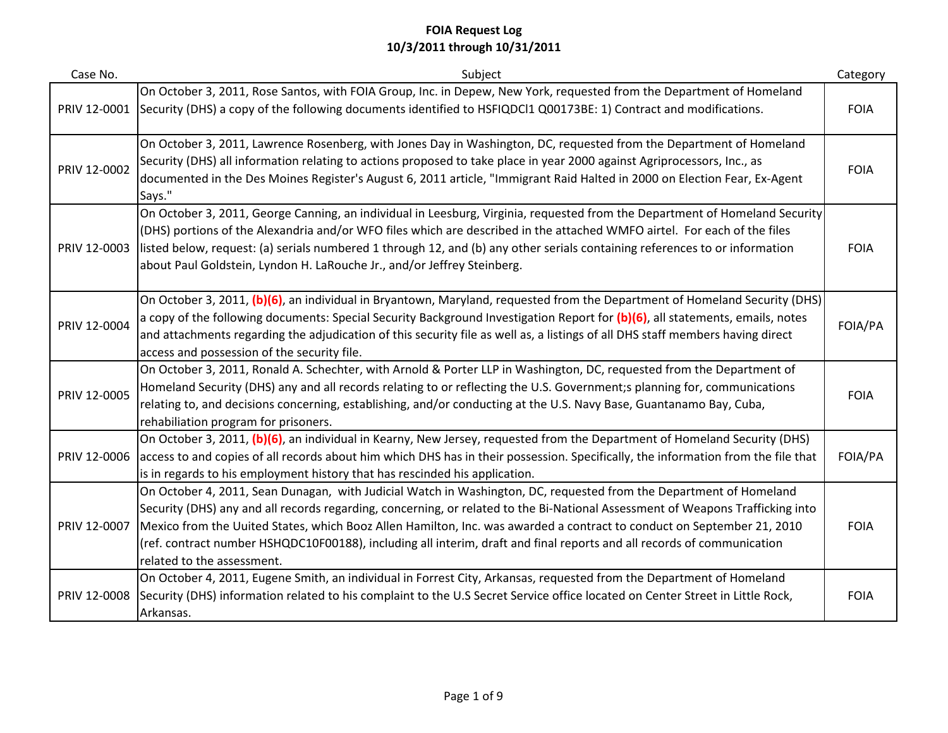| Case No.     | Subject                                                                                                                                                                                                                                                                                                                                                                                                                                                                                                                                | Category    |
|--------------|----------------------------------------------------------------------------------------------------------------------------------------------------------------------------------------------------------------------------------------------------------------------------------------------------------------------------------------------------------------------------------------------------------------------------------------------------------------------------------------------------------------------------------------|-------------|
| PRIV 12-0001 | On October 3, 2011, Rose Santos, with FOIA Group, Inc. in Depew, New York, requested from the Department of Homeland<br>Security (DHS) a copy of the following documents identified to HSFIQDCl1 Q00173BE: 1) Contract and modifications.                                                                                                                                                                                                                                                                                              | <b>FOIA</b> |
| PRIV 12-0002 | On October 3, 2011, Lawrence Rosenberg, with Jones Day in Washington, DC, requested from the Department of Homeland<br>Security (DHS) all information relating to actions proposed to take place in year 2000 against Agriprocessors, Inc., as<br>documented in the Des Moines Register's August 6, 2011 article, "Immigrant Raid Halted in 2000 on Election Fear, Ex-Agent<br>Says."                                                                                                                                                  | <b>FOIA</b> |
| PRIV 12-0003 | On October 3, 2011, George Canning, an individual in Leesburg, Virginia, requested from the Department of Homeland Security<br>(DHS) portions of the Alexandria and/or WFO files which are described in the attached WMFO airtel. For each of the files<br>listed below, request: (a) serials numbered 1 through 12, and (b) any other serials containing references to or information<br>about Paul Goldstein, Lyndon H. LaRouche Jr., and/or Jeffrey Steinberg.                                                                      | <b>FOIA</b> |
| PRIV 12-0004 | On October 3, 2011, (b)(6), an individual in Bryantown, Maryland, requested from the Department of Homeland Security (DHS)<br>a copy of the following documents: Special Security Background Investigation Report for (b)(6), all statements, emails, notes<br>and attachments regarding the adjudication of this security file as well as, a listings of all DHS staff members having direct<br>access and possession of the security file.                                                                                           | FOIA/PA     |
| PRIV 12-0005 | On October 3, 2011, Ronald A. Schechter, with Arnold & Porter LLP in Washington, DC, requested from the Department of<br>Homeland Security (DHS) any and all records relating to or reflecting the U.S. Government;s planning for, communications<br>relating to, and decisions concerning, establishing, and/or conducting at the U.S. Navy Base, Guantanamo Bay, Cuba,<br>rehabiliation program for prisoners.                                                                                                                       | <b>FOIA</b> |
| PRIV 12-0006 | On October 3, 2011, (b)(6), an individual in Kearny, New Jersey, requested from the Department of Homeland Security (DHS)<br>access to and copies of all records about him which DHS has in their possession. Specifically, the information from the file that<br>is in regards to his employment history that has rescinded his application.                                                                                                                                                                                          | FOIA/PA     |
| PRIV 12-0007 | On October 4, 2011, Sean Dunagan, with Judicial Watch in Washington, DC, requested from the Department of Homeland<br>Security (DHS) any and all records regarding, concerning, or related to the Bi-National Assessment of Weapons Trafficking into<br>Mexico from the Uuited States, which Booz Allen Hamilton, Inc. was awarded a contract to conduct on September 21, 2010<br>(ref. contract number HSHQDC10F00188), including all interim, draft and final reports and all records of communication<br>related to the assessment. | <b>FOIA</b> |
| PRIV 12-0008 | On October 4, 2011, Eugene Smith, an individual in Forrest City, Arkansas, requested from the Department of Homeland<br>Security (DHS) information related to his complaint to the U.S Secret Service office located on Center Street in Little Rock,<br>Arkansas.                                                                                                                                                                                                                                                                     | <b>FOIA</b> |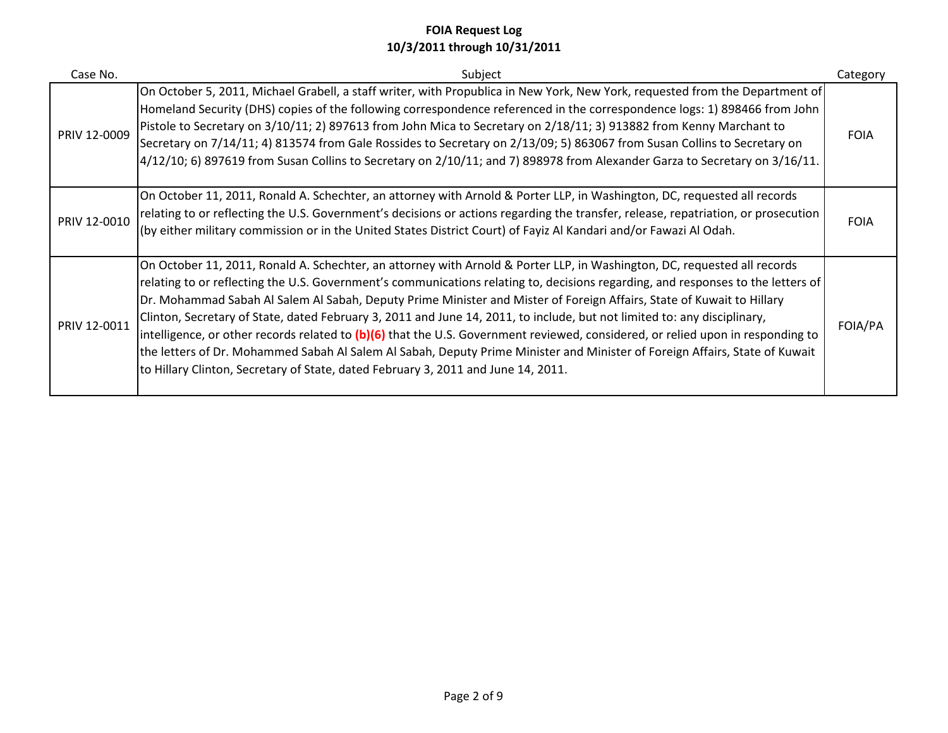| Case No.     | Subject                                                                                                                                                                                                                                                                                                                                                                                                                                                                                                                                                                                                                                                                                                                                                                                                                                                                  | Category    |
|--------------|--------------------------------------------------------------------------------------------------------------------------------------------------------------------------------------------------------------------------------------------------------------------------------------------------------------------------------------------------------------------------------------------------------------------------------------------------------------------------------------------------------------------------------------------------------------------------------------------------------------------------------------------------------------------------------------------------------------------------------------------------------------------------------------------------------------------------------------------------------------------------|-------------|
| PRIV 12-0009 | On October 5, 2011, Michael Grabell, a staff writer, with Propublica in New York, New York, requested from the Department of<br>Homeland Security (DHS) copies of the following correspondence referenced in the correspondence logs: 1) 898466 from John<br>Pistole to Secretary on 3/10/11; 2) 897613 from John Mica to Secretary on 2/18/11; 3) 913882 from Kenny Marchant to<br>Secretary on 7/14/11; 4) 813574 from Gale Rossides to Secretary on 2/13/09; 5) 863067 from Susan Collins to Secretary on<br>$4/12/10$ ; 6) 897619 from Susan Collins to Secretary on 2/10/11; and 7) 898978 from Alexander Garza to Secretary on 3/16/11.                                                                                                                                                                                                                            | <b>FOIA</b> |
| PRIV 12-0010 | On October 11, 2011, Ronald A. Schechter, an attorney with Arnold & Porter LLP, in Washington, DC, requested all records<br>relating to or reflecting the U.S. Government's decisions or actions regarding the transfer, release, repatriation, or prosecution<br>(by either military commission or in the United States District Court) of Fayiz Al Kandari and/or Fawazi Al Odah.                                                                                                                                                                                                                                                                                                                                                                                                                                                                                      | <b>FOIA</b> |
| PRIV 12-0011 | On October 11, 2011, Ronald A. Schechter, an attorney with Arnold & Porter LLP, in Washington, DC, requested all records<br>relating to or reflecting the U.S. Government's communications relating to, decisions regarding, and responses to the letters of<br>Dr. Mohammad Sabah Al Salem Al Sabah, Deputy Prime Minister and Mister of Foreign Affairs, State of Kuwait to Hillary<br>Clinton, Secretary of State, dated February 3, 2011 and June 14, 2011, to include, but not limited to: any disciplinary,<br>intelligence, or other records related to (b)(6) that the U.S. Government reviewed, considered, or relied upon in responding to<br>the letters of Dr. Mohammed Sabah Al Salem Al Sabah, Deputy Prime Minister and Minister of Foreign Affairs, State of Kuwait<br>to Hillary Clinton, Secretary of State, dated February 3, 2011 and June 14, 2011. | FOIA/PA     |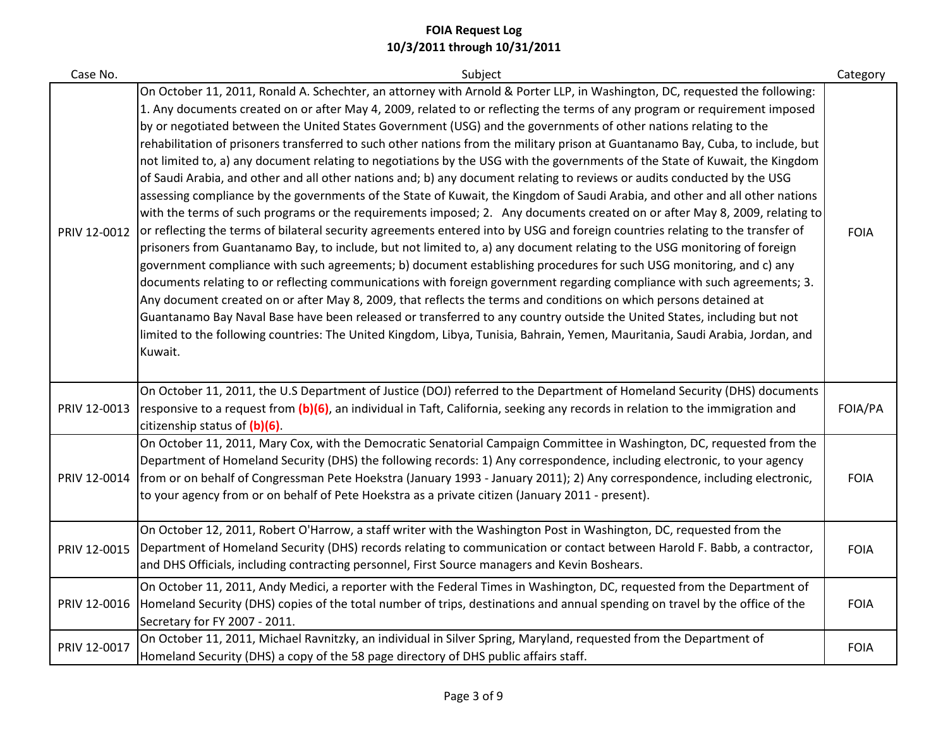| Case No.     | Subject                                                                                                                                                                                                                                                                                                                                                                                                                                                                                                                                                                                                                                                                                                                                                                                                                                                                                                                                                                                                                                                                                                                                                                                                                                                                                                                                                                                                                                                                                                                                                                                                                                                                                                                                                                                                                                                                                                                                                 | Category    |
|--------------|---------------------------------------------------------------------------------------------------------------------------------------------------------------------------------------------------------------------------------------------------------------------------------------------------------------------------------------------------------------------------------------------------------------------------------------------------------------------------------------------------------------------------------------------------------------------------------------------------------------------------------------------------------------------------------------------------------------------------------------------------------------------------------------------------------------------------------------------------------------------------------------------------------------------------------------------------------------------------------------------------------------------------------------------------------------------------------------------------------------------------------------------------------------------------------------------------------------------------------------------------------------------------------------------------------------------------------------------------------------------------------------------------------------------------------------------------------------------------------------------------------------------------------------------------------------------------------------------------------------------------------------------------------------------------------------------------------------------------------------------------------------------------------------------------------------------------------------------------------------------------------------------------------------------------------------------------------|-------------|
| PRIV 12-0012 | On October 11, 2011, Ronald A. Schechter, an attorney with Arnold & Porter LLP, in Washington, DC, requested the following:<br>1. Any documents created on or after May 4, 2009, related to or reflecting the terms of any program or requirement imposed<br>by or negotiated between the United States Government (USG) and the governments of other nations relating to the<br>rehabilitation of prisoners transferred to such other nations from the military prison at Guantanamo Bay, Cuba, to include, but<br>not limited to, a) any document relating to negotiations by the USG with the governments of the State of Kuwait, the Kingdom<br>of Saudi Arabia, and other and all other nations and; b) any document relating to reviews or audits conducted by the USG<br>assessing compliance by the governments of the State of Kuwait, the Kingdom of Saudi Arabia, and other and all other nations<br>with the terms of such programs or the requirements imposed; 2. Any documents created on or after May 8, 2009, relating to<br>or reflecting the terms of bilateral security agreements entered into by USG and foreign countries relating to the transfer of<br>prisoners from Guantanamo Bay, to include, but not limited to, a) any document relating to the USG monitoring of foreign<br>government compliance with such agreements; b) document establishing procedures for such USG monitoring, and c) any<br>documents relating to or reflecting communications with foreign government regarding compliance with such agreements; 3.<br>Any document created on or after May 8, 2009, that reflects the terms and conditions on which persons detained at<br>Guantanamo Bay Naval Base have been released or transferred to any country outside the United States, including but not<br>limited to the following countries: The United Kingdom, Libya, Tunisia, Bahrain, Yemen, Mauritania, Saudi Arabia, Jordan, and<br>Kuwait. | <b>FOIA</b> |
| PRIV 12-0013 | On October 11, 2011, the U.S Department of Justice (DOJ) referred to the Department of Homeland Security (DHS) documents<br>responsive to a request from (b)(6), an individual in Taft, California, seeking any records in relation to the immigration and<br>citizenship status of (b)(6).                                                                                                                                                                                                                                                                                                                                                                                                                                                                                                                                                                                                                                                                                                                                                                                                                                                                                                                                                                                                                                                                                                                                                                                                                                                                                                                                                                                                                                                                                                                                                                                                                                                             | FOIA/PA     |
| PRIV 12-0014 | On October 11, 2011, Mary Cox, with the Democratic Senatorial Campaign Committee in Washington, DC, requested from the<br>Department of Homeland Security (DHS) the following records: 1) Any correspondence, including electronic, to your agency<br>from or on behalf of Congressman Pete Hoekstra (January 1993 - January 2011); 2) Any correspondence, including electronic,<br>to your agency from or on behalf of Pete Hoekstra as a private citizen (January 2011 - present).                                                                                                                                                                                                                                                                                                                                                                                                                                                                                                                                                                                                                                                                                                                                                                                                                                                                                                                                                                                                                                                                                                                                                                                                                                                                                                                                                                                                                                                                    | <b>FOIA</b> |
| PRIV 12-0015 | On October 12, 2011, Robert O'Harrow, a staff writer with the Washington Post in Washington, DC, requested from the<br>Department of Homeland Security (DHS) records relating to communication or contact between Harold F. Babb, a contractor,<br>and DHS Officials, including contracting personnel, First Source managers and Kevin Boshears.                                                                                                                                                                                                                                                                                                                                                                                                                                                                                                                                                                                                                                                                                                                                                                                                                                                                                                                                                                                                                                                                                                                                                                                                                                                                                                                                                                                                                                                                                                                                                                                                        | <b>FOIA</b> |
| PRIV 12-0016 | On October 11, 2011, Andy Medici, a reporter with the Federal Times in Washington, DC, requested from the Department of<br>Homeland Security (DHS) copies of the total number of trips, destinations and annual spending on travel by the office of the<br>Secretary for FY 2007 - 2011.                                                                                                                                                                                                                                                                                                                                                                                                                                                                                                                                                                                                                                                                                                                                                                                                                                                                                                                                                                                                                                                                                                                                                                                                                                                                                                                                                                                                                                                                                                                                                                                                                                                                | <b>FOIA</b> |
| PRIV 12-0017 | On October 11, 2011, Michael Ravnitzky, an individual in Silver Spring, Maryland, requested from the Department of<br>Homeland Security (DHS) a copy of the 58 page directory of DHS public affairs staff.                                                                                                                                                                                                                                                                                                                                                                                                                                                                                                                                                                                                                                                                                                                                                                                                                                                                                                                                                                                                                                                                                                                                                                                                                                                                                                                                                                                                                                                                                                                                                                                                                                                                                                                                              | <b>FOIA</b> |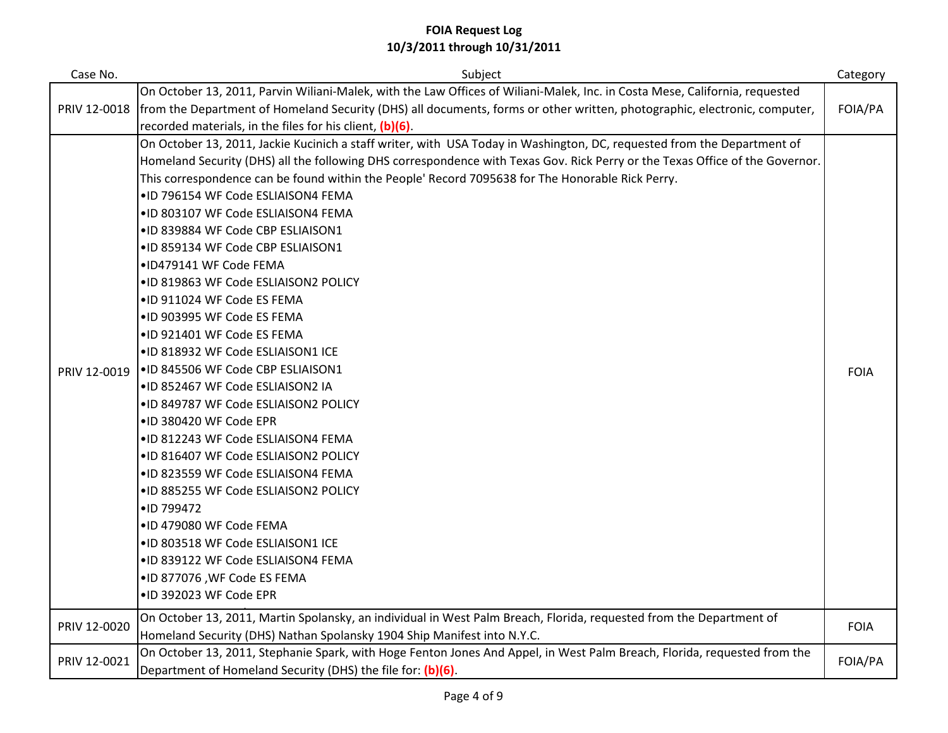| Case No.     | Subject                                                                                                                      | Category    |
|--------------|------------------------------------------------------------------------------------------------------------------------------|-------------|
|              | On October 13, 2011, Parvin Wiliani-Malek, with the Law Offices of Wiliani-Malek, Inc. in Costa Mese, California, requested  |             |
| PRIV 12-0018 | from the Department of Homeland Security (DHS) all documents, forms or other written, photographic, electronic, computer,    | FOIA/PA     |
|              | recorded materials, in the files for his client, (b)(6).                                                                     |             |
|              | On October 13, 2011, Jackie Kucinich a staff writer, with USA Today in Washington, DC, requested from the Department of      |             |
|              | Homeland Security (DHS) all the following DHS correspondence with Texas Gov. Rick Perry or the Texas Office of the Governor. |             |
|              | This correspondence can be found within the People' Record 7095638 for The Honorable Rick Perry.                             |             |
|              | .ID 796154 WF Code ESLIAISON4 FEMA                                                                                           |             |
|              | .ID 803107 WF Code ESLIAISON4 FEMA                                                                                           |             |
|              | .ID 839884 WF Code CBP ESLIAISON1                                                                                            |             |
|              | .ID 859134 WF Code CBP ESLIAISON1                                                                                            |             |
|              | .ID479141 WF Code FEMA                                                                                                       |             |
|              | .ID 819863 WF Code ESLIAISON2 POLICY                                                                                         |             |
|              | .ID 911024 WF Code ES FEMA                                                                                                   |             |
|              | .ID 903995 WF Code ES FEMA                                                                                                   |             |
|              | .ID 921401 WF Code ES FEMA                                                                                                   |             |
|              | .ID 818932 WF Code ESLIAISON1 ICE                                                                                            |             |
| PRIV 12-0019 | .ID 845506 WF Code CBP ESLIAISON1                                                                                            | <b>FOIA</b> |
|              | .ID 852467 WF Code ESLIAISON2 IA                                                                                             |             |
|              | .ID 849787 WF Code ESLIAISON2 POLICY                                                                                         |             |
|              | .ID 380420 WF Code EPR                                                                                                       |             |
|              | .ID 812243 WF Code ESLIAISON4 FEMA                                                                                           |             |
|              | .ID 816407 WF Code ESLIAISON2 POLICY                                                                                         |             |
|              | .ID 823559 WF Code ESLIAISON4 FEMA                                                                                           |             |
|              | .ID 885255 WF Code ESLIAISON2 POLICY                                                                                         |             |
|              | •ID 799472                                                                                                                   |             |
|              | .ID 479080 WF Code FEMA                                                                                                      |             |
|              | .ID 803518 WF Code ESLIAISON1 ICE                                                                                            |             |
|              | .ID 839122 WF Code ESLIAISON4 FEMA                                                                                           |             |
|              | .ID 877076, WF Code ES FEMA                                                                                                  |             |
|              | .ID 392023 WF Code EPR                                                                                                       |             |
|              | On October 13, 2011, Martin Spolansky, an individual in West Palm Breach, Florida, requested from the Department of          |             |
| PRIV 12-0020 | Homeland Security (DHS) Nathan Spolansky 1904 Ship Manifest into N.Y.C.                                                      | <b>FOIA</b> |
|              | On October 13, 2011, Stephanie Spark, with Hoge Fenton Jones And Appel, in West Palm Breach, Florida, requested from the     | FOIA/PA     |
| PRIV 12-0021 | Department of Homeland Security (DHS) the file for: (b)(6).                                                                  |             |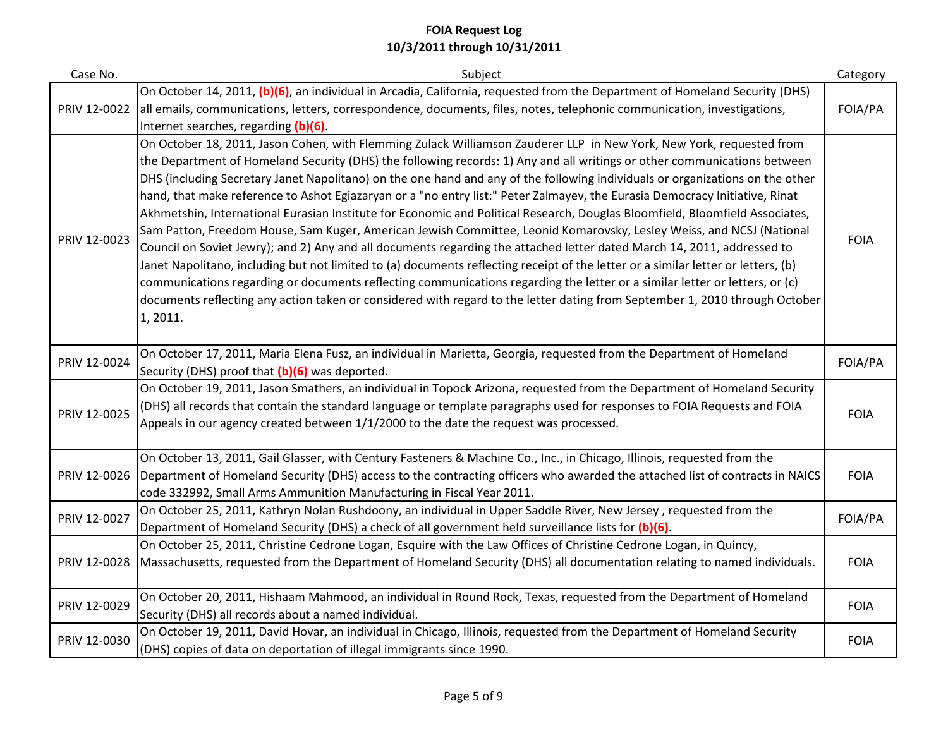| Case No.     | Subject                                                                                                                                                                                                                                                                                                                                                                                                                                                                                                                                                                                                                                                                                                                                                                                                                                                                                                                                                                                                                                                                                                                                                                                                                                                                                                            | Category    |
|--------------|--------------------------------------------------------------------------------------------------------------------------------------------------------------------------------------------------------------------------------------------------------------------------------------------------------------------------------------------------------------------------------------------------------------------------------------------------------------------------------------------------------------------------------------------------------------------------------------------------------------------------------------------------------------------------------------------------------------------------------------------------------------------------------------------------------------------------------------------------------------------------------------------------------------------------------------------------------------------------------------------------------------------------------------------------------------------------------------------------------------------------------------------------------------------------------------------------------------------------------------------------------------------------------------------------------------------|-------------|
| PRIV 12-0022 | On October 14, 2011, (b)(6), an individual in Arcadia, California, requested from the Department of Homeland Security (DHS)<br>all emails, communications, letters, correspondence, documents, files, notes, telephonic communication, investigations,<br>Internet searches, regarding (b)(6)                                                                                                                                                                                                                                                                                                                                                                                                                                                                                                                                                                                                                                                                                                                                                                                                                                                                                                                                                                                                                      | FOIA/PA     |
| PRIV 12-0023 | On October 18, 2011, Jason Cohen, with Flemming Zulack Williamson Zauderer LLP in New York, New York, requested from<br>the Department of Homeland Security (DHS) the following records: 1) Any and all writings or other communications between<br>DHS (including Secretary Janet Napolitano) on the one hand and any of the following individuals or organizations on the other<br>hand, that make reference to Ashot Egiazaryan or a "no entry list:" Peter Zalmayev, the Eurasia Democracy Initiative, Rinat<br>Akhmetshin, International Eurasian Institute for Economic and Political Research, Douglas Bloomfield, Bloomfield Associates,<br>Sam Patton, Freedom House, Sam Kuger, American Jewish Committee, Leonid Komarovsky, Lesley Weiss, and NCSJ (National<br>Council on Soviet Jewry); and 2) Any and all documents regarding the attached letter dated March 14, 2011, addressed to<br>Janet Napolitano, including but not limited to (a) documents reflecting receipt of the letter or a similar letter or letters, (b)<br>communications regarding or documents reflecting communications regarding the letter or a similar letter or letters, or (c)<br>documents reflecting any action taken or considered with regard to the letter dating from September 1, 2010 through October<br>1, 2011. | <b>FOIA</b> |
| PRIV 12-0024 | On October 17, 2011, Maria Elena Fusz, an individual in Marietta, Georgia, requested from the Department of Homeland<br>Security (DHS) proof that (b)(6) was deported.                                                                                                                                                                                                                                                                                                                                                                                                                                                                                                                                                                                                                                                                                                                                                                                                                                                                                                                                                                                                                                                                                                                                             | FOIA/PA     |
| PRIV 12-0025 | On October 19, 2011, Jason Smathers, an individual in Topock Arizona, requested from the Department of Homeland Security<br>(DHS) all records that contain the standard language or template paragraphs used for responses to FOIA Requests and FOIA<br>Appeals in our agency created between 1/1/2000 to the date the request was processed.                                                                                                                                                                                                                                                                                                                                                                                                                                                                                                                                                                                                                                                                                                                                                                                                                                                                                                                                                                      | <b>FOIA</b> |
| PRIV 12-0026 | On October 13, 2011, Gail Glasser, with Century Fasteners & Machine Co., Inc., in Chicago, Illinois, requested from the<br>Department of Homeland Security (DHS) access to the contracting officers who awarded the attached list of contracts in NAICS<br>code 332992, Small Arms Ammunition Manufacturing in Fiscal Year 2011.                                                                                                                                                                                                                                                                                                                                                                                                                                                                                                                                                                                                                                                                                                                                                                                                                                                                                                                                                                                   | <b>FOIA</b> |
| PRIV 12-0027 | On October 25, 2011, Kathryn Nolan Rushdoony, an individual in Upper Saddle River, New Jersey, requested from the<br>Department of Homeland Security (DHS) a check of all government held surveillance lists for (b)(6).                                                                                                                                                                                                                                                                                                                                                                                                                                                                                                                                                                                                                                                                                                                                                                                                                                                                                                                                                                                                                                                                                           | FOIA/PA     |
| PRIV 12-0028 | On October 25, 2011, Christine Cedrone Logan, Esquire with the Law Offices of Christine Cedrone Logan, in Quincy,<br>Massachusetts, requested from the Department of Homeland Security (DHS) all documentation relating to named individuals.                                                                                                                                                                                                                                                                                                                                                                                                                                                                                                                                                                                                                                                                                                                                                                                                                                                                                                                                                                                                                                                                      | <b>FOIA</b> |
| PRIV 12-0029 | On October 20, 2011, Hishaam Mahmood, an individual in Round Rock, Texas, requested from the Department of Homeland<br>Security (DHS) all records about a named individual.                                                                                                                                                                                                                                                                                                                                                                                                                                                                                                                                                                                                                                                                                                                                                                                                                                                                                                                                                                                                                                                                                                                                        | <b>FOIA</b> |
| PRIV 12-0030 | On October 19, 2011, David Hovar, an individual in Chicago, Illinois, requested from the Department of Homeland Security<br>(DHS) copies of data on deportation of illegal immigrants since 1990.                                                                                                                                                                                                                                                                                                                                                                                                                                                                                                                                                                                                                                                                                                                                                                                                                                                                                                                                                                                                                                                                                                                  | <b>FOIA</b> |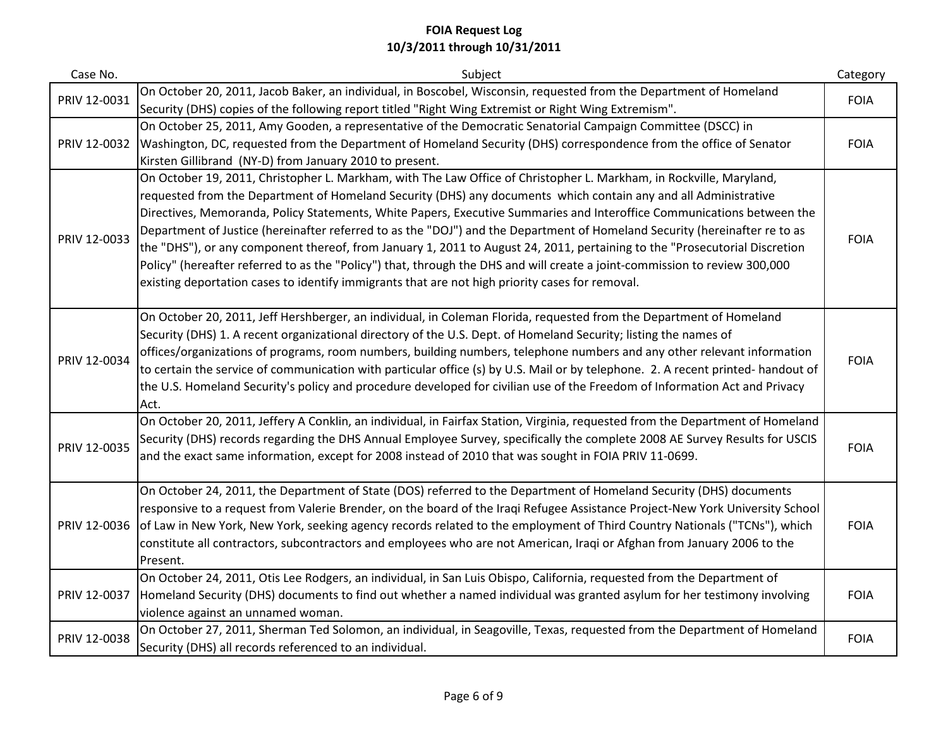| Case No.     | Subject                                                                                                                                                                                                                                                                                                                                                                                                                                                                                                                                                                                                                                                                                                                                                                                                                                                       | Category    |
|--------------|---------------------------------------------------------------------------------------------------------------------------------------------------------------------------------------------------------------------------------------------------------------------------------------------------------------------------------------------------------------------------------------------------------------------------------------------------------------------------------------------------------------------------------------------------------------------------------------------------------------------------------------------------------------------------------------------------------------------------------------------------------------------------------------------------------------------------------------------------------------|-------------|
| PRIV 12-0031 | On October 20, 2011, Jacob Baker, an individual, in Boscobel, Wisconsin, requested from the Department of Homeland<br>Security (DHS) copies of the following report titled "Right Wing Extremist or Right Wing Extremism".                                                                                                                                                                                                                                                                                                                                                                                                                                                                                                                                                                                                                                    | <b>FOIA</b> |
| PRIV 12-0032 | On October 25, 2011, Amy Gooden, a representative of the Democratic Senatorial Campaign Committee (DSCC) in<br>Washington, DC, requested from the Department of Homeland Security (DHS) correspondence from the office of Senator<br>Kirsten Gillibrand (NY-D) from January 2010 to present.                                                                                                                                                                                                                                                                                                                                                                                                                                                                                                                                                                  | <b>FOIA</b> |
| PRIV 12-0033 | On October 19, 2011, Christopher L. Markham, with The Law Office of Christopher L. Markham, in Rockville, Maryland,<br>requested from the Department of Homeland Security (DHS) any documents which contain any and all Administrative<br>Directives, Memoranda, Policy Statements, White Papers, Executive Summaries and Interoffice Communications between the<br>Department of Justice (hereinafter referred to as the "DOJ") and the Department of Homeland Security (hereinafter re to as<br>the "DHS"), or any component thereof, from January 1, 2011 to August 24, 2011, pertaining to the "Prosecutorial Discretion<br>Policy" (hereafter referred to as the "Policy") that, through the DHS and will create a joint-commission to review 300,000<br>existing deportation cases to identify immigrants that are not high priority cases for removal. | <b>FOIA</b> |
| PRIV 12-0034 | On October 20, 2011, Jeff Hershberger, an individual, in Coleman Florida, requested from the Department of Homeland<br>Security (DHS) 1. A recent organizational directory of the U.S. Dept. of Homeland Security; listing the names of<br>offices/organizations of programs, room numbers, building numbers, telephone numbers and any other relevant information<br>to certain the service of communication with particular office (s) by U.S. Mail or by telephone. 2. A recent printed- handout of<br>the U.S. Homeland Security's policy and procedure developed for civilian use of the Freedom of Information Act and Privacy<br>Act.                                                                                                                                                                                                                  | <b>FOIA</b> |
| PRIV 12-0035 | On October 20, 2011, Jeffery A Conklin, an individual, in Fairfax Station, Virginia, requested from the Department of Homeland<br>Security (DHS) records regarding the DHS Annual Employee Survey, specifically the complete 2008 AE Survey Results for USCIS<br>and the exact same information, except for 2008 instead of 2010 that was sought in FOIA PRIV 11-0699.                                                                                                                                                                                                                                                                                                                                                                                                                                                                                        | <b>FOIA</b> |
| PRIV 12-0036 | On October 24, 2011, the Department of State (DOS) referred to the Department of Homeland Security (DHS) documents<br>responsive to a request from Valerie Brender, on the board of the Iraqi Refugee Assistance Project-New York University School<br>of Law in New York, New York, seeking agency records related to the employment of Third Country Nationals ("TCNs"), which<br>constitute all contractors, subcontractors and employees who are not American, Iraqi or Afghan from January 2006 to the<br>Present.                                                                                                                                                                                                                                                                                                                                       | <b>FOIA</b> |
| PRIV 12-0037 | On October 24, 2011, Otis Lee Rodgers, an individual, in San Luis Obispo, California, requested from the Department of<br>Homeland Security (DHS) documents to find out whether a named individual was granted asylum for her testimony involving<br>violence against an unnamed woman.                                                                                                                                                                                                                                                                                                                                                                                                                                                                                                                                                                       | <b>FOIA</b> |
| PRIV 12-0038 | On October 27, 2011, Sherman Ted Solomon, an individual, in Seagoville, Texas, requested from the Department of Homeland<br>Security (DHS) all records referenced to an individual.                                                                                                                                                                                                                                                                                                                                                                                                                                                                                                                                                                                                                                                                           | <b>FOIA</b> |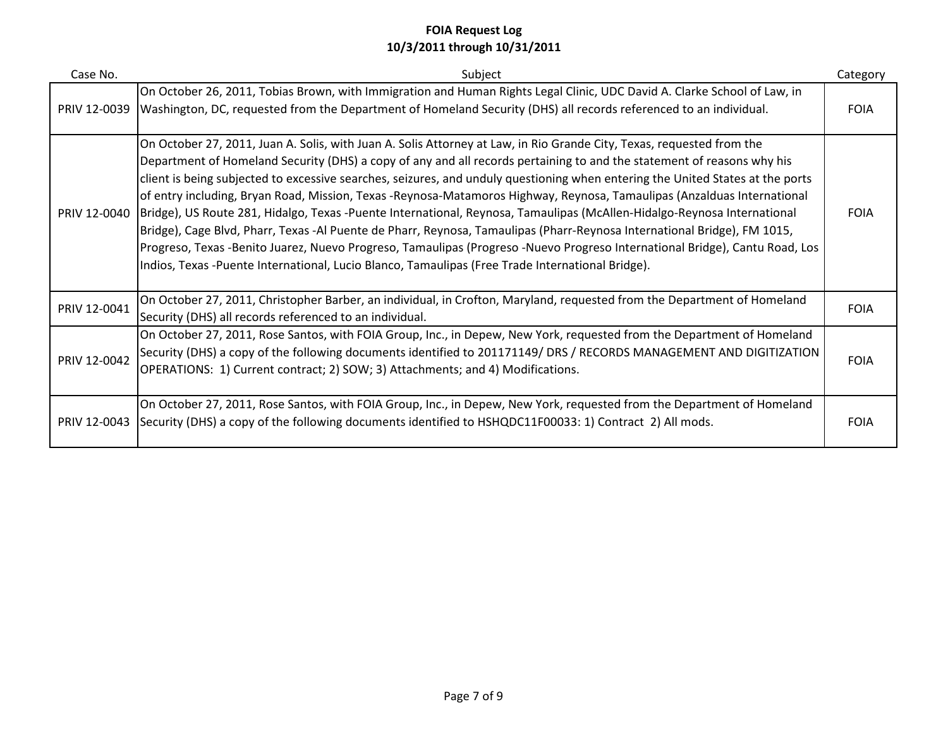| Case No.     | Subject                                                                                                                                                                                                                                                                                                                                                                                                                                                                                                                                                                                                                                                                                                                                                                                                                                                                                                                                                                                                | Category    |
|--------------|--------------------------------------------------------------------------------------------------------------------------------------------------------------------------------------------------------------------------------------------------------------------------------------------------------------------------------------------------------------------------------------------------------------------------------------------------------------------------------------------------------------------------------------------------------------------------------------------------------------------------------------------------------------------------------------------------------------------------------------------------------------------------------------------------------------------------------------------------------------------------------------------------------------------------------------------------------------------------------------------------------|-------------|
| PRIV 12-0039 | On October 26, 2011, Tobias Brown, with Immigration and Human Rights Legal Clinic, UDC David A. Clarke School of Law, in<br>Washington, DC, requested from the Department of Homeland Security (DHS) all records referenced to an individual.                                                                                                                                                                                                                                                                                                                                                                                                                                                                                                                                                                                                                                                                                                                                                          | <b>FOIA</b> |
| PRIV 12-0040 | On October 27, 2011, Juan A. Solis, with Juan A. Solis Attorney at Law, in Rio Grande City, Texas, requested from the<br>Department of Homeland Security (DHS) a copy of any and all records pertaining to and the statement of reasons why his<br>client is being subjected to excessive searches, seizures, and unduly questioning when entering the United States at the ports<br>of entry including, Bryan Road, Mission, Texas -Reynosa-Matamoros Highway, Reynosa, Tamaulipas (Anzalduas International<br>Bridge), US Route 281, Hidalgo, Texas -Puente International, Reynosa, Tamaulipas (McAllen-Hidalgo-Reynosa International<br>Bridge), Cage Blvd, Pharr, Texas -Al Puente de Pharr, Reynosa, Tamaulipas (Pharr-Reynosa International Bridge), FM 1015,<br>Progreso, Texas -Benito Juarez, Nuevo Progreso, Tamaulipas (Progreso -Nuevo Progreso International Bridge), Cantu Road, Los<br>Indios, Texas -Puente International, Lucio Blanco, Tamaulipas (Free Trade International Bridge). | <b>FOIA</b> |
| PRIV 12-0041 | On October 27, 2011, Christopher Barber, an individual, in Crofton, Maryland, requested from the Department of Homeland<br>Security (DHS) all records referenced to an individual.                                                                                                                                                                                                                                                                                                                                                                                                                                                                                                                                                                                                                                                                                                                                                                                                                     | <b>FOIA</b> |
| PRIV 12-0042 | On October 27, 2011, Rose Santos, with FOIA Group, Inc., in Depew, New York, requested from the Department of Homeland<br>Security (DHS) a copy of the following documents identified to 201171149/ DRS / RECORDS MANAGEMENT AND DIGITIZATION<br>OPERATIONS: 1) Current contract; 2) SOW; 3) Attachments; and 4) Modifications.                                                                                                                                                                                                                                                                                                                                                                                                                                                                                                                                                                                                                                                                        | <b>FOIA</b> |
| PRIV 12-0043 | On October 27, 2011, Rose Santos, with FOIA Group, Inc., in Depew, New York, requested from the Department of Homeland<br>[Security (DHS) a copy of the following documents identified to HSHQDC11F00033: 1) Contract 2) All mods.                                                                                                                                                                                                                                                                                                                                                                                                                                                                                                                                                                                                                                                                                                                                                                     | <b>FOIA</b> |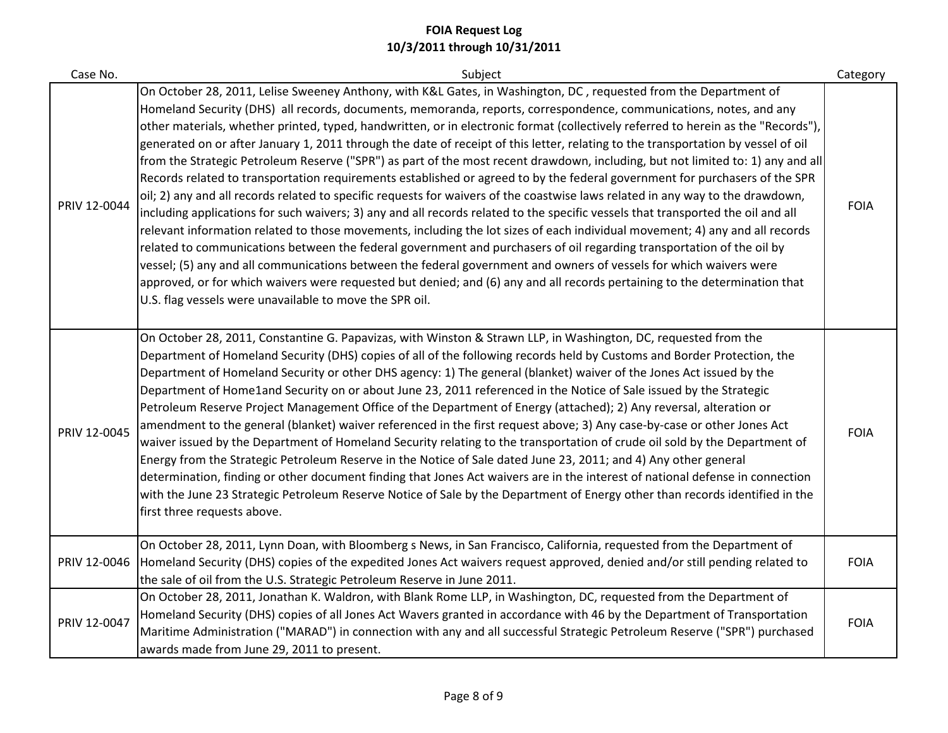| Case No.     | Subject                                                                                                                                                                                                                                                                                                                                                                                                                                                                                                                                                                                                                                                                                                                                                                                                                                                                                                                                                                                                                                                                                                                                                                                                                                                                                                                                                                                                                                                                                                                                                                                                                          | Category    |
|--------------|----------------------------------------------------------------------------------------------------------------------------------------------------------------------------------------------------------------------------------------------------------------------------------------------------------------------------------------------------------------------------------------------------------------------------------------------------------------------------------------------------------------------------------------------------------------------------------------------------------------------------------------------------------------------------------------------------------------------------------------------------------------------------------------------------------------------------------------------------------------------------------------------------------------------------------------------------------------------------------------------------------------------------------------------------------------------------------------------------------------------------------------------------------------------------------------------------------------------------------------------------------------------------------------------------------------------------------------------------------------------------------------------------------------------------------------------------------------------------------------------------------------------------------------------------------------------------------------------------------------------------------|-------------|
| PRIV 12-0044 | On October 28, 2011, Lelise Sweeney Anthony, with K&L Gates, in Washington, DC, requested from the Department of<br>Homeland Security (DHS) all records, documents, memoranda, reports, correspondence, communications, notes, and any<br>other materials, whether printed, typed, handwritten, or in electronic format (collectively referred to herein as the "Records"),<br>generated on or after January 1, 2011 through the date of receipt of this letter, relating to the transportation by vessel of oil<br>from the Strategic Petroleum Reserve ("SPR") as part of the most recent drawdown, including, but not limited to: 1) any and all<br>Records related to transportation requirements established or agreed to by the federal government for purchasers of the SPR<br>oil; 2) any and all records related to specific requests for waivers of the coastwise laws related in any way to the drawdown,<br>including applications for such waivers; 3) any and all records related to the specific vessels that transported the oil and all<br>relevant information related to those movements, including the lot sizes of each individual movement; 4) any and all records<br>related to communications between the federal government and purchasers of oil regarding transportation of the oil by<br>vessel; (5) any and all communications between the federal government and owners of vessels for which waivers were<br>approved, or for which waivers were requested but denied; and (6) any and all records pertaining to the determination that<br>U.S. flag vessels were unavailable to move the SPR oil. | <b>FOIA</b> |
| PRIV 12-0045 | On October 28, 2011, Constantine G. Papavizas, with Winston & Strawn LLP, in Washington, DC, requested from the<br>Department of Homeland Security (DHS) copies of all of the following records held by Customs and Border Protection, the<br>Department of Homeland Security or other DHS agency: 1) The general (blanket) waiver of the Jones Act issued by the<br>Department of Home1and Security on or about June 23, 2011 referenced in the Notice of Sale issued by the Strategic<br>Petroleum Reserve Project Management Office of the Department of Energy (attached); 2) Any reversal, alteration or<br>amendment to the general (blanket) waiver referenced in the first request above; 3) Any case-by-case or other Jones Act<br>waiver issued by the Department of Homeland Security relating to the transportation of crude oil sold by the Department of<br>Energy from the Strategic Petroleum Reserve in the Notice of Sale dated June 23, 2011; and 4) Any other general<br>determination, finding or other document finding that Jones Act waivers are in the interest of national defense in connection<br>with the June 23 Strategic Petroleum Reserve Notice of Sale by the Department of Energy other than records identified in the<br>first three requests above.                                                                                                                                                                                                                                                                                                                                        | <b>FOIA</b> |
| PRIV 12-0046 | On October 28, 2011, Lynn Doan, with Bloomberg s News, in San Francisco, California, requested from the Department of<br>Homeland Security (DHS) copies of the expedited Jones Act waivers request approved, denied and/or still pending related to<br>the sale of oil from the U.S. Strategic Petroleum Reserve in June 2011.                                                                                                                                                                                                                                                                                                                                                                                                                                                                                                                                                                                                                                                                                                                                                                                                                                                                                                                                                                                                                                                                                                                                                                                                                                                                                                   | <b>FOIA</b> |
| PRIV 12-0047 | On October 28, 2011, Jonathan K. Waldron, with Blank Rome LLP, in Washington, DC, requested from the Department of<br>Homeland Security (DHS) copies of all Jones Act Wavers granted in accordance with 46 by the Department of Transportation<br>Maritime Administration ("MARAD") in connection with any and all successful Strategic Petroleum Reserve ("SPR") purchased<br>awards made from June 29, 2011 to present.                                                                                                                                                                                                                                                                                                                                                                                                                                                                                                                                                                                                                                                                                                                                                                                                                                                                                                                                                                                                                                                                                                                                                                                                        | <b>FOIA</b> |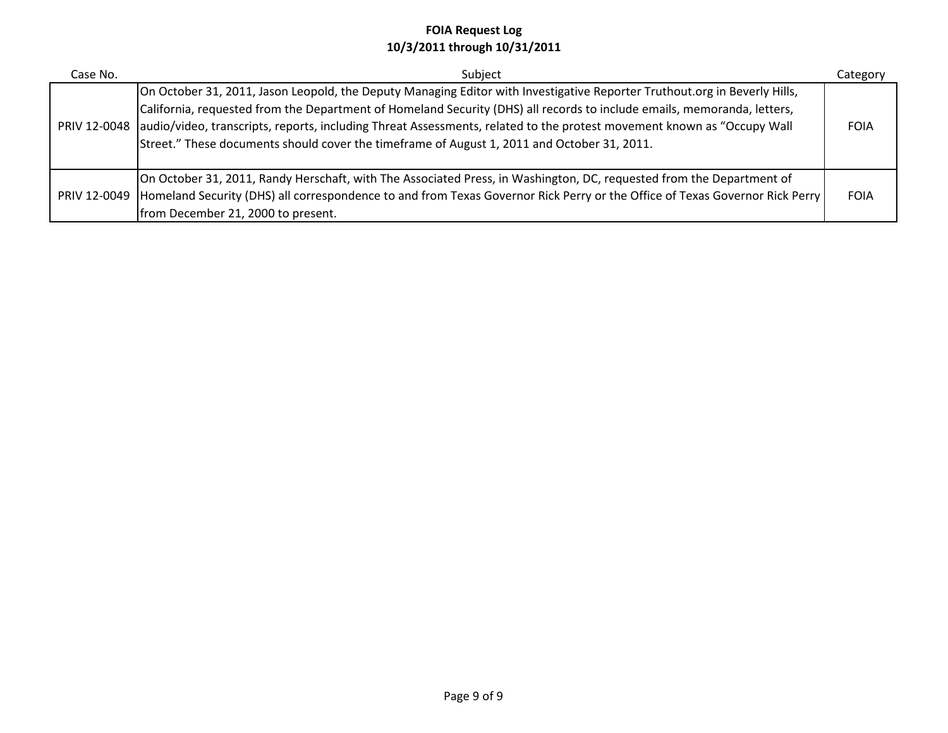| Case No. | Subject                                                                                                                                                                                                                                                                                                                                                                                                                                                                                    | Category    |
|----------|--------------------------------------------------------------------------------------------------------------------------------------------------------------------------------------------------------------------------------------------------------------------------------------------------------------------------------------------------------------------------------------------------------------------------------------------------------------------------------------------|-------------|
|          | On October 31, 2011, Jason Leopold, the Deputy Managing Editor with Investigative Reporter Truthout.org in Beverly Hills,<br>California, requested from the Department of Homeland Security (DHS) all records to include emails, memoranda, letters,<br>PRIV 12-0048 audio/video, transcripts, reports, including Threat Assessments, related to the protest movement known as "Occupy Wall<br>Street." These documents should cover the timeframe of August 1, 2011 and October 31, 2011. | <b>FOIA</b> |
|          | On October 31, 2011, Randy Herschaft, with The Associated Press, in Washington, DC, requested from the Department of<br>PRIV 12-0049  Homeland Security (DHS) all correspondence to and from Texas Governor Rick Perry or the Office of Texas Governor Rick Perry<br>from December 21, 2000 to present.                                                                                                                                                                                    | <b>FOIA</b> |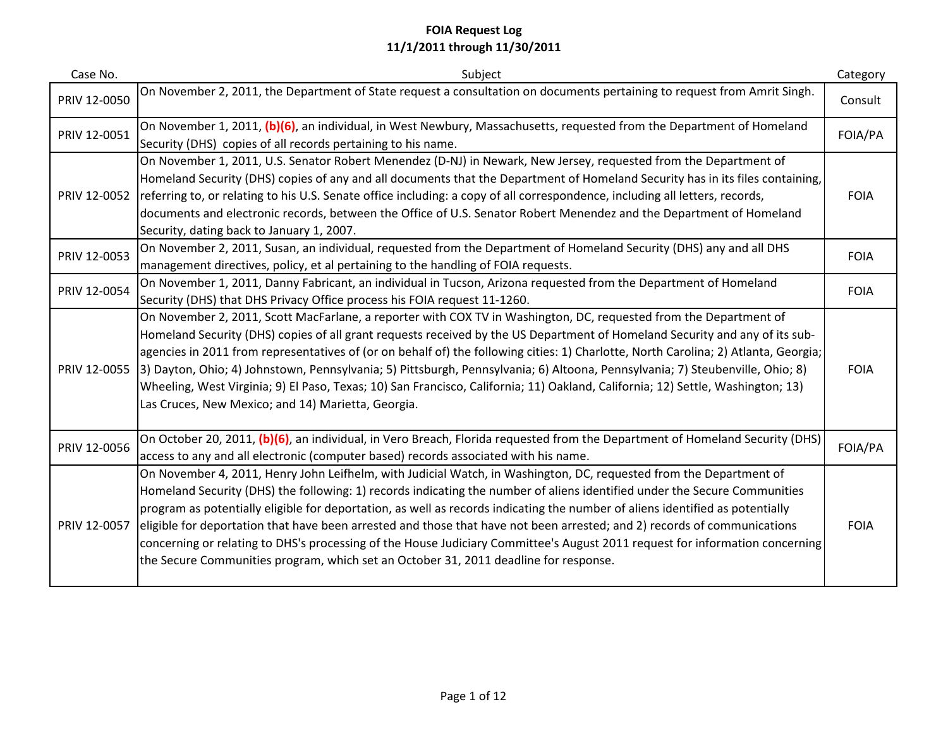| Case No.     | Subject                                                                                                                                                                                                                                                                                                                                                                                                                                                                                                                                                                                                                                                                                                                              | Category    |
|--------------|--------------------------------------------------------------------------------------------------------------------------------------------------------------------------------------------------------------------------------------------------------------------------------------------------------------------------------------------------------------------------------------------------------------------------------------------------------------------------------------------------------------------------------------------------------------------------------------------------------------------------------------------------------------------------------------------------------------------------------------|-------------|
| PRIV 12-0050 | On November 2, 2011, the Department of State request a consultation on documents pertaining to request from Amrit Singh.                                                                                                                                                                                                                                                                                                                                                                                                                                                                                                                                                                                                             | Consult     |
| PRIV 12-0051 | On November 1, 2011, (b)(6), an individual, in West Newbury, Massachusetts, requested from the Department of Homeland<br>Security (DHS) copies of all records pertaining to his name.                                                                                                                                                                                                                                                                                                                                                                                                                                                                                                                                                | FOIA/PA     |
| PRIV 12-0052 | On November 1, 2011, U.S. Senator Robert Menendez (D-NJ) in Newark, New Jersey, requested from the Department of<br>Homeland Security (DHS) copies of any and all documents that the Department of Homeland Security has in its files containing,<br>referring to, or relating to his U.S. Senate office including: a copy of all correspondence, including all letters, records,<br>documents and electronic records, between the Office of U.S. Senator Robert Menendez and the Department of Homeland<br>Security, dating back to January 1, 2007.                                                                                                                                                                                | <b>FOIA</b> |
| PRIV 12-0053 | On November 2, 2011, Susan, an individual, requested from the Department of Homeland Security (DHS) any and all DHS<br>management directives, policy, et al pertaining to the handling of FOIA requests.                                                                                                                                                                                                                                                                                                                                                                                                                                                                                                                             | <b>FOIA</b> |
| PRIV 12-0054 | On November 1, 2011, Danny Fabricant, an individual in Tucson, Arizona requested from the Department of Homeland<br>Security (DHS) that DHS Privacy Office process his FOIA request 11-1260.                                                                                                                                                                                                                                                                                                                                                                                                                                                                                                                                         | <b>FOIA</b> |
| PRIV 12-0055 | On November 2, 2011, Scott MacFarlane, a reporter with COX TV in Washington, DC, requested from the Department of<br>Homeland Security (DHS) copies of all grant requests received by the US Department of Homeland Security and any of its sub-<br>agencies in 2011 from representatives of (or on behalf of) the following cities: 1) Charlotte, North Carolina; 2) Atlanta, Georgia;<br>[3] Dayton, Ohio; 4) Johnstown, Pennsylvania; 5) Pittsburgh, Pennsylvania; 6) Altoona, Pennsylvania; 7) Steubenville, Ohio; 8)<br>Wheeling, West Virginia; 9) El Paso, Texas; 10) San Francisco, California; 11) Oakland, California; 12) Settle, Washington; 13)<br>Las Cruces, New Mexico; and 14) Marietta, Georgia.                   | <b>FOIA</b> |
| PRIV 12-0056 | On October 20, 2011, (b)(6), an individual, in Vero Breach, Florida requested from the Department of Homeland Security (DHS)<br>access to any and all electronic (computer based) records associated with his name.                                                                                                                                                                                                                                                                                                                                                                                                                                                                                                                  | FOIA/PA     |
| PRIV 12-0057 | On November 4, 2011, Henry John Leifhelm, with Judicial Watch, in Washington, DC, requested from the Department of<br>Homeland Security (DHS) the following: 1) records indicating the number of aliens identified under the Secure Communities<br>program as potentially eligible for deportation, as well as records indicating the number of aliens identified as potentially<br>eligible for deportation that have been arrested and those that have not been arrested; and 2) records of communications<br>concerning or relating to DHS's processing of the House Judiciary Committee's August 2011 request for information concerning<br>the Secure Communities program, which set an October 31, 2011 deadline for response. | <b>FOIA</b> |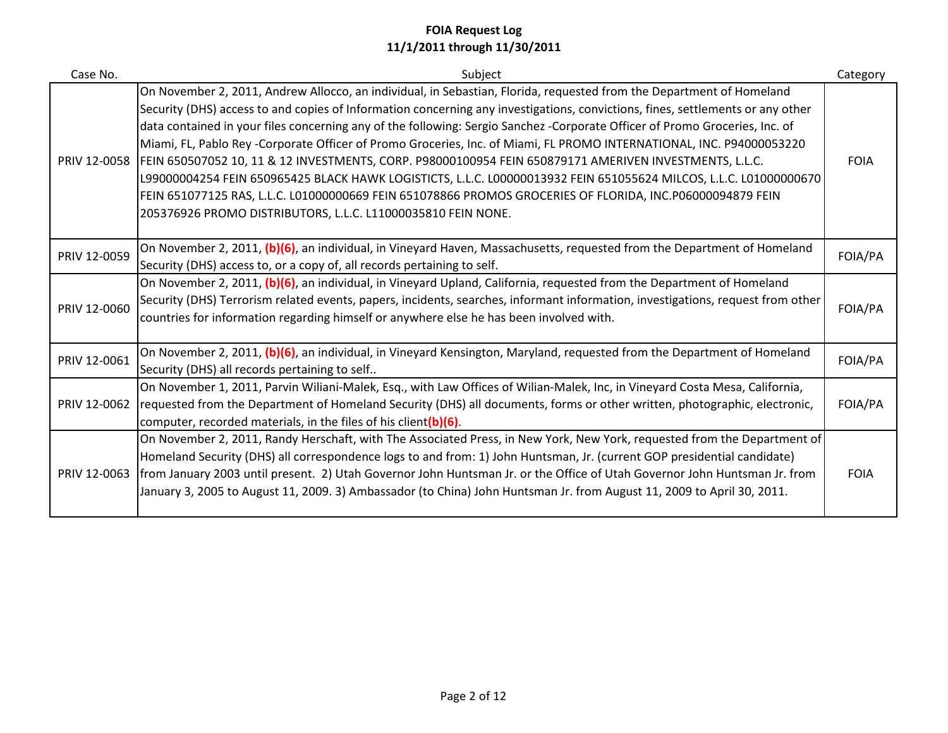| Case No.     | Subject                                                                                                                                                                                                                                                                                                                                                                                                                                                                                                                                                                                                                                                                                                                                                                                                                                                                                                                   | Category    |
|--------------|---------------------------------------------------------------------------------------------------------------------------------------------------------------------------------------------------------------------------------------------------------------------------------------------------------------------------------------------------------------------------------------------------------------------------------------------------------------------------------------------------------------------------------------------------------------------------------------------------------------------------------------------------------------------------------------------------------------------------------------------------------------------------------------------------------------------------------------------------------------------------------------------------------------------------|-------------|
| PRIV 12-0058 | On November 2, 2011, Andrew Allocco, an individual, in Sebastian, Florida, requested from the Department of Homeland<br>Security (DHS) access to and copies of Information concerning any investigations, convictions, fines, settlements or any other<br>data contained in your files concerning any of the following: Sergio Sanchez -Corporate Officer of Promo Groceries, Inc. of<br>Miami, FL, Pablo Rey -Corporate Officer of Promo Groceries, Inc. of Miami, FL PROMO INTERNATIONAL, INC. P94000053220<br>FEIN 650507052 10, 11 & 12 INVESTMENTS, CORP. P98000100954 FEIN 650879171 AMERIVEN INVESTMENTS, L.L.C.<br>L99000004254 FEIN 650965425 BLACK HAWK LOGISTICTS, L.L.C. L00000013932 FEIN 651055624 MILCOS, L.L.C. L01000000670<br>FEIN 651077125 RAS, L.L.C. L01000000669 FEIN 651078866 PROMOS GROCERIES OF FLORIDA, INC.P06000094879 FEIN<br>205376926 PROMO DISTRIBUTORS, L.L.C. L11000035810 FEIN NONE. | <b>FOIA</b> |
| PRIV 12-0059 | On November 2, 2011, (b)(6), an individual, in Vineyard Haven, Massachusetts, requested from the Department of Homeland<br>Security (DHS) access to, or a copy of, all records pertaining to self.                                                                                                                                                                                                                                                                                                                                                                                                                                                                                                                                                                                                                                                                                                                        | FOIA/PA     |
| PRIV 12-0060 | On November 2, 2011, (b)(6), an individual, in Vineyard Upland, California, requested from the Department of Homeland<br>Security (DHS) Terrorism related events, papers, incidents, searches, informant information, investigations, request from other<br>countries for information regarding himself or anywhere else he has been involved with.                                                                                                                                                                                                                                                                                                                                                                                                                                                                                                                                                                       | FOIA/PA     |
| PRIV 12-0061 | On November 2, 2011, (b)(6), an individual, in Vineyard Kensington, Maryland, requested from the Department of Homeland<br>Security (DHS) all records pertaining to self                                                                                                                                                                                                                                                                                                                                                                                                                                                                                                                                                                                                                                                                                                                                                  | FOIA/PA     |
|              | On November 1, 2011, Parvin Wiliani-Malek, Esq., with Law Offices of Wilian-Malek, Inc, in Vineyard Costa Mesa, California,<br>PRIV 12-0062 requested from the Department of Homeland Security (DHS) all documents, forms or other written, photographic, electronic,<br>computer, recorded materials, in the files of his client(b)(6).                                                                                                                                                                                                                                                                                                                                                                                                                                                                                                                                                                                  | FOIA/PA     |
| PRIV 12-0063 | On November 2, 2011, Randy Herschaft, with The Associated Press, in New York, New York, requested from the Department of<br>Homeland Security (DHS) all correspondence logs to and from: 1) John Huntsman, Jr. (current GOP presidential candidate)<br>from January 2003 until present. 2) Utah Governor John Huntsman Jr. or the Office of Utah Governor John Huntsman Jr. from<br>January 3, 2005 to August 11, 2009. 3) Ambassador (to China) John Huntsman Jr. from August 11, 2009 to April 30, 2011.                                                                                                                                                                                                                                                                                                                                                                                                                | <b>FOIA</b> |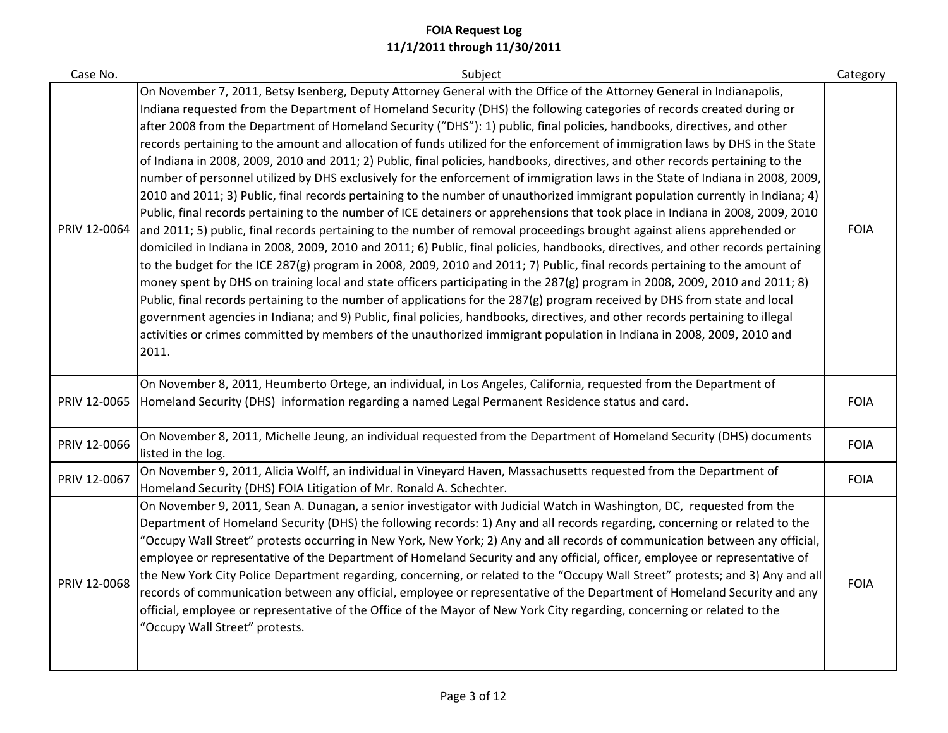| Case No.     | Subject                                                                                                                                                                                                                                                                                                                                                                                                                                                                                                                                                                                                                                                                                                                                                                                                                                                                                                                                                                                                                                                                                                                                                                                                                                                                                                                                                                                                                                                                                                                                                                                                                                                                                                                                                                                                                                                                                                                                                                                | Category    |
|--------------|----------------------------------------------------------------------------------------------------------------------------------------------------------------------------------------------------------------------------------------------------------------------------------------------------------------------------------------------------------------------------------------------------------------------------------------------------------------------------------------------------------------------------------------------------------------------------------------------------------------------------------------------------------------------------------------------------------------------------------------------------------------------------------------------------------------------------------------------------------------------------------------------------------------------------------------------------------------------------------------------------------------------------------------------------------------------------------------------------------------------------------------------------------------------------------------------------------------------------------------------------------------------------------------------------------------------------------------------------------------------------------------------------------------------------------------------------------------------------------------------------------------------------------------------------------------------------------------------------------------------------------------------------------------------------------------------------------------------------------------------------------------------------------------------------------------------------------------------------------------------------------------------------------------------------------------------------------------------------------------|-------------|
| PRIV 12-0064 | On November 7, 2011, Betsy Isenberg, Deputy Attorney General with the Office of the Attorney General in Indianapolis,<br>Indiana requested from the Department of Homeland Security (DHS) the following categories of records created during or<br>after 2008 from the Department of Homeland Security ("DHS"): 1) public, final policies, handbooks, directives, and other<br>records pertaining to the amount and allocation of funds utilized for the enforcement of immigration laws by DHS in the State<br>of Indiana in 2008, 2009, 2010 and 2011; 2) Public, final policies, handbooks, directives, and other records pertaining to the<br>number of personnel utilized by DHS exclusively for the enforcement of immigration laws in the State of Indiana in 2008, 2009,<br>2010 and 2011; 3) Public, final records pertaining to the number of unauthorized immigrant population currently in Indiana; 4)<br>Public, final records pertaining to the number of ICE detainers or apprehensions that took place in Indiana in 2008, 2009, 2010<br>and 2011; 5) public, final records pertaining to the number of removal proceedings brought against aliens apprehended or<br>domiciled in Indiana in 2008, 2009, 2010 and 2011; 6) Public, final policies, handbooks, directives, and other records pertaining<br>to the budget for the ICE 287(g) program in 2008, 2009, 2010 and 2011; 7) Public, final records pertaining to the amount of<br>money spent by DHS on training local and state officers participating in the 287(g) program in 2008, 2009, 2010 and 2011; 8)<br>Public, final records pertaining to the number of applications for the 287(g) program received by DHS from state and local<br>government agencies in Indiana; and 9) Public, final policies, handbooks, directives, and other records pertaining to illegal<br>activities or crimes committed by members of the unauthorized immigrant population in Indiana in 2008, 2009, 2010 and<br>2011. | <b>FOIA</b> |
| PRIV 12-0065 | On November 8, 2011, Heumberto Ortege, an individual, in Los Angeles, California, requested from the Department of<br>Homeland Security (DHS) information regarding a named Legal Permanent Residence status and card.                                                                                                                                                                                                                                                                                                                                                                                                                                                                                                                                                                                                                                                                                                                                                                                                                                                                                                                                                                                                                                                                                                                                                                                                                                                                                                                                                                                                                                                                                                                                                                                                                                                                                                                                                                 | <b>FOIA</b> |
| PRIV 12-0066 | On November 8, 2011, Michelle Jeung, an individual requested from the Department of Homeland Security (DHS) documents<br>listed in the log.                                                                                                                                                                                                                                                                                                                                                                                                                                                                                                                                                                                                                                                                                                                                                                                                                                                                                                                                                                                                                                                                                                                                                                                                                                                                                                                                                                                                                                                                                                                                                                                                                                                                                                                                                                                                                                            | <b>FOIA</b> |
| PRIV 12-0067 | On November 9, 2011, Alicia Wolff, an individual in Vineyard Haven, Massachusetts requested from the Department of<br>Homeland Security (DHS) FOIA Litigation of Mr. Ronald A. Schechter.                                                                                                                                                                                                                                                                                                                                                                                                                                                                                                                                                                                                                                                                                                                                                                                                                                                                                                                                                                                                                                                                                                                                                                                                                                                                                                                                                                                                                                                                                                                                                                                                                                                                                                                                                                                              | <b>FOIA</b> |
| PRIV 12-0068 | On November 9, 2011, Sean A. Dunagan, a senior investigator with Judicial Watch in Washington, DC, requested from the<br>Department of Homeland Security (DHS) the following records: 1) Any and all records regarding, concerning or related to the<br>"Occupy Wall Street" protests occurring in New York, New York; 2) Any and all records of communication between any official,<br>employee or representative of the Department of Homeland Security and any official, officer, employee or representative of<br>the New York City Police Department regarding, concerning, or related to the "Occupy Wall Street" protests; and 3) Any and all<br>records of communication between any official, employee or representative of the Department of Homeland Security and any<br>official, employee or representative of the Office of the Mayor of New York City regarding, concerning or related to the<br>"Occupy Wall Street" protests.                                                                                                                                                                                                                                                                                                                                                                                                                                                                                                                                                                                                                                                                                                                                                                                                                                                                                                                                                                                                                                         | <b>FOIA</b> |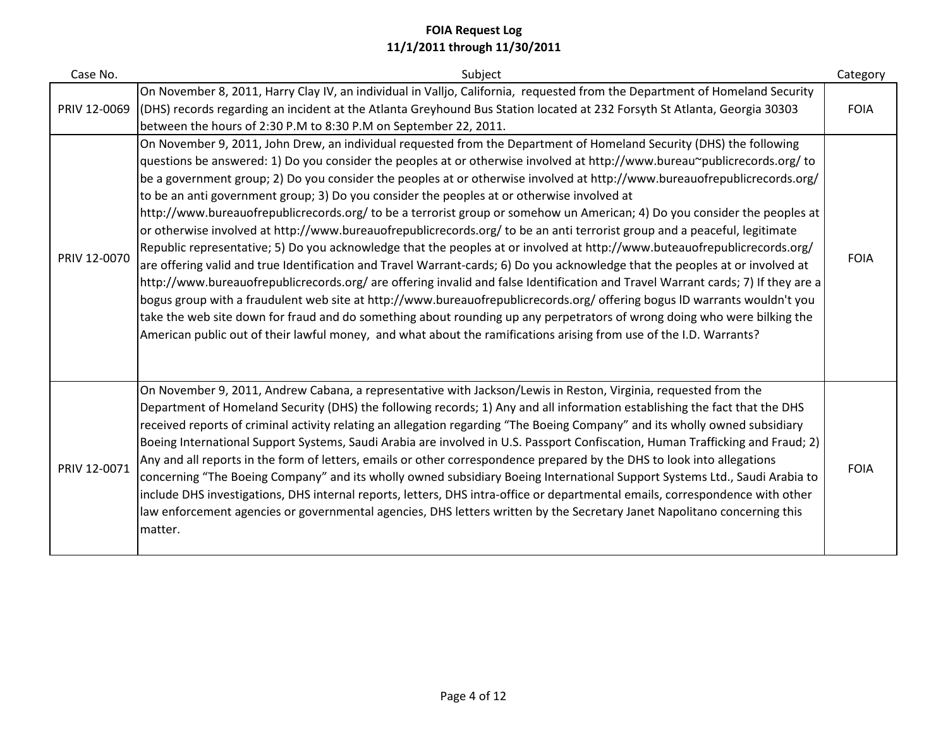| Case No.     | Subject                                                                                                                                                                                                                                                                                                                                                                                                                                                                                                                                                                                                                                                                                                                                                                                                                                                                                                                                                                                                                                                                                                                                                                                                                                                                                                                                                                                                                                                                                                                 | Category    |
|--------------|-------------------------------------------------------------------------------------------------------------------------------------------------------------------------------------------------------------------------------------------------------------------------------------------------------------------------------------------------------------------------------------------------------------------------------------------------------------------------------------------------------------------------------------------------------------------------------------------------------------------------------------------------------------------------------------------------------------------------------------------------------------------------------------------------------------------------------------------------------------------------------------------------------------------------------------------------------------------------------------------------------------------------------------------------------------------------------------------------------------------------------------------------------------------------------------------------------------------------------------------------------------------------------------------------------------------------------------------------------------------------------------------------------------------------------------------------------------------------------------------------------------------------|-------------|
| PRIV 12-0069 | On November 8, 2011, Harry Clay IV, an individual in Valljo, California, requested from the Department of Homeland Security<br>(DHS) records regarding an incident at the Atlanta Greyhound Bus Station located at 232 Forsyth St Atlanta, Georgia 30303<br>between the hours of 2:30 P.M to 8:30 P.M on September 22, 2011.                                                                                                                                                                                                                                                                                                                                                                                                                                                                                                                                                                                                                                                                                                                                                                                                                                                                                                                                                                                                                                                                                                                                                                                            | <b>FOIA</b> |
| PRIV 12-0070 | On November 9, 2011, John Drew, an individual requested from the Department of Homeland Security (DHS) the following<br>questions be answered: 1) Do you consider the peoples at or otherwise involved at http://www.bureau~publicrecords.org/ to<br>be a government group; 2) Do you consider the peoples at or otherwise involved at http://www.bureauofrepublicrecords.org/<br>to be an anti government group; 3) Do you consider the peoples at or otherwise involved at<br>http://www.bureauofrepublicrecords.org/ to be a terrorist group or somehow un American; 4) Do you consider the peoples at<br>or otherwise involved at http://www.bureauofrepublicrecords.org/ to be an anti terrorist group and a peaceful, legitimate<br>Republic representative; 5) Do you acknowledge that the peoples at or involved at http://www.buteauofrepublicrecords.org/<br>are offering valid and true Identification and Travel Warrant-cards; 6) Do you acknowledge that the peoples at or involved at<br>http://www.bureauofrepublicrecords.org/ are offering invalid and false Identification and Travel Warrant cards; 7) If they are a<br>bogus group with a fraudulent web site at http://www.bureauofrepublicrecords.org/ offering bogus ID warrants wouldn't you<br>take the web site down for fraud and do something about rounding up any perpetrators of wrong doing who were bilking the<br>American public out of their lawful money, and what about the ramifications arising from use of the I.D. Warrants? | <b>FOIA</b> |
| PRIV 12-0071 | On November 9, 2011, Andrew Cabana, a representative with Jackson/Lewis in Reston, Virginia, requested from the<br>Department of Homeland Security (DHS) the following records; 1) Any and all information establishing the fact that the DHS<br>received reports of criminal activity relating an allegation regarding "The Boeing Company" and its wholly owned subsidiary<br>Boeing International Support Systems, Saudi Arabia are involved in U.S. Passport Confiscation, Human Trafficking and Fraud; 2)<br>Any and all reports in the form of letters, emails or other correspondence prepared by the DHS to look into allegations<br>concerning "The Boeing Company" and its wholly owned subsidiary Boeing International Support Systems Ltd., Saudi Arabia to<br>include DHS investigations, DHS internal reports, letters, DHS intra-office or departmental emails, correspondence with other<br>law enforcement agencies or governmental agencies, DHS letters written by the Secretary Janet Napolitano concerning this<br>matter.                                                                                                                                                                                                                                                                                                                                                                                                                                                                         | <b>FOIA</b> |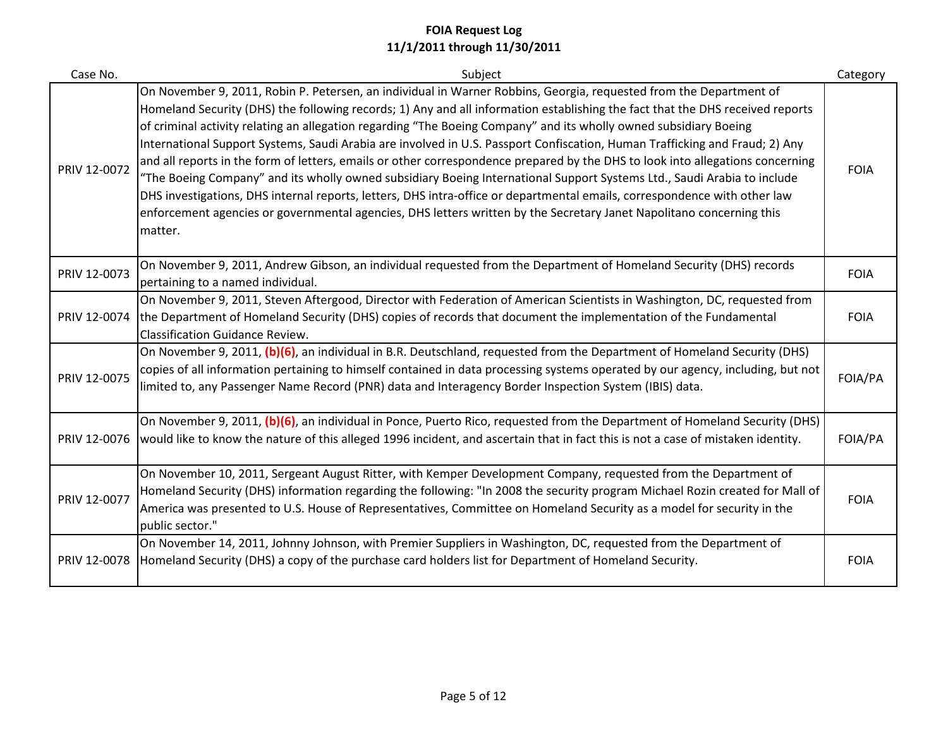| Case No.     | Subject                                                                                                                                                                                                                                                                                                                                                                                                                                                                                                                                                                                                                                                                                                                                                                                                                                                                                                                                                                                                                              | Category    |
|--------------|--------------------------------------------------------------------------------------------------------------------------------------------------------------------------------------------------------------------------------------------------------------------------------------------------------------------------------------------------------------------------------------------------------------------------------------------------------------------------------------------------------------------------------------------------------------------------------------------------------------------------------------------------------------------------------------------------------------------------------------------------------------------------------------------------------------------------------------------------------------------------------------------------------------------------------------------------------------------------------------------------------------------------------------|-------------|
| PRIV 12-0072 | On November 9, 2011, Robin P. Petersen, an individual in Warner Robbins, Georgia, requested from the Department of<br>Homeland Security (DHS) the following records; 1) Any and all information establishing the fact that the DHS received reports<br>of criminal activity relating an allegation regarding "The Boeing Company" and its wholly owned subsidiary Boeing<br>International Support Systems, Saudi Arabia are involved in U.S. Passport Confiscation, Human Trafficking and Fraud; 2) Any<br>and all reports in the form of letters, emails or other correspondence prepared by the DHS to look into allegations concerning<br>"The Boeing Company" and its wholly owned subsidiary Boeing International Support Systems Ltd., Saudi Arabia to include<br>DHS investigations, DHS internal reports, letters, DHS intra-office or departmental emails, correspondence with other law<br>enforcement agencies or governmental agencies, DHS letters written by the Secretary Janet Napolitano concerning this<br>matter. | <b>FOIA</b> |
| PRIV 12-0073 | On November 9, 2011, Andrew Gibson, an individual requested from the Department of Homeland Security (DHS) records<br>pertaining to a named individual.                                                                                                                                                                                                                                                                                                                                                                                                                                                                                                                                                                                                                                                                                                                                                                                                                                                                              | <b>FOIA</b> |
| PRIV 12-0074 | On November 9, 2011, Steven Aftergood, Director with Federation of American Scientists in Washington, DC, requested from<br>the Department of Homeland Security (DHS) copies of records that document the implementation of the Fundamental<br><b>Classification Guidance Review.</b>                                                                                                                                                                                                                                                                                                                                                                                                                                                                                                                                                                                                                                                                                                                                                | <b>FOIA</b> |
| PRIV 12-0075 | On November 9, 2011, (b)(6), an individual in B.R. Deutschland, requested from the Department of Homeland Security (DHS)<br>copies of all information pertaining to himself contained in data processing systems operated by our agency, including, but not<br>limited to, any Passenger Name Record (PNR) data and Interagency Border Inspection System (IBIS) data.                                                                                                                                                                                                                                                                                                                                                                                                                                                                                                                                                                                                                                                                | FOIA/PA     |
| PRIV 12-0076 | On November 9, 2011, (b)(6), an individual in Ponce, Puerto Rico, requested from the Department of Homeland Security (DHS)<br>would like to know the nature of this alleged 1996 incident, and ascertain that in fact this is not a case of mistaken identity.                                                                                                                                                                                                                                                                                                                                                                                                                                                                                                                                                                                                                                                                                                                                                                       | FOIA/PA     |
| PRIV 12-0077 | On November 10, 2011, Sergeant August Ritter, with Kemper Development Company, requested from the Department of<br>Homeland Security (DHS) information regarding the following: "In 2008 the security program Michael Rozin created for Mall of<br>America was presented to U.S. House of Representatives, Committee on Homeland Security as a model for security in the<br>public sector."                                                                                                                                                                                                                                                                                                                                                                                                                                                                                                                                                                                                                                          | <b>FOIA</b> |
| PRIV 12-0078 | On November 14, 2011, Johnny Johnson, with Premier Suppliers in Washington, DC, requested from the Department of<br>Homeland Security (DHS) a copy of the purchase card holders list for Department of Homeland Security.                                                                                                                                                                                                                                                                                                                                                                                                                                                                                                                                                                                                                                                                                                                                                                                                            | <b>FOIA</b> |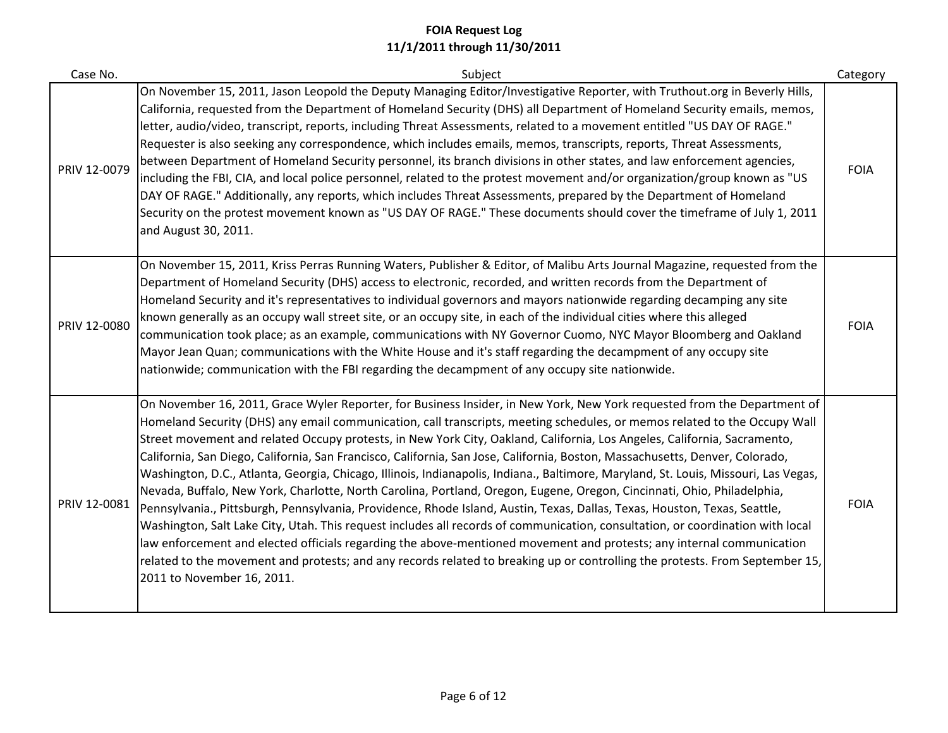| Case No.     | Subject                                                                                                                                                                                                                                                                                                                                                                                                                                                                                                                                                                                                                                                                                                                                                                                                                                                                                                                                                                                                                                                                                                                                                                                                                                                                                                                                   | Category    |
|--------------|-------------------------------------------------------------------------------------------------------------------------------------------------------------------------------------------------------------------------------------------------------------------------------------------------------------------------------------------------------------------------------------------------------------------------------------------------------------------------------------------------------------------------------------------------------------------------------------------------------------------------------------------------------------------------------------------------------------------------------------------------------------------------------------------------------------------------------------------------------------------------------------------------------------------------------------------------------------------------------------------------------------------------------------------------------------------------------------------------------------------------------------------------------------------------------------------------------------------------------------------------------------------------------------------------------------------------------------------|-------------|
| PRIV 12-0079 | On November 15, 2011, Jason Leopold the Deputy Managing Editor/Investigative Reporter, with Truthout.org in Beverly Hills,<br>California, requested from the Department of Homeland Security (DHS) all Department of Homeland Security emails, memos,<br>letter, audio/video, transcript, reports, including Threat Assessments, related to a movement entitled "US DAY OF RAGE."<br>Requester is also seeking any correspondence, which includes emails, memos, transcripts, reports, Threat Assessments,<br>between Department of Homeland Security personnel, its branch divisions in other states, and law enforcement agencies,<br>including the FBI, CIA, and local police personnel, related to the protest movement and/or organization/group known as "US<br>DAY OF RAGE." Additionally, any reports, which includes Threat Assessments, prepared by the Department of Homeland<br>Security on the protest movement known as "US DAY OF RAGE." These documents should cover the timeframe of July 1, 2011<br>and August 30, 2011.                                                                                                                                                                                                                                                                                                | <b>FOIA</b> |
| PRIV 12-0080 | On November 15, 2011, Kriss Perras Running Waters, Publisher & Editor, of Malibu Arts Journal Magazine, requested from the<br>Department of Homeland Security (DHS) access to electronic, recorded, and written records from the Department of<br>Homeland Security and it's representatives to individual governors and mayors nationwide regarding decamping any site<br>known generally as an occupy wall street site, or an occupy site, in each of the individual cities where this alleged<br>communication took place; as an example, communications with NY Governor Cuomo, NYC Mayor Bloomberg and Oakland<br>Mayor Jean Quan; communications with the White House and it's staff regarding the decampment of any occupy site<br>nationwide; communication with the FBI regarding the decampment of any occupy site nationwide.                                                                                                                                                                                                                                                                                                                                                                                                                                                                                                  | <b>FOIA</b> |
| PRIV 12-0081 | On November 16, 2011, Grace Wyler Reporter, for Business Insider, in New York, New York requested from the Department of<br>Homeland Security (DHS) any email communication, call transcripts, meeting schedules, or memos related to the Occupy Wall<br>Street movement and related Occupy protests, in New York City, Oakland, California, Los Angeles, California, Sacramento,<br>California, San Diego, California, San Francisco, California, San Jose, California, Boston, Massachusetts, Denver, Colorado,<br>Washington, D.C., Atlanta, Georgia, Chicago, Illinois, Indianapolis, Indiana., Baltimore, Maryland, St. Louis, Missouri, Las Vegas,<br>Nevada, Buffalo, New York, Charlotte, North Carolina, Portland, Oregon, Eugene, Oregon, Cincinnati, Ohio, Philadelphia,<br>Pennsylvania., Pittsburgh, Pennsylvania, Providence, Rhode Island, Austin, Texas, Dallas, Texas, Houston, Texas, Seattle,<br>Washington, Salt Lake City, Utah. This request includes all records of communication, consultation, or coordination with local<br>law enforcement and elected officials regarding the above-mentioned movement and protests; any internal communication<br>related to the movement and protests; and any records related to breaking up or controlling the protests. From September 15,<br>2011 to November 16, 2011. | <b>FOIA</b> |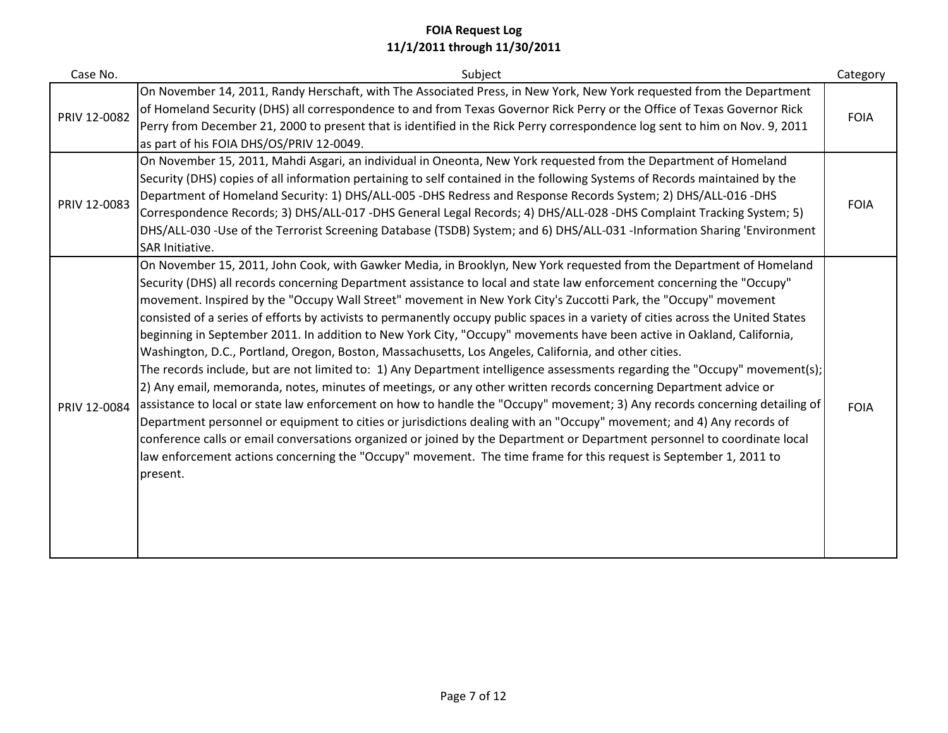| Case No.     | Subject                                                                                                                                                                                                                                                                                                                                                                                                                                                                                                                                                                                                                                                                                                                                                                                                                                                                                                                                                                                                                                                                                                                                                                                                                                                                                                                                                                                                                                                                                                            | Category    |
|--------------|--------------------------------------------------------------------------------------------------------------------------------------------------------------------------------------------------------------------------------------------------------------------------------------------------------------------------------------------------------------------------------------------------------------------------------------------------------------------------------------------------------------------------------------------------------------------------------------------------------------------------------------------------------------------------------------------------------------------------------------------------------------------------------------------------------------------------------------------------------------------------------------------------------------------------------------------------------------------------------------------------------------------------------------------------------------------------------------------------------------------------------------------------------------------------------------------------------------------------------------------------------------------------------------------------------------------------------------------------------------------------------------------------------------------------------------------------------------------------------------------------------------------|-------------|
| PRIV 12-0082 | On November 14, 2011, Randy Herschaft, with The Associated Press, in New York, New York requested from the Department<br>of Homeland Security (DHS) all correspondence to and from Texas Governor Rick Perry or the Office of Texas Governor Rick<br>Perry from December 21, 2000 to present that is identified in the Rick Perry correspondence log sent to him on Nov. 9, 2011<br>as part of his FOIA DHS/OS/PRIV 12-0049.                                                                                                                                                                                                                                                                                                                                                                                                                                                                                                                                                                                                                                                                                                                                                                                                                                                                                                                                                                                                                                                                                       | <b>FOIA</b> |
| PRIV 12-0083 | On November 15, 2011, Mahdi Asgari, an individual in Oneonta, New York requested from the Department of Homeland<br>Security (DHS) copies of all information pertaining to self contained in the following Systems of Records maintained by the<br>Department of Homeland Security: 1) DHS/ALL-005 -DHS Redress and Response Records System; 2) DHS/ALL-016 -DHS<br>Correspondence Records; 3) DHS/ALL-017 -DHS General Legal Records; 4) DHS/ALL-028 -DHS Complaint Tracking System; 5)<br>DHS/ALL-030 -Use of the Terrorist Screening Database (TSDB) System; and 6) DHS/ALL-031 -Information Sharing 'Environment<br>SAR Initiative.                                                                                                                                                                                                                                                                                                                                                                                                                                                                                                                                                                                                                                                                                                                                                                                                                                                                            | <b>FOIA</b> |
| PRIV 12-0084 | On November 15, 2011, John Cook, with Gawker Media, in Brooklyn, New York requested from the Department of Homeland<br>Security (DHS) all records concerning Department assistance to local and state law enforcement concerning the "Occupy"<br>movement. Inspired by the "Occupy Wall Street" movement in New York City's Zuccotti Park, the "Occupy" movement<br>consisted of a series of efforts by activists to permanently occupy public spaces in a variety of cities across the United States<br>beginning in September 2011. In addition to New York City, "Occupy" movements have been active in Oakland, California,<br>Washington, D.C., Portland, Oregon, Boston, Massachusetts, Los Angeles, California, and other cities.<br>The records include, but are not limited to: 1) Any Department intelligence assessments regarding the "Occupy" movement(s);<br>2) Any email, memoranda, notes, minutes of meetings, or any other written records concerning Department advice or<br>assistance to local or state law enforcement on how to handle the "Occupy" movement; 3) Any records concerning detailing of<br>Department personnel or equipment to cities or jurisdictions dealing with an "Occupy" movement; and 4) Any records of<br>conference calls or email conversations organized or joined by the Department or Department personnel to coordinate local<br>law enforcement actions concerning the "Occupy" movement. The time frame for this request is September 1, 2011 to<br>present. | <b>FOIA</b> |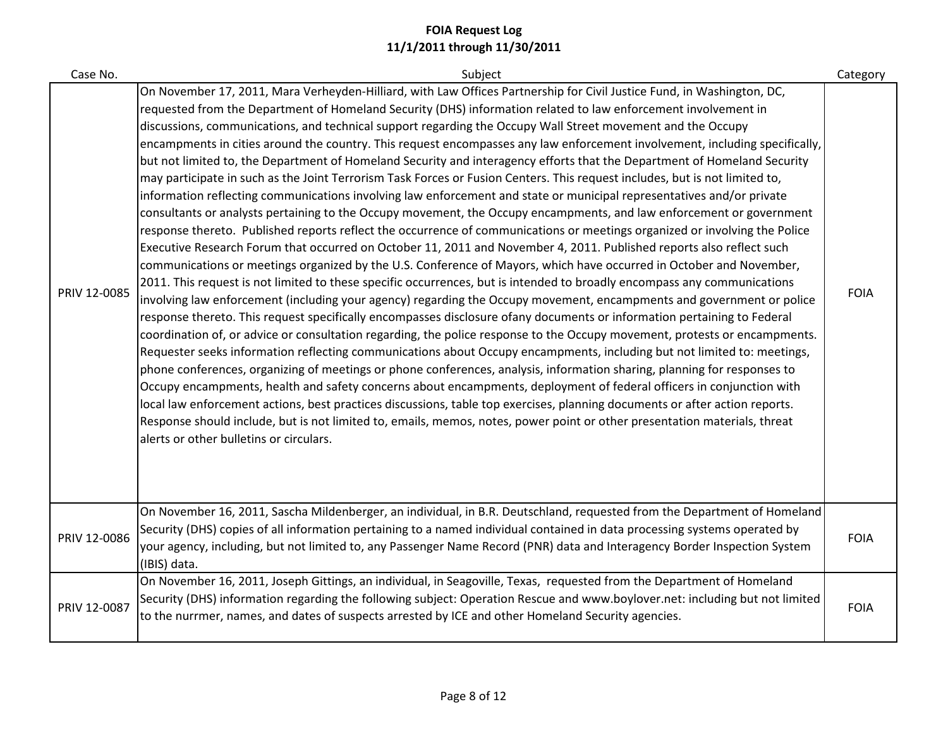| Case No.     | Subject                                                                                                                                                                                                                                                                                                                                                                                                                                                                                                                                                                                                                                                                                                                                                                                                                                                                                                                                                                                                                                                                                                                                                                                                                                                                                                                                                                                                                                                                                                                                                                                                                                                                                                                                                                                                                                                                                                                                                                                                                                                                                                                                                                                                                                                                                                                                                                                                                                                                                                                                                                             | Category    |
|--------------|-------------------------------------------------------------------------------------------------------------------------------------------------------------------------------------------------------------------------------------------------------------------------------------------------------------------------------------------------------------------------------------------------------------------------------------------------------------------------------------------------------------------------------------------------------------------------------------------------------------------------------------------------------------------------------------------------------------------------------------------------------------------------------------------------------------------------------------------------------------------------------------------------------------------------------------------------------------------------------------------------------------------------------------------------------------------------------------------------------------------------------------------------------------------------------------------------------------------------------------------------------------------------------------------------------------------------------------------------------------------------------------------------------------------------------------------------------------------------------------------------------------------------------------------------------------------------------------------------------------------------------------------------------------------------------------------------------------------------------------------------------------------------------------------------------------------------------------------------------------------------------------------------------------------------------------------------------------------------------------------------------------------------------------------------------------------------------------------------------------------------------------------------------------------------------------------------------------------------------------------------------------------------------------------------------------------------------------------------------------------------------------------------------------------------------------------------------------------------------------------------------------------------------------------------------------------------------------|-------------|
| PRIV 12-0085 | On November 17, 2011, Mara Verheyden-Hilliard, with Law Offices Partnership for Civil Justice Fund, in Washington, DC,<br>requested from the Department of Homeland Security (DHS) information related to law enforcement involvement in<br>discussions, communications, and technical support regarding the Occupy Wall Street movement and the Occupy<br>encampments in cities around the country. This request encompasses any law enforcement involvement, including specifically,<br>but not limited to, the Department of Homeland Security and interagency efforts that the Department of Homeland Security<br>may participate in such as the Joint Terrorism Task Forces or Fusion Centers. This request includes, but is not limited to,<br>information reflecting communications involving law enforcement and state or municipal representatives and/or private<br>consultants or analysts pertaining to the Occupy movement, the Occupy encampments, and law enforcement or government<br>response thereto. Published reports reflect the occurrence of communications or meetings organized or involving the Police<br>Executive Research Forum that occurred on October 11, 2011 and November 4, 2011. Published reports also reflect such<br>communications or meetings organized by the U.S. Conference of Mayors, which have occurred in October and November,<br>2011. This request is not limited to these specific occurrences, but is intended to broadly encompass any communications<br>involving law enforcement (including your agency) regarding the Occupy movement, encampments and government or police<br>response thereto. This request specifically encompasses disclosure ofany documents or information pertaining to Federal<br>coordination of, or advice or consultation regarding, the police response to the Occupy movement, protests or encampments.<br>Requester seeks information reflecting communications about Occupy encampments, including but not limited to: meetings,<br>phone conferences, organizing of meetings or phone conferences, analysis, information sharing, planning for responses to<br>Occupy encampments, health and safety concerns about encampments, deployment of federal officers in conjunction with<br>local law enforcement actions, best practices discussions, table top exercises, planning documents or after action reports.<br>Response should include, but is not limited to, emails, memos, notes, power point or other presentation materials, threat<br>alerts or other bulletins or circulars. | <b>FOIA</b> |
| PRIV 12-0086 | On November 16, 2011, Sascha Mildenberger, an individual, in B.R. Deutschland, requested from the Department of Homeland<br>Security (DHS) copies of all information pertaining to a named individual contained in data processing systems operated by<br>your agency, including, but not limited to, any Passenger Name Record (PNR) data and Interagency Border Inspection System<br>(IBIS) data.                                                                                                                                                                                                                                                                                                                                                                                                                                                                                                                                                                                                                                                                                                                                                                                                                                                                                                                                                                                                                                                                                                                                                                                                                                                                                                                                                                                                                                                                                                                                                                                                                                                                                                                                                                                                                                                                                                                                                                                                                                                                                                                                                                                 | <b>FOIA</b> |
| PRIV 12-0087 | On November 16, 2011, Joseph Gittings, an individual, in Seagoville, Texas, requested from the Department of Homeland<br>Security (DHS) information regarding the following subject: Operation Rescue and www.boylover.net: including but not limited<br>to the nurrmer, names, and dates of suspects arrested by ICE and other Homeland Security agencies.                                                                                                                                                                                                                                                                                                                                                                                                                                                                                                                                                                                                                                                                                                                                                                                                                                                                                                                                                                                                                                                                                                                                                                                                                                                                                                                                                                                                                                                                                                                                                                                                                                                                                                                                                                                                                                                                                                                                                                                                                                                                                                                                                                                                                         | <b>FOIA</b> |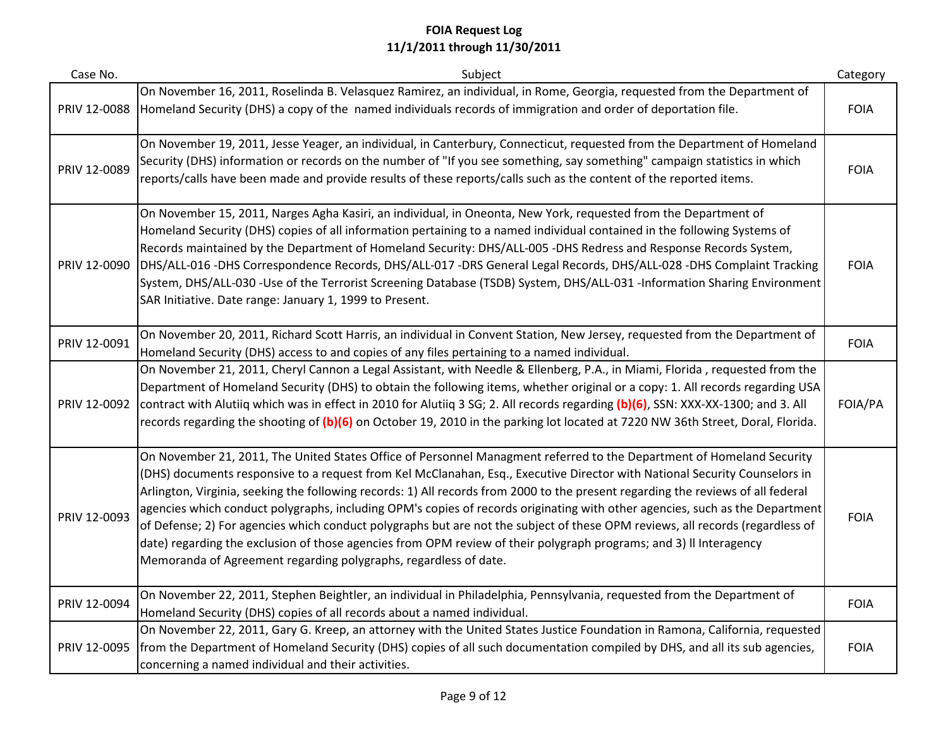| Case No.     | Subject                                                                                                                                                                                                                                                                                                                                                                                                                                                                                                                                                                                                                                                                                                                                                                                                                                            | Category    |
|--------------|----------------------------------------------------------------------------------------------------------------------------------------------------------------------------------------------------------------------------------------------------------------------------------------------------------------------------------------------------------------------------------------------------------------------------------------------------------------------------------------------------------------------------------------------------------------------------------------------------------------------------------------------------------------------------------------------------------------------------------------------------------------------------------------------------------------------------------------------------|-------------|
| PRIV 12-0088 | On November 16, 2011, Roselinda B. Velasquez Ramirez, an individual, in Rome, Georgia, requested from the Department of<br>Homeland Security (DHS) a copy of the named individuals records of immigration and order of deportation file.                                                                                                                                                                                                                                                                                                                                                                                                                                                                                                                                                                                                           | <b>FOIA</b> |
| PRIV 12-0089 | On November 19, 2011, Jesse Yeager, an individual, in Canterbury, Connecticut, requested from the Department of Homeland<br>Security (DHS) information or records on the number of "If you see something, say something" campaign statistics in which<br>reports/calls have been made and provide results of these reports/calls such as the content of the reported items.                                                                                                                                                                                                                                                                                                                                                                                                                                                                        | <b>FOIA</b> |
| PRIV 12-0090 | On November 15, 2011, Narges Agha Kasiri, an individual, in Oneonta, New York, requested from the Department of<br>Homeland Security (DHS) copies of all information pertaining to a named individual contained in the following Systems of<br>Records maintained by the Department of Homeland Security: DHS/ALL-005 -DHS Redress and Response Records System,<br>DHS/ALL-016 -DHS Correspondence Records, DHS/ALL-017 -DRS General Legal Records, DHS/ALL-028 -DHS Complaint Tracking<br>System, DHS/ALL-030 -Use of the Terrorist Screening Database (TSDB) System, DHS/ALL-031 -Information Sharing Environment<br>SAR Initiative. Date range: January 1, 1999 to Present.                                                                                                                                                                     | <b>FOIA</b> |
| PRIV 12-0091 | On November 20, 2011, Richard Scott Harris, an individual in Convent Station, New Jersey, requested from the Department of<br>Homeland Security (DHS) access to and copies of any files pertaining to a named individual.                                                                                                                                                                                                                                                                                                                                                                                                                                                                                                                                                                                                                          | <b>FOIA</b> |
| PRIV 12-0092 | On November 21, 2011, Cheryl Cannon a Legal Assistant, with Needle & Ellenberg, P.A., in Miami, Florida, requested from the<br>Department of Homeland Security (DHS) to obtain the following items, whether original or a copy: 1. All records regarding USA<br>contract with Alutiiq which was in effect in 2010 for Alutiiq 3 SG; 2. All records regarding (b)(6), SSN: XXX-XX-1300; and 3. All<br>records regarding the shooting of (b)(6) on October 19, 2010 in the parking lot located at 7220 NW 36th Street, Doral, Florida.                                                                                                                                                                                                                                                                                                               | FOIA/PA     |
| PRIV 12-0093 | On November 21, 2011, The United States Office of Personnel Managment referred to the Department of Homeland Security<br>(DHS) documents responsive to a request from Kel McClanahan, Esq., Executive Director with National Security Counselors in<br>Arlington, Virginia, seeking the following records: 1) All records from 2000 to the present regarding the reviews of all federal<br>agencies which conduct polygraphs, including OPM's copies of records originating with other agencies, such as the Department<br>of Defense; 2) For agencies which conduct polygraphs but are not the subject of these OPM reviews, all records (regardless of<br>date) regarding the exclusion of those agencies from OPM review of their polygraph programs; and 3) II Interagency<br>Memoranda of Agreement regarding polygraphs, regardless of date. | <b>FOIA</b> |
| PRIV 12-0094 | On November 22, 2011, Stephen Beightler, an individual in Philadelphia, Pennsylvania, requested from the Department of<br>Homeland Security (DHS) copies of all records about a named individual.                                                                                                                                                                                                                                                                                                                                                                                                                                                                                                                                                                                                                                                  | <b>FOIA</b> |
| PRIV 12-0095 | On November 22, 2011, Gary G. Kreep, an attorney with the United States Justice Foundation in Ramona, California, requested<br>from the Department of Homeland Security (DHS) copies of all such documentation compiled by DHS, and all its sub agencies,<br>concerning a named individual and their activities.                                                                                                                                                                                                                                                                                                                                                                                                                                                                                                                                   | <b>FOIA</b> |
|              |                                                                                                                                                                                                                                                                                                                                                                                                                                                                                                                                                                                                                                                                                                                                                                                                                                                    |             |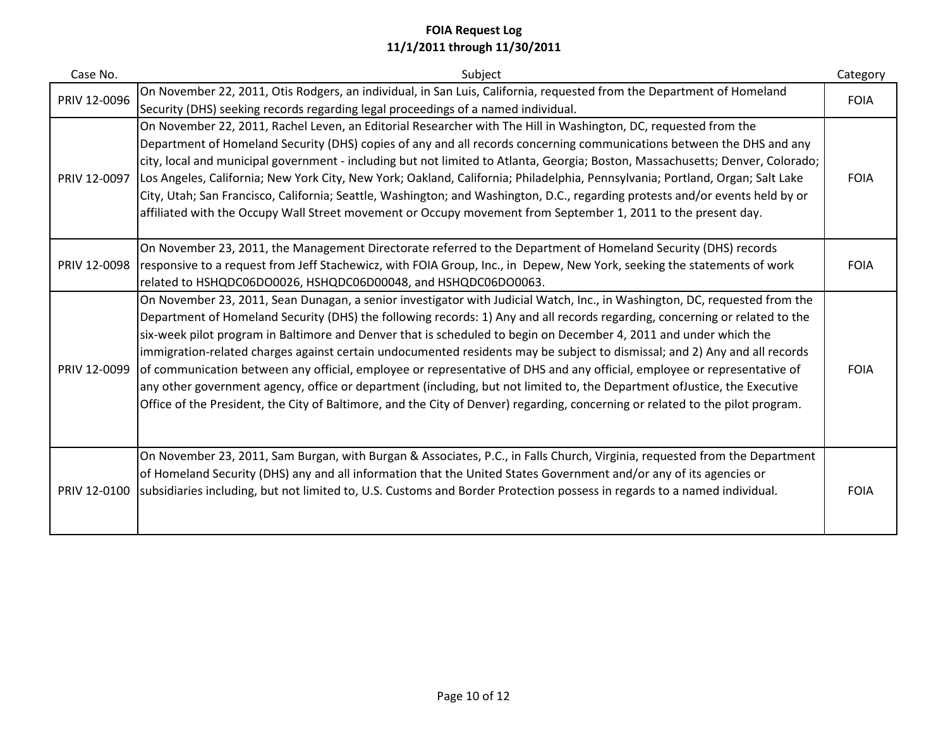| Case No.     | Subject                                                                                                                                                                                                                                                                                                                                                                                                                                                                                                                                                                                                                                                                                                                                                                                                                                                                                                  | Category    |
|--------------|----------------------------------------------------------------------------------------------------------------------------------------------------------------------------------------------------------------------------------------------------------------------------------------------------------------------------------------------------------------------------------------------------------------------------------------------------------------------------------------------------------------------------------------------------------------------------------------------------------------------------------------------------------------------------------------------------------------------------------------------------------------------------------------------------------------------------------------------------------------------------------------------------------|-------------|
| PRIV 12-0096 | On November 22, 2011, Otis Rodgers, an individual, in San Luis, California, requested from the Department of Homeland<br>Security (DHS) seeking records regarding legal proceedings of a named individual.                                                                                                                                                                                                                                                                                                                                                                                                                                                                                                                                                                                                                                                                                               | <b>FOIA</b> |
| PRIV 12-0097 | On November 22, 2011, Rachel Leven, an Editorial Researcher with The Hill in Washington, DC, requested from the<br>Department of Homeland Security (DHS) copies of any and all records concerning communications between the DHS and any<br>city, local and municipal government - including but not limited to Atlanta, Georgia; Boston, Massachusetts; Denver, Colorado;<br>Los Angeles, California; New York City, New York; Oakland, California; Philadelphia, Pennsylvania; Portland, Organ; Salt Lake<br>City, Utah; San Francisco, California; Seattle, Washington; and Washington, D.C., regarding protests and/or events held by or<br>affiliated with the Occupy Wall Street movement or Occupy movement from September 1, 2011 to the present day.                                                                                                                                            | <b>FOIA</b> |
| PRIV 12-0098 | On November 23, 2011, the Management Directorate referred to the Department of Homeland Security (DHS) records<br>responsive to a request from Jeff Stachewicz, with FOIA Group, Inc., in Depew, New York, seeking the statements of work<br>related to HSHQDC06DO0026, HSHQDC06D00048, and HSHQDC06DO0063.                                                                                                                                                                                                                                                                                                                                                                                                                                                                                                                                                                                              | <b>FOIA</b> |
| PRIV 12-0099 | On November 23, 2011, Sean Dunagan, a senior investigator with Judicial Watch, Inc., in Washington, DC, requested from the<br>Department of Homeland Security (DHS) the following records: 1) Any and all records regarding, concerning or related to the<br>six-week pilot program in Baltimore and Denver that is scheduled to begin on December 4, 2011 and under which the<br>immigration-related charges against certain undocumented residents may be subject to dismissal; and 2) Any and all records<br>of communication between any official, employee or representative of DHS and any official, employee or representative of<br>any other government agency, office or department (including, but not limited to, the Department of Justice, the Executive<br>Office of the President, the City of Baltimore, and the City of Denver) regarding, concerning or related to the pilot program. | <b>FOIA</b> |
| PRIV 12-0100 | On November 23, 2011, Sam Burgan, with Burgan & Associates, P.C., in Falls Church, Virginia, requested from the Department<br>of Homeland Security (DHS) any and all information that the United States Government and/or any of its agencies or<br>subsidiaries including, but not limited to, U.S. Customs and Border Protection possess in regards to a named individual.                                                                                                                                                                                                                                                                                                                                                                                                                                                                                                                             | <b>FOIA</b> |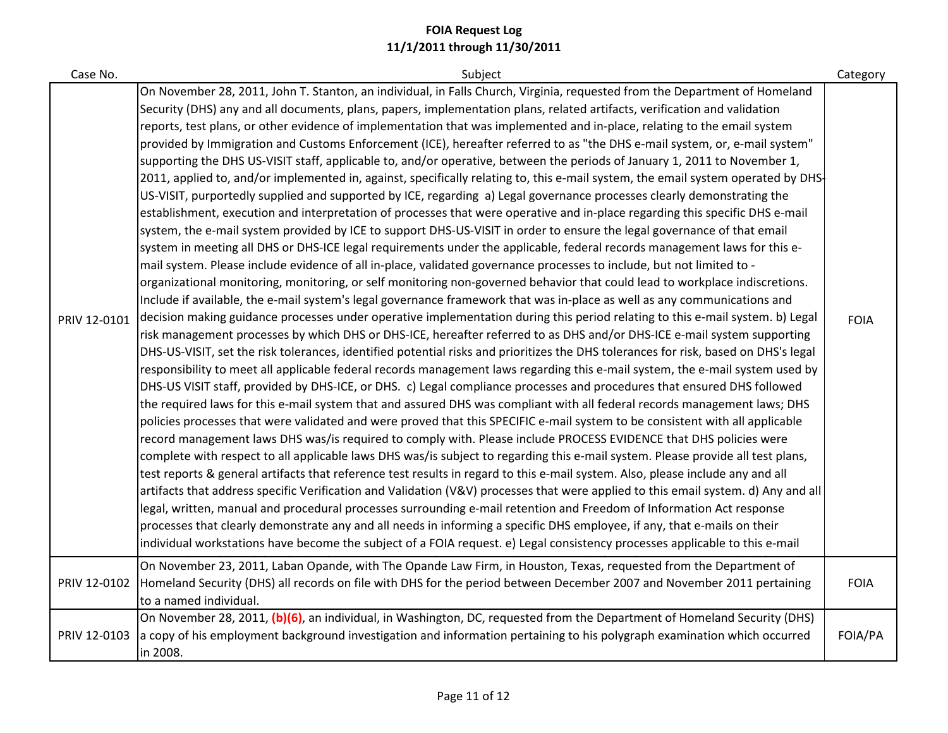| Case No.     | Subject                                                                                                                                                                                                                                                                                                                                                                                                                                                                                                                                                                                                                                                                                                                                                                                                                                                                                                                                                                                                                                                                                                                                                                                                                                                                                                                                                                                                                                                                                                                                                                                                                                                                                                                                                                                                                                                                                                                                                                                                                                                                                                                                                                                                                                                                                                                                                                                                                                                                                                                                                                                                                                                                                                                                                                                                                                                                                                                                                                                                                                                                                                                                                                                                                                                                                                                                                                                                                                                                                                                                 | Category    |
|--------------|-----------------------------------------------------------------------------------------------------------------------------------------------------------------------------------------------------------------------------------------------------------------------------------------------------------------------------------------------------------------------------------------------------------------------------------------------------------------------------------------------------------------------------------------------------------------------------------------------------------------------------------------------------------------------------------------------------------------------------------------------------------------------------------------------------------------------------------------------------------------------------------------------------------------------------------------------------------------------------------------------------------------------------------------------------------------------------------------------------------------------------------------------------------------------------------------------------------------------------------------------------------------------------------------------------------------------------------------------------------------------------------------------------------------------------------------------------------------------------------------------------------------------------------------------------------------------------------------------------------------------------------------------------------------------------------------------------------------------------------------------------------------------------------------------------------------------------------------------------------------------------------------------------------------------------------------------------------------------------------------------------------------------------------------------------------------------------------------------------------------------------------------------------------------------------------------------------------------------------------------------------------------------------------------------------------------------------------------------------------------------------------------------------------------------------------------------------------------------------------------------------------------------------------------------------------------------------------------------------------------------------------------------------------------------------------------------------------------------------------------------------------------------------------------------------------------------------------------------------------------------------------------------------------------------------------------------------------------------------------------------------------------------------------------------------------------------------------------------------------------------------------------------------------------------------------------------------------------------------------------------------------------------------------------------------------------------------------------------------------------------------------------------------------------------------------------------------------------------------------------------------------------------------------------|-------------|
| PRIV 12-0101 | On November 28, 2011, John T. Stanton, an individual, in Falls Church, Virginia, requested from the Department of Homeland<br>Security (DHS) any and all documents, plans, papers, implementation plans, related artifacts, verification and validation<br>reports, test plans, or other evidence of implementation that was implemented and in-place, relating to the email system<br>provided by Immigration and Customs Enforcement (ICE), hereafter referred to as "the DHS e-mail system, or, e-mail system"<br>supporting the DHS US-VISIT staff, applicable to, and/or operative, between the periods of January 1, 2011 to November 1,<br>2011, applied to, and/or implemented in, against, specifically relating to, this e-mail system, the email system operated by DHS<br>US-VISIT, purportedly supplied and supported by ICE, regarding a) Legal governance processes clearly demonstrating the<br>establishment, execution and interpretation of processes that were operative and in-place regarding this specific DHS e-mail<br>system, the e-mail system provided by ICE to support DHS-US-VISIT in order to ensure the legal governance of that email<br>system in meeting all DHS or DHS-ICE legal requirements under the applicable, federal records management laws for this e-<br>mail system. Please include evidence of all in-place, validated governance processes to include, but not limited to -<br>organizational monitoring, monitoring, or self monitoring non-governed behavior that could lead to workplace indiscretions.<br>Include if available, the e-mail system's legal governance framework that was in-place as well as any communications and<br>decision making guidance processes under operative implementation during this period relating to this e-mail system. b) Legal<br>risk management processes by which DHS or DHS-ICE, hereafter referred to as DHS and/or DHS-ICE e-mail system supporting<br>DHS-US-VISIT, set the risk tolerances, identified potential risks and prioritizes the DHS tolerances for risk, based on DHS's legal<br>responsibility to meet all applicable federal records management laws regarding this e-mail system, the e-mail system used by<br>DHS-US VISIT staff, provided by DHS-ICE, or DHS. c) Legal compliance processes and procedures that ensured DHS followed<br>the required laws for this e-mail system that and assured DHS was compliant with all federal records management laws; DHS<br>policies processes that were validated and were proved that this SPECIFIC e-mail system to be consistent with all applicable<br>record management laws DHS was/is required to comply with. Please include PROCESS EVIDENCE that DHS policies were<br>complete with respect to all applicable laws DHS was/is subject to regarding this e-mail system. Please provide all test plans,<br>test reports & general artifacts that reference test results in regard to this e-mail system. Also, please include any and all<br>artifacts that address specific Verification and Validation (V&V) processes that were applied to this email system. d) Any and all<br>legal, written, manual and procedural processes surrounding e-mail retention and Freedom of Information Act response<br>processes that clearly demonstrate any and all needs in informing a specific DHS employee, if any, that e-mails on their<br>individual workstations have become the subject of a FOIA request. e) Legal consistency processes applicable to this e-mail | <b>FOIA</b> |
| PRIV 12-0102 | On November 23, 2011, Laban Opande, with The Opande Law Firm, in Houston, Texas, requested from the Department of<br>Homeland Security (DHS) all records on file with DHS for the period between December 2007 and November 2011 pertaining<br>to a named individual.                                                                                                                                                                                                                                                                                                                                                                                                                                                                                                                                                                                                                                                                                                                                                                                                                                                                                                                                                                                                                                                                                                                                                                                                                                                                                                                                                                                                                                                                                                                                                                                                                                                                                                                                                                                                                                                                                                                                                                                                                                                                                                                                                                                                                                                                                                                                                                                                                                                                                                                                                                                                                                                                                                                                                                                                                                                                                                                                                                                                                                                                                                                                                                                                                                                                   | <b>FOIA</b> |
| PRIV 12-0103 | On November 28, 2011, (b)(6), an individual, in Washington, DC, requested from the Department of Homeland Security (DHS)<br>a copy of his employment background investigation and information pertaining to his polygraph examination which occurred<br>in 2008.                                                                                                                                                                                                                                                                                                                                                                                                                                                                                                                                                                                                                                                                                                                                                                                                                                                                                                                                                                                                                                                                                                                                                                                                                                                                                                                                                                                                                                                                                                                                                                                                                                                                                                                                                                                                                                                                                                                                                                                                                                                                                                                                                                                                                                                                                                                                                                                                                                                                                                                                                                                                                                                                                                                                                                                                                                                                                                                                                                                                                                                                                                                                                                                                                                                                        | FOIA/PA     |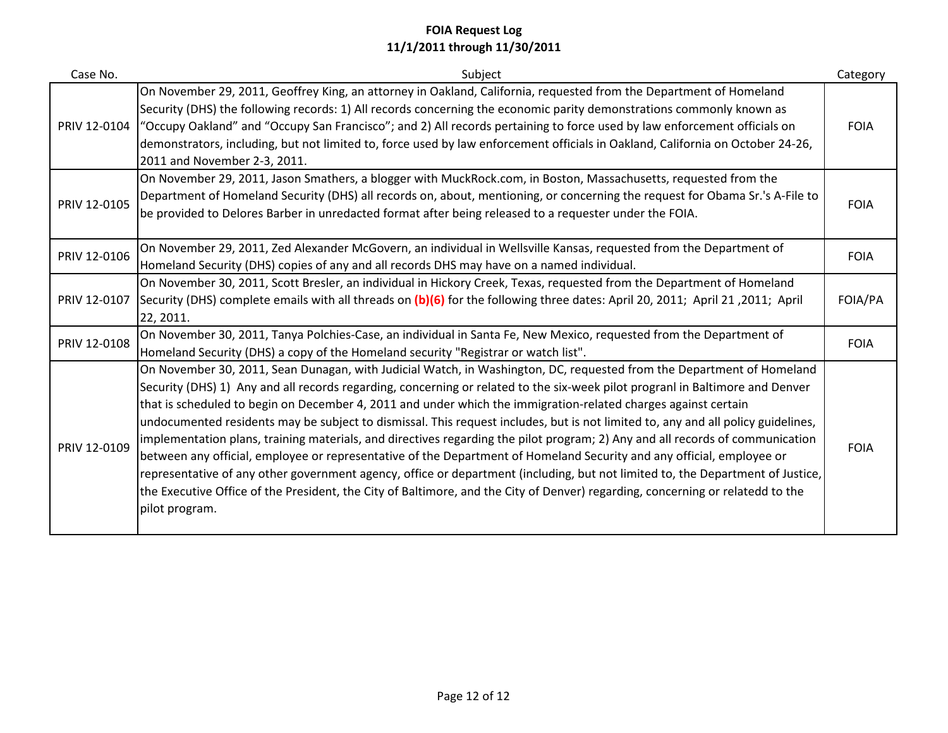| Case No.     | Subject                                                                                                                                                                                                                                                                                                                                                                                                                                                                                                                                                                                                                                                                                                                                                                                                                                                                                                                                                                                                                                                      | Category    |
|--------------|--------------------------------------------------------------------------------------------------------------------------------------------------------------------------------------------------------------------------------------------------------------------------------------------------------------------------------------------------------------------------------------------------------------------------------------------------------------------------------------------------------------------------------------------------------------------------------------------------------------------------------------------------------------------------------------------------------------------------------------------------------------------------------------------------------------------------------------------------------------------------------------------------------------------------------------------------------------------------------------------------------------------------------------------------------------|-------------|
| PRIV 12-0104 | On November 29, 2011, Geoffrey King, an attorney in Oakland, California, requested from the Department of Homeland<br>Security (DHS) the following records: 1) All records concerning the economic parity demonstrations commonly known as<br>"Occupy Oakland" and "Occupy San Francisco"; and 2) All records pertaining to force used by law enforcement officials on<br>demonstrators, including, but not limited to, force used by law enforcement officials in Oakland, California on October 24-26,<br>2011 and November 2-3, 2011.                                                                                                                                                                                                                                                                                                                                                                                                                                                                                                                     | <b>FOIA</b> |
| PRIV 12-0105 | On November 29, 2011, Jason Smathers, a blogger with MuckRock.com, in Boston, Massachusetts, requested from the<br>Department of Homeland Security (DHS) all records on, about, mentioning, or concerning the request for Obama Sr.'s A-File to<br>be provided to Delores Barber in unredacted format after being released to a requester under the FOIA.                                                                                                                                                                                                                                                                                                                                                                                                                                                                                                                                                                                                                                                                                                    | <b>FOIA</b> |
| PRIV 12-0106 | On November 29, 2011, Zed Alexander McGovern, an individual in Wellsville Kansas, requested from the Department of<br>Homeland Security (DHS) copies of any and all records DHS may have on a named individual.                                                                                                                                                                                                                                                                                                                                                                                                                                                                                                                                                                                                                                                                                                                                                                                                                                              | <b>FOIA</b> |
| PRIV 12-0107 | On November 30, 2011, Scott Bresler, an individual in Hickory Creek, Texas, requested from the Department of Homeland<br>Security (DHS) complete emails with all threads on (b)(6) for the following three dates: April 20, 2011; April 21, 2011; April<br>22, 2011.                                                                                                                                                                                                                                                                                                                                                                                                                                                                                                                                                                                                                                                                                                                                                                                         | FOIA/PA     |
| PRIV 12-0108 | On November 30, 2011, Tanya Polchies-Case, an individual in Santa Fe, New Mexico, requested from the Department of<br>Homeland Security (DHS) a copy of the Homeland security "Registrar or watch list".                                                                                                                                                                                                                                                                                                                                                                                                                                                                                                                                                                                                                                                                                                                                                                                                                                                     | <b>FOIA</b> |
| PRIV 12-0109 | On November 30, 2011, Sean Dunagan, with Judicial Watch, in Washington, DC, requested from the Department of Homeland<br>Security (DHS) 1) Any and all records regarding, concerning or related to the six-week pilot progranl in Baltimore and Denver<br>that is scheduled to begin on December 4, 2011 and under which the immigration-related charges against certain<br>undocumented residents may be subject to dismissal. This request includes, but is not limited to, any and all policy guidelines,<br>implementation plans, training materials, and directives regarding the pilot program; 2) Any and all records of communication<br>between any official, employee or representative of the Department of Homeland Security and any official, employee or<br>representative of any other government agency, office or department (including, but not limited to, the Department of Justice,<br>the Executive Office of the President, the City of Baltimore, and the City of Denver) regarding, concerning or relatedd to the<br>pilot program. | <b>FOIA</b> |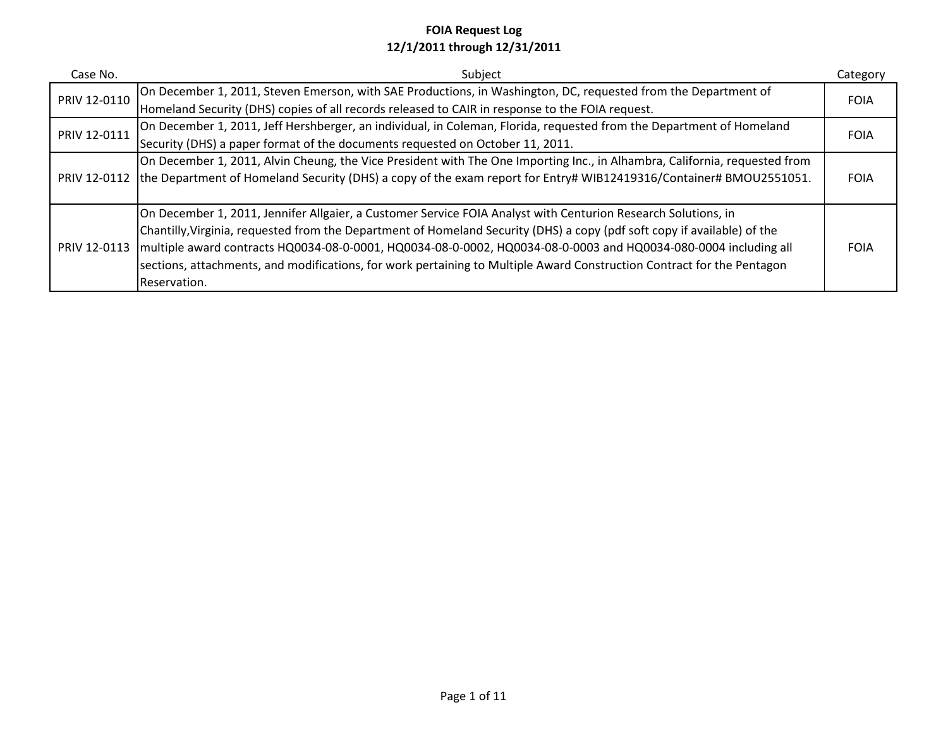| Case No.     | Subject                                                                                                                         | Category    |
|--------------|---------------------------------------------------------------------------------------------------------------------------------|-------------|
| PRIV 12-0110 | On December 1, 2011, Steven Emerson, with SAE Productions, in Washington, DC, requested from the Department of                  | <b>FOIA</b> |
|              | Homeland Security (DHS) copies of all records released to CAIR in response to the FOIA request.                                 |             |
| PRIV 12-0111 | On December 1, 2011, Jeff Hershberger, an individual, in Coleman, Florida, requested from the Department of Homeland            | <b>FOIA</b> |
|              | Security (DHS) a paper format of the documents requested on October 11, 2011.                                                   |             |
|              | On December 1, 2011, Alvin Cheung, the Vice President with The One Importing Inc., in Alhambra, California, requested from      |             |
|              | PRIV 12-0112 the Department of Homeland Security (DHS) a copy of the exam report for Entry# WIB12419316/Container# BMOU2551051. | <b>FOIA</b> |
|              |                                                                                                                                 |             |
|              | On December 1, 2011, Jennifer Allgaier, a Customer Service FOIA Analyst with Centurion Research Solutions, in                   |             |
|              | Chantilly, Virginia, requested from the Department of Homeland Security (DHS) a copy (pdf soft copy if available) of the        |             |
| PRIV 12-0113 | Imultiple award contracts HQ0034-08-0-0001, HQ0034-08-0-0002, HQ0034-08-0-0003 and HQ0034-080-0004 including all                | <b>FOIA</b> |
|              | sections, attachments, and modifications, for work pertaining to Multiple Award Construction Contract for the Pentagon          |             |
|              | Reservation.                                                                                                                    |             |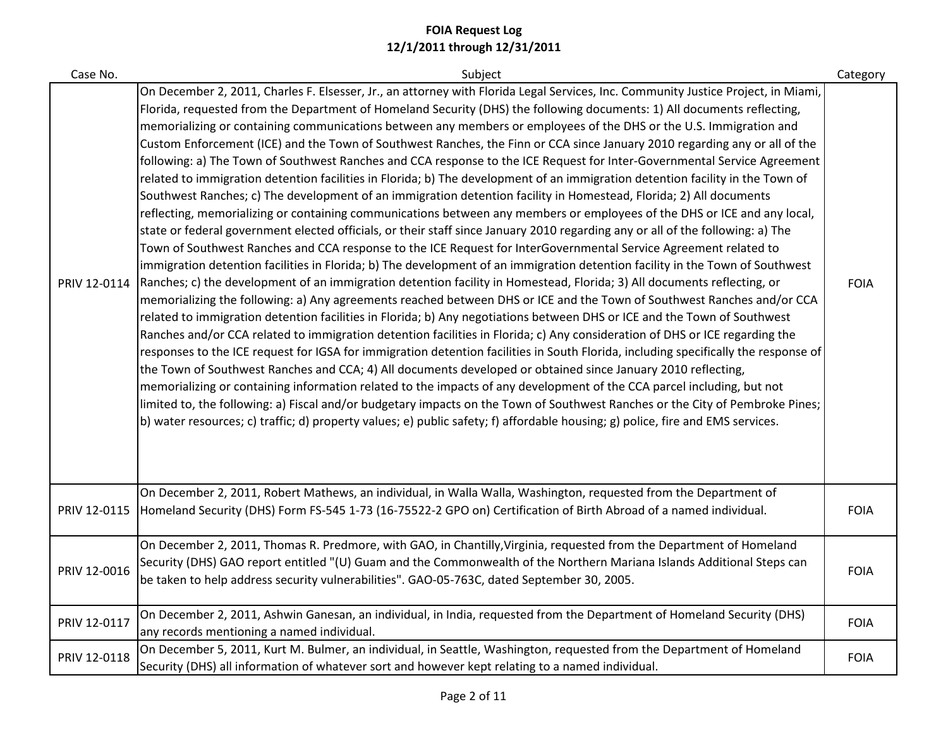| Case No.     | Subject                                                                                                                                                                                                                                                                                                                                                                                                                                                                                                                                                                                                                                                                                                                                                                                                                                                                                                                                                                                                                                                                                                                                                                                                                                                                                                                                                                                                                                                                                                                                                                                                                                                                                                                                                                                                                                                                                                                                                                                                                                                                                                                                                                                                                                                                                                                                                                                                                                                                                                                                                                                     | Category    |
|--------------|---------------------------------------------------------------------------------------------------------------------------------------------------------------------------------------------------------------------------------------------------------------------------------------------------------------------------------------------------------------------------------------------------------------------------------------------------------------------------------------------------------------------------------------------------------------------------------------------------------------------------------------------------------------------------------------------------------------------------------------------------------------------------------------------------------------------------------------------------------------------------------------------------------------------------------------------------------------------------------------------------------------------------------------------------------------------------------------------------------------------------------------------------------------------------------------------------------------------------------------------------------------------------------------------------------------------------------------------------------------------------------------------------------------------------------------------------------------------------------------------------------------------------------------------------------------------------------------------------------------------------------------------------------------------------------------------------------------------------------------------------------------------------------------------------------------------------------------------------------------------------------------------------------------------------------------------------------------------------------------------------------------------------------------------------------------------------------------------------------------------------------------------------------------------------------------------------------------------------------------------------------------------------------------------------------------------------------------------------------------------------------------------------------------------------------------------------------------------------------------------------------------------------------------------------------------------------------------------|-------------|
| PRIV 12-0114 | On December 2, 2011, Charles F. Elsesser, Jr., an attorney with Florida Legal Services, Inc. Community Justice Project, in Miami,<br>Florida, requested from the Department of Homeland Security (DHS) the following documents: 1) All documents reflecting,<br>memorializing or containing communications between any members or employees of the DHS or the U.S. Immigration and<br>Custom Enforcement (ICE) and the Town of Southwest Ranches, the Finn or CCA since January 2010 regarding any or all of the<br>following: a) The Town of Southwest Ranches and CCA response to the ICE Request for Inter-Governmental Service Agreement<br>related to immigration detention facilities in Florida; b) The development of an immigration detention facility in the Town of<br>Southwest Ranches; c) The development of an immigration detention facility in Homestead, Florida; 2) All documents<br>reflecting, memorializing or containing communications between any members or employees of the DHS or ICE and any local,<br>state or federal government elected officials, or their staff since January 2010 regarding any or all of the following: a) The<br>Town of Southwest Ranches and CCA response to the ICE Request for InterGovernmental Service Agreement related to<br>immigration detention facilities in Florida; b) The development of an immigration detention facility in the Town of Southwest<br>Ranches; c) the development of an immigration detention facility in Homestead, Florida; 3) All documents reflecting, or<br>memorializing the following: a) Any agreements reached between DHS or ICE and the Town of Southwest Ranches and/or CCA<br>related to immigration detention facilities in Florida; b) Any negotiations between DHS or ICE and the Town of Southwest<br>Ranches and/or CCA related to immigration detention facilities in Florida; c) Any consideration of DHS or ICE regarding the<br>responses to the ICE request for IGSA for immigration detention facilities in South Florida, including specifically the response of<br>the Town of Southwest Ranches and CCA; 4) All documents developed or obtained since January 2010 reflecting,<br>memorializing or containing information related to the impacts of any development of the CCA parcel including, but not<br>limited to, the following: a) Fiscal and/or budgetary impacts on the Town of Southwest Ranches or the City of Pembroke Pines;<br>b) water resources; c) traffic; d) property values; e) public safety; f) affordable housing; g) police, fire and EMS services. | <b>FOIA</b> |
| PRIV 12-0115 | On December 2, 2011, Robert Mathews, an individual, in Walla Walla, Washington, requested from the Department of<br>Homeland Security (DHS) Form FS-545 1-73 (16-75522-2 GPO on) Certification of Birth Abroad of a named individual.                                                                                                                                                                                                                                                                                                                                                                                                                                                                                                                                                                                                                                                                                                                                                                                                                                                                                                                                                                                                                                                                                                                                                                                                                                                                                                                                                                                                                                                                                                                                                                                                                                                                                                                                                                                                                                                                                                                                                                                                                                                                                                                                                                                                                                                                                                                                                       | <b>FOIA</b> |
| PRIV 12-0016 | On December 2, 2011, Thomas R. Predmore, with GAO, in Chantilly, Virginia, requested from the Department of Homeland<br>Security (DHS) GAO report entitled "(U) Guam and the Commonwealth of the Northern Mariana Islands Additional Steps can<br>be taken to help address security vulnerabilities". GAO-05-763C, dated September 30, 2005.                                                                                                                                                                                                                                                                                                                                                                                                                                                                                                                                                                                                                                                                                                                                                                                                                                                                                                                                                                                                                                                                                                                                                                                                                                                                                                                                                                                                                                                                                                                                                                                                                                                                                                                                                                                                                                                                                                                                                                                                                                                                                                                                                                                                                                                | <b>FOIA</b> |
| PRIV 12-0117 | On December 2, 2011, Ashwin Ganesan, an individual, in India, requested from the Department of Homeland Security (DHS)<br>any records mentioning a named individual.                                                                                                                                                                                                                                                                                                                                                                                                                                                                                                                                                                                                                                                                                                                                                                                                                                                                                                                                                                                                                                                                                                                                                                                                                                                                                                                                                                                                                                                                                                                                                                                                                                                                                                                                                                                                                                                                                                                                                                                                                                                                                                                                                                                                                                                                                                                                                                                                                        | <b>FOIA</b> |
| PRIV 12-0118 | On December 5, 2011, Kurt M. Bulmer, an individual, in Seattle, Washington, requested from the Department of Homeland<br>Security (DHS) all information of whatever sort and however kept relating to a named individual.                                                                                                                                                                                                                                                                                                                                                                                                                                                                                                                                                                                                                                                                                                                                                                                                                                                                                                                                                                                                                                                                                                                                                                                                                                                                                                                                                                                                                                                                                                                                                                                                                                                                                                                                                                                                                                                                                                                                                                                                                                                                                                                                                                                                                                                                                                                                                                   | <b>FOIA</b> |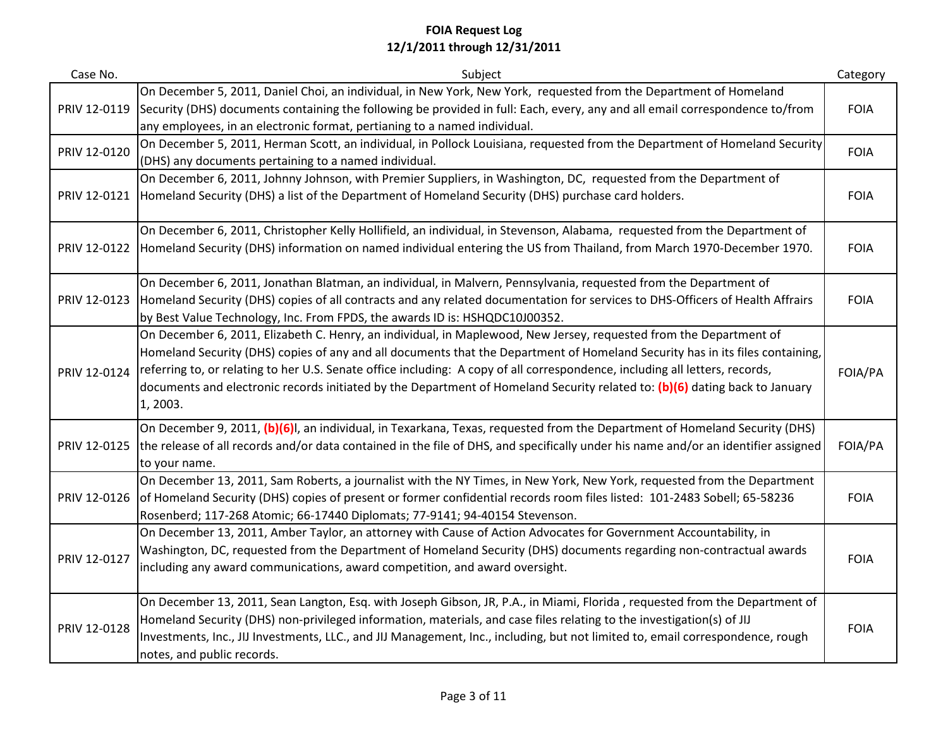| Case No.     | Subject                                                                                                                                                                                                                                                                                                                                                                                                                                                                                                                        | Category    |
|--------------|--------------------------------------------------------------------------------------------------------------------------------------------------------------------------------------------------------------------------------------------------------------------------------------------------------------------------------------------------------------------------------------------------------------------------------------------------------------------------------------------------------------------------------|-------------|
| PRIV 12-0119 | On December 5, 2011, Daniel Choi, an individual, in New York, New York, requested from the Department of Homeland<br>Security (DHS) documents containing the following be provided in full: Each, every, any and all email correspondence to/from<br>any employees, in an electronic format, pertianing to a named individual.                                                                                                                                                                                                 | <b>FOIA</b> |
| PRIV 12-0120 | On December 5, 2011, Herman Scott, an individual, in Pollock Louisiana, requested from the Department of Homeland Security<br>(DHS) any documents pertaining to a named individual.                                                                                                                                                                                                                                                                                                                                            | <b>FOIA</b> |
| PRIV 12-0121 | On December 6, 2011, Johnny Johnson, with Premier Suppliers, in Washington, DC, requested from the Department of<br>Homeland Security (DHS) a list of the Department of Homeland Security (DHS) purchase card holders.                                                                                                                                                                                                                                                                                                         | <b>FOIA</b> |
| PRIV 12-0122 | On December 6, 2011, Christopher Kelly Hollifield, an individual, in Stevenson, Alabama, requested from the Department of<br>Homeland Security (DHS) information on named individual entering the US from Thailand, from March 1970-December 1970.                                                                                                                                                                                                                                                                             | <b>FOIA</b> |
| PRIV 12-0123 | On December 6, 2011, Jonathan Blatman, an individual, in Malvern, Pennsylvania, requested from the Department of<br>Homeland Security (DHS) copies of all contracts and any related documentation for services to DHS-Officers of Health Affrairs<br>by Best Value Technology, Inc. From FPDS, the awards ID is: HSHQDC10J00352.                                                                                                                                                                                               | <b>FOIA</b> |
| PRIV 12-0124 | On December 6, 2011, Elizabeth C. Henry, an individual, in Maplewood, New Jersey, requested from the Department of<br>Homeland Security (DHS) copies of any and all documents that the Department of Homeland Security has in its files containing,<br>referring to, or relating to her U.S. Senate office including: A copy of all correspondence, including all letters, records,<br>documents and electronic records initiated by the Department of Homeland Security related to: (b)(6) dating back to January<br>1, 2003. | FOIA/PA     |
| PRIV 12-0125 | On December 9, 2011, (b)(6)I, an individual, in Texarkana, Texas, requested from the Department of Homeland Security (DHS)<br>the release of all records and/or data contained in the file of DHS, and specifically under his name and/or an identifier assigned<br>to your name.                                                                                                                                                                                                                                              | FOIA/PA     |
| PRIV 12-0126 | On December 13, 2011, Sam Roberts, a journalist with the NY Times, in New York, New York, requested from the Department<br>of Homeland Security (DHS) copies of present or former confidential records room files listed: 101-2483 Sobell; 65-58236<br>Rosenberd; 117-268 Atomic; 66-17440 Diplomats; 77-9141; 94-40154 Stevenson.                                                                                                                                                                                             | <b>FOIA</b> |
| PRIV 12-0127 | On December 13, 2011, Amber Taylor, an attorney with Cause of Action Advocates for Government Accountability, in<br>Washington, DC, requested from the Department of Homeland Security (DHS) documents regarding non-contractual awards<br>including any award communications, award competition, and award oversight.                                                                                                                                                                                                         | <b>FOIA</b> |
| PRIV 12-0128 | On December 13, 2011, Sean Langton, Esq. with Joseph Gibson, JR, P.A., in Miami, Florida, requested from the Department of<br>Homeland Security (DHS) non-privileged information, materials, and case files relating to the investigation(s) of JIJ<br>Investments, Inc., JIJ Investments, LLC., and JIJ Management, Inc., including, but not limited to, email correspondence, rough<br>notes, and public records.                                                                                                            | <b>FOIA</b> |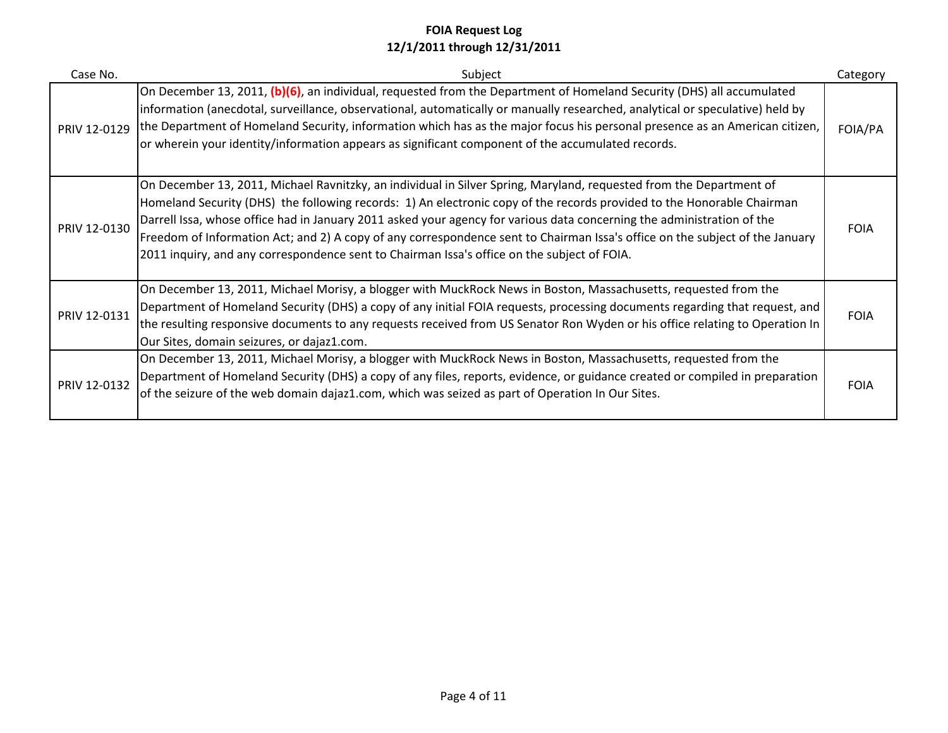| Case No.     | Subject                                                                                                                                                                                                                                                                                                                                                                                                                                                                                                                                                                                                | Category    |
|--------------|--------------------------------------------------------------------------------------------------------------------------------------------------------------------------------------------------------------------------------------------------------------------------------------------------------------------------------------------------------------------------------------------------------------------------------------------------------------------------------------------------------------------------------------------------------------------------------------------------------|-------------|
| PRIV 12-0129 | On December 13, 2011, (b)(6), an individual, requested from the Department of Homeland Security (DHS) all accumulated<br>information (anecdotal, surveillance, observational, automatically or manually researched, analytical or speculative) held by<br>the Department of Homeland Security, information which has as the major focus his personal presence as an American citizen,<br>or wherein your identity/information appears as significant component of the accumulated records.                                                                                                             | FOIA/PA     |
| PRIV 12-0130 | On December 13, 2011, Michael Ravnitzky, an individual in Silver Spring, Maryland, requested from the Department of<br>Homeland Security (DHS) the following records: 1) An electronic copy of the records provided to the Honorable Chairman<br>Darrell Issa, whose office had in January 2011 asked your agency for various data concerning the administration of the<br>Freedom of Information Act; and 2) A copy of any correspondence sent to Chairman Issa's office on the subject of the January<br>2011 inquiry, and any correspondence sent to Chairman Issa's office on the subject of FOIA. | <b>FOIA</b> |
| PRIV 12-0131 | On December 13, 2011, Michael Morisy, a blogger with MuckRock News in Boston, Massachusetts, requested from the<br>Department of Homeland Security (DHS) a copy of any initial FOIA requests, processing documents regarding that request, and<br>the resulting responsive documents to any requests received from US Senator Ron Wyden or his office relating to Operation In<br>Our Sites, domain seizures, or dajaz1.com.                                                                                                                                                                           | <b>FOIA</b> |
| PRIV 12-0132 | On December 13, 2011, Michael Morisy, a blogger with MuckRock News in Boston, Massachusetts, requested from the<br>Department of Homeland Security (DHS) a copy of any files, reports, evidence, or guidance created or compiled in preparation<br>of the seizure of the web domain dajaz1.com, which was seized as part of Operation In Our Sites.                                                                                                                                                                                                                                                    | <b>FOIA</b> |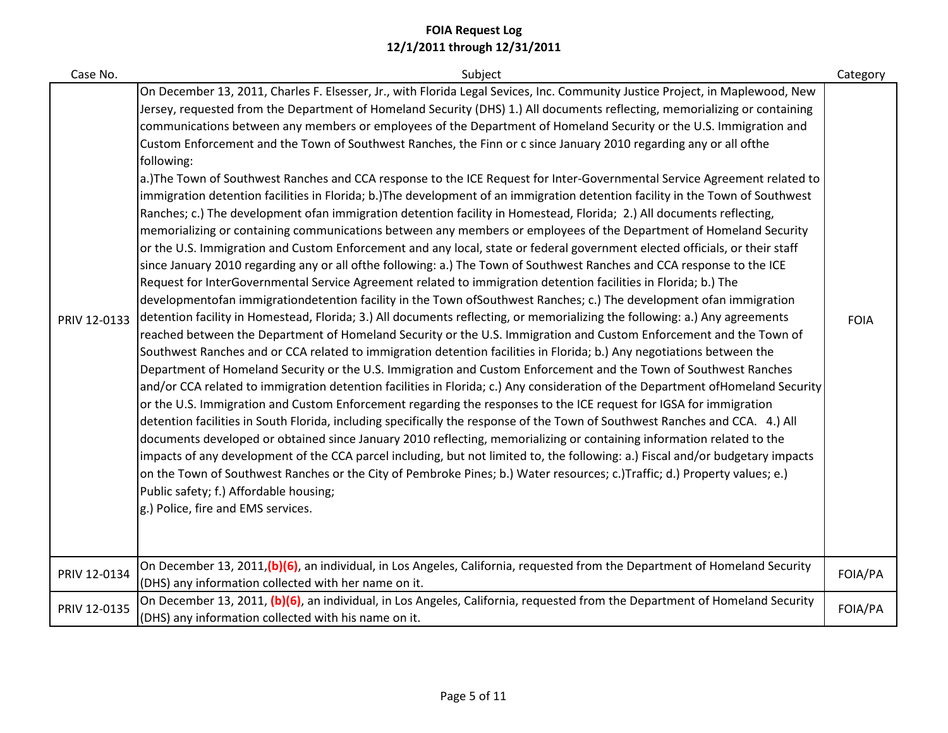| Case No.     | Subject                                                                                                                                                                                                                                                                                                                                                                                                                                                                                                                                                                                                                                                                                                                                                                                                                                                                                                                                                                                                                                                                                                                                                                                                                                                                                                                                                                                                                                                                                                                                                                                                                                                                                                                                                                                                                                                                                                                                                                                                                                                                                                                                                                                                                                                                                                                                                                                                                                                                                                                                                                                                                                                                                                                                                                                                                                                                                              | Category    |
|--------------|------------------------------------------------------------------------------------------------------------------------------------------------------------------------------------------------------------------------------------------------------------------------------------------------------------------------------------------------------------------------------------------------------------------------------------------------------------------------------------------------------------------------------------------------------------------------------------------------------------------------------------------------------------------------------------------------------------------------------------------------------------------------------------------------------------------------------------------------------------------------------------------------------------------------------------------------------------------------------------------------------------------------------------------------------------------------------------------------------------------------------------------------------------------------------------------------------------------------------------------------------------------------------------------------------------------------------------------------------------------------------------------------------------------------------------------------------------------------------------------------------------------------------------------------------------------------------------------------------------------------------------------------------------------------------------------------------------------------------------------------------------------------------------------------------------------------------------------------------------------------------------------------------------------------------------------------------------------------------------------------------------------------------------------------------------------------------------------------------------------------------------------------------------------------------------------------------------------------------------------------------------------------------------------------------------------------------------------------------------------------------------------------------------------------------------------------------------------------------------------------------------------------------------------------------------------------------------------------------------------------------------------------------------------------------------------------------------------------------------------------------------------------------------------------------------------------------------------------------------------------------------------------------|-------------|
| PRIV 12-0133 | On December 13, 2011, Charles F. Elsesser, Jr., with Florida Legal Sevices, Inc. Community Justice Project, in Maplewood, New<br>Jersey, requested from the Department of Homeland Security (DHS) 1.) All documents reflecting, memorializing or containing<br>communications between any members or employees of the Department of Homeland Security or the U.S. Immigration and<br>Custom Enforcement and the Town of Southwest Ranches, the Finn or c since January 2010 regarding any or all ofthe<br>following:<br>a.)The Town of Southwest Ranches and CCA response to the ICE Request for Inter-Governmental Service Agreement related to<br>immigration detention facilities in Florida; b.)The development of an immigration detention facility in the Town of Southwest<br>Ranches; c.) The development ofan immigration detention facility in Homestead, Florida; 2.) All documents reflecting,<br>memorializing or containing communications between any members or employees of the Department of Homeland Security<br>or the U.S. Immigration and Custom Enforcement and any local, state or federal government elected officials, or their staff<br>since January 2010 regarding any or all ofthe following: a.) The Town of Southwest Ranches and CCA response to the ICE<br>Request for InterGovernmental Service Agreement related to immigration detention facilities in Florida; b.) The<br>developmentofan immigrationdetention facility in the Town ofSouthwest Ranches; c.) The development ofan immigration<br>detention facility in Homestead, Florida; 3.) All documents reflecting, or memorializing the following: a.) Any agreements<br>reached between the Department of Homeland Security or the U.S. Immigration and Custom Enforcement and the Town of<br>Southwest Ranches and or CCA related to immigration detention facilities in Florida; b.) Any negotiations between the<br>Department of Homeland Security or the U.S. Immigration and Custom Enforcement and the Town of Southwest Ranches<br>and/or CCA related to immigration detention facilities in Florida; c.) Any consideration of the Department ofHomeland Security<br>or the U.S. Immigration and Custom Enforcement regarding the responses to the ICE request for IGSA for immigration<br>detention facilities in South Florida, including specifically the response of the Town of Southwest Ranches and CCA. 4.) All<br>documents developed or obtained since January 2010 reflecting, memorializing or containing information related to the<br>impacts of any development of the CCA parcel including, but not limited to, the following: a.) Fiscal and/or budgetary impacts<br>on the Town of Southwest Ranches or the City of Pembroke Pines; b.) Water resources; c.)Traffic; d.) Property values; e.)<br>Public safety; f.) Affordable housing;<br>g.) Police, fire and EMS services. | <b>FOIA</b> |
| PRIV 12-0134 | On December 13, 2011,(b)(6), an individual, in Los Angeles, California, requested from the Department of Homeland Security<br>(DHS) any information collected with her name on it.                                                                                                                                                                                                                                                                                                                                                                                                                                                                                                                                                                                                                                                                                                                                                                                                                                                                                                                                                                                                                                                                                                                                                                                                                                                                                                                                                                                                                                                                                                                                                                                                                                                                                                                                                                                                                                                                                                                                                                                                                                                                                                                                                                                                                                                                                                                                                                                                                                                                                                                                                                                                                                                                                                                   | FOIA/PA     |
| PRIV 12-0135 | On December 13, 2011, (b)(6), an individual, in Los Angeles, California, requested from the Department of Homeland Security<br>(DHS) any information collected with his name on it.                                                                                                                                                                                                                                                                                                                                                                                                                                                                                                                                                                                                                                                                                                                                                                                                                                                                                                                                                                                                                                                                                                                                                                                                                                                                                                                                                                                                                                                                                                                                                                                                                                                                                                                                                                                                                                                                                                                                                                                                                                                                                                                                                                                                                                                                                                                                                                                                                                                                                                                                                                                                                                                                                                                  | FOIA/PA     |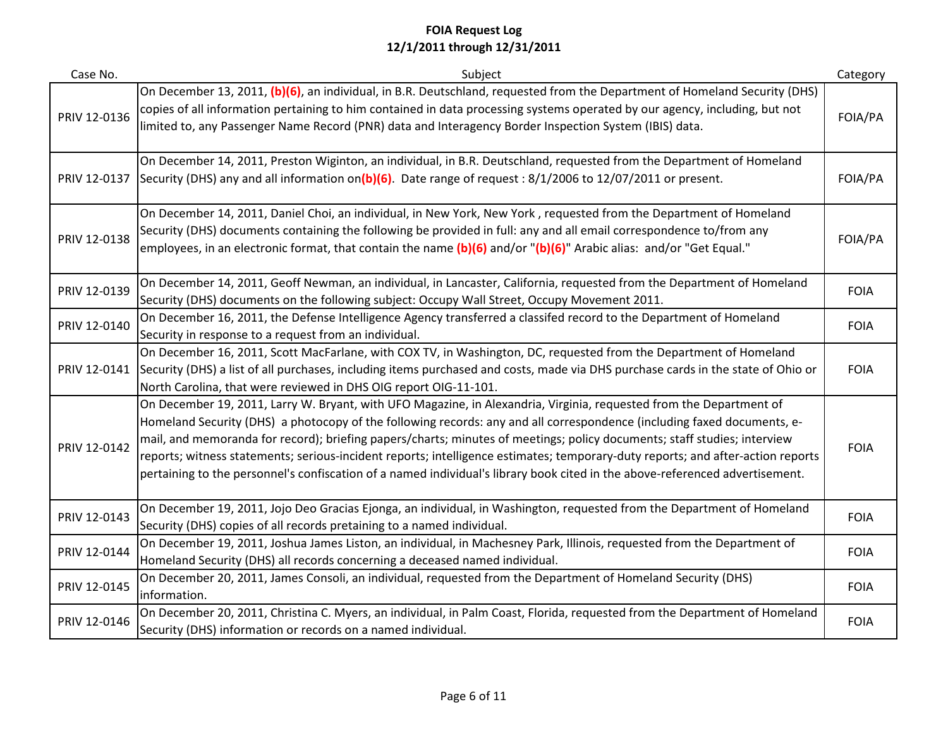| Case No.     | Subject                                                                                                                                                                                                                                                                                                                                                                                                                                                                                                                                                                                                                                       | Category    |
|--------------|-----------------------------------------------------------------------------------------------------------------------------------------------------------------------------------------------------------------------------------------------------------------------------------------------------------------------------------------------------------------------------------------------------------------------------------------------------------------------------------------------------------------------------------------------------------------------------------------------------------------------------------------------|-------------|
| PRIV 12-0136 | On December 13, 2011, (b)(6), an individual, in B.R. Deutschland, requested from the Department of Homeland Security (DHS)<br>copies of all information pertaining to him contained in data processing systems operated by our agency, including, but not<br>limited to, any Passenger Name Record (PNR) data and Interagency Border Inspection System (IBIS) data.                                                                                                                                                                                                                                                                           | FOIA/PA     |
| PRIV 12-0137 | On December 14, 2011, Preston Wiginton, an individual, in B.R. Deutschland, requested from the Department of Homeland<br>Security (DHS) any and all information on(b)(6). Date range of request : $8/1/2006$ to $12/07/2011$ or present.                                                                                                                                                                                                                                                                                                                                                                                                      | FOIA/PA     |
| PRIV 12-0138 | On December 14, 2011, Daniel Choi, an individual, in New York, New York, requested from the Department of Homeland<br>Security (DHS) documents containing the following be provided in full: any and all email correspondence to/from any<br>employees, in an electronic format, that contain the name (b)(6) and/or "(b)(6)" Arabic alias: and/or "Get Equal."                                                                                                                                                                                                                                                                               | FOIA/PA     |
| PRIV 12-0139 | On December 14, 2011, Geoff Newman, an individual, in Lancaster, California, requested from the Department of Homeland<br>Security (DHS) documents on the following subject: Occupy Wall Street, Occupy Movement 2011.                                                                                                                                                                                                                                                                                                                                                                                                                        | <b>FOIA</b> |
| PRIV 12-0140 | On December 16, 2011, the Defense Intelligence Agency transferred a classifed record to the Department of Homeland<br>Security in response to a request from an individual.                                                                                                                                                                                                                                                                                                                                                                                                                                                                   | <b>FOIA</b> |
| PRIV 12-0141 | On December 16, 2011, Scott MacFarlane, with COX TV, in Washington, DC, requested from the Department of Homeland<br>Security (DHS) a list of all purchases, including items purchased and costs, made via DHS purchase cards in the state of Ohio or<br>North Carolina, that were reviewed in DHS OIG report OIG-11-101.                                                                                                                                                                                                                                                                                                                     | <b>FOIA</b> |
| PRIV 12-0142 | On December 19, 2011, Larry W. Bryant, with UFO Magazine, in Alexandria, Virginia, requested from the Department of<br>Homeland Security (DHS) a photocopy of the following records: any and all correspondence (including faxed documents, e-<br>mail, and memoranda for record); briefing papers/charts; minutes of meetings; policy documents; staff studies; interview<br>reports; witness statements; serious-incident reports; intelligence estimates; temporary-duty reports; and after-action reports<br>pertaining to the personnel's confiscation of a named individual's library book cited in the above-referenced advertisement. | <b>FOIA</b> |
| PRIV 12-0143 | On December 19, 2011, Jojo Deo Gracias Ejonga, an individual, in Washington, requested from the Department of Homeland<br>Security (DHS) copies of all records pretaining to a named individual.                                                                                                                                                                                                                                                                                                                                                                                                                                              | <b>FOIA</b> |
| PRIV 12-0144 | On December 19, 2011, Joshua James Liston, an individual, in Machesney Park, Illinois, requested from the Department of<br>Homeland Security (DHS) all records concerning a deceased named individual.                                                                                                                                                                                                                                                                                                                                                                                                                                        | <b>FOIA</b> |
| PRIV 12-0145 | On December 20, 2011, James Consoli, an individual, requested from the Department of Homeland Security (DHS)<br>information.                                                                                                                                                                                                                                                                                                                                                                                                                                                                                                                  | <b>FOIA</b> |
| PRIV 12-0146 | On December 20, 2011, Christina C. Myers, an individual, in Palm Coast, Florida, requested from the Department of Homeland<br>Security (DHS) information or records on a named individual.                                                                                                                                                                                                                                                                                                                                                                                                                                                    | <b>FOIA</b> |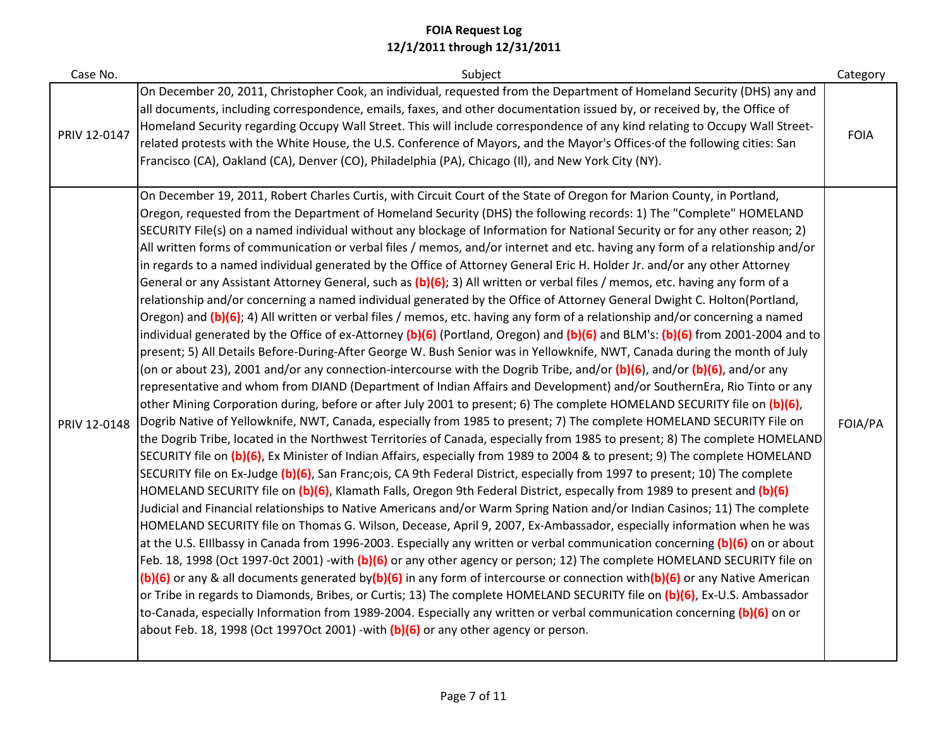| Case No.     | Subject                                                                                                                                                                                                                                                                                                                                                                                                                                                                                                                                                                                                                                                                                                                                                                                                                                                                                                                                                                                                                                                                                                                                                                                                                                                                                                                                                                                                                                                                                                                                                                                                                                                                                                                                                                                                                                                                                                                                                                                                                                                                                                                                                                                                                                                                                                                                                                                                                                                                                                                                                                                                                                                                                                                                                                                                                                                                                                                                                                                                                                                                                                                                                                                                                                                                                                                                      | Category    |
|--------------|----------------------------------------------------------------------------------------------------------------------------------------------------------------------------------------------------------------------------------------------------------------------------------------------------------------------------------------------------------------------------------------------------------------------------------------------------------------------------------------------------------------------------------------------------------------------------------------------------------------------------------------------------------------------------------------------------------------------------------------------------------------------------------------------------------------------------------------------------------------------------------------------------------------------------------------------------------------------------------------------------------------------------------------------------------------------------------------------------------------------------------------------------------------------------------------------------------------------------------------------------------------------------------------------------------------------------------------------------------------------------------------------------------------------------------------------------------------------------------------------------------------------------------------------------------------------------------------------------------------------------------------------------------------------------------------------------------------------------------------------------------------------------------------------------------------------------------------------------------------------------------------------------------------------------------------------------------------------------------------------------------------------------------------------------------------------------------------------------------------------------------------------------------------------------------------------------------------------------------------------------------------------------------------------------------------------------------------------------------------------------------------------------------------------------------------------------------------------------------------------------------------------------------------------------------------------------------------------------------------------------------------------------------------------------------------------------------------------------------------------------------------------------------------------------------------------------------------------------------------------------------------------------------------------------------------------------------------------------------------------------------------------------------------------------------------------------------------------------------------------------------------------------------------------------------------------------------------------------------------------------------------------------------------------------------------------------------------------|-------------|
| PRIV 12-0147 | On December 20, 2011, Christopher Cook, an individual, requested from the Department of Homeland Security (DHS) any and<br>all documents, including correspondence, emails, faxes, and other documentation issued by, or received by, the Office of<br>Homeland Security regarding Occupy Wall Street. This will include correspondence of any kind relating to Occupy Wall Street-<br>related protests with the White House, the U.S. Conference of Mayors, and the Mayor's Offices of the following cities: San<br>Francisco (CA), Oakland (CA), Denver (CO), Philadelphia (PA), Chicago (II), and New York City (NY).                                                                                                                                                                                                                                                                                                                                                                                                                                                                                                                                                                                                                                                                                                                                                                                                                                                                                                                                                                                                                                                                                                                                                                                                                                                                                                                                                                                                                                                                                                                                                                                                                                                                                                                                                                                                                                                                                                                                                                                                                                                                                                                                                                                                                                                                                                                                                                                                                                                                                                                                                                                                                                                                                                                     | <b>FOIA</b> |
| PRIV 12-0148 | On December 19, 2011, Robert Charles Curtis, with Circuit Court of the State of Oregon for Marion County, in Portland,<br>Oregon, requested from the Department of Homeland Security (DHS) the following records: 1) The "Complete" HOMELAND<br>SECURITY File(s) on a named individual without any blockage of Information for National Security or for any other reason; 2)<br>All written forms of communication or verbal files / memos, and/or internet and etc. having any form of a relationship and/or<br>in regards to a named individual generated by the Office of Attorney General Eric H. Holder Jr. and/or any other Attorney<br>General or any Assistant Attorney General, such as (b)(6); 3) All written or verbal files / memos, etc. having any form of a<br>relationship and/or concerning a named individual generated by the Office of Attorney General Dwight C. Holton(Portland,<br>Oregon) and (b)(6); 4) All written or verbal files / memos, etc. having any form of a relationship and/or concerning a named<br>individual generated by the Office of ex-Attorney (b)(6) (Portland, Oregon) and (b)(6) and BLM's: (b)(6) from 2001-2004 and to<br>present; 5) All Details Before-During-After George W. Bush Senior was in Yellowknife, NWT, Canada during the month of July<br>(on or about 23), 2001 and/or any connection-intercourse with the Dogrib Tribe, and/or (b)(6), and/or (b)(6), and/or any<br>representative and whom from DIAND (Department of Indian Affairs and Development) and/or SouthernEra, Rio Tinto or any<br>other Mining Corporation during, before or after July 2001 to present; 6) The complete HOMELAND SECURITY file on (b)(6),<br>Dogrib Native of Yellowknife, NWT, Canada, especially from 1985 to present; 7) The complete HOMELAND SECURITY File on<br>the Dogrib Tribe, located in the Northwest Territories of Canada, especially from 1985 to present; 8) The complete HOMELAND<br>SECURITY file on (b)(6), Ex Minister of Indian Affairs, especially from 1989 to 2004 & to present; 9) The complete HOMELAND<br>SECURITY file on Ex-Judge (b)(6), San Franc;ois, CA 9th Federal District, especially from 1997 to present; 10) The complete<br>HOMELAND SECURITY file on (b)(6), Klamath Falls, Oregon 9th Federal District, especally from 1989 to present and (b)(6)<br>Judicial and Financial relationships to Native Americans and/or Warm Spring Nation and/or Indian Casinos; 11) The complete<br>HOMELAND SECURITY file on Thomas G. Wilson, Decease, April 9, 2007, Ex-Ambassador, especially information when he was<br>at the U.S. Ellibassy in Canada from 1996-2003. Especially any written or verbal communication concerning (b)(6) on or about<br>Feb. 18, 1998 (Oct 1997-Oct 2001) -with (b)(6) or any other agency or person; 12) The complete HOMELAND SECURITY file on<br>(b)(6) or any & all documents generated by(b)(6) in any form of intercourse or connection with(b)(6) or any Native American<br>or Tribe in regards to Diamonds, Bribes, or Curtis; 13) The complete HOMELAND SECURITY file on (b)(6), Ex-U.S. Ambassador<br>to-Canada, especially Information from 1989-2004. Especially any written or verbal communication concerning (b)(6) on or<br>about Feb. 18, 1998 (Oct 1997Oct 2001) -with $(b)(6)$ or any other agency or person. | FOIA/PA     |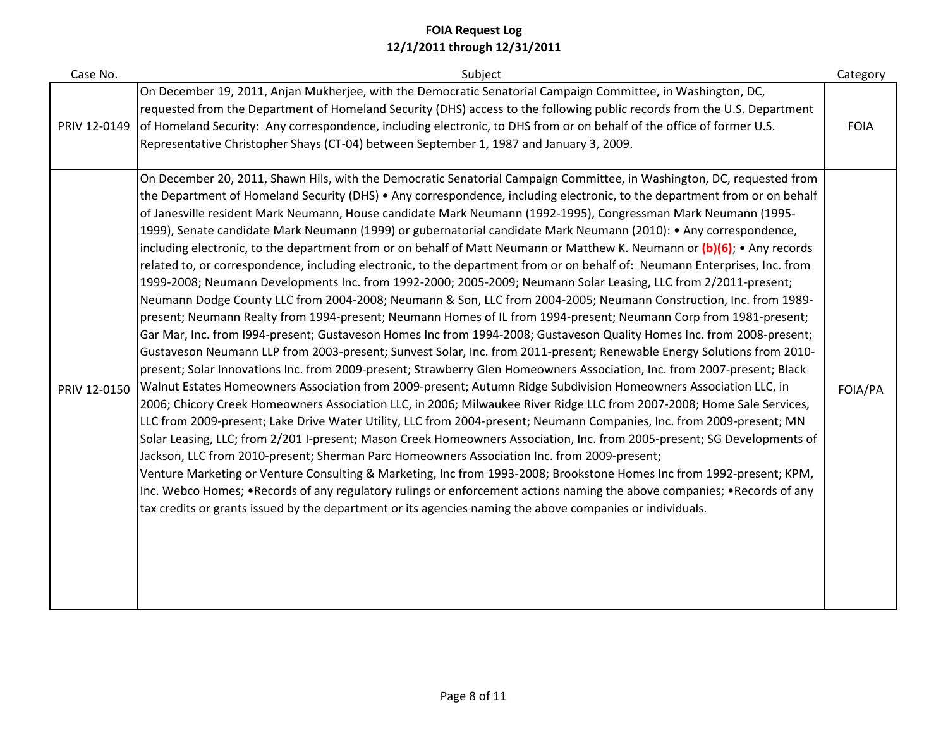| Case No.     | Subject                                                                                                                                                                                                                                                                                                                                                                                                                                                                                                                                                                                                                                                                                                                                                                                                                                                                                                                                                                                                                                                                                                                                                                                                                                                                                                                                                                                                                                                                                                                                                                                                                                                                                                                                                                                                                                                                                                                                                                                                                                                                                                                                                                                                                                                                                                                                                                                                                                                               | Category    |
|--------------|-----------------------------------------------------------------------------------------------------------------------------------------------------------------------------------------------------------------------------------------------------------------------------------------------------------------------------------------------------------------------------------------------------------------------------------------------------------------------------------------------------------------------------------------------------------------------------------------------------------------------------------------------------------------------------------------------------------------------------------------------------------------------------------------------------------------------------------------------------------------------------------------------------------------------------------------------------------------------------------------------------------------------------------------------------------------------------------------------------------------------------------------------------------------------------------------------------------------------------------------------------------------------------------------------------------------------------------------------------------------------------------------------------------------------------------------------------------------------------------------------------------------------------------------------------------------------------------------------------------------------------------------------------------------------------------------------------------------------------------------------------------------------------------------------------------------------------------------------------------------------------------------------------------------------------------------------------------------------------------------------------------------------------------------------------------------------------------------------------------------------------------------------------------------------------------------------------------------------------------------------------------------------------------------------------------------------------------------------------------------------------------------------------------------------------------------------------------------------|-------------|
| PRIV 12-0149 | On December 19, 2011, Anjan Mukherjee, with the Democratic Senatorial Campaign Committee, in Washington, DC,<br>requested from the Department of Homeland Security (DHS) access to the following public records from the U.S. Department<br>of Homeland Security: Any correspondence, including electronic, to DHS from or on behalf of the office of former U.S.<br>Representative Christopher Shays (CT-04) between September 1, 1987 and January 3, 2009.                                                                                                                                                                                                                                                                                                                                                                                                                                                                                                                                                                                                                                                                                                                                                                                                                                                                                                                                                                                                                                                                                                                                                                                                                                                                                                                                                                                                                                                                                                                                                                                                                                                                                                                                                                                                                                                                                                                                                                                                          | <b>FOIA</b> |
| PRIV 12-0150 | On December 20, 2011, Shawn Hils, with the Democratic Senatorial Campaign Committee, in Washington, DC, requested from<br>the Department of Homeland Security (DHS) • Any correspondence, including electronic, to the department from or on behalf<br>of Janesville resident Mark Neumann, House candidate Mark Neumann (1992-1995), Congressman Mark Neumann (1995-<br>1999), Senate candidate Mark Neumann (1999) or gubernatorial candidate Mark Neumann (2010): • Any correspondence,<br>including electronic, to the department from or on behalf of Matt Neumann or Matthew K. Neumann or (b)(6); • Any records<br>related to, or correspondence, including electronic, to the department from or on behalf of: Neumann Enterprises, Inc. from<br>1999-2008; Neumann Developments Inc. from 1992-2000; 2005-2009; Neumann Solar Leasing, LLC from 2/2011-present;<br>Neumann Dodge County LLC from 2004-2008; Neumann & Son, LLC from 2004-2005; Neumann Construction, Inc. from 1989-<br>present; Neumann Realty from 1994-present; Neumann Homes of IL from 1994-present; Neumann Corp from 1981-present;<br>Gar Mar, Inc. from I994-present; Gustaveson Homes Inc from 1994-2008; Gustaveson Quality Homes Inc. from 2008-present;<br>Gustaveson Neumann LLP from 2003-present; Sunvest Solar, Inc. from 2011-present; Renewable Energy Solutions from 2010-<br>present; Solar Innovations Inc. from 2009-present; Strawberry Glen Homeowners Association, Inc. from 2007-present; Black<br>Walnut Estates Homeowners Association from 2009-present; Autumn Ridge Subdivision Homeowners Association LLC, in<br>2006; Chicory Creek Homeowners Association LLC, in 2006; Milwaukee River Ridge LLC from 2007-2008; Home Sale Services,<br>LLC from 2009-present; Lake Drive Water Utility, LLC from 2004-present; Neumann Companies, Inc. from 2009-present; MN<br>Solar Leasing, LLC; from 2/201 I-present; Mason Creek Homeowners Association, Inc. from 2005-present; SG Developments of<br>Jackson, LLC from 2010-present; Sherman Parc Homeowners Association Inc. from 2009-present;<br>Venture Marketing or Venture Consulting & Marketing, Inc from 1993-2008; Brookstone Homes Inc from 1992-present; KPM,<br>Inc. Webco Homes; •Records of any regulatory rulings or enforcement actions naming the above companies; •Records of any<br>tax credits or grants issued by the department or its agencies naming the above companies or individuals. | FOIA/PA     |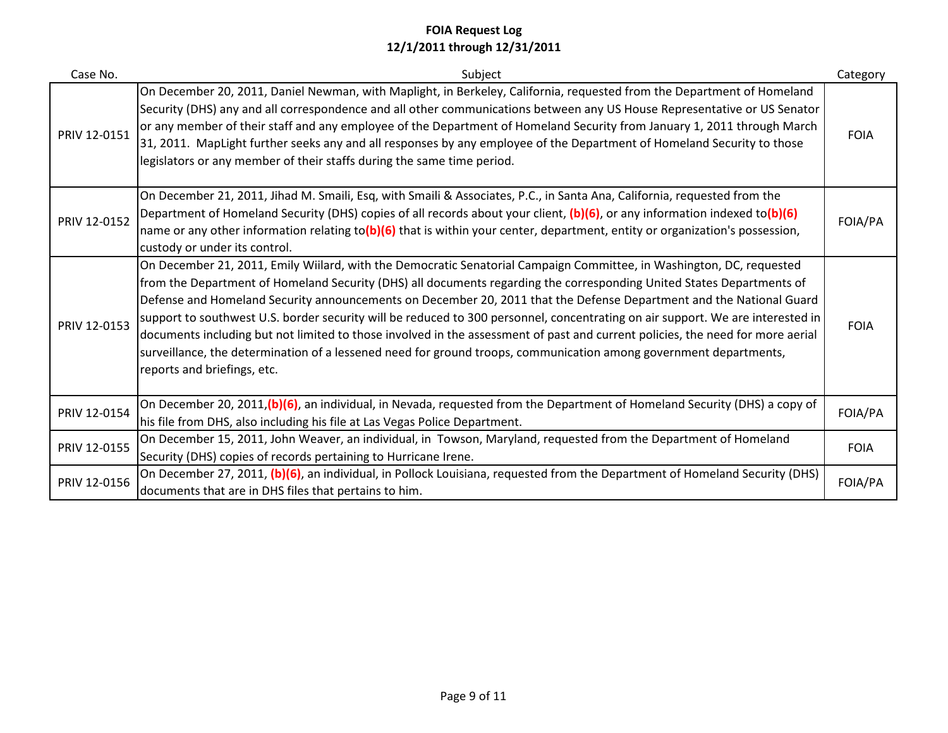| Case No.     | Subject                                                                                                                                                                                                                                                                                                                                                                                                                                                                                                                                                                                                                                                                                                                                                                                      | Category    |
|--------------|----------------------------------------------------------------------------------------------------------------------------------------------------------------------------------------------------------------------------------------------------------------------------------------------------------------------------------------------------------------------------------------------------------------------------------------------------------------------------------------------------------------------------------------------------------------------------------------------------------------------------------------------------------------------------------------------------------------------------------------------------------------------------------------------|-------------|
| PRIV 12-0151 | On December 20, 2011, Daniel Newman, with Maplight, in Berkeley, California, requested from the Department of Homeland<br>Security (DHS) any and all correspondence and all other communications between any US House Representative or US Senator<br>or any member of their staff and any employee of the Department of Homeland Security from January 1, 2011 through March<br>31, 2011. MapLight further seeks any and all responses by any employee of the Department of Homeland Security to those<br>legislators or any member of their staffs during the same time period.                                                                                                                                                                                                            | <b>FOIA</b> |
| PRIV 12-0152 | On December 21, 2011, Jihad M. Smaili, Esq, with Smaili & Associates, P.C., in Santa Ana, California, requested from the<br>Department of Homeland Security (DHS) copies of all records about your client, (b)(6), or any information indexed to(b)(6)<br>name or any other information relating to(b)(6) that is within your center, department, entity or organization's possession,<br>custody or under its control.                                                                                                                                                                                                                                                                                                                                                                      | FOIA/PA     |
| PRIV 12-0153 | On December 21, 2011, Emily Wiilard, with the Democratic Senatorial Campaign Committee, in Washington, DC, requested<br>from the Department of Homeland Security (DHS) all documents regarding the corresponding United States Departments of<br>Defense and Homeland Security announcements on December 20, 2011 that the Defense Department and the National Guard<br>support to southwest U.S. border security will be reduced to 300 personnel, concentrating on air support. We are interested in<br>documents including but not limited to those involved in the assessment of past and current policies, the need for more aerial<br>surveillance, the determination of a lessened need for ground troops, communication among government departments,<br>reports and briefings, etc. | <b>FOIA</b> |
| PRIV 12-0154 | On December 20, 2011,(b)(6), an individual, in Nevada, requested from the Department of Homeland Security (DHS) a copy of<br>his file from DHS, also including his file at Las Vegas Police Department.                                                                                                                                                                                                                                                                                                                                                                                                                                                                                                                                                                                      | FOIA/PA     |
| PRIV 12-0155 | On December 15, 2011, John Weaver, an individual, in Towson, Maryland, requested from the Department of Homeland<br>Security (DHS) copies of records pertaining to Hurricane Irene.                                                                                                                                                                                                                                                                                                                                                                                                                                                                                                                                                                                                          | <b>FOIA</b> |
| PRIV 12-0156 | On December 27, 2011, (b)(6), an individual, in Pollock Louisiana, requested from the Department of Homeland Security (DHS)<br>documents that are in DHS files that pertains to him.                                                                                                                                                                                                                                                                                                                                                                                                                                                                                                                                                                                                         | FOIA/PA     |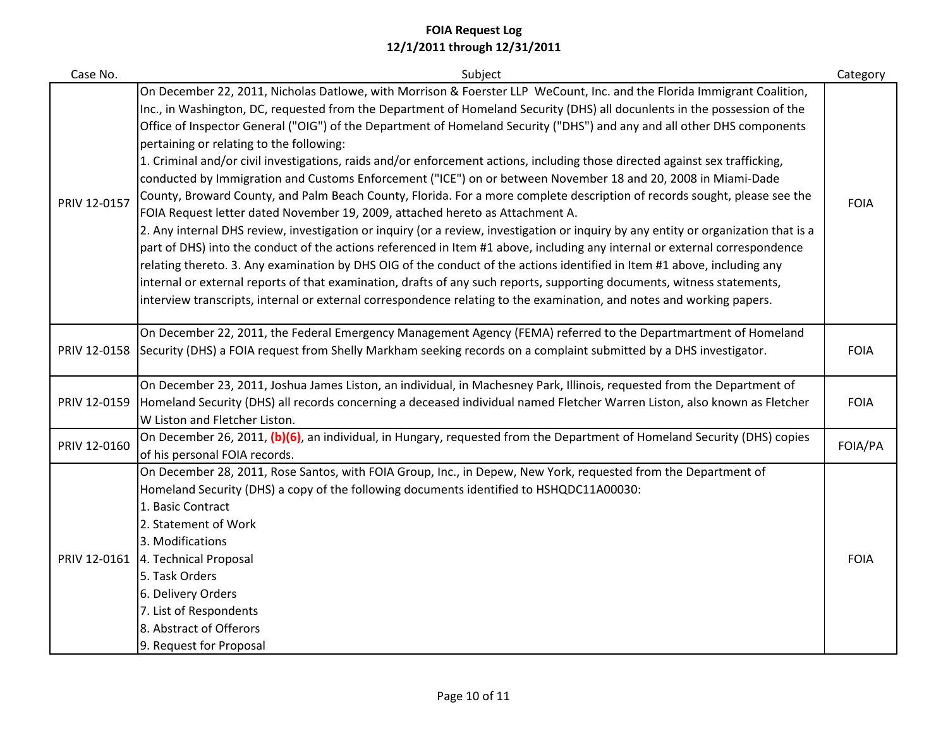| Case No.     | Subject                                                                                                                                                                                                                                                                                                                                                                                                                                                                                                                                                                                                                                                                                                                                                                                                                                                                                                                                                                                                                                                                                                                                                                                                                                                                                                                                                                                                                                                                                                                                          | Category    |
|--------------|--------------------------------------------------------------------------------------------------------------------------------------------------------------------------------------------------------------------------------------------------------------------------------------------------------------------------------------------------------------------------------------------------------------------------------------------------------------------------------------------------------------------------------------------------------------------------------------------------------------------------------------------------------------------------------------------------------------------------------------------------------------------------------------------------------------------------------------------------------------------------------------------------------------------------------------------------------------------------------------------------------------------------------------------------------------------------------------------------------------------------------------------------------------------------------------------------------------------------------------------------------------------------------------------------------------------------------------------------------------------------------------------------------------------------------------------------------------------------------------------------------------------------------------------------|-------------|
| PRIV 12-0157 | On December 22, 2011, Nicholas Datlowe, with Morrison & Foerster LLP WeCount, Inc. and the Florida Immigrant Coalition,<br>Inc., in Washington, DC, requested from the Department of Homeland Security (DHS) all docunlents in the possession of the<br>Office of Inspector General ("OIG") of the Department of Homeland Security ("DHS") and any and all other DHS components<br>pertaining or relating to the following:<br>1. Criminal and/or civil investigations, raids and/or enforcement actions, including those directed against sex trafficking,<br>conducted by Immigration and Customs Enforcement ("ICE") on or between November 18 and 20, 2008 in Miami-Dade<br>County, Broward County, and Palm Beach County, Florida. For a more complete description of records sought, please see the<br>FOIA Request letter dated November 19, 2009, attached hereto as Attachment A.<br>2. Any internal DHS review, investigation or inquiry (or a review, investigation or inquiry by any entity or organization that is a<br>part of DHS) into the conduct of the actions referenced in Item #1 above, including any internal or external correspondence<br>relating thereto. 3. Any examination by DHS OIG of the conduct of the actions identified in Item #1 above, including any<br>internal or external reports of that examination, drafts of any such reports, supporting documents, witness statements,<br>interview transcripts, internal or external correspondence relating to the examination, and notes and working papers. | <b>FOIA</b> |
| PRIV 12-0158 | On December 22, 2011, the Federal Emergency Management Agency (FEMA) referred to the Departmartment of Homeland<br>Security (DHS) a FOIA request from Shelly Markham seeking records on a complaint submitted by a DHS investigator.                                                                                                                                                                                                                                                                                                                                                                                                                                                                                                                                                                                                                                                                                                                                                                                                                                                                                                                                                                                                                                                                                                                                                                                                                                                                                                             | <b>FOIA</b> |
| PRIV 12-0159 | On December 23, 2011, Joshua James Liston, an individual, in Machesney Park, Illinois, requested from the Department of<br>Homeland Security (DHS) all records concerning a deceased individual named Fletcher Warren Liston, also known as Fletcher<br>W Liston and Fletcher Liston.                                                                                                                                                                                                                                                                                                                                                                                                                                                                                                                                                                                                                                                                                                                                                                                                                                                                                                                                                                                                                                                                                                                                                                                                                                                            | <b>FOIA</b> |
| PRIV 12-0160 | On December 26, 2011, (b)(6), an individual, in Hungary, requested from the Department of Homeland Security (DHS) copies<br>of his personal FOIA records.                                                                                                                                                                                                                                                                                                                                                                                                                                                                                                                                                                                                                                                                                                                                                                                                                                                                                                                                                                                                                                                                                                                                                                                                                                                                                                                                                                                        | FOIA/PA     |
| PRIV 12-0161 | On December 28, 2011, Rose Santos, with FOIA Group, Inc., in Depew, New York, requested from the Department of<br>Homeland Security (DHS) a copy of the following documents identified to HSHQDC11A00030:<br>1. Basic Contract<br>2. Statement of Work<br>3. Modifications<br>4. Technical Proposal<br>5. Task Orders<br>6. Delivery Orders<br>7. List of Respondents<br>8. Abstract of Offerors<br>9. Request for Proposal                                                                                                                                                                                                                                                                                                                                                                                                                                                                                                                                                                                                                                                                                                                                                                                                                                                                                                                                                                                                                                                                                                                      | <b>FOIA</b> |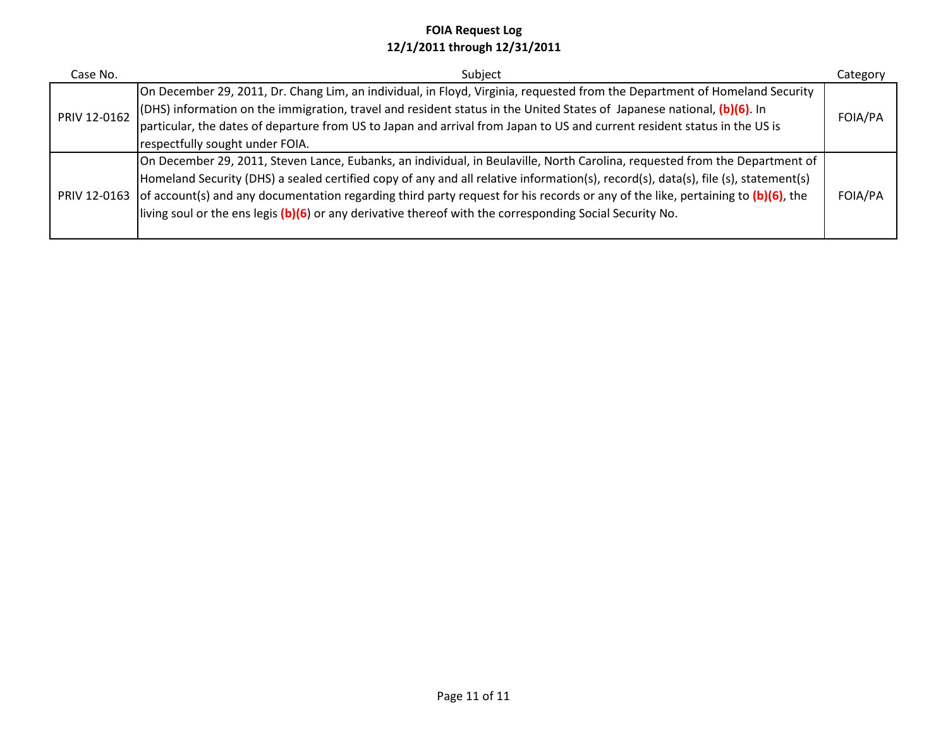| Case No.     | Subject                                                                                                                                      | Category |
|--------------|----------------------------------------------------------------------------------------------------------------------------------------------|----------|
|              | On December 29, 2011, Dr. Chang Lim, an individual, in Floyd, Virginia, requested from the Department of Homeland Security                   |          |
| PRIV 12-0162 | (DHS) information on the immigration, travel and resident status in the United States of Japanese national, (b)(6). In                       | FOIA/PA  |
|              | particular, the dates of departure from US to Japan and arrival from Japan to US and current resident status in the US is                    |          |
|              | respectfully sought under FOIA.                                                                                                              |          |
|              | On December 29, 2011, Steven Lance, Eubanks, an individual, in Beulaville, North Carolina, requested from the Department of                  |          |
|              | Homeland Security (DHS) a sealed certified copy of any and all relative information(s), record(s), data(s), file (s), statement(s)           |          |
|              | PRIV 12-0163 of account(s) and any documentation regarding third party request for his records or any of the like, pertaining to (b)(6), the | FOIA/PA  |
|              | living soul or the ens legis (b)(6) or any derivative thereof with the corresponding Social Security No.                                     |          |
|              |                                                                                                                                              |          |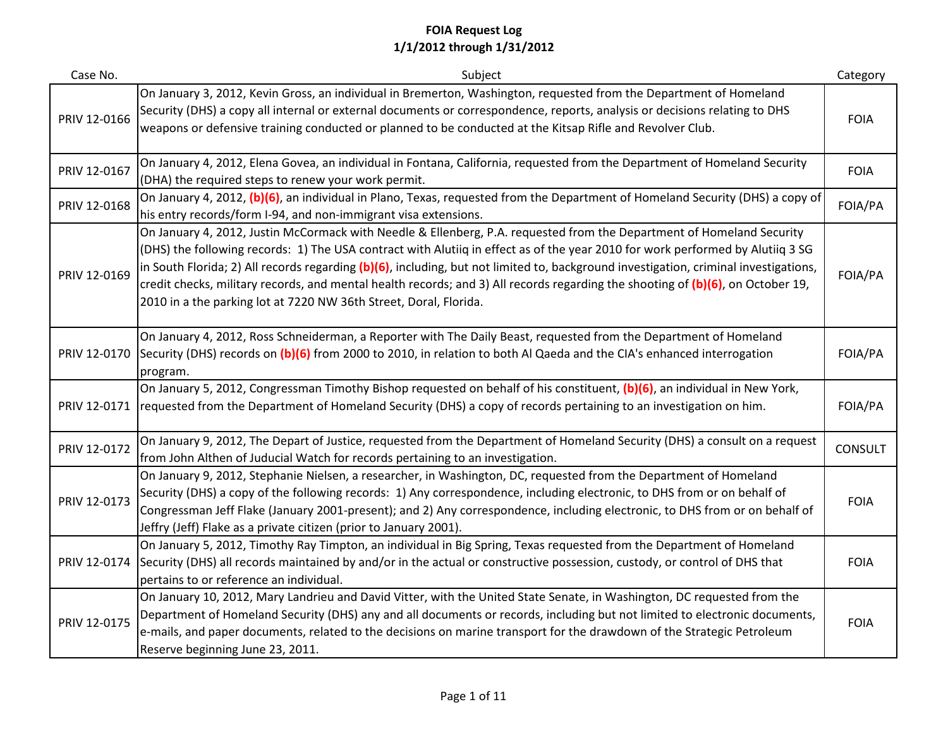| Case No.     | Subject                                                                                                                                                                                                                                                                                                                                                                                                                                                                                                                                                                                                 | Category       |
|--------------|---------------------------------------------------------------------------------------------------------------------------------------------------------------------------------------------------------------------------------------------------------------------------------------------------------------------------------------------------------------------------------------------------------------------------------------------------------------------------------------------------------------------------------------------------------------------------------------------------------|----------------|
| PRIV 12-0166 | On January 3, 2012, Kevin Gross, an individual in Bremerton, Washington, requested from the Department of Homeland<br>Security (DHS) a copy all internal or external documents or correspondence, reports, analysis or decisions relating to DHS<br>weapons or defensive training conducted or planned to be conducted at the Kitsap Rifle and Revolver Club.                                                                                                                                                                                                                                           | <b>FOIA</b>    |
| PRIV 12-0167 | On January 4, 2012, Elena Govea, an individual in Fontana, California, requested from the Department of Homeland Security<br>(DHA) the required steps to renew your work permit.                                                                                                                                                                                                                                                                                                                                                                                                                        | <b>FOIA</b>    |
| PRIV 12-0168 | On January 4, 2012, (b)(6), an individual in Plano, Texas, requested from the Department of Homeland Security (DHS) a copy of<br>his entry records/form I-94, and non-immigrant visa extensions.                                                                                                                                                                                                                                                                                                                                                                                                        | FOIA/PA        |
| PRIV 12-0169 | On January 4, 2012, Justin McCormack with Needle & Ellenberg, P.A. requested from the Department of Homeland Security<br>(DHS) the following records: 1) The USA contract with Alutiiq in effect as of the year 2010 for work performed by Alutiiq 3 SG<br>in South Florida; 2) All records regarding (b)(6), including, but not limited to, background investigation, criminal investigations,<br>credit checks, military records, and mental health records; and 3) All records regarding the shooting of (b)(6), on October 19,<br>2010 in a the parking lot at 7220 NW 36th Street, Doral, Florida. | FOIA/PA        |
| PRIV 12-0170 | On January 4, 2012, Ross Schneiderman, a Reporter with The Daily Beast, requested from the Department of Homeland<br>Security (DHS) records on (b)(6) from 2000 to 2010, in relation to both Al Qaeda and the CIA's enhanced interrogation<br>program.                                                                                                                                                                                                                                                                                                                                                  | FOIA/PA        |
|              | On January 5, 2012, Congressman Timothy Bishop requested on behalf of his constituent, (b)(6), an individual in New York,<br>PRIV 12-0171 requested from the Department of Homeland Security (DHS) a copy of records pertaining to an investigation on him.                                                                                                                                                                                                                                                                                                                                             | FOIA/PA        |
| PRIV 12-0172 | On January 9, 2012, The Depart of Justice, requested from the Department of Homeland Security (DHS) a consult on a request<br>from John Althen of Juducial Watch for records pertaining to an investigation.                                                                                                                                                                                                                                                                                                                                                                                            | <b>CONSULT</b> |
| PRIV 12-0173 | On January 9, 2012, Stephanie Nielsen, a researcher, in Washington, DC, requested from the Department of Homeland<br>Security (DHS) a copy of the following records: 1) Any correspondence, including electronic, to DHS from or on behalf of<br>Congressman Jeff Flake (January 2001-present); and 2) Any correspondence, including electronic, to DHS from or on behalf of<br>Jeffry (Jeff) Flake as a private citizen (prior to January 2001).                                                                                                                                                       | <b>FOIA</b>    |
| PRIV 12-0174 | On January 5, 2012, Timothy Ray Timpton, an individual in Big Spring, Texas requested from the Department of Homeland<br>Security (DHS) all records maintained by and/or in the actual or constructive possession, custody, or control of DHS that<br>pertains to or reference an individual.                                                                                                                                                                                                                                                                                                           | <b>FOIA</b>    |
| PRIV 12-0175 | On January 10, 2012, Mary Landrieu and David Vitter, with the United State Senate, in Washington, DC requested from the<br>Department of Homeland Security (DHS) any and all documents or records, including but not limited to electronic documents,<br>e-mails, and paper documents, related to the decisions on marine transport for the drawdown of the Strategic Petroleum<br>Reserve beginning June 23, 2011.                                                                                                                                                                                     | <b>FOIA</b>    |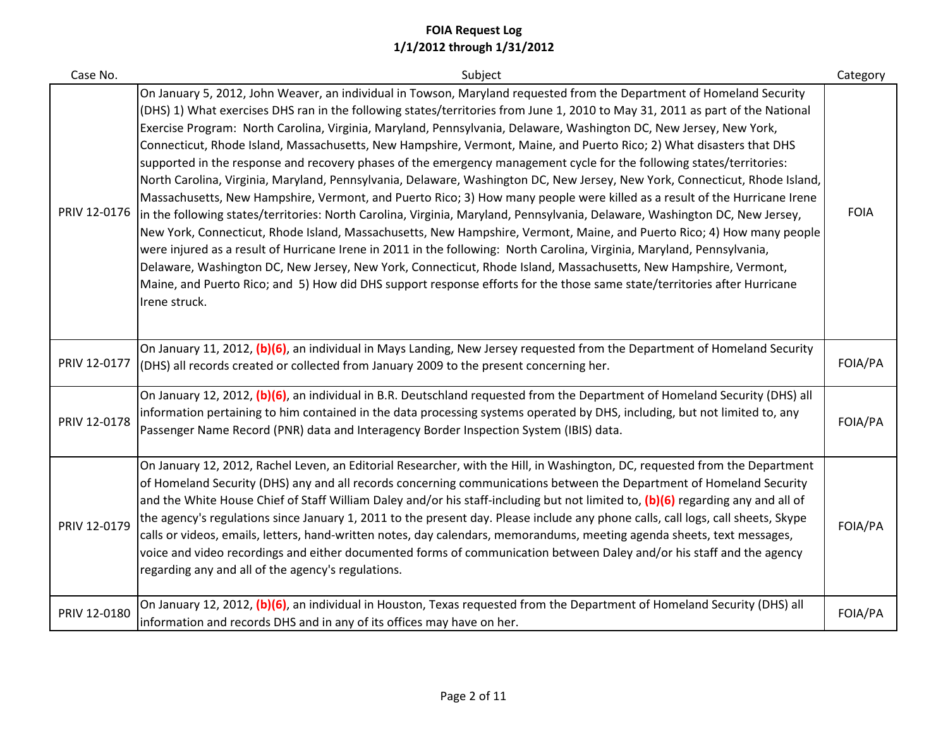| Case No.     | Subject                                                                                                                                                                                                                                                                                                                                                                                                                                                                                                                                                                                                                                                                                                                                                                                                                                                                                                                                                                                                                                                                                                                                                                                                                                                                                                                                                                                                                                                                                                                                        | Category    |
|--------------|------------------------------------------------------------------------------------------------------------------------------------------------------------------------------------------------------------------------------------------------------------------------------------------------------------------------------------------------------------------------------------------------------------------------------------------------------------------------------------------------------------------------------------------------------------------------------------------------------------------------------------------------------------------------------------------------------------------------------------------------------------------------------------------------------------------------------------------------------------------------------------------------------------------------------------------------------------------------------------------------------------------------------------------------------------------------------------------------------------------------------------------------------------------------------------------------------------------------------------------------------------------------------------------------------------------------------------------------------------------------------------------------------------------------------------------------------------------------------------------------------------------------------------------------|-------------|
| PRIV 12-0176 | On January 5, 2012, John Weaver, an individual in Towson, Maryland requested from the Department of Homeland Security<br>(DHS) 1) What exercises DHS ran in the following states/territories from June 1, 2010 to May 31, 2011 as part of the National<br>Exercise Program: North Carolina, Virginia, Maryland, Pennsylvania, Delaware, Washington DC, New Jersey, New York,<br>Connecticut, Rhode Island, Massachusetts, New Hampshire, Vermont, Maine, and Puerto Rico; 2) What disasters that DHS<br>supported in the response and recovery phases of the emergency management cycle for the following states/territories:<br>North Carolina, Virginia, Maryland, Pennsylvania, Delaware, Washington DC, New Jersey, New York, Connecticut, Rhode Island,<br>Massachusetts, New Hampshire, Vermont, and Puerto Rico; 3) How many people were killed as a result of the Hurricane Irene<br>in the following states/territories: North Carolina, Virginia, Maryland, Pennsylvania, Delaware, Washington DC, New Jersey,<br>New York, Connecticut, Rhode Island, Massachusetts, New Hampshire, Vermont, Maine, and Puerto Rico; 4) How many people<br>were injured as a result of Hurricane Irene in 2011 in the following: North Carolina, Virginia, Maryland, Pennsylvania,<br>Delaware, Washington DC, New Jersey, New York, Connecticut, Rhode Island, Massachusetts, New Hampshire, Vermont,<br>Maine, and Puerto Rico; and 5) How did DHS support response efforts for the those same state/territories after Hurricane<br>Irene struck. | <b>FOIA</b> |
| PRIV 12-0177 | On January 11, 2012, (b)(6), an individual in Mays Landing, New Jersey requested from the Department of Homeland Security<br>(DHS) all records created or collected from January 2009 to the present concerning her.                                                                                                                                                                                                                                                                                                                                                                                                                                                                                                                                                                                                                                                                                                                                                                                                                                                                                                                                                                                                                                                                                                                                                                                                                                                                                                                           | FOIA/PA     |
| PRIV 12-0178 | On January 12, 2012, (b)(6), an individual in B.R. Deutschland requested from the Department of Homeland Security (DHS) all<br>information pertaining to him contained in the data processing systems operated by DHS, including, but not limited to, any<br>Passenger Name Record (PNR) data and Interagency Border Inspection System (IBIS) data.                                                                                                                                                                                                                                                                                                                                                                                                                                                                                                                                                                                                                                                                                                                                                                                                                                                                                                                                                                                                                                                                                                                                                                                            | FOIA/PA     |
| PRIV 12-0179 | On January 12, 2012, Rachel Leven, an Editorial Researcher, with the Hill, in Washington, DC, requested from the Department<br>of Homeland Security (DHS) any and all records concerning communications between the Department of Homeland Security<br>and the White House Chief of Staff William Daley and/or his staff-including but not limited to, (b)(6) regarding any and all of<br>the agency's regulations since January 1, 2011 to the present day. Please include any phone calls, call logs, call sheets, Skype<br>calls or videos, emails, letters, hand-written notes, day calendars, memorandums, meeting agenda sheets, text messages,<br>voice and video recordings and either documented forms of communication between Daley and/or his staff and the agency<br>regarding any and all of the agency's regulations.                                                                                                                                                                                                                                                                                                                                                                                                                                                                                                                                                                                                                                                                                                           | FOIA/PA     |
| PRIV 12-0180 | On January 12, 2012, (b)(6), an individual in Houston, Texas requested from the Department of Homeland Security (DHS) all<br>information and records DHS and in any of its offices may have on her.                                                                                                                                                                                                                                                                                                                                                                                                                                                                                                                                                                                                                                                                                                                                                                                                                                                                                                                                                                                                                                                                                                                                                                                                                                                                                                                                            | FOIA/PA     |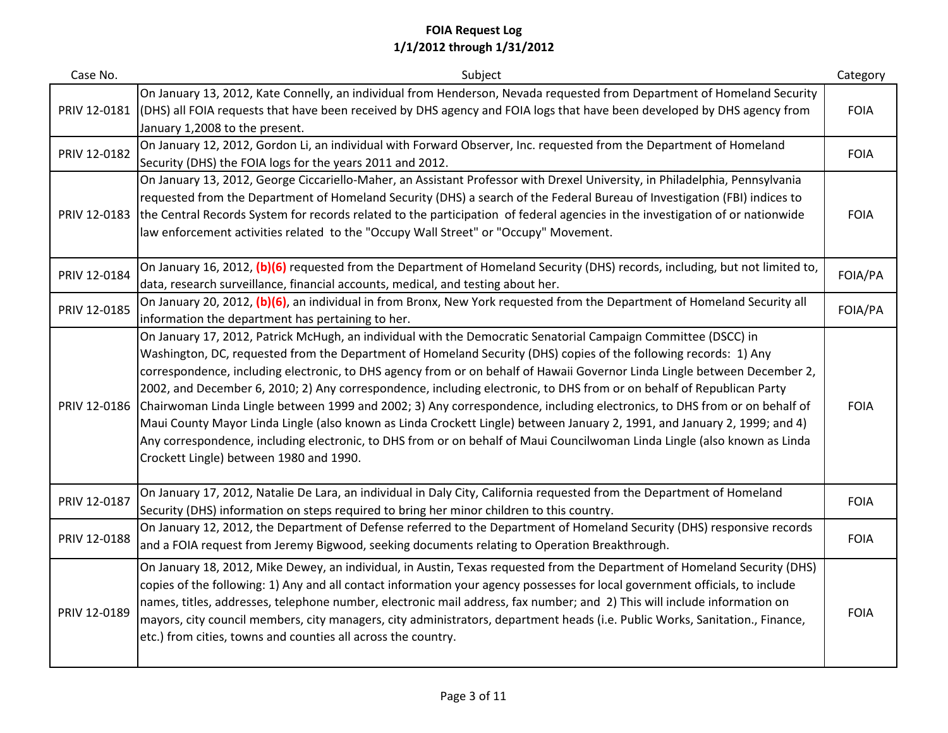| Case No.     | Subject                                                                                                                                                                                                                                                                                                                                                                                                                                                                                                                                                                                                                                                                                                                                                                                                                                                                                                                   | Category    |
|--------------|---------------------------------------------------------------------------------------------------------------------------------------------------------------------------------------------------------------------------------------------------------------------------------------------------------------------------------------------------------------------------------------------------------------------------------------------------------------------------------------------------------------------------------------------------------------------------------------------------------------------------------------------------------------------------------------------------------------------------------------------------------------------------------------------------------------------------------------------------------------------------------------------------------------------------|-------------|
| PRIV 12-0181 | On January 13, 2012, Kate Connelly, an individual from Henderson, Nevada requested from Department of Homeland Security<br>(DHS) all FOIA requests that have been received by DHS agency and FOIA logs that have been developed by DHS agency from<br>January 1,2008 to the present.                                                                                                                                                                                                                                                                                                                                                                                                                                                                                                                                                                                                                                      | <b>FOIA</b> |
| PRIV 12-0182 | On January 12, 2012, Gordon Li, an individual with Forward Observer, Inc. requested from the Department of Homeland<br>Security (DHS) the FOIA logs for the years 2011 and 2012.                                                                                                                                                                                                                                                                                                                                                                                                                                                                                                                                                                                                                                                                                                                                          | <b>FOIA</b> |
| PRIV 12-0183 | On January 13, 2012, George Ciccariello-Maher, an Assistant Professor with Drexel University, in Philadelphia, Pennsylvania<br>requested from the Department of Homeland Security (DHS) a search of the Federal Bureau of Investigation (FBI) indices to<br>the Central Records System for records related to the participation of federal agencies in the investigation of or nationwide<br>law enforcement activities related to the "Occupy Wall Street" or "Occupy" Movement.                                                                                                                                                                                                                                                                                                                                                                                                                                         | <b>FOIA</b> |
| PRIV 12-0184 | On January 16, 2012, (b)(6) requested from the Department of Homeland Security (DHS) records, including, but not limited to,<br>data, research surveillance, financial accounts, medical, and testing about her.                                                                                                                                                                                                                                                                                                                                                                                                                                                                                                                                                                                                                                                                                                          | FOIA/PA     |
| PRIV 12-0185 | On January 20, 2012, (b)(6), an individual in from Bronx, New York requested from the Department of Homeland Security all<br>information the department has pertaining to her.                                                                                                                                                                                                                                                                                                                                                                                                                                                                                                                                                                                                                                                                                                                                            | FOIA/PA     |
| PRIV 12-0186 | On January 17, 2012, Patrick McHugh, an individual with the Democratic Senatorial Campaign Committee (DSCC) in<br>Washington, DC, requested from the Department of Homeland Security (DHS) copies of the following records: 1) Any<br>correspondence, including electronic, to DHS agency from or on behalf of Hawaii Governor Linda Lingle between December 2,<br>2002, and December 6, 2010; 2) Any correspondence, including electronic, to DHS from or on behalf of Republican Party<br>Chairwoman Linda Lingle between 1999 and 2002; 3) Any correspondence, including electronics, to DHS from or on behalf of<br>Maui County Mayor Linda Lingle (also known as Linda Crockett Lingle) between January 2, 1991, and January 2, 1999; and 4)<br>Any correspondence, including electronic, to DHS from or on behalf of Maui Councilwoman Linda Lingle (also known as Linda<br>Crockett Lingle) between 1980 and 1990. | <b>FOIA</b> |
| PRIV 12-0187 | On January 17, 2012, Natalie De Lara, an individual in Daly City, California requested from the Department of Homeland<br>Security (DHS) information on steps required to bring her minor children to this country.                                                                                                                                                                                                                                                                                                                                                                                                                                                                                                                                                                                                                                                                                                       | <b>FOIA</b> |
| PRIV 12-0188 | On January 12, 2012, the Department of Defense referred to the Department of Homeland Security (DHS) responsive records<br>and a FOIA request from Jeremy Bigwood, seeking documents relating to Operation Breakthrough.                                                                                                                                                                                                                                                                                                                                                                                                                                                                                                                                                                                                                                                                                                  | <b>FOIA</b> |
| PRIV 12-0189 | On January 18, 2012, Mike Dewey, an individual, in Austin, Texas requested from the Department of Homeland Security (DHS)<br>copies of the following: 1) Any and all contact information your agency possesses for local government officials, to include<br>names, titles, addresses, telephone number, electronic mail address, fax number; and 2) This will include information on<br>mayors, city council members, city managers, city administrators, department heads (i.e. Public Works, Sanitation., Finance,<br>etc.) from cities, towns and counties all across the country.                                                                                                                                                                                                                                                                                                                                    | <b>FOIA</b> |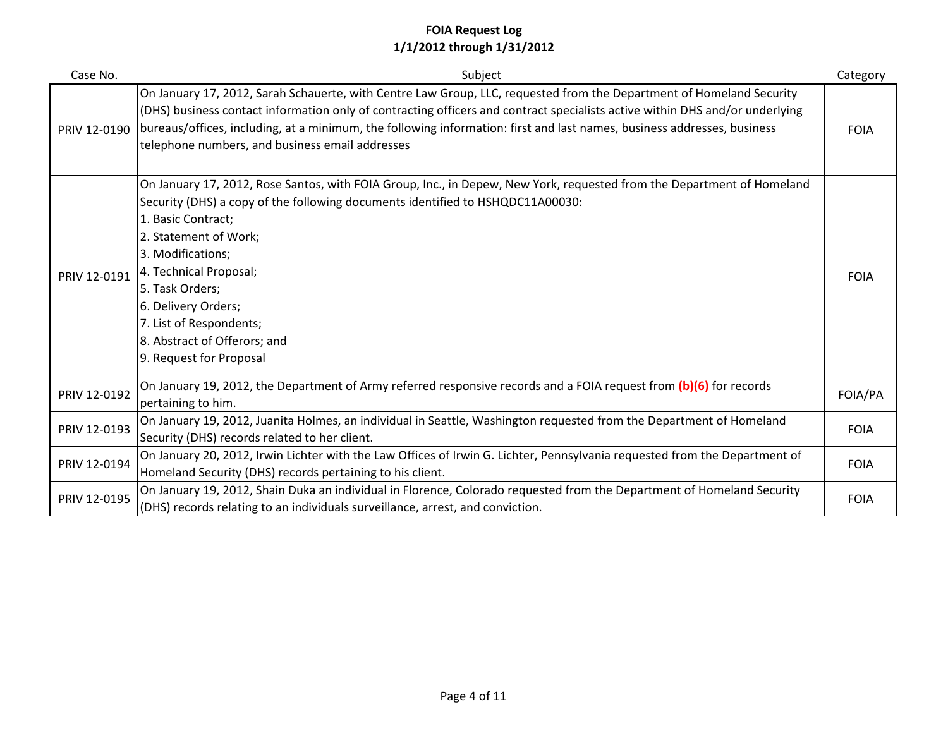| Case No.     | Subject                                                                                                                                                                                                                                                                                                                                                                                                                                | Category    |
|--------------|----------------------------------------------------------------------------------------------------------------------------------------------------------------------------------------------------------------------------------------------------------------------------------------------------------------------------------------------------------------------------------------------------------------------------------------|-------------|
| PRIV 12-0190 | On January 17, 2012, Sarah Schauerte, with Centre Law Group, LLC, requested from the Department of Homeland Security<br>(DHS) business contact information only of contracting officers and contract specialists active within DHS and/or underlying<br>bureaus/offices, including, at a minimum, the following information: first and last names, business addresses, business<br>telephone numbers, and business email addresses     | <b>FOIA</b> |
| PRIV 12-0191 | On January 17, 2012, Rose Santos, with FOIA Group, Inc., in Depew, New York, requested from the Department of Homeland<br>Security (DHS) a copy of the following documents identified to HSHQDC11A00030:<br>1. Basic Contract;<br>2. Statement of Work;<br>3. Modifications;<br>4. Technical Proposal;<br>5. Task Orders;<br>6. Delivery Orders;<br>7. List of Respondents;<br>8. Abstract of Offerors; and<br>9. Request for Proposal | <b>FOIA</b> |
| PRIV 12-0192 | On January 19, 2012, the Department of Army referred responsive records and a FOIA request from (b)(6) for records<br>pertaining to him.                                                                                                                                                                                                                                                                                               | FOIA/PA     |
| PRIV 12-0193 | On January 19, 2012, Juanita Holmes, an individual in Seattle, Washington requested from the Department of Homeland<br>Security (DHS) records related to her client.                                                                                                                                                                                                                                                                   | <b>FOIA</b> |
| PRIV 12-0194 | On January 20, 2012, Irwin Lichter with the Law Offices of Irwin G. Lichter, Pennsylvania requested from the Department of<br>Homeland Security (DHS) records pertaining to his client.                                                                                                                                                                                                                                                | <b>FOIA</b> |
| PRIV 12-0195 | On January 19, 2012, Shain Duka an individual in Florence, Colorado requested from the Department of Homeland Security<br>(DHS) records relating to an individuals surveillance, arrest, and conviction.                                                                                                                                                                                                                               | <b>FOIA</b> |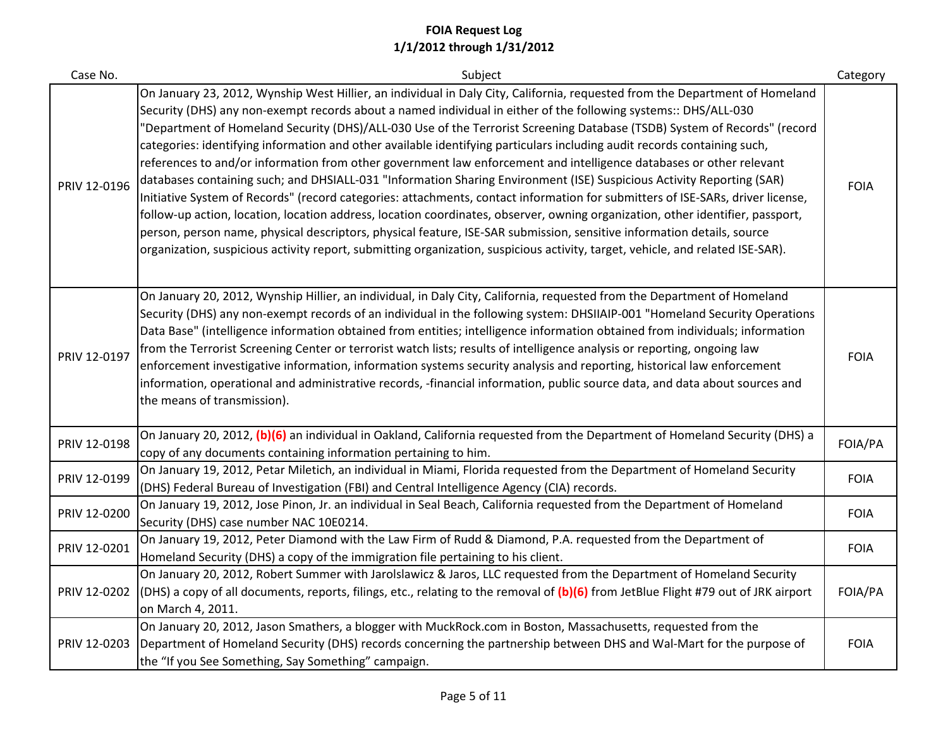| Case No.     | Subject                                                                                                                                                                                                                                                                                                                                                                                                                                                                                                                                                                                                                                                                                                                                                                                                                                                                                                                                                                                                                                                                                                                                                                                                                                                                                 | Category    |
|--------------|-----------------------------------------------------------------------------------------------------------------------------------------------------------------------------------------------------------------------------------------------------------------------------------------------------------------------------------------------------------------------------------------------------------------------------------------------------------------------------------------------------------------------------------------------------------------------------------------------------------------------------------------------------------------------------------------------------------------------------------------------------------------------------------------------------------------------------------------------------------------------------------------------------------------------------------------------------------------------------------------------------------------------------------------------------------------------------------------------------------------------------------------------------------------------------------------------------------------------------------------------------------------------------------------|-------------|
| PRIV 12-0196 | On January 23, 2012, Wynship West Hillier, an individual in Daly City, California, requested from the Department of Homeland<br>Security (DHS) any non-exempt records about a named individual in either of the following systems:: DHS/ALL-030<br>"Department of Homeland Security (DHS)/ALL-030 Use of the Terrorist Screening Database (TSDB) System of Records" (record<br>categories: identifying information and other available identifying particulars including audit records containing such,<br>references to and/or information from other government law enforcement and intelligence databases or other relevant<br>databases containing such; and DHSIALL-031 "Information Sharing Environment (ISE) Suspicious Activity Reporting (SAR)<br>Initiative System of Records" (record categories: attachments, contact information for submitters of ISE-SARs, driver license,<br>follow-up action, location, location address, location coordinates, observer, owning organization, other identifier, passport,<br>person, person name, physical descriptors, physical feature, ISE-SAR submission, sensitive information details, source<br>organization, suspicious activity report, submitting organization, suspicious activity, target, vehicle, and related ISE-SAR). | <b>FOIA</b> |
| PRIV 12-0197 | On January 20, 2012, Wynship Hillier, an individual, in Daly City, California, requested from the Department of Homeland<br>Security (DHS) any non-exempt records of an individual in the following system: DHSIIAIP-001 "Homeland Security Operations<br>Data Base" (intelligence information obtained from entities; intelligence information obtained from individuals; information<br>from the Terrorist Screening Center or terrorist watch lists; results of intelligence analysis or reporting, ongoing law<br>enforcement investigative information, information systems security analysis and reporting, historical law enforcement<br>information, operational and administrative records, -financial information, public source data, and data about sources and<br>the means of transmission).                                                                                                                                                                                                                                                                                                                                                                                                                                                                              | <b>FOIA</b> |
| PRIV 12-0198 | On January 20, 2012, (b)(6) an individual in Oakland, California requested from the Department of Homeland Security (DHS) a<br>copy of any documents containing information pertaining to him.                                                                                                                                                                                                                                                                                                                                                                                                                                                                                                                                                                                                                                                                                                                                                                                                                                                                                                                                                                                                                                                                                          | FOIA/PA     |
| PRIV 12-0199 | On January 19, 2012, Petar Miletich, an individual in Miami, Florida requested from the Department of Homeland Security<br>(DHS) Federal Bureau of Investigation (FBI) and Central Intelligence Agency (CIA) records.                                                                                                                                                                                                                                                                                                                                                                                                                                                                                                                                                                                                                                                                                                                                                                                                                                                                                                                                                                                                                                                                   | <b>FOIA</b> |
| PRIV 12-0200 | On January 19, 2012, Jose Pinon, Jr. an individual in Seal Beach, California requested from the Department of Homeland<br>Security (DHS) case number NAC 10E0214.                                                                                                                                                                                                                                                                                                                                                                                                                                                                                                                                                                                                                                                                                                                                                                                                                                                                                                                                                                                                                                                                                                                       | <b>FOIA</b> |
| PRIV 12-0201 | On January 19, 2012, Peter Diamond with the Law Firm of Rudd & Diamond, P.A. requested from the Department of<br>Homeland Security (DHS) a copy of the immigration file pertaining to his client.                                                                                                                                                                                                                                                                                                                                                                                                                                                                                                                                                                                                                                                                                                                                                                                                                                                                                                                                                                                                                                                                                       | <b>FOIA</b> |
| PRIV 12-0202 | On January 20, 2012, Robert Summer with Jarolslawicz & Jaros, LLC requested from the Department of Homeland Security<br>(DHS) a copy of all documents, reports, filings, etc., relating to the removal of $(b)(6)$ from JetBlue Flight #79 out of JRK airport<br>on March 4, 2011.                                                                                                                                                                                                                                                                                                                                                                                                                                                                                                                                                                                                                                                                                                                                                                                                                                                                                                                                                                                                      | FOIA/PA     |
| PRIV 12-0203 | On January 20, 2012, Jason Smathers, a blogger with MuckRock.com in Boston, Massachusetts, requested from the<br>Department of Homeland Security (DHS) records concerning the partnership between DHS and Wal-Mart for the purpose of<br>the "If you See Something, Say Something" campaign.                                                                                                                                                                                                                                                                                                                                                                                                                                                                                                                                                                                                                                                                                                                                                                                                                                                                                                                                                                                            | <b>FOIA</b> |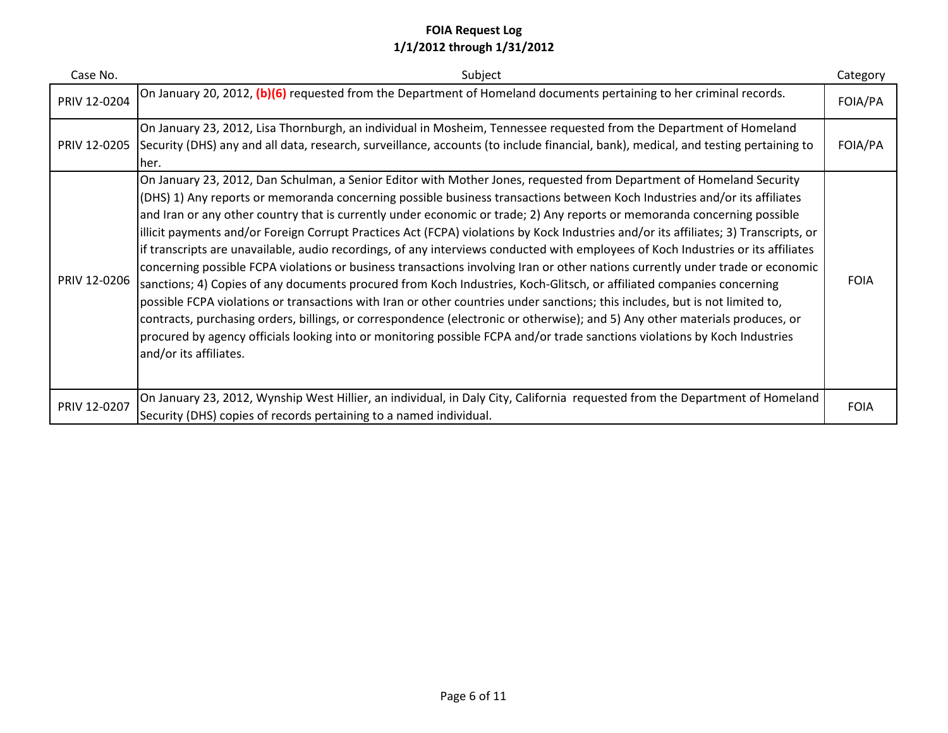| Case No.     | Subject                                                                                                                                                                                                                                                                                                                                                                                                                                                                                                                                                                                                                                                                                                                                                                                                                                                                                                                                                                                                                                                                                                                                                                                                                                                                                                                                       | Category    |
|--------------|-----------------------------------------------------------------------------------------------------------------------------------------------------------------------------------------------------------------------------------------------------------------------------------------------------------------------------------------------------------------------------------------------------------------------------------------------------------------------------------------------------------------------------------------------------------------------------------------------------------------------------------------------------------------------------------------------------------------------------------------------------------------------------------------------------------------------------------------------------------------------------------------------------------------------------------------------------------------------------------------------------------------------------------------------------------------------------------------------------------------------------------------------------------------------------------------------------------------------------------------------------------------------------------------------------------------------------------------------|-------------|
| PRIV 12-0204 | On January 20, 2012, (b)(6) requested from the Department of Homeland documents pertaining to her criminal records.                                                                                                                                                                                                                                                                                                                                                                                                                                                                                                                                                                                                                                                                                                                                                                                                                                                                                                                                                                                                                                                                                                                                                                                                                           | FOIA/PA     |
| PRIV 12-0205 | On January 23, 2012, Lisa Thornburgh, an individual in Mosheim, Tennessee requested from the Department of Homeland<br>Security (DHS) any and all data, research, surveillance, accounts (to include financial, bank), medical, and testing pertaining to<br>her.                                                                                                                                                                                                                                                                                                                                                                                                                                                                                                                                                                                                                                                                                                                                                                                                                                                                                                                                                                                                                                                                             | FOIA/PA     |
| PRIV 12-0206 | On January 23, 2012, Dan Schulman, a Senior Editor with Mother Jones, requested from Department of Homeland Security<br>(DHS) 1) Any reports or memoranda concerning possible business transactions between Koch Industries and/or its affiliates<br>and Iran or any other country that is currently under economic or trade; 2) Any reports or memoranda concerning possible<br>illicit payments and/or Foreign Corrupt Practices Act (FCPA) violations by Kock Industries and/or its affiliates; 3) Transcripts, or<br>if transcripts are unavailable, audio recordings, of any interviews conducted with employees of Koch Industries or its affiliates<br>concerning possible FCPA violations or business transactions involving Iran or other nations currently under trade or economic<br>sanctions; 4) Copies of any documents procured from Koch Industries, Koch-Glitsch, or affiliated companies concerning<br>possible FCPA violations or transactions with Iran or other countries under sanctions; this includes, but is not limited to,<br>contracts, purchasing orders, billings, or correspondence (electronic or otherwise); and 5) Any other materials produces, or<br>procured by agency officials looking into or monitoring possible FCPA and/or trade sanctions violations by Koch Industries<br>and/or its affiliates. | <b>FOIA</b> |
| PRIV 12-0207 | On January 23, 2012, Wynship West Hillier, an individual, in Daly City, California requested from the Department of Homeland<br>Security (DHS) copies of records pertaining to a named individual.                                                                                                                                                                                                                                                                                                                                                                                                                                                                                                                                                                                                                                                                                                                                                                                                                                                                                                                                                                                                                                                                                                                                            | <b>FOIA</b> |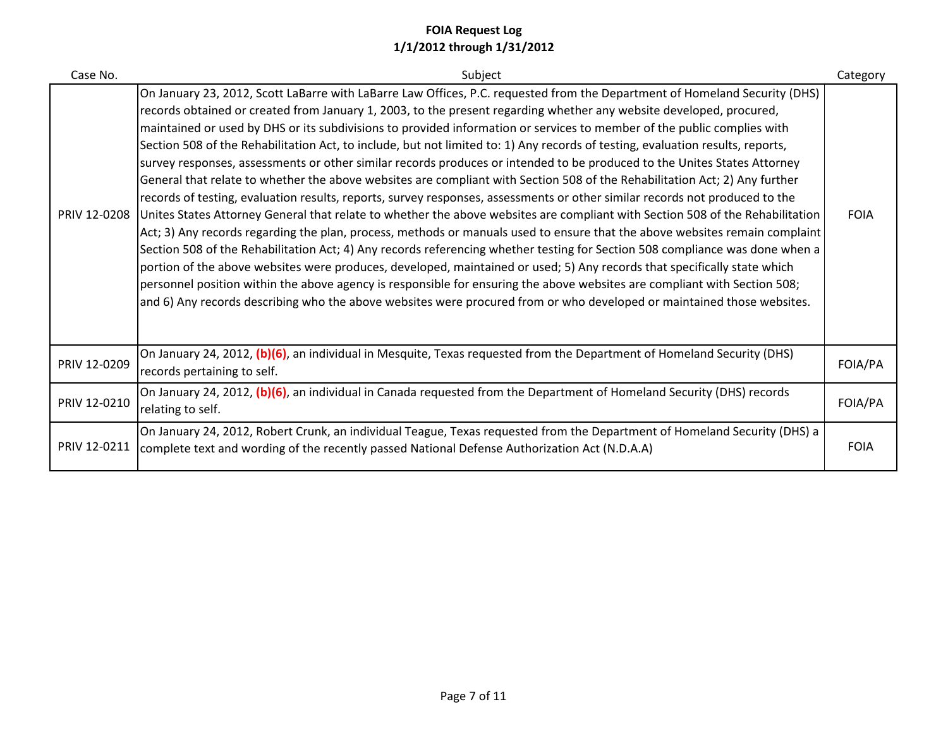| Case No.     | Subject                                                                                                                                                                                                                                                                                                                                                                                                                                                                                                                                                                                                                                                                                                                                                                                                                                                                                                                                                                                                                                                                                                                                                                                                                                                                                                                                                                                                                                                                                                                                                                                                                                                                                    | Category    |
|--------------|--------------------------------------------------------------------------------------------------------------------------------------------------------------------------------------------------------------------------------------------------------------------------------------------------------------------------------------------------------------------------------------------------------------------------------------------------------------------------------------------------------------------------------------------------------------------------------------------------------------------------------------------------------------------------------------------------------------------------------------------------------------------------------------------------------------------------------------------------------------------------------------------------------------------------------------------------------------------------------------------------------------------------------------------------------------------------------------------------------------------------------------------------------------------------------------------------------------------------------------------------------------------------------------------------------------------------------------------------------------------------------------------------------------------------------------------------------------------------------------------------------------------------------------------------------------------------------------------------------------------------------------------------------------------------------------------|-------------|
| PRIV 12-0208 | On January 23, 2012, Scott LaBarre with LaBarre Law Offices, P.C. requested from the Department of Homeland Security (DHS)<br>records obtained or created from January 1, 2003, to the present regarding whether any website developed, procured,<br>maintained or used by DHS or its subdivisions to provided information or services to member of the public complies with<br>Section 508 of the Rehabilitation Act, to include, but not limited to: 1) Any records of testing, evaluation results, reports,<br>survey responses, assessments or other similar records produces or intended to be produced to the Unites States Attorney<br>General that relate to whether the above websites are compliant with Section 508 of the Rehabilitation Act; 2) Any further<br>records of testing, evaluation results, reports, survey responses, assessments or other similar records not produced to the<br>Unites States Attorney General that relate to whether the above websites are compliant with Section 508 of the Rehabilitation<br>Act; 3) Any records regarding the plan, process, methods or manuals used to ensure that the above websites remain complaint<br>Section 508 of the Rehabilitation Act; 4) Any records referencing whether testing for Section 508 compliance was done when a<br>portion of the above websites were produces, developed, maintained or used; 5) Any records that specifically state which<br>personnel position within the above agency is responsible for ensuring the above websites are compliant with Section 508;<br>and 6) Any records describing who the above websites were procured from or who developed or maintained those websites. | <b>FOIA</b> |
| PRIV 12-0209 | On January 24, 2012, (b)(6), an individual in Mesquite, Texas requested from the Department of Homeland Security (DHS)<br>records pertaining to self.                                                                                                                                                                                                                                                                                                                                                                                                                                                                                                                                                                                                                                                                                                                                                                                                                                                                                                                                                                                                                                                                                                                                                                                                                                                                                                                                                                                                                                                                                                                                      | FOIA/PA     |
| PRIV 12-0210 | On January 24, 2012, (b)(6), an individual in Canada requested from the Department of Homeland Security (DHS) records<br>relating to self.                                                                                                                                                                                                                                                                                                                                                                                                                                                                                                                                                                                                                                                                                                                                                                                                                                                                                                                                                                                                                                                                                                                                                                                                                                                                                                                                                                                                                                                                                                                                                 | FOIA/PA     |
| PRIV 12-0211 | On January 24, 2012, Robert Crunk, an individual Teague, Texas requested from the Department of Homeland Security (DHS) a<br>complete text and wording of the recently passed National Defense Authorization Act (N.D.A.A)                                                                                                                                                                                                                                                                                                                                                                                                                                                                                                                                                                                                                                                                                                                                                                                                                                                                                                                                                                                                                                                                                                                                                                                                                                                                                                                                                                                                                                                                 | <b>FOIA</b> |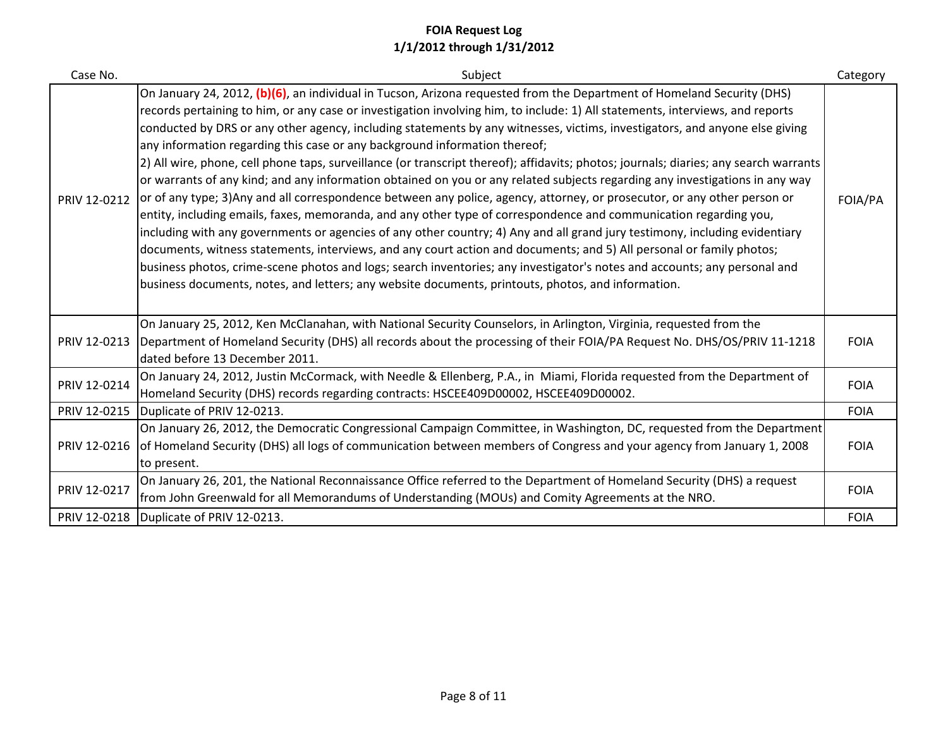| Case No.     | Subject                                                                                                                                                                                                                                                                                                                                                                                                                                                                                                                                                                                                                                                                                                                                                                                                                                                                                                                                                                                                                                                                                                                                                                                                                                                                                                                                                                                                                                                                                   | Category    |
|--------------|-------------------------------------------------------------------------------------------------------------------------------------------------------------------------------------------------------------------------------------------------------------------------------------------------------------------------------------------------------------------------------------------------------------------------------------------------------------------------------------------------------------------------------------------------------------------------------------------------------------------------------------------------------------------------------------------------------------------------------------------------------------------------------------------------------------------------------------------------------------------------------------------------------------------------------------------------------------------------------------------------------------------------------------------------------------------------------------------------------------------------------------------------------------------------------------------------------------------------------------------------------------------------------------------------------------------------------------------------------------------------------------------------------------------------------------------------------------------------------------------|-------------|
| PRIV 12-0212 | On January 24, 2012, (b)(6), an individual in Tucson, Arizona requested from the Department of Homeland Security (DHS)<br>records pertaining to him, or any case or investigation involving him, to include: 1) All statements, interviews, and reports<br>conducted by DRS or any other agency, including statements by any witnesses, victims, investigators, and anyone else giving<br>any information regarding this case or any background information thereof;<br>[2] All wire, phone, cell phone taps, surveillance (or transcript thereof); affidavits; photos; journals; diaries; any search warrants<br>or warrants of any kind; and any information obtained on you or any related subjects regarding any investigations in any way<br>or of any type; 3)Any and all correspondence between any police, agency, attorney, or prosecutor, or any other person or<br>entity, including emails, faxes, memoranda, and any other type of correspondence and communication regarding you,<br>including with any governments or agencies of any other country; 4) Any and all grand jury testimony, including evidentiary<br>documents, witness statements, interviews, and any court action and documents; and 5) All personal or family photos;<br>business photos, crime-scene photos and logs; search inventories; any investigator's notes and accounts; any personal and<br>business documents, notes, and letters; any website documents, printouts, photos, and information. | FOIA/PA     |
| PRIV 12-0213 | On January 25, 2012, Ken McClanahan, with National Security Counselors, in Arlington, Virginia, requested from the<br>Department of Homeland Security (DHS) all records about the processing of their FOIA/PA Request No. DHS/OS/PRIV 11-1218<br>dated before 13 December 2011.                                                                                                                                                                                                                                                                                                                                                                                                                                                                                                                                                                                                                                                                                                                                                                                                                                                                                                                                                                                                                                                                                                                                                                                                           | <b>FOIA</b> |
| PRIV 12-0214 | On January 24, 2012, Justin McCormack, with Needle & Ellenberg, P.A., in Miami, Florida requested from the Department of<br>Homeland Security (DHS) records regarding contracts: HSCEE409D00002, HSCEE409D00002.                                                                                                                                                                                                                                                                                                                                                                                                                                                                                                                                                                                                                                                                                                                                                                                                                                                                                                                                                                                                                                                                                                                                                                                                                                                                          | <b>FOIA</b> |
| PRIV 12-0215 | Duplicate of PRIV 12-0213.                                                                                                                                                                                                                                                                                                                                                                                                                                                                                                                                                                                                                                                                                                                                                                                                                                                                                                                                                                                                                                                                                                                                                                                                                                                                                                                                                                                                                                                                | <b>FOIA</b> |
| PRIV 12-0216 | On January 26, 2012, the Democratic Congressional Campaign Committee, in Washington, DC, requested from the Department<br>of Homeland Security (DHS) all logs of communication between members of Congress and your agency from January 1, 2008<br>to present.                                                                                                                                                                                                                                                                                                                                                                                                                                                                                                                                                                                                                                                                                                                                                                                                                                                                                                                                                                                                                                                                                                                                                                                                                            | <b>FOIA</b> |
| PRIV 12-0217 | On January 26, 201, the National Reconnaissance Office referred to the Department of Homeland Security (DHS) a request<br>from John Greenwald for all Memorandums of Understanding (MOUs) and Comity Agreements at the NRO.                                                                                                                                                                                                                                                                                                                                                                                                                                                                                                                                                                                                                                                                                                                                                                                                                                                                                                                                                                                                                                                                                                                                                                                                                                                               | <b>FOIA</b> |
|              | PRIV 12-0218   Duplicate of PRIV 12-0213.                                                                                                                                                                                                                                                                                                                                                                                                                                                                                                                                                                                                                                                                                                                                                                                                                                                                                                                                                                                                                                                                                                                                                                                                                                                                                                                                                                                                                                                 | <b>FOIA</b> |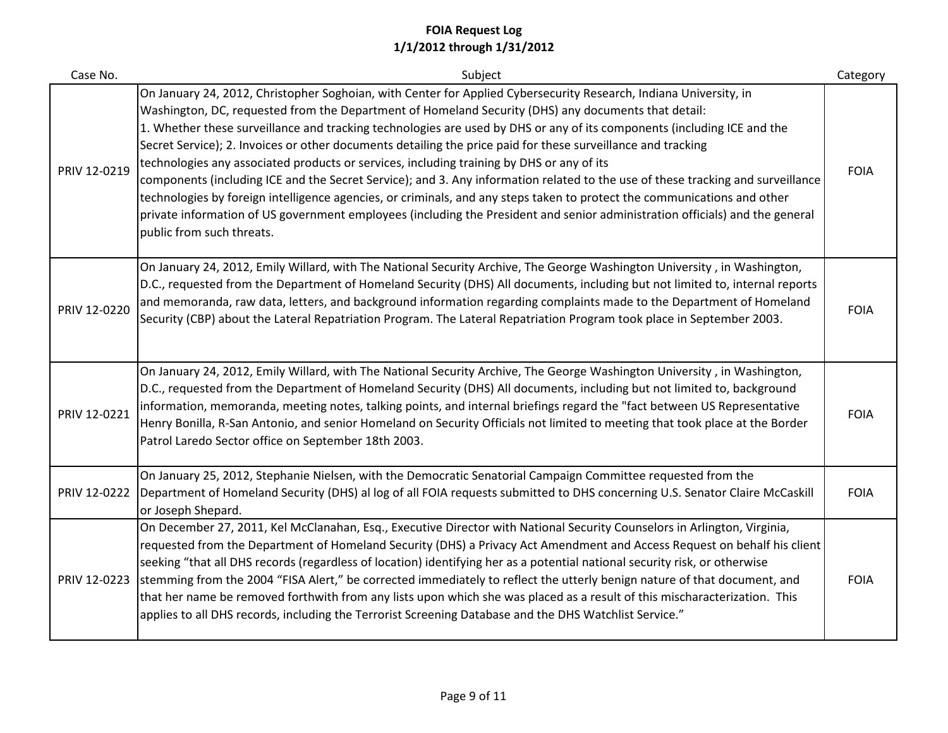| Case No.     | Subject                                                                                                                                                                                                                                                                                                                                                                                                                                                                                                                                                                                                                                                                                                                                                                                                                                                                                                                                                                                      | Category    |
|--------------|----------------------------------------------------------------------------------------------------------------------------------------------------------------------------------------------------------------------------------------------------------------------------------------------------------------------------------------------------------------------------------------------------------------------------------------------------------------------------------------------------------------------------------------------------------------------------------------------------------------------------------------------------------------------------------------------------------------------------------------------------------------------------------------------------------------------------------------------------------------------------------------------------------------------------------------------------------------------------------------------|-------------|
| PRIV 12-0219 | On January 24, 2012, Christopher Soghoian, with Center for Applied Cybersecurity Research, Indiana University, in<br>Washington, DC, requested from the Department of Homeland Security (DHS) any documents that detail:<br>1. Whether these surveillance and tracking technologies are used by DHS or any of its components (including ICE and the<br>Secret Service); 2. Invoices or other documents detailing the price paid for these surveillance and tracking<br>technologies any associated products or services, including training by DHS or any of its<br>components (including ICE and the Secret Service); and 3. Any information related to the use of these tracking and surveillance<br>technologies by foreign intelligence agencies, or criminals, and any steps taken to protect the communications and other<br>private information of US government employees (including the President and senior administration officials) and the general<br>public from such threats. | <b>FOIA</b> |
| PRIV 12-0220 | On January 24, 2012, Emily Willard, with The National Security Archive, The George Washington University, in Washington,<br>D.C., requested from the Department of Homeland Security (DHS) All documents, including but not limited to, internal reports<br>and memoranda, raw data, letters, and background information regarding complaints made to the Department of Homeland<br>Security (CBP) about the Lateral Repatriation Program. The Lateral Repatriation Program took place in September 2003.                                                                                                                                                                                                                                                                                                                                                                                                                                                                                    | <b>FOIA</b> |
| PRIV 12-0221 | On January 24, 2012, Emily Willard, with The National Security Archive, The George Washington University, in Washington,<br>D.C., requested from the Department of Homeland Security (DHS) All documents, including but not limited to, background<br>information, memoranda, meeting notes, talking points, and internal briefings regard the "fact between US Representative<br>Henry Bonilla, R-San Antonio, and senior Homeland on Security Officials not limited to meeting that took place at the Border<br>Patrol Laredo Sector office on September 18th 2003.                                                                                                                                                                                                                                                                                                                                                                                                                        | <b>FOIA</b> |
| PRIV 12-0222 | On January 25, 2012, Stephanie Nielsen, with the Democratic Senatorial Campaign Committee requested from the<br>Department of Homeland Security (DHS) al log of all FOIA requests submitted to DHS concerning U.S. Senator Claire McCaskill<br>or Joseph Shepard.                                                                                                                                                                                                                                                                                                                                                                                                                                                                                                                                                                                                                                                                                                                            | <b>FOIA</b> |
| PRIV 12-0223 | On December 27, 2011, Kel McClanahan, Esq., Executive Director with National Security Counselors in Arlington, Virginia,<br>requested from the Department of Homeland Security (DHS) a Privacy Act Amendment and Access Request on behalf his client<br>seeking "that all DHS records (regardless of location) identifying her as a potential national security risk, or otherwise<br>stemming from the 2004 "FISA Alert," be corrected immediately to reflect the utterly benign nature of that document, and<br>that her name be removed forthwith from any lists upon which she was placed as a result of this mischaracterization. This<br>applies to all DHS records, including the Terrorist Screening Database and the DHS Watchlist Service."                                                                                                                                                                                                                                        | <b>FOIA</b> |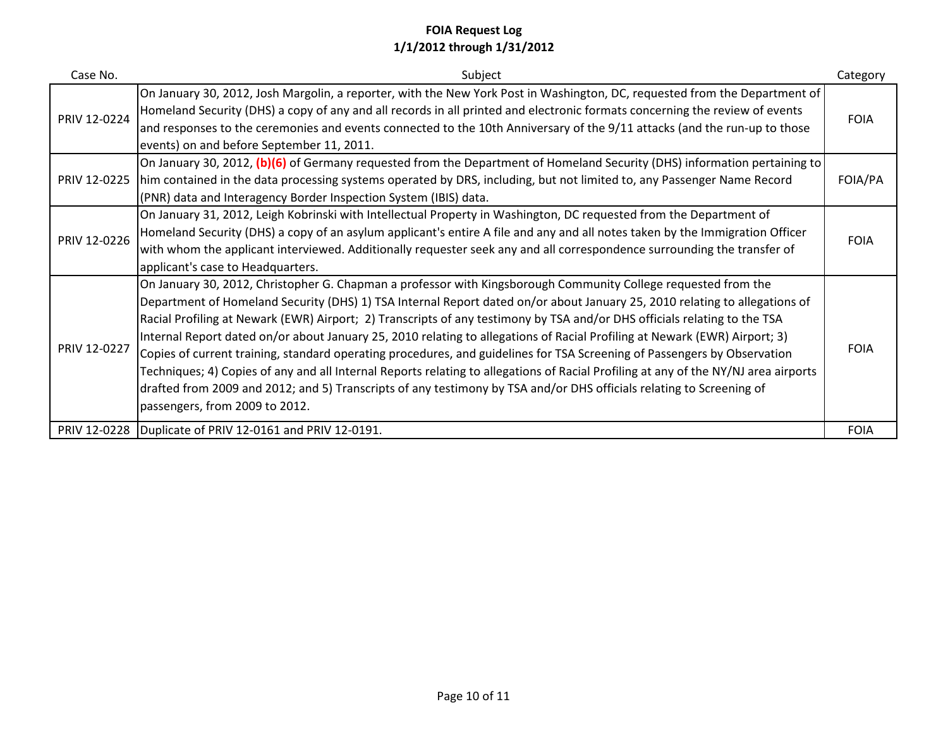| Case No.     | Subject                                                                                                                                                                                                                                                                                                                                                                                                                                                                                                                                                                                                                                                                                                                                                                                                                                                                                                                              | Category    |
|--------------|--------------------------------------------------------------------------------------------------------------------------------------------------------------------------------------------------------------------------------------------------------------------------------------------------------------------------------------------------------------------------------------------------------------------------------------------------------------------------------------------------------------------------------------------------------------------------------------------------------------------------------------------------------------------------------------------------------------------------------------------------------------------------------------------------------------------------------------------------------------------------------------------------------------------------------------|-------------|
| PRIV 12-0224 | On January 30, 2012, Josh Margolin, a reporter, with the New York Post in Washington, DC, requested from the Department of<br>Homeland Security (DHS) a copy of any and all records in all printed and electronic formats concerning the review of events<br>and responses to the ceremonies and events connected to the 10th Anniversary of the 9/11 attacks (and the run-up to those<br>events) on and before September 11, 2011.                                                                                                                                                                                                                                                                                                                                                                                                                                                                                                  | <b>FOIA</b> |
| PRIV 12-0225 | On January 30, 2012, (b)(6) of Germany requested from the Department of Homeland Security (DHS) information pertaining to<br>him contained in the data processing systems operated by DRS, including, but not limited to, any Passenger Name Record<br>(PNR) data and Interagency Border Inspection System (IBIS) data.                                                                                                                                                                                                                                                                                                                                                                                                                                                                                                                                                                                                              | FOIA/PA     |
| PRIV 12-0226 | On January 31, 2012, Leigh Kobrinski with Intellectual Property in Washington, DC requested from the Department of<br>Homeland Security (DHS) a copy of an asylum applicant's entire A file and any and all notes taken by the Immigration Officer<br>with whom the applicant interviewed. Additionally requester seek any and all correspondence surrounding the transfer of<br>applicant's case to Headquarters.                                                                                                                                                                                                                                                                                                                                                                                                                                                                                                                   | <b>FOIA</b> |
| PRIV 12-0227 | On January 30, 2012, Christopher G. Chapman a professor with Kingsborough Community College requested from the<br>Department of Homeland Security (DHS) 1) TSA Internal Report dated on/or about January 25, 2010 relating to allegations of<br>Racial Profiling at Newark (EWR) Airport; 2) Transcripts of any testimony by TSA and/or DHS officials relating to the TSA<br>Internal Report dated on/or about January 25, 2010 relating to allegations of Racial Profiling at Newark (EWR) Airport; 3)<br>Copies of current training, standard operating procedures, and guidelines for TSA Screening of Passengers by Observation<br>Techniques; 4) Copies of any and all Internal Reports relating to allegations of Racial Profiling at any of the NY/NJ area airports<br>drafted from 2009 and 2012; and 5) Transcripts of any testimony by TSA and/or DHS officials relating to Screening of<br>passengers, from 2009 to 2012. | <b>FOIA</b> |
|              | PRIV 12-0228 Duplicate of PRIV 12-0161 and PRIV 12-0191.                                                                                                                                                                                                                                                                                                                                                                                                                                                                                                                                                                                                                                                                                                                                                                                                                                                                             | <b>FOIA</b> |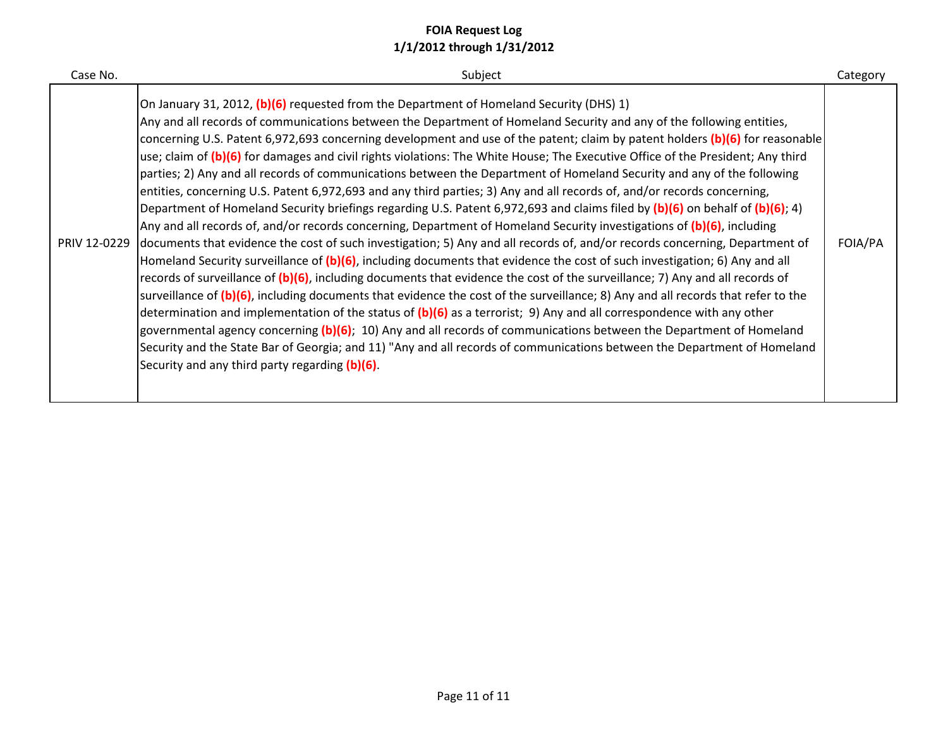| Case No. | Subject                                                                                                                                                                                                                                                                                                                                                                                                                                                                                                                                                                                                                                                                                                                                                                                                                                                                                                                                                                                                                                                                                                                                                                                                                                                                                                                                                                                                                                                                                                                                                                                                                                                                                                                                                                                                                                                                                                                                                                         | Category |
|----------|---------------------------------------------------------------------------------------------------------------------------------------------------------------------------------------------------------------------------------------------------------------------------------------------------------------------------------------------------------------------------------------------------------------------------------------------------------------------------------------------------------------------------------------------------------------------------------------------------------------------------------------------------------------------------------------------------------------------------------------------------------------------------------------------------------------------------------------------------------------------------------------------------------------------------------------------------------------------------------------------------------------------------------------------------------------------------------------------------------------------------------------------------------------------------------------------------------------------------------------------------------------------------------------------------------------------------------------------------------------------------------------------------------------------------------------------------------------------------------------------------------------------------------------------------------------------------------------------------------------------------------------------------------------------------------------------------------------------------------------------------------------------------------------------------------------------------------------------------------------------------------------------------------------------------------------------------------------------------------|----------|
|          | On January 31, 2012, (b)(6) requested from the Department of Homeland Security (DHS) 1)<br>Any and all records of communications between the Department of Homeland Security and any of the following entities,<br>concerning U.S. Patent 6,972,693 concerning development and use of the patent; claim by patent holders (b)(6) for reasonable<br>use; claim of (b)(6) for damages and civil rights violations: The White House; The Executive Office of the President; Any third<br>parties; 2) Any and all records of communications between the Department of Homeland Security and any of the following<br>entities, concerning U.S. Patent 6,972,693 and any third parties; 3) Any and all records of, and/or records concerning,<br>Department of Homeland Security briefings regarding U.S. Patent 6,972,693 and claims filed by (b)(6) on behalf of (b)(6); 4)<br>Any and all records of, and/or records concerning, Department of Homeland Security investigations of (b)(6), including<br>PRIV 12-0229 documents that evidence the cost of such investigation; 5) Any and all records of, and/or records concerning, Department of<br>Homeland Security surveillance of (b)(6), including documents that evidence the cost of such investigation; 6) Any and all<br>records of surveillance of (b)(6), including documents that evidence the cost of the surveillance; 7) Any and all records of<br>surveillance of (b)(6), including documents that evidence the cost of the surveillance; 8) Any and all records that refer to the<br>determination and implementation of the status of $(b)(6)$ as a terrorist; 9) Any and all correspondence with any other<br>governmental agency concerning (b)(6); 10) Any and all records of communications between the Department of Homeland<br>Security and the State Bar of Georgia; and 11) "Any and all records of communications between the Department of Homeland<br>Security and any third party regarding (b)(6). | FOIA/PA  |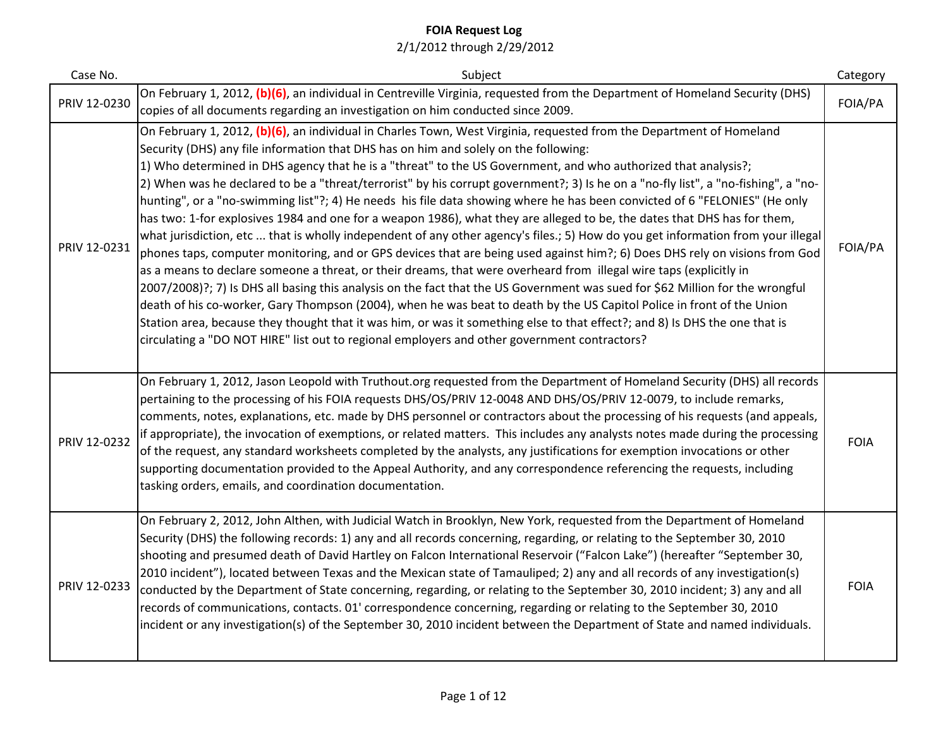| Case No.     | Subject                                                                                                                                                                                                                                                                                                                                                                                                                                                                                                                                                                                                                                                                                                                                                                                                                                                                                                                                                                                                                                                                                                                                                                                                                                                                                                                                                                                                                                                                                                                                                                                                           | Category    |
|--------------|-------------------------------------------------------------------------------------------------------------------------------------------------------------------------------------------------------------------------------------------------------------------------------------------------------------------------------------------------------------------------------------------------------------------------------------------------------------------------------------------------------------------------------------------------------------------------------------------------------------------------------------------------------------------------------------------------------------------------------------------------------------------------------------------------------------------------------------------------------------------------------------------------------------------------------------------------------------------------------------------------------------------------------------------------------------------------------------------------------------------------------------------------------------------------------------------------------------------------------------------------------------------------------------------------------------------------------------------------------------------------------------------------------------------------------------------------------------------------------------------------------------------------------------------------------------------------------------------------------------------|-------------|
| PRIV 12-0230 | On February 1, 2012, (b)(6), an individual in Centreville Virginia, requested from the Department of Homeland Security (DHS)<br>copies of all documents regarding an investigation on him conducted since 2009.                                                                                                                                                                                                                                                                                                                                                                                                                                                                                                                                                                                                                                                                                                                                                                                                                                                                                                                                                                                                                                                                                                                                                                                                                                                                                                                                                                                                   | FOIA/PA     |
| PRIV 12-0231 | On February 1, 2012, (b)(6), an individual in Charles Town, West Virginia, requested from the Department of Homeland<br>Security (DHS) any file information that DHS has on him and solely on the following:<br>1) Who determined in DHS agency that he is a "threat" to the US Government, and who authorized that analysis?;<br>2) When was he declared to be a "threat/terrorist" by his corrupt government?; 3) Is he on a "no-fly list", a "no-fishing", a "no-<br>hunting", or a "no-swimming list"?; 4) He needs his file data showing where he has been convicted of 6 "FELONIES" (He only<br>has two: 1-for explosives 1984 and one for a weapon 1986), what they are alleged to be, the dates that DHS has for them,<br>what jurisdiction, etc  that is wholly independent of any other agency's files.; 5) How do you get information from your illegal<br>phones taps, computer monitoring, and or GPS devices that are being used against him?; 6) Does DHS rely on visions from God<br>as a means to declare someone a threat, or their dreams, that were overheard from illegal wire taps (explicitly in<br>2007/2008)?; 7) Is DHS all basing this analysis on the fact that the US Government was sued for \$62 Million for the wrongful<br>death of his co-worker, Gary Thompson (2004), when he was beat to death by the US Capitol Police in front of the Union<br>Station area, because they thought that it was him, or was it something else to that effect?; and 8) Is DHS the one that is<br>circulating a "DO NOT HIRE" list out to regional employers and other government contractors? | FOIA/PA     |
| PRIV 12-0232 | On February 1, 2012, Jason Leopold with Truthout.org requested from the Department of Homeland Security (DHS) all records<br>pertaining to the processing of his FOIA requests DHS/OS/PRIV 12-0048 AND DHS/OS/PRIV 12-0079, to include remarks,<br>comments, notes, explanations, etc. made by DHS personnel or contractors about the processing of his requests (and appeals,<br>if appropriate), the invocation of exemptions, or related matters. This includes any analysts notes made during the processing<br>of the request, any standard worksheets completed by the analysts, any justifications for exemption invocations or other<br>supporting documentation provided to the Appeal Authority, and any correspondence referencing the requests, including<br>tasking orders, emails, and coordination documentation.                                                                                                                                                                                                                                                                                                                                                                                                                                                                                                                                                                                                                                                                                                                                                                                  | <b>FOIA</b> |
| PRIV 12-0233 | On February 2, 2012, John Althen, with Judicial Watch in Brooklyn, New York, requested from the Department of Homeland<br>Security (DHS) the following records: 1) any and all records concerning, regarding, or relating to the September 30, 2010<br>shooting and presumed death of David Hartley on Falcon International Reservoir ("Falcon Lake") (hereafter "September 30,<br>[2010 incident"], located between Texas and the Mexican state of Tamauliped; 2) any and all records of any investigation(s)<br>conducted by the Department of State concerning, regarding, or relating to the September 30, 2010 incident; 3) any and all<br>records of communications, contacts. 01' correspondence concerning, regarding or relating to the September 30, 2010<br>incident or any investigation(s) of the September 30, 2010 incident between the Department of State and named individuals.                                                                                                                                                                                                                                                                                                                                                                                                                                                                                                                                                                                                                                                                                                                 | <b>FOIA</b> |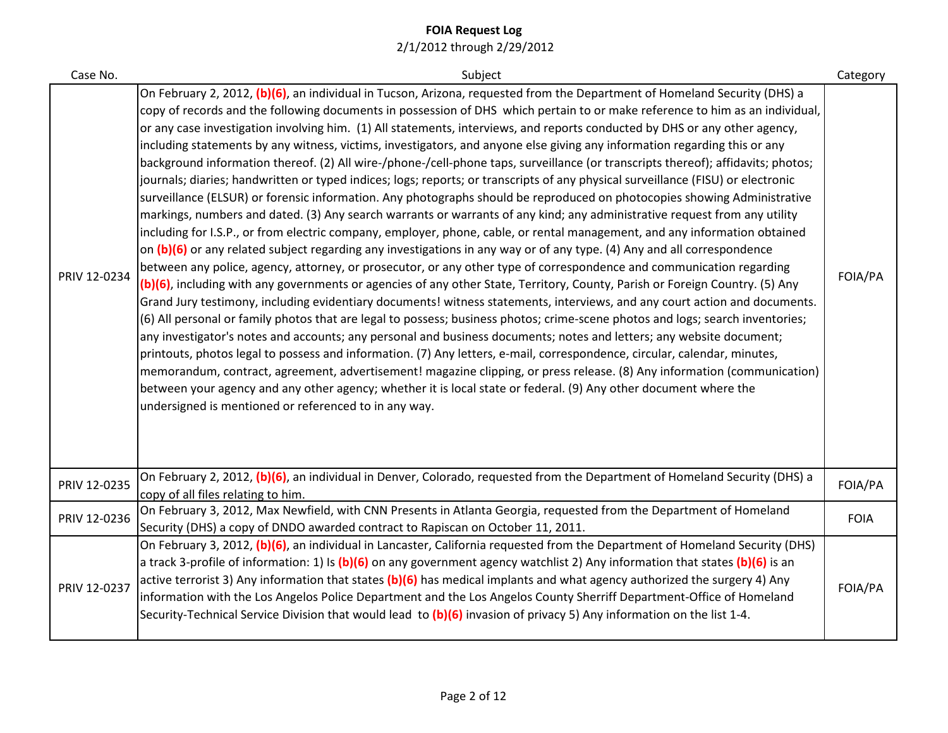| Case No.     | Subject                                                                                                                                                                                                                                                                                                                                                                                                                                                                                                                                                                                                                                                                                                                                                                                                                                                                                                                                                                                                                                                                                                                                                                                                                                                                                                                                                                                                                                                                                                                                                                                                                                                                                                                                                                                                                                                                                                                                                                                                                                                                                                                                                                                                                                                                                                                                                                                              | Category    |
|--------------|------------------------------------------------------------------------------------------------------------------------------------------------------------------------------------------------------------------------------------------------------------------------------------------------------------------------------------------------------------------------------------------------------------------------------------------------------------------------------------------------------------------------------------------------------------------------------------------------------------------------------------------------------------------------------------------------------------------------------------------------------------------------------------------------------------------------------------------------------------------------------------------------------------------------------------------------------------------------------------------------------------------------------------------------------------------------------------------------------------------------------------------------------------------------------------------------------------------------------------------------------------------------------------------------------------------------------------------------------------------------------------------------------------------------------------------------------------------------------------------------------------------------------------------------------------------------------------------------------------------------------------------------------------------------------------------------------------------------------------------------------------------------------------------------------------------------------------------------------------------------------------------------------------------------------------------------------------------------------------------------------------------------------------------------------------------------------------------------------------------------------------------------------------------------------------------------------------------------------------------------------------------------------------------------------------------------------------------------------------------------------------------------------|-------------|
| PRIV 12-0234 | On February 2, 2012, (b)(6), an individual in Tucson, Arizona, requested from the Department of Homeland Security (DHS) a<br>copy of records and the following documents in possession of DHS which pertain to or make reference to him as an individual,<br>or any case investigation involving him. (1) All statements, interviews, and reports conducted by DHS or any other agency,<br>including statements by any witness, victims, investigators, and anyone else giving any information regarding this or any<br>background information thereof. (2) All wire-/phone-/cell-phone taps, surveillance (or transcripts thereof); affidavits; photos;<br>journals; diaries; handwritten or typed indices; logs; reports; or transcripts of any physical surveillance (FISU) or electronic<br>surveillance (ELSUR) or forensic information. Any photographs should be reproduced on photocopies showing Administrative<br>markings, numbers and dated. (3) Any search warrants or warrants of any kind; any administrative request from any utility<br>including for I.S.P., or from electric company, employer, phone, cable, or rental management, and any information obtained<br>on (b)(6) or any related subject regarding any investigations in any way or of any type. (4) Any and all correspondence<br>between any police, agency, attorney, or prosecutor, or any other type of correspondence and communication regarding<br>(b)(6), including with any governments or agencies of any other State, Territory, County, Parish or Foreign Country. (5) Any<br>Grand Jury testimony, including evidentiary documents! witness statements, interviews, and any court action and documents.<br>(6) All personal or family photos that are legal to possess; business photos; crime-scene photos and logs; search inventories;<br>any investigator's notes and accounts; any personal and business documents; notes and letters; any website document;<br>printouts, photos legal to possess and information. (7) Any letters, e-mail, correspondence, circular, calendar, minutes,<br>memorandum, contract, agreement, advertisement! magazine clipping, or press release. (8) Any information (communication)<br>between your agency and any other agency; whether it is local state or federal. (9) Any other document where the<br>undersigned is mentioned or referenced to in any way. | FOIA/PA     |
| PRIV 12-0235 | On February 2, 2012, (b)(6), an individual in Denver, Colorado, requested from the Department of Homeland Security (DHS) a<br>copy of all files relating to him.                                                                                                                                                                                                                                                                                                                                                                                                                                                                                                                                                                                                                                                                                                                                                                                                                                                                                                                                                                                                                                                                                                                                                                                                                                                                                                                                                                                                                                                                                                                                                                                                                                                                                                                                                                                                                                                                                                                                                                                                                                                                                                                                                                                                                                     | FOIA/PA     |
| PRIV 12-0236 | On February 3, 2012, Max Newfield, with CNN Presents in Atlanta Georgia, requested from the Department of Homeland<br>Security (DHS) a copy of DNDO awarded contract to Rapiscan on October 11, 2011.                                                                                                                                                                                                                                                                                                                                                                                                                                                                                                                                                                                                                                                                                                                                                                                                                                                                                                                                                                                                                                                                                                                                                                                                                                                                                                                                                                                                                                                                                                                                                                                                                                                                                                                                                                                                                                                                                                                                                                                                                                                                                                                                                                                                | <b>FOIA</b> |
| PRIV 12-0237 | On February 3, 2012, (b)(6), an individual in Lancaster, California requested from the Department of Homeland Security (DHS)<br>a track 3-profile of information: 1) Is (b)(6) on any government agency watchlist 2) Any information that states (b)(6) is an<br>active terrorist 3) Any information that states (b)(6) has medical implants and what agency authorized the surgery 4) Any<br>information with the Los Angelos Police Department and the Los Angelos County Sherriff Department-Office of Homeland<br>Security-Technical Service Division that would lead to (b)(6) invasion of privacy 5) Any information on the list 1-4.                                                                                                                                                                                                                                                                                                                                                                                                                                                                                                                                                                                                                                                                                                                                                                                                                                                                                                                                                                                                                                                                                                                                                                                                                                                                                                                                                                                                                                                                                                                                                                                                                                                                                                                                                          | FOIA/PA     |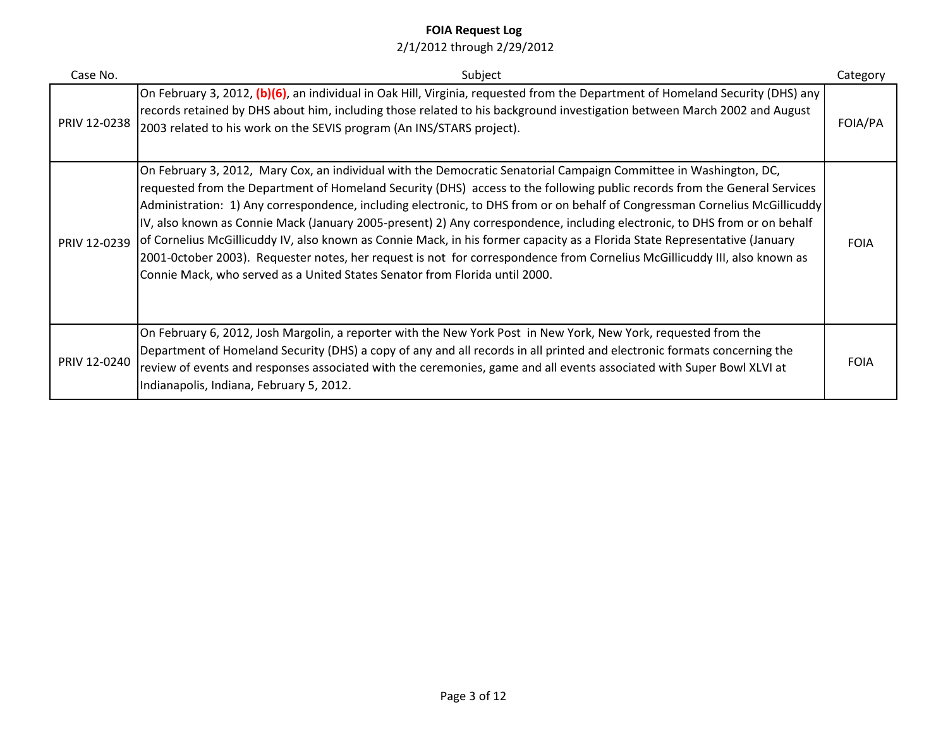| Case No.     | Subject                                                                                                                                                                                                                                                                                                                                                                                                                                                                                                                                                                                                                                                                                                                                                                                                                                               | Category    |
|--------------|-------------------------------------------------------------------------------------------------------------------------------------------------------------------------------------------------------------------------------------------------------------------------------------------------------------------------------------------------------------------------------------------------------------------------------------------------------------------------------------------------------------------------------------------------------------------------------------------------------------------------------------------------------------------------------------------------------------------------------------------------------------------------------------------------------------------------------------------------------|-------------|
| PRIV 12-0238 | On February 3, 2012, (b)(6), an individual in Oak Hill, Virginia, requested from the Department of Homeland Security (DHS) any<br>records retained by DHS about him, including those related to his background investigation between March 2002 and August<br>2003 related to his work on the SEVIS program (An INS/STARS project).                                                                                                                                                                                                                                                                                                                                                                                                                                                                                                                   | FOIA/PA     |
| PRIV 12-0239 | On February 3, 2012, Mary Cox, an individual with the Democratic Senatorial Campaign Committee in Washington, DC,<br>requested from the Department of Homeland Security (DHS) access to the following public records from the General Services<br>Administration: 1) Any correspondence, including electronic, to DHS from or on behalf of Congressman Cornelius McGillicuddy<br>IV, also known as Connie Mack (January 2005-present) 2) Any correspondence, including electronic, to DHS from or on behalf<br>of Cornelius McGillicuddy IV, also known as Connie Mack, in his former capacity as a Florida State Representative (January<br>2001-October 2003). Requester notes, her request is not for correspondence from Cornelius McGillicuddy III, also known as<br>Connie Mack, who served as a United States Senator from Florida until 2000. | <b>FOIA</b> |
| PRIV 12-0240 | On February 6, 2012, Josh Margolin, a reporter with the New York Post in New York, New York, requested from the<br>Department of Homeland Security (DHS) a copy of any and all records in all printed and electronic formats concerning the<br>review of events and responses associated with the ceremonies, game and all events associated with Super Bowl XLVI at<br>Indianapolis, Indiana, February 5, 2012.                                                                                                                                                                                                                                                                                                                                                                                                                                      | <b>FOIA</b> |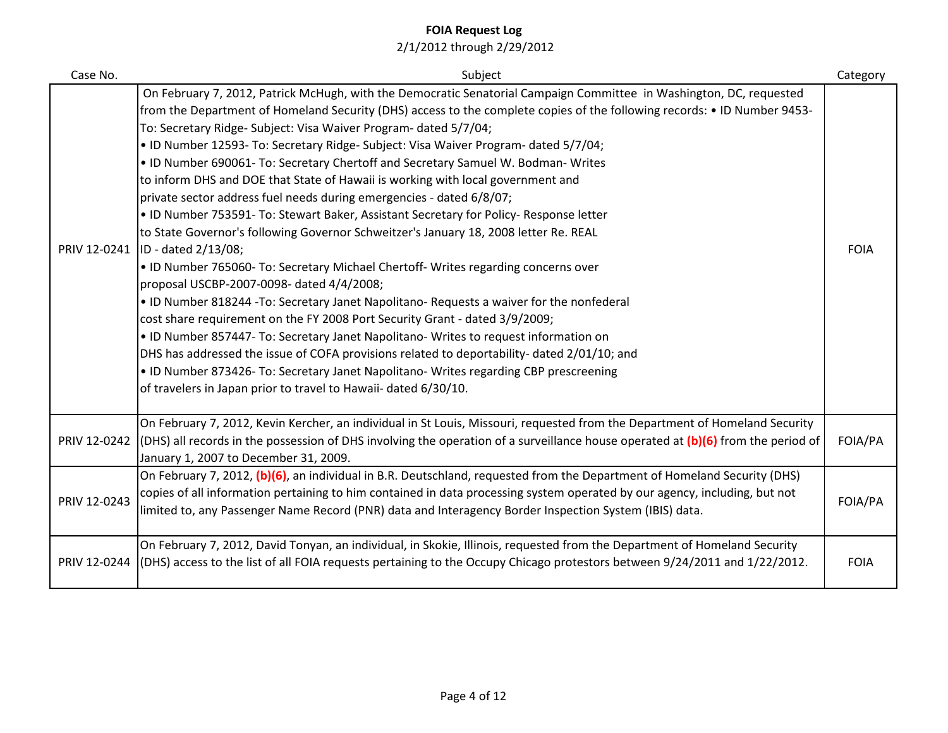| Case No.     | Subject                                                                                                                                                                                                                                                                                                                                                                                                                                                                                                                                                                                                                                                                                                                                                                                                                                                                                                                                                                                                                                                                                                                                                                                                                                                                                                                                                                                                                                                                                                                              | Category    |
|--------------|--------------------------------------------------------------------------------------------------------------------------------------------------------------------------------------------------------------------------------------------------------------------------------------------------------------------------------------------------------------------------------------------------------------------------------------------------------------------------------------------------------------------------------------------------------------------------------------------------------------------------------------------------------------------------------------------------------------------------------------------------------------------------------------------------------------------------------------------------------------------------------------------------------------------------------------------------------------------------------------------------------------------------------------------------------------------------------------------------------------------------------------------------------------------------------------------------------------------------------------------------------------------------------------------------------------------------------------------------------------------------------------------------------------------------------------------------------------------------------------------------------------------------------------|-------------|
| PRIV 12-0241 | On February 7, 2012, Patrick McHugh, with the Democratic Senatorial Campaign Committee in Washington, DC, requested<br>from the Department of Homeland Security (DHS) access to the complete copies of the following records: • ID Number 9453-<br>To: Secretary Ridge- Subject: Visa Waiver Program- dated 5/7/04;<br>. ID Number 12593- To: Secretary Ridge- Subject: Visa Waiver Program- dated 5/7/04;<br>. ID Number 690061- To: Secretary Chertoff and Secretary Samuel W. Bodman- Writes<br>to inform DHS and DOE that State of Hawaii is working with local government and<br>private sector address fuel needs during emergencies - dated 6/8/07;<br>. ID Number 753591- To: Stewart Baker, Assistant Secretary for Policy- Response letter<br>to State Governor's following Governor Schweitzer's January 18, 2008 letter Re. REAL<br>ID - dated 2/13/08;<br>. ID Number 765060- To: Secretary Michael Chertoff- Writes regarding concerns over<br>proposal USCBP-2007-0098- dated 4/4/2008;<br>. ID Number 818244 -To: Secretary Janet Napolitano- Requests a waiver for the nonfederal<br>cost share requirement on the FY 2008 Port Security Grant - dated 3/9/2009;<br>• ID Number 857447- To: Secretary Janet Napolitano- Writes to request information on<br>DHS has addressed the issue of COFA provisions related to deportability- dated 2/01/10; and<br>• ID Number 873426- To: Secretary Janet Napolitano- Writes regarding CBP prescreening<br>of travelers in Japan prior to travel to Hawaii- dated 6/30/10. | <b>FOIA</b> |
| PRIV 12-0242 | On February 7, 2012, Kevin Kercher, an individual in St Louis, Missouri, requested from the Department of Homeland Security<br>(DHS) all records in the possession of DHS involving the operation of a surveillance house operated at $(b)(6)$ from the period of<br>January 1, 2007 to December 31, 2009.                                                                                                                                                                                                                                                                                                                                                                                                                                                                                                                                                                                                                                                                                                                                                                                                                                                                                                                                                                                                                                                                                                                                                                                                                           | FOIA/PA     |
| PRIV 12-0243 | On February 7, 2012, (b)(6), an individual in B.R. Deutschland, requested from the Department of Homeland Security (DHS)<br>copies of all information pertaining to him contained in data processing system operated by our agency, including, but not<br>limited to, any Passenger Name Record (PNR) data and Interagency Border Inspection System (IBIS) data.                                                                                                                                                                                                                                                                                                                                                                                                                                                                                                                                                                                                                                                                                                                                                                                                                                                                                                                                                                                                                                                                                                                                                                     | FOIA/PA     |
| PRIV 12-0244 | On February 7, 2012, David Tonyan, an individual, in Skokie, Illinois, requested from the Department of Homeland Security<br>(DHS) access to the list of all FOIA requests pertaining to the Occupy Chicago protestors between 9/24/2011 and 1/22/2012.                                                                                                                                                                                                                                                                                                                                                                                                                                                                                                                                                                                                                                                                                                                                                                                                                                                                                                                                                                                                                                                                                                                                                                                                                                                                              | <b>FOIA</b> |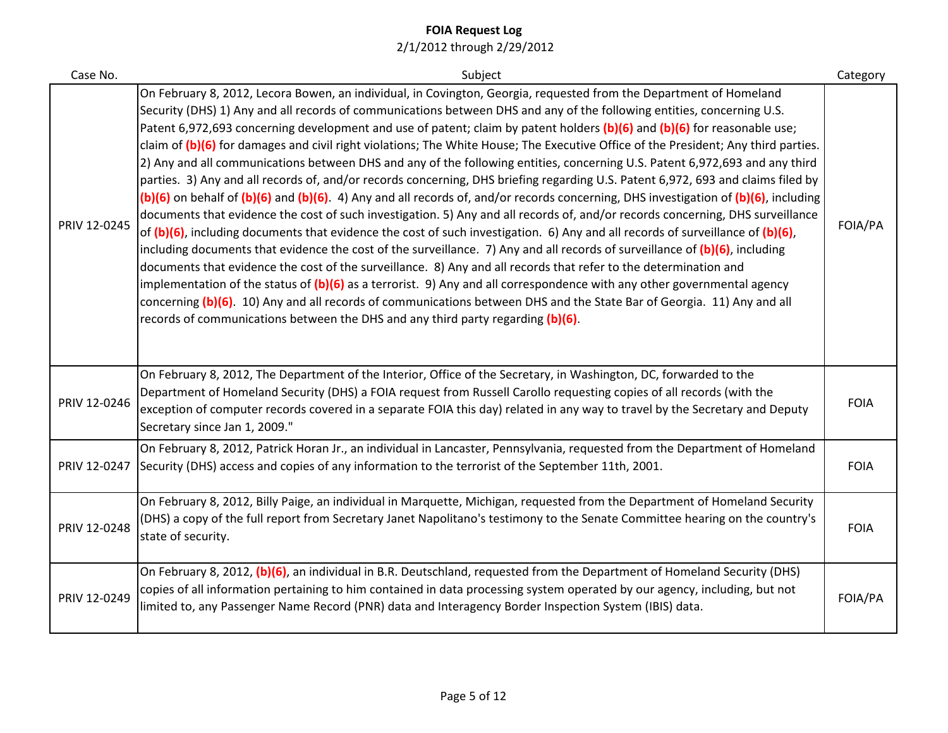| Case No.     | Subject                                                                                                                                                                                                                                                                                                                                                                                                                                                                                                                                                                                                                                                                                                                                                                                                                                                                                                                                                                                                                                                                                                                                                                                                                                                                                                                                                                                                                                                                                                                                                                                                                                                                                                                                                                                             | Category    |
|--------------|-----------------------------------------------------------------------------------------------------------------------------------------------------------------------------------------------------------------------------------------------------------------------------------------------------------------------------------------------------------------------------------------------------------------------------------------------------------------------------------------------------------------------------------------------------------------------------------------------------------------------------------------------------------------------------------------------------------------------------------------------------------------------------------------------------------------------------------------------------------------------------------------------------------------------------------------------------------------------------------------------------------------------------------------------------------------------------------------------------------------------------------------------------------------------------------------------------------------------------------------------------------------------------------------------------------------------------------------------------------------------------------------------------------------------------------------------------------------------------------------------------------------------------------------------------------------------------------------------------------------------------------------------------------------------------------------------------------------------------------------------------------------------------------------------------|-------------|
| PRIV 12-0245 | On February 8, 2012, Lecora Bowen, an individual, in Covington, Georgia, requested from the Department of Homeland<br>Security (DHS) 1) Any and all records of communications between DHS and any of the following entities, concerning U.S.<br>Patent 6,972,693 concerning development and use of patent; claim by patent holders (b)(6) and (b)(6) for reasonable use;<br>claim of (b)(6) for damages and civil right violations; The White House; The Executive Office of the President; Any third parties.<br>2) Any and all communications between DHS and any of the following entities, concerning U.S. Patent 6,972,693 and any third<br>parties. 3) Any and all records of, and/or records concerning, DHS briefing regarding U.S. Patent 6,972, 693 and claims filed by<br>$(b)(6)$ on behalf of $(b)(6)$ and $(b)(6)$ . 4) Any and all records of, and/or records concerning, DHS investigation of $(b)(6)$ , including<br>documents that evidence the cost of such investigation. 5) Any and all records of, and/or records concerning, DHS surveillance<br>of (b)(6), including documents that evidence the cost of such investigation. 6) Any and all records of surveillance of (b)(6),<br>including documents that evidence the cost of the surveillance. 7) Any and all records of surveillance of (b)(6), including<br>documents that evidence the cost of the surveillance. 8) Any and all records that refer to the determination and<br>implementation of the status of $(b)(6)$ as a terrorist. 9) Any and all correspondence with any other governmental agency<br>concerning (b)(6). 10) Any and all records of communications between DHS and the State Bar of Georgia. 11) Any and all<br>records of communications between the DHS and any third party regarding (b)(6). | FOIA/PA     |
| PRIV 12-0246 | On February 8, 2012, The Department of the Interior, Office of the Secretary, in Washington, DC, forwarded to the<br>Department of Homeland Security (DHS) a FOIA request from Russell Carollo requesting copies of all records (with the<br>exception of computer records covered in a separate FOIA this day) related in any way to travel by the Secretary and Deputy<br>Secretary since Jan 1, 2009."                                                                                                                                                                                                                                                                                                                                                                                                                                                                                                                                                                                                                                                                                                                                                                                                                                                                                                                                                                                                                                                                                                                                                                                                                                                                                                                                                                                           | <b>FOIA</b> |
| PRIV 12-0247 | On February 8, 2012, Patrick Horan Jr., an individual in Lancaster, Pennsylvania, requested from the Department of Homeland<br>Security (DHS) access and copies of any information to the terrorist of the September 11th, 2001.                                                                                                                                                                                                                                                                                                                                                                                                                                                                                                                                                                                                                                                                                                                                                                                                                                                                                                                                                                                                                                                                                                                                                                                                                                                                                                                                                                                                                                                                                                                                                                    | <b>FOIA</b> |
| PRIV 12-0248 | On February 8, 2012, Billy Paige, an individual in Marquette, Michigan, requested from the Department of Homeland Security<br>(DHS) a copy of the full report from Secretary Janet Napolitano's testimony to the Senate Committee hearing on the country's<br>state of security.                                                                                                                                                                                                                                                                                                                                                                                                                                                                                                                                                                                                                                                                                                                                                                                                                                                                                                                                                                                                                                                                                                                                                                                                                                                                                                                                                                                                                                                                                                                    | <b>FOIA</b> |
| PRIV 12-0249 | On February 8, 2012, (b)(6), an individual in B.R. Deutschland, requested from the Department of Homeland Security (DHS)<br>copies of all information pertaining to him contained in data processing system operated by our agency, including, but not<br>limited to, any Passenger Name Record (PNR) data and Interagency Border Inspection System (IBIS) data.                                                                                                                                                                                                                                                                                                                                                                                                                                                                                                                                                                                                                                                                                                                                                                                                                                                                                                                                                                                                                                                                                                                                                                                                                                                                                                                                                                                                                                    | FOIA/PA     |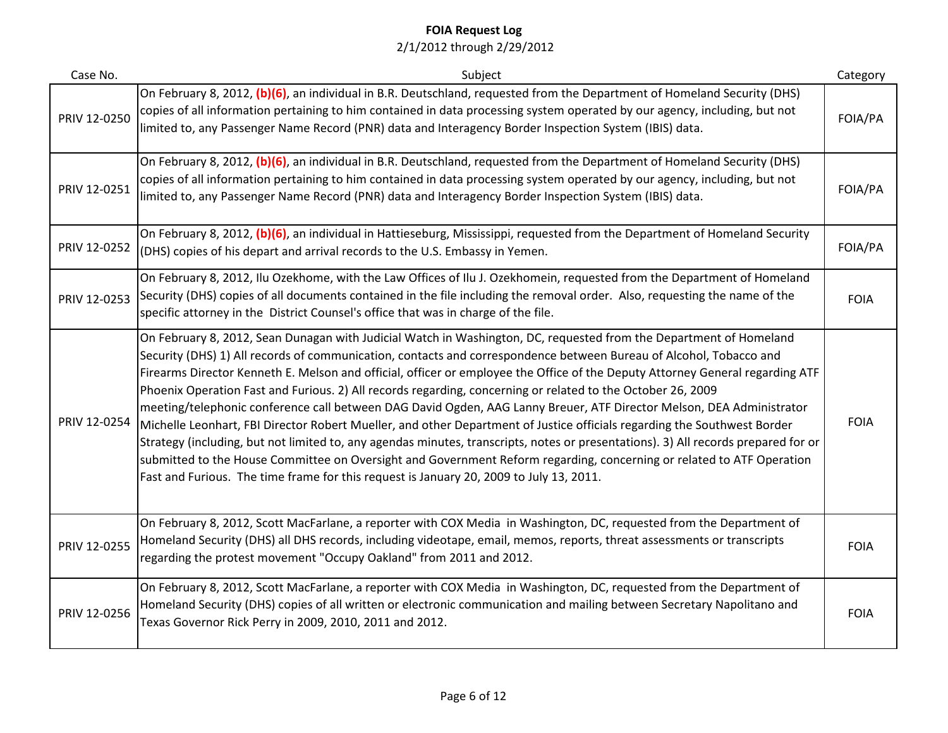| Case No.     | Subject                                                                                                                                                                                                                                                                                                                                                                                                                                                                                                                                                                                                                                                                                                                                                                                                                                                                                                                                                                                                                                                                                                | Category    |
|--------------|--------------------------------------------------------------------------------------------------------------------------------------------------------------------------------------------------------------------------------------------------------------------------------------------------------------------------------------------------------------------------------------------------------------------------------------------------------------------------------------------------------------------------------------------------------------------------------------------------------------------------------------------------------------------------------------------------------------------------------------------------------------------------------------------------------------------------------------------------------------------------------------------------------------------------------------------------------------------------------------------------------------------------------------------------------------------------------------------------------|-------------|
| PRIV 12-0250 | On February 8, 2012, (b)(6), an individual in B.R. Deutschland, requested from the Department of Homeland Security (DHS)<br>copies of all information pertaining to him contained in data processing system operated by our agency, including, but not<br>limited to, any Passenger Name Record (PNR) data and Interagency Border Inspection System (IBIS) data.                                                                                                                                                                                                                                                                                                                                                                                                                                                                                                                                                                                                                                                                                                                                       | FOIA/PA     |
| PRIV 12-0251 | On February 8, 2012, (b)(6), an individual in B.R. Deutschland, requested from the Department of Homeland Security (DHS)<br>copies of all information pertaining to him contained in data processing system operated by our agency, including, but not<br>limited to, any Passenger Name Record (PNR) data and Interagency Border Inspection System (IBIS) data.                                                                                                                                                                                                                                                                                                                                                                                                                                                                                                                                                                                                                                                                                                                                       | FOIA/PA     |
| PRIV 12-0252 | On February 8, 2012, (b)(6), an individual in Hattieseburg, Mississippi, requested from the Department of Homeland Security<br>(DHS) copies of his depart and arrival records to the U.S. Embassy in Yemen.                                                                                                                                                                                                                                                                                                                                                                                                                                                                                                                                                                                                                                                                                                                                                                                                                                                                                            | FOIA/PA     |
| PRIV 12-0253 | On February 8, 2012, Ilu Ozekhome, with the Law Offices of Ilu J. Ozekhomein, requested from the Department of Homeland<br>Security (DHS) copies of all documents contained in the file including the removal order. Also, requesting the name of the<br>specific attorney in the District Counsel's office that was in charge of the file.                                                                                                                                                                                                                                                                                                                                                                                                                                                                                                                                                                                                                                                                                                                                                            | <b>FOIA</b> |
| PRIV 12-0254 | On February 8, 2012, Sean Dunagan with Judicial Watch in Washington, DC, requested from the Department of Homeland<br>Security (DHS) 1) All records of communication, contacts and correspondence between Bureau of Alcohol, Tobacco and<br>Firearms Director Kenneth E. Melson and official, officer or employee the Office of the Deputy Attorney General regarding ATF<br>Phoenix Operation Fast and Furious. 2) All records regarding, concerning or related to the October 26, 2009<br>meeting/telephonic conference call between DAG David Ogden, AAG Lanny Breuer, ATF Director Melson, DEA Administrator<br>Michelle Leonhart, FBI Director Robert Mueller, and other Department of Justice officials regarding the Southwest Border<br>Strategy (including, but not limited to, any agendas minutes, transcripts, notes or presentations). 3) All records prepared for or<br>submitted to the House Committee on Oversight and Government Reform regarding, concerning or related to ATF Operation<br>Fast and Furious. The time frame for this request is January 20, 2009 to July 13, 2011. | <b>FOIA</b> |
| PRIV 12-0255 | On February 8, 2012, Scott MacFarlane, a reporter with COX Media in Washington, DC, requested from the Department of<br>Homeland Security (DHS) all DHS records, including videotape, email, memos, reports, threat assessments or transcripts<br>regarding the protest movement "Occupy Oakland" from 2011 and 2012.                                                                                                                                                                                                                                                                                                                                                                                                                                                                                                                                                                                                                                                                                                                                                                                  | <b>FOIA</b> |
| PRIV 12-0256 | On February 8, 2012, Scott MacFarlane, a reporter with COX Media in Washington, DC, requested from the Department of<br>Homeland Security (DHS) copies of all written or electronic communication and mailing between Secretary Napolitano and<br>Texas Governor Rick Perry in 2009, 2010, 2011 and 2012.                                                                                                                                                                                                                                                                                                                                                                                                                                                                                                                                                                                                                                                                                                                                                                                              | <b>FOIA</b> |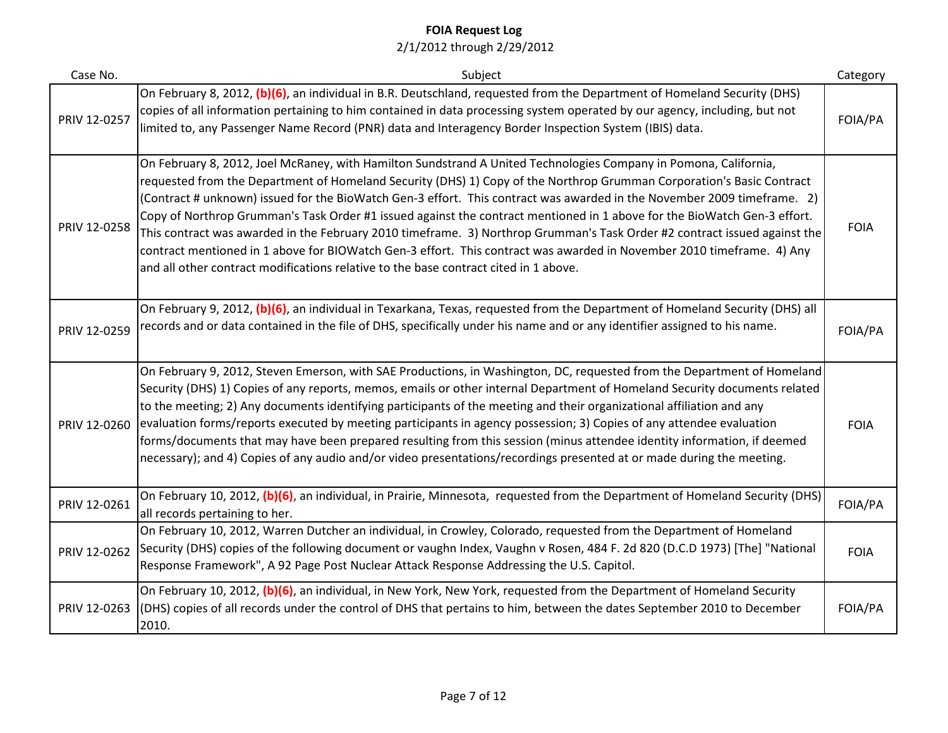| Case No.     | Subject                                                                                                                                                                                                                                                                                                                                                                                                                                                                                                                                                                                                                                                                                                                                                                                                                                        | Category    |
|--------------|------------------------------------------------------------------------------------------------------------------------------------------------------------------------------------------------------------------------------------------------------------------------------------------------------------------------------------------------------------------------------------------------------------------------------------------------------------------------------------------------------------------------------------------------------------------------------------------------------------------------------------------------------------------------------------------------------------------------------------------------------------------------------------------------------------------------------------------------|-------------|
| PRIV 12-0257 | On February 8, 2012, (b)(6), an individual in B.R. Deutschland, requested from the Department of Homeland Security (DHS)<br>copies of all information pertaining to him contained in data processing system operated by our agency, including, but not<br>limited to, any Passenger Name Record (PNR) data and Interagency Border Inspection System (IBIS) data.                                                                                                                                                                                                                                                                                                                                                                                                                                                                               | FOIA/PA     |
| PRIV 12-0258 | On February 8, 2012, Joel McRaney, with Hamilton Sundstrand A United Technologies Company in Pomona, California,<br>requested from the Department of Homeland Security (DHS) 1) Copy of the Northrop Grumman Corporation's Basic Contract<br>(Contract # unknown) issued for the BioWatch Gen-3 effort. This contract was awarded in the November 2009 timeframe. 2)<br>Copy of Northrop Grumman's Task Order #1 issued against the contract mentioned in 1 above for the BioWatch Gen-3 effort.<br>This contract was awarded in the February 2010 timeframe. 3) Northrop Grumman's Task Order #2 contract issued against the<br>contract mentioned in 1 above for BIOWatch Gen-3 effort. This contract was awarded in November 2010 timeframe. 4) Any<br>and all other contract modifications relative to the base contract cited in 1 above. | <b>FOIA</b> |
| PRIV 12-0259 | On February 9, 2012, (b)(6), an individual in Texarkana, Texas, requested from the Department of Homeland Security (DHS) all<br>records and or data contained in the file of DHS, specifically under his name and or any identifier assigned to his name.                                                                                                                                                                                                                                                                                                                                                                                                                                                                                                                                                                                      | FOIA/PA     |
| PRIV 12-0260 | On February 9, 2012, Steven Emerson, with SAE Productions, in Washington, DC, requested from the Department of Homeland<br>Security (DHS) 1) Copies of any reports, memos, emails or other internal Department of Homeland Security documents related<br>to the meeting; 2) Any documents identifying participants of the meeting and their organizational affiliation and any<br>evaluation forms/reports executed by meeting participants in agency possession; 3) Copies of any attendee evaluation<br>forms/documents that may have been prepared resulting from this session (minus attendee identity information, if deemed<br>necessary); and 4) Copies of any audio and/or video presentations/recordings presented at or made during the meeting.                                                                                     | <b>FOIA</b> |
| PRIV 12-0261 | On February 10, 2012, (b)(6), an individual, in Prairie, Minnesota, requested from the Department of Homeland Security (DHS)<br>all records pertaining to her.                                                                                                                                                                                                                                                                                                                                                                                                                                                                                                                                                                                                                                                                                 | FOIA/PA     |
| PRIV 12-0262 | On February 10, 2012, Warren Dutcher an individual, in Crowley, Colorado, requested from the Department of Homeland<br>Security (DHS) copies of the following document or vaughn Index, Vaughn v Rosen, 484 F. 2d 820 (D.C.D 1973) [The] "National<br>Response Framework", A 92 Page Post Nuclear Attack Response Addressing the U.S. Capitol.                                                                                                                                                                                                                                                                                                                                                                                                                                                                                                 | <b>FOIA</b> |
| PRIV 12-0263 | On February 10, 2012, (b)(6), an individual, in New York, New York, requested from the Department of Homeland Security<br>(DHS) copies of all records under the control of DHS that pertains to him, between the dates September 2010 to December<br>2010.                                                                                                                                                                                                                                                                                                                                                                                                                                                                                                                                                                                     | FOIA/PA     |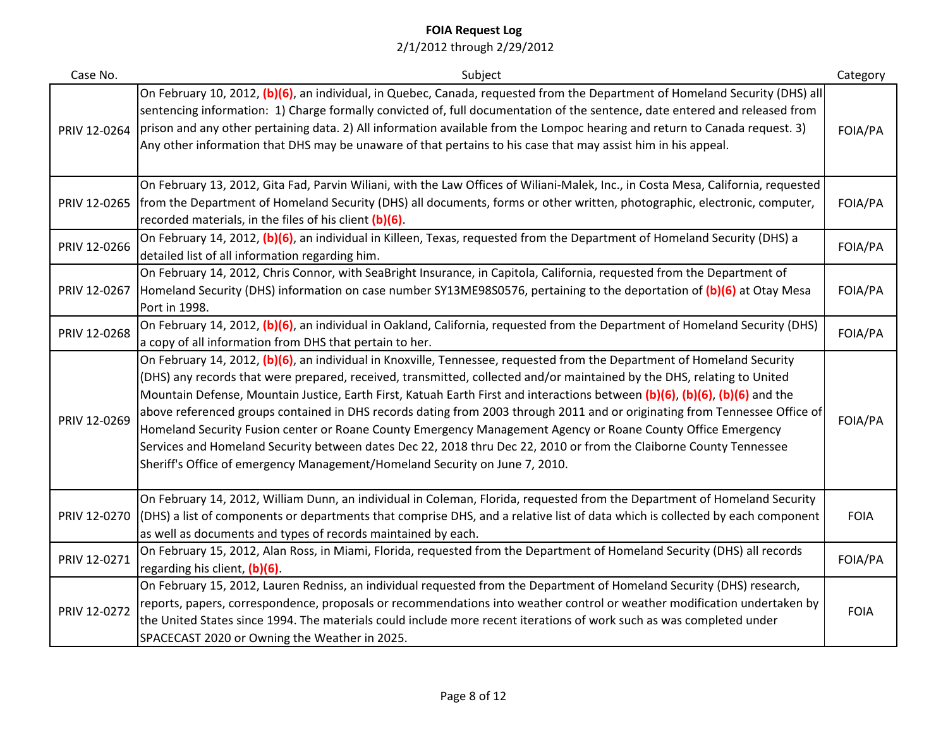| Case No.     | Subject                                                                                                                                                                                                                                                                                                                                                                                                                                                                                                                                                                                                                                                                                                                                                                                                                              | Category    |
|--------------|--------------------------------------------------------------------------------------------------------------------------------------------------------------------------------------------------------------------------------------------------------------------------------------------------------------------------------------------------------------------------------------------------------------------------------------------------------------------------------------------------------------------------------------------------------------------------------------------------------------------------------------------------------------------------------------------------------------------------------------------------------------------------------------------------------------------------------------|-------------|
| PRIV 12-0264 | On February 10, 2012, (b)(6), an individual, in Quebec, Canada, requested from the Department of Homeland Security (DHS) all<br>sentencing information: 1) Charge formally convicted of, full documentation of the sentence, date entered and released from<br>prison and any other pertaining data. 2) All information available from the Lompoc hearing and return to Canada request. 3)<br>Any other information that DHS may be unaware of that pertains to his case that may assist him in his appeal.                                                                                                                                                                                                                                                                                                                          | FOIA/PA     |
| PRIV 12-0265 | On February 13, 2012, Gita Fad, Parvin Wiliani, with the Law Offices of Wiliani-Malek, Inc., in Costa Mesa, California, requested<br>from the Department of Homeland Security (DHS) all documents, forms or other written, photographic, electronic, computer,<br>recorded materials, in the files of his client (b)(6).                                                                                                                                                                                                                                                                                                                                                                                                                                                                                                             | FOIA/PA     |
| PRIV 12-0266 | On February 14, 2012, (b)(6), an individual in Killeen, Texas, requested from the Department of Homeland Security (DHS) a<br>detailed list of all information regarding him.                                                                                                                                                                                                                                                                                                                                                                                                                                                                                                                                                                                                                                                         | FOIA/PA     |
| PRIV 12-0267 | On February 14, 2012, Chris Connor, with SeaBright Insurance, in Capitola, California, requested from the Department of<br>Homeland Security (DHS) information on case number SY13ME98S0576, pertaining to the deportation of (b)(6) at Otay Mesa<br>Port in 1998.                                                                                                                                                                                                                                                                                                                                                                                                                                                                                                                                                                   | FOIA/PA     |
| PRIV 12-0268 | On February 14, 2012, (b)(6), an individual in Oakland, California, requested from the Department of Homeland Security (DHS)<br>a copy of all information from DHS that pertain to her.                                                                                                                                                                                                                                                                                                                                                                                                                                                                                                                                                                                                                                              | FOIA/PA     |
| PRIV 12-0269 | On February 14, 2012, (b)(6), an individual in Knoxville, Tennessee, requested from the Department of Homeland Security<br>(DHS) any records that were prepared, received, transmitted, collected and/or maintained by the DHS, relating to United<br>Mountain Defense, Mountain Justice, Earth First, Katuah Earth First and interactions between (b)(6), (b)(6), (b)(6) and the<br>above referenced groups contained in DHS records dating from 2003 through 2011 and or originating from Tennessee Office of<br>Homeland Security Fusion center or Roane County Emergency Management Agency or Roane County Office Emergency<br>Services and Homeland Security between dates Dec 22, 2018 thru Dec 22, 2010 or from the Claiborne County Tennessee<br>Sheriff's Office of emergency Management/Homeland Security on June 7, 2010. | FOIA/PA     |
| PRIV 12-0270 | On February 14, 2012, William Dunn, an individual in Coleman, Florida, requested from the Department of Homeland Security<br>(DHS) a list of components or departments that comprise DHS, and a relative list of data which is collected by each component<br>as well as documents and types of records maintained by each.                                                                                                                                                                                                                                                                                                                                                                                                                                                                                                          | <b>FOIA</b> |
| PRIV 12-0271 | On February 15, 2012, Alan Ross, in Miami, Florida, requested from the Department of Homeland Security (DHS) all records<br>regarding his client, (b)(6).                                                                                                                                                                                                                                                                                                                                                                                                                                                                                                                                                                                                                                                                            | FOIA/PA     |
| PRIV 12-0272 | On February 15, 2012, Lauren Redniss, an individual requested from the Department of Homeland Security (DHS) research,<br>reports, papers, correspondence, proposals or recommendations into weather control or weather modification undertaken by<br>the United States since 1994. The materials could include more recent iterations of work such as was completed under<br>SPACECAST 2020 or Owning the Weather in 2025.                                                                                                                                                                                                                                                                                                                                                                                                          | <b>FOIA</b> |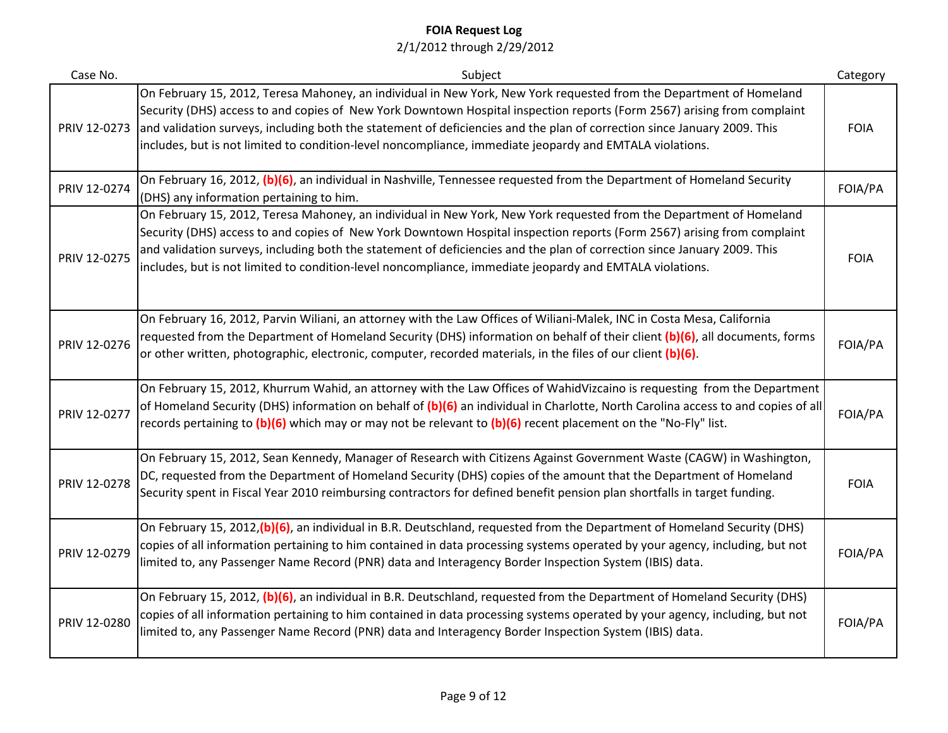| Case No.     | Subject                                                                                                                                                                                                                                                                                                                                                                                                                                                                                | Category    |
|--------------|----------------------------------------------------------------------------------------------------------------------------------------------------------------------------------------------------------------------------------------------------------------------------------------------------------------------------------------------------------------------------------------------------------------------------------------------------------------------------------------|-------------|
| PRIV 12-0273 | On February 15, 2012, Teresa Mahoney, an individual in New York, New York requested from the Department of Homeland<br>Security (DHS) access to and copies of New York Downtown Hospital inspection reports (Form 2567) arising from complaint<br>and validation surveys, including both the statement of deficiencies and the plan of correction since January 2009. This<br>includes, but is not limited to condition-level noncompliance, immediate jeopardy and EMTALA violations. | <b>FOIA</b> |
| PRIV 12-0274 | On February 16, 2012, (b)(6), an individual in Nashville, Tennessee requested from the Department of Homeland Security<br>(DHS) any information pertaining to him.                                                                                                                                                                                                                                                                                                                     | FOIA/PA     |
| PRIV 12-0275 | On February 15, 2012, Teresa Mahoney, an individual in New York, New York requested from the Department of Homeland<br>Security (DHS) access to and copies of New York Downtown Hospital inspection reports (Form 2567) arising from complaint<br>and validation surveys, including both the statement of deficiencies and the plan of correction since January 2009. This<br>includes, but is not limited to condition-level noncompliance, immediate jeopardy and EMTALA violations. | <b>FOIA</b> |
| PRIV 12-0276 | On February 16, 2012, Parvin Wiliani, an attorney with the Law Offices of Wiliani-Malek, INC in Costa Mesa, California<br>requested from the Department of Homeland Security (DHS) information on behalf of their client (b)(6), all documents, forms<br>or other written, photographic, electronic, computer, recorded materials, in the files of our client (b)(6).                                                                                                                  | FOIA/PA     |
| PRIV 12-0277 | On February 15, 2012, Khurrum Wahid, an attorney with the Law Offices of WahidVizcaino is requesting from the Department<br>of Homeland Security (DHS) information on behalf of (b)(6) an individual in Charlotte, North Carolina access to and copies of all<br>records pertaining to (b)(6) which may or may not be relevant to (b)(6) recent placement on the "No-Fly" list.                                                                                                        | FOIA/PA     |
| PRIV 12-0278 | On February 15, 2012, Sean Kennedy, Manager of Research with Citizens Against Government Waste (CAGW) in Washington,<br>DC, requested from the Department of Homeland Security (DHS) copies of the amount that the Department of Homeland<br>Security spent in Fiscal Year 2010 reimbursing contractors for defined benefit pension plan shortfalls in target funding.                                                                                                                 | <b>FOIA</b> |
| PRIV 12-0279 | On February 15, 2012, (b) (6), an individual in B.R. Deutschland, requested from the Department of Homeland Security (DHS)<br>copies of all information pertaining to him contained in data processing systems operated by your agency, including, but not<br>limited to, any Passenger Name Record (PNR) data and Interagency Border Inspection System (IBIS) data.                                                                                                                   | FOIA/PA     |
| PRIV 12-0280 | On February 15, 2012, (b)(6), an individual in B.R. Deutschland, requested from the Department of Homeland Security (DHS)<br>copies of all information pertaining to him contained in data processing systems operated by your agency, including, but not<br>limited to, any Passenger Name Record (PNR) data and Interagency Border Inspection System (IBIS) data.                                                                                                                    | FOIA/PA     |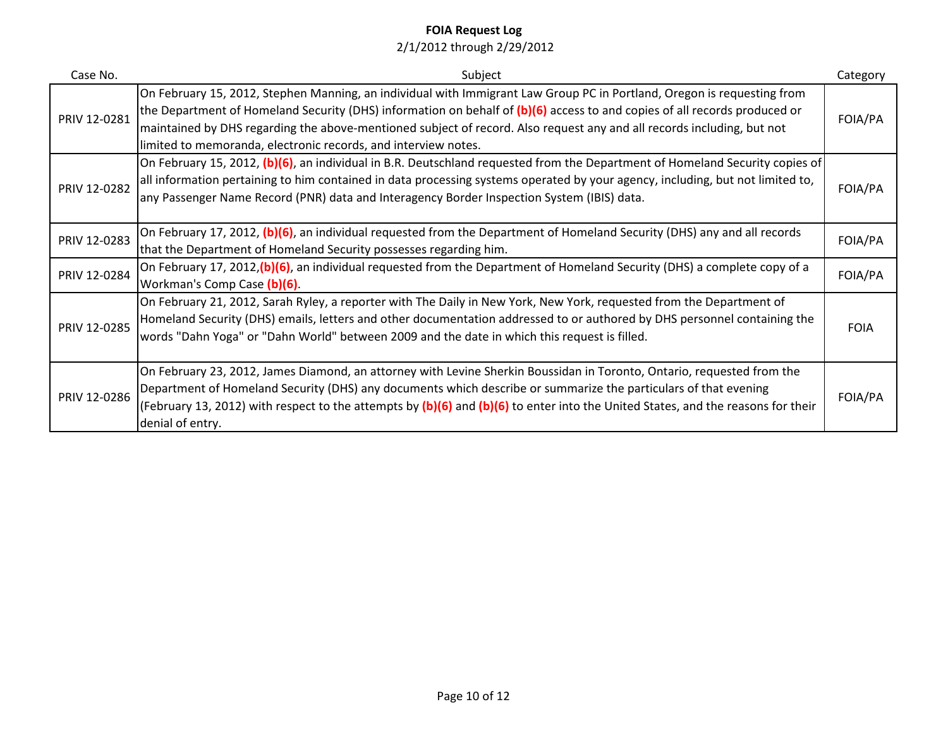| Case No.     | Subject                                                                                                                                                                                                                                                                                                                                                                                                                                          | Category    |
|--------------|--------------------------------------------------------------------------------------------------------------------------------------------------------------------------------------------------------------------------------------------------------------------------------------------------------------------------------------------------------------------------------------------------------------------------------------------------|-------------|
| PRIV 12-0281 | On February 15, 2012, Stephen Manning, an individual with Immigrant Law Group PC in Portland, Oregon is requesting from<br>the Department of Homeland Security (DHS) information on behalf of (b)(6) access to and copies of all records produced or<br>maintained by DHS regarding the above-mentioned subject of record. Also request any and all records including, but not<br>limited to memoranda, electronic records, and interview notes. | FOIA/PA     |
| PRIV 12-0282 | On February 15, 2012, (b)(6), an individual in B.R. Deutschland requested from the Department of Homeland Security copies of<br>all information pertaining to him contained in data processing systems operated by your agency, including, but not limited to,<br>any Passenger Name Record (PNR) data and Interagency Border Inspection System (IBIS) data.                                                                                     | FOIA/PA     |
| PRIV 12-0283 | On February 17, 2012, (b)(6), an individual requested from the Department of Homeland Security (DHS) any and all records<br>that the Department of Homeland Security possesses regarding him.                                                                                                                                                                                                                                                    | FOIA/PA     |
| PRIV 12-0284 | On February 17, 2012, (b)(6), an individual requested from the Department of Homeland Security (DHS) a complete copy of a<br>Workman's Comp Case (b)(6).                                                                                                                                                                                                                                                                                         | FOIA/PA     |
| PRIV 12-0285 | On February 21, 2012, Sarah Ryley, a reporter with The Daily in New York, New York, requested from the Department of<br>Homeland Security (DHS) emails, letters and other documentation addressed to or authored by DHS personnel containing the<br>words "Dahn Yoga" or "Dahn World" between 2009 and the date in which this request is filled.                                                                                                 | <b>FOIA</b> |
| PRIV 12-0286 | On February 23, 2012, James Diamond, an attorney with Levine Sherkin Boussidan in Toronto, Ontario, requested from the<br>Department of Homeland Security (DHS) any documents which describe or summarize the particulars of that evening<br>(February 13, 2012) with respect to the attempts by (b)(6) and (b)(6) to enter into the United States, and the reasons for their<br>denial of entry.                                                | FOIA/PA     |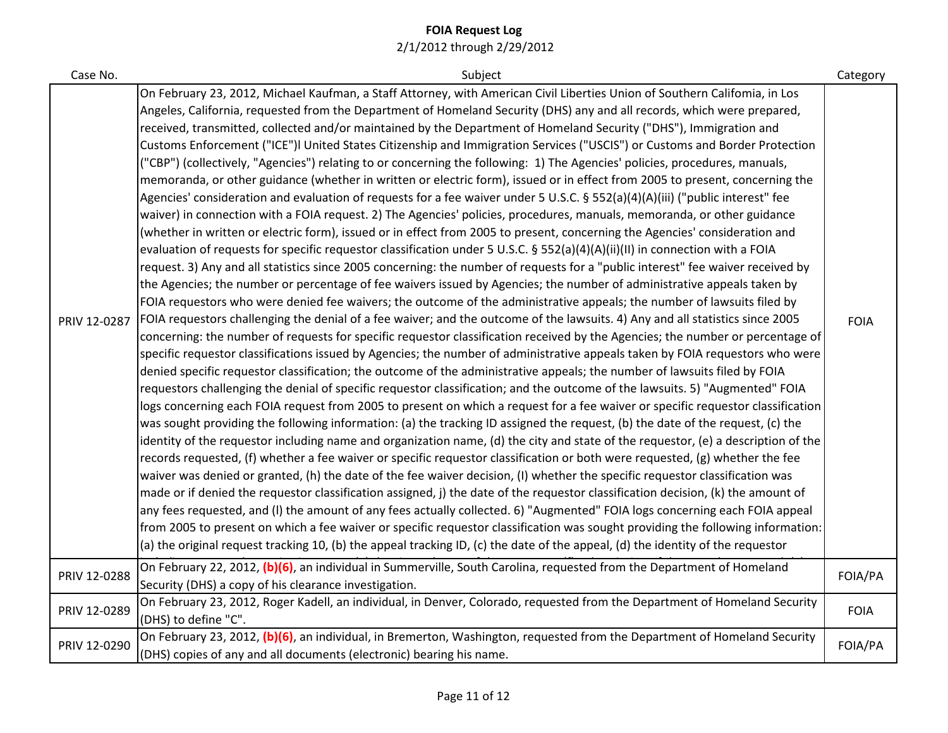| Case No. |  |
|----------|--|
|          |  |

| Case No.   | Subject                                                                                                                         | Category    |
|------------|---------------------------------------------------------------------------------------------------------------------------------|-------------|
|            | On February 23, 2012, Michael Kaufman, a Staff Attorney, with American Civil Liberties Union of Southern Califomia, in Los      |             |
|            | Angeles, California, requested from the Department of Homeland Security (DHS) any and all records, which were prepared,         |             |
|            | received, transmitted, collected and/or maintained by the Department of Homeland Security ("DHS"), Immigration and              |             |
|            | Customs Enforcement ("ICE")I United States Citizenship and Immigration Services ("USCIS") or Customs and Border Protection      |             |
|            | ("CBP") (collectively, "Agencies") relating to or concerning the following: 1) The Agencies' policies, procedures, manuals,     |             |
|            | memoranda, or other guidance (whether in written or electric form), issued or in effect from 2005 to present, concerning the    |             |
|            | Agencies' consideration and evaluation of requests for a fee waiver under 5 U.S.C. § 552(a)(4)(A)(iii) ("public interest" fee   |             |
|            | waiver) in connection with a FOIA request. 2) The Agencies' policies, procedures, manuals, memoranda, or other guidance         |             |
|            | (whether in written or electric form), issued or in effect from 2005 to present, concerning the Agencies' consideration and     |             |
|            | evaluation of requests for specific requestor classification under 5 U.S.C. § 552(a)(4)(A)(ii)(II) in connection with a FOIA    |             |
|            | request. 3) Any and all statistics since 2005 concerning: the number of requests for a "public interest" fee waiver received by |             |
|            | the Agencies; the number or percentage of fee waivers issued by Agencies; the number of administrative appeals taken by         |             |
|            | FOIA requestors who were denied fee waivers; the outcome of the administrative appeals; the number of lawsuits filed by         |             |
| IV 12-0287 | FOIA requestors challenging the denial of a fee waiver; and the outcome of the lawsuits. 4) Any and all statistics since 2005   | <b>FOIA</b> |
|            | concerning: the number of requests for specific requestor classification received by the Agencies; the number or percentage of  |             |
|            | coopitic requester eleccifications issued by Agoncias; the number of administrative anneals taken by FOIA requesters who were   |             |

| PRIV 12-0287 | Agencies' consideration and evaluation of requests for a fee waiver under 5 U.S.C. § 552(a)(4)(A)(iii) ("public interest" fee<br>waiver) in connection with a FOIA request. 2) The Agencies' policies, procedures, manuals, memoranda, or other guidance<br>(whether in written or electric form), issued or in effect from 2005 to present, concerning the Agencies' consideration and<br>evaluation of requests for specific requestor classification under 5 U.S.C. § 552(a)(4)(A)(ii)(II) in connection with a FOIA<br>request. 3) Any and all statistics since 2005 concerning: the number of requests for a "public interest" fee waiver received by<br>the Agencies; the number or percentage of fee waivers issued by Agencies; the number of administrative appeals taken by<br>FOIA requestors who were denied fee waivers; the outcome of the administrative appeals; the number of lawsuits filed by<br>FOIA requestors challenging the denial of a fee waiver; and the outcome of the lawsuits. 4) Any and all statistics since 2005<br>concerning: the number of requests for specific requestor classification received by the Agencies; the number or percentage of<br>specific requestor classifications issued by Agencies; the number of administrative appeals taken by FOIA requestors who were<br>denied specific requestor classification; the outcome of the administrative appeals; the number of lawsuits filed by FOIA<br>requestors challenging the denial of specific requestor classification; and the outcome of the lawsuits. 5) "Augmented" FOIA<br>logs concerning each FOIA request from 2005 to present on which a request for a fee waiver or specific requestor classification<br>was sought providing the following information: (a) the tracking ID assigned the request, (b) the date of the request, (c) the<br>identity of the requestor including name and organization name, (d) the city and state of the requestor, (e) a description of the<br>records requested, (f) whether a fee waiver or specific requestor classification or both were requested, (g) whether the fee<br>waiver was denied or granted, (h) the date of the fee waiver decision, (I) whether the specific requestor classification was<br>made or if denied the requestor classification assigned, j) the date of the requestor classification decision, (k) the amount of<br>any fees requested, and (I) the amount of any fees actually collected. 6) "Augmented" FOIA logs concerning each FOIA appeal<br>from 2005 to present on which a fee waiver or specific requestor classification was sought providing the following information:<br>(a) the original request tracking 10, (b) the appeal tracking ID, (c) the date of the appeal, (d) the identity of the requestor | <b>FOIA</b> |
|--------------|------------------------------------------------------------------------------------------------------------------------------------------------------------------------------------------------------------------------------------------------------------------------------------------------------------------------------------------------------------------------------------------------------------------------------------------------------------------------------------------------------------------------------------------------------------------------------------------------------------------------------------------------------------------------------------------------------------------------------------------------------------------------------------------------------------------------------------------------------------------------------------------------------------------------------------------------------------------------------------------------------------------------------------------------------------------------------------------------------------------------------------------------------------------------------------------------------------------------------------------------------------------------------------------------------------------------------------------------------------------------------------------------------------------------------------------------------------------------------------------------------------------------------------------------------------------------------------------------------------------------------------------------------------------------------------------------------------------------------------------------------------------------------------------------------------------------------------------------------------------------------------------------------------------------------------------------------------------------------------------------------------------------------------------------------------------------------------------------------------------------------------------------------------------------------------------------------------------------------------------------------------------------------------------------------------------------------------------------------------------------------------------------------------------------------------------------------------------------------------------------------------------------------------------------------------------------------------------------------------------------------------------------------------------------------------------------------------------------------------------------------------------------------------------------------|-------------|
| PRIV 12-0288 | On February 22, 2012, (b)(6), an individual in Summerville, South Carolina, requested from the Department of Homeland<br>Security (DHS) a copy of his clearance investigation.                                                                                                                                                                                                                                                                                                                                                                                                                                                                                                                                                                                                                                                                                                                                                                                                                                                                                                                                                                                                                                                                                                                                                                                                                                                                                                                                                                                                                                                                                                                                                                                                                                                                                                                                                                                                                                                                                                                                                                                                                                                                                                                                                                                                                                                                                                                                                                                                                                                                                                                                                                                                                       | FOIA/PA     |
| PRIV 12-0289 | On February 23, 2012, Roger Kadell, an individual, in Denver, Colorado, requested from the Department of Homeland Security<br>(DHS) to define "C".                                                                                                                                                                                                                                                                                                                                                                                                                                                                                                                                                                                                                                                                                                                                                                                                                                                                                                                                                                                                                                                                                                                                                                                                                                                                                                                                                                                                                                                                                                                                                                                                                                                                                                                                                                                                                                                                                                                                                                                                                                                                                                                                                                                                                                                                                                                                                                                                                                                                                                                                                                                                                                                   | <b>FOIA</b> |
| PRIV 12-0290 | On February 23, 2012, (b)(6), an individual, in Bremerton, Washington, requested from the Department of Homeland Security<br>(DHS) copies of any and all documents (electronic) bearing his name.                                                                                                                                                                                                                                                                                                                                                                                                                                                                                                                                                                                                                                                                                                                                                                                                                                                                                                                                                                                                                                                                                                                                                                                                                                                                                                                                                                                                                                                                                                                                                                                                                                                                                                                                                                                                                                                                                                                                                                                                                                                                                                                                                                                                                                                                                                                                                                                                                                                                                                                                                                                                    | FOIA/PA     |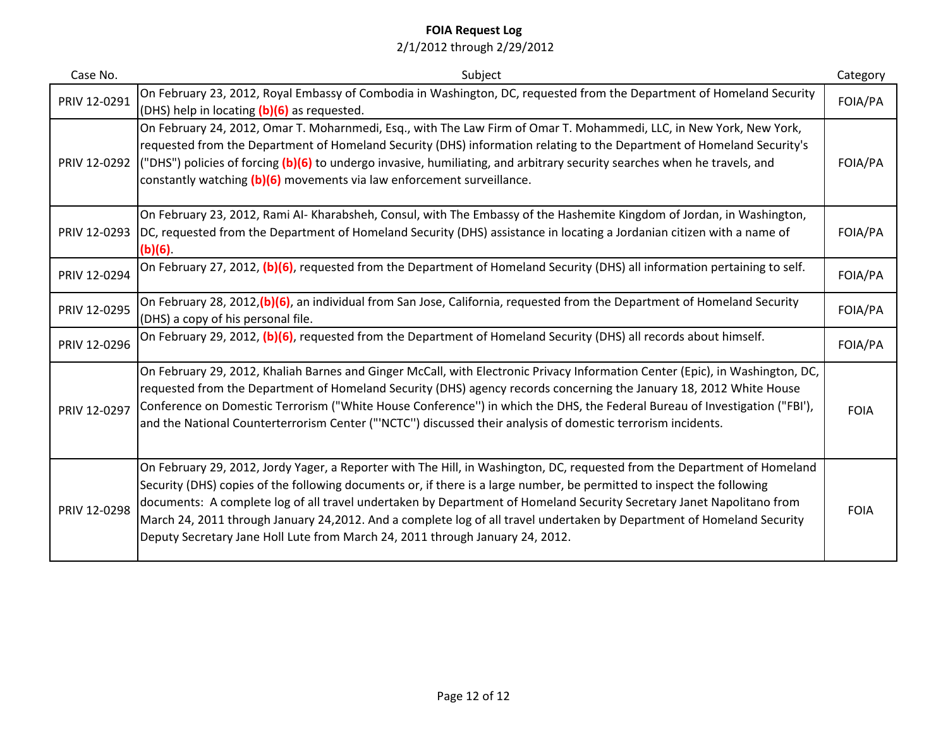| Case No.     | Subject                                                                                                                                                                                                                                                                                                                                                                                                                                                                                                                                                                                 | Category    |
|--------------|-----------------------------------------------------------------------------------------------------------------------------------------------------------------------------------------------------------------------------------------------------------------------------------------------------------------------------------------------------------------------------------------------------------------------------------------------------------------------------------------------------------------------------------------------------------------------------------------|-------------|
| PRIV 12-0291 | On February 23, 2012, Royal Embassy of Combodia in Washington, DC, requested from the Department of Homeland Security<br>(DHS) help in locating (b)(6) as requested.                                                                                                                                                                                                                                                                                                                                                                                                                    | FOIA/PA     |
| PRIV 12-0292 | On February 24, 2012, Omar T. Moharnmedi, Esq., with The Law Firm of Omar T. Mohammedi, LLC, in New York, New York,<br>requested from the Department of Homeland Security (DHS) information relating to the Department of Homeland Security's<br>("DHS") policies of forcing (b)(6) to undergo invasive, humiliating, and arbitrary security searches when he travels, and<br>constantly watching (b)(6) movements via law enforcement surveillance.                                                                                                                                    | FOIA/PA     |
| PRIV 12-0293 | On February 23, 2012, Rami Al-Kharabsheh, Consul, with The Embassy of the Hashemite Kingdom of Jordan, in Washington,<br>DC, requested from the Department of Homeland Security (DHS) assistance in locating a Jordanian citizen with a name of<br>(b)(6)                                                                                                                                                                                                                                                                                                                               | FOIA/PA     |
| PRIV 12-0294 | On February 27, 2012, (b)(6), requested from the Department of Homeland Security (DHS) all information pertaining to self.                                                                                                                                                                                                                                                                                                                                                                                                                                                              | FOIA/PA     |
| PRIV 12-0295 | On February 28, 2012, (b) (6), an individual from San Jose, California, requested from the Department of Homeland Security<br>(DHS) a copy of his personal file.                                                                                                                                                                                                                                                                                                                                                                                                                        | FOIA/PA     |
| PRIV 12-0296 | On February 29, 2012, (b)(6), requested from the Department of Homeland Security (DHS) all records about himself.                                                                                                                                                                                                                                                                                                                                                                                                                                                                       | FOIA/PA     |
| PRIV 12-0297 | On February 29, 2012, Khaliah Barnes and Ginger McCall, with Electronic Privacy Information Center (Epic), in Washington, DC,<br>requested from the Department of Homeland Security (DHS) agency records concerning the January 18, 2012 White House<br>Conference on Domestic Terrorism ("White House Conference") in which the DHS, the Federal Bureau of Investigation ("FBI'),<br>and the National Counterterrorism Center ("'NCTC") discussed their analysis of domestic terrorism incidents.                                                                                      | <b>FOIA</b> |
| PRIV 12-0298 | On February 29, 2012, Jordy Yager, a Reporter with The Hill, in Washington, DC, requested from the Department of Homeland<br>Security (DHS) copies of the following documents or, if there is a large number, be permitted to inspect the following<br>documents: A complete log of all travel undertaken by Department of Homeland Security Secretary Janet Napolitano from<br>March 24, 2011 through January 24,2012. And a complete log of all travel undertaken by Department of Homeland Security<br>Deputy Secretary Jane Holl Lute from March 24, 2011 through January 24, 2012. | <b>FOIA</b> |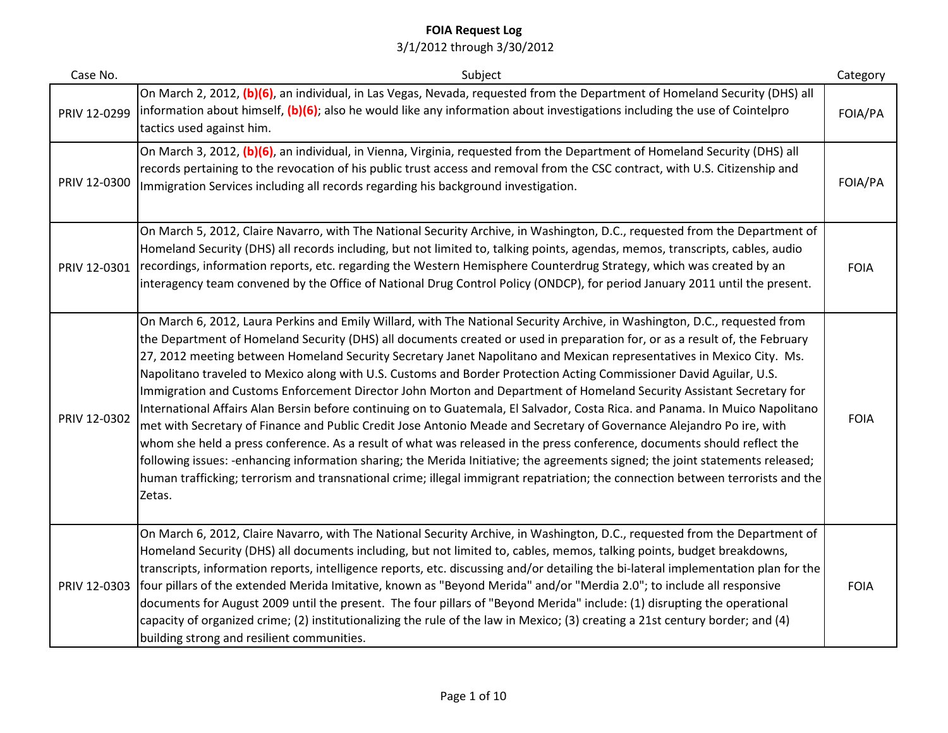| Case No.     | Subject                                                                                                                                                                                                                                                                                                                                                                                                                                                                                                                                                                                                                                                                                                                                                                                                                                                                                                                                                                                                                                                                                                                                                                                                                                                                                                | Category    |
|--------------|--------------------------------------------------------------------------------------------------------------------------------------------------------------------------------------------------------------------------------------------------------------------------------------------------------------------------------------------------------------------------------------------------------------------------------------------------------------------------------------------------------------------------------------------------------------------------------------------------------------------------------------------------------------------------------------------------------------------------------------------------------------------------------------------------------------------------------------------------------------------------------------------------------------------------------------------------------------------------------------------------------------------------------------------------------------------------------------------------------------------------------------------------------------------------------------------------------------------------------------------------------------------------------------------------------|-------------|
| PRIV 12-0299 | On March 2, 2012, (b)(6), an individual, in Las Vegas, Nevada, requested from the Department of Homeland Security (DHS) all<br>information about himself, $(b)(6)$ ; also he would like any information about investigations including the use of Cointelpro<br>tactics used against him.                                                                                                                                                                                                                                                                                                                                                                                                                                                                                                                                                                                                                                                                                                                                                                                                                                                                                                                                                                                                              | FOIA/PA     |
| PRIV 12-0300 | On March 3, 2012, (b)(6), an individual, in Vienna, Virginia, requested from the Department of Homeland Security (DHS) all<br>records pertaining to the revocation of his public trust access and removal from the CSC contract, with U.S. Citizenship and<br>Immigration Services including all records regarding his background investigation.                                                                                                                                                                                                                                                                                                                                                                                                                                                                                                                                                                                                                                                                                                                                                                                                                                                                                                                                                       | FOIA/PA     |
| PRIV 12-0301 | On March 5, 2012, Claire Navarro, with The National Security Archive, in Washington, D.C., requested from the Department of<br>Homeland Security (DHS) all records including, but not limited to, talking points, agendas, memos, transcripts, cables, audio<br>recordings, information reports, etc. regarding the Western Hemisphere Counterdrug Strategy, which was created by an<br>interagency team convened by the Office of National Drug Control Policy (ONDCP), for period January 2011 until the present.                                                                                                                                                                                                                                                                                                                                                                                                                                                                                                                                                                                                                                                                                                                                                                                    | <b>FOIA</b> |
| PRIV 12-0302 | On March 6, 2012, Laura Perkins and Emily Willard, with The National Security Archive, in Washington, D.C., requested from<br>the Department of Homeland Security (DHS) all documents created or used in preparation for, or as a result of, the February<br>27, 2012 meeting between Homeland Security Secretary Janet Napolitano and Mexican representatives in Mexico City. Ms.<br>Napolitano traveled to Mexico along with U.S. Customs and Border Protection Acting Commissioner David Aguilar, U.S.<br>Immigration and Customs Enforcement Director John Morton and Department of Homeland Security Assistant Secretary for<br>International Affairs Alan Bersin before continuing on to Guatemala, El Salvador, Costa Rica. and Panama. In Muico Napolitano<br>met with Secretary of Finance and Public Credit Jose Antonio Meade and Secretary of Governance Alejandro Po ire, with<br>whom she held a press conference. As a result of what was released in the press conference, documents should reflect the<br>following issues: -enhancing information sharing; the Merida Initiative; the agreements signed; the joint statements released;<br>human trafficking; terrorism and transnational crime; illegal immigrant repatriation; the connection between terrorists and the<br>Zetas. | <b>FOIA</b> |
| PRIV 12-0303 | On March 6, 2012, Claire Navarro, with The National Security Archive, in Washington, D.C., requested from the Department of<br>Homeland Security (DHS) all documents including, but not limited to, cables, memos, talking points, budget breakdowns,<br>transcripts, information reports, intelligence reports, etc. discussing and/or detailing the bi-lateral implementation plan for the<br>four pillars of the extended Merida Imitative, known as "Beyond Merida" and/or "Merdia 2.0"; to include all responsive<br>documents for August 2009 until the present. The four pillars of "Beyond Merida" include: (1) disrupting the operational<br>capacity of organized crime; (2) institutionalizing the rule of the law in Mexico; (3) creating a 21st century border; and (4)<br>building strong and resilient communities.                                                                                                                                                                                                                                                                                                                                                                                                                                                                     | <b>FOIA</b> |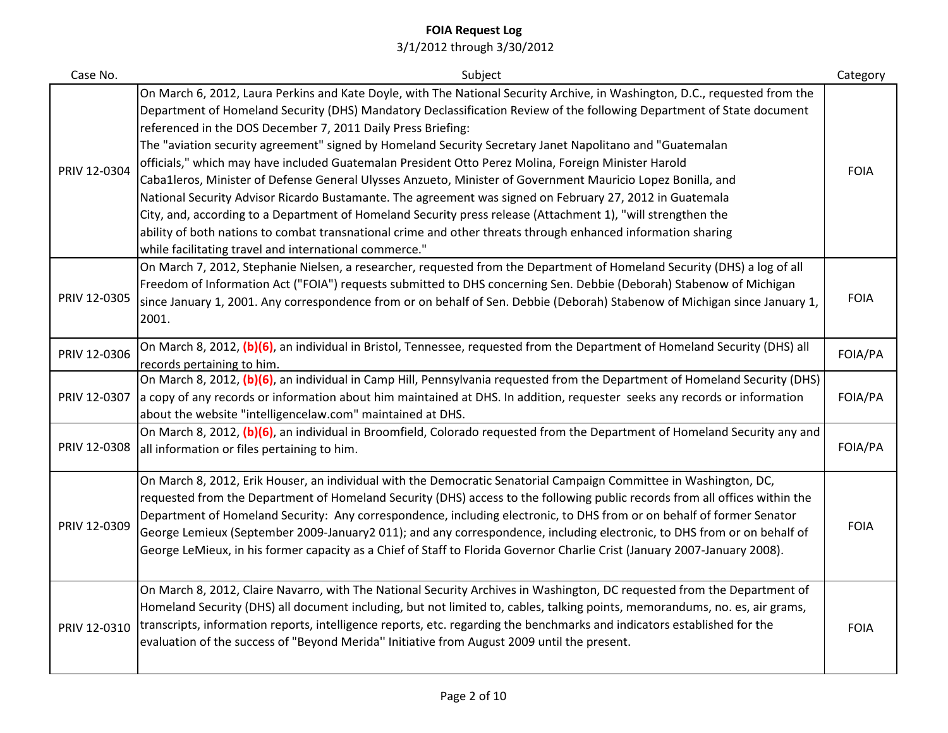| Case No.     | Subject                                                                                                                                                                                                                                                                                                                                                                                                                                                                                                                                                                                                                                                                                                                                                                                                                                                                                                                                                                                                                                                      | Category    |
|--------------|--------------------------------------------------------------------------------------------------------------------------------------------------------------------------------------------------------------------------------------------------------------------------------------------------------------------------------------------------------------------------------------------------------------------------------------------------------------------------------------------------------------------------------------------------------------------------------------------------------------------------------------------------------------------------------------------------------------------------------------------------------------------------------------------------------------------------------------------------------------------------------------------------------------------------------------------------------------------------------------------------------------------------------------------------------------|-------------|
| PRIV 12-0304 | On March 6, 2012, Laura Perkins and Kate Doyle, with The National Security Archive, in Washington, D.C., requested from the<br>Department of Homeland Security (DHS) Mandatory Declassification Review of the following Department of State document<br>referenced in the DOS December 7, 2011 Daily Press Briefing:<br>The "aviation security agreement" signed by Homeland Security Secretary Janet Napolitano and "Guatemalan<br>officials," which may have included Guatemalan President Otto Perez Molina, Foreign Minister Harold<br>Caba1leros, Minister of Defense General Ulysses Anzueto, Minister of Government Mauricio Lopez Bonilla, and<br>National Security Advisor Ricardo Bustamante. The agreement was signed on February 27, 2012 in Guatemala<br>City, and, according to a Department of Homeland Security press release (Attachment 1), "will strengthen the<br>ability of both nations to combat transnational crime and other threats through enhanced information sharing<br>while facilitating travel and international commerce." | <b>FOIA</b> |
| PRIV 12-0305 | On March 7, 2012, Stephanie Nielsen, a researcher, requested from the Department of Homeland Security (DHS) a log of all<br>Freedom of Information Act ("FOIA") requests submitted to DHS concerning Sen. Debbie (Deborah) Stabenow of Michigan<br>since January 1, 2001. Any correspondence from or on behalf of Sen. Debbie (Deborah) Stabenow of Michigan since January 1,<br>2001.                                                                                                                                                                                                                                                                                                                                                                                                                                                                                                                                                                                                                                                                       | <b>FOIA</b> |
| PRIV 12-0306 | On March 8, 2012, (b)(6), an individual in Bristol, Tennessee, requested from the Department of Homeland Security (DHS) all<br>records pertaining to him.                                                                                                                                                                                                                                                                                                                                                                                                                                                                                                                                                                                                                                                                                                                                                                                                                                                                                                    | FOIA/PA     |
| PRIV 12-0307 | On March 8, 2012, (b)(6), an individual in Camp Hill, Pennsylvania requested from the Department of Homeland Security (DHS)<br>a copy of any records or information about him maintained at DHS. In addition, requester seeks any records or information<br>about the website "intelligencelaw.com" maintained at DHS.                                                                                                                                                                                                                                                                                                                                                                                                                                                                                                                                                                                                                                                                                                                                       | FOIA/PA     |
| PRIV 12-0308 | On March 8, 2012, (b)(6), an individual in Broomfield, Colorado requested from the Department of Homeland Security any and<br>all information or files pertaining to him.                                                                                                                                                                                                                                                                                                                                                                                                                                                                                                                                                                                                                                                                                                                                                                                                                                                                                    | FOIA/PA     |
| PRIV 12-0309 | On March 8, 2012, Erik Houser, an individual with the Democratic Senatorial Campaign Committee in Washington, DC,<br>requested from the Department of Homeland Security (DHS) access to the following public records from all offices within the<br>Department of Homeland Security: Any correspondence, including electronic, to DHS from or on behalf of former Senator<br>George Lemieux (September 2009-January2 011); and any correspondence, including electronic, to DHS from or on behalf of<br>George LeMieux, in his former capacity as a Chief of Staff to Florida Governor Charlie Crist (January 2007-January 2008).                                                                                                                                                                                                                                                                                                                                                                                                                            | <b>FOIA</b> |
| PRIV 12-0310 | On March 8, 2012, Claire Navarro, with The National Security Archives in Washington, DC requested from the Department of<br>Homeland Security (DHS) all document including, but not limited to, cables, talking points, memorandums, no. es, air grams,<br>transcripts, information reports, intelligence reports, etc. regarding the benchmarks and indicators established for the<br>evaluation of the success of "Beyond Merida" Initiative from August 2009 until the present.                                                                                                                                                                                                                                                                                                                                                                                                                                                                                                                                                                           | <b>FOIA</b> |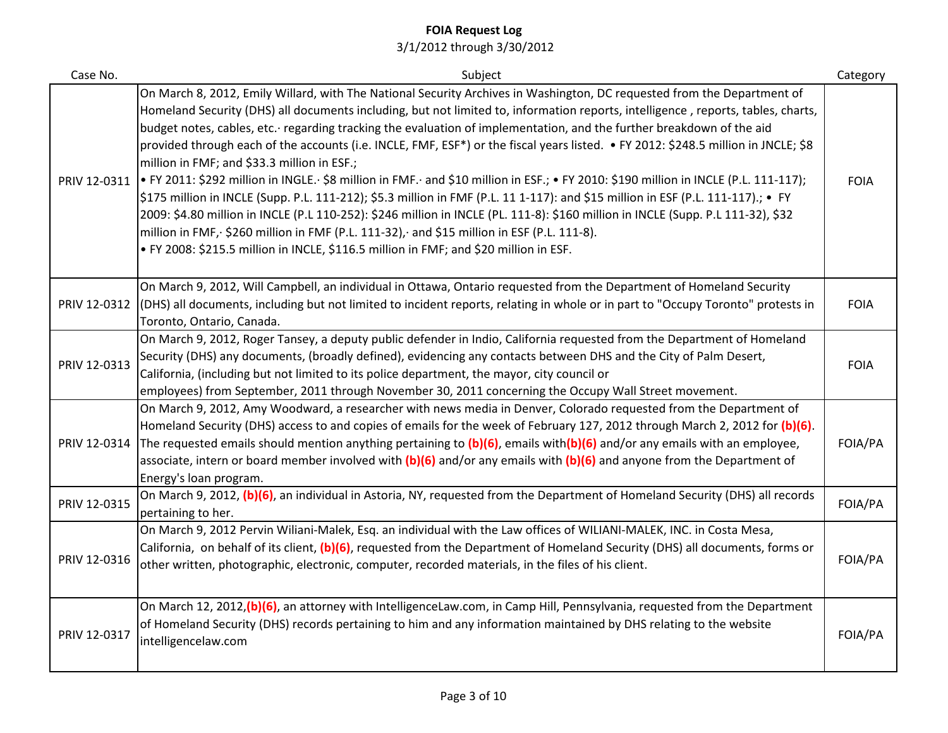| Case No.     | Subject                                                                                                                                                                                                                                                                                                                                                                                                                                                                                                                                                                                                                                                                                                                                                                                                                                                                                                                                                                                                                                                                                                                                                                       | Category    |
|--------------|-------------------------------------------------------------------------------------------------------------------------------------------------------------------------------------------------------------------------------------------------------------------------------------------------------------------------------------------------------------------------------------------------------------------------------------------------------------------------------------------------------------------------------------------------------------------------------------------------------------------------------------------------------------------------------------------------------------------------------------------------------------------------------------------------------------------------------------------------------------------------------------------------------------------------------------------------------------------------------------------------------------------------------------------------------------------------------------------------------------------------------------------------------------------------------|-------------|
| PRIV 12-0311 | On March 8, 2012, Emily Willard, with The National Security Archives in Washington, DC requested from the Department of<br>Homeland Security (DHS) all documents including, but not limited to, information reports, intelligence, reports, tables, charts,<br>budget notes, cables, etc. regarding tracking the evaluation of implementation, and the further breakdown of the aid<br>provided through each of the accounts (i.e. INCLE, FMF, ESF*) or the fiscal years listed. • FY 2012: \$248.5 million in JNCLE; \$8<br>million in FMF; and \$33.3 million in ESF.;<br> ● FY 2011: \$292 million in INGLE. \$8 million in FMF. and \$10 million in ESF.; ● FY 2010: \$190 million in INCLE (P.L. 111-117);<br>\$175 million in INCLE (Supp. P.L. 111-212); \$5.3 million in FMF (P.L. 11 1-117): and \$15 million in ESF (P.L. 111-117).; • FY<br>2009: \$4.80 million in INCLE (P.L 110-252): \$246 million in INCLE (PL. 111-8): \$160 million in INCLE (Supp. P.L 111-32), \$32<br>million in FMF, \$260 million in FMF (P.L. 111-32), and \$15 million in ESF (P.L. 111-8).<br>. FY 2008: \$215.5 million in INCLE, \$116.5 million in FMF; and \$20 million in ESF. | <b>FOIA</b> |
| PRIV 12-0312 | On March 9, 2012, Will Campbell, an individual in Ottawa, Ontario requested from the Department of Homeland Security<br>(DHS) all documents, including but not limited to incident reports, relating in whole or in part to "Occupy Toronto" protests in<br>Toronto, Ontario, Canada.                                                                                                                                                                                                                                                                                                                                                                                                                                                                                                                                                                                                                                                                                                                                                                                                                                                                                         | <b>FOIA</b> |
| PRIV 12-0313 | On March 9, 2012, Roger Tansey, a deputy public defender in Indio, California requested from the Department of Homeland<br>Security (DHS) any documents, (broadly defined), evidencing any contacts between DHS and the City of Palm Desert,<br>California, (including but not limited to its police department, the mayor, city council or<br>employees) from September, 2011 through November 30, 2011 concerning the Occupy Wall Street movement.                                                                                                                                                                                                                                                                                                                                                                                                                                                                                                                                                                                                                                                                                                                          | <b>FOIA</b> |
| PRIV 12-0314 | On March 9, 2012, Amy Woodward, a researcher with news media in Denver, Colorado requested from the Department of<br>Homeland Security (DHS) access to and copies of emails for the week of February 127, 2012 through March 2, 2012 for (b)(6).<br>The requested emails should mention anything pertaining to $(b)(6)$ , emails with(b)(6) and/or any emails with an employee,<br>associate, intern or board member involved with $(b)(6)$ and/or any emails with $(b)(6)$ and anyone from the Department of<br>Energy's loan program.                                                                                                                                                                                                                                                                                                                                                                                                                                                                                                                                                                                                                                       | FOIA/PA     |
| PRIV 12-0315 | On March 9, 2012, (b)(6), an individual in Astoria, NY, requested from the Department of Homeland Security (DHS) all records<br>pertaining to her.                                                                                                                                                                                                                                                                                                                                                                                                                                                                                                                                                                                                                                                                                                                                                                                                                                                                                                                                                                                                                            | FOIA/PA     |
| PRIV 12-0316 | On March 9, 2012 Pervin Wiliani-Malek, Esq. an individual with the Law offices of WILIANI-MALEK, INC. in Costa Mesa,<br>California, on behalf of its client, (b)(6), requested from the Department of Homeland Security (DHS) all documents, forms or<br>other written, photographic, electronic, computer, recorded materials, in the files of his client.                                                                                                                                                                                                                                                                                                                                                                                                                                                                                                                                                                                                                                                                                                                                                                                                                   | FOIA/PA     |
| PRIV 12-0317 | On March 12, 2012, (b)(6), an attorney with IntelligenceLaw.com, in Camp Hill, Pennsylvania, requested from the Department<br>of Homeland Security (DHS) records pertaining to him and any information maintained by DHS relating to the website<br>intelligencelaw.com                                                                                                                                                                                                                                                                                                                                                                                                                                                                                                                                                                                                                                                                                                                                                                                                                                                                                                       | FOIA/PA     |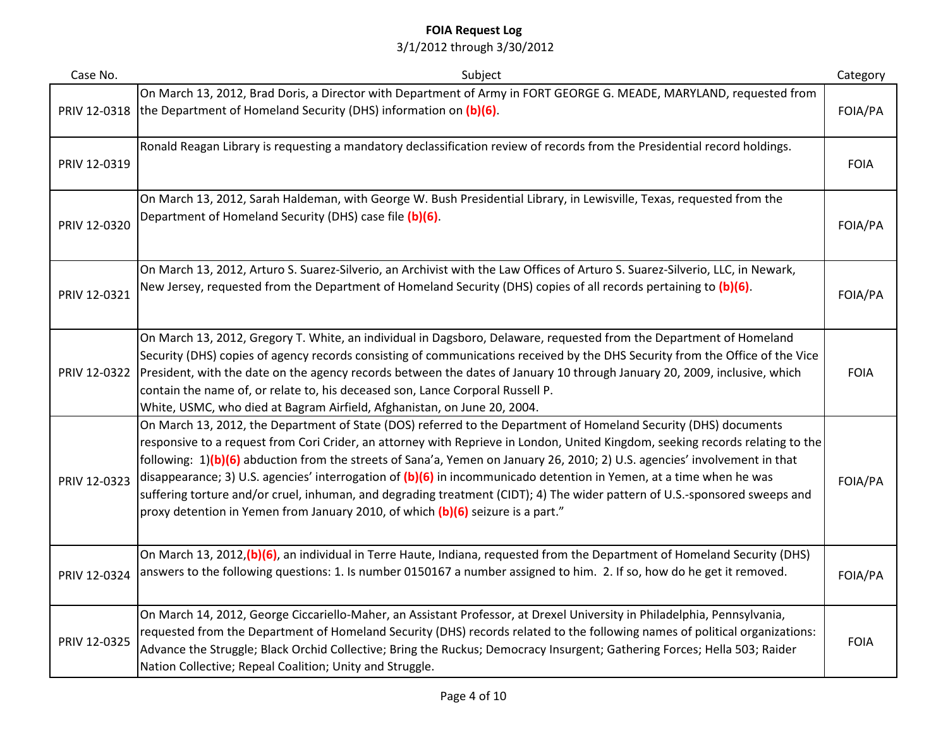| Case No.     | Subject                                                                                                                                                                                                                                                                                                                                                                                                                                                                                                                                                                                                                                                                                                                  | Category    |
|--------------|--------------------------------------------------------------------------------------------------------------------------------------------------------------------------------------------------------------------------------------------------------------------------------------------------------------------------------------------------------------------------------------------------------------------------------------------------------------------------------------------------------------------------------------------------------------------------------------------------------------------------------------------------------------------------------------------------------------------------|-------------|
| PRIV 12-0318 | On March 13, 2012, Brad Doris, a Director with Department of Army in FORT GEORGE G. MEADE, MARYLAND, requested from<br>the Department of Homeland Security (DHS) information on (b)(6).                                                                                                                                                                                                                                                                                                                                                                                                                                                                                                                                  | FOIA/PA     |
| PRIV 12-0319 | Ronald Reagan Library is requesting a mandatory declassification review of records from the Presidential record holdings.                                                                                                                                                                                                                                                                                                                                                                                                                                                                                                                                                                                                | <b>FOIA</b> |
| PRIV 12-0320 | On March 13, 2012, Sarah Haldeman, with George W. Bush Presidential Library, in Lewisville, Texas, requested from the<br>Department of Homeland Security (DHS) case file (b)(6).                                                                                                                                                                                                                                                                                                                                                                                                                                                                                                                                         | FOIA/PA     |
| PRIV 12-0321 | On March 13, 2012, Arturo S. Suarez-Silverio, an Archivist with the Law Offices of Arturo S. Suarez-Silverio, LLC, in Newark,<br>New Jersey, requested from the Department of Homeland Security (DHS) copies of all records pertaining to (b)(6).                                                                                                                                                                                                                                                                                                                                                                                                                                                                        | FOIA/PA     |
| PRIV 12-0322 | On March 13, 2012, Gregory T. White, an individual in Dagsboro, Delaware, requested from the Department of Homeland<br>Security (DHS) copies of agency records consisting of communications received by the DHS Security from the Office of the Vice<br>President, with the date on the agency records between the dates of January 10 through January 20, 2009, inclusive, which<br>contain the name of, or relate to, his deceased son, Lance Corporal Russell P.<br>White, USMC, who died at Bagram Airfield, Afghanistan, on June 20, 2004.                                                                                                                                                                          | <b>FOIA</b> |
| PRIV 12-0323 | On March 13, 2012, the Department of State (DOS) referred to the Department of Homeland Security (DHS) documents<br>responsive to a request from Cori Crider, an attorney with Reprieve in London, United Kingdom, seeking records relating to the<br>following: 1)(b)(6) abduction from the streets of Sana'a, Yemen on January 26, 2010; 2) U.S. agencies' involvement in that<br>disappearance; 3) U.S. agencies' interrogation of (b)(6) in incommunicado detention in Yemen, at a time when he was<br>suffering torture and/or cruel, inhuman, and degrading treatment (CIDT); 4) The wider pattern of U.S.-sponsored sweeps and<br>proxy detention in Yemen from January 2010, of which (b)(6) seizure is a part." | FOIA/PA     |
| PRIV 12-0324 | On March 13, 2012, (b)(6), an individual in Terre Haute, Indiana, requested from the Department of Homeland Security (DHS)<br>answers to the following questions: 1. Is number 0150167 a number assigned to him. 2. If so, how do he get it removed.                                                                                                                                                                                                                                                                                                                                                                                                                                                                     | FOIA/PA     |
| PRIV 12-0325 | On March 14, 2012, George Ciccariello-Maher, an Assistant Professor, at Drexel University in Philadelphia, Pennsylvania,<br>requested from the Department of Homeland Security (DHS) records related to the following names of political organizations:<br>Advance the Struggle; Black Orchid Collective; Bring the Ruckus; Democracy Insurgent; Gathering Forces; Hella 503; Raider<br>Nation Collective; Repeal Coalition; Unity and Struggle.                                                                                                                                                                                                                                                                         | <b>FOIA</b> |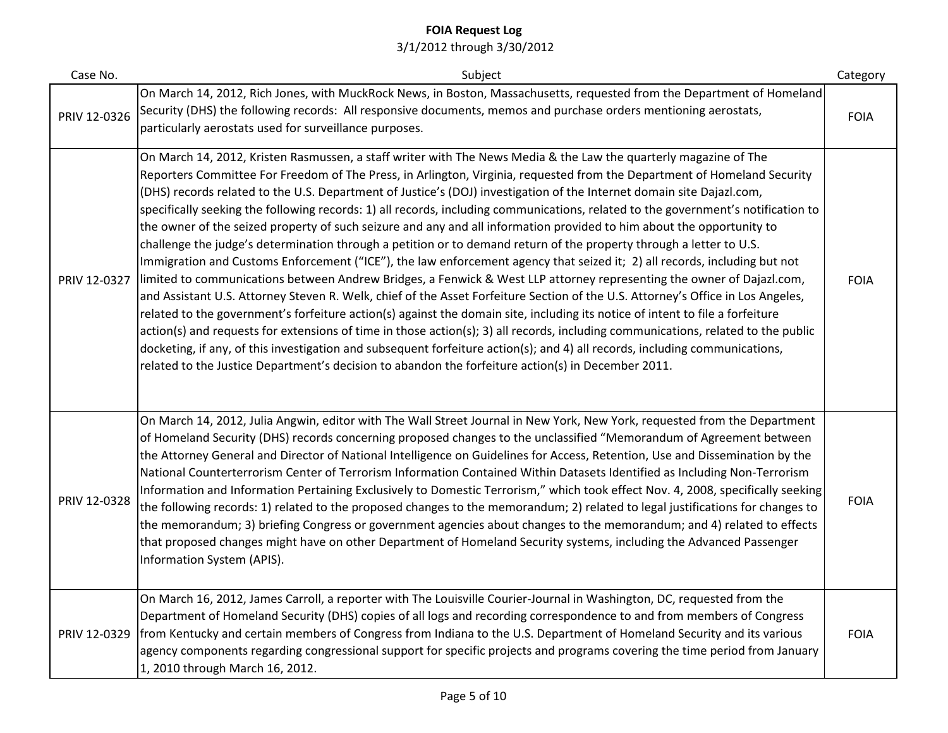| Case No.     | Subject                                                                                                                                                                                                                                                                                                                                                                                                                                                                                                                                                                                                                                                                                                                                                                                                                                                                                                                                                                                                                                                                                                                                                                                                                                                                                                                                                                                                                                                                                                                                                                                                                                                        | Category    |
|--------------|----------------------------------------------------------------------------------------------------------------------------------------------------------------------------------------------------------------------------------------------------------------------------------------------------------------------------------------------------------------------------------------------------------------------------------------------------------------------------------------------------------------------------------------------------------------------------------------------------------------------------------------------------------------------------------------------------------------------------------------------------------------------------------------------------------------------------------------------------------------------------------------------------------------------------------------------------------------------------------------------------------------------------------------------------------------------------------------------------------------------------------------------------------------------------------------------------------------------------------------------------------------------------------------------------------------------------------------------------------------------------------------------------------------------------------------------------------------------------------------------------------------------------------------------------------------------------------------------------------------------------------------------------------------|-------------|
| PRIV 12-0326 | On March 14, 2012, Rich Jones, with MuckRock News, in Boston, Massachusetts, requested from the Department of Homeland<br>Security (DHS) the following records: All responsive documents, memos and purchase orders mentioning aerostats,<br>particularly aerostats used for surveillance purposes.                                                                                                                                                                                                                                                                                                                                                                                                                                                                                                                                                                                                                                                                                                                                                                                                                                                                                                                                                                                                                                                                                                                                                                                                                                                                                                                                                            | <b>FOIA</b> |
| PRIV 12-0327 | On March 14, 2012, Kristen Rasmussen, a staff writer with The News Media & the Law the quarterly magazine of The<br>Reporters Committee For Freedom of The Press, in Arlington, Virginia, requested from the Department of Homeland Security<br>(DHS) records related to the U.S. Department of Justice's (DOJ) investigation of the Internet domain site Dajazl.com,<br>specifically seeking the following records: 1) all records, including communications, related to the government's notification to<br>the owner of the seized property of such seizure and any and all information provided to him about the opportunity to<br>challenge the judge's determination through a petition or to demand return of the property through a letter to U.S.<br>Immigration and Customs Enforcement ("ICE"), the law enforcement agency that seized it; 2) all records, including but not<br>limited to communications between Andrew Bridges, a Fenwick & West LLP attorney representing the owner of Dajazl.com,<br>and Assistant U.S. Attorney Steven R. Welk, chief of the Asset Forfeiture Section of the U.S. Attorney's Office in Los Angeles,<br>related to the government's forfeiture action(s) against the domain site, including its notice of intent to file a forfeiture<br>action(s) and requests for extensions of time in those action(s); 3) all records, including communications, related to the public<br>docketing, if any, of this investigation and subsequent forfeiture action(s); and 4) all records, including communications,<br>related to the Justice Department's decision to abandon the forfeiture action(s) in December 2011. | <b>FOIA</b> |
| PRIV 12-0328 | On March 14, 2012, Julia Angwin, editor with The Wall Street Journal in New York, New York, requested from the Department<br>of Homeland Security (DHS) records concerning proposed changes to the unclassified "Memorandum of Agreement between<br>the Attorney General and Director of National Intelligence on Guidelines for Access, Retention, Use and Dissemination by the<br>National Counterterrorism Center of Terrorism Information Contained Within Datasets Identified as Including Non-Terrorism<br>Information and Information Pertaining Exclusively to Domestic Terrorism," which took effect Nov. 4, 2008, specifically seeking<br>the following records: 1) related to the proposed changes to the memorandum; 2) related to legal justifications for changes to<br>the memorandum; 3) briefing Congress or government agencies about changes to the memorandum; and 4) related to effects<br>that proposed changes might have on other Department of Homeland Security systems, including the Advanced Passenger<br>Information System (APIS).                                                                                                                                                                                                                                                                                                                                                                                                                                                                                                                                                                                              | <b>FOIA</b> |
| PRIV 12-0329 | On March 16, 2012, James Carroll, a reporter with The Louisville Courier-Journal in Washington, DC, requested from the<br>Department of Homeland Security (DHS) copies of all logs and recording correspondence to and from members of Congress<br>from Kentucky and certain members of Congress from Indiana to the U.S. Department of Homeland Security and its various<br>agency components regarding congressional support for specific projects and programs covering the time period from January<br>1, 2010 through March 16, 2012.                                                                                                                                                                                                                                                                                                                                                                                                                                                                                                                                                                                                                                                                                                                                                                                                                                                                                                                                                                                                                                                                                                                     | <b>FOIA</b> |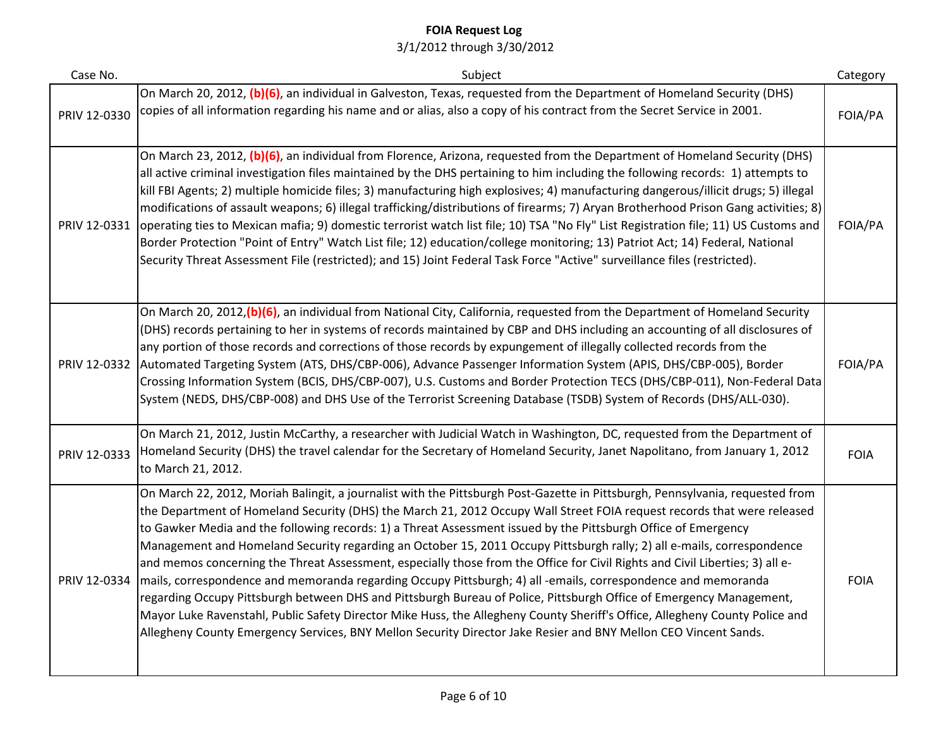| Case No.     | Subject                                                                                                                                                                                                                                                                                                                                                                                                                                                                                                                                                                                                                                                                                                                                                                                                                                                                                                                                                                                                                                                                                                                        | Category    |
|--------------|--------------------------------------------------------------------------------------------------------------------------------------------------------------------------------------------------------------------------------------------------------------------------------------------------------------------------------------------------------------------------------------------------------------------------------------------------------------------------------------------------------------------------------------------------------------------------------------------------------------------------------------------------------------------------------------------------------------------------------------------------------------------------------------------------------------------------------------------------------------------------------------------------------------------------------------------------------------------------------------------------------------------------------------------------------------------------------------------------------------------------------|-------------|
| PRIV 12-0330 | On March 20, 2012, (b)(6), an individual in Galveston, Texas, requested from the Department of Homeland Security (DHS)<br>copies of all information regarding his name and or alias, also a copy of his contract from the Secret Service in 2001.                                                                                                                                                                                                                                                                                                                                                                                                                                                                                                                                                                                                                                                                                                                                                                                                                                                                              | FOIA/PA     |
| PRIV 12-0331 | On March 23, 2012, (b)(6), an individual from Florence, Arizona, requested from the Department of Homeland Security (DHS)<br>all active criminal investigation files maintained by the DHS pertaining to him including the following records: 1) attempts to<br>kill FBI Agents; 2) multiple homicide files; 3) manufacturing high explosives; 4) manufacturing dangerous/illicit drugs; 5) illegal<br>modifications of assault weapons; 6) illegal trafficking/distributions of firearms; 7) Aryan Brotherhood Prison Gang activities; 8)<br>operating ties to Mexican mafia; 9) domestic terrorist watch list file; 10) TSA "No Fly" List Registration file; 11) US Customs and<br>Border Protection "Point of Entry" Watch List file; 12) education/college monitoring; 13) Patriot Act; 14) Federal, National<br>Security Threat Assessment File (restricted); and 15) Joint Federal Task Force "Active" surveillance files (restricted).                                                                                                                                                                                  | FOIA/PA     |
| PRIV 12-0332 | On March 20, 2012, (b)(6), an individual from National City, California, requested from the Department of Homeland Security<br>(DHS) records pertaining to her in systems of records maintained by CBP and DHS including an accounting of all disclosures of<br>any portion of those records and corrections of those records by expungement of illegally collected records from the<br>Automated Targeting System (ATS, DHS/CBP-006), Advance Passenger Information System (APIS, DHS/CBP-005), Border<br>Crossing Information System (BCIS, DHS/CBP-007), U.S. Customs and Border Protection TECS (DHS/CBP-011), Non-Federal Data<br>System (NEDS, DHS/CBP-008) and DHS Use of the Terrorist Screening Database (TSDB) System of Records (DHS/ALL-030).                                                                                                                                                                                                                                                                                                                                                                      | FOIA/PA     |
| PRIV 12-0333 | On March 21, 2012, Justin McCarthy, a researcher with Judicial Watch in Washington, DC, requested from the Department of<br>Homeland Security (DHS) the travel calendar for the Secretary of Homeland Security, Janet Napolitano, from January 1, 2012<br>to March 21, 2012.                                                                                                                                                                                                                                                                                                                                                                                                                                                                                                                                                                                                                                                                                                                                                                                                                                                   | <b>FOIA</b> |
| PRIV 12-0334 | On March 22, 2012, Moriah Balingit, a journalist with the Pittsburgh Post-Gazette in Pittsburgh, Pennsylvania, requested from<br>the Department of Homeland Security (DHS) the March 21, 2012 Occupy Wall Street FOIA request records that were released<br>to Gawker Media and the following records: 1) a Threat Assessment issued by the Pittsburgh Office of Emergency<br>Management and Homeland Security regarding an October 15, 2011 Occupy Pittsburgh rally; 2) all e-mails, correspondence<br>and memos concerning the Threat Assessment, especially those from the Office for Civil Rights and Civil Liberties; 3) all e-<br>mails, correspondence and memoranda regarding Occupy Pittsburgh; 4) all -emails, correspondence and memoranda<br>regarding Occupy Pittsburgh between DHS and Pittsburgh Bureau of Police, Pittsburgh Office of Emergency Management,<br>Mayor Luke Ravenstahl, Public Safety Director Mike Huss, the Allegheny County Sheriff's Office, Allegheny County Police and<br>Allegheny County Emergency Services, BNY Mellon Security Director Jake Resier and BNY Mellon CEO Vincent Sands. | <b>FOIA</b> |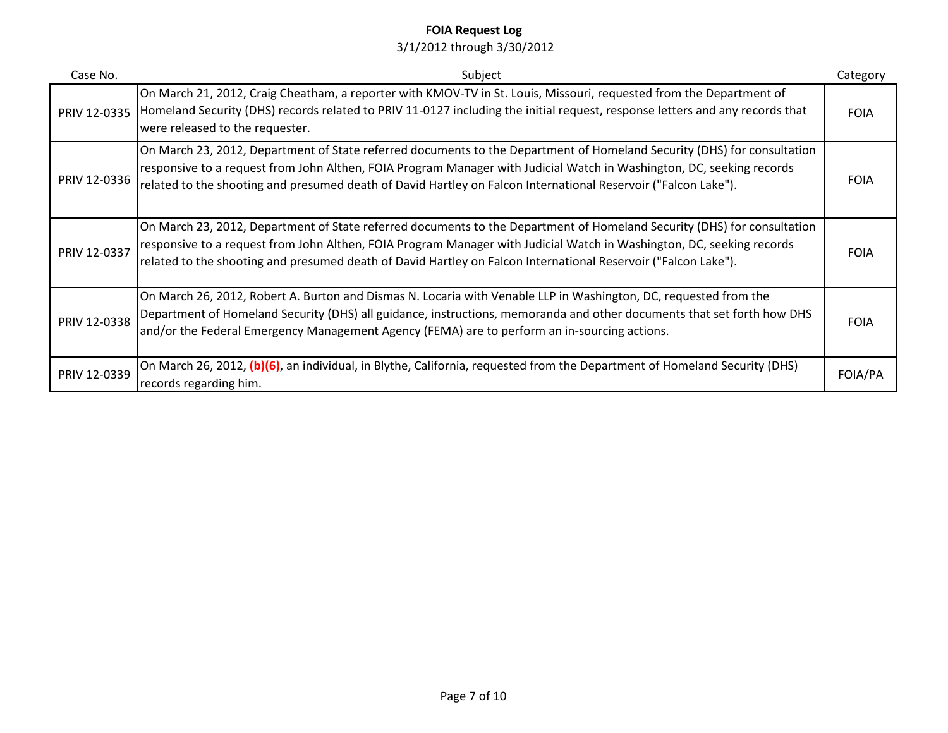| Case No.     | Subject                                                                                                                                                                                                                                                                                                                                                            | Category    |
|--------------|--------------------------------------------------------------------------------------------------------------------------------------------------------------------------------------------------------------------------------------------------------------------------------------------------------------------------------------------------------------------|-------------|
| PRIV 12-0335 | On March 21, 2012, Craig Cheatham, a reporter with KMOV-TV in St. Louis, Missouri, requested from the Department of<br>Homeland Security (DHS) records related to PRIV 11-0127 including the initial request, response letters and any records that<br>were released to the requester.                                                                             | <b>FOIA</b> |
| PRIV 12-0336 | On March 23, 2012, Department of State referred documents to the Department of Homeland Security (DHS) for consultation<br>responsive to a request from John Althen, FOIA Program Manager with Judicial Watch in Washington, DC, seeking records<br>related to the shooting and presumed death of David Hartley on Falcon International Reservoir ("Falcon Lake"). | <b>FOIA</b> |
| PRIV 12-0337 | On March 23, 2012, Department of State referred documents to the Department of Homeland Security (DHS) for consultation<br>responsive to a request from John Althen, FOIA Program Manager with Judicial Watch in Washington, DC, seeking records<br>related to the shooting and presumed death of David Hartley on Falcon International Reservoir ("Falcon Lake"). | <b>FOIA</b> |
| PRIV 12-0338 | On March 26, 2012, Robert A. Burton and Dismas N. Locaria with Venable LLP in Washington, DC, requested from the<br>Department of Homeland Security (DHS) all guidance, instructions, memoranda and other documents that set forth how DHS<br>and/or the Federal Emergency Management Agency (FEMA) are to perform an in-sourcing actions.                         | <b>FOIA</b> |
| PRIV 12-0339 | On March 26, 2012, (b)(6), an individual, in Blythe, California, requested from the Department of Homeland Security (DHS)<br>records regarding him.                                                                                                                                                                                                                | FOIA/PA     |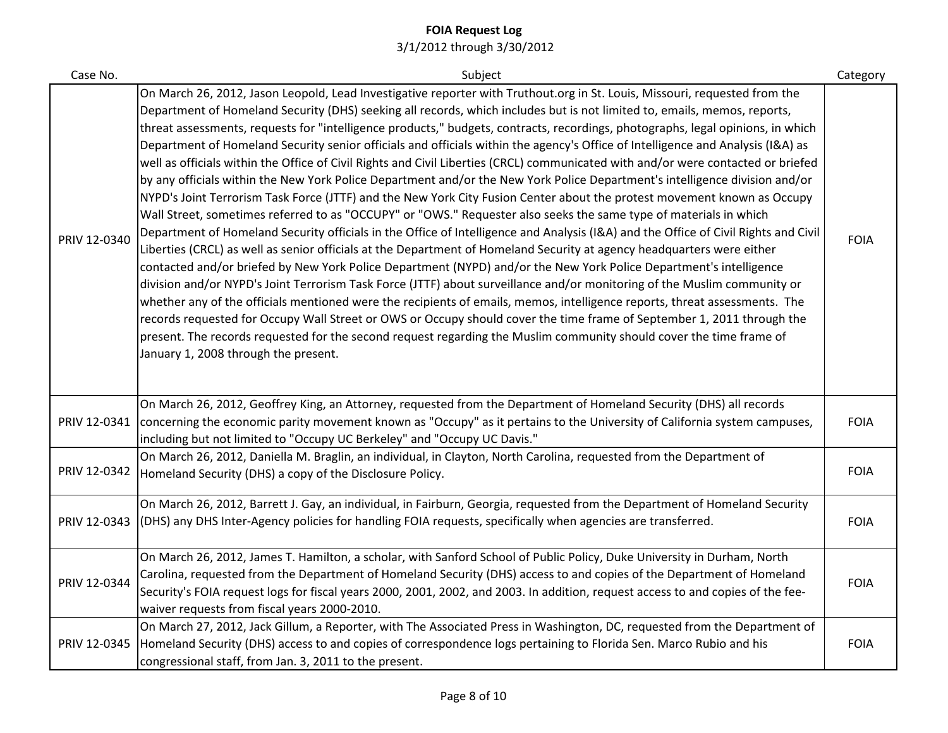| Case No.     | Subject                                                                                                                                                                                                                                                                                                                                                                                                                                                                                                                                                                                                                                                                                                                                                                                                                                                                                                                                                                                                                                                                                                                                                                                                                                                                                                                                                                                                                                                                                                                                                                                                                                                                                                                                                                                                                                                                                                                                                                                    | Category    |
|--------------|--------------------------------------------------------------------------------------------------------------------------------------------------------------------------------------------------------------------------------------------------------------------------------------------------------------------------------------------------------------------------------------------------------------------------------------------------------------------------------------------------------------------------------------------------------------------------------------------------------------------------------------------------------------------------------------------------------------------------------------------------------------------------------------------------------------------------------------------------------------------------------------------------------------------------------------------------------------------------------------------------------------------------------------------------------------------------------------------------------------------------------------------------------------------------------------------------------------------------------------------------------------------------------------------------------------------------------------------------------------------------------------------------------------------------------------------------------------------------------------------------------------------------------------------------------------------------------------------------------------------------------------------------------------------------------------------------------------------------------------------------------------------------------------------------------------------------------------------------------------------------------------------------------------------------------------------------------------------------------------------|-------------|
| PRIV 12-0340 | On March 26, 2012, Jason Leopold, Lead Investigative reporter with Truthout.org in St. Louis, Missouri, requested from the<br>Department of Homeland Security (DHS) seeking all records, which includes but is not limited to, emails, memos, reports,<br>threat assessments, requests for "intelligence products," budgets, contracts, recordings, photographs, legal opinions, in which<br>Department of Homeland Security senior officials and officials within the agency's Office of Intelligence and Analysis (I&A) as<br>well as officials within the Office of Civil Rights and Civil Liberties (CRCL) communicated with and/or were contacted or briefed<br>by any officials within the New York Police Department and/or the New York Police Department's intelligence division and/or<br>NYPD's Joint Terrorism Task Force (JTTF) and the New York City Fusion Center about the protest movement known as Occupy<br>Wall Street, sometimes referred to as "OCCUPY" or "OWS." Requester also seeks the same type of materials in which<br>Department of Homeland Security officials in the Office of Intelligence and Analysis (I&A) and the Office of Civil Rights and Civil<br>Liberties (CRCL) as well as senior officials at the Department of Homeland Security at agency headquarters were either<br>contacted and/or briefed by New York Police Department (NYPD) and/or the New York Police Department's intelligence<br>division and/or NYPD's Joint Terrorism Task Force (JTTF) about surveillance and/or monitoring of the Muslim community or<br>whether any of the officials mentioned were the recipients of emails, memos, intelligence reports, threat assessments. The<br>records requested for Occupy Wall Street or OWS or Occupy should cover the time frame of September 1, 2011 through the<br>present. The records requested for the second request regarding the Muslim community should cover the time frame of<br>January 1, 2008 through the present. | <b>FOIA</b> |
| PRIV 12-0341 | On March 26, 2012, Geoffrey King, an Attorney, requested from the Department of Homeland Security (DHS) all records<br>concerning the economic parity movement known as "Occupy" as it pertains to the University of California system campuses,<br>including but not limited to "Occupy UC Berkeley" and "Occupy UC Davis."                                                                                                                                                                                                                                                                                                                                                                                                                                                                                                                                                                                                                                                                                                                                                                                                                                                                                                                                                                                                                                                                                                                                                                                                                                                                                                                                                                                                                                                                                                                                                                                                                                                               | <b>FOIA</b> |
| PRIV 12-0342 | On March 26, 2012, Daniella M. Braglin, an individual, in Clayton, North Carolina, requested from the Department of<br>Homeland Security (DHS) a copy of the Disclosure Policy.                                                                                                                                                                                                                                                                                                                                                                                                                                                                                                                                                                                                                                                                                                                                                                                                                                                                                                                                                                                                                                                                                                                                                                                                                                                                                                                                                                                                                                                                                                                                                                                                                                                                                                                                                                                                            | <b>FOIA</b> |
| PRIV 12-0343 | On March 26, 2012, Barrett J. Gay, an individual, in Fairburn, Georgia, requested from the Department of Homeland Security<br>(DHS) any DHS Inter-Agency policies for handling FOIA requests, specifically when agencies are transferred.                                                                                                                                                                                                                                                                                                                                                                                                                                                                                                                                                                                                                                                                                                                                                                                                                                                                                                                                                                                                                                                                                                                                                                                                                                                                                                                                                                                                                                                                                                                                                                                                                                                                                                                                                  | <b>FOIA</b> |
| PRIV 12-0344 | On March 26, 2012, James T. Hamilton, a scholar, with Sanford School of Public Policy, Duke University in Durham, North<br>Carolina, requested from the Department of Homeland Security (DHS) access to and copies of the Department of Homeland<br>Security's FOIA request logs for fiscal years 2000, 2001, 2002, and 2003. In addition, request access to and copies of the fee-<br>waiver requests from fiscal years 2000-2010.                                                                                                                                                                                                                                                                                                                                                                                                                                                                                                                                                                                                                                                                                                                                                                                                                                                                                                                                                                                                                                                                                                                                                                                                                                                                                                                                                                                                                                                                                                                                                        | <b>FOIA</b> |
| PRIV 12-0345 | On March 27, 2012, Jack Gillum, a Reporter, with The Associated Press in Washington, DC, requested from the Department of<br>Homeland Security (DHS) access to and copies of correspondence logs pertaining to Florida Sen. Marco Rubio and his<br>congressional staff, from Jan. 3, 2011 to the present.                                                                                                                                                                                                                                                                                                                                                                                                                                                                                                                                                                                                                                                                                                                                                                                                                                                                                                                                                                                                                                                                                                                                                                                                                                                                                                                                                                                                                                                                                                                                                                                                                                                                                  | <b>FOIA</b> |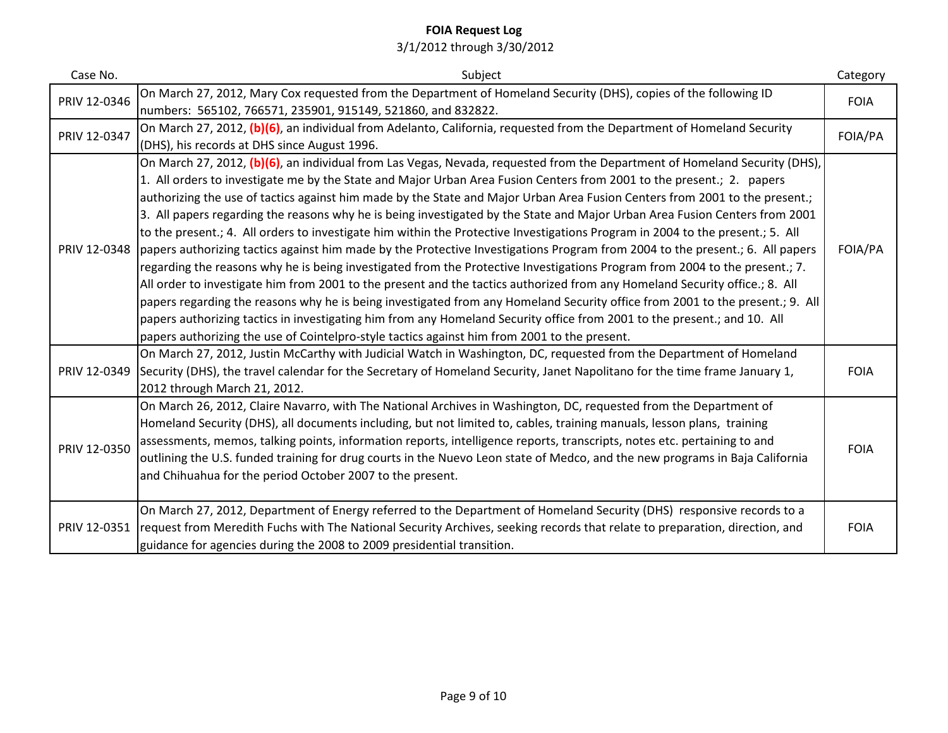| Case No.     | Subject                                                                                                                                                                                                                                                                                                                                                                                                                                                                                                                                                                                                                                                                                                                                                                                                                                                                                                                                                                                                                                                                                                                                                                                                                                                                                                                                                                                                         | Category    |
|--------------|-----------------------------------------------------------------------------------------------------------------------------------------------------------------------------------------------------------------------------------------------------------------------------------------------------------------------------------------------------------------------------------------------------------------------------------------------------------------------------------------------------------------------------------------------------------------------------------------------------------------------------------------------------------------------------------------------------------------------------------------------------------------------------------------------------------------------------------------------------------------------------------------------------------------------------------------------------------------------------------------------------------------------------------------------------------------------------------------------------------------------------------------------------------------------------------------------------------------------------------------------------------------------------------------------------------------------------------------------------------------------------------------------------------------|-------------|
| PRIV 12-0346 | On March 27, 2012, Mary Cox requested from the Department of Homeland Security (DHS), copies of the following ID<br>numbers: 565102, 766571, 235901, 915149, 521860, and 832822.                                                                                                                                                                                                                                                                                                                                                                                                                                                                                                                                                                                                                                                                                                                                                                                                                                                                                                                                                                                                                                                                                                                                                                                                                                | <b>FOIA</b> |
| PRIV 12-0347 | On March 27, 2012, (b)(6), an individual from Adelanto, California, requested from the Department of Homeland Security<br>(DHS), his records at DHS since August 1996.                                                                                                                                                                                                                                                                                                                                                                                                                                                                                                                                                                                                                                                                                                                                                                                                                                                                                                                                                                                                                                                                                                                                                                                                                                          | FOIA/PA     |
| PRIV 12-0348 | On March 27, 2012, (b)(6), an individual from Las Vegas, Nevada, requested from the Department of Homeland Security (DHS),<br>1. All orders to investigate me by the State and Major Urban Area Fusion Centers from 2001 to the present.; 2. papers<br>authorizing the use of tactics against him made by the State and Major Urban Area Fusion Centers from 2001 to the present.;<br>3. All papers regarding the reasons why he is being investigated by the State and Major Urban Area Fusion Centers from 2001<br>to the present.; 4. All orders to investigate him within the Protective Investigations Program in 2004 to the present.; 5. All<br>papers authorizing tactics against him made by the Protective Investigations Program from 2004 to the present.; 6. All papers<br>regarding the reasons why he is being investigated from the Protective Investigations Program from 2004 to the present.; 7.<br>All order to investigate him from 2001 to the present and the tactics authorized from any Homeland Security office.; 8. All<br>papers regarding the reasons why he is being investigated from any Homeland Security office from 2001 to the present.; 9. All<br>papers authorizing tactics in investigating him from any Homeland Security office from 2001 to the present.; and 10. All<br>papers authorizing the use of Cointelpro-style tactics against him from 2001 to the present. | FOIA/PA     |
| PRIV 12-0349 | On March 27, 2012, Justin McCarthy with Judicial Watch in Washington, DC, requested from the Department of Homeland<br>Security (DHS), the travel calendar for the Secretary of Homeland Security, Janet Napolitano for the time frame January 1,<br>2012 through March 21, 2012.                                                                                                                                                                                                                                                                                                                                                                                                                                                                                                                                                                                                                                                                                                                                                                                                                                                                                                                                                                                                                                                                                                                               | <b>FOIA</b> |
| PRIV 12-0350 | On March 26, 2012, Claire Navarro, with The National Archives in Washington, DC, requested from the Department of<br>Homeland Security (DHS), all documents including, but not limited to, cables, training manuals, lesson plans, training<br>assessments, memos, talking points, information reports, intelligence reports, transcripts, notes etc. pertaining to and<br>outlining the U.S. funded training for drug courts in the Nuevo Leon state of Medco, and the new programs in Baja California<br>and Chihuahua for the period October 2007 to the present.                                                                                                                                                                                                                                                                                                                                                                                                                                                                                                                                                                                                                                                                                                                                                                                                                                            | <b>FOIA</b> |
| PRIV 12-0351 | On March 27, 2012, Department of Energy referred to the Department of Homeland Security (DHS) responsive records to a<br>request from Meredith Fuchs with The National Security Archives, seeking records that relate to preparation, direction, and<br>guidance for agencies during the 2008 to 2009 presidential transition.                                                                                                                                                                                                                                                                                                                                                                                                                                                                                                                                                                                                                                                                                                                                                                                                                                                                                                                                                                                                                                                                                  | <b>FOIA</b> |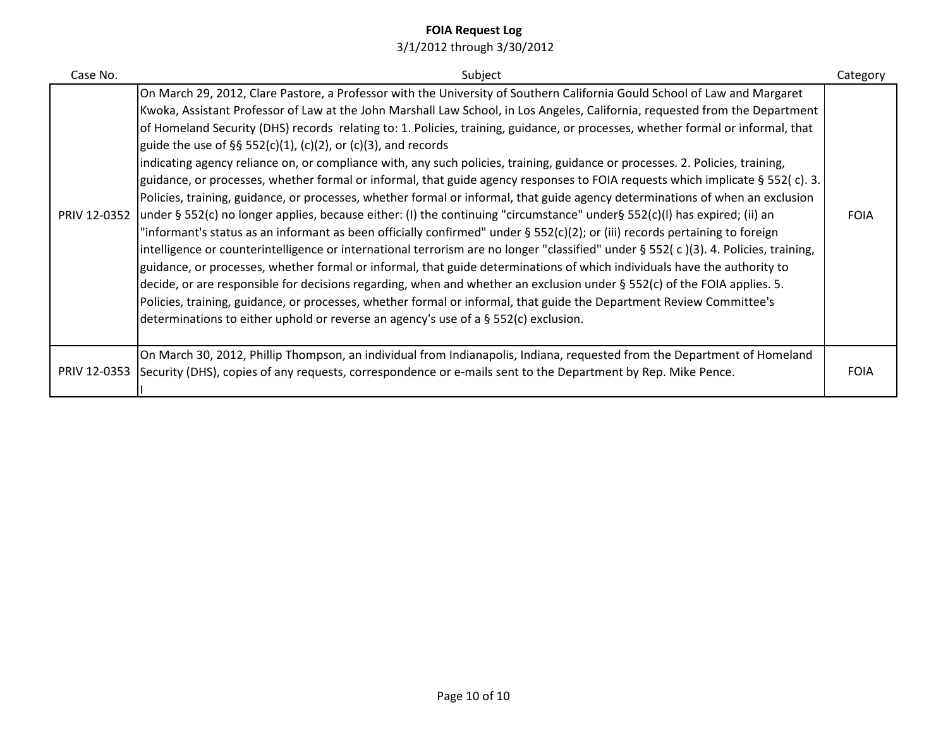| Case No. | Subject                                                                                                                                                                                                                                                                                                                                                                                                                                                                                                                                                                                                                                                                                                                                                                                                                                                                                                                                                                                                                                                                                                                                                                                                                                                                                                                                                                                                                                                                                                                                                                                                                                                                                                                                                    | Category    |
|----------|------------------------------------------------------------------------------------------------------------------------------------------------------------------------------------------------------------------------------------------------------------------------------------------------------------------------------------------------------------------------------------------------------------------------------------------------------------------------------------------------------------------------------------------------------------------------------------------------------------------------------------------------------------------------------------------------------------------------------------------------------------------------------------------------------------------------------------------------------------------------------------------------------------------------------------------------------------------------------------------------------------------------------------------------------------------------------------------------------------------------------------------------------------------------------------------------------------------------------------------------------------------------------------------------------------------------------------------------------------------------------------------------------------------------------------------------------------------------------------------------------------------------------------------------------------------------------------------------------------------------------------------------------------------------------------------------------------------------------------------------------------|-------------|
|          | On March 29, 2012, Clare Pastore, a Professor with the University of Southern California Gould School of Law and Margaret<br>Kwoka, Assistant Professor of Law at the John Marshall Law School, in Los Angeles, California, requested from the Department<br>of Homeland Security (DHS) records relating to: 1. Policies, training, guidance, or processes, whether formal or informal, that<br>guide the use of §§ 552(c)(1), (c)(2), or (c)(3), and records<br>indicating agency reliance on, or compliance with, any such policies, training, guidance or processes. 2. Policies, training,<br>guidance, or processes, whether formal or informal, that guide agency responses to FOIA requests which implicate § 552(c). 3.<br>Policies, training, guidance, or processes, whether formal or informal, that guide agency determinations of when an exclusion<br>PRIV 12-0352 under § 552(c) no longer applies, because either: (I) the continuing "circumstance" under§ 552(c)(I) has expired; (ii) an<br>"informant's status as an informant as been officially confirmed" under § 552(c)(2); or (iii) records pertaining to foreign<br>intelligence or counterintelligence or international terrorism are no longer "classified" under § 552(c)(3). 4. Policies, training,<br>guidance, or processes, whether formal or informal, that guide determinations of which individuals have the authority to<br>decide, or are responsible for decisions regarding, when and whether an exclusion under § 552(c) of the FOIA applies. 5.<br>Policies, training, guidance, or processes, whether formal or informal, that guide the Department Review Committee's<br>determinations to either uphold or reverse an agency's use of a $\S$ 552(c) exclusion. | <b>FOIA</b> |
|          | On March 30, 2012, Phillip Thompson, an individual from Indianapolis, Indiana, requested from the Department of Homeland<br>PRIV 12-0353 Security (DHS), copies of any requests, correspondence or e-mails sent to the Department by Rep. Mike Pence.                                                                                                                                                                                                                                                                                                                                                                                                                                                                                                                                                                                                                                                                                                                                                                                                                                                                                                                                                                                                                                                                                                                                                                                                                                                                                                                                                                                                                                                                                                      | <b>FOIA</b> |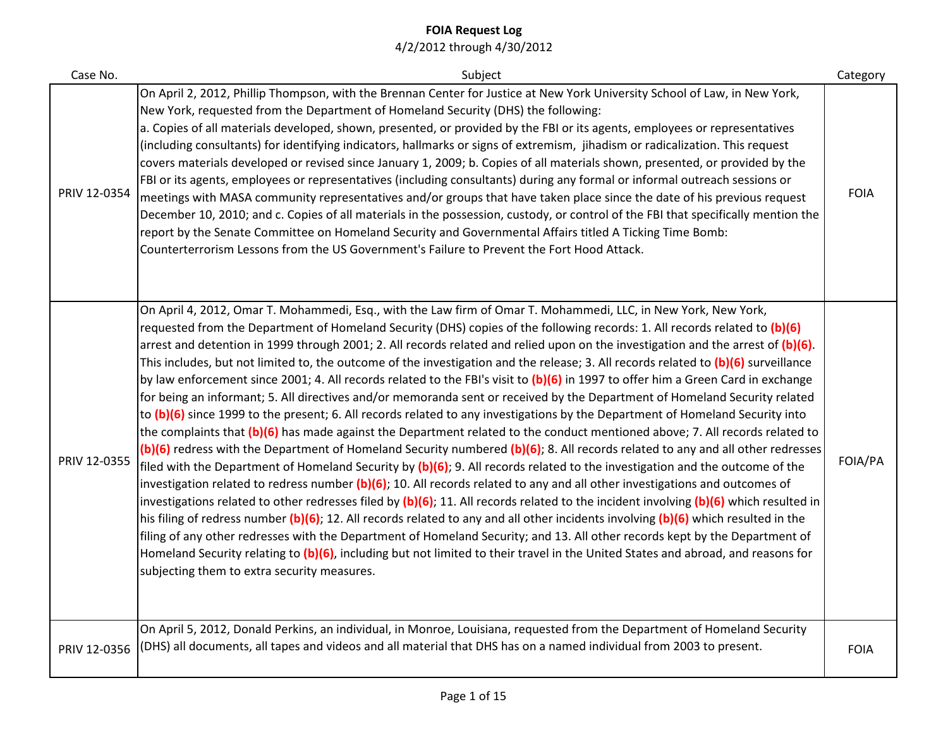| Case No.     | Subject                                                                                                                                                                                                                                                                                                                                                                                                                                                                                                                                                                                                                                                                                                                                                                                                                                                                                                                                                                                                                                                                                                                                                                                                                                                                                                                                                                                                                                                                                                                                                                                                                                                                                                                                                                                                                                                                                                                                                                                                                                                                  | Category    |
|--------------|--------------------------------------------------------------------------------------------------------------------------------------------------------------------------------------------------------------------------------------------------------------------------------------------------------------------------------------------------------------------------------------------------------------------------------------------------------------------------------------------------------------------------------------------------------------------------------------------------------------------------------------------------------------------------------------------------------------------------------------------------------------------------------------------------------------------------------------------------------------------------------------------------------------------------------------------------------------------------------------------------------------------------------------------------------------------------------------------------------------------------------------------------------------------------------------------------------------------------------------------------------------------------------------------------------------------------------------------------------------------------------------------------------------------------------------------------------------------------------------------------------------------------------------------------------------------------------------------------------------------------------------------------------------------------------------------------------------------------------------------------------------------------------------------------------------------------------------------------------------------------------------------------------------------------------------------------------------------------------------------------------------------------------------------------------------------------|-------------|
| PRIV 12-0354 | On April 2, 2012, Phillip Thompson, with the Brennan Center for Justice at New York University School of Law, in New York,<br>New York, requested from the Department of Homeland Security (DHS) the following:<br>a. Copies of all materials developed, shown, presented, or provided by the FBI or its agents, employees or representatives<br>(including consultants) for identifying indicators, hallmarks or signs of extremism, jihadism or radicalization. This request<br>covers materials developed or revised since January 1, 2009; b. Copies of all materials shown, presented, or provided by the<br>FBI or its agents, employees or representatives (including consultants) during any formal or informal outreach sessions or<br>meetings with MASA community representatives and/or groups that have taken place since the date of his previous request<br>December 10, 2010; and c. Copies of all materials in the possession, custody, or control of the FBI that specifically mention the<br>report by the Senate Committee on Homeland Security and Governmental Affairs titled A Ticking Time Bomb:<br>Counterterrorism Lessons from the US Government's Failure to Prevent the Fort Hood Attack.                                                                                                                                                                                                                                                                                                                                                                                                                                                                                                                                                                                                                                                                                                                                                                                                                                                   | <b>FOIA</b> |
| PRIV 12-0355 | On April 4, 2012, Omar T. Mohammedi, Esq., with the Law firm of Omar T. Mohammedi, LLC, in New York, New York,<br>requested from the Department of Homeland Security (DHS) copies of the following records: 1. All records related to (b)(6)<br>arrest and detention in 1999 through 2001; 2. All records related and relied upon on the investigation and the arrest of (b)(6).<br>This includes, but not limited to, the outcome of the investigation and the release; 3. All records related to (b)(6) surveillance<br>by law enforcement since 2001; 4. All records related to the FBI's visit to (b)(6) in 1997 to offer him a Green Card in exchange<br>for being an informant; 5. All directives and/or memoranda sent or received by the Department of Homeland Security related<br>to (b)(6) since 1999 to the present; 6. All records related to any investigations by the Department of Homeland Security into<br>the complaints that (b)(6) has made against the Department related to the conduct mentioned above; 7. All records related to<br>(b)(6) redress with the Department of Homeland Security numbered (b)(6); 8. All records related to any and all other redresses<br>filed with the Department of Homeland Security by (b)(6); 9. All records related to the investigation and the outcome of the<br>investigation related to redress number $(b)(6)$ ; 10. All records related to any and all other investigations and outcomes of<br>investigations related to other redresses filed by $(b)(6)$ ; 11. All records related to the incident involving $(b)(6)$ which resulted in<br>his filing of redress number $(b)(6)$ ; 12. All records related to any and all other incidents involving $(b)(6)$ which resulted in the<br>filing of any other redresses with the Department of Homeland Security; and 13. All other records kept by the Department of<br>Homeland Security relating to (b)(6), including but not limited to their travel in the United States and abroad, and reasons for<br>subjecting them to extra security measures. | FOIA/PA     |
| PRIV 12-0356 | On April 5, 2012, Donald Perkins, an individual, in Monroe, Louisiana, requested from the Department of Homeland Security<br>(DHS) all documents, all tapes and videos and all material that DHS has on a named individual from 2003 to present.                                                                                                                                                                                                                                                                                                                                                                                                                                                                                                                                                                                                                                                                                                                                                                                                                                                                                                                                                                                                                                                                                                                                                                                                                                                                                                                                                                                                                                                                                                                                                                                                                                                                                                                                                                                                                         | <b>FOIA</b> |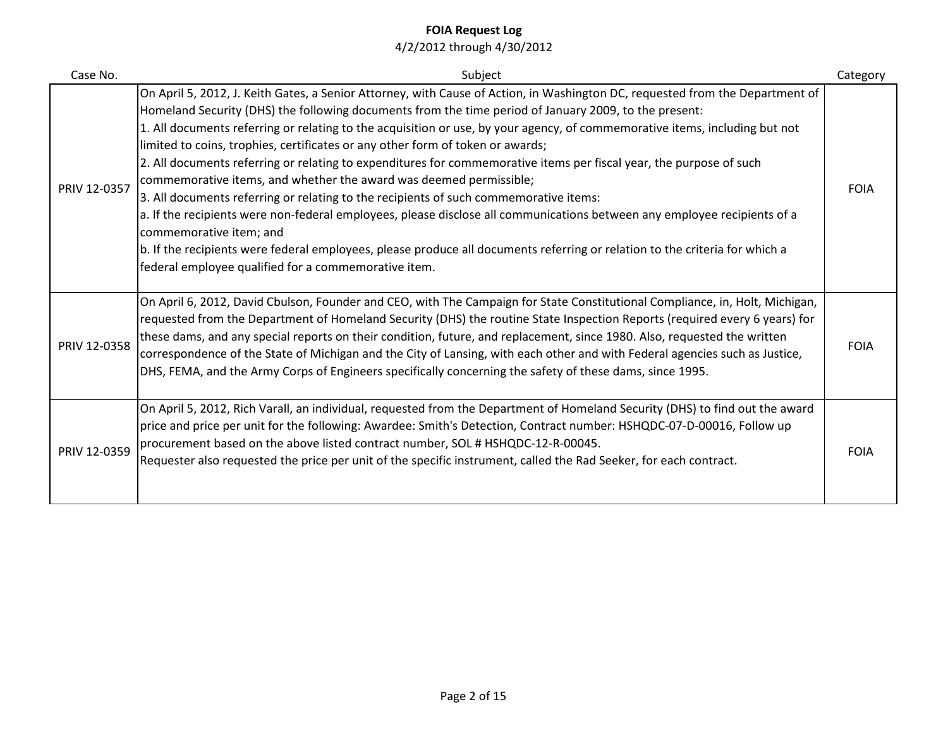| Case No.     | Subject                                                                                                                                                                                                                                                                                                                                                                                                                                                                                                                                                                                                                                                                                                                                                                                                                                                                                                                                                                                                                                                                                     | Category    |
|--------------|---------------------------------------------------------------------------------------------------------------------------------------------------------------------------------------------------------------------------------------------------------------------------------------------------------------------------------------------------------------------------------------------------------------------------------------------------------------------------------------------------------------------------------------------------------------------------------------------------------------------------------------------------------------------------------------------------------------------------------------------------------------------------------------------------------------------------------------------------------------------------------------------------------------------------------------------------------------------------------------------------------------------------------------------------------------------------------------------|-------------|
| PRIV 12-0357 | On April 5, 2012, J. Keith Gates, a Senior Attorney, with Cause of Action, in Washington DC, requested from the Department of<br>Homeland Security (DHS) the following documents from the time period of January 2009, to the present:<br>1. All documents referring or relating to the acquisition or use, by your agency, of commemorative items, including but not<br>limited to coins, trophies, certificates or any other form of token or awards;<br>2. All documents referring or relating to expenditures for commemorative items per fiscal year, the purpose of such<br>commemorative items, and whether the award was deemed permissible;<br>3. All documents referring or relating to the recipients of such commemorative items:<br>a. If the recipients were non-federal employees, please disclose all communications between any employee recipients of a<br>commemorative item; and<br>b. If the recipients were federal employees, please produce all documents referring or relation to the criteria for which a<br>federal employee qualified for a commemorative item. | <b>FOIA</b> |
| PRIV 12-0358 | On April 6, 2012, David Cbulson, Founder and CEO, with The Campaign for State Constitutional Compliance, in, Holt, Michigan,<br>requested from the Department of Homeland Security (DHS) the routine State Inspection Reports (required every 6 years) for<br>these dams, and any special reports on their condition, future, and replacement, since 1980. Also, requested the written<br>correspondence of the State of Michigan and the City of Lansing, with each other and with Federal agencies such as Justice,<br>DHS, FEMA, and the Army Corps of Engineers specifically concerning the safety of these dams, since 1995.                                                                                                                                                                                                                                                                                                                                                                                                                                                           | <b>FOIA</b> |
| PRIV 12-0359 | On April 5, 2012, Rich Varall, an individual, requested from the Department of Homeland Security (DHS) to find out the award<br>price and price per unit for the following: Awardee: Smith's Detection, Contract number: HSHQDC-07-D-00016, Follow up<br>procurement based on the above listed contract number, SOL # HSHQDC-12-R-00045.<br>Requester also requested the price per unit of the specific instrument, called the Rad Seeker, for each contract.                                                                                                                                                                                                                                                                                                                                                                                                                                                                                                                                                                                                                               | <b>FOIA</b> |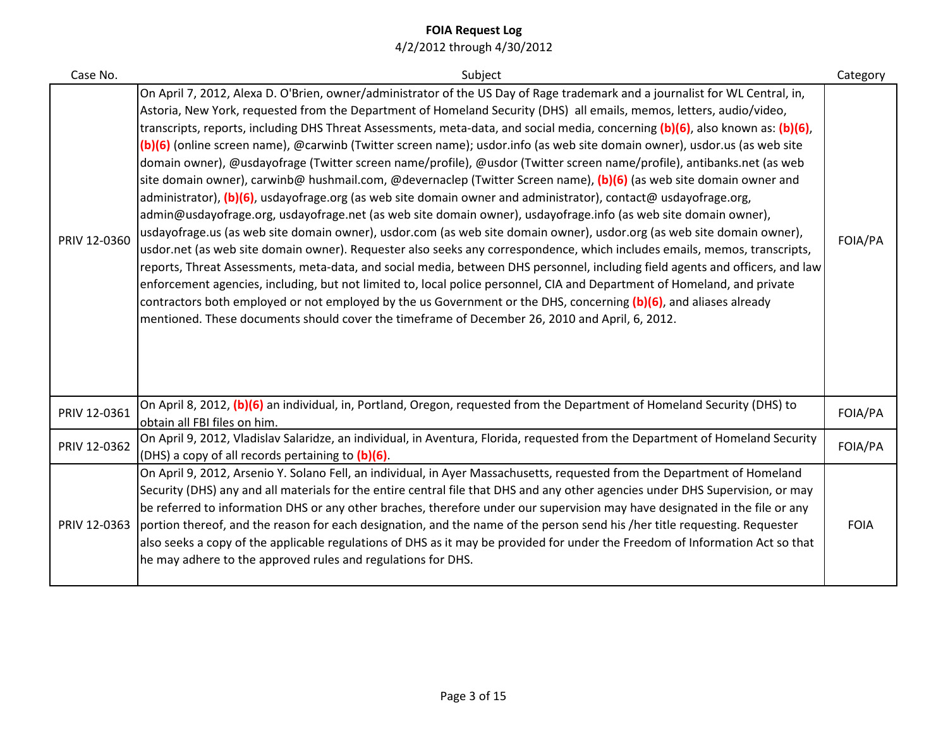| Case No.     | Subject                                                                                                                                                                                                                                                                                                                                                                                                                                                                                                                                                                                                                                                                                                                                                                                                                                                                                                                                                                                                                                                                                                                                                                                                                                                                                                                                                                                                                                                                                                                                                                                                                                                                                                                                               | Category    |
|--------------|-------------------------------------------------------------------------------------------------------------------------------------------------------------------------------------------------------------------------------------------------------------------------------------------------------------------------------------------------------------------------------------------------------------------------------------------------------------------------------------------------------------------------------------------------------------------------------------------------------------------------------------------------------------------------------------------------------------------------------------------------------------------------------------------------------------------------------------------------------------------------------------------------------------------------------------------------------------------------------------------------------------------------------------------------------------------------------------------------------------------------------------------------------------------------------------------------------------------------------------------------------------------------------------------------------------------------------------------------------------------------------------------------------------------------------------------------------------------------------------------------------------------------------------------------------------------------------------------------------------------------------------------------------------------------------------------------------------------------------------------------------|-------------|
| PRIV 12-0360 | On April 7, 2012, Alexa D. O'Brien, owner/administrator of the US Day of Rage trademark and a journalist for WL Central, in,<br>Astoria, New York, requested from the Department of Homeland Security (DHS) all emails, memos, letters, audio/video,<br>transcripts, reports, including DHS Threat Assessments, meta-data, and social media, concerning (b)(6), also known as: (b)(6),<br>(b)(6) (online screen name), @carwinb (Twitter screen name); usdor.info (as web site domain owner), usdor.us (as web site<br>domain owner), @usdayofrage (Twitter screen name/profile), @usdor (Twitter screen name/profile), antibanks.net (as web<br>site domain owner), carwinb@ hushmail.com, @devernaclep (Twitter Screen name), (b)(6) (as web site domain owner and<br>administrator), (b)(6), usdayofrage.org (as web site domain owner and administrator), contact@ usdayofrage.org,<br>admin@usdayofrage.org, usdayofrage.net (as web site domain owner), usdayofrage.info (as web site domain owner),<br>usdayofrage.us (as web site domain owner), usdor.com (as web site domain owner), usdor.org (as web site domain owner),<br>usdor.net (as web site domain owner). Requester also seeks any correspondence, which includes emails, memos, transcripts,<br>reports, Threat Assessments, meta-data, and social media, between DHS personnel, including field agents and officers, and law<br>enforcement agencies, including, but not limited to, local police personnel, CIA and Department of Homeland, and private<br>contractors both employed or not employed by the us Government or the DHS, concerning (b)(6), and aliases already<br>mentioned. These documents should cover the timeframe of December 26, 2010 and April, 6, 2012. | FOIA/PA     |
| PRIV 12-0361 | On April 8, 2012, (b)(6) an individual, in, Portland, Oregon, requested from the Department of Homeland Security (DHS) to<br>obtain all FBI files on him.                                                                                                                                                                                                                                                                                                                                                                                                                                                                                                                                                                                                                                                                                                                                                                                                                                                                                                                                                                                                                                                                                                                                                                                                                                                                                                                                                                                                                                                                                                                                                                                             | FOIA/PA     |
| PRIV 12-0362 | On April 9, 2012, Vladislav Salaridze, an individual, in Aventura, Florida, requested from the Department of Homeland Security<br>(DHS) a copy of all records pertaining to (b)(6).                                                                                                                                                                                                                                                                                                                                                                                                                                                                                                                                                                                                                                                                                                                                                                                                                                                                                                                                                                                                                                                                                                                                                                                                                                                                                                                                                                                                                                                                                                                                                                   | FOIA/PA     |
| PRIV 12-0363 | On April 9, 2012, Arsenio Y. Solano Fell, an individual, in Ayer Massachusetts, requested from the Department of Homeland<br>Security (DHS) any and all materials for the entire central file that DHS and any other agencies under DHS Supervision, or may<br>be referred to information DHS or any other braches, therefore under our supervision may have designated in the file or any<br>portion thereof, and the reason for each designation, and the name of the person send his /her title requesting. Requester<br>also seeks a copy of the applicable regulations of DHS as it may be provided for under the Freedom of Information Act so that<br>he may adhere to the approved rules and regulations for DHS.                                                                                                                                                                                                                                                                                                                                                                                                                                                                                                                                                                                                                                                                                                                                                                                                                                                                                                                                                                                                                             | <b>FOIA</b> |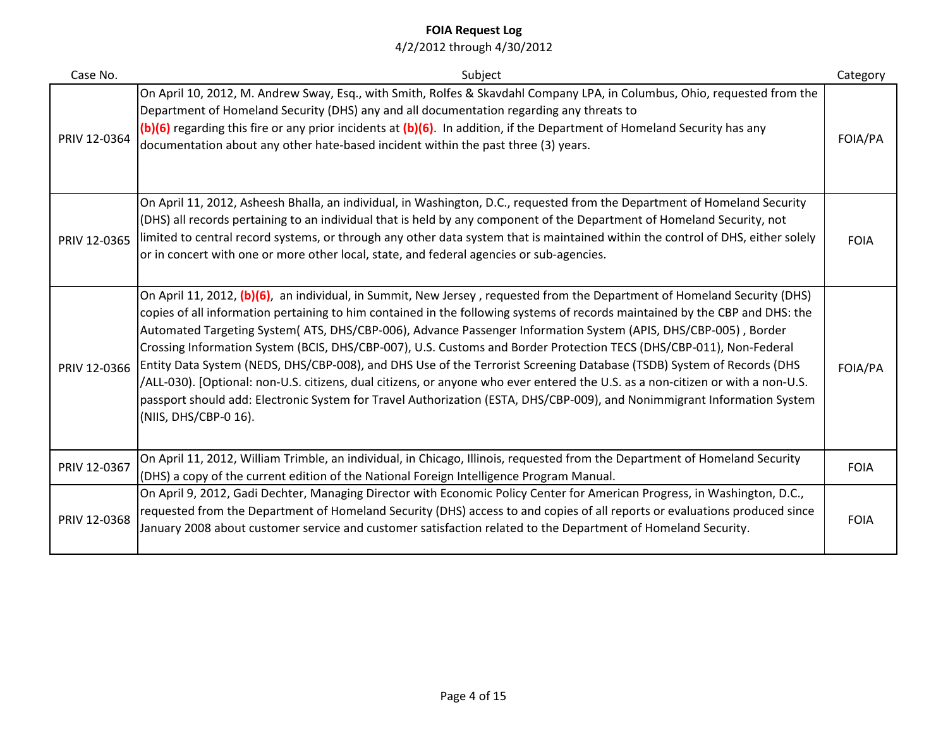| Case No.     | Subject                                                                                                                                                                                                                                                                                                                                                                                                                                                                                                                                                                                                                                                                                                                                                                                                                                                                                                             | Category    |
|--------------|---------------------------------------------------------------------------------------------------------------------------------------------------------------------------------------------------------------------------------------------------------------------------------------------------------------------------------------------------------------------------------------------------------------------------------------------------------------------------------------------------------------------------------------------------------------------------------------------------------------------------------------------------------------------------------------------------------------------------------------------------------------------------------------------------------------------------------------------------------------------------------------------------------------------|-------------|
| PRIV 12-0364 | On April 10, 2012, M. Andrew Sway, Esq., with Smith, Rolfes & Skavdahl Company LPA, in Columbus, Ohio, requested from the<br>Department of Homeland Security (DHS) any and all documentation regarding any threats to<br>(b)(6) regarding this fire or any prior incidents at (b)(6). In addition, if the Department of Homeland Security has any<br>documentation about any other hate-based incident within the past three (3) years.                                                                                                                                                                                                                                                                                                                                                                                                                                                                             | FOIA/PA     |
| PRIV 12-0365 | On April 11, 2012, Asheesh Bhalla, an individual, in Washington, D.C., requested from the Department of Homeland Security<br>(DHS) all records pertaining to an individual that is held by any component of the Department of Homeland Security, not<br>limited to central record systems, or through any other data system that is maintained within the control of DHS, either solely<br>or in concert with one or more other local, state, and federal agencies or sub-agencies.                                                                                                                                                                                                                                                                                                                                                                                                                                 | <b>FOIA</b> |
| PRIV 12-0366 | On April 11, 2012, (b)(6), an individual, in Summit, New Jersey, requested from the Department of Homeland Security (DHS)<br>copies of all information pertaining to him contained in the following systems of records maintained by the CBP and DHS: the<br>Automated Targeting System(ATS, DHS/CBP-006), Advance Passenger Information System (APIS, DHS/CBP-005), Border<br>Crossing Information System (BCIS, DHS/CBP-007), U.S. Customs and Border Protection TECS (DHS/CBP-011), Non-Federal<br>Entity Data System (NEDS, DHS/CBP-008), and DHS Use of the Terrorist Screening Database (TSDB) System of Records (DHS<br>/ALL-030). [Optional: non-U.S. citizens, dual citizens, or anyone who ever entered the U.S. as a non-citizen or with a non-U.S.<br>passport should add: Electronic System for Travel Authorization (ESTA, DHS/CBP-009), and Nonimmigrant Information System<br>(NIIS, DHS/CBP-0 16). | FOIA/PA     |
| PRIV 12-0367 | On April 11, 2012, William Trimble, an individual, in Chicago, Illinois, requested from the Department of Homeland Security<br>(DHS) a copy of the current edition of the National Foreign Intelligence Program Manual.                                                                                                                                                                                                                                                                                                                                                                                                                                                                                                                                                                                                                                                                                             | <b>FOIA</b> |
| PRIV 12-0368 | On April 9, 2012, Gadi Dechter, Managing Director with Economic Policy Center for American Progress, in Washington, D.C.,<br>requested from the Department of Homeland Security (DHS) access to and copies of all reports or evaluations produced since<br>January 2008 about customer service and customer satisfaction related to the Department of Homeland Security.                                                                                                                                                                                                                                                                                                                                                                                                                                                                                                                                            | <b>FOIA</b> |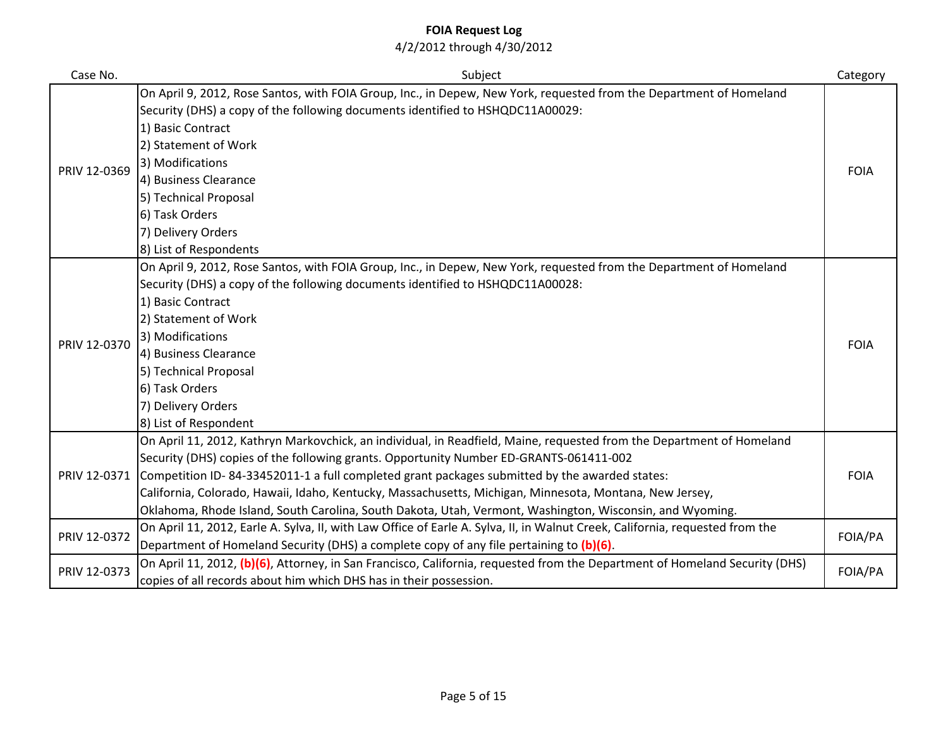| Case No.     | Subject                                                                                                                       | Category    |
|--------------|-------------------------------------------------------------------------------------------------------------------------------|-------------|
|              | On April 9, 2012, Rose Santos, with FOIA Group, Inc., in Depew, New York, requested from the Department of Homeland           |             |
|              | Security (DHS) a copy of the following documents identified to HSHQDC11A00029:                                                |             |
|              | 1) Basic Contract                                                                                                             |             |
|              | 2) Statement of Work                                                                                                          |             |
| PRIV 12-0369 | 3) Modifications                                                                                                              | <b>FOIA</b> |
|              | 4) Business Clearance                                                                                                         |             |
|              | 5) Technical Proposal                                                                                                         |             |
|              | 6) Task Orders                                                                                                                |             |
|              | 7) Delivery Orders                                                                                                            |             |
|              | 8) List of Respondents                                                                                                        |             |
|              | On April 9, 2012, Rose Santos, with FOIA Group, Inc., in Depew, New York, requested from the Department of Homeland           |             |
|              | Security (DHS) a copy of the following documents identified to HSHQDC11A00028:                                                |             |
|              | 1) Basic Contract                                                                                                             |             |
|              | 2) Statement of Work                                                                                                          |             |
| PRIV 12-0370 | 3) Modifications                                                                                                              | <b>FOIA</b> |
|              | 4) Business Clearance                                                                                                         |             |
|              | 5) Technical Proposal                                                                                                         |             |
|              | 6) Task Orders                                                                                                                |             |
|              | 7) Delivery Orders                                                                                                            |             |
|              | 8) List of Respondent                                                                                                         |             |
|              | On April 11, 2012, Kathryn Markovchick, an individual, in Readfield, Maine, requested from the Department of Homeland         |             |
|              | Security (DHS) copies of the following grants. Opportunity Number ED-GRANTS-061411-002                                        |             |
| PRIV 12-0371 | Competition ID-84-33452011-1 a full completed grant packages submitted by the awarded states:                                 | <b>FOIA</b> |
|              | California, Colorado, Hawaii, Idaho, Kentucky, Massachusetts, Michigan, Minnesota, Montana, New Jersey,                       |             |
|              | Oklahoma, Rhode Island, South Carolina, South Dakota, Utah, Vermont, Washington, Wisconsin, and Wyoming.                      |             |
| PRIV 12-0372 | On April 11, 2012, Earle A. Sylva, II, with Law Office of Earle A. Sylva, II, in Walnut Creek, California, requested from the | FOIA/PA     |
|              | Department of Homeland Security (DHS) a complete copy of any file pertaining to (b)(6).                                       |             |
| PRIV 12-0373 | On April 11, 2012, (b)(6), Attorney, in San Francisco, California, requested from the Department of Homeland Security (DHS)   | FOIA/PA     |
|              | copies of all records about him which DHS has in their possession.                                                            |             |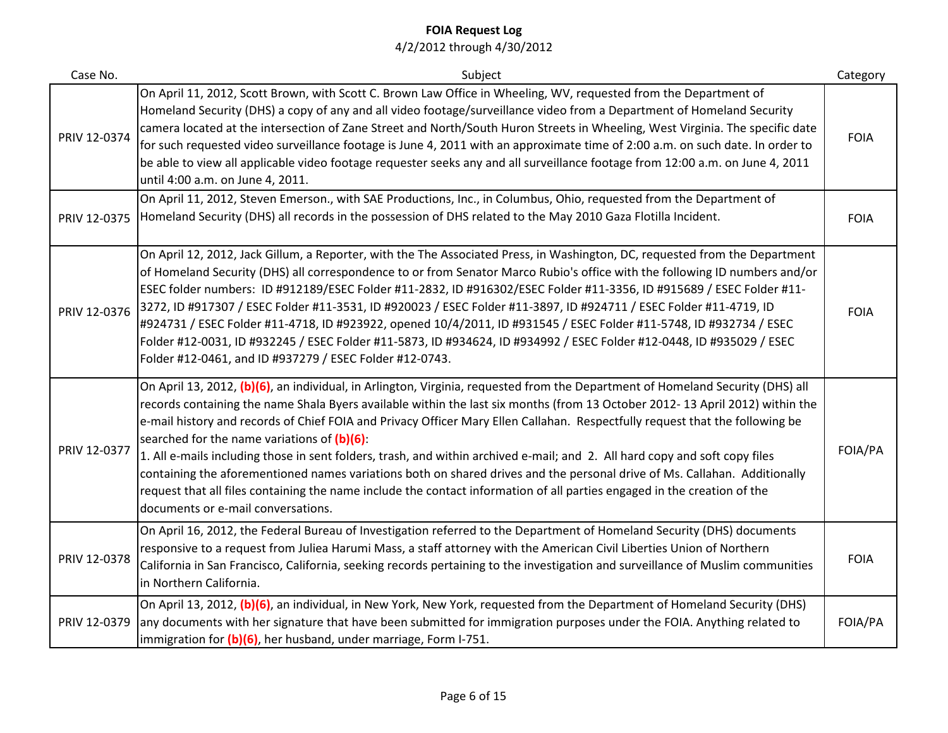| Case No.     | Subject                                                                                                                                                                                                                                                                                                                                                                                                                                                                                                                                                                                                                                                                                                                                                                                                                                                                        | Category    |
|--------------|--------------------------------------------------------------------------------------------------------------------------------------------------------------------------------------------------------------------------------------------------------------------------------------------------------------------------------------------------------------------------------------------------------------------------------------------------------------------------------------------------------------------------------------------------------------------------------------------------------------------------------------------------------------------------------------------------------------------------------------------------------------------------------------------------------------------------------------------------------------------------------|-------------|
| PRIV 12-0374 | On April 11, 2012, Scott Brown, with Scott C. Brown Law Office in Wheeling, WV, requested from the Department of<br>Homeland Security (DHS) a copy of any and all video footage/surveillance video from a Department of Homeland Security<br>camera located at the intersection of Zane Street and North/South Huron Streets in Wheeling, West Virginia. The specific date<br>for such requested video surveillance footage is June 4, 2011 with an approximate time of 2:00 a.m. on such date. In order to<br>be able to view all applicable video footage requester seeks any and all surveillance footage from 12:00 a.m. on June 4, 2011<br>until 4:00 a.m. on June 4, 2011.                                                                                                                                                                                               | <b>FOIA</b> |
| PRIV 12-0375 | On April 11, 2012, Steven Emerson., with SAE Productions, Inc., in Columbus, Ohio, requested from the Department of<br>Homeland Security (DHS) all records in the possession of DHS related to the May 2010 Gaza Flotilla Incident.                                                                                                                                                                                                                                                                                                                                                                                                                                                                                                                                                                                                                                            | <b>FOIA</b> |
| PRIV 12-0376 | On April 12, 2012, Jack Gillum, a Reporter, with the The Associated Press, in Washington, DC, requested from the Department<br>of Homeland Security (DHS) all correspondence to or from Senator Marco Rubio's office with the following ID numbers and/or<br>ESEC folder numbers: ID #912189/ESEC Folder #11-2832, ID #916302/ESEC Folder #11-3356, ID #915689 / ESEC Folder #11-<br>3272, ID #917307 / ESEC Folder #11-3531, ID #920023 / ESEC Folder #11-3897, ID #924711 / ESEC Folder #11-4719, ID<br>#924731 / ESEC Folder #11-4718, ID #923922, opened 10/4/2011, ID #931545 / ESEC Folder #11-5748, ID #932734 / ESEC<br>Folder #12-0031, ID #932245 / ESEC Folder #11-5873, ID #934624, ID #934992 / ESEC Folder #12-0448, ID #935029 / ESEC<br>Folder #12-0461, and ID #937279 / ESEC Folder #12-0743.                                                                | <b>FOIA</b> |
| PRIV 12-0377 | On April 13, 2012, (b)(6), an individual, in Arlington, Virginia, requested from the Department of Homeland Security (DHS) all<br>records containing the name Shala Byers available within the last six months (from 13 October 2012-13 April 2012) within the<br>e-mail history and records of Chief FOIA and Privacy Officer Mary Ellen Callahan. Respectfully request that the following be<br>searched for the name variations of $(b)(6)$ :<br>1. All e-mails including those in sent folders, trash, and within archived e-mail; and 2. All hard copy and soft copy files<br>containing the aforementioned names variations both on shared drives and the personal drive of Ms. Callahan. Additionally<br>request that all files containing the name include the contact information of all parties engaged in the creation of the<br>documents or e-mail conversations. | FOIA/PA     |
| PRIV 12-0378 | On April 16, 2012, the Federal Bureau of Investigation referred to the Department of Homeland Security (DHS) documents<br>responsive to a request from Juliea Harumi Mass, a staff attorney with the American Civil Liberties Union of Northern<br>California in San Francisco, California, seeking records pertaining to the investigation and surveillance of Muslim communities<br>in Northern California.                                                                                                                                                                                                                                                                                                                                                                                                                                                                  | <b>FOIA</b> |
| PRIV 12-0379 | On April 13, 2012, (b)(6), an individual, in New York, New York, requested from the Department of Homeland Security (DHS)<br>any documents with her signature that have been submitted for immigration purposes under the FOIA. Anything related to<br>immigration for (b)(6), her husband, under marriage, Form I-751.                                                                                                                                                                                                                                                                                                                                                                                                                                                                                                                                                        | FOIA/PA     |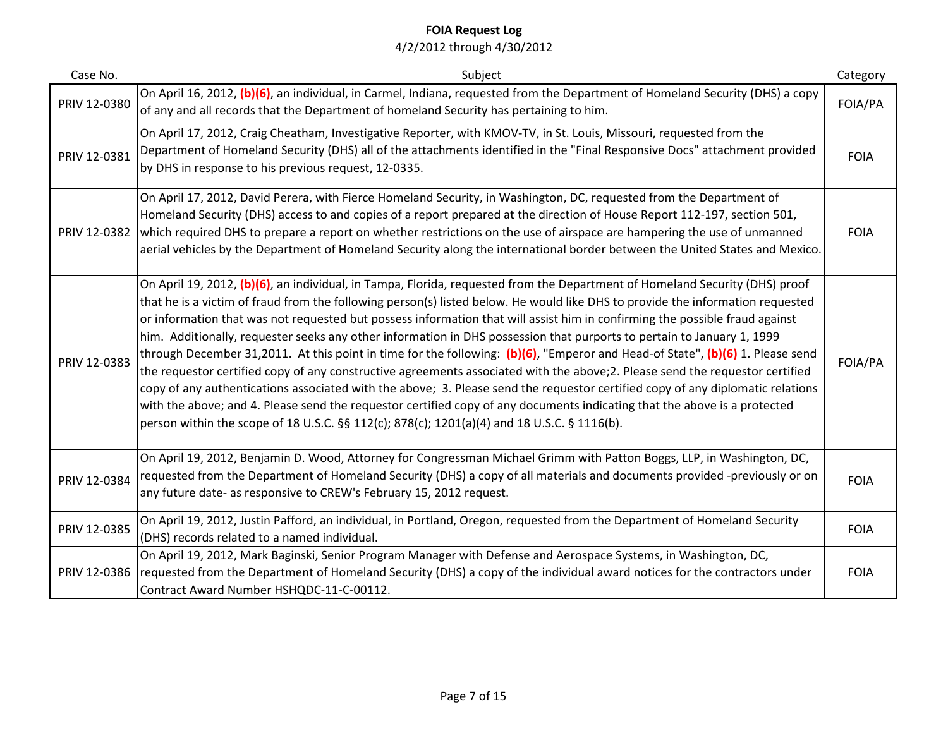| Case No.     | Subject                                                                                                                                                                                                                                                                                                                                                                                                                                                                                                                                                                                                                                                                                                                                                                                                                                                                                                                                                                                                                                                                                                                                               | Category    |
|--------------|-------------------------------------------------------------------------------------------------------------------------------------------------------------------------------------------------------------------------------------------------------------------------------------------------------------------------------------------------------------------------------------------------------------------------------------------------------------------------------------------------------------------------------------------------------------------------------------------------------------------------------------------------------------------------------------------------------------------------------------------------------------------------------------------------------------------------------------------------------------------------------------------------------------------------------------------------------------------------------------------------------------------------------------------------------------------------------------------------------------------------------------------------------|-------------|
| PRIV 12-0380 | On April 16, 2012, (b)(6), an individual, in Carmel, Indiana, requested from the Department of Homeland Security (DHS) a copy<br>of any and all records that the Department of homeland Security has pertaining to him.                                                                                                                                                                                                                                                                                                                                                                                                                                                                                                                                                                                                                                                                                                                                                                                                                                                                                                                               | FOIA/PA     |
| PRIV 12-0381 | On April 17, 2012, Craig Cheatham, Investigative Reporter, with KMOV-TV, in St. Louis, Missouri, requested from the<br>Department of Homeland Security (DHS) all of the attachments identified in the "Final Responsive Docs" attachment provided<br>by DHS in response to his previous request, 12-0335.                                                                                                                                                                                                                                                                                                                                                                                                                                                                                                                                                                                                                                                                                                                                                                                                                                             | <b>FOIA</b> |
| PRIV 12-0382 | On April 17, 2012, David Perera, with Fierce Homeland Security, in Washington, DC, requested from the Department of<br>Homeland Security (DHS) access to and copies of a report prepared at the direction of House Report 112-197, section 501,<br>which required DHS to prepare a report on whether restrictions on the use of airspace are hampering the use of unmanned<br>aerial vehicles by the Department of Homeland Security along the international border between the United States and Mexico.                                                                                                                                                                                                                                                                                                                                                                                                                                                                                                                                                                                                                                             | <b>FOIA</b> |
| PRIV 12-0383 | On April 19, 2012, (b)(6), an individual, in Tampa, Florida, requested from the Department of Homeland Security (DHS) proof<br>that he is a victim of fraud from the following person(s) listed below. He would like DHS to provide the information requested<br>or information that was not requested but possess information that will assist him in confirming the possible fraud against<br>him. Additionally, requester seeks any other information in DHS possession that purports to pertain to January 1, 1999<br>through December 31,2011. At this point in time for the following: (b)(6), "Emperor and Head-of State", (b)(6) 1. Please send<br>the requestor certified copy of any constructive agreements associated with the above;2. Please send the requestor certified<br>copy of any authentications associated with the above; 3. Please send the requestor certified copy of any diplomatic relations<br>with the above; and 4. Please send the requestor certified copy of any documents indicating that the above is a protected<br>person within the scope of 18 U.S.C. §§ 112(c); 878(c); 1201(a)(4) and 18 U.S.C. § 1116(b). | FOIA/PA     |
| PRIV 12-0384 | On April 19, 2012, Benjamin D. Wood, Attorney for Congressman Michael Grimm with Patton Boggs, LLP, in Washington, DC,<br>requested from the Department of Homeland Security (DHS) a copy of all materials and documents provided -previously or on<br>any future date- as responsive to CREW's February 15, 2012 request.                                                                                                                                                                                                                                                                                                                                                                                                                                                                                                                                                                                                                                                                                                                                                                                                                            | <b>FOIA</b> |
| PRIV 12-0385 | On April 19, 2012, Justin Pafford, an individual, in Portland, Oregon, requested from the Department of Homeland Security<br>(DHS) records related to a named individual.                                                                                                                                                                                                                                                                                                                                                                                                                                                                                                                                                                                                                                                                                                                                                                                                                                                                                                                                                                             | <b>FOIA</b> |
| PRIV 12-0386 | On April 19, 2012, Mark Baginski, Senior Program Manager with Defense and Aerospace Systems, in Washington, DC,<br>requested from the Department of Homeland Security (DHS) a copy of the individual award notices for the contractors under<br>Contract Award Number HSHQDC-11-C-00112.                                                                                                                                                                                                                                                                                                                                                                                                                                                                                                                                                                                                                                                                                                                                                                                                                                                              | <b>FOIA</b> |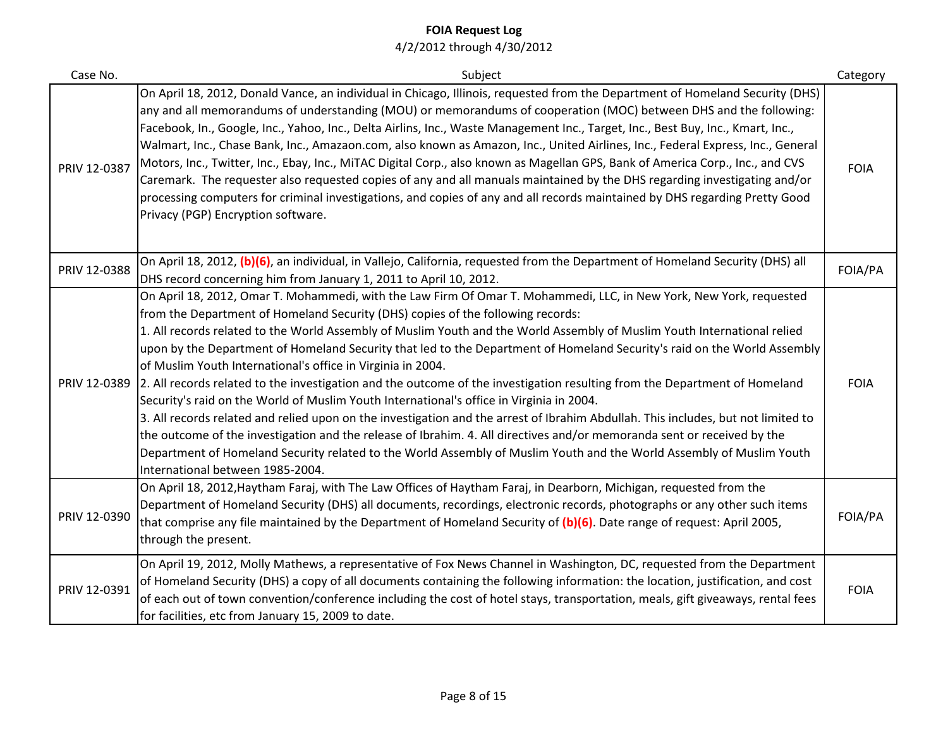| Case No.     | Subject                                                                                                                                                                                                                                                                                                                                                                                                                                                                                                                                                                                                                                                                                                                                                                                                                                                                                                                                                                                                                                                                                                                                                                             | Category    |
|--------------|-------------------------------------------------------------------------------------------------------------------------------------------------------------------------------------------------------------------------------------------------------------------------------------------------------------------------------------------------------------------------------------------------------------------------------------------------------------------------------------------------------------------------------------------------------------------------------------------------------------------------------------------------------------------------------------------------------------------------------------------------------------------------------------------------------------------------------------------------------------------------------------------------------------------------------------------------------------------------------------------------------------------------------------------------------------------------------------------------------------------------------------------------------------------------------------|-------------|
| PRIV 12-0387 | On April 18, 2012, Donald Vance, an individual in Chicago, Illinois, requested from the Department of Homeland Security (DHS)<br>any and all memorandums of understanding (MOU) or memorandums of cooperation (MOC) between DHS and the following:<br>Facebook, In., Google, Inc., Yahoo, Inc., Delta Airlins, Inc., Waste Management Inc., Target, Inc., Best Buy, Inc., Kmart, Inc.,<br>Walmart, Inc., Chase Bank, Inc., Amazaon.com, also known as Amazon, Inc., United Airlines, Inc., Federal Express, Inc., General<br>Motors, Inc., Twitter, Inc., Ebay, Inc., MiTAC Digital Corp., also known as Magellan GPS, Bank of America Corp., Inc., and CVS<br>Caremark. The requester also requested copies of any and all manuals maintained by the DHS regarding investigating and/or<br>processing computers for criminal investigations, and copies of any and all records maintained by DHS regarding Pretty Good<br>Privacy (PGP) Encryption software.                                                                                                                                                                                                                       | <b>FOIA</b> |
| PRIV 12-0388 | On April 18, 2012, (b)(6), an individual, in Vallejo, California, requested from the Department of Homeland Security (DHS) all<br>DHS record concerning him from January 1, 2011 to April 10, 2012.                                                                                                                                                                                                                                                                                                                                                                                                                                                                                                                                                                                                                                                                                                                                                                                                                                                                                                                                                                                 | FOIA/PA     |
| PRIV 12-0389 | On April 18, 2012, Omar T. Mohammedi, with the Law Firm Of Omar T. Mohammedi, LLC, in New York, New York, requested<br>from the Department of Homeland Security (DHS) copies of the following records:<br>1. All records related to the World Assembly of Muslim Youth and the World Assembly of Muslim Youth International relied<br>upon by the Department of Homeland Security that led to the Department of Homeland Security's raid on the World Assembly<br>of Muslim Youth International's office in Virginia in 2004.<br>2. All records related to the investigation and the outcome of the investigation resulting from the Department of Homeland<br>Security's raid on the World of Muslim Youth International's office in Virginia in 2004.<br>3. All records related and relied upon on the investigation and the arrest of Ibrahim Abdullah. This includes, but not limited to<br>the outcome of the investigation and the release of Ibrahim. 4. All directives and/or memoranda sent or received by the<br>Department of Homeland Security related to the World Assembly of Muslim Youth and the World Assembly of Muslim Youth<br>International between 1985-2004. | <b>FOIA</b> |
| PRIV 12-0390 | On April 18, 2012, Haytham Faraj, with The Law Offices of Haytham Faraj, in Dearborn, Michigan, requested from the<br>Department of Homeland Security (DHS) all documents, recordings, electronic records, photographs or any other such items<br>that comprise any file maintained by the Department of Homeland Security of (b)(6). Date range of request: April 2005,<br>through the present.                                                                                                                                                                                                                                                                                                                                                                                                                                                                                                                                                                                                                                                                                                                                                                                    | FOIA/PA     |
| PRIV 12-0391 | On April 19, 2012, Molly Mathews, a representative of Fox News Channel in Washington, DC, requested from the Department<br>of Homeland Security (DHS) a copy of all documents containing the following information: the location, justification, and cost<br>of each out of town convention/conference including the cost of hotel stays, transportation, meals, gift giveaways, rental fees<br>for facilities, etc from January 15, 2009 to date.                                                                                                                                                                                                                                                                                                                                                                                                                                                                                                                                                                                                                                                                                                                                  | <b>FOIA</b> |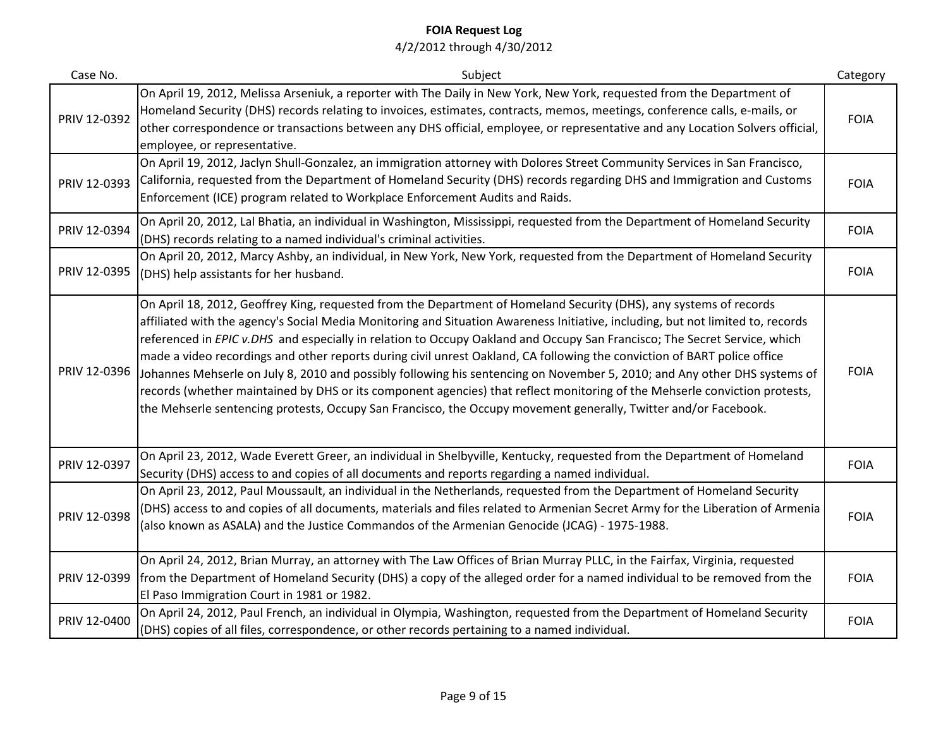| Case No.     | Subject                                                                                                                                                                                                                                                                                                                                                                                                                                                                                                                                                                                                                                                                                                                                                                                                                                                                                      | Category    |
|--------------|----------------------------------------------------------------------------------------------------------------------------------------------------------------------------------------------------------------------------------------------------------------------------------------------------------------------------------------------------------------------------------------------------------------------------------------------------------------------------------------------------------------------------------------------------------------------------------------------------------------------------------------------------------------------------------------------------------------------------------------------------------------------------------------------------------------------------------------------------------------------------------------------|-------------|
| PRIV 12-0392 | On April 19, 2012, Melissa Arseniuk, a reporter with The Daily in New York, New York, requested from the Department of<br>Homeland Security (DHS) records relating to invoices, estimates, contracts, memos, meetings, conference calls, e-mails, or<br>other correspondence or transactions between any DHS official, employee, or representative and any Location Solvers official,<br>employee, or representative.                                                                                                                                                                                                                                                                                                                                                                                                                                                                        | <b>FOIA</b> |
| PRIV 12-0393 | On April 19, 2012, Jaclyn Shull-Gonzalez, an immigration attorney with Dolores Street Community Services in San Francisco,<br>California, requested from the Department of Homeland Security (DHS) records regarding DHS and Immigration and Customs<br>Enforcement (ICE) program related to Workplace Enforcement Audits and Raids.                                                                                                                                                                                                                                                                                                                                                                                                                                                                                                                                                         | <b>FOIA</b> |
| PRIV 12-0394 | On April 20, 2012, Lal Bhatia, an individual in Washington, Mississippi, requested from the Department of Homeland Security<br>(DHS) records relating to a named individual's criminal activities.                                                                                                                                                                                                                                                                                                                                                                                                                                                                                                                                                                                                                                                                                           | <b>FOIA</b> |
| PRIV 12-0395 | On April 20, 2012, Marcy Ashby, an individual, in New York, New York, requested from the Department of Homeland Security<br>(DHS) help assistants for her husband.                                                                                                                                                                                                                                                                                                                                                                                                                                                                                                                                                                                                                                                                                                                           | <b>FOIA</b> |
| PRIV 12-0396 | On April 18, 2012, Geoffrey King, requested from the Department of Homeland Security (DHS), any systems of records<br>affiliated with the agency's Social Media Monitoring and Situation Awareness Initiative, including, but not limited to, records<br>referenced in EPIC v.DHS and especially in relation to Occupy Oakland and Occupy San Francisco; The Secret Service, which<br>made a video recordings and other reports during civil unrest Oakland, CA following the conviction of BART police office<br>Johannes Mehserle on July 8, 2010 and possibly following his sentencing on November 5, 2010; and Any other DHS systems of<br>records (whether maintained by DHS or its component agencies) that reflect monitoring of the Mehserle conviction protests,<br>the Mehserle sentencing protests, Occupy San Francisco, the Occupy movement generally, Twitter and/or Facebook. | <b>FOIA</b> |
| PRIV 12-0397 | On April 23, 2012, Wade Everett Greer, an individual in Shelbyville, Kentucky, requested from the Department of Homeland<br>Security (DHS) access to and copies of all documents and reports regarding a named individual.                                                                                                                                                                                                                                                                                                                                                                                                                                                                                                                                                                                                                                                                   | <b>FOIA</b> |
| PRIV 12-0398 | On April 23, 2012, Paul Moussault, an individual in the Netherlands, requested from the Department of Homeland Security<br>(DHS) access to and copies of all documents, materials and files related to Armenian Secret Army for the Liberation of Armenia<br>(also known as ASALA) and the Justice Commandos of the Armenian Genocide (JCAG) - 1975-1988.                                                                                                                                                                                                                                                                                                                                                                                                                                                                                                                                    | <b>FOIA</b> |
| PRIV 12-0399 | On April 24, 2012, Brian Murray, an attorney with The Law Offices of Brian Murray PLLC, in the Fairfax, Virginia, requested<br>from the Department of Homeland Security (DHS) a copy of the alleged order for a named individual to be removed from the<br>El Paso Immigration Court in 1981 or 1982.                                                                                                                                                                                                                                                                                                                                                                                                                                                                                                                                                                                        | <b>FOIA</b> |
| PRIV 12-0400 | On April 24, 2012, Paul French, an individual in Olympia, Washington, requested from the Department of Homeland Security<br>(DHS) copies of all files, correspondence, or other records pertaining to a named individual.                                                                                                                                                                                                                                                                                                                                                                                                                                                                                                                                                                                                                                                                    | <b>FOIA</b> |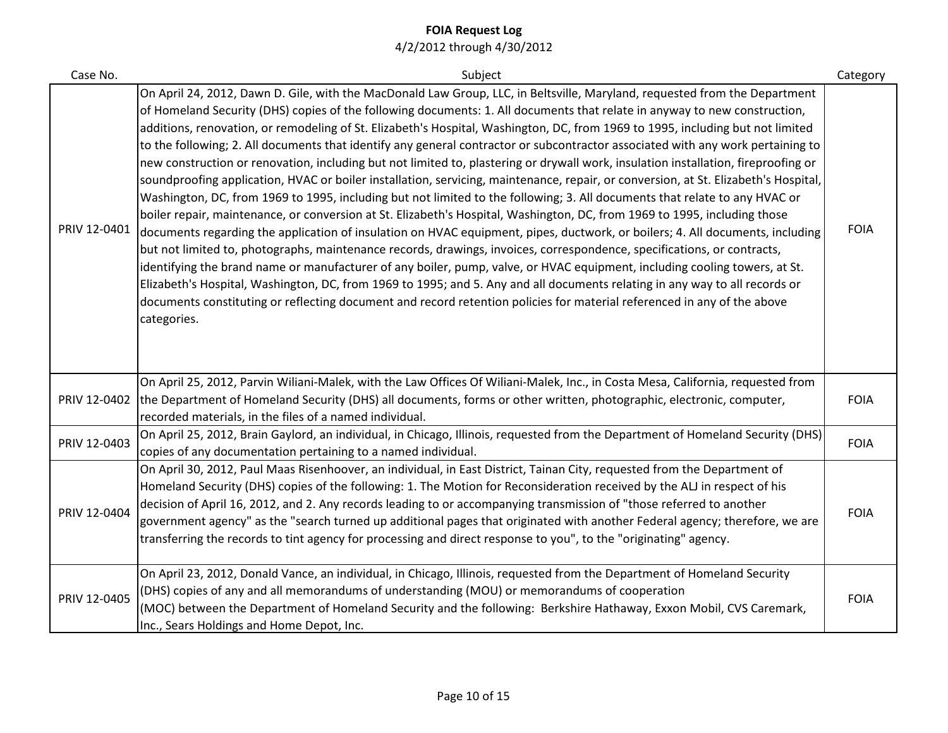| Case No.     | Subject                                                                                                                                                                                                                                                                                                                                                                                                                                                                                                                                                                                                                                                                                                                                                                                                                                                                                                                                                                                                                                                                                                                                                                                                                                                                                                                                                                                                                                                                                                                                                                                                                                                                                                                                 | Category    |
|--------------|-----------------------------------------------------------------------------------------------------------------------------------------------------------------------------------------------------------------------------------------------------------------------------------------------------------------------------------------------------------------------------------------------------------------------------------------------------------------------------------------------------------------------------------------------------------------------------------------------------------------------------------------------------------------------------------------------------------------------------------------------------------------------------------------------------------------------------------------------------------------------------------------------------------------------------------------------------------------------------------------------------------------------------------------------------------------------------------------------------------------------------------------------------------------------------------------------------------------------------------------------------------------------------------------------------------------------------------------------------------------------------------------------------------------------------------------------------------------------------------------------------------------------------------------------------------------------------------------------------------------------------------------------------------------------------------------------------------------------------------------|-------------|
| PRIV 12-0401 | On April 24, 2012, Dawn D. Gile, with the MacDonald Law Group, LLC, in Beltsville, Maryland, requested from the Department<br>of Homeland Security (DHS) copies of the following documents: 1. All documents that relate in anyway to new construction,<br>additions, renovation, or remodeling of St. Elizabeth's Hospital, Washington, DC, from 1969 to 1995, including but not limited<br>to the following; 2. All documents that identify any general contractor or subcontractor associated with any work pertaining to<br>new construction or renovation, including but not limited to, plastering or drywall work, insulation installation, fireproofing or<br>soundproofing application, HVAC or boiler installation, servicing, maintenance, repair, or conversion, at St. Elizabeth's Hospital,<br>Washington, DC, from 1969 to 1995, including but not limited to the following; 3. All documents that relate to any HVAC or<br>boiler repair, maintenance, or conversion at St. Elizabeth's Hospital, Washington, DC, from 1969 to 1995, including those<br>documents regarding the application of insulation on HVAC equipment, pipes, ductwork, or boilers; 4. All documents, including<br>but not limited to, photographs, maintenance records, drawings, invoices, correspondence, specifications, or contracts,<br>identifying the brand name or manufacturer of any boiler, pump, valve, or HVAC equipment, including cooling towers, at St.<br>Elizabeth's Hospital, Washington, DC, from 1969 to 1995; and 5. Any and all documents relating in any way to all records or<br>documents constituting or reflecting document and record retention policies for material referenced in any of the above<br>categories. | <b>FOIA</b> |
| PRIV 12-0402 | On April 25, 2012, Parvin Wiliani-Malek, with the Law Offices Of Wiliani-Malek, Inc., in Costa Mesa, California, requested from<br>the Department of Homeland Security (DHS) all documents, forms or other written, photographic, electronic, computer,<br>recorded materials, in the files of a named individual.                                                                                                                                                                                                                                                                                                                                                                                                                                                                                                                                                                                                                                                                                                                                                                                                                                                                                                                                                                                                                                                                                                                                                                                                                                                                                                                                                                                                                      | <b>FOIA</b> |
| PRIV 12-0403 | On April 25, 2012, Brain Gaylord, an individual, in Chicago, Illinois, requested from the Department of Homeland Security (DHS)<br>copies of any documentation pertaining to a named individual.                                                                                                                                                                                                                                                                                                                                                                                                                                                                                                                                                                                                                                                                                                                                                                                                                                                                                                                                                                                                                                                                                                                                                                                                                                                                                                                                                                                                                                                                                                                                        | <b>FOIA</b> |
| PRIV 12-0404 | On April 30, 2012, Paul Maas Risenhoover, an individual, in East District, Tainan City, requested from the Department of<br>Homeland Security (DHS) copies of the following: 1. The Motion for Reconsideration received by the ALJ in respect of his<br>decision of April 16, 2012, and 2. Any records leading to or accompanying transmission of "those referred to another<br>government agency" as the "search turned up additional pages that originated with another Federal agency; therefore, we are<br>transferring the records to tint agency for processing and direct response to you", to the "originating" agency.                                                                                                                                                                                                                                                                                                                                                                                                                                                                                                                                                                                                                                                                                                                                                                                                                                                                                                                                                                                                                                                                                                         | <b>FOIA</b> |
| PRIV 12-0405 | On April 23, 2012, Donald Vance, an individual, in Chicago, Illinois, requested from the Department of Homeland Security<br>(DHS) copies of any and all memorandums of understanding (MOU) or memorandums of cooperation<br>(MOC) between the Department of Homeland Security and the following: Berkshire Hathaway, Exxon Mobil, CVS Caremark,<br>Inc., Sears Holdings and Home Depot, Inc.                                                                                                                                                                                                                                                                                                                                                                                                                                                                                                                                                                                                                                                                                                                                                                                                                                                                                                                                                                                                                                                                                                                                                                                                                                                                                                                                            | <b>FOIA</b> |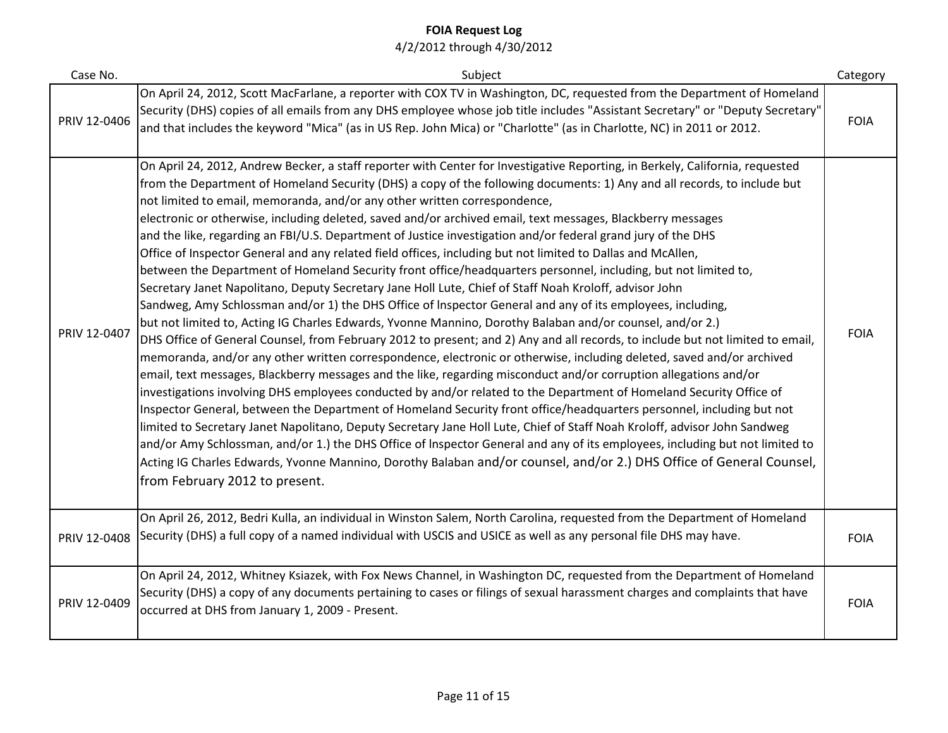| Case No.     | Subject                                                                                                                                                                                                                                                                                                                                                                                                                                                                                                                                                                                                                                                                                                                                                                                                                                                                                                                                                                                                                                                                                                                                                                                                                                                                                                                                                                                                                                                                                                                                                                                                                                                                                                                                                                                                                                                                                                                                                                                                                                                                                                                                                                                             | Category    |
|--------------|-----------------------------------------------------------------------------------------------------------------------------------------------------------------------------------------------------------------------------------------------------------------------------------------------------------------------------------------------------------------------------------------------------------------------------------------------------------------------------------------------------------------------------------------------------------------------------------------------------------------------------------------------------------------------------------------------------------------------------------------------------------------------------------------------------------------------------------------------------------------------------------------------------------------------------------------------------------------------------------------------------------------------------------------------------------------------------------------------------------------------------------------------------------------------------------------------------------------------------------------------------------------------------------------------------------------------------------------------------------------------------------------------------------------------------------------------------------------------------------------------------------------------------------------------------------------------------------------------------------------------------------------------------------------------------------------------------------------------------------------------------------------------------------------------------------------------------------------------------------------------------------------------------------------------------------------------------------------------------------------------------------------------------------------------------------------------------------------------------------------------------------------------------------------------------------------------------|-------------|
| PRIV 12-0406 | On April 24, 2012, Scott MacFarlane, a reporter with COX TV in Washington, DC, requested from the Department of Homeland<br>Security (DHS) copies of all emails from any DHS employee whose job title includes "Assistant Secretary" or "Deputy Secretary"<br>and that includes the keyword "Mica" (as in US Rep. John Mica) or "Charlotte" (as in Charlotte, NC) in 2011 or 2012.                                                                                                                                                                                                                                                                                                                                                                                                                                                                                                                                                                                                                                                                                                                                                                                                                                                                                                                                                                                                                                                                                                                                                                                                                                                                                                                                                                                                                                                                                                                                                                                                                                                                                                                                                                                                                  | <b>FOIA</b> |
| PRIV 12-0407 | On April 24, 2012, Andrew Becker, a staff reporter with Center for Investigative Reporting, in Berkely, California, requested<br>from the Department of Homeland Security (DHS) a copy of the following documents: 1) Any and all records, to include but<br>not limited to email, memoranda, and/or any other written correspondence,<br>electronic or otherwise, including deleted, saved and/or archived email, text messages, Blackberry messages<br>and the like, regarding an FBI/U.S. Department of Justice investigation and/or federal grand jury of the DHS<br>Office of Inspector General and any related field offices, including but not limited to Dallas and McAllen,<br>between the Department of Homeland Security front office/headquarters personnel, including, but not limited to,<br>Secretary Janet Napolitano, Deputy Secretary Jane Holl Lute, Chief of Staff Noah Kroloff, advisor John<br>Sandweg, Amy Schlossman and/or 1) the DHS Office of Inspector General and any of its employees, including,<br>but not limited to, Acting IG Charles Edwards, Yvonne Mannino, Dorothy Balaban and/or counsel, and/or 2.)<br>DHS Office of General Counsel, from February 2012 to present; and 2) Any and all records, to include but not limited to email,<br>memoranda, and/or any other written correspondence, electronic or otherwise, including deleted, saved and/or archived<br>email, text messages, Blackberry messages and the like, regarding misconduct and/or corruption allegations and/or<br>investigations involving DHS employees conducted by and/or related to the Department of Homeland Security Office of<br>Inspector General, between the Department of Homeland Security front office/headquarters personnel, including but not<br>limited to Secretary Janet Napolitano, Deputy Secretary Jane Holl Lute, Chief of Staff Noah Kroloff, advisor John Sandweg<br>and/or Amy Schlossman, and/or 1.) the DHS Office of Inspector General and any of its employees, including but not limited to<br>Acting IG Charles Edwards, Yvonne Mannino, Dorothy Balaban and/or counsel, and/or 2.) DHS Office of General Counsel,<br>from February 2012 to present. | <b>FOIA</b> |
| PRIV 12-0408 | On April 26, 2012, Bedri Kulla, an individual in Winston Salem, North Carolina, requested from the Department of Homeland<br>Security (DHS) a full copy of a named individual with USCIS and USICE as well as any personal file DHS may have.                                                                                                                                                                                                                                                                                                                                                                                                                                                                                                                                                                                                                                                                                                                                                                                                                                                                                                                                                                                                                                                                                                                                                                                                                                                                                                                                                                                                                                                                                                                                                                                                                                                                                                                                                                                                                                                                                                                                                       | <b>FOIA</b> |
| PRIV 12-0409 | On April 24, 2012, Whitney Ksiazek, with Fox News Channel, in Washington DC, requested from the Department of Homeland<br>Security (DHS) a copy of any documents pertaining to cases or filings of sexual harassment charges and complaints that have<br>occurred at DHS from January 1, 2009 - Present.                                                                                                                                                                                                                                                                                                                                                                                                                                                                                                                                                                                                                                                                                                                                                                                                                                                                                                                                                                                                                                                                                                                                                                                                                                                                                                                                                                                                                                                                                                                                                                                                                                                                                                                                                                                                                                                                                            | <b>FOIA</b> |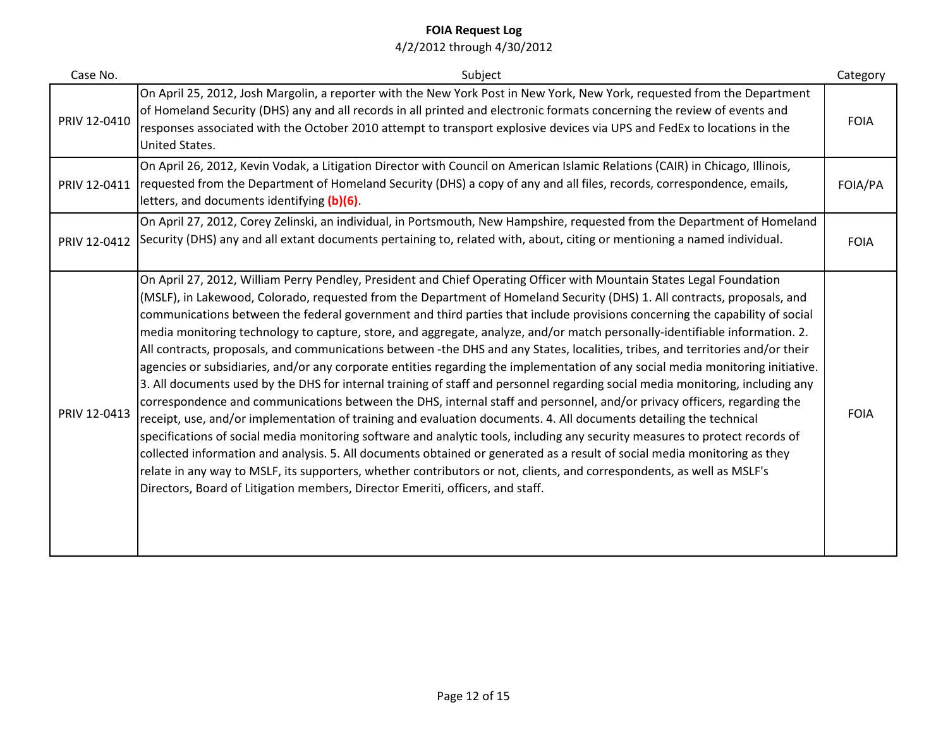| Case No.     | Subject                                                                                                                                                                                                                                                                                                                                                                                                                                                                                                                                                                                                                                                                                                                                                                                                                                                                                                                                                                                                                                                                                                                                                                                                                                                                                                                                                                                                                                                                                                                                                                                                                                          | Category    |
|--------------|--------------------------------------------------------------------------------------------------------------------------------------------------------------------------------------------------------------------------------------------------------------------------------------------------------------------------------------------------------------------------------------------------------------------------------------------------------------------------------------------------------------------------------------------------------------------------------------------------------------------------------------------------------------------------------------------------------------------------------------------------------------------------------------------------------------------------------------------------------------------------------------------------------------------------------------------------------------------------------------------------------------------------------------------------------------------------------------------------------------------------------------------------------------------------------------------------------------------------------------------------------------------------------------------------------------------------------------------------------------------------------------------------------------------------------------------------------------------------------------------------------------------------------------------------------------------------------------------------------------------------------------------------|-------------|
| PRIV 12-0410 | On April 25, 2012, Josh Margolin, a reporter with the New York Post in New York, New York, requested from the Department<br>of Homeland Security (DHS) any and all records in all printed and electronic formats concerning the review of events and<br>responses associated with the October 2010 attempt to transport explosive devices via UPS and FedEx to locations in the<br>United States.                                                                                                                                                                                                                                                                                                                                                                                                                                                                                                                                                                                                                                                                                                                                                                                                                                                                                                                                                                                                                                                                                                                                                                                                                                                | <b>FOIA</b> |
| PRIV 12-0411 | On April 26, 2012, Kevin Vodak, a Litigation Director with Council on American Islamic Relations (CAIR) in Chicago, Illinois,<br>requested from the Department of Homeland Security (DHS) a copy of any and all files, records, correspondence, emails,<br>letters, and documents identifying (b)(6).                                                                                                                                                                                                                                                                                                                                                                                                                                                                                                                                                                                                                                                                                                                                                                                                                                                                                                                                                                                                                                                                                                                                                                                                                                                                                                                                            | FOIA/PA     |
| PRIV 12-0412 | On April 27, 2012, Corey Zelinski, an individual, in Portsmouth, New Hampshire, requested from the Department of Homeland<br>Security (DHS) any and all extant documents pertaining to, related with, about, citing or mentioning a named individual.                                                                                                                                                                                                                                                                                                                                                                                                                                                                                                                                                                                                                                                                                                                                                                                                                                                                                                                                                                                                                                                                                                                                                                                                                                                                                                                                                                                            | <b>FOIA</b> |
| PRIV 12-0413 | On April 27, 2012, William Perry Pendley, President and Chief Operating Officer with Mountain States Legal Foundation<br>(MSLF), in Lakewood, Colorado, requested from the Department of Homeland Security (DHS) 1. All contracts, proposals, and<br>communications between the federal government and third parties that include provisions concerning the capability of social<br>media monitoring technology to capture, store, and aggregate, analyze, and/or match personally-identifiable information. 2.<br>All contracts, proposals, and communications between -the DHS and any States, localities, tribes, and territories and/or their<br>agencies or subsidiaries, and/or any corporate entities regarding the implementation of any social media monitoring initiative.<br>3. All documents used by the DHS for internal training of staff and personnel regarding social media monitoring, including any<br>correspondence and communications between the DHS, internal staff and personnel, and/or privacy officers, regarding the<br>receipt, use, and/or implementation of training and evaluation documents. 4. All documents detailing the technical<br>specifications of social media monitoring software and analytic tools, including any security measures to protect records of<br>collected information and analysis. 5. All documents obtained or generated as a result of social media monitoring as they<br>relate in any way to MSLF, its supporters, whether contributors or not, clients, and correspondents, as well as MSLF's<br>Directors, Board of Litigation members, Director Emeriti, officers, and staff. | <b>FOIA</b> |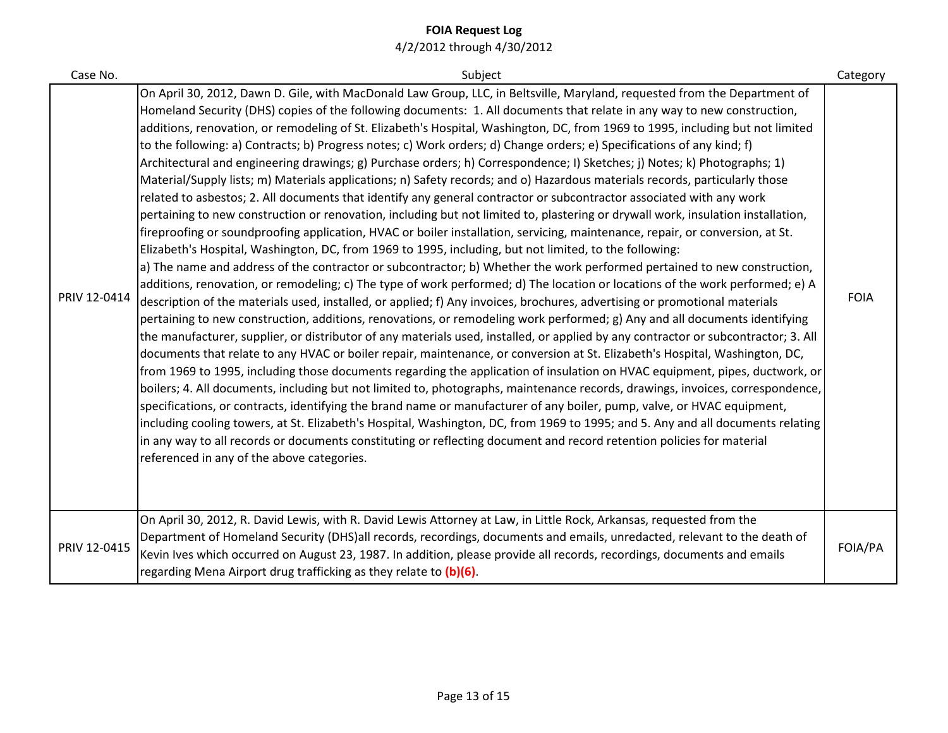| Case No.     | Subject                                                                                                                                                                                                                                                                                                                                                                                                                                                                                                                                                                                                                                                                                                                                                                                                                                                                                                                                                                                                                                                                                                                                                                                                                                                                                                                                                                                                                                                                                                                                                                                                                                                                                                                                                                                                                                                                                                                                                                                                                                                                                                                                                                                                                                                                                                                                                                                                                                                                                                                                                                                                                                                                                                                                                                                | Category    |
|--------------|----------------------------------------------------------------------------------------------------------------------------------------------------------------------------------------------------------------------------------------------------------------------------------------------------------------------------------------------------------------------------------------------------------------------------------------------------------------------------------------------------------------------------------------------------------------------------------------------------------------------------------------------------------------------------------------------------------------------------------------------------------------------------------------------------------------------------------------------------------------------------------------------------------------------------------------------------------------------------------------------------------------------------------------------------------------------------------------------------------------------------------------------------------------------------------------------------------------------------------------------------------------------------------------------------------------------------------------------------------------------------------------------------------------------------------------------------------------------------------------------------------------------------------------------------------------------------------------------------------------------------------------------------------------------------------------------------------------------------------------------------------------------------------------------------------------------------------------------------------------------------------------------------------------------------------------------------------------------------------------------------------------------------------------------------------------------------------------------------------------------------------------------------------------------------------------------------------------------------------------------------------------------------------------------------------------------------------------------------------------------------------------------------------------------------------------------------------------------------------------------------------------------------------------------------------------------------------------------------------------------------------------------------------------------------------------------------------------------------------------------------------------------------------------|-------------|
| PRIV 12-0414 | On April 30, 2012, Dawn D. Gile, with MacDonald Law Group, LLC, in Beltsville, Maryland, requested from the Department of<br>Homeland Security (DHS) copies of the following documents: 1. All documents that relate in any way to new construction,<br>additions, renovation, or remodeling of St. Elizabeth's Hospital, Washington, DC, from 1969 to 1995, including but not limited<br>to the following: a) Contracts; b) Progress notes; c) Work orders; d) Change orders; e) Specifications of any kind; f)<br>Architectural and engineering drawings; g) Purchase orders; h) Correspondence; I) Sketches; j) Notes; k) Photographs; 1)<br>Material/Supply lists; m) Materials applications; n) Safety records; and o) Hazardous materials records, particularly those<br>related to asbestos; 2. All documents that identify any general contractor or subcontractor associated with any work<br>pertaining to new construction or renovation, including but not limited to, plastering or drywall work, insulation installation,<br>fireproofing or soundproofing application, HVAC or boiler installation, servicing, maintenance, repair, or conversion, at St.<br>Elizabeth's Hospital, Washington, DC, from 1969 to 1995, including, but not limited, to the following:<br>a) The name and address of the contractor or subcontractor; b) Whether the work performed pertained to new construction,<br>additions, renovation, or remodeling; c) The type of work performed; d) The location or locations of the work performed; e) A<br>description of the materials used, installed, or applied; f) Any invoices, brochures, advertising or promotional materials<br>pertaining to new construction, additions, renovations, or remodeling work performed; g) Any and all documents identifying<br>the manufacturer, supplier, or distributor of any materials used, installed, or applied by any contractor or subcontractor; 3. All<br>documents that relate to any HVAC or boiler repair, maintenance, or conversion at St. Elizabeth's Hospital, Washington, DC,<br>from 1969 to 1995, including those documents regarding the application of insulation on HVAC equipment, pipes, ductwork, or<br>boilers; 4. All documents, including but not limited to, photographs, maintenance records, drawings, invoices, correspondence,<br>specifications, or contracts, identifying the brand name or manufacturer of any boiler, pump, valve, or HVAC equipment,<br>including cooling towers, at St. Elizabeth's Hospital, Washington, DC, from 1969 to 1995; and 5. Any and all documents relating<br>in any way to all records or documents constituting or reflecting document and record retention policies for material<br>referenced in any of the above categories. | <b>FOIA</b> |
| PRIV 12-0415 | On April 30, 2012, R. David Lewis, with R. David Lewis Attorney at Law, in Little Rock, Arkansas, requested from the<br>Department of Homeland Security (DHS)all records, recordings, documents and emails, unredacted, relevant to the death of<br>Kevin Ives which occurred on August 23, 1987. In addition, please provide all records, recordings, documents and emails<br>regarding Mena Airport drug trafficking as they relate to (b)(6).                                                                                                                                                                                                                                                                                                                                                                                                                                                                                                                                                                                                                                                                                                                                                                                                                                                                                                                                                                                                                                                                                                                                                                                                                                                                                                                                                                                                                                                                                                                                                                                                                                                                                                                                                                                                                                                                                                                                                                                                                                                                                                                                                                                                                                                                                                                                       | FOIA/PA     |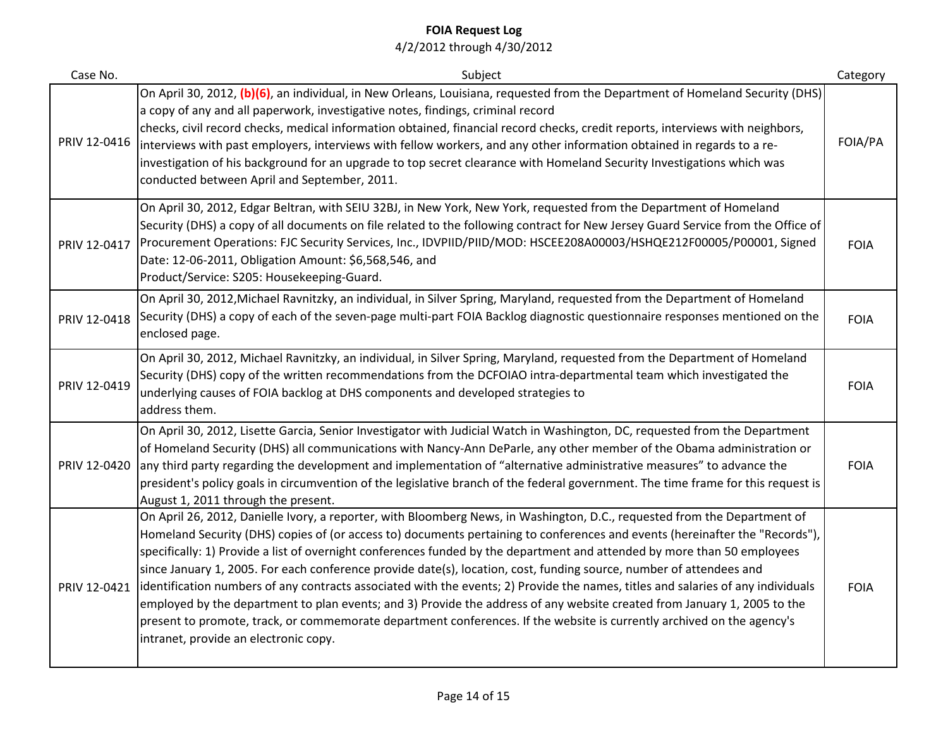| Case No.     | Subject                                                                                                                                                                                                                                                                                                                                                                                                                                                                                                                                                                                                                                                                                                                                                                                                                                                                                                                                         | Category    |
|--------------|-------------------------------------------------------------------------------------------------------------------------------------------------------------------------------------------------------------------------------------------------------------------------------------------------------------------------------------------------------------------------------------------------------------------------------------------------------------------------------------------------------------------------------------------------------------------------------------------------------------------------------------------------------------------------------------------------------------------------------------------------------------------------------------------------------------------------------------------------------------------------------------------------------------------------------------------------|-------------|
| PRIV 12-0416 | On April 30, 2012, (b)(6), an individual, in New Orleans, Louisiana, requested from the Department of Homeland Security (DHS)<br>a copy of any and all paperwork, investigative notes, findings, criminal record<br>checks, civil record checks, medical information obtained, financial record checks, credit reports, interviews with neighbors,<br>interviews with past employers, interviews with fellow workers, and any other information obtained in regards to a re-<br>investigation of his background for an upgrade to top secret clearance with Homeland Security Investigations which was<br>conducted between April and September, 2011.                                                                                                                                                                                                                                                                                          | FOIA/PA     |
| PRIV 12-0417 | On April 30, 2012, Edgar Beltran, with SEIU 32BJ, in New York, New York, requested from the Department of Homeland<br>Security (DHS) a copy of all documents on file related to the following contract for New Jersey Guard Service from the Office of<br>Procurement Operations: FJC Security Services, Inc., IDVPIID/PIID/MOD: HSCEE208A00003/HSHQE212F00005/P00001, Signed<br>Date: 12-06-2011, Obligation Amount: \$6,568,546, and<br>Product/Service: S205: Housekeeping-Guard.                                                                                                                                                                                                                                                                                                                                                                                                                                                            | <b>FOIA</b> |
| PRIV 12-0418 | On April 30, 2012, Michael Ravnitzky, an individual, in Silver Spring, Maryland, requested from the Department of Homeland<br>Security (DHS) a copy of each of the seven-page multi-part FOIA Backlog diagnostic questionnaire responses mentioned on the<br>enclosed page.                                                                                                                                                                                                                                                                                                                                                                                                                                                                                                                                                                                                                                                                     | <b>FOIA</b> |
| PRIV 12-0419 | On April 30, 2012, Michael Ravnitzky, an individual, in Silver Spring, Maryland, requested from the Department of Homeland<br>Security (DHS) copy of the written recommendations from the DCFOIAO intra-departmental team which investigated the<br>underlying causes of FOIA backlog at DHS components and developed strategies to<br>address them.                                                                                                                                                                                                                                                                                                                                                                                                                                                                                                                                                                                            | <b>FOIA</b> |
| PRIV 12-0420 | On April 30, 2012, Lisette Garcia, Senior Investigator with Judicial Watch in Washington, DC, requested from the Department<br>of Homeland Security (DHS) all communications with Nancy-Ann DeParle, any other member of the Obama administration or<br>any third party regarding the development and implementation of "alternative administrative measures" to advance the<br>president's policy goals in circumvention of the legislative branch of the federal government. The time frame for this request is<br>August 1, 2011 through the present.                                                                                                                                                                                                                                                                                                                                                                                        | <b>FOIA</b> |
| PRIV 12-0421 | On April 26, 2012, Danielle Ivory, a reporter, with Bloomberg News, in Washington, D.C., requested from the Department of<br>Homeland Security (DHS) copies of (or access to) documents pertaining to conferences and events (hereinafter the "Records"),<br>specifically: 1) Provide a list of overnight conferences funded by the department and attended by more than 50 employees<br>since January 1, 2005. For each conference provide date(s), location, cost, funding source, number of attendees and<br>identification numbers of any contracts associated with the events; 2) Provide the names, titles and salaries of any individuals<br>employed by the department to plan events; and 3) Provide the address of any website created from January 1, 2005 to the<br>present to promote, track, or commemorate department conferences. If the website is currently archived on the agency's<br>intranet, provide an electronic copy. | <b>FOIA</b> |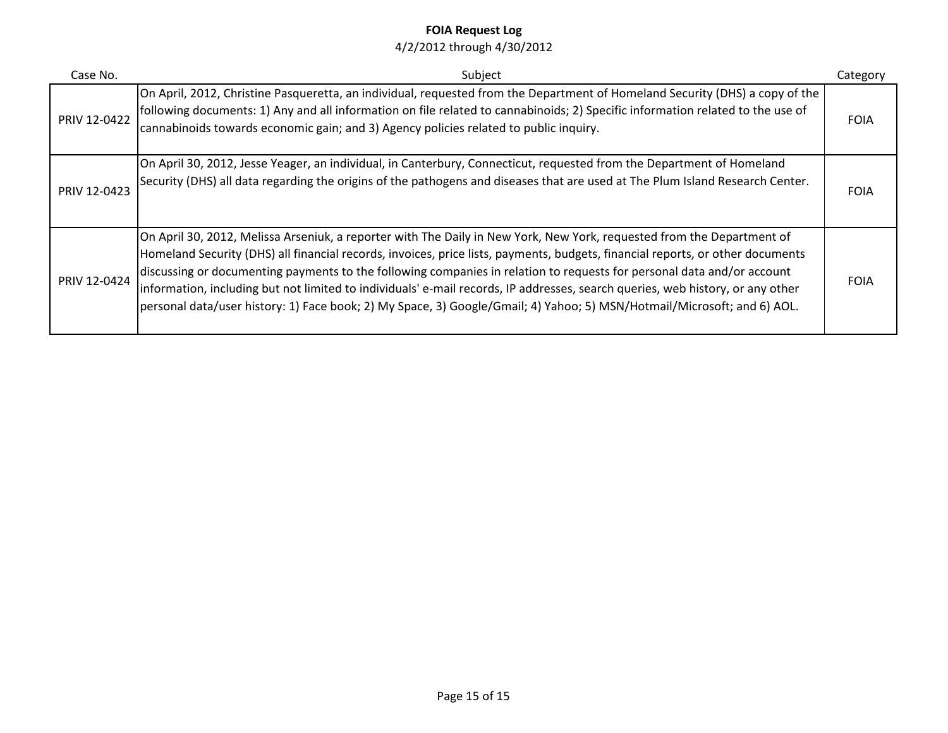| Case No.     | Subject                                                                                                                                                                                                                                                                                                                                                                                                                                                                                                                                                                                                                                         | Category    |
|--------------|-------------------------------------------------------------------------------------------------------------------------------------------------------------------------------------------------------------------------------------------------------------------------------------------------------------------------------------------------------------------------------------------------------------------------------------------------------------------------------------------------------------------------------------------------------------------------------------------------------------------------------------------------|-------------|
| PRIV 12-0422 | On April, 2012, Christine Pasqueretta, an individual, requested from the Department of Homeland Security (DHS) a copy of the<br>following documents: 1) Any and all information on file related to cannabinoids; 2) Specific information related to the use of<br>cannabinoids towards economic gain; and 3) Agency policies related to public inquiry.                                                                                                                                                                                                                                                                                         | <b>FOIA</b> |
| PRIV 12-0423 | On April 30, 2012, Jesse Yeager, an individual, in Canterbury, Connecticut, requested from the Department of Homeland<br>Security (DHS) all data regarding the origins of the pathogens and diseases that are used at The Plum Island Research Center.                                                                                                                                                                                                                                                                                                                                                                                          | <b>FOIA</b> |
| PRIV 12-0424 | On April 30, 2012, Melissa Arseniuk, a reporter with The Daily in New York, New York, requested from the Department of<br>Homeland Security (DHS) all financial records, invoices, price lists, payments, budgets, financial reports, or other documents<br>discussing or documenting payments to the following companies in relation to requests for personal data and/or account<br>information, including but not limited to individuals' e-mail records, IP addresses, search queries, web history, or any other<br>personal data/user history: 1) Face book; 2) My Space, 3) Google/Gmail; 4) Yahoo; 5) MSN/Hotmail/Microsoft; and 6) AOL. | <b>FOIA</b> |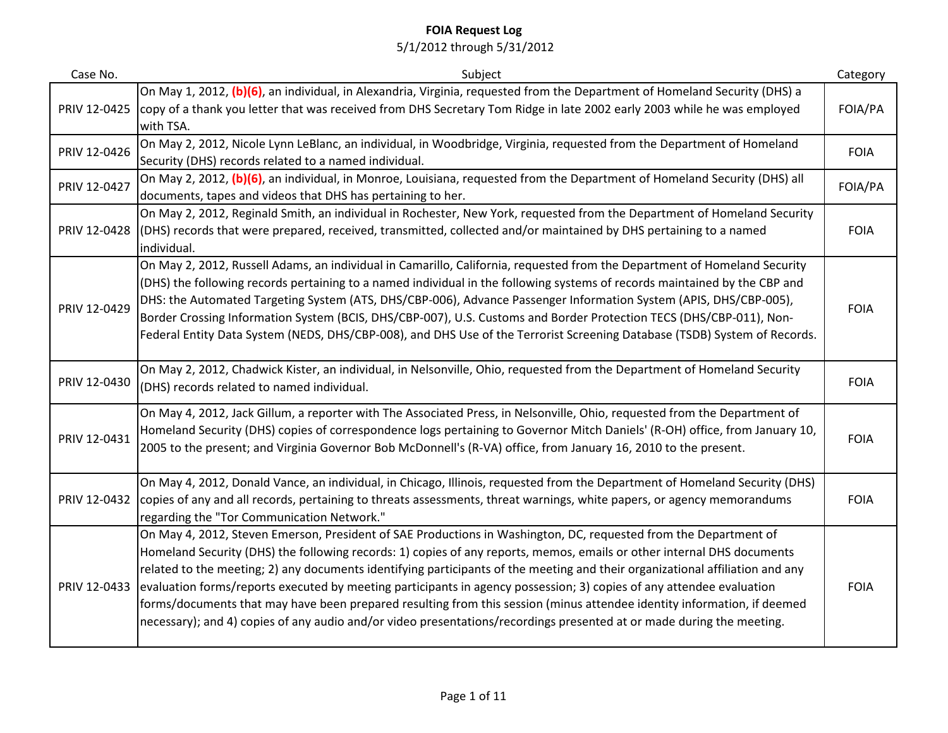| Case No.     | Subject                                                                                                                                                                                                                                                                                                                                                                                                                                                                                                                                                                                                                                                                                                                                                 | Category    |
|--------------|---------------------------------------------------------------------------------------------------------------------------------------------------------------------------------------------------------------------------------------------------------------------------------------------------------------------------------------------------------------------------------------------------------------------------------------------------------------------------------------------------------------------------------------------------------------------------------------------------------------------------------------------------------------------------------------------------------------------------------------------------------|-------------|
| PRIV 12-0425 | On May 1, 2012, (b)(6), an individual, in Alexandria, Virginia, requested from the Department of Homeland Security (DHS) a<br>copy of a thank you letter that was received from DHS Secretary Tom Ridge in late 2002 early 2003 while he was employed<br>with TSA.                                                                                                                                                                                                                                                                                                                                                                                                                                                                                      | FOIA/PA     |
| PRIV 12-0426 | On May 2, 2012, Nicole Lynn LeBlanc, an individual, in Woodbridge, Virginia, requested from the Department of Homeland<br>Security (DHS) records related to a named individual.                                                                                                                                                                                                                                                                                                                                                                                                                                                                                                                                                                         | <b>FOIA</b> |
| PRIV 12-0427 | On May 2, 2012, (b)(6), an individual, in Monroe, Louisiana, requested from the Department of Homeland Security (DHS) all<br>documents, tapes and videos that DHS has pertaining to her.                                                                                                                                                                                                                                                                                                                                                                                                                                                                                                                                                                | FOIA/PA     |
| PRIV 12-0428 | On May 2, 2012, Reginald Smith, an individual in Rochester, New York, requested from the Department of Homeland Security<br>(DHS) records that were prepared, received, transmitted, collected and/or maintained by DHS pertaining to a named<br>individual.                                                                                                                                                                                                                                                                                                                                                                                                                                                                                            | <b>FOIA</b> |
| PRIV 12-0429 | On May 2, 2012, Russell Adams, an individual in Camarillo, California, requested from the Department of Homeland Security<br>(DHS) the following records pertaining to a named individual in the following systems of records maintained by the CBP and<br>DHS: the Automated Targeting System (ATS, DHS/CBP-006), Advance Passenger Information System (APIS, DHS/CBP-005),<br>Border Crossing Information System (BCIS, DHS/CBP-007), U.S. Customs and Border Protection TECS (DHS/CBP-011), Non-<br>Federal Entity Data System (NEDS, DHS/CBP-008), and DHS Use of the Terrorist Screening Database (TSDB) System of Records.                                                                                                                        | <b>FOIA</b> |
| PRIV 12-0430 | On May 2, 2012, Chadwick Kister, an individual, in Nelsonville, Ohio, requested from the Department of Homeland Security<br>(DHS) records related to named individual.                                                                                                                                                                                                                                                                                                                                                                                                                                                                                                                                                                                  | <b>FOIA</b> |
| PRIV 12-0431 | On May 4, 2012, Jack Gillum, a reporter with The Associated Press, in Nelsonville, Ohio, requested from the Department of<br>Homeland Security (DHS) copies of correspondence logs pertaining to Governor Mitch Daniels' (R-OH) office, from January 10,<br>2005 to the present; and Virginia Governor Bob McDonnell's (R-VA) office, from January 16, 2010 to the present.                                                                                                                                                                                                                                                                                                                                                                             | <b>FOIA</b> |
| PRIV 12-0432 | On May 4, 2012, Donald Vance, an individual, in Chicago, Illinois, requested from the Department of Homeland Security (DHS)<br>copies of any and all records, pertaining to threats assessments, threat warnings, white papers, or agency memorandums<br>regarding the "Tor Communication Network."                                                                                                                                                                                                                                                                                                                                                                                                                                                     | <b>FOIA</b> |
| PRIV 12-0433 | On May 4, 2012, Steven Emerson, President of SAE Productions in Washington, DC, requested from the Department of<br>Homeland Security (DHS) the following records: 1) copies of any reports, memos, emails or other internal DHS documents<br>related to the meeting; 2) any documents identifying participants of the meeting and their organizational affiliation and any<br>evaluation forms/reports executed by meeting participants in agency possession; 3) copies of any attendee evaluation<br>forms/documents that may have been prepared resulting from this session (minus attendee identity information, if deemed<br>necessary); and 4) copies of any audio and/or video presentations/recordings presented at or made during the meeting. | <b>FOIA</b> |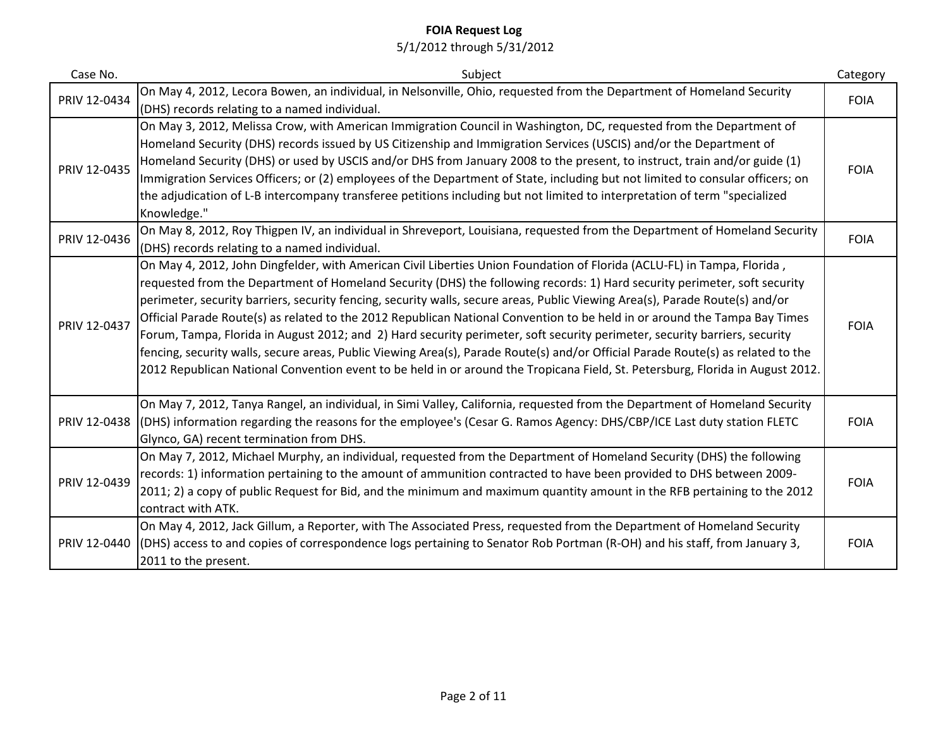| Case No.     | Subject                                                                                                                                                                                                                                                                                                                                                                                                                                                                                                                                                                                                                                                                                                                                                                                                                                                                                                                | Category    |
|--------------|------------------------------------------------------------------------------------------------------------------------------------------------------------------------------------------------------------------------------------------------------------------------------------------------------------------------------------------------------------------------------------------------------------------------------------------------------------------------------------------------------------------------------------------------------------------------------------------------------------------------------------------------------------------------------------------------------------------------------------------------------------------------------------------------------------------------------------------------------------------------------------------------------------------------|-------------|
| PRIV 12-0434 | On May 4, 2012, Lecora Bowen, an individual, in Nelsonville, Ohio, requested from the Department of Homeland Security<br>(DHS) records relating to a named individual.                                                                                                                                                                                                                                                                                                                                                                                                                                                                                                                                                                                                                                                                                                                                                 | <b>FOIA</b> |
| PRIV 12-0435 | On May 3, 2012, Melissa Crow, with American Immigration Council in Washington, DC, requested from the Department of<br>Homeland Security (DHS) records issued by US Citizenship and Immigration Services (USCIS) and/or the Department of<br>Homeland Security (DHS) or used by USCIS and/or DHS from January 2008 to the present, to instruct, train and/or guide (1)<br>Immigration Services Officers; or (2) employees of the Department of State, including but not limited to consular officers; on<br>the adjudication of L-B intercompany transferee petitions including but not limited to interpretation of term "specialized<br>Knowledge."                                                                                                                                                                                                                                                                  | <b>FOIA</b> |
| PRIV 12-0436 | On May 8, 2012, Roy Thigpen IV, an individual in Shreveport, Louisiana, requested from the Department of Homeland Security<br>(DHS) records relating to a named individual.                                                                                                                                                                                                                                                                                                                                                                                                                                                                                                                                                                                                                                                                                                                                            | <b>FOIA</b> |
| PRIV 12-0437 | On May 4, 2012, John Dingfelder, with American Civil Liberties Union Foundation of Florida (ACLU-FL) in Tampa, Florida,<br>requested from the Department of Homeland Security (DHS) the following records: 1) Hard security perimeter, soft security<br>perimeter, security barriers, security fencing, security walls, secure areas, Public Viewing Area(s), Parade Route(s) and/or<br>Official Parade Route(s) as related to the 2012 Republican National Convention to be held in or around the Tampa Bay Times<br>Forum, Tampa, Florida in August 2012; and 2) Hard security perimeter, soft security perimeter, security barriers, security<br>fencing, security walls, secure areas, Public Viewing Area(s), Parade Route(s) and/or Official Parade Route(s) as related to the<br>2012 Republican National Convention event to be held in or around the Tropicana Field, St. Petersburg, Florida in August 2012. | <b>FOIA</b> |
| PRIV 12-0438 | On May 7, 2012, Tanya Rangel, an individual, in Simi Valley, California, requested from the Department of Homeland Security<br>(DHS) information regarding the reasons for the employee's (Cesar G. Ramos Agency: DHS/CBP/ICE Last duty station FLETC<br>Glynco, GA) recent termination from DHS.                                                                                                                                                                                                                                                                                                                                                                                                                                                                                                                                                                                                                      | <b>FOIA</b> |
| PRIV 12-0439 | On May 7, 2012, Michael Murphy, an individual, requested from the Department of Homeland Security (DHS) the following<br>records: 1) information pertaining to the amount of ammunition contracted to have been provided to DHS between 2009-<br>2011; 2) a copy of public Request for Bid, and the minimum and maximum quantity amount in the RFB pertaining to the 2012<br>contract with ATK.                                                                                                                                                                                                                                                                                                                                                                                                                                                                                                                        | <b>FOIA</b> |
| PRIV 12-0440 | On May 4, 2012, Jack Gillum, a Reporter, with The Associated Press, requested from the Department of Homeland Security<br>(DHS) access to and copies of correspondence logs pertaining to Senator Rob Portman (R-OH) and his staff, from January 3,<br>2011 to the present.                                                                                                                                                                                                                                                                                                                                                                                                                                                                                                                                                                                                                                            | <b>FOIA</b> |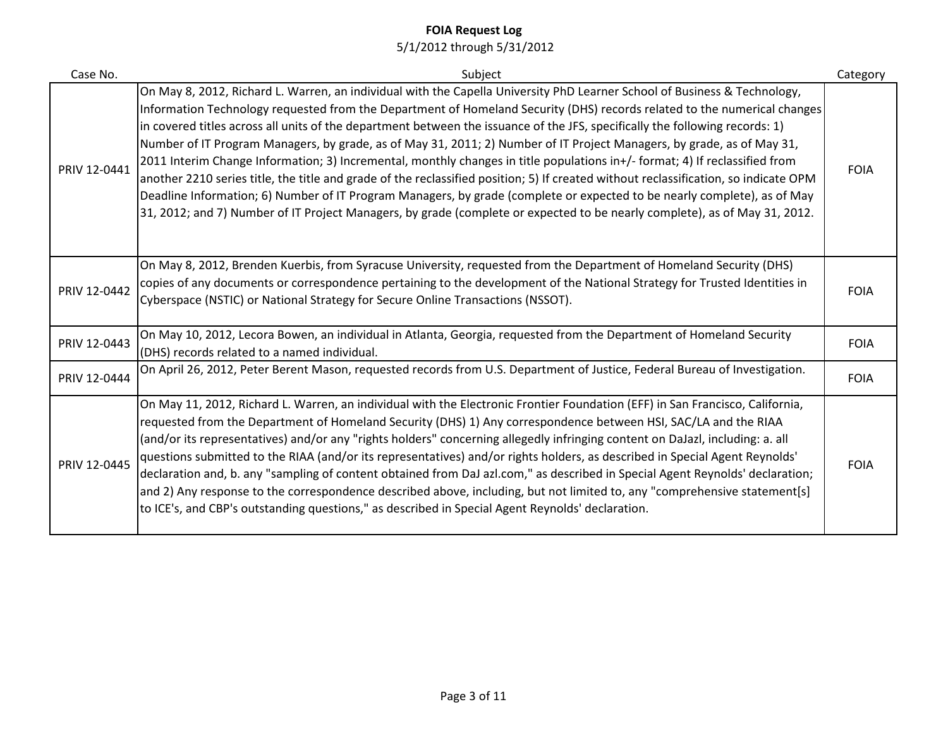| Case No.     | Subject                                                                                                                                                                                                                                                                                                                                                                                                                                                                                                                                                                                                                                                                                                                                                                                                                                                                                                                                                                                                                                          | Category    |
|--------------|--------------------------------------------------------------------------------------------------------------------------------------------------------------------------------------------------------------------------------------------------------------------------------------------------------------------------------------------------------------------------------------------------------------------------------------------------------------------------------------------------------------------------------------------------------------------------------------------------------------------------------------------------------------------------------------------------------------------------------------------------------------------------------------------------------------------------------------------------------------------------------------------------------------------------------------------------------------------------------------------------------------------------------------------------|-------------|
| PRIV 12-0441 | On May 8, 2012, Richard L. Warren, an individual with the Capella University PhD Learner School of Business & Technology,<br>Information Technology requested from the Department of Homeland Security (DHS) records related to the numerical changes<br>in covered titles across all units of the department between the issuance of the JFS, specifically the following records: 1)<br>Number of IT Program Managers, by grade, as of May 31, 2011; 2) Number of IT Project Managers, by grade, as of May 31,<br>2011 Interim Change Information; 3) Incremental, monthly changes in title populations in+/- format; 4) If reclassified from<br>another 2210 series title, the title and grade of the reclassified position; 5) If created without reclassification, so indicate OPM<br>Deadline Information; 6) Number of IT Program Managers, by grade (complete or expected to be nearly complete), as of May<br>31, 2012; and 7) Number of IT Project Managers, by grade (complete or expected to be nearly complete), as of May 31, 2012. | <b>FOIA</b> |
| PRIV 12-0442 | On May 8, 2012, Brenden Kuerbis, from Syracuse University, requested from the Department of Homeland Security (DHS)<br>copies of any documents or correspondence pertaining to the development of the National Strategy for Trusted Identities in<br>Cyberspace (NSTIC) or National Strategy for Secure Online Transactions (NSSOT).                                                                                                                                                                                                                                                                                                                                                                                                                                                                                                                                                                                                                                                                                                             | <b>FOIA</b> |
| PRIV 12-0443 | On May 10, 2012, Lecora Bowen, an individual in Atlanta, Georgia, requested from the Department of Homeland Security<br>(DHS) records related to a named individual.                                                                                                                                                                                                                                                                                                                                                                                                                                                                                                                                                                                                                                                                                                                                                                                                                                                                             | <b>FOIA</b> |
| PRIV 12-0444 | On April 26, 2012, Peter Berent Mason, requested records from U.S. Department of Justice, Federal Bureau of Investigation.                                                                                                                                                                                                                                                                                                                                                                                                                                                                                                                                                                                                                                                                                                                                                                                                                                                                                                                       | <b>FOIA</b> |
| PRIV 12-0445 | On May 11, 2012, Richard L. Warren, an individual with the Electronic Frontier Foundation (EFF) in San Francisco, California,<br>requested from the Department of Homeland Security (DHS) 1) Any correspondence between HSI, SAC/LA and the RIAA<br>(and/or its representatives) and/or any "rights holders" concerning allegedly infringing content on DaJazl, including: a. all<br>questions submitted to the RIAA (and/or its representatives) and/or rights holders, as described in Special Agent Reynolds'<br>declaration and, b. any "sampling of content obtained from DaJ azl.com," as described in Special Agent Reynolds' declaration;<br>and 2) Any response to the correspondence described above, including, but not limited to, any "comprehensive statement[s]<br>to ICE's, and CBP's outstanding questions," as described in Special Agent Reynolds' declaration.                                                                                                                                                               | <b>FOIA</b> |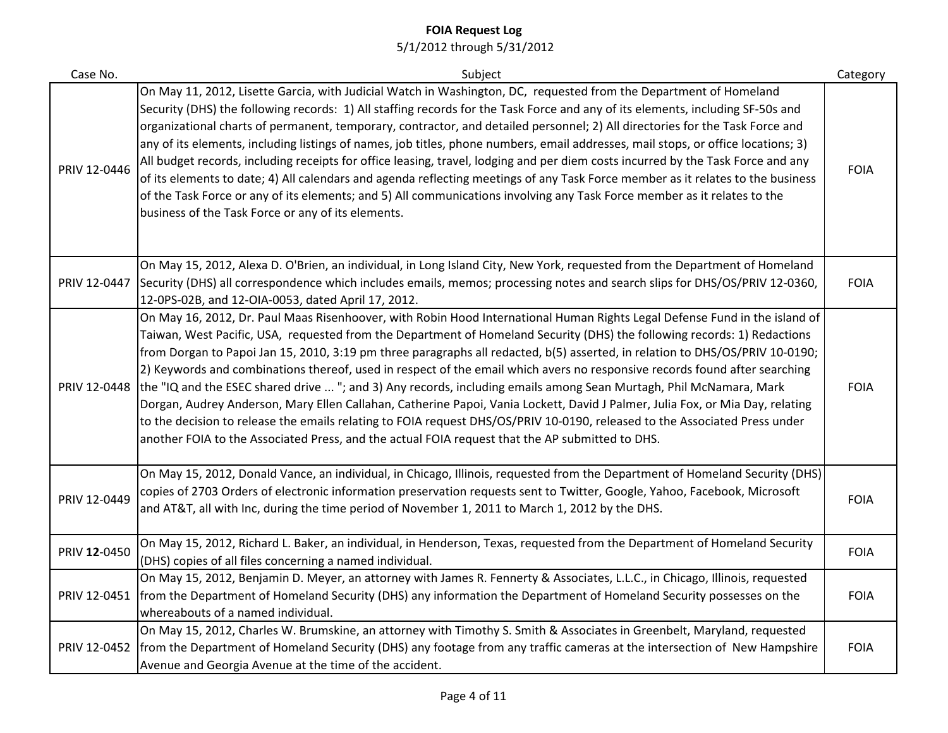| Case No.     | Subject                                                                                                                                                                                                                                                                                                                                                                                                                                                                                                                                                                                                                                                                                                                                                                                                                                                                                                                                                                                                      | Category    |
|--------------|--------------------------------------------------------------------------------------------------------------------------------------------------------------------------------------------------------------------------------------------------------------------------------------------------------------------------------------------------------------------------------------------------------------------------------------------------------------------------------------------------------------------------------------------------------------------------------------------------------------------------------------------------------------------------------------------------------------------------------------------------------------------------------------------------------------------------------------------------------------------------------------------------------------------------------------------------------------------------------------------------------------|-------------|
| PRIV 12-0446 | On May 11, 2012, Lisette Garcia, with Judicial Watch in Washington, DC, requested from the Department of Homeland<br>Security (DHS) the following records: 1) All staffing records for the Task Force and any of its elements, including SF-50s and<br>organizational charts of permanent, temporary, contractor, and detailed personnel; 2) All directories for the Task Force and<br>any of its elements, including listings of names, job titles, phone numbers, email addresses, mail stops, or office locations; 3)<br>All budget records, including receipts for office leasing, travel, lodging and per diem costs incurred by the Task Force and any<br>of its elements to date; 4) All calendars and agenda reflecting meetings of any Task Force member as it relates to the business<br>of the Task Force or any of its elements; and 5) All communications involving any Task Force member as it relates to the<br>business of the Task Force or any of its elements.                            | <b>FOIA</b> |
| PRIV 12-0447 | On May 15, 2012, Alexa D. O'Brien, an individual, in Long Island City, New York, requested from the Department of Homeland<br>Security (DHS) all correspondence which includes emails, memos; processing notes and search slips for DHS/OS/PRIV 12-0360,<br>12-0PS-02B, and 12-OIA-0053, dated April 17, 2012.                                                                                                                                                                                                                                                                                                                                                                                                                                                                                                                                                                                                                                                                                               | <b>FOIA</b> |
| PRIV 12-0448 | On May 16, 2012, Dr. Paul Maas Risenhoover, with Robin Hood International Human Rights Legal Defense Fund in the island of<br>Taiwan, West Pacific, USA, requested from the Department of Homeland Security (DHS) the following records: 1) Redactions<br>from Dorgan to Papoi Jan 15, 2010, 3:19 pm three paragraphs all redacted, b(5) asserted, in relation to DHS/OS/PRIV 10-0190;<br>2) Keywords and combinations thereof, used in respect of the email which avers no responsive records found after searching<br>the "IQ and the ESEC shared drive  "; and 3) Any records, including emails among Sean Murtagh, Phil McNamara, Mark<br>Dorgan, Audrey Anderson, Mary Ellen Callahan, Catherine Papoi, Vania Lockett, David J Palmer, Julia Fox, or Mia Day, relating<br>to the decision to release the emails relating to FOIA request DHS/OS/PRIV 10-0190, released to the Associated Press under<br>another FOIA to the Associated Press, and the actual FOIA request that the AP submitted to DHS. | <b>FOIA</b> |
| PRIV 12-0449 | On May 15, 2012, Donald Vance, an individual, in Chicago, Illinois, requested from the Department of Homeland Security (DHS)<br>copies of 2703 Orders of electronic information preservation requests sent to Twitter, Google, Yahoo, Facebook, Microsoft<br>and AT&T, all with Inc, during the time period of November 1, 2011 to March 1, 2012 by the DHS.                                                                                                                                                                                                                                                                                                                                                                                                                                                                                                                                                                                                                                                 | <b>FOIA</b> |
| PRIV 12-0450 | On May 15, 2012, Richard L. Baker, an individual, in Henderson, Texas, requested from the Department of Homeland Security<br>(DHS) copies of all files concerning a named individual.                                                                                                                                                                                                                                                                                                                                                                                                                                                                                                                                                                                                                                                                                                                                                                                                                        | <b>FOIA</b> |
| PRIV 12-0451 | On May 15, 2012, Benjamin D. Meyer, an attorney with James R. Fennerty & Associates, L.L.C., in Chicago, Illinois, requested<br>from the Department of Homeland Security (DHS) any information the Department of Homeland Security possesses on the<br>whereabouts of a named individual.                                                                                                                                                                                                                                                                                                                                                                                                                                                                                                                                                                                                                                                                                                                    | <b>FOIA</b> |
| PRIV 12-0452 | On May 15, 2012, Charles W. Brumskine, an attorney with Timothy S. Smith & Associates in Greenbelt, Maryland, requested<br>from the Department of Homeland Security (DHS) any footage from any traffic cameras at the intersection of New Hampshire<br>Avenue and Georgia Avenue at the time of the accident.                                                                                                                                                                                                                                                                                                                                                                                                                                                                                                                                                                                                                                                                                                | <b>FOIA</b> |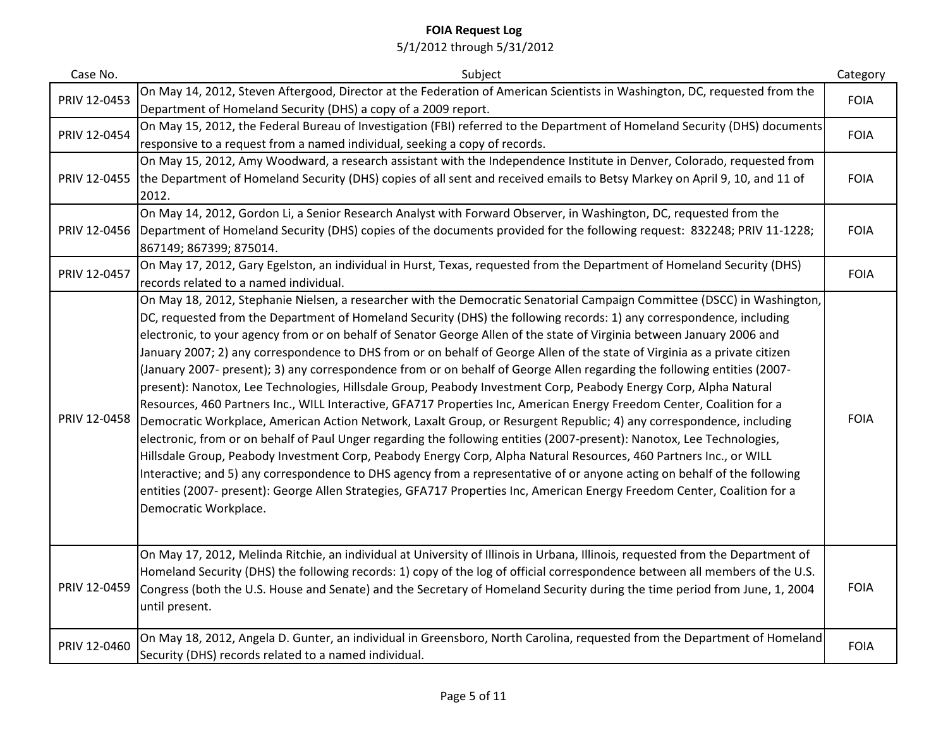| Case No.     | Subject                                                                                                                                                                                                                                                                                                                                                                                                                                                                                                                                                                                                                                                                                                                                                                                                                                                                                                                                                                                                                                                                                                                                                                                                                                                                                                                                                                                                                                                                                                                                         | Category    |
|--------------|-------------------------------------------------------------------------------------------------------------------------------------------------------------------------------------------------------------------------------------------------------------------------------------------------------------------------------------------------------------------------------------------------------------------------------------------------------------------------------------------------------------------------------------------------------------------------------------------------------------------------------------------------------------------------------------------------------------------------------------------------------------------------------------------------------------------------------------------------------------------------------------------------------------------------------------------------------------------------------------------------------------------------------------------------------------------------------------------------------------------------------------------------------------------------------------------------------------------------------------------------------------------------------------------------------------------------------------------------------------------------------------------------------------------------------------------------------------------------------------------------------------------------------------------------|-------------|
| PRIV 12-0453 | On May 14, 2012, Steven Aftergood, Director at the Federation of American Scientists in Washington, DC, requested from the<br>Department of Homeland Security (DHS) a copy of a 2009 report.                                                                                                                                                                                                                                                                                                                                                                                                                                                                                                                                                                                                                                                                                                                                                                                                                                                                                                                                                                                                                                                                                                                                                                                                                                                                                                                                                    | <b>FOIA</b> |
| PRIV 12-0454 | On May 15, 2012, the Federal Bureau of Investigation (FBI) referred to the Department of Homeland Security (DHS) documents<br>responsive to a request from a named individual, seeking a copy of records.                                                                                                                                                                                                                                                                                                                                                                                                                                                                                                                                                                                                                                                                                                                                                                                                                                                                                                                                                                                                                                                                                                                                                                                                                                                                                                                                       | <b>FOIA</b> |
| PRIV 12-0455 | On May 15, 2012, Amy Woodward, a research assistant with the Independence Institute in Denver, Colorado, requested from<br>the Department of Homeland Security (DHS) copies of all sent and received emails to Betsy Markey on April 9, 10, and 11 of<br>2012.                                                                                                                                                                                                                                                                                                                                                                                                                                                                                                                                                                                                                                                                                                                                                                                                                                                                                                                                                                                                                                                                                                                                                                                                                                                                                  | <b>FOIA</b> |
| PRIV 12-0456 | On May 14, 2012, Gordon Li, a Senior Research Analyst with Forward Observer, in Washington, DC, requested from the<br>Department of Homeland Security (DHS) copies of the documents provided for the following request: 832248; PRIV 11-1228;<br>867149; 867399; 875014.                                                                                                                                                                                                                                                                                                                                                                                                                                                                                                                                                                                                                                                                                                                                                                                                                                                                                                                                                                                                                                                                                                                                                                                                                                                                        | <b>FOIA</b> |
| PRIV 12-0457 | On May 17, 2012, Gary Egelston, an individual in Hurst, Texas, requested from the Department of Homeland Security (DHS)<br>records related to a named individual.                                                                                                                                                                                                                                                                                                                                                                                                                                                                                                                                                                                                                                                                                                                                                                                                                                                                                                                                                                                                                                                                                                                                                                                                                                                                                                                                                                               | <b>FOIA</b> |
| PRIV 12-0458 | On May 18, 2012, Stephanie Nielsen, a researcher with the Democratic Senatorial Campaign Committee (DSCC) in Washington,<br>DC, requested from the Department of Homeland Security (DHS) the following records: 1) any correspondence, including<br>electronic, to your agency from or on behalf of Senator George Allen of the state of Virginia between January 2006 and<br>January 2007; 2) any correspondence to DHS from or on behalf of George Allen of the state of Virginia as a private citizen<br>(January 2007- present); 3) any correspondence from or on behalf of George Allen regarding the following entities (2007-<br>present): Nanotox, Lee Technologies, Hillsdale Group, Peabody Investment Corp, Peabody Energy Corp, Alpha Natural<br>Resources, 460 Partners Inc., WILL Interactive, GFA717 Properties Inc, American Energy Freedom Center, Coalition for a<br>Democratic Workplace, American Action Network, Laxalt Group, or Resurgent Republic; 4) any correspondence, including<br>electronic, from or on behalf of Paul Unger regarding the following entities (2007-present): Nanotox, Lee Technologies,<br>Hillsdale Group, Peabody Investment Corp, Peabody Energy Corp, Alpha Natural Resources, 460 Partners Inc., or WILL<br>Interactive; and 5) any correspondence to DHS agency from a representative of or anyone acting on behalf of the following<br>entities (2007- present): George Allen Strategies, GFA717 Properties Inc, American Energy Freedom Center, Coalition for a<br>Democratic Workplace. | <b>FOIA</b> |
| PRIV 12-0459 | On May 17, 2012, Melinda Ritchie, an individual at University of Illinois in Urbana, Illinois, requested from the Department of<br>Homeland Security (DHS) the following records: 1) copy of the log of official correspondence between all members of the U.S.<br>Congress (both the U.S. House and Senate) and the Secretary of Homeland Security during the time period from June, 1, 2004<br>until present.                                                                                                                                                                                                                                                                                                                                                                                                                                                                                                                                                                                                                                                                                                                                                                                                                                                                                                                                                                                                                                                                                                                                 | <b>FOIA</b> |
| PRIV 12-0460 | On May 18, 2012, Angela D. Gunter, an individual in Greensboro, North Carolina, requested from the Department of Homeland<br>Security (DHS) records related to a named individual.                                                                                                                                                                                                                                                                                                                                                                                                                                                                                                                                                                                                                                                                                                                                                                                                                                                                                                                                                                                                                                                                                                                                                                                                                                                                                                                                                              | <b>FOIA</b> |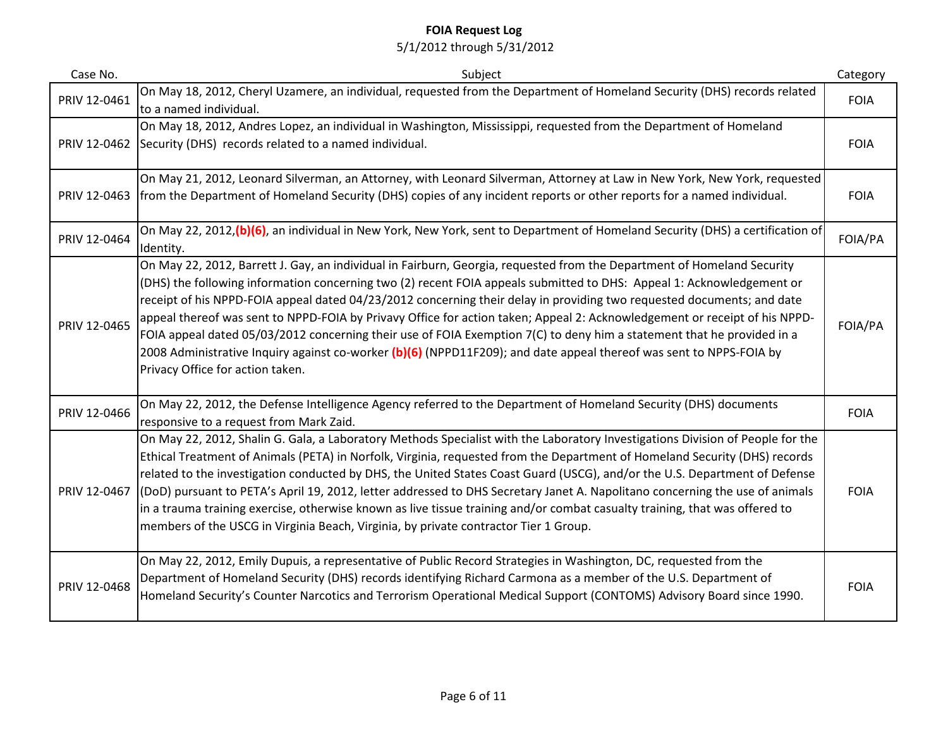| Case No.     | Subject                                                                                                                                                                                                                                                                                                                                                                                                                                                                                                                                                                                                                                                                                                                                                                                       | Category    |
|--------------|-----------------------------------------------------------------------------------------------------------------------------------------------------------------------------------------------------------------------------------------------------------------------------------------------------------------------------------------------------------------------------------------------------------------------------------------------------------------------------------------------------------------------------------------------------------------------------------------------------------------------------------------------------------------------------------------------------------------------------------------------------------------------------------------------|-------------|
| PRIV 12-0461 | On May 18, 2012, Cheryl Uzamere, an individual, requested from the Department of Homeland Security (DHS) records related<br>to a named individual.                                                                                                                                                                                                                                                                                                                                                                                                                                                                                                                                                                                                                                            | <b>FOIA</b> |
|              | On May 18, 2012, Andres Lopez, an individual in Washington, Mississippi, requested from the Department of Homeland<br>PRIV 12-0462 Security (DHS) records related to a named individual.                                                                                                                                                                                                                                                                                                                                                                                                                                                                                                                                                                                                      | <b>FOIA</b> |
| PRIV 12-0463 | On May 21, 2012, Leonard Silverman, an Attorney, with Leonard Silverman, Attorney at Law in New York, New York, requested<br>from the Department of Homeland Security (DHS) copies of any incident reports or other reports for a named individual.                                                                                                                                                                                                                                                                                                                                                                                                                                                                                                                                           | <b>FOIA</b> |
| PRIV 12-0464 | On May 22, 2012, (b) (6), an individual in New York, New York, sent to Department of Homeland Security (DHS) a certification of<br>Identity.                                                                                                                                                                                                                                                                                                                                                                                                                                                                                                                                                                                                                                                  | FOIA/PA     |
| PRIV 12-0465 | On May 22, 2012, Barrett J. Gay, an individual in Fairburn, Georgia, requested from the Department of Homeland Security<br>(DHS) the following information concerning two (2) recent FOIA appeals submitted to DHS: Appeal 1: Acknowledgement or<br>receipt of his NPPD-FOIA appeal dated 04/23/2012 concerning their delay in providing two requested documents; and date<br>appeal thereof was sent to NPPD-FOIA by Privavy Office for action taken; Appeal 2: Acknowledgement or receipt of his NPPD-<br>FOIA appeal dated 05/03/2012 concerning their use of FOIA Exemption 7(C) to deny him a statement that he provided in a<br>2008 Administrative Inquiry against co-worker (b)(6) (NPPD11F209); and date appeal thereof was sent to NPPS-FOIA by<br>Privacy Office for action taken. | FOIA/PA     |
| PRIV 12-0466 | On May 22, 2012, the Defense Intelligence Agency referred to the Department of Homeland Security (DHS) documents<br>responsive to a request from Mark Zaid.                                                                                                                                                                                                                                                                                                                                                                                                                                                                                                                                                                                                                                   | <b>FOIA</b> |
| PRIV 12-0467 | On May 22, 2012, Shalin G. Gala, a Laboratory Methods Specialist with the Laboratory Investigations Division of People for the<br>Ethical Treatment of Animals (PETA) in Norfolk, Virginia, requested from the Department of Homeland Security (DHS) records<br>related to the investigation conducted by DHS, the United States Coast Guard (USCG), and/or the U.S. Department of Defense<br>(DoD) pursuant to PETA's April 19, 2012, letter addressed to DHS Secretary Janet A. Napolitano concerning the use of animals<br>in a trauma training exercise, otherwise known as live tissue training and/or combat casualty training, that was offered to<br>members of the USCG in Virginia Beach, Virginia, by private contractor Tier 1 Group.                                             | <b>FOIA</b> |
| PRIV 12-0468 | On May 22, 2012, Emily Dupuis, a representative of Public Record Strategies in Washington, DC, requested from the<br>Department of Homeland Security (DHS) records identifying Richard Carmona as a member of the U.S. Department of<br>Homeland Security's Counter Narcotics and Terrorism Operational Medical Support (CONTOMS) Advisory Board since 1990.                                                                                                                                                                                                                                                                                                                                                                                                                                  | <b>FOIA</b> |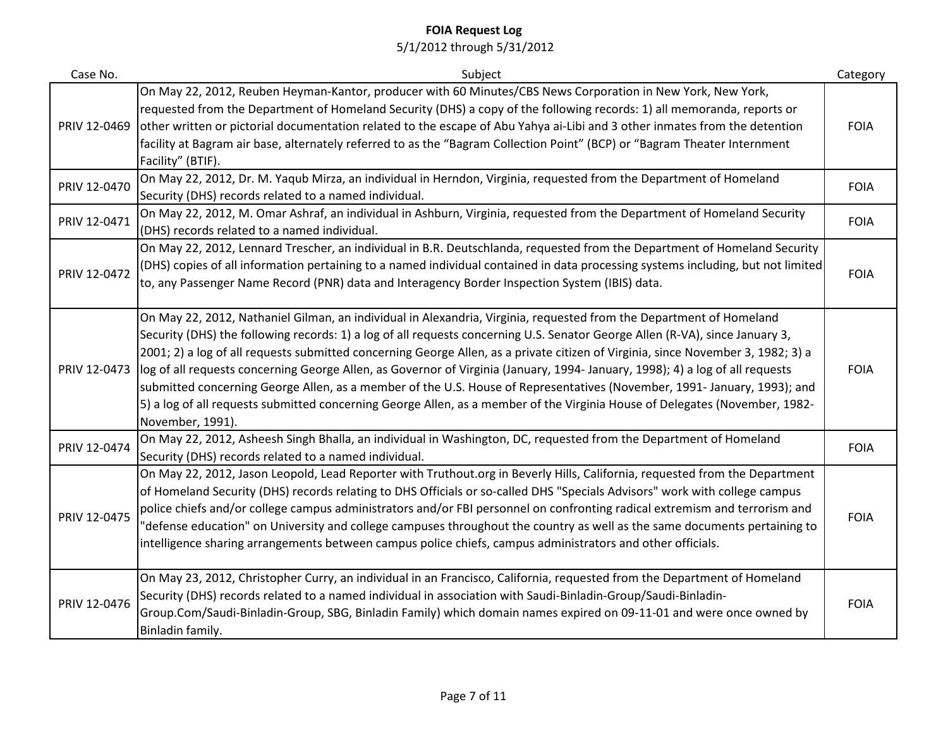| Case No.     | Subject                                                                                                                                                                                                                                                                                                                                                                                                                                                                                                                                                                                                                                                                                                                                                                                                | Category    |
|--------------|--------------------------------------------------------------------------------------------------------------------------------------------------------------------------------------------------------------------------------------------------------------------------------------------------------------------------------------------------------------------------------------------------------------------------------------------------------------------------------------------------------------------------------------------------------------------------------------------------------------------------------------------------------------------------------------------------------------------------------------------------------------------------------------------------------|-------------|
| PRIV 12-0469 | On May 22, 2012, Reuben Heyman-Kantor, producer with 60 Minutes/CBS News Corporation in New York, New York,<br>requested from the Department of Homeland Security (DHS) a copy of the following records: 1) all memoranda, reports or<br>other written or pictorial documentation related to the escape of Abu Yahya ai-Libi and 3 other inmates from the detention<br>facility at Bagram air base, alternately referred to as the "Bagram Collection Point" (BCP) or "Bagram Theater Internment<br>Facility" (BTIF).                                                                                                                                                                                                                                                                                  | <b>FOIA</b> |
| PRIV 12-0470 | On May 22, 2012, Dr. M. Yaqub Mirza, an individual in Herndon, Virginia, requested from the Department of Homeland<br>Security (DHS) records related to a named individual.                                                                                                                                                                                                                                                                                                                                                                                                                                                                                                                                                                                                                            | <b>FOIA</b> |
| PRIV 12-0471 | On May 22, 2012, M. Omar Ashraf, an individual in Ashburn, Virginia, requested from the Department of Homeland Security<br>(DHS) records related to a named individual.                                                                                                                                                                                                                                                                                                                                                                                                                                                                                                                                                                                                                                | <b>FOIA</b> |
| PRIV 12-0472 | On May 22, 2012, Lennard Trescher, an individual in B.R. Deutschlanda, requested from the Department of Homeland Security<br>(DHS) copies of all information pertaining to a named individual contained in data processing systems including, but not limited<br>to, any Passenger Name Record (PNR) data and Interagency Border Inspection System (IBIS) data.                                                                                                                                                                                                                                                                                                                                                                                                                                        | <b>FOIA</b> |
| PRIV 12-0473 | On May 22, 2012, Nathaniel Gilman, an individual in Alexandria, Virginia, requested from the Department of Homeland<br>Security (DHS) the following records: 1) a log of all requests concerning U.S. Senator George Allen (R-VA), since January 3,<br>2001; 2) a log of all requests submitted concerning George Allen, as a private citizen of Virginia, since November 3, 1982; 3) a<br>log of all requests concerning George Allen, as Governor of Virginia (January, 1994-January, 1998); 4) a log of all requests<br>submitted concerning George Allen, as a member of the U.S. House of Representatives (November, 1991- January, 1993); and<br>5) a log of all requests submitted concerning George Allen, as a member of the Virginia House of Delegates (November, 1982-<br>November, 1991). | <b>FOIA</b> |
| PRIV 12-0474 | On May 22, 2012, Asheesh Singh Bhalla, an individual in Washington, DC, requested from the Department of Homeland<br>Security (DHS) records related to a named individual.                                                                                                                                                                                                                                                                                                                                                                                                                                                                                                                                                                                                                             | <b>FOIA</b> |
| PRIV 12-0475 | On May 22, 2012, Jason Leopold, Lead Reporter with Truthout.org in Beverly Hills, California, requested from the Department<br>of Homeland Security (DHS) records relating to DHS Officials or so-called DHS "Specials Advisors" work with college campus<br>police chiefs and/or college campus administrators and/or FBI personnel on confronting radical extremism and terrorism and<br>"defense education" on University and college campuses throughout the country as well as the same documents pertaining to<br>intelligence sharing arrangements between campus police chiefs, campus administrators and other officials.                                                                                                                                                                     | <b>FOIA</b> |
| PRIV 12-0476 | On May 23, 2012, Christopher Curry, an individual in an Francisco, California, requested from the Department of Homeland<br>Security (DHS) records related to a named individual in association with Saudi-Binladin-Group/Saudi-Binladin-<br>Group.Com/Saudi-Binladin-Group, SBG, Binladin Family) which domain names expired on 09-11-01 and were once owned by<br>Binladin family.                                                                                                                                                                                                                                                                                                                                                                                                                   | <b>FOIA</b> |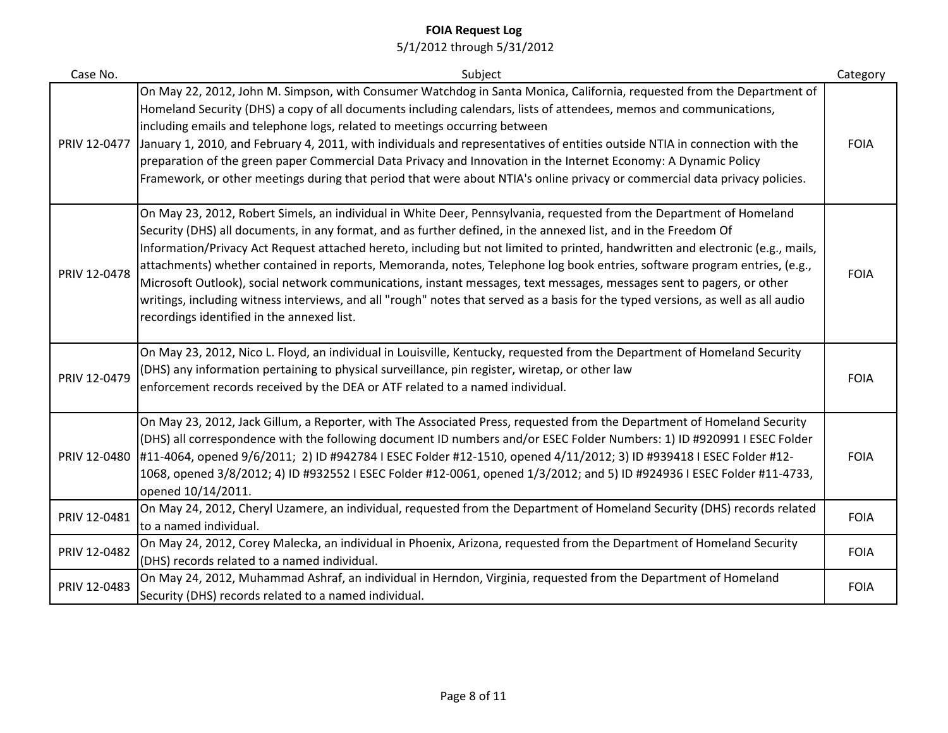| Case No.     | Subject                                                                                                                                                                                                                                                                                                                                                                                                                                                                                                                                                                                                                                                                                                                                                                                                             | Category    |
|--------------|---------------------------------------------------------------------------------------------------------------------------------------------------------------------------------------------------------------------------------------------------------------------------------------------------------------------------------------------------------------------------------------------------------------------------------------------------------------------------------------------------------------------------------------------------------------------------------------------------------------------------------------------------------------------------------------------------------------------------------------------------------------------------------------------------------------------|-------------|
| PRIV 12-0477 | On May 22, 2012, John M. Simpson, with Consumer Watchdog in Santa Monica, California, requested from the Department of<br>Homeland Security (DHS) a copy of all documents including calendars, lists of attendees, memos and communications,<br>including emails and telephone logs, related to meetings occurring between<br>January 1, 2010, and February 4, 2011, with individuals and representatives of entities outside NTIA in connection with the<br>preparation of the green paper Commercial Data Privacy and Innovation in the Internet Economy: A Dynamic Policy<br>Framework, or other meetings during that period that were about NTIA's online privacy or commercial data privacy policies.                                                                                                          | <b>FOIA</b> |
| PRIV 12-0478 | On May 23, 2012, Robert Simels, an individual in White Deer, Pennsylvania, requested from the Department of Homeland<br>Security (DHS) all documents, in any format, and as further defined, in the annexed list, and in the Freedom Of<br>Information/Privacy Act Request attached hereto, including but not limited to printed, handwritten and electronic (e.g., mails,<br>attachments) whether contained in reports, Memoranda, notes, Telephone log book entries, software program entries, (e.g.,<br>Microsoft Outlook), social network communications, instant messages, text messages, messages sent to pagers, or other<br>writings, including witness interviews, and all "rough" notes that served as a basis for the typed versions, as well as all audio<br>recordings identified in the annexed list. | <b>FOIA</b> |
| PRIV 12-0479 | On May 23, 2012, Nico L. Floyd, an individual in Louisville, Kentucky, requested from the Department of Homeland Security<br>(DHS) any information pertaining to physical surveillance, pin register, wiretap, or other law<br>enforcement records received by the DEA or ATF related to a named individual.                                                                                                                                                                                                                                                                                                                                                                                                                                                                                                        | <b>FOIA</b> |
| PRIV 12-0480 | On May 23, 2012, Jack Gillum, a Reporter, with The Associated Press, requested from the Department of Homeland Security<br>(DHS) all correspondence with the following document ID numbers and/or ESEC Folder Numbers: 1) ID #920991 I ESEC Folder<br>#11-4064, opened 9/6/2011; 2) ID #942784 I ESEC Folder #12-1510, opened 4/11/2012; 3) ID #939418 I ESEC Folder #12-<br>1068, opened 3/8/2012; 4) ID #932552 I ESEC Folder #12-0061, opened 1/3/2012; and 5) ID #924936 I ESEC Folder #11-4733,<br>opened 10/14/2011.                                                                                                                                                                                                                                                                                          | <b>FOIA</b> |
| PRIV 12-0481 | On May 24, 2012, Cheryl Uzamere, an individual, requested from the Department of Homeland Security (DHS) records related<br>to a named individual.                                                                                                                                                                                                                                                                                                                                                                                                                                                                                                                                                                                                                                                                  | <b>FOIA</b> |
| PRIV 12-0482 | On May 24, 2012, Corey Malecka, an individual in Phoenix, Arizona, requested from the Department of Homeland Security<br>(DHS) records related to a named individual.                                                                                                                                                                                                                                                                                                                                                                                                                                                                                                                                                                                                                                               | <b>FOIA</b> |
| PRIV 12-0483 | On May 24, 2012, Muhammad Ashraf, an individual in Herndon, Virginia, requested from the Department of Homeland<br>Security (DHS) records related to a named individual.                                                                                                                                                                                                                                                                                                                                                                                                                                                                                                                                                                                                                                            | <b>FOIA</b> |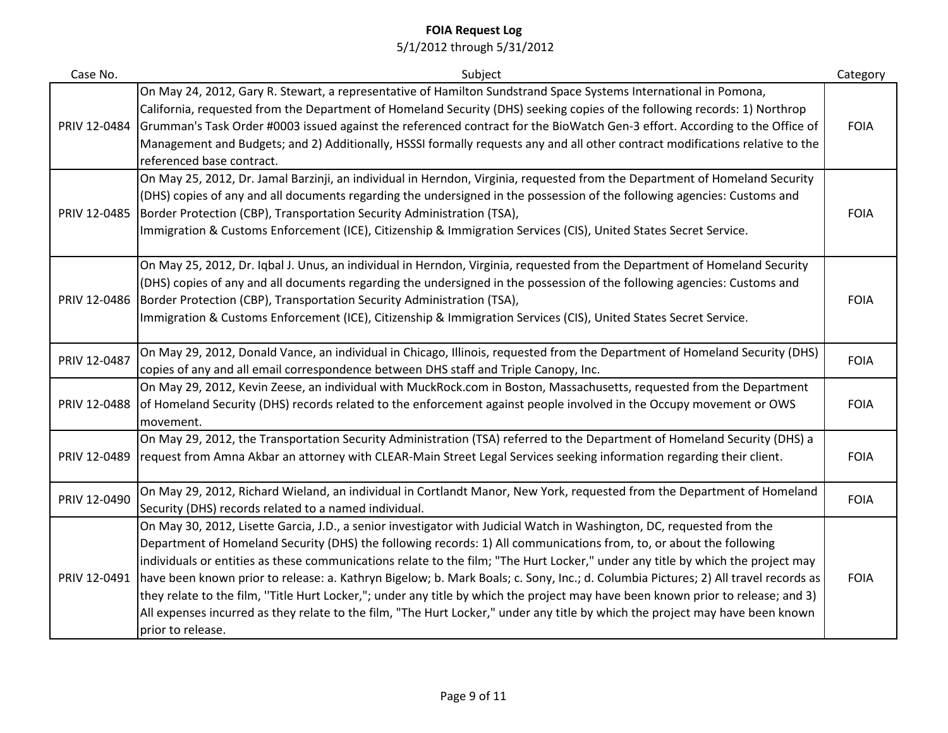| Case No.     | Subject                                                                                                                                                                                                                                                                                                                                                                                                                                                                                                                                                                                                                                                                                                                                                                                                          | Category    |
|--------------|------------------------------------------------------------------------------------------------------------------------------------------------------------------------------------------------------------------------------------------------------------------------------------------------------------------------------------------------------------------------------------------------------------------------------------------------------------------------------------------------------------------------------------------------------------------------------------------------------------------------------------------------------------------------------------------------------------------------------------------------------------------------------------------------------------------|-------------|
| PRIV 12-0484 | On May 24, 2012, Gary R. Stewart, a representative of Hamilton Sundstrand Space Systems International in Pomona,<br>California, requested from the Department of Homeland Security (DHS) seeking copies of the following records: 1) Northrop<br>Grumman's Task Order #0003 issued against the referenced contract for the BioWatch Gen-3 effort. According to the Office of<br>Management and Budgets; and 2) Additionally, HSSSI formally requests any and all other contract modifications relative to the<br>referenced base contract.                                                                                                                                                                                                                                                                       | <b>FOIA</b> |
| PRIV 12-0485 | On May 25, 2012, Dr. Jamal Barzinji, an individual in Herndon, Virginia, requested from the Department of Homeland Security<br>(DHS) copies of any and all documents regarding the undersigned in the possession of the following agencies: Customs and<br>Border Protection (CBP), Transportation Security Administration (TSA),<br>Immigration & Customs Enforcement (ICE), Citizenship & Immigration Services (CIS), United States Secret Service.                                                                                                                                                                                                                                                                                                                                                            | <b>FOIA</b> |
|              | On May 25, 2012, Dr. Iqbal J. Unus, an individual in Herndon, Virginia, requested from the Department of Homeland Security<br>(DHS) copies of any and all documents regarding the undersigned in the possession of the following agencies: Customs and<br>PRIV 12-0486   Border Protection (CBP), Transportation Security Administration (TSA),<br>Immigration & Customs Enforcement (ICE), Citizenship & Immigration Services (CIS), United States Secret Service.                                                                                                                                                                                                                                                                                                                                              | <b>FOIA</b> |
| PRIV 12-0487 | On May 29, 2012, Donald Vance, an individual in Chicago, Illinois, requested from the Department of Homeland Security (DHS)<br>copies of any and all email correspondence between DHS staff and Triple Canopy, Inc.                                                                                                                                                                                                                                                                                                                                                                                                                                                                                                                                                                                              | <b>FOIA</b> |
| PRIV 12-0488 | On May 29, 2012, Kevin Zeese, an individual with MuckRock.com in Boston, Massachusetts, requested from the Department<br>of Homeland Security (DHS) records related to the enforcement against people involved in the Occupy movement or OWS<br>movement.                                                                                                                                                                                                                                                                                                                                                                                                                                                                                                                                                        | <b>FOIA</b> |
| PRIV 12-0489 | On May 29, 2012, the Transportation Security Administration (TSA) referred to the Department of Homeland Security (DHS) a<br>request from Amna Akbar an attorney with CLEAR-Main Street Legal Services seeking information regarding their client.                                                                                                                                                                                                                                                                                                                                                                                                                                                                                                                                                               | <b>FOIA</b> |
| PRIV 12-0490 | On May 29, 2012, Richard Wieland, an individual in Cortlandt Manor, New York, requested from the Department of Homeland<br>Security (DHS) records related to a named individual.                                                                                                                                                                                                                                                                                                                                                                                                                                                                                                                                                                                                                                 | <b>FOIA</b> |
| PRIV 12-0491 | On May 30, 2012, Lisette Garcia, J.D., a senior investigator with Judicial Watch in Washington, DC, requested from the<br>Department of Homeland Security (DHS) the following records: 1) All communications from, to, or about the following<br>individuals or entities as these communications relate to the film; "The Hurt Locker," under any title by which the project may<br>have been known prior to release: a. Kathryn Bigelow; b. Mark Boals; c. Sony, Inc.; d. Columbia Pictures; 2) All travel records as<br>they relate to the film, "Title Hurt Locker,"; under any title by which the project may have been known prior to release; and 3)<br>All expenses incurred as they relate to the film, "The Hurt Locker," under any title by which the project may have been known<br>prior to release. | <b>FOIA</b> |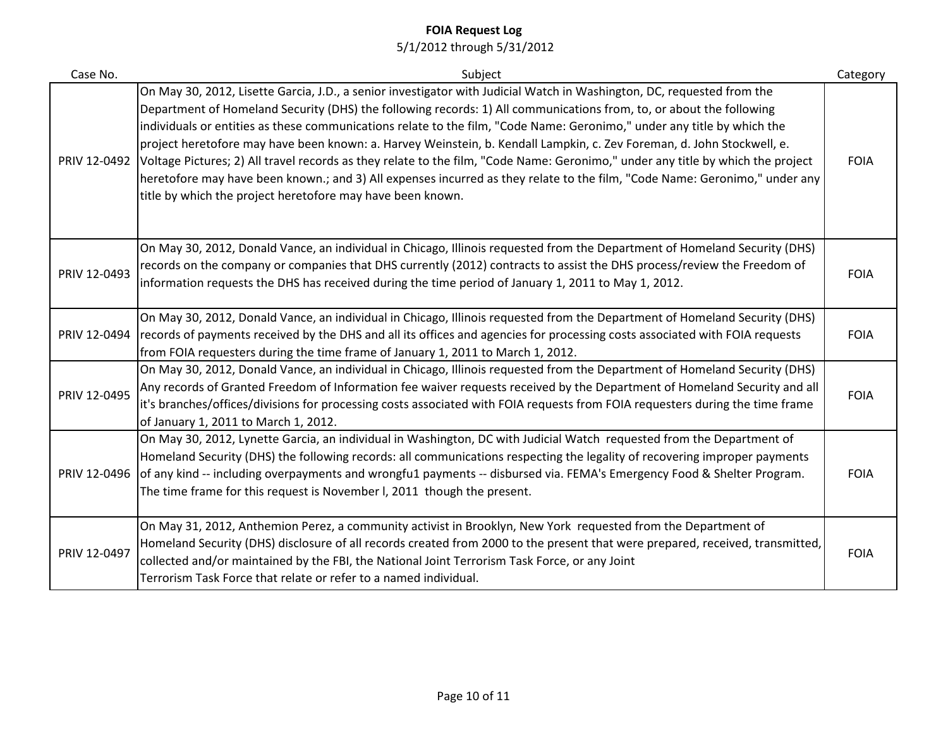| Case No.     | Subject                                                                                                                                                                                                                                                                                                                                                                                                                                                                                                                                                                                                                                                                                                                                                                                                                                        | Category    |
|--------------|------------------------------------------------------------------------------------------------------------------------------------------------------------------------------------------------------------------------------------------------------------------------------------------------------------------------------------------------------------------------------------------------------------------------------------------------------------------------------------------------------------------------------------------------------------------------------------------------------------------------------------------------------------------------------------------------------------------------------------------------------------------------------------------------------------------------------------------------|-------------|
|              | On May 30, 2012, Lisette Garcia, J.D., a senior investigator with Judicial Watch in Washington, DC, requested from the<br>Department of Homeland Security (DHS) the following records: 1) All communications from, to, or about the following<br>individuals or entities as these communications relate to the film, "Code Name: Geronimo," under any title by which the<br>project heretofore may have been known: a. Harvey Weinstein, b. Kendall Lampkin, c. Zev Foreman, d. John Stockwell, e.<br>PRIV 12-0492 Voltage Pictures; 2) All travel records as they relate to the film, "Code Name: Geronimo," under any title by which the project<br>heretofore may have been known.; and 3) All expenses incurred as they relate to the film, "Code Name: Geronimo," under any<br>title by which the project heretofore may have been known. | <b>FOIA</b> |
| PRIV 12-0493 | On May 30, 2012, Donald Vance, an individual in Chicago, Illinois requested from the Department of Homeland Security (DHS)<br>records on the company or companies that DHS currently (2012) contracts to assist the DHS process/review the Freedom of<br>information requests the DHS has received during the time period of January 1, 2011 to May 1, 2012.                                                                                                                                                                                                                                                                                                                                                                                                                                                                                   | <b>FOIA</b> |
| PRIV 12-0494 | On May 30, 2012, Donald Vance, an individual in Chicago, Illinois requested from the Department of Homeland Security (DHS)<br>records of payments received by the DHS and all its offices and agencies for processing costs associated with FOIA requests<br>from FOIA requesters during the time frame of January 1, 2011 to March 1, 2012.                                                                                                                                                                                                                                                                                                                                                                                                                                                                                                   | <b>FOIA</b> |
| PRIV 12-0495 | On May 30, 2012, Donald Vance, an individual in Chicago, Illinois requested from the Department of Homeland Security (DHS)<br>Any records of Granted Freedom of Information fee waiver requests received by the Department of Homeland Security and all<br>it's branches/offices/divisions for processing costs associated with FOIA requests from FOIA requesters during the time frame<br>of January 1, 2011 to March 1, 2012.                                                                                                                                                                                                                                                                                                                                                                                                               | <b>FOIA</b> |
| PRIV 12-0496 | On May 30, 2012, Lynette Garcia, an individual in Washington, DC with Judicial Watch requested from the Department of<br>Homeland Security (DHS) the following records: all communications respecting the legality of recovering improper payments<br>of any kind -- including overpayments and wrongfu1 payments -- disbursed via. FEMA's Emergency Food & Shelter Program.<br>The time frame for this request is November I, 2011 though the present.                                                                                                                                                                                                                                                                                                                                                                                        | <b>FOIA</b> |
| PRIV 12-0497 | On May 31, 2012, Anthemion Perez, a community activist in Brooklyn, New York requested from the Department of<br>Homeland Security (DHS) disclosure of all records created from 2000 to the present that were prepared, received, transmitted,<br>collected and/or maintained by the FBI, the National Joint Terrorism Task Force, or any Joint<br>Terrorism Task Force that relate or refer to a named individual.                                                                                                                                                                                                                                                                                                                                                                                                                            | <b>FOIA</b> |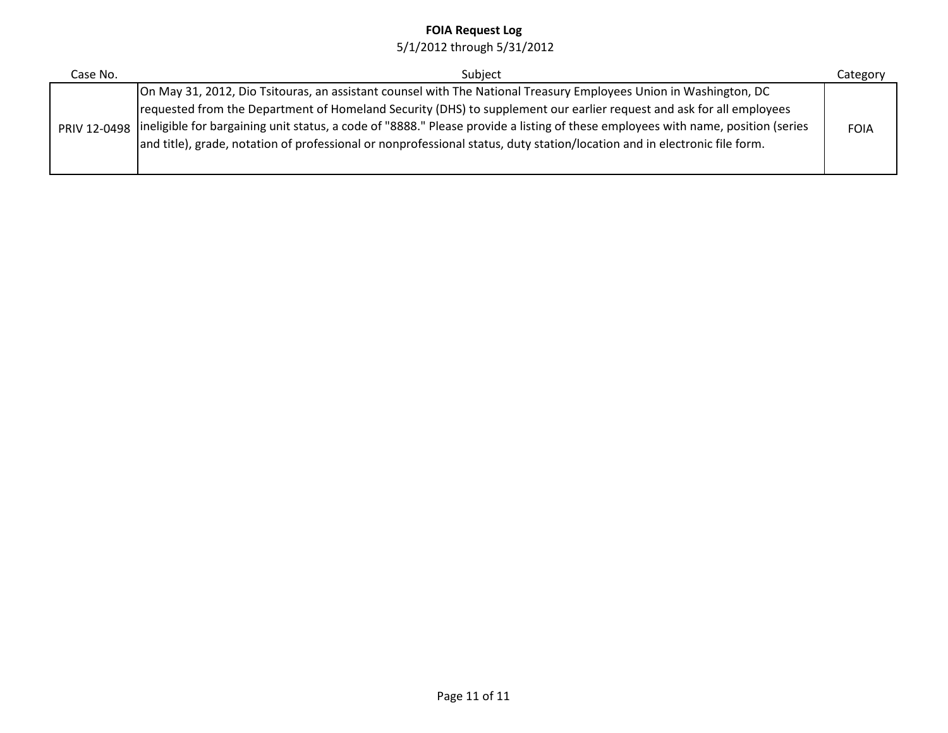| Case No. | Subject                                                                                                                                                                                                                                                                                                                                                                                                                                                                                                                  | Category    |
|----------|--------------------------------------------------------------------------------------------------------------------------------------------------------------------------------------------------------------------------------------------------------------------------------------------------------------------------------------------------------------------------------------------------------------------------------------------------------------------------------------------------------------------------|-------------|
|          | On May 31, 2012, Dio Tsitouras, an assistant counsel with The National Treasury Employees Union in Washington, DC<br>requested from the Department of Homeland Security (DHS) to supplement our earlier request and ask for all employees<br>PRIV 12-0498 lineligible for bargaining unit status, a code of "8888." Please provide a listing of these employees with name, position (series<br>and title), grade, notation of professional or nonprofessional status, duty station/location and in electronic file form. | <b>FOIA</b> |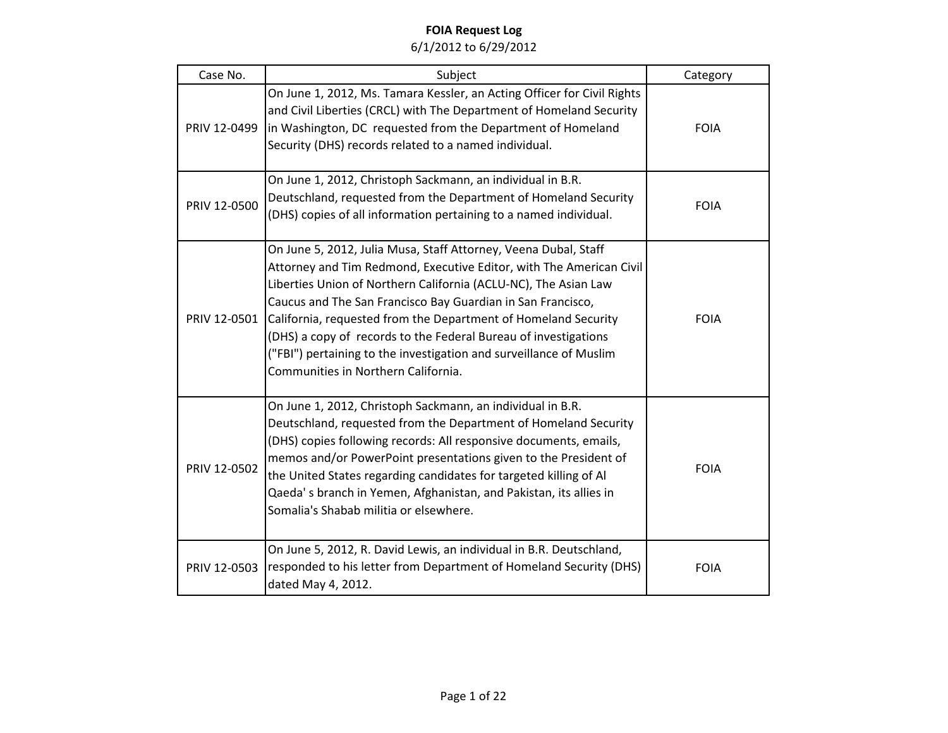| Case No.     | Subject                                                                                                                                                                                                                                                                                                                                                                                                                                                                                                                    | Category    |
|--------------|----------------------------------------------------------------------------------------------------------------------------------------------------------------------------------------------------------------------------------------------------------------------------------------------------------------------------------------------------------------------------------------------------------------------------------------------------------------------------------------------------------------------------|-------------|
| PRIV 12-0499 | On June 1, 2012, Ms. Tamara Kessler, an Acting Officer for Civil Rights<br>and Civil Liberties (CRCL) with The Department of Homeland Security<br>in Washington, DC requested from the Department of Homeland<br>Security (DHS) records related to a named individual.                                                                                                                                                                                                                                                     | <b>FOIA</b> |
| PRIV 12-0500 | On June 1, 2012, Christoph Sackmann, an individual in B.R.<br>Deutschland, requested from the Department of Homeland Security<br>(DHS) copies of all information pertaining to a named individual.                                                                                                                                                                                                                                                                                                                         | <b>FOIA</b> |
| PRIV 12-0501 | On June 5, 2012, Julia Musa, Staff Attorney, Veena Dubal, Staff<br>Attorney and Tim Redmond, Executive Editor, with The American Civil<br>Liberties Union of Northern California (ACLU-NC), The Asian Law<br>Caucus and The San Francisco Bay Guardian in San Francisco,<br>California, requested from the Department of Homeland Security<br>(DHS) a copy of records to the Federal Bureau of investigations<br>("FBI") pertaining to the investigation and surveillance of Muslim<br>Communities in Northern California. | <b>FOIA</b> |
| PRIV 12-0502 | On June 1, 2012, Christoph Sackmann, an individual in B.R.<br>Deutschland, requested from the Department of Homeland Security<br>(DHS) copies following records: All responsive documents, emails,<br>memos and/or PowerPoint presentations given to the President of<br>the United States regarding candidates for targeted killing of Al<br>Qaeda's branch in Yemen, Afghanistan, and Pakistan, its allies in<br>Somalia's Shabab militia or elsewhere.                                                                  | <b>FOIA</b> |
| PRIV 12-0503 | On June 5, 2012, R. David Lewis, an individual in B.R. Deutschland,<br>responded to his letter from Department of Homeland Security (DHS)<br>dated May 4, 2012.                                                                                                                                                                                                                                                                                                                                                            | <b>FOIA</b> |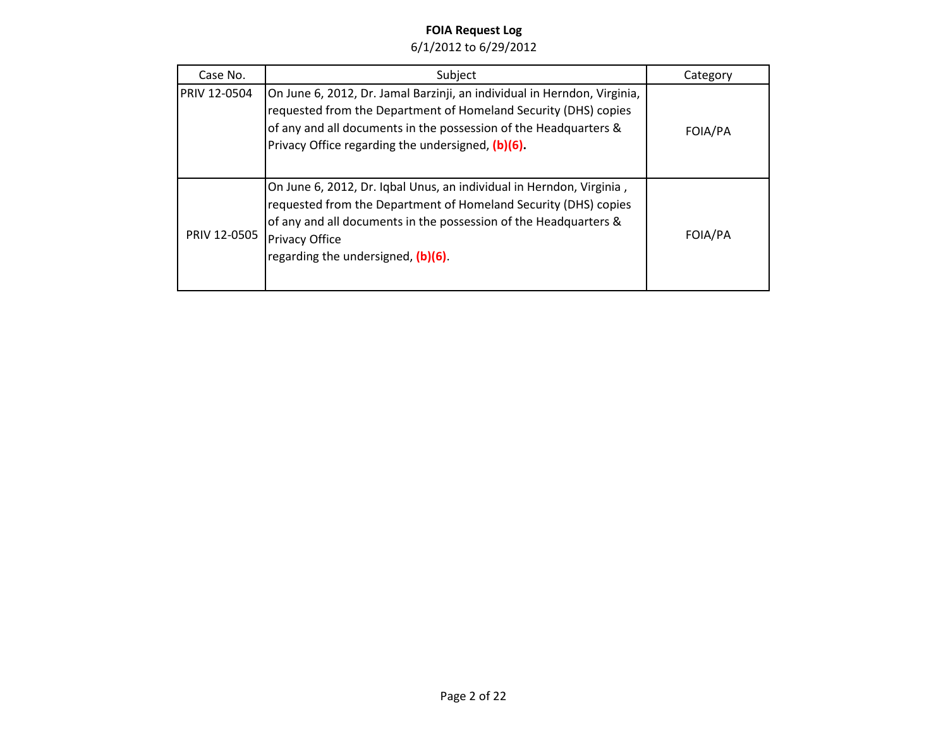| Case No.            | Subject                                                                                                                                                                                                                                                                    | Category |
|---------------------|----------------------------------------------------------------------------------------------------------------------------------------------------------------------------------------------------------------------------------------------------------------------------|----------|
| <b>PRIV 12-0504</b> | On June 6, 2012, Dr. Jamal Barzinji, an individual in Herndon, Virginia,<br>requested from the Department of Homeland Security (DHS) copies<br>of any and all documents in the possession of the Headquarters &<br>Privacy Office regarding the undersigned, (b)(6).       | FOIA/PA  |
| PRIV 12-0505        | On June 6, 2012, Dr. Iqbal Unus, an individual in Herndon, Virginia,<br>requested from the Department of Homeland Security (DHS) copies<br>of any and all documents in the possession of the Headquarters &<br><b>Privacy Office</b><br>regarding the undersigned, (b)(6). | FOIA/PA  |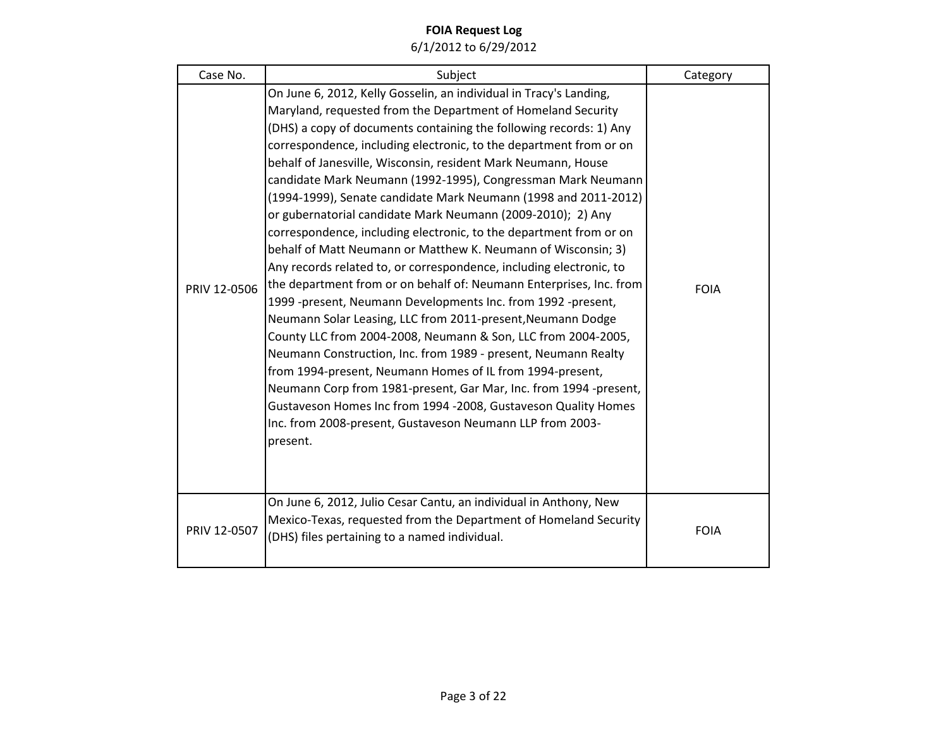| Case No.     | Subject                                                                                                                                                                                                                                                                                                                                                                                                                                                                                                                                                                                                                                                                                                                                                                                                                                                                                                                                                                                                                                                                                                                                                                                                                                                                                                                                                                               | Category    |
|--------------|---------------------------------------------------------------------------------------------------------------------------------------------------------------------------------------------------------------------------------------------------------------------------------------------------------------------------------------------------------------------------------------------------------------------------------------------------------------------------------------------------------------------------------------------------------------------------------------------------------------------------------------------------------------------------------------------------------------------------------------------------------------------------------------------------------------------------------------------------------------------------------------------------------------------------------------------------------------------------------------------------------------------------------------------------------------------------------------------------------------------------------------------------------------------------------------------------------------------------------------------------------------------------------------------------------------------------------------------------------------------------------------|-------------|
| PRIV 12-0506 | On June 6, 2012, Kelly Gosselin, an individual in Tracy's Landing,<br>Maryland, requested from the Department of Homeland Security<br>(DHS) a copy of documents containing the following records: 1) Any<br>correspondence, including electronic, to the department from or on<br>behalf of Janesville, Wisconsin, resident Mark Neumann, House<br>candidate Mark Neumann (1992-1995), Congressman Mark Neumann<br>(1994-1999), Senate candidate Mark Neumann (1998 and 2011-2012)<br>or gubernatorial candidate Mark Neumann (2009-2010); 2) Any<br>correspondence, including electronic, to the department from or on<br>behalf of Matt Neumann or Matthew K. Neumann of Wisconsin; 3)<br>Any records related to, or correspondence, including electronic, to<br>the department from or on behalf of: Neumann Enterprises, Inc. from<br>1999 -present, Neumann Developments Inc. from 1992 -present,<br>Neumann Solar Leasing, LLC from 2011-present, Neumann Dodge<br>County LLC from 2004-2008, Neumann & Son, LLC from 2004-2005,<br>Neumann Construction, Inc. from 1989 - present, Neumann Realty<br>from 1994-present, Neumann Homes of IL from 1994-present,<br>Neumann Corp from 1981-present, Gar Mar, Inc. from 1994 -present,<br>Gustaveson Homes Inc from 1994 -2008, Gustaveson Quality Homes<br>Inc. from 2008-present, Gustaveson Neumann LLP from 2003-<br>present. | <b>FOIA</b> |
| PRIV 12-0507 | On June 6, 2012, Julio Cesar Cantu, an individual in Anthony, New<br>Mexico-Texas, requested from the Department of Homeland Security<br>(DHS) files pertaining to a named individual.                                                                                                                                                                                                                                                                                                                                                                                                                                                                                                                                                                                                                                                                                                                                                                                                                                                                                                                                                                                                                                                                                                                                                                                                | <b>FOIA</b> |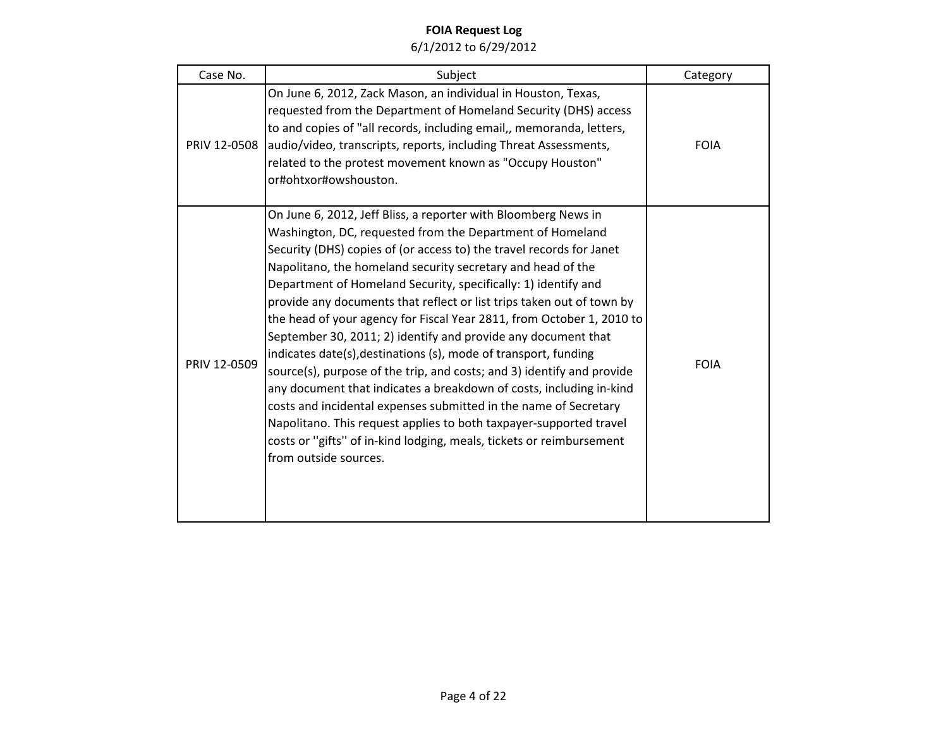| Case No.     | Subject                                                                                                                                                                                                                                                                                                                                                                                                                                                                                                                                                                                                                                                                                                                                                                                                                                                                                                                                                                                                                | Category    |
|--------------|------------------------------------------------------------------------------------------------------------------------------------------------------------------------------------------------------------------------------------------------------------------------------------------------------------------------------------------------------------------------------------------------------------------------------------------------------------------------------------------------------------------------------------------------------------------------------------------------------------------------------------------------------------------------------------------------------------------------------------------------------------------------------------------------------------------------------------------------------------------------------------------------------------------------------------------------------------------------------------------------------------------------|-------------|
| PRIV 12-0508 | On June 6, 2012, Zack Mason, an individual in Houston, Texas,<br>requested from the Department of Homeland Security (DHS) access<br>to and copies of "all records, including email,, memoranda, letters,<br>audio/video, transcripts, reports, including Threat Assessments,<br>related to the protest movement known as "Occupy Houston"<br>or#ohtxor#owshouston.                                                                                                                                                                                                                                                                                                                                                                                                                                                                                                                                                                                                                                                     | <b>FOIA</b> |
| PRIV 12-0509 | On June 6, 2012, Jeff Bliss, a reporter with Bloomberg News in<br>Washington, DC, requested from the Department of Homeland<br>Security (DHS) copies of (or access to) the travel records for Janet<br>Napolitano, the homeland security secretary and head of the<br>Department of Homeland Security, specifically: 1) identify and<br>provide any documents that reflect or list trips taken out of town by<br>the head of your agency for Fiscal Year 2811, from October 1, 2010 to<br>September 30, 2011; 2) identify and provide any document that<br>indicates date(s), destinations (s), mode of transport, funding<br>source(s), purpose of the trip, and costs; and 3) identify and provide<br>any document that indicates a breakdown of costs, including in-kind<br>costs and incidental expenses submitted in the name of Secretary<br>Napolitano. This request applies to both taxpayer-supported travel<br>costs or "gifts" of in-kind lodging, meals, tickets or reimbursement<br>from outside sources. | <b>FOIA</b> |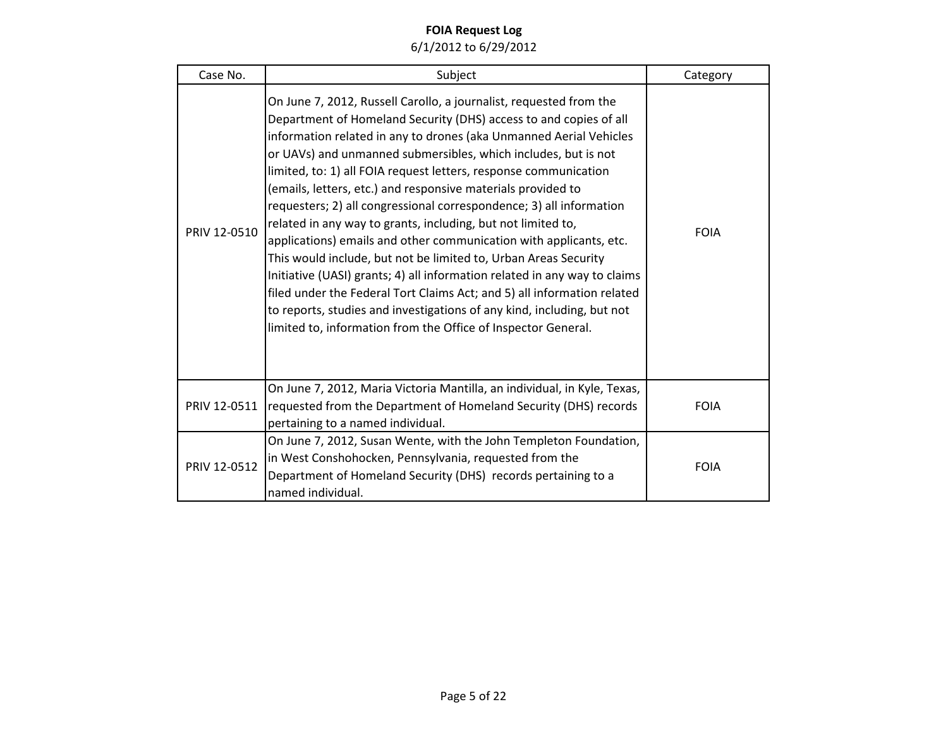| Case No.     | Subject                                                                                                                                                                                                                                                                                                                                                                                                                                                                                                                                                                                                                                                                                                                                                                                                                                                                                                                                                                                                | Category    |
|--------------|--------------------------------------------------------------------------------------------------------------------------------------------------------------------------------------------------------------------------------------------------------------------------------------------------------------------------------------------------------------------------------------------------------------------------------------------------------------------------------------------------------------------------------------------------------------------------------------------------------------------------------------------------------------------------------------------------------------------------------------------------------------------------------------------------------------------------------------------------------------------------------------------------------------------------------------------------------------------------------------------------------|-------------|
| PRIV 12-0510 | On June 7, 2012, Russell Carollo, a journalist, requested from the<br>Department of Homeland Security (DHS) access to and copies of all<br>information related in any to drones (aka Unmanned Aerial Vehicles<br>or UAVs) and unmanned submersibles, which includes, but is not<br>limited, to: 1) all FOIA request letters, response communication<br>(emails, letters, etc.) and responsive materials provided to<br>requesters; 2) all congressional correspondence; 3) all information<br>related in any way to grants, including, but not limited to,<br>applications) emails and other communication with applicants, etc.<br>This would include, but not be limited to, Urban Areas Security<br>Initiative (UASI) grants; 4) all information related in any way to claims<br>filed under the Federal Tort Claims Act; and 5) all information related<br>to reports, studies and investigations of any kind, including, but not<br>limited to, information from the Office of Inspector General. | <b>FOIA</b> |
| PRIV 12-0511 | On June 7, 2012, Maria Victoria Mantilla, an individual, in Kyle, Texas,<br>requested from the Department of Homeland Security (DHS) records<br>pertaining to a named individual.                                                                                                                                                                                                                                                                                                                                                                                                                                                                                                                                                                                                                                                                                                                                                                                                                      | <b>FOIA</b> |
| PRIV 12-0512 | On June 7, 2012, Susan Wente, with the John Templeton Foundation,<br>in West Conshohocken, Pennsylvania, requested from the<br>Department of Homeland Security (DHS) records pertaining to a<br>named individual.                                                                                                                                                                                                                                                                                                                                                                                                                                                                                                                                                                                                                                                                                                                                                                                      | <b>FOIA</b> |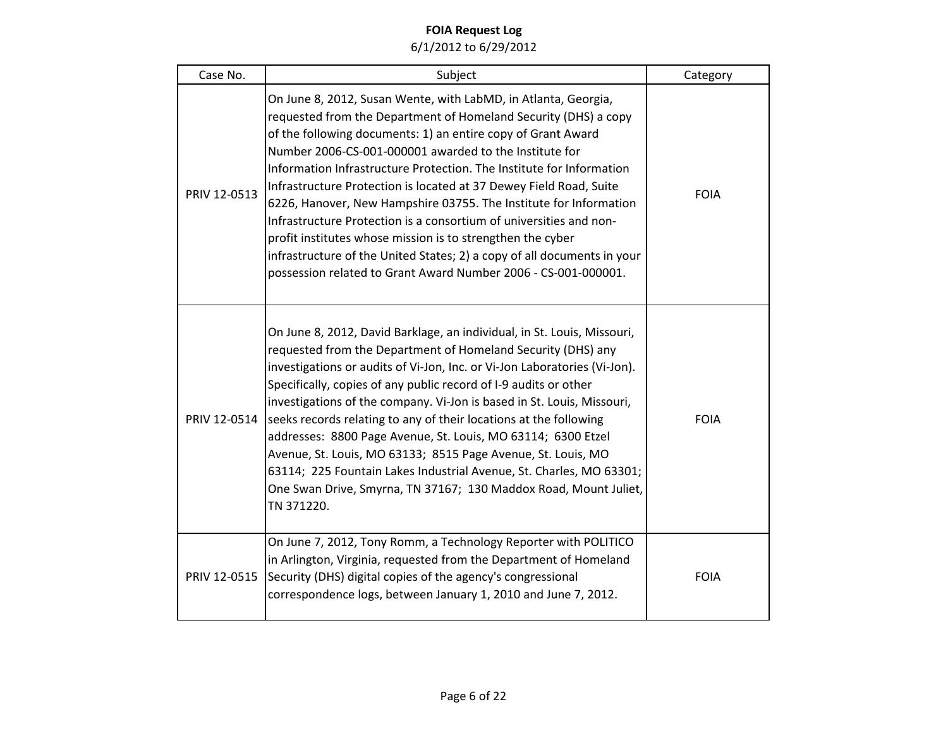| Case No.     | Subject                                                                                                                                                                                                                                                                                                                                                                                                                                                                                                                                                                                                                                                                                                                                                         | Category    |
|--------------|-----------------------------------------------------------------------------------------------------------------------------------------------------------------------------------------------------------------------------------------------------------------------------------------------------------------------------------------------------------------------------------------------------------------------------------------------------------------------------------------------------------------------------------------------------------------------------------------------------------------------------------------------------------------------------------------------------------------------------------------------------------------|-------------|
| PRIV 12-0513 | On June 8, 2012, Susan Wente, with LabMD, in Atlanta, Georgia,<br>requested from the Department of Homeland Security (DHS) a copy<br>of the following documents: 1) an entire copy of Grant Award<br>Number 2006-CS-001-000001 awarded to the Institute for<br>Information Infrastructure Protection. The Institute for Information<br>Infrastructure Protection is located at 37 Dewey Field Road, Suite<br>6226, Hanover, New Hampshire 03755. The Institute for Information<br>Infrastructure Protection is a consortium of universities and non-<br>profit institutes whose mission is to strengthen the cyber<br>infrastructure of the United States; 2) a copy of all documents in your<br>possession related to Grant Award Number 2006 - CS-001-000001. | <b>FOIA</b> |
| PRIV 12-0514 | On June 8, 2012, David Barklage, an individual, in St. Louis, Missouri,<br>requested from the Department of Homeland Security (DHS) any<br>investigations or audits of Vi-Jon, Inc. or Vi-Jon Laboratories (Vi-Jon).<br>Specifically, copies of any public record of I-9 audits or other<br>investigations of the company. Vi-Jon is based in St. Louis, Missouri,<br>seeks records relating to any of their locations at the following<br>addresses: 8800 Page Avenue, St. Louis, MO 63114; 6300 Etzel<br>Avenue, St. Louis, MO 63133; 8515 Page Avenue, St. Louis, MO<br>63114; 225 Fountain Lakes Industrial Avenue, St. Charles, MO 63301;<br>One Swan Drive, Smyrna, TN 37167; 130 Maddox Road, Mount Juliet,<br>TN 371220.                                | <b>FOIA</b> |
| PRIV 12-0515 | On June 7, 2012, Tony Romm, a Technology Reporter with POLITICO<br>in Arlington, Virginia, requested from the Department of Homeland<br>Security (DHS) digital copies of the agency's congressional<br>correspondence logs, between January 1, 2010 and June 7, 2012.                                                                                                                                                                                                                                                                                                                                                                                                                                                                                           | <b>FOIA</b> |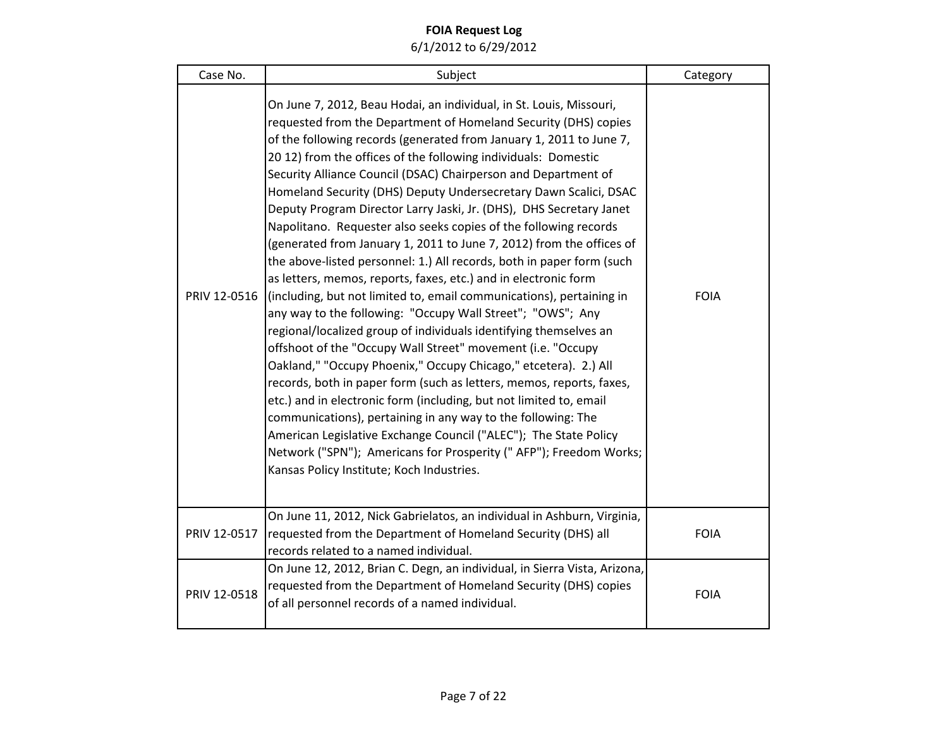| Case No.     | Subject                                                                                                                                                                                                                                                                                                                                                                                                                                                                                                                                                                                                                                                                                                                                                                                                                                                                                                                                                                                                                                                                                                                                                                                                                                                                                                                                                                                                                                                                                                                                | Category    |
|--------------|----------------------------------------------------------------------------------------------------------------------------------------------------------------------------------------------------------------------------------------------------------------------------------------------------------------------------------------------------------------------------------------------------------------------------------------------------------------------------------------------------------------------------------------------------------------------------------------------------------------------------------------------------------------------------------------------------------------------------------------------------------------------------------------------------------------------------------------------------------------------------------------------------------------------------------------------------------------------------------------------------------------------------------------------------------------------------------------------------------------------------------------------------------------------------------------------------------------------------------------------------------------------------------------------------------------------------------------------------------------------------------------------------------------------------------------------------------------------------------------------------------------------------------------|-------------|
| PRIV 12-0516 | On June 7, 2012, Beau Hodai, an individual, in St. Louis, Missouri,<br>requested from the Department of Homeland Security (DHS) copies<br>of the following records (generated from January 1, 2011 to June 7,<br>20 12) from the offices of the following individuals: Domestic<br>Security Alliance Council (DSAC) Chairperson and Department of<br>Homeland Security (DHS) Deputy Undersecretary Dawn Scalici, DSAC<br>Deputy Program Director Larry Jaski, Jr. (DHS), DHS Secretary Janet<br>Napolitano. Requester also seeks copies of the following records<br>(generated from January 1, 2011 to June 7, 2012) from the offices of<br>the above-listed personnel: 1.) All records, both in paper form (such<br>as letters, memos, reports, faxes, etc.) and in electronic form<br>(including, but not limited to, email communications), pertaining in<br>any way to the following: "Occupy Wall Street"; "OWS"; Any<br>regional/localized group of individuals identifying themselves an<br>offshoot of the "Occupy Wall Street" movement (i.e. "Occupy<br>Oakland," "Occupy Phoenix," Occupy Chicago," etcetera). 2.) All<br>records, both in paper form (such as letters, memos, reports, faxes,<br>etc.) and in electronic form (including, but not limited to, email<br>communications), pertaining in any way to the following: The<br>American Legislative Exchange Council ("ALEC"); The State Policy<br>Network ("SPN"); Americans for Prosperity (" AFP"); Freedom Works;<br>Kansas Policy Institute; Koch Industries. | <b>FOIA</b> |
| PRIV 12-0517 | On June 11, 2012, Nick Gabrielatos, an individual in Ashburn, Virginia,<br>requested from the Department of Homeland Security (DHS) all<br>records related to a named individual.                                                                                                                                                                                                                                                                                                                                                                                                                                                                                                                                                                                                                                                                                                                                                                                                                                                                                                                                                                                                                                                                                                                                                                                                                                                                                                                                                      | <b>FOIA</b> |
| PRIV 12-0518 | On June 12, 2012, Brian C. Degn, an individual, in Sierra Vista, Arizona,<br>requested from the Department of Homeland Security (DHS) copies<br>of all personnel records of a named individual.                                                                                                                                                                                                                                                                                                                                                                                                                                                                                                                                                                                                                                                                                                                                                                                                                                                                                                                                                                                                                                                                                                                                                                                                                                                                                                                                        | <b>FOIA</b> |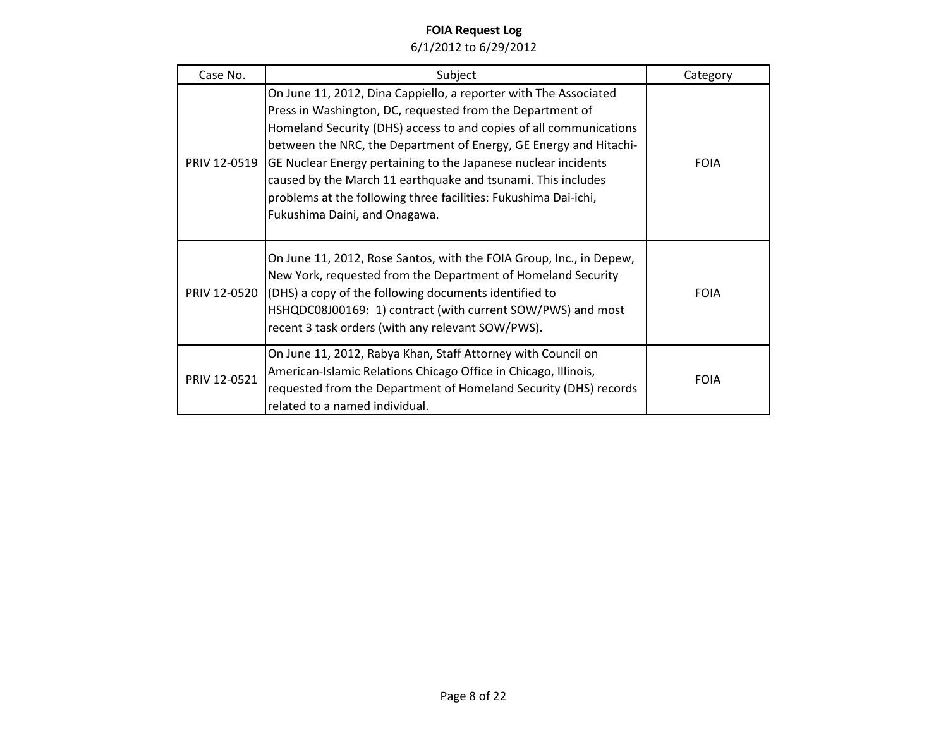| Case No.     | Subject                                                                                                                                                                                                                                                                                                                                                                                                                                                                                                        | Category    |
|--------------|----------------------------------------------------------------------------------------------------------------------------------------------------------------------------------------------------------------------------------------------------------------------------------------------------------------------------------------------------------------------------------------------------------------------------------------------------------------------------------------------------------------|-------------|
| PRIV 12-0519 | On June 11, 2012, Dina Cappiello, a reporter with The Associated<br>Press in Washington, DC, requested from the Department of<br>Homeland Security (DHS) access to and copies of all communications<br>between the NRC, the Department of Energy, GE Energy and Hitachi-<br>GE Nuclear Energy pertaining to the Japanese nuclear incidents<br>caused by the March 11 earthquake and tsunami. This includes<br>problems at the following three facilities: Fukushima Dai-ichi,<br>Fukushima Daini, and Onagawa. | <b>FOIA</b> |
|              | On June 11, 2012, Rose Santos, with the FOIA Group, Inc., in Depew,<br>New York, requested from the Department of Homeland Security<br>PRIV 12-0520 (DHS) a copy of the following documents identified to<br>HSHQDC08J00169: 1) contract (with current SOW/PWS) and most<br>recent 3 task orders (with any relevant SOW/PWS).                                                                                                                                                                                  | <b>FOIA</b> |
| PRIV 12-0521 | On June 11, 2012, Rabya Khan, Staff Attorney with Council on<br>American-Islamic Relations Chicago Office in Chicago, Illinois,<br>requested from the Department of Homeland Security (DHS) records<br>related to a named individual.                                                                                                                                                                                                                                                                          | <b>FOIA</b> |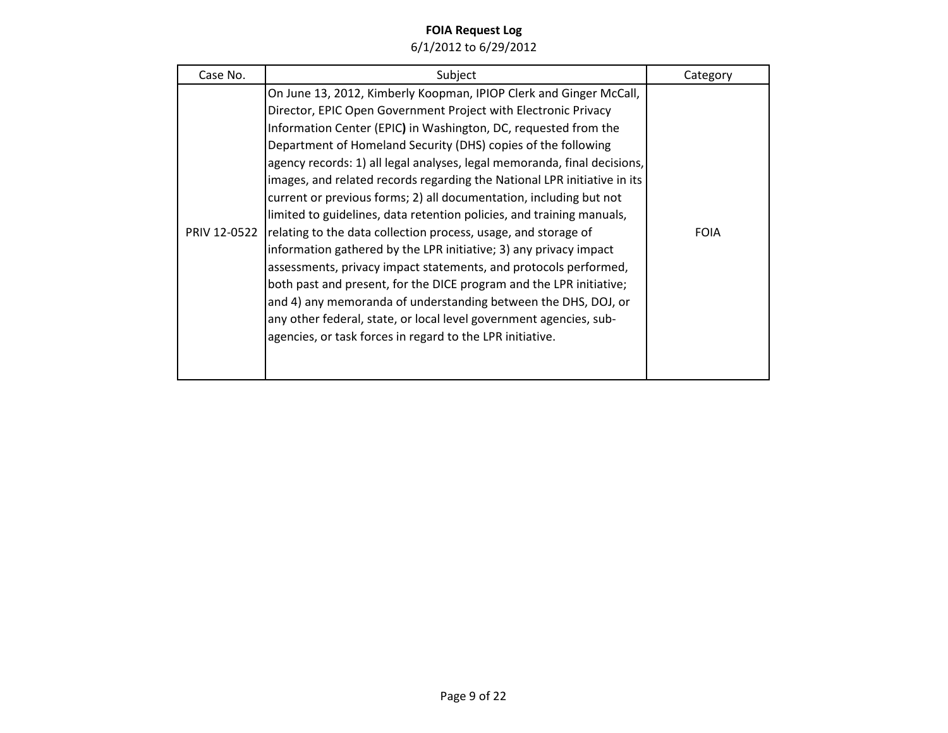| Case No.     | Subject                                                                                                                                                                                                                                                                                                                                                                                                                                                                                                                                                                                                                                                                                                                                                                                                                                                                                                                                                                                                                                                                | Category    |
|--------------|------------------------------------------------------------------------------------------------------------------------------------------------------------------------------------------------------------------------------------------------------------------------------------------------------------------------------------------------------------------------------------------------------------------------------------------------------------------------------------------------------------------------------------------------------------------------------------------------------------------------------------------------------------------------------------------------------------------------------------------------------------------------------------------------------------------------------------------------------------------------------------------------------------------------------------------------------------------------------------------------------------------------------------------------------------------------|-------------|
| PRIV 12-0522 | On June 13, 2012, Kimberly Koopman, IPIOP Clerk and Ginger McCall,<br>Director, EPIC Open Government Project with Electronic Privacy<br>Information Center (EPIC) in Washington, DC, requested from the<br>Department of Homeland Security (DHS) copies of the following<br>agency records: 1) all legal analyses, legal memoranda, final decisions,<br>images, and related records regarding the National LPR initiative in its<br>current or previous forms; 2) all documentation, including but not<br>limited to guidelines, data retention policies, and training manuals,<br>relating to the data collection process, usage, and storage of<br>information gathered by the LPR initiative; 3) any privacy impact<br>assessments, privacy impact statements, and protocols performed,<br>both past and present, for the DICE program and the LPR initiative;<br>and 4) any memoranda of understanding between the DHS, DOJ, or<br>any other federal, state, or local level government agencies, sub-<br>agencies, or task forces in regard to the LPR initiative. | <b>FOIA</b> |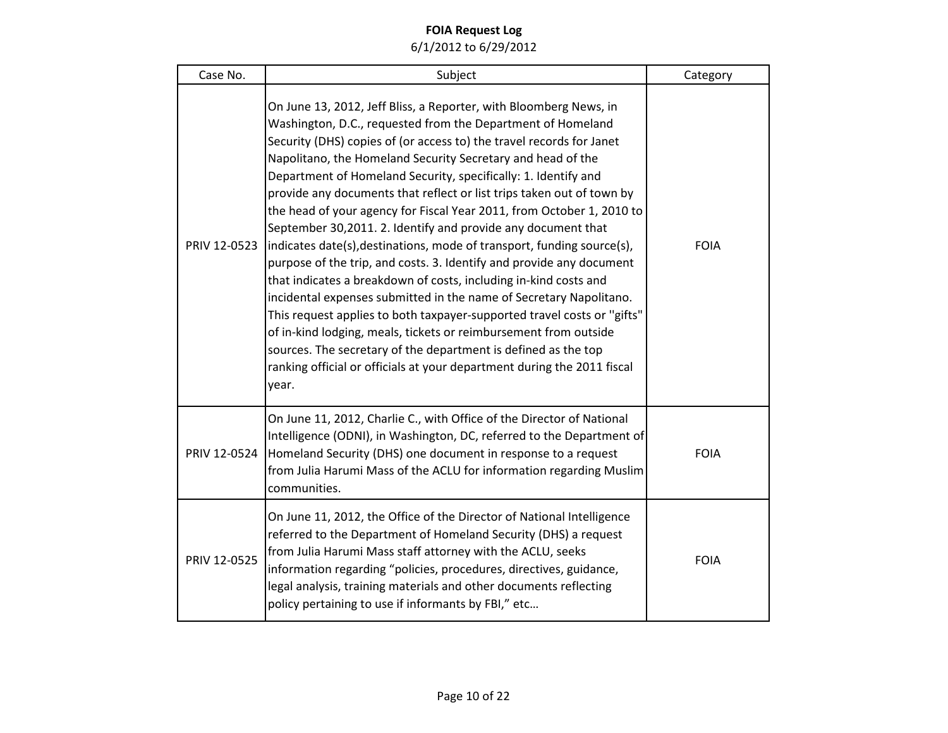| Case No.     | Subject                                                                                                                                                                                                                                                                                                                                                                                                                                                                                                                                                                                                                                                                                                                                                                                                                                                                                                                                                                                                                                                                                                                                                      | Category    |
|--------------|--------------------------------------------------------------------------------------------------------------------------------------------------------------------------------------------------------------------------------------------------------------------------------------------------------------------------------------------------------------------------------------------------------------------------------------------------------------------------------------------------------------------------------------------------------------------------------------------------------------------------------------------------------------------------------------------------------------------------------------------------------------------------------------------------------------------------------------------------------------------------------------------------------------------------------------------------------------------------------------------------------------------------------------------------------------------------------------------------------------------------------------------------------------|-------------|
| PRIV 12-0523 | On June 13, 2012, Jeff Bliss, a Reporter, with Bloomberg News, in<br>Washington, D.C., requested from the Department of Homeland<br>Security (DHS) copies of (or access to) the travel records for Janet<br>Napolitano, the Homeland Security Secretary and head of the<br>Department of Homeland Security, specifically: 1. Identify and<br>provide any documents that reflect or list trips taken out of town by<br>the head of your agency for Fiscal Year 2011, from October 1, 2010 to<br>September 30,2011. 2. Identify and provide any document that<br>indicates date(s), destinations, mode of transport, funding source(s),<br>purpose of the trip, and costs. 3. Identify and provide any document<br>that indicates a breakdown of costs, including in-kind costs and<br>incidental expenses submitted in the name of Secretary Napolitano.<br>This request applies to both taxpayer-supported travel costs or "gifts"<br>of in-kind lodging, meals, tickets or reimbursement from outside<br>sources. The secretary of the department is defined as the top<br>ranking official or officials at your department during the 2011 fiscal<br>year. | <b>FOIA</b> |
| PRIV 12-0524 | On June 11, 2012, Charlie C., with Office of the Director of National<br>Intelligence (ODNI), in Washington, DC, referred to the Department of<br>Homeland Security (DHS) one document in response to a request<br>from Julia Harumi Mass of the ACLU for information regarding Muslim<br>communities.                                                                                                                                                                                                                                                                                                                                                                                                                                                                                                                                                                                                                                                                                                                                                                                                                                                       | <b>FOIA</b> |
| PRIV 12-0525 | On June 11, 2012, the Office of the Director of National Intelligence<br>referred to the Department of Homeland Security (DHS) a request<br>from Julia Harumi Mass staff attorney with the ACLU, seeks<br>information regarding "policies, procedures, directives, guidance,<br>legal analysis, training materials and other documents reflecting<br>policy pertaining to use if informants by FBI," etc                                                                                                                                                                                                                                                                                                                                                                                                                                                                                                                                                                                                                                                                                                                                                     | <b>FOIA</b> |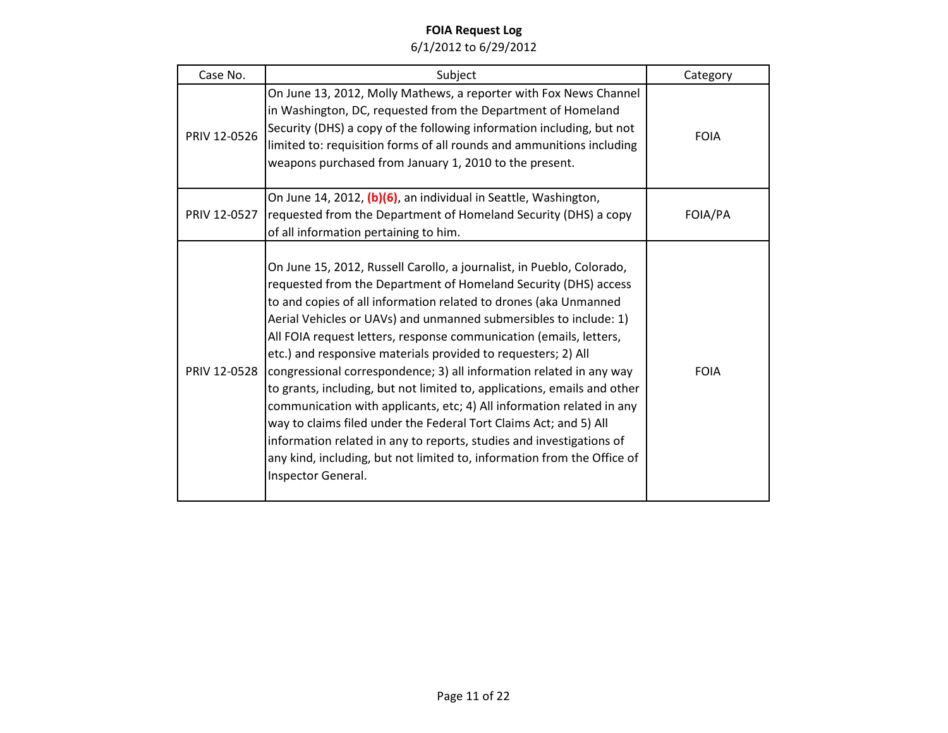| Case No.     | Subject                                                                                                                                                                                                                                                                                                                                                                                                                                                                                                                                                                                                                                                                                                                                                                                                                                                                                            | Category    |
|--------------|----------------------------------------------------------------------------------------------------------------------------------------------------------------------------------------------------------------------------------------------------------------------------------------------------------------------------------------------------------------------------------------------------------------------------------------------------------------------------------------------------------------------------------------------------------------------------------------------------------------------------------------------------------------------------------------------------------------------------------------------------------------------------------------------------------------------------------------------------------------------------------------------------|-------------|
| PRIV 12-0526 | On June 13, 2012, Molly Mathews, a reporter with Fox News Channel<br>in Washington, DC, requested from the Department of Homeland<br>Security (DHS) a copy of the following information including, but not<br>limited to: requisition forms of all rounds and ammunitions including<br>weapons purchased from January 1, 2010 to the present.                                                                                                                                                                                                                                                                                                                                                                                                                                                                                                                                                      | <b>FOIA</b> |
| PRIV 12-0527 | On June 14, 2012, (b)(6), an individual in Seattle, Washington,<br>requested from the Department of Homeland Security (DHS) a copy<br>of all information pertaining to him.                                                                                                                                                                                                                                                                                                                                                                                                                                                                                                                                                                                                                                                                                                                        | FOIA/PA     |
| PRIV 12-0528 | On June 15, 2012, Russell Carollo, a journalist, in Pueblo, Colorado,<br>requested from the Department of Homeland Security (DHS) access<br>to and copies of all information related to drones (aka Unmanned<br>Aerial Vehicles or UAVs) and unmanned submersibles to include: 1)<br>All FOIA request letters, response communication (emails, letters,<br>etc.) and responsive materials provided to requesters; 2) All<br>congressional correspondence; 3) all information related in any way<br>to grants, including, but not limited to, applications, emails and other<br>communication with applicants, etc; 4) All information related in any<br>way to claims filed under the Federal Tort Claims Act; and 5) All<br>information related in any to reports, studies and investigations of<br>any kind, including, but not limited to, information from the Office of<br>Inspector General. | <b>FOIA</b> |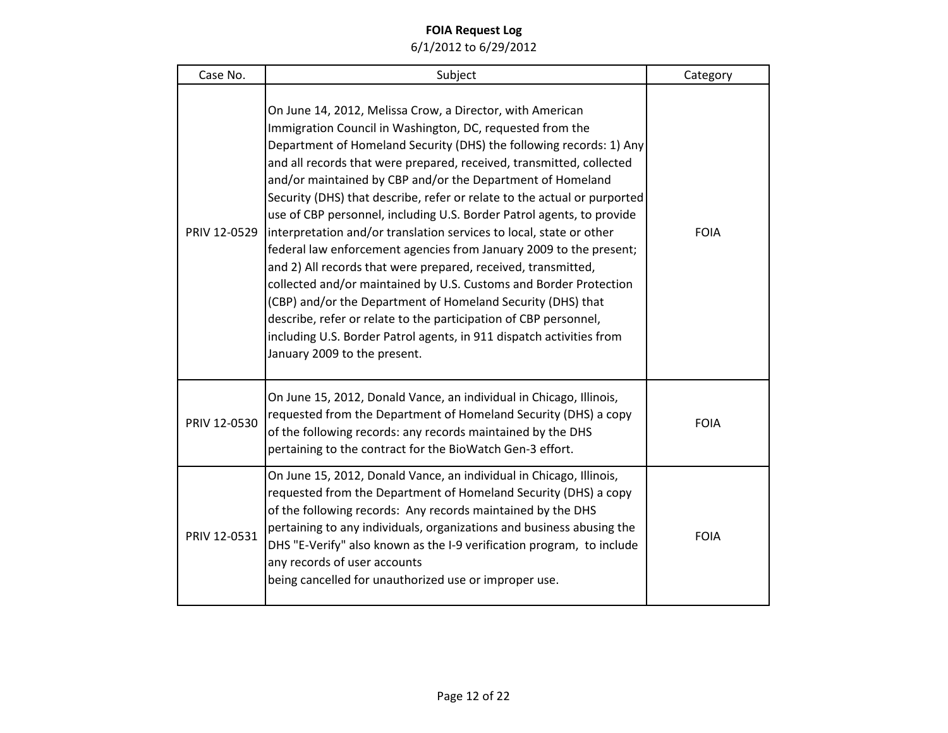| Case No.     | Subject                                                                                                                                                                                                                                                                                                                                                                                                                                                                                                                                                                                                                                                                                                                                                                                                                                                                                                                                                                                                                | Category    |
|--------------|------------------------------------------------------------------------------------------------------------------------------------------------------------------------------------------------------------------------------------------------------------------------------------------------------------------------------------------------------------------------------------------------------------------------------------------------------------------------------------------------------------------------------------------------------------------------------------------------------------------------------------------------------------------------------------------------------------------------------------------------------------------------------------------------------------------------------------------------------------------------------------------------------------------------------------------------------------------------------------------------------------------------|-------------|
| PRIV 12-0529 | On June 14, 2012, Melissa Crow, a Director, with American<br>Immigration Council in Washington, DC, requested from the<br>Department of Homeland Security (DHS) the following records: 1) Any<br>and all records that were prepared, received, transmitted, collected<br>and/or maintained by CBP and/or the Department of Homeland<br>Security (DHS) that describe, refer or relate to the actual or purported<br>use of CBP personnel, including U.S. Border Patrol agents, to provide<br>interpretation and/or translation services to local, state or other<br>federal law enforcement agencies from January 2009 to the present;<br>and 2) All records that were prepared, received, transmitted,<br>collected and/or maintained by U.S. Customs and Border Protection<br>(CBP) and/or the Department of Homeland Security (DHS) that<br>describe, refer or relate to the participation of CBP personnel,<br>including U.S. Border Patrol agents, in 911 dispatch activities from<br>January 2009 to the present. | <b>FOIA</b> |
| PRIV 12-0530 | On June 15, 2012, Donald Vance, an individual in Chicago, Illinois,<br>requested from the Department of Homeland Security (DHS) a copy<br>of the following records: any records maintained by the DHS<br>pertaining to the contract for the BioWatch Gen-3 effort.                                                                                                                                                                                                                                                                                                                                                                                                                                                                                                                                                                                                                                                                                                                                                     | <b>FOIA</b> |
| PRIV 12-0531 | On June 15, 2012, Donald Vance, an individual in Chicago, Illinois,<br>requested from the Department of Homeland Security (DHS) a copy<br>of the following records: Any records maintained by the DHS<br>pertaining to any individuals, organizations and business abusing the<br>DHS "E-Verify" also known as the I-9 verification program, to include<br>any records of user accounts<br>being cancelled for unauthorized use or improper use.                                                                                                                                                                                                                                                                                                                                                                                                                                                                                                                                                                       | <b>FOIA</b> |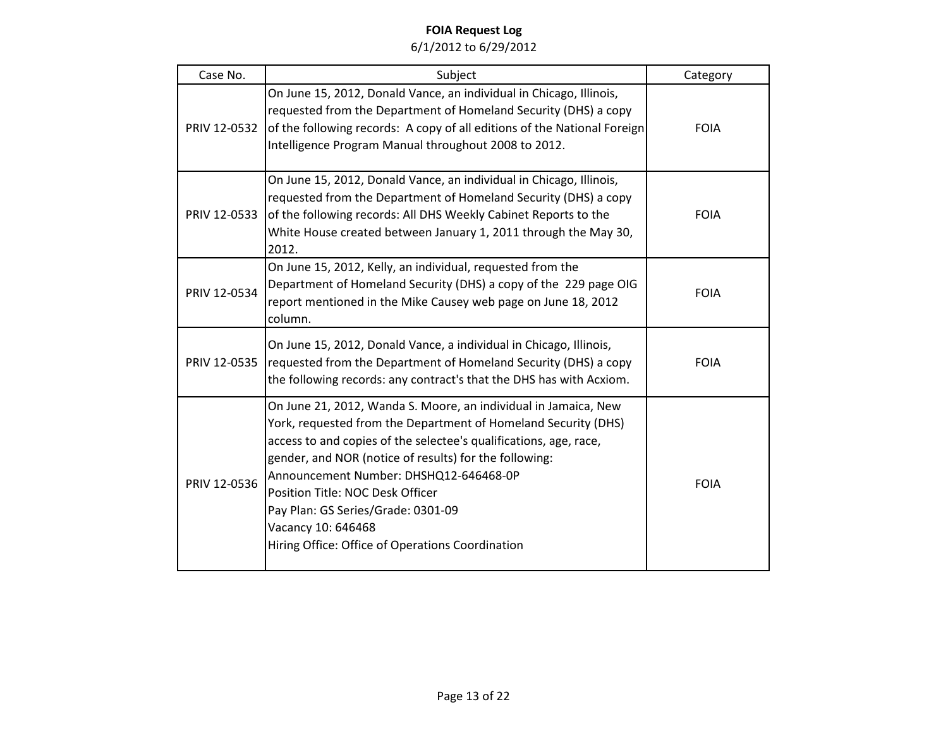| Case No.     | Subject                                                                                                                                                                                                                                                                                                                                                                                                                                                        | Category    |
|--------------|----------------------------------------------------------------------------------------------------------------------------------------------------------------------------------------------------------------------------------------------------------------------------------------------------------------------------------------------------------------------------------------------------------------------------------------------------------------|-------------|
| PRIV 12-0532 | On June 15, 2012, Donald Vance, an individual in Chicago, Illinois,<br>requested from the Department of Homeland Security (DHS) a copy<br>of the following records: A copy of all editions of the National Foreign<br>Intelligence Program Manual throughout 2008 to 2012.                                                                                                                                                                                     | <b>FOIA</b> |
| PRIV 12-0533 | On June 15, 2012, Donald Vance, an individual in Chicago, Illinois,<br>requested from the Department of Homeland Security (DHS) a copy<br>of the following records: All DHS Weekly Cabinet Reports to the<br>White House created between January 1, 2011 through the May 30,<br>2012.                                                                                                                                                                          | <b>FOIA</b> |
| PRIV 12-0534 | On June 15, 2012, Kelly, an individual, requested from the<br>Department of Homeland Security (DHS) a copy of the 229 page OIG<br>report mentioned in the Mike Causey web page on June 18, 2012<br>column.                                                                                                                                                                                                                                                     | <b>FOIA</b> |
| PRIV 12-0535 | On June 15, 2012, Donald Vance, a individual in Chicago, Illinois,<br>requested from the Department of Homeland Security (DHS) a copy<br>the following records: any contract's that the DHS has with Acxiom.                                                                                                                                                                                                                                                   | <b>FOIA</b> |
| PRIV 12-0536 | On June 21, 2012, Wanda S. Moore, an individual in Jamaica, New<br>York, requested from the Department of Homeland Security (DHS)<br>access to and copies of the selectee's qualifications, age, race,<br>gender, and NOR (notice of results) for the following:<br>Announcement Number: DHSHQ12-646468-0P<br>Position Title: NOC Desk Officer<br>Pay Plan: GS Series/Grade: 0301-09<br>Vacancy 10: 646468<br>Hiring Office: Office of Operations Coordination | <b>FOIA</b> |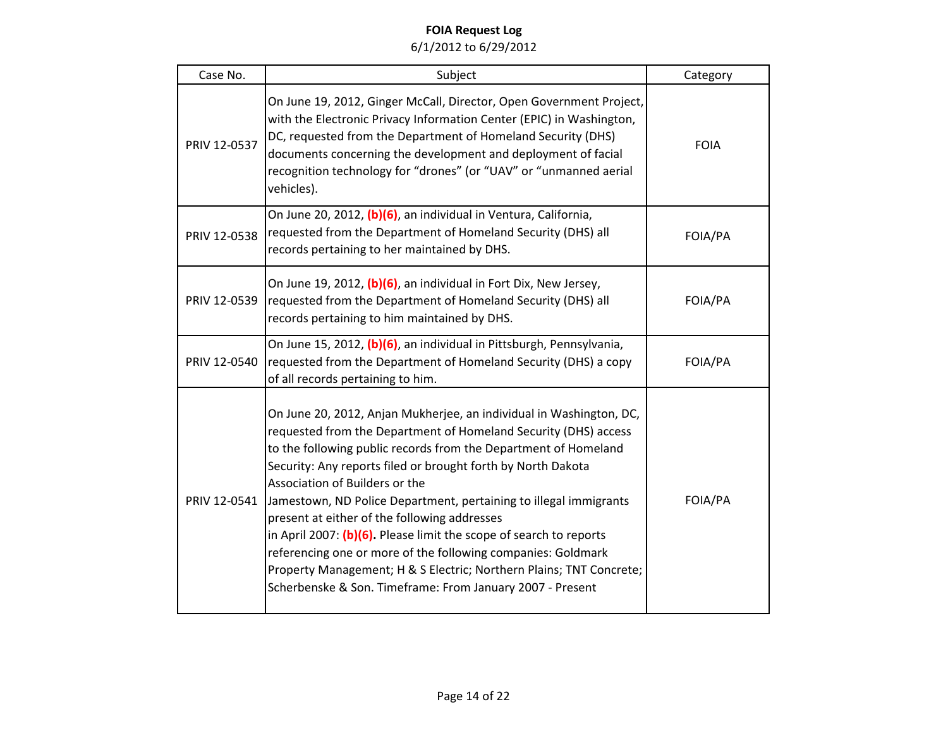| Case No.     | Subject                                                                                                                                                                                                                                                                                                                                                                                                                                                                                                                                                                                                                                                                                                    | Category    |
|--------------|------------------------------------------------------------------------------------------------------------------------------------------------------------------------------------------------------------------------------------------------------------------------------------------------------------------------------------------------------------------------------------------------------------------------------------------------------------------------------------------------------------------------------------------------------------------------------------------------------------------------------------------------------------------------------------------------------------|-------------|
| PRIV 12-0537 | On June 19, 2012, Ginger McCall, Director, Open Government Project,<br>with the Electronic Privacy Information Center (EPIC) in Washington,<br>DC, requested from the Department of Homeland Security (DHS)<br>documents concerning the development and deployment of facial<br>recognition technology for "drones" (or "UAV" or "unmanned aerial<br>vehicles).                                                                                                                                                                                                                                                                                                                                            | <b>FOIA</b> |
| PRIV 12-0538 | On June 20, 2012, (b)(6), an individual in Ventura, California,<br>requested from the Department of Homeland Security (DHS) all<br>records pertaining to her maintained by DHS.                                                                                                                                                                                                                                                                                                                                                                                                                                                                                                                            | FOIA/PA     |
| PRIV 12-0539 | On June 19, 2012, (b)(6), an individual in Fort Dix, New Jersey,<br>requested from the Department of Homeland Security (DHS) all<br>records pertaining to him maintained by DHS.                                                                                                                                                                                                                                                                                                                                                                                                                                                                                                                           | FOIA/PA     |
| PRIV 12-0540 | On June 15, 2012, (b)(6), an individual in Pittsburgh, Pennsylvania,<br>requested from the Department of Homeland Security (DHS) a copy<br>of all records pertaining to him.                                                                                                                                                                                                                                                                                                                                                                                                                                                                                                                               | FOIA/PA     |
| PRIV 12-0541 | On June 20, 2012, Anjan Mukherjee, an individual in Washington, DC,<br>requested from the Department of Homeland Security (DHS) access<br>to the following public records from the Department of Homeland<br>Security: Any reports filed or brought forth by North Dakota<br>Association of Builders or the<br>Jamestown, ND Police Department, pertaining to illegal immigrants<br>present at either of the following addresses<br>in April 2007: (b)(6). Please limit the scope of search to reports<br>referencing one or more of the following companies: Goldmark<br>Property Management; H & S Electric; Northern Plains; TNT Concrete;<br>Scherbenske & Son. Timeframe: From January 2007 - Present | FOIA/PA     |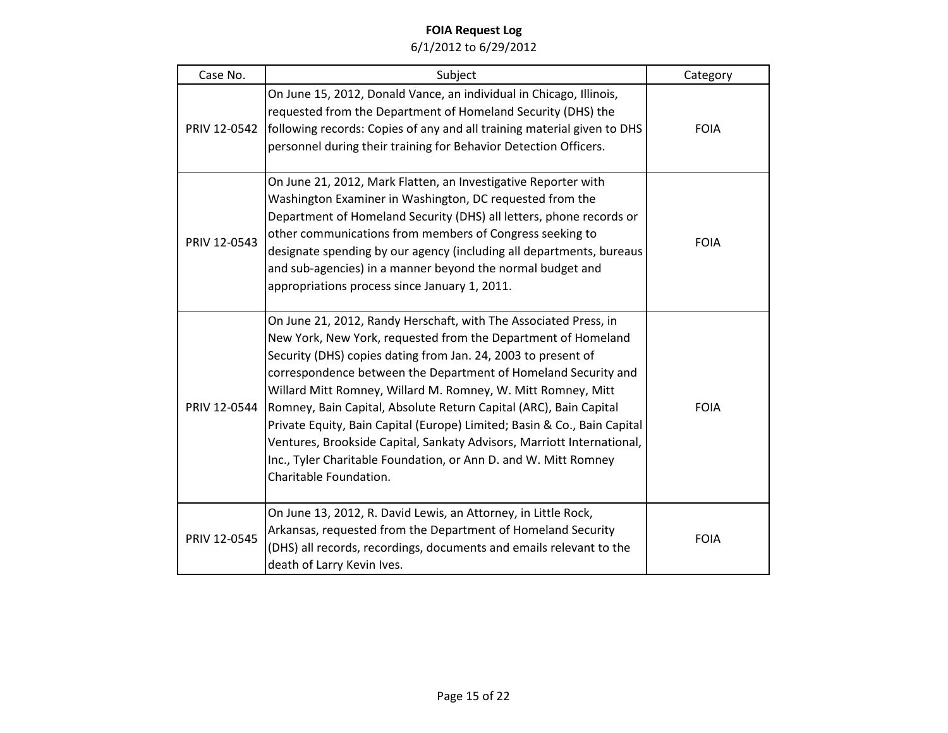| Case No.     | Subject                                                                                                                                                                                                                                                                                                                                                                                                                                                                                                                                                                                                                                                      | Category    |
|--------------|--------------------------------------------------------------------------------------------------------------------------------------------------------------------------------------------------------------------------------------------------------------------------------------------------------------------------------------------------------------------------------------------------------------------------------------------------------------------------------------------------------------------------------------------------------------------------------------------------------------------------------------------------------------|-------------|
| PRIV 12-0542 | On June 15, 2012, Donald Vance, an individual in Chicago, Illinois,<br>requested from the Department of Homeland Security (DHS) the<br>following records: Copies of any and all training material given to DHS<br>personnel during their training for Behavior Detection Officers.                                                                                                                                                                                                                                                                                                                                                                           | <b>FOIA</b> |
| PRIV 12-0543 | On June 21, 2012, Mark Flatten, an Investigative Reporter with<br>Washington Examiner in Washington, DC requested from the<br>Department of Homeland Security (DHS) all letters, phone records or<br>other communications from members of Congress seeking to<br>designate spending by our agency (including all departments, bureaus<br>and sub-agencies) in a manner beyond the normal budget and<br>appropriations process since January 1, 2011.                                                                                                                                                                                                         | <b>FOIA</b> |
| PRIV 12-0544 | On June 21, 2012, Randy Herschaft, with The Associated Press, in<br>New York, New York, requested from the Department of Homeland<br>Security (DHS) copies dating from Jan. 24, 2003 to present of<br>correspondence between the Department of Homeland Security and<br>Willard Mitt Romney, Willard M. Romney, W. Mitt Romney, Mitt<br>Romney, Bain Capital, Absolute Return Capital (ARC), Bain Capital<br>Private Equity, Bain Capital (Europe) Limited; Basin & Co., Bain Capital<br>Ventures, Brookside Capital, Sankaty Advisors, Marriott International,<br>Inc., Tyler Charitable Foundation, or Ann D. and W. Mitt Romney<br>Charitable Foundation. | <b>FOIA</b> |
| PRIV 12-0545 | On June 13, 2012, R. David Lewis, an Attorney, in Little Rock,<br>Arkansas, requested from the Department of Homeland Security<br>(DHS) all records, recordings, documents and emails relevant to the<br>death of Larry Kevin Ives.                                                                                                                                                                                                                                                                                                                                                                                                                          | <b>FOIA</b> |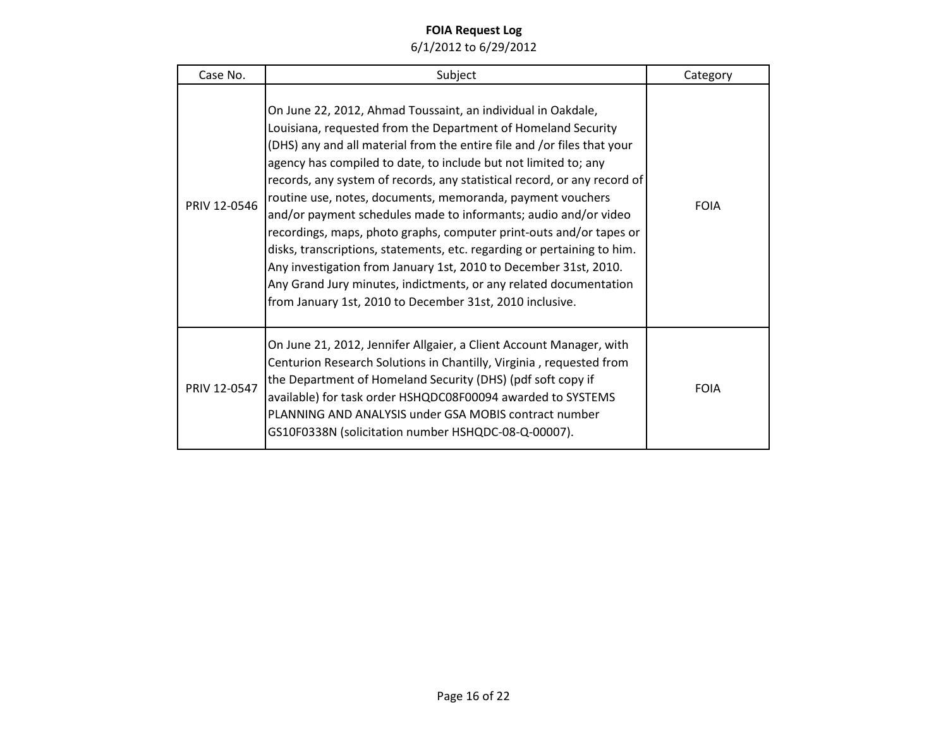| Case No.     | Subject                                                                                                                                                                                                                                                                                                                                                                                                                                                                                                                                                                                                                                                                                                                                                                                                                                         | Category    |
|--------------|-------------------------------------------------------------------------------------------------------------------------------------------------------------------------------------------------------------------------------------------------------------------------------------------------------------------------------------------------------------------------------------------------------------------------------------------------------------------------------------------------------------------------------------------------------------------------------------------------------------------------------------------------------------------------------------------------------------------------------------------------------------------------------------------------------------------------------------------------|-------------|
| PRIV 12-0546 | On June 22, 2012, Ahmad Toussaint, an individual in Oakdale,<br>Louisiana, requested from the Department of Homeland Security<br>(DHS) any and all material from the entire file and /or files that your<br>agency has compiled to date, to include but not limited to; any<br>records, any system of records, any statistical record, or any record of<br>routine use, notes, documents, memoranda, payment vouchers<br>and/or payment schedules made to informants; audio and/or video<br>recordings, maps, photo graphs, computer print-outs and/or tapes or<br>disks, transcriptions, statements, etc. regarding or pertaining to him.<br>Any investigation from January 1st, 2010 to December 31st, 2010.<br>Any Grand Jury minutes, indictments, or any related documentation<br>from January 1st, 2010 to December 31st, 2010 inclusive. | <b>FOIA</b> |
| PRIV 12-0547 | On June 21, 2012, Jennifer Allgaier, a Client Account Manager, with<br>Centurion Research Solutions in Chantilly, Virginia, requested from<br>the Department of Homeland Security (DHS) (pdf soft copy if<br>available) for task order HSHQDC08F00094 awarded to SYSTEMS<br>PLANNING AND ANALYSIS under GSA MOBIS contract number<br>GS10F0338N (solicitation number HSHQDC-08-Q-00007).                                                                                                                                                                                                                                                                                                                                                                                                                                                        | <b>FOIA</b> |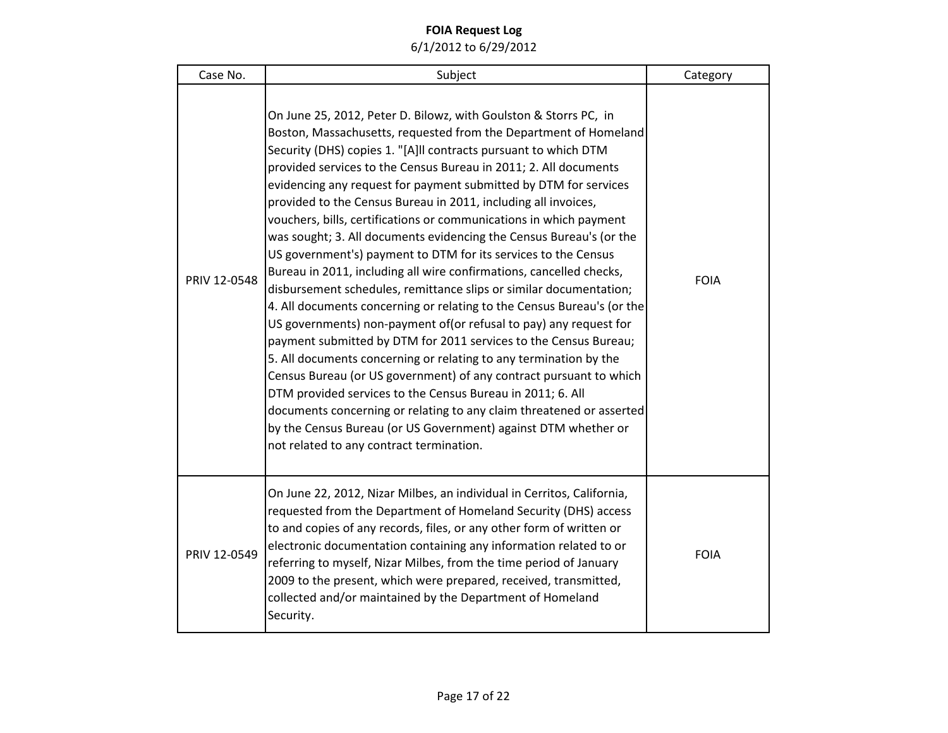| Case No.     | Subject                                                                                                                                                                                                                                                                                                                                                                                                                                                                                                                                                                                                                                                                                                                                                                                                                                                                                                                                                                                                                                                                                                                                                                                                                                                                                                                                                                                          | Category    |
|--------------|--------------------------------------------------------------------------------------------------------------------------------------------------------------------------------------------------------------------------------------------------------------------------------------------------------------------------------------------------------------------------------------------------------------------------------------------------------------------------------------------------------------------------------------------------------------------------------------------------------------------------------------------------------------------------------------------------------------------------------------------------------------------------------------------------------------------------------------------------------------------------------------------------------------------------------------------------------------------------------------------------------------------------------------------------------------------------------------------------------------------------------------------------------------------------------------------------------------------------------------------------------------------------------------------------------------------------------------------------------------------------------------------------|-------------|
| PRIV 12-0548 | On June 25, 2012, Peter D. Bilowz, with Goulston & Storrs PC, in<br>Boston, Massachusetts, requested from the Department of Homeland<br>Security (DHS) copies 1. "[A]II contracts pursuant to which DTM<br>provided services to the Census Bureau in 2011; 2. All documents<br>evidencing any request for payment submitted by DTM for services<br>provided to the Census Bureau in 2011, including all invoices,<br>vouchers, bills, certifications or communications in which payment<br>was sought; 3. All documents evidencing the Census Bureau's (or the<br>US government's) payment to DTM for its services to the Census<br>Bureau in 2011, including all wire confirmations, cancelled checks,<br>disbursement schedules, remittance slips or similar documentation;<br>4. All documents concerning or relating to the Census Bureau's (or the<br>US governments) non-payment of (or refusal to pay) any request for<br>payment submitted by DTM for 2011 services to the Census Bureau;<br>5. All documents concerning or relating to any termination by the<br>Census Bureau (or US government) of any contract pursuant to which<br>DTM provided services to the Census Bureau in 2011; 6. All<br>documents concerning or relating to any claim threatened or asserted<br>by the Census Bureau (or US Government) against DTM whether or<br>not related to any contract termination. | <b>FOIA</b> |
| PRIV 12-0549 | On June 22, 2012, Nizar Milbes, an individual in Cerritos, California,<br>requested from the Department of Homeland Security (DHS) access<br>to and copies of any records, files, or any other form of written or<br>electronic documentation containing any information related to or<br>referring to myself, Nizar Milbes, from the time period of January<br>2009 to the present, which were prepared, received, transmitted,<br>collected and/or maintained by the Department of Homeland<br>Security.                                                                                                                                                                                                                                                                                                                                                                                                                                                                                                                                                                                                                                                                                                                                                                                                                                                                                       | <b>FOIA</b> |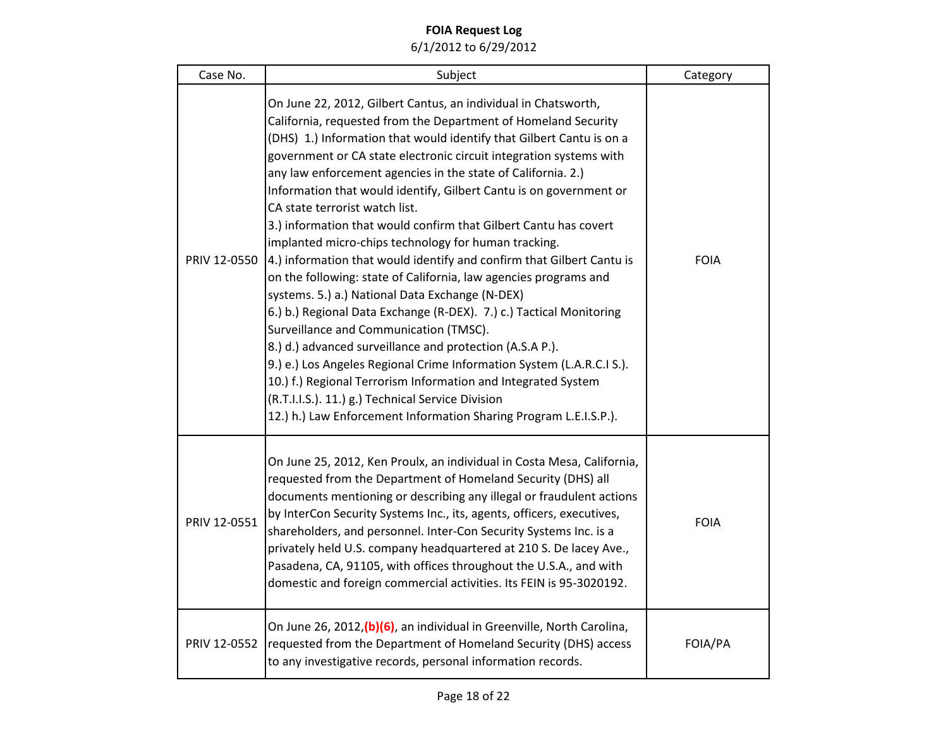| Case No.     | Subject                                                                                                                                                                                                                                                                                                                                                                                                                                                                                                                                                                                                                                                                                                                                                                                                                                                                                                                                                                                                                                                                                                                                                                                                                             | Category    |
|--------------|-------------------------------------------------------------------------------------------------------------------------------------------------------------------------------------------------------------------------------------------------------------------------------------------------------------------------------------------------------------------------------------------------------------------------------------------------------------------------------------------------------------------------------------------------------------------------------------------------------------------------------------------------------------------------------------------------------------------------------------------------------------------------------------------------------------------------------------------------------------------------------------------------------------------------------------------------------------------------------------------------------------------------------------------------------------------------------------------------------------------------------------------------------------------------------------------------------------------------------------|-------------|
| PRIV 12-0550 | On June 22, 2012, Gilbert Cantus, an individual in Chatsworth,<br>California, requested from the Department of Homeland Security<br>(DHS) 1.) Information that would identify that Gilbert Cantu is on a<br>government or CA state electronic circuit integration systems with<br>any law enforcement agencies in the state of California. 2.)<br>Information that would identify, Gilbert Cantu is on government or<br>CA state terrorist watch list.<br>3.) information that would confirm that Gilbert Cantu has covert<br>implanted micro-chips technology for human tracking.<br>4.) information that would identify and confirm that Gilbert Cantu is<br>on the following: state of California, law agencies programs and<br>systems. 5.) a.) National Data Exchange (N-DEX)<br>6.) b.) Regional Data Exchange (R-DEX). 7.) c.) Tactical Monitoring<br>Surveillance and Communication (TMSC).<br>8.) d.) advanced surveillance and protection (A.S.A P.).<br>9.) e.) Los Angeles Regional Crime Information System (L.A.R.C.I S.).<br>10.) f.) Regional Terrorism Information and Integrated System<br>(R.T.I.I.S.). 11.) g.) Technical Service Division<br>12.) h.) Law Enforcement Information Sharing Program L.E.I.S.P.). | <b>FOIA</b> |
| PRIV 12-0551 | On June 25, 2012, Ken Proulx, an individual in Costa Mesa, California,<br>requested from the Department of Homeland Security (DHS) all<br>documents mentioning or describing any illegal or fraudulent actions<br>by InterCon Security Systems Inc., its, agents, officers, executives,<br>shareholders, and personnel. Inter-Con Security Systems Inc. is a<br>privately held U.S. company headquartered at 210 S. De lacey Ave.,<br>Pasadena, CA, 91105, with offices throughout the U.S.A., and with<br>domestic and foreign commercial activities. Its FEIN is 95-3020192.                                                                                                                                                                                                                                                                                                                                                                                                                                                                                                                                                                                                                                                      | <b>FOIA</b> |
| PRIV 12-0552 | On June 26, 2012, (b) (6), an individual in Greenville, North Carolina,<br>requested from the Department of Homeland Security (DHS) access<br>to any investigative records, personal information records.                                                                                                                                                                                                                                                                                                                                                                                                                                                                                                                                                                                                                                                                                                                                                                                                                                                                                                                                                                                                                           | FOIA/PA     |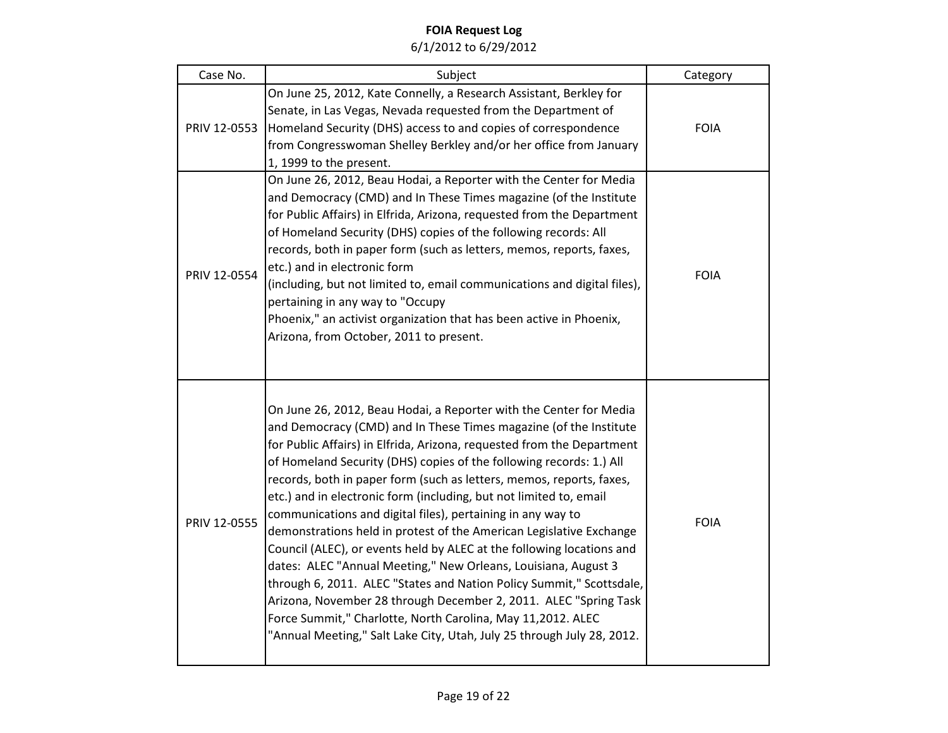| Case No.     | Subject                                                                                                                                                                                                                                                                                                                                                                                                                                                                                                                                                                                                                                                                                                                                                                                                                                                                                                                                                                                                      | Category    |
|--------------|--------------------------------------------------------------------------------------------------------------------------------------------------------------------------------------------------------------------------------------------------------------------------------------------------------------------------------------------------------------------------------------------------------------------------------------------------------------------------------------------------------------------------------------------------------------------------------------------------------------------------------------------------------------------------------------------------------------------------------------------------------------------------------------------------------------------------------------------------------------------------------------------------------------------------------------------------------------------------------------------------------------|-------------|
| PRIV 12-0553 | On June 25, 2012, Kate Connelly, a Research Assistant, Berkley for<br>Senate, in Las Vegas, Nevada requested from the Department of<br>Homeland Security (DHS) access to and copies of correspondence<br>from Congresswoman Shelley Berkley and/or her office from January<br>1, 1999 to the present.                                                                                                                                                                                                                                                                                                                                                                                                                                                                                                                                                                                                                                                                                                        | <b>FOIA</b> |
| PRIV 12-0554 | On June 26, 2012, Beau Hodai, a Reporter with the Center for Media<br>and Democracy (CMD) and In These Times magazine (of the Institute<br>for Public Affairs) in Elfrida, Arizona, requested from the Department<br>of Homeland Security (DHS) copies of the following records: All<br>records, both in paper form (such as letters, memos, reports, faxes,<br>etc.) and in electronic form<br>(including, but not limited to, email communications and digital files),<br>pertaining in any way to "Occupy<br>Phoenix," an activist organization that has been active in Phoenix,<br>Arizona, from October, 2011 to present.                                                                                                                                                                                                                                                                                                                                                                               | <b>FOIA</b> |
| PRIV 12-0555 | On June 26, 2012, Beau Hodai, a Reporter with the Center for Media<br>and Democracy (CMD) and In These Times magazine (of the Institute<br>for Public Affairs) in Elfrida, Arizona, requested from the Department<br>of Homeland Security (DHS) copies of the following records: 1.) All<br>records, both in paper form (such as letters, memos, reports, faxes,<br>etc.) and in electronic form (including, but not limited to, email<br>communications and digital files), pertaining in any way to<br>demonstrations held in protest of the American Legislative Exchange<br>Council (ALEC), or events held by ALEC at the following locations and<br>dates: ALEC "Annual Meeting," New Orleans, Louisiana, August 3<br>through 6, 2011. ALEC "States and Nation Policy Summit," Scottsdale,<br>Arizona, November 28 through December 2, 2011. ALEC "Spring Task<br>Force Summit," Charlotte, North Carolina, May 11,2012. ALEC<br>"Annual Meeting," Salt Lake City, Utah, July 25 through July 28, 2012. | <b>FOIA</b> |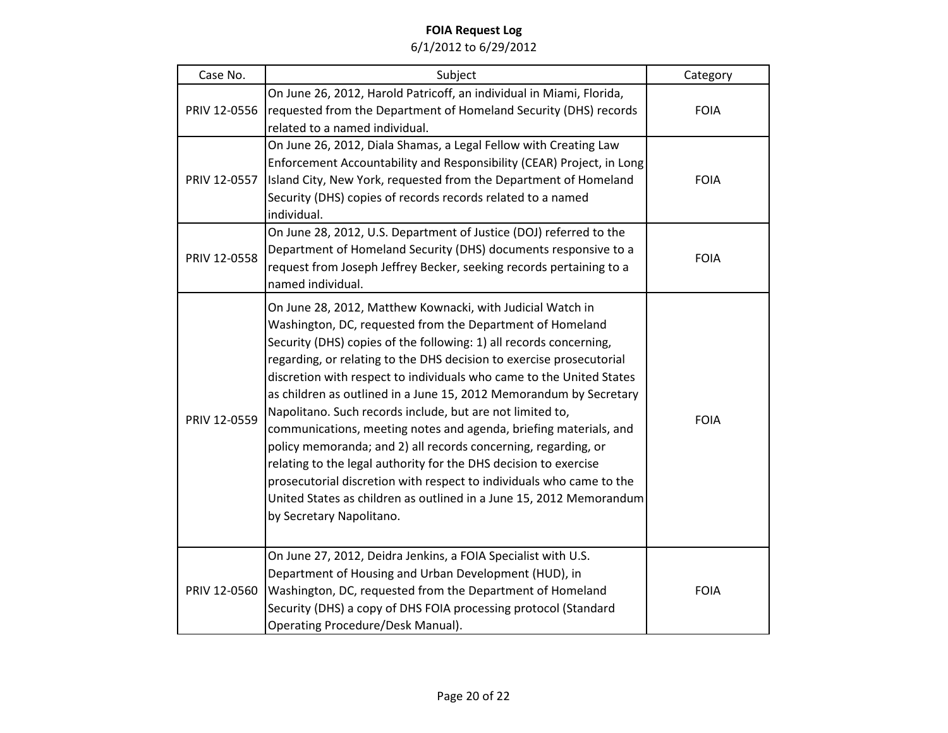| Case No.     | Subject                                                                                                                                                                                                                                                                                                                                                                                                                                                                                                                                                                                                                                                                                                                                                                                                                                                                | Category    |
|--------------|------------------------------------------------------------------------------------------------------------------------------------------------------------------------------------------------------------------------------------------------------------------------------------------------------------------------------------------------------------------------------------------------------------------------------------------------------------------------------------------------------------------------------------------------------------------------------------------------------------------------------------------------------------------------------------------------------------------------------------------------------------------------------------------------------------------------------------------------------------------------|-------------|
| PRIV 12-0556 | On June 26, 2012, Harold Patricoff, an individual in Miami, Florida,<br>requested from the Department of Homeland Security (DHS) records<br>related to a named individual.                                                                                                                                                                                                                                                                                                                                                                                                                                                                                                                                                                                                                                                                                             | <b>FOIA</b> |
| PRIV 12-0557 | On June 26, 2012, Diala Shamas, a Legal Fellow with Creating Law<br>Enforcement Accountability and Responsibility (CEAR) Project, in Long<br>Island City, New York, requested from the Department of Homeland<br>Security (DHS) copies of records records related to a named<br>individual.                                                                                                                                                                                                                                                                                                                                                                                                                                                                                                                                                                            | <b>FOIA</b> |
| PRIV 12-0558 | On June 28, 2012, U.S. Department of Justice (DOJ) referred to the<br>Department of Homeland Security (DHS) documents responsive to a<br>request from Joseph Jeffrey Becker, seeking records pertaining to a<br>named individual.                                                                                                                                                                                                                                                                                                                                                                                                                                                                                                                                                                                                                                      | <b>FOIA</b> |
| PRIV 12-0559 | On June 28, 2012, Matthew Kownacki, with Judicial Watch in<br>Washington, DC, requested from the Department of Homeland<br>Security (DHS) copies of the following: 1) all records concerning,<br>regarding, or relating to the DHS decision to exercise prosecutorial<br>discretion with respect to individuals who came to the United States<br>as children as outlined in a June 15, 2012 Memorandum by Secretary<br>Napolitano. Such records include, but are not limited to,<br>communications, meeting notes and agenda, briefing materials, and<br>policy memoranda; and 2) all records concerning, regarding, or<br>relating to the legal authority for the DHS decision to exercise<br>prosecutorial discretion with respect to individuals who came to the<br>United States as children as outlined in a June 15, 2012 Memorandum<br>by Secretary Napolitano. | <b>FOIA</b> |
| PRIV 12-0560 | On June 27, 2012, Deidra Jenkins, a FOIA Specialist with U.S.<br>Department of Housing and Urban Development (HUD), in<br>Washington, DC, requested from the Department of Homeland<br>Security (DHS) a copy of DHS FOIA processing protocol (Standard<br>Operating Procedure/Desk Manual).                                                                                                                                                                                                                                                                                                                                                                                                                                                                                                                                                                            | <b>FOIA</b> |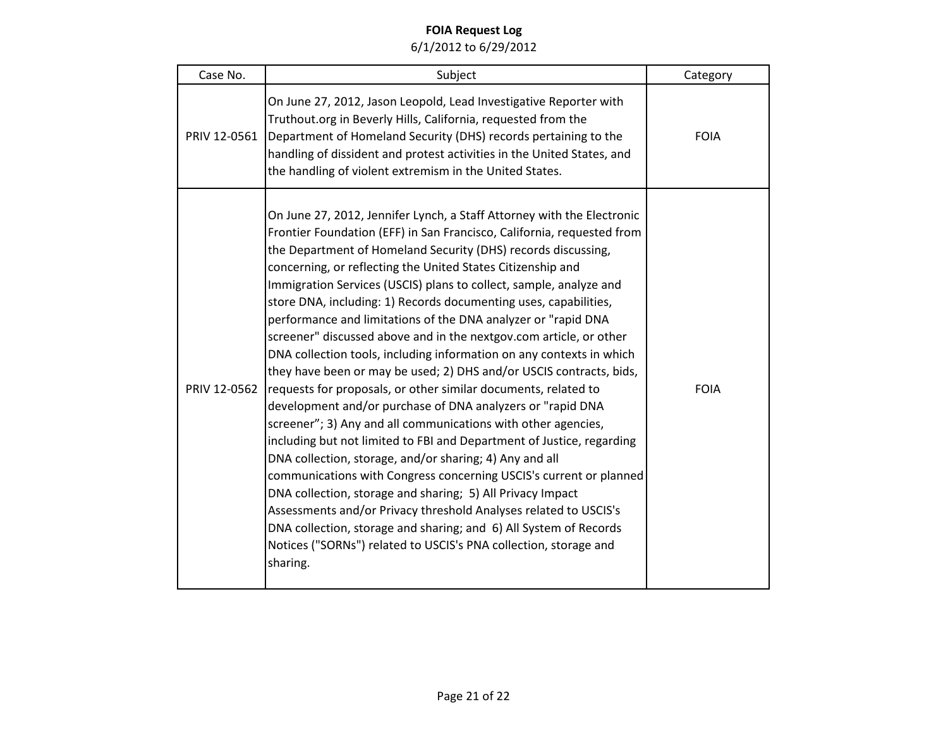| Case No.     | Subject                                                                                                                                                                                                                                                                                                                                                                                                                                                                                                                                                                                                                                                                                                                                                                                                                                                                                                                                                                                                                                                                                                                                                                                                                                                                                                                                                                                                            | Category    |
|--------------|--------------------------------------------------------------------------------------------------------------------------------------------------------------------------------------------------------------------------------------------------------------------------------------------------------------------------------------------------------------------------------------------------------------------------------------------------------------------------------------------------------------------------------------------------------------------------------------------------------------------------------------------------------------------------------------------------------------------------------------------------------------------------------------------------------------------------------------------------------------------------------------------------------------------------------------------------------------------------------------------------------------------------------------------------------------------------------------------------------------------------------------------------------------------------------------------------------------------------------------------------------------------------------------------------------------------------------------------------------------------------------------------------------------------|-------------|
| PRIV 12-0561 | On June 27, 2012, Jason Leopold, Lead Investigative Reporter with<br>Truthout.org in Beverly Hills, California, requested from the<br>Department of Homeland Security (DHS) records pertaining to the<br>handling of dissident and protest activities in the United States, and<br>the handling of violent extremism in the United States.                                                                                                                                                                                                                                                                                                                                                                                                                                                                                                                                                                                                                                                                                                                                                                                                                                                                                                                                                                                                                                                                         | <b>FOIA</b> |
| PRIV 12-0562 | On June 27, 2012, Jennifer Lynch, a Staff Attorney with the Electronic<br>Frontier Foundation (EFF) in San Francisco, California, requested from<br>the Department of Homeland Security (DHS) records discussing,<br>concerning, or reflecting the United States Citizenship and<br>Immigration Services (USCIS) plans to collect, sample, analyze and<br>store DNA, including: 1) Records documenting uses, capabilities,<br>performance and limitations of the DNA analyzer or "rapid DNA<br>screener" discussed above and in the nextgov.com article, or other<br>DNA collection tools, including information on any contexts in which<br>they have been or may be used; 2) DHS and/or USCIS contracts, bids,<br>requests for proposals, or other similar documents, related to<br>development and/or purchase of DNA analyzers or "rapid DNA<br>screener"; 3) Any and all communications with other agencies,<br>including but not limited to FBI and Department of Justice, regarding<br>DNA collection, storage, and/or sharing; 4) Any and all<br>communications with Congress concerning USCIS's current or planned<br>DNA collection, storage and sharing; 5) All Privacy Impact<br>Assessments and/or Privacy threshold Analyses related to USCIS's<br>DNA collection, storage and sharing; and 6) All System of Records<br>Notices ("SORNs") related to USCIS's PNA collection, storage and<br>sharing. | <b>FOIA</b> |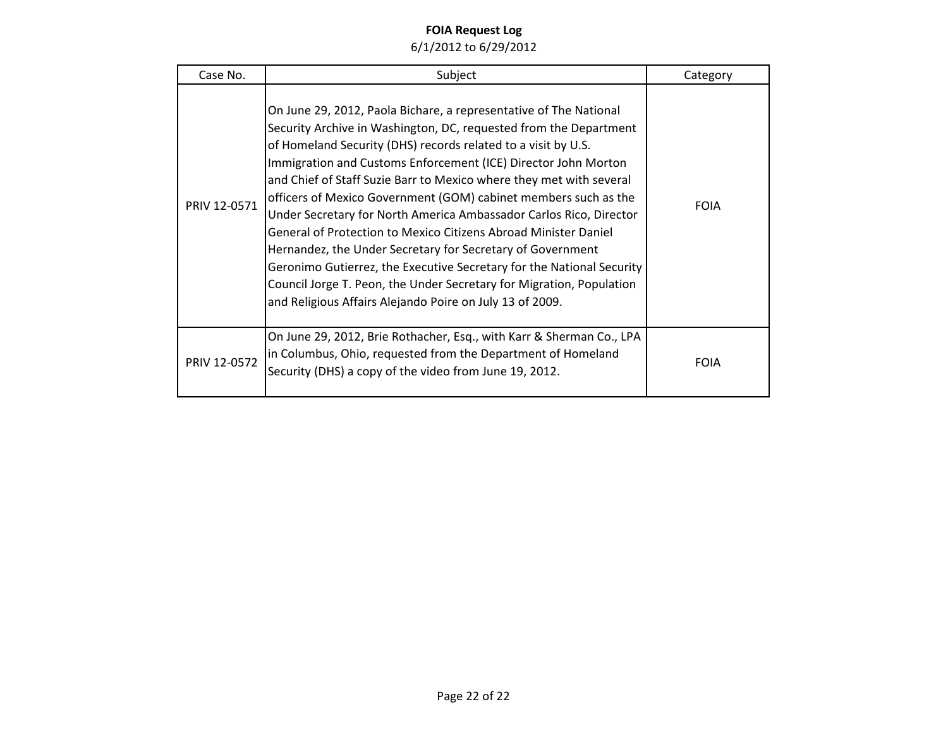| Case No.     | Subject                                                                                                                                                                                                                                                                                                                                                                                                                                                                                                                                                                                                                                                                                                                                                                                                                                 | Category    |
|--------------|-----------------------------------------------------------------------------------------------------------------------------------------------------------------------------------------------------------------------------------------------------------------------------------------------------------------------------------------------------------------------------------------------------------------------------------------------------------------------------------------------------------------------------------------------------------------------------------------------------------------------------------------------------------------------------------------------------------------------------------------------------------------------------------------------------------------------------------------|-------------|
| PRIV 12-0571 | On June 29, 2012, Paola Bichare, a representative of The National<br>Security Archive in Washington, DC, requested from the Department<br>of Homeland Security (DHS) records related to a visit by U.S.<br>Immigration and Customs Enforcement (ICE) Director John Morton<br>and Chief of Staff Suzie Barr to Mexico where they met with several<br>officers of Mexico Government (GOM) cabinet members such as the<br>Under Secretary for North America Ambassador Carlos Rico, Director<br>General of Protection to Mexico Citizens Abroad Minister Daniel<br>Hernandez, the Under Secretary for Secretary of Government<br>Geronimo Gutierrez, the Executive Secretary for the National Security<br>Council Jorge T. Peon, the Under Secretary for Migration, Population<br>and Religious Affairs Alejando Poire on July 13 of 2009. | <b>FOIA</b> |
| PRIV 12-0572 | On June 29, 2012, Brie Rothacher, Esq., with Karr & Sherman Co., LPA<br>in Columbus, Ohio, requested from the Department of Homeland<br>Security (DHS) a copy of the video from June 19, 2012.                                                                                                                                                                                                                                                                                                                                                                                                                                                                                                                                                                                                                                          | <b>FOIA</b> |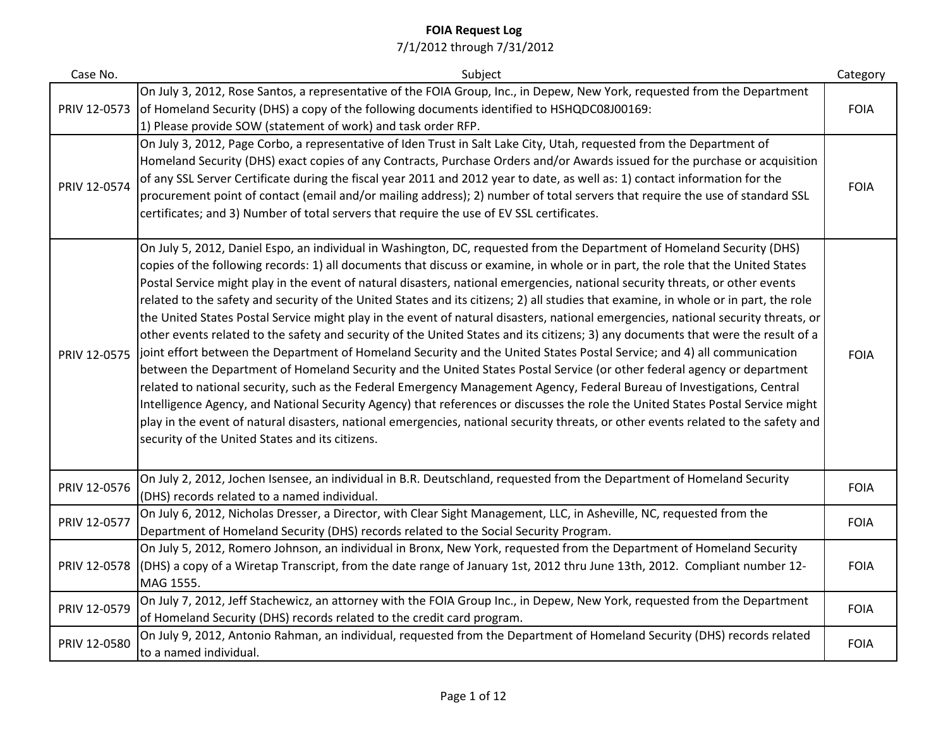| Case No.     | Subject                                                                                                                                                                                                                                                                                                                                                                                                                                                                                                                                                                                                                                                                                                                                                                                                                                                                                                                                                                                                                                                                                                                                                                                                                                                                                                                                                                                                                                                                                                                      | Category    |
|--------------|------------------------------------------------------------------------------------------------------------------------------------------------------------------------------------------------------------------------------------------------------------------------------------------------------------------------------------------------------------------------------------------------------------------------------------------------------------------------------------------------------------------------------------------------------------------------------------------------------------------------------------------------------------------------------------------------------------------------------------------------------------------------------------------------------------------------------------------------------------------------------------------------------------------------------------------------------------------------------------------------------------------------------------------------------------------------------------------------------------------------------------------------------------------------------------------------------------------------------------------------------------------------------------------------------------------------------------------------------------------------------------------------------------------------------------------------------------------------------------------------------------------------------|-------------|
| PRIV 12-0573 | On July 3, 2012, Rose Santos, a representative of the FOIA Group, Inc., in Depew, New York, requested from the Department<br>of Homeland Security (DHS) a copy of the following documents identified to HSHQDC08J00169:<br>1) Please provide SOW (statement of work) and task order RFP.                                                                                                                                                                                                                                                                                                                                                                                                                                                                                                                                                                                                                                                                                                                                                                                                                                                                                                                                                                                                                                                                                                                                                                                                                                     | <b>FOIA</b> |
| PRIV 12-0574 | On July 3, 2012, Page Corbo, a representative of Iden Trust in Salt Lake City, Utah, requested from the Department of<br>Homeland Security (DHS) exact copies of any Contracts, Purchase Orders and/or Awards issued for the purchase or acquisition<br>of any SSL Server Certificate during the fiscal year 2011 and 2012 year to date, as well as: 1) contact information for the<br>procurement point of contact (email and/or mailing address); 2) number of total servers that require the use of standard SSL<br>certificates; and 3) Number of total servers that require the use of EV SSL certificates.                                                                                                                                                                                                                                                                                                                                                                                                                                                                                                                                                                                                                                                                                                                                                                                                                                                                                                             | <b>FOIA</b> |
| PRIV 12-0575 | On July 5, 2012, Daniel Espo, an individual in Washington, DC, requested from the Department of Homeland Security (DHS)<br>copies of the following records: 1) all documents that discuss or examine, in whole or in part, the role that the United States<br>Postal Service might play in the event of natural disasters, national emergencies, national security threats, or other events<br>related to the safety and security of the United States and its citizens; 2) all studies that examine, in whole or in part, the role<br>the United States Postal Service might play in the event of natural disasters, national emergencies, national security threats, or<br>other events related to the safety and security of the United States and its citizens; 3) any documents that were the result of a<br>joint effort between the Department of Homeland Security and the United States Postal Service; and 4) all communication<br>between the Department of Homeland Security and the United States Postal Service (or other federal agency or department<br>related to national security, such as the Federal Emergency Management Agency, Federal Bureau of Investigations, Central<br>Intelligence Agency, and National Security Agency) that references or discusses the role the United States Postal Service might<br>play in the event of natural disasters, national emergencies, national security threats, or other events related to the safety and<br>security of the United States and its citizens. | <b>FOIA</b> |
| PRIV 12-0576 | On July 2, 2012, Jochen Isensee, an individual in B.R. Deutschland, requested from the Department of Homeland Security<br>(DHS) records related to a named individual.                                                                                                                                                                                                                                                                                                                                                                                                                                                                                                                                                                                                                                                                                                                                                                                                                                                                                                                                                                                                                                                                                                                                                                                                                                                                                                                                                       | <b>FOIA</b> |
| PRIV 12-0577 | On July 6, 2012, Nicholas Dresser, a Director, with Clear Sight Management, LLC, in Asheville, NC, requested from the<br>Department of Homeland Security (DHS) records related to the Social Security Program.                                                                                                                                                                                                                                                                                                                                                                                                                                                                                                                                                                                                                                                                                                                                                                                                                                                                                                                                                                                                                                                                                                                                                                                                                                                                                                               | <b>FOIA</b> |
| PRIV 12-0578 | On July 5, 2012, Romero Johnson, an individual in Bronx, New York, requested from the Department of Homeland Security<br>(DHS) a copy of a Wiretap Transcript, from the date range of January 1st, 2012 thru June 13th, 2012. Compliant number 12-<br>MAG 1555.                                                                                                                                                                                                                                                                                                                                                                                                                                                                                                                                                                                                                                                                                                                                                                                                                                                                                                                                                                                                                                                                                                                                                                                                                                                              | <b>FOIA</b> |
| PRIV 12-0579 | On July 7, 2012, Jeff Stachewicz, an attorney with the FOIA Group Inc., in Depew, New York, requested from the Department<br>of Homeland Security (DHS) records related to the credit card program.                                                                                                                                                                                                                                                                                                                                                                                                                                                                                                                                                                                                                                                                                                                                                                                                                                                                                                                                                                                                                                                                                                                                                                                                                                                                                                                          | <b>FOIA</b> |
| PRIV 12-0580 | On July 9, 2012, Antonio Rahman, an individual, requested from the Department of Homeland Security (DHS) records related<br>to a named individual.                                                                                                                                                                                                                                                                                                                                                                                                                                                                                                                                                                                                                                                                                                                                                                                                                                                                                                                                                                                                                                                                                                                                                                                                                                                                                                                                                                           | <b>FOIA</b> |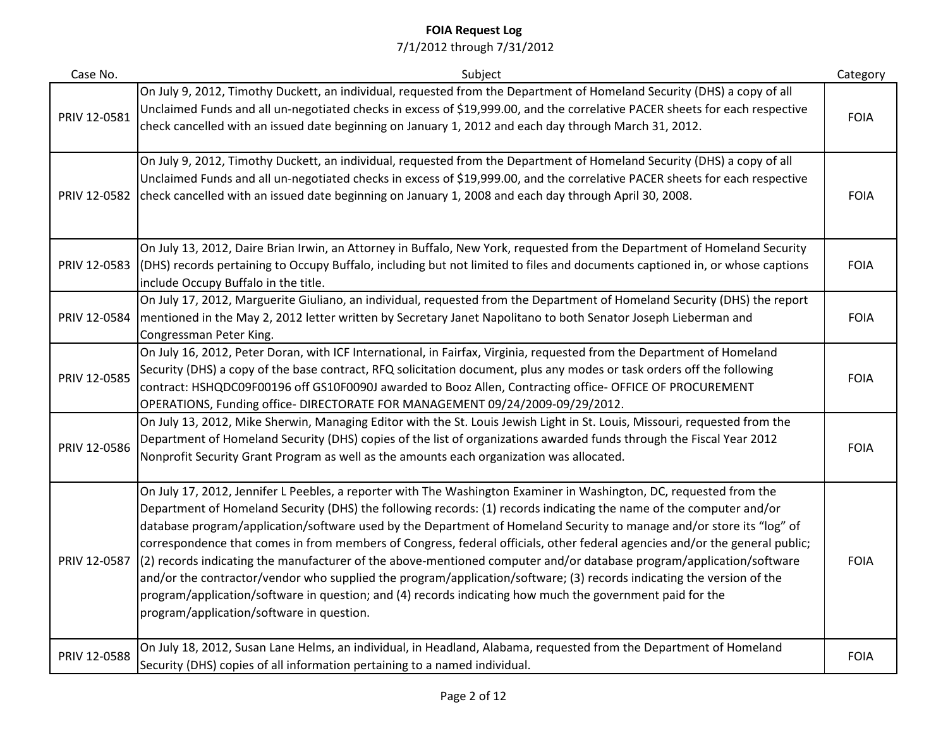| Case No.     | Subject                                                                                                                                                                                                                                                                                                                                                                                                                                                                                                                                                                                                                                                                                                                                                                                                                                                                                                       | Category    |
|--------------|---------------------------------------------------------------------------------------------------------------------------------------------------------------------------------------------------------------------------------------------------------------------------------------------------------------------------------------------------------------------------------------------------------------------------------------------------------------------------------------------------------------------------------------------------------------------------------------------------------------------------------------------------------------------------------------------------------------------------------------------------------------------------------------------------------------------------------------------------------------------------------------------------------------|-------------|
| PRIV 12-0581 | On July 9, 2012, Timothy Duckett, an individual, requested from the Department of Homeland Security (DHS) a copy of all<br>Unclaimed Funds and all un-negotiated checks in excess of \$19,999.00, and the correlative PACER sheets for each respective<br>check cancelled with an issued date beginning on January 1, 2012 and each day through March 31, 2012.                                                                                                                                                                                                                                                                                                                                                                                                                                                                                                                                               | <b>FOIA</b> |
| PRIV 12-0582 | On July 9, 2012, Timothy Duckett, an individual, requested from the Department of Homeland Security (DHS) a copy of all<br>Unclaimed Funds and all un-negotiated checks in excess of \$19,999.00, and the correlative PACER sheets for each respective<br>check cancelled with an issued date beginning on January 1, 2008 and each day through April 30, 2008.                                                                                                                                                                                                                                                                                                                                                                                                                                                                                                                                               | <b>FOIA</b> |
| PRIV 12-0583 | On July 13, 2012, Daire Brian Irwin, an Attorney in Buffalo, New York, requested from the Department of Homeland Security<br>(DHS) records pertaining to Occupy Buffalo, including but not limited to files and documents captioned in, or whose captions<br>include Occupy Buffalo in the title.                                                                                                                                                                                                                                                                                                                                                                                                                                                                                                                                                                                                             | <b>FOIA</b> |
| PRIV 12-0584 | On July 17, 2012, Marguerite Giuliano, an individual, requested from the Department of Homeland Security (DHS) the report<br>mentioned in the May 2, 2012 letter written by Secretary Janet Napolitano to both Senator Joseph Lieberman and<br>Congressman Peter King.                                                                                                                                                                                                                                                                                                                                                                                                                                                                                                                                                                                                                                        | <b>FOIA</b> |
| PRIV 12-0585 | On July 16, 2012, Peter Doran, with ICF International, in Fairfax, Virginia, requested from the Department of Homeland<br>Security (DHS) a copy of the base contract, RFQ solicitation document, plus any modes or task orders off the following<br>contract: HSHQDC09F00196 off GS10F0090J awarded to Booz Allen, Contracting office- OFFICE OF PROCUREMENT<br>OPERATIONS, Funding office- DIRECTORATE FOR MANAGEMENT 09/24/2009-09/29/2012.                                                                                                                                                                                                                                                                                                                                                                                                                                                                 | <b>FOIA</b> |
| PRIV 12-0586 | On July 13, 2012, Mike Sherwin, Managing Editor with the St. Louis Jewish Light in St. Louis, Missouri, requested from the<br>Department of Homeland Security (DHS) copies of the list of organizations awarded funds through the Fiscal Year 2012<br>Nonprofit Security Grant Program as well as the amounts each organization was allocated.                                                                                                                                                                                                                                                                                                                                                                                                                                                                                                                                                                | <b>FOIA</b> |
| PRIV 12-0587 | On July 17, 2012, Jennifer L Peebles, a reporter with The Washington Examiner in Washington, DC, requested from the<br>Department of Homeland Security (DHS) the following records: (1) records indicating the name of the computer and/or<br>database program/application/software used by the Department of Homeland Security to manage and/or store its "log" of<br>correspondence that comes in from members of Congress, federal officials, other federal agencies and/or the general public;<br>(2) records indicating the manufacturer of the above-mentioned computer and/or database program/application/software<br>and/or the contractor/vendor who supplied the program/application/software; (3) records indicating the version of the<br>program/application/software in question; and (4) records indicating how much the government paid for the<br>program/application/software in question. | <b>FOIA</b> |
| PRIV 12-0588 | On July 18, 2012, Susan Lane Helms, an individual, in Headland, Alabama, requested from the Department of Homeland<br>Security (DHS) copies of all information pertaining to a named individual.                                                                                                                                                                                                                                                                                                                                                                                                                                                                                                                                                                                                                                                                                                              | <b>FOIA</b> |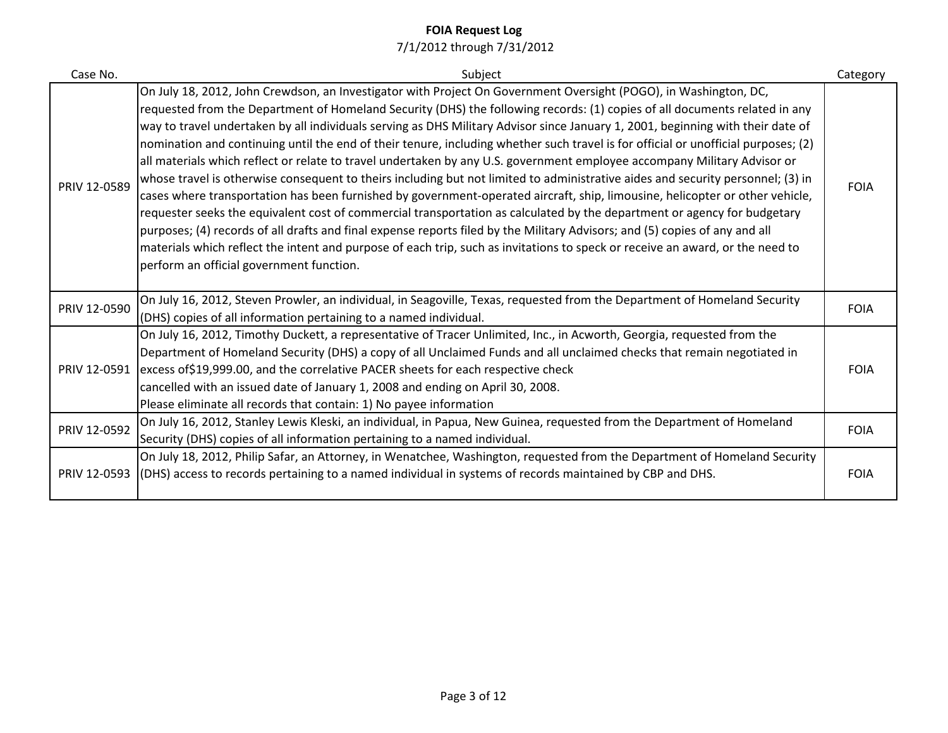| Case No.     | Subject                                                                                                                                                                                                                                                                                                                                                                                                                                                                                                                                                                                                                                                                                                                                                                                                                                                                                                                                                                                                                                                                                                                                                                                                                                                                                                                                                        | Category    |
|--------------|----------------------------------------------------------------------------------------------------------------------------------------------------------------------------------------------------------------------------------------------------------------------------------------------------------------------------------------------------------------------------------------------------------------------------------------------------------------------------------------------------------------------------------------------------------------------------------------------------------------------------------------------------------------------------------------------------------------------------------------------------------------------------------------------------------------------------------------------------------------------------------------------------------------------------------------------------------------------------------------------------------------------------------------------------------------------------------------------------------------------------------------------------------------------------------------------------------------------------------------------------------------------------------------------------------------------------------------------------------------|-------------|
| PRIV 12-0589 | On July 18, 2012, John Crewdson, an Investigator with Project On Government Oversight (POGO), in Washington, DC,<br>requested from the Department of Homeland Security (DHS) the following records: (1) copies of all documents related in any<br>way to travel undertaken by all individuals serving as DHS Military Advisor since January 1, 2001, beginning with their date of<br>nomination and continuing until the end of their tenure, including whether such travel is for official or unofficial purposes; (2)<br>all materials which reflect or relate to travel undertaken by any U.S. government employee accompany Military Advisor or<br>whose travel is otherwise consequent to theirs including but not limited to administrative aides and security personnel; (3) in<br>cases where transportation has been furnished by government-operated aircraft, ship, limousine, helicopter or other vehicle,<br>requester seeks the equivalent cost of commercial transportation as calculated by the department or agency for budgetary<br>purposes; (4) records of all drafts and final expense reports filed by the Military Advisors; and (5) copies of any and all<br>materials which reflect the intent and purpose of each trip, such as invitations to speck or receive an award, or the need to<br>perform an official government function. | <b>FOIA</b> |
| PRIV 12-0590 | On July 16, 2012, Steven Prowler, an individual, in Seagoville, Texas, requested from the Department of Homeland Security<br>(DHS) copies of all information pertaining to a named individual.                                                                                                                                                                                                                                                                                                                                                                                                                                                                                                                                                                                                                                                                                                                                                                                                                                                                                                                                                                                                                                                                                                                                                                 | <b>FOIA</b> |
| PRIV 12-0591 | On July 16, 2012, Timothy Duckett, a representative of Tracer Unlimited, Inc., in Acworth, Georgia, requested from the<br>Department of Homeland Security (DHS) a copy of all Unclaimed Funds and all unclaimed checks that remain negotiated in<br>excess of \$19,999.00, and the correlative PACER sheets for each respective check<br>cancelled with an issued date of January 1, 2008 and ending on April 30, 2008.<br>Please eliminate all records that contain: 1) No payee information                                                                                                                                                                                                                                                                                                                                                                                                                                                                                                                                                                                                                                                                                                                                                                                                                                                                  | <b>FOIA</b> |
| PRIV 12-0592 | On July 16, 2012, Stanley Lewis Kleski, an individual, in Papua, New Guinea, requested from the Department of Homeland<br>Security (DHS) copies of all information pertaining to a named individual.                                                                                                                                                                                                                                                                                                                                                                                                                                                                                                                                                                                                                                                                                                                                                                                                                                                                                                                                                                                                                                                                                                                                                           | <b>FOIA</b> |
| PRIV 12-0593 | On July 18, 2012, Philip Safar, an Attorney, in Wenatchee, Washington, requested from the Department of Homeland Security<br>(DHS) access to records pertaining to a named individual in systems of records maintained by CBP and DHS.                                                                                                                                                                                                                                                                                                                                                                                                                                                                                                                                                                                                                                                                                                                                                                                                                                                                                                                                                                                                                                                                                                                         | <b>FOIA</b> |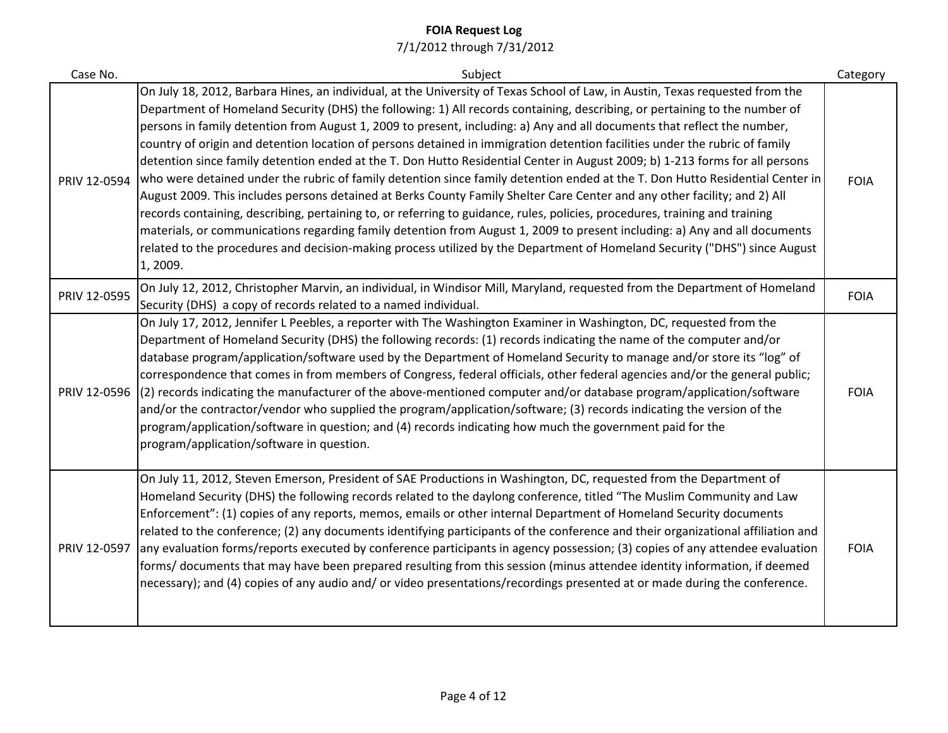| Case No.     | Subject                                                                                                                                                                                                                                                                                                                                                                                                                                                                                                                                                                                                                                                                                                                                                                                                                                                                                                                                                                                                                                                                                                                                                                                                                                                                                                                     | Category    |
|--------------|-----------------------------------------------------------------------------------------------------------------------------------------------------------------------------------------------------------------------------------------------------------------------------------------------------------------------------------------------------------------------------------------------------------------------------------------------------------------------------------------------------------------------------------------------------------------------------------------------------------------------------------------------------------------------------------------------------------------------------------------------------------------------------------------------------------------------------------------------------------------------------------------------------------------------------------------------------------------------------------------------------------------------------------------------------------------------------------------------------------------------------------------------------------------------------------------------------------------------------------------------------------------------------------------------------------------------------|-------------|
| PRIV 12-0594 | On July 18, 2012, Barbara Hines, an individual, at the University of Texas School of Law, in Austin, Texas requested from the<br>Department of Homeland Security (DHS) the following: 1) All records containing, describing, or pertaining to the number of<br>persons in family detention from August 1, 2009 to present, including: a) Any and all documents that reflect the number,<br>country of origin and detention location of persons detained in immigration detention facilities under the rubric of family<br>detention since family detention ended at the T. Don Hutto Residential Center in August 2009; b) 1-213 forms for all persons<br>who were detained under the rubric of family detention since family detention ended at the T. Don Hutto Residential Center in<br>August 2009. This includes persons detained at Berks County Family Shelter Care Center and any other facility; and 2) All<br>records containing, describing, pertaining to, or referring to guidance, rules, policies, procedures, training and training<br>materials, or communications regarding family detention from August 1, 2009 to present including: a) Any and all documents<br>related to the procedures and decision-making process utilized by the Department of Homeland Security ("DHS") since August<br>1, 2009. | <b>FOIA</b> |
| PRIV 12-0595 | On July 12, 2012, Christopher Marvin, an individual, in Windisor Mill, Maryland, requested from the Department of Homeland<br>Security (DHS) a copy of records related to a named individual.                                                                                                                                                                                                                                                                                                                                                                                                                                                                                                                                                                                                                                                                                                                                                                                                                                                                                                                                                                                                                                                                                                                               | <b>FOIA</b> |
| PRIV 12-0596 | On July 17, 2012, Jennifer L Peebles, a reporter with The Washington Examiner in Washington, DC, requested from the<br>Department of Homeland Security (DHS) the following records: (1) records indicating the name of the computer and/or<br>database program/application/software used by the Department of Homeland Security to manage and/or store its "log" of<br>correspondence that comes in from members of Congress, federal officials, other federal agencies and/or the general public;<br>(2) records indicating the manufacturer of the above-mentioned computer and/or database program/application/software<br>and/or the contractor/vendor who supplied the program/application/software; (3) records indicating the version of the<br>program/application/software in question; and (4) records indicating how much the government paid for the<br>program/application/software in question.                                                                                                                                                                                                                                                                                                                                                                                                               | <b>FOIA</b> |
| PRIV 12-0597 | On July 11, 2012, Steven Emerson, President of SAE Productions in Washington, DC, requested from the Department of<br>Homeland Security (DHS) the following records related to the daylong conference, titled "The Muslim Community and Law<br>Enforcement": (1) copies of any reports, memos, emails or other internal Department of Homeland Security documents<br>related to the conference; (2) any documents identifying participants of the conference and their organizational affiliation and<br>any evaluation forms/reports executed by conference participants in agency possession; (3) copies of any attendee evaluation<br>forms/ documents that may have been prepared resulting from this session (minus attendee identity information, if deemed<br>necessary); and (4) copies of any audio and/ or video presentations/recordings presented at or made during the conference.                                                                                                                                                                                                                                                                                                                                                                                                                             | <b>FOIA</b> |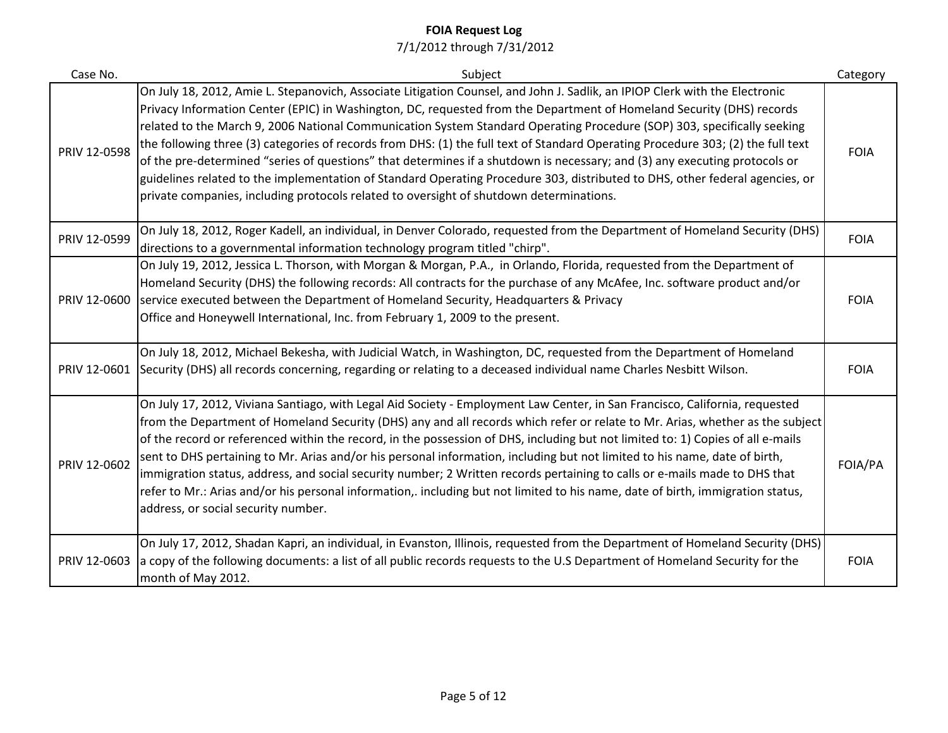| Case No.     | Subject                                                                                                                                                                                                                                                                                                                                                                                                                                                                                                                                                                                                                                                                                                                                                                                                                                                                      | Category    |
|--------------|------------------------------------------------------------------------------------------------------------------------------------------------------------------------------------------------------------------------------------------------------------------------------------------------------------------------------------------------------------------------------------------------------------------------------------------------------------------------------------------------------------------------------------------------------------------------------------------------------------------------------------------------------------------------------------------------------------------------------------------------------------------------------------------------------------------------------------------------------------------------------|-------------|
| PRIV 12-0598 | On July 18, 2012, Amie L. Stepanovich, Associate Litigation Counsel, and John J. Sadlik, an IPIOP Clerk with the Electronic<br>Privacy Information Center (EPIC) in Washington, DC, requested from the Department of Homeland Security (DHS) records<br>related to the March 9, 2006 National Communication System Standard Operating Procedure (SOP) 303, specifically seeking<br>the following three (3) categories of records from DHS: (1) the full text of Standard Operating Procedure 303; (2) the full text<br>of the pre-determined "series of questions" that determines if a shutdown is necessary; and (3) any executing protocols or<br>guidelines related to the implementation of Standard Operating Procedure 303, distributed to DHS, other federal agencies, or<br>private companies, including protocols related to oversight of shutdown determinations. | <b>FOIA</b> |
| PRIV 12-0599 | On July 18, 2012, Roger Kadell, an individual, in Denver Colorado, requested from the Department of Homeland Security (DHS)<br>directions to a governmental information technology program titled "chirp".                                                                                                                                                                                                                                                                                                                                                                                                                                                                                                                                                                                                                                                                   | <b>FOIA</b> |
| PRIV 12-0600 | On July 19, 2012, Jessica L. Thorson, with Morgan & Morgan, P.A., in Orlando, Florida, requested from the Department of<br>Homeland Security (DHS) the following records: All contracts for the purchase of any McAfee, Inc. software product and/or<br>service executed between the Department of Homeland Security, Headquarters & Privacy<br>Office and Honeywell International, Inc. from February 1, 2009 to the present.                                                                                                                                                                                                                                                                                                                                                                                                                                               | <b>FOIA</b> |
| PRIV 12-0601 | On July 18, 2012, Michael Bekesha, with Judicial Watch, in Washington, DC, requested from the Department of Homeland<br>Security (DHS) all records concerning, regarding or relating to a deceased individual name Charles Nesbitt Wilson.                                                                                                                                                                                                                                                                                                                                                                                                                                                                                                                                                                                                                                   | <b>FOIA</b> |
| PRIV 12-0602 | On July 17, 2012, Viviana Santiago, with Legal Aid Society - Employment Law Center, in San Francisco, California, requested<br>from the Department of Homeland Security (DHS) any and all records which refer or relate to Mr. Arias, whether as the subject<br>of the record or referenced within the record, in the possession of DHS, including but not limited to: 1) Copies of all e-mails<br>sent to DHS pertaining to Mr. Arias and/or his personal information, including but not limited to his name, date of birth,<br>immigration status, address, and social security number; 2 Written records pertaining to calls or e-mails made to DHS that<br>refer to Mr.: Arias and/or his personal information,. including but not limited to his name, date of birth, immigration status,<br>address, or social security number.                                        | FOIA/PA     |
| PRIV 12-0603 | On July 17, 2012, Shadan Kapri, an individual, in Evanston, Illinois, requested from the Department of Homeland Security (DHS)<br>a copy of the following documents: a list of all public records requests to the U.S Department of Homeland Security for the<br>month of May 2012.                                                                                                                                                                                                                                                                                                                                                                                                                                                                                                                                                                                          | <b>FOIA</b> |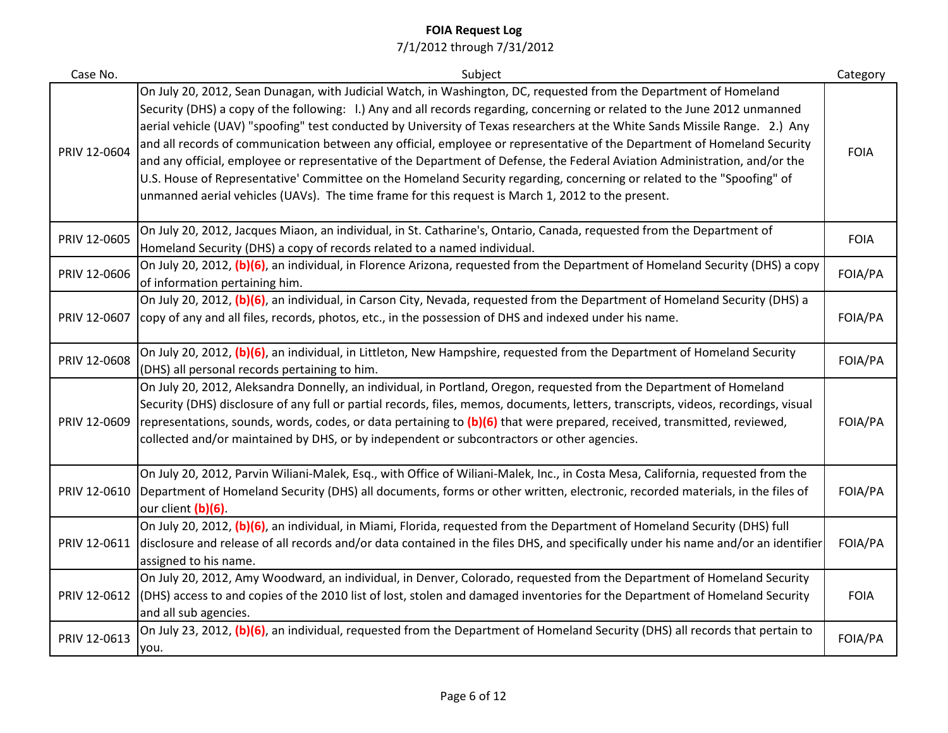| Case No.     | Subject                                                                                                                                                                                                                                                                                                                                                                                                                                                                                                                                                                                                                                                                                                                                                                                                                                                                 | Category    |
|--------------|-------------------------------------------------------------------------------------------------------------------------------------------------------------------------------------------------------------------------------------------------------------------------------------------------------------------------------------------------------------------------------------------------------------------------------------------------------------------------------------------------------------------------------------------------------------------------------------------------------------------------------------------------------------------------------------------------------------------------------------------------------------------------------------------------------------------------------------------------------------------------|-------------|
| PRIV 12-0604 | On July 20, 2012, Sean Dunagan, with Judicial Watch, in Washington, DC, requested from the Department of Homeland<br>Security (DHS) a copy of the following: 1.) Any and all records regarding, concerning or related to the June 2012 unmanned<br>aerial vehicle (UAV) "spoofing" test conducted by University of Texas researchers at the White Sands Missile Range. 2.) Any<br>and all records of communication between any official, employee or representative of the Department of Homeland Security<br>and any official, employee or representative of the Department of Defense, the Federal Aviation Administration, and/or the<br>U.S. House of Representative' Committee on the Homeland Security regarding, concerning or related to the "Spoofing" of<br>unmanned aerial vehicles (UAVs). The time frame for this request is March 1, 2012 to the present. | <b>FOIA</b> |
| PRIV 12-0605 | On July 20, 2012, Jacques Miaon, an individual, in St. Catharine's, Ontario, Canada, requested from the Department of<br>Homeland Security (DHS) a copy of records related to a named individual.                                                                                                                                                                                                                                                                                                                                                                                                                                                                                                                                                                                                                                                                       | <b>FOIA</b> |
| PRIV 12-0606 | On July 20, 2012, (b)(6), an individual, in Florence Arizona, requested from the Department of Homeland Security (DHS) a copy<br>of information pertaining him.                                                                                                                                                                                                                                                                                                                                                                                                                                                                                                                                                                                                                                                                                                         | FOIA/PA     |
| PRIV 12-0607 | On July 20, 2012, (b)(6), an individual, in Carson City, Nevada, requested from the Department of Homeland Security (DHS) a<br>copy of any and all files, records, photos, etc., in the possession of DHS and indexed under his name.                                                                                                                                                                                                                                                                                                                                                                                                                                                                                                                                                                                                                                   | FOIA/PA     |
| PRIV 12-0608 | On July 20, 2012, (b)(6), an individual, in Littleton, New Hampshire, requested from the Department of Homeland Security<br>(DHS) all personal records pertaining to him.                                                                                                                                                                                                                                                                                                                                                                                                                                                                                                                                                                                                                                                                                               | FOIA/PA     |
| PRIV 12-0609 | On July 20, 2012, Aleksandra Donnelly, an individual, in Portland, Oregon, requested from the Department of Homeland<br>Security (DHS) disclosure of any full or partial records, files, memos, documents, letters, transcripts, videos, recordings, visual<br>representations, sounds, words, codes, or data pertaining to (b)(6) that were prepared, received, transmitted, reviewed,<br>collected and/or maintained by DHS, or by independent or subcontractors or other agencies.                                                                                                                                                                                                                                                                                                                                                                                   | FOIA/PA     |
| PRIV 12-0610 | On July 20, 2012, Parvin Wiliani-Malek, Esq., with Office of Wiliani-Malek, Inc., in Costa Mesa, California, requested from the<br>Department of Homeland Security (DHS) all documents, forms or other written, electronic, recorded materials, in the files of<br>our client (b)(6).                                                                                                                                                                                                                                                                                                                                                                                                                                                                                                                                                                                   | FOIA/PA     |
| PRIV 12-0611 | On July 20, 2012, (b)(6), an individual, in Miami, Florida, requested from the Department of Homeland Security (DHS) full<br>disclosure and release of all records and/or data contained in the files DHS, and specifically under his name and/or an identifier<br>assigned to his name.                                                                                                                                                                                                                                                                                                                                                                                                                                                                                                                                                                                | FOIA/PA     |
| PRIV 12-0612 | On July 20, 2012, Amy Woodward, an individual, in Denver, Colorado, requested from the Department of Homeland Security<br>(DHS) access to and copies of the 2010 list of lost, stolen and damaged inventories for the Department of Homeland Security<br>and all sub agencies.                                                                                                                                                                                                                                                                                                                                                                                                                                                                                                                                                                                          | <b>FOIA</b> |
| PRIV 12-0613 | On July 23, 2012, (b)(6), an individual, requested from the Department of Homeland Security (DHS) all records that pertain to<br>you.                                                                                                                                                                                                                                                                                                                                                                                                                                                                                                                                                                                                                                                                                                                                   | FOIA/PA     |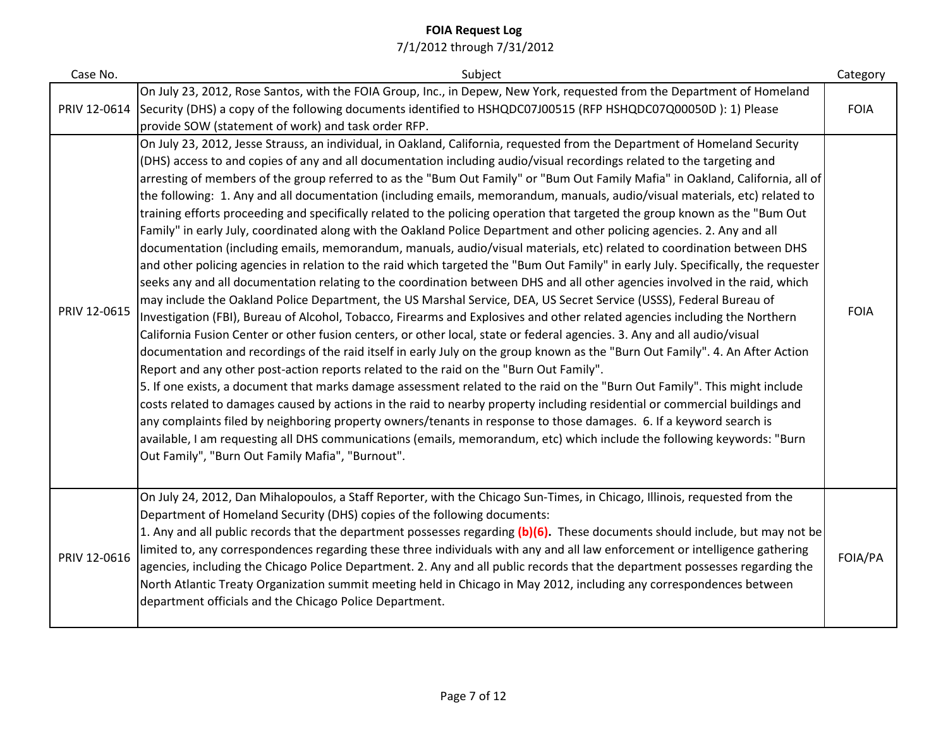| Case No.     | Subject                                                                                                                                                                                                                                                                                                                                                                                                                                                                                                                                                                                                                                                                                                                                                                                                                                                                                                                                                                                                                                                                                                                                                                                                                                                                                                                                                                                                                                                                                                                                                                                                                                                                                                                                                                                                                                                                                                                                                                                                                                                                                                                                                                                                                                                                                                                                                        | Category    |
|--------------|----------------------------------------------------------------------------------------------------------------------------------------------------------------------------------------------------------------------------------------------------------------------------------------------------------------------------------------------------------------------------------------------------------------------------------------------------------------------------------------------------------------------------------------------------------------------------------------------------------------------------------------------------------------------------------------------------------------------------------------------------------------------------------------------------------------------------------------------------------------------------------------------------------------------------------------------------------------------------------------------------------------------------------------------------------------------------------------------------------------------------------------------------------------------------------------------------------------------------------------------------------------------------------------------------------------------------------------------------------------------------------------------------------------------------------------------------------------------------------------------------------------------------------------------------------------------------------------------------------------------------------------------------------------------------------------------------------------------------------------------------------------------------------------------------------------------------------------------------------------------------------------------------------------------------------------------------------------------------------------------------------------------------------------------------------------------------------------------------------------------------------------------------------------------------------------------------------------------------------------------------------------------------------------------------------------------------------------------------------------|-------------|
| PRIV 12-0614 | On July 23, 2012, Rose Santos, with the FOIA Group, Inc., in Depew, New York, requested from the Department of Homeland<br>Security (DHS) a copy of the following documents identified to HSHQDC07J00515 (RFP HSHQDC07Q00050D): 1) Please<br>provide SOW (statement of work) and task order RFP.                                                                                                                                                                                                                                                                                                                                                                                                                                                                                                                                                                                                                                                                                                                                                                                                                                                                                                                                                                                                                                                                                                                                                                                                                                                                                                                                                                                                                                                                                                                                                                                                                                                                                                                                                                                                                                                                                                                                                                                                                                                               | <b>FOIA</b> |
| PRIV 12-0615 | On July 23, 2012, Jesse Strauss, an individual, in Oakland, California, requested from the Department of Homeland Security<br>(DHS) access to and copies of any and all documentation including audio/visual recordings related to the targeting and<br>arresting of members of the group referred to as the "Bum Out Family" or "Bum Out Family Mafia" in Oakland, California, all of<br>the following: 1. Any and all documentation (including emails, memorandum, manuals, audio/visual materials, etc) related to<br>training efforts proceeding and specifically related to the policing operation that targeted the group known as the "Bum Out<br>Family" in early July, coordinated along with the Oakland Police Department and other policing agencies. 2. Any and all<br>documentation (including emails, memorandum, manuals, audio/visual materials, etc) related to coordination between DHS<br>and other policing agencies in relation to the raid which targeted the "Bum Out Family" in early July. Specifically, the requester<br>seeks any and all documentation relating to the coordination between DHS and all other agencies involved in the raid, which<br>may include the Oakland Police Department, the US Marshal Service, DEA, US Secret Service (USSS), Federal Bureau of<br>Investigation (FBI), Bureau of Alcohol, Tobacco, Firearms and Explosives and other related agencies including the Northern<br>California Fusion Center or other fusion centers, or other local, state or federal agencies. 3. Any and all audio/visual<br>documentation and recordings of the raid itself in early July on the group known as the "Burn Out Family". 4. An After Action<br>Report and any other post-action reports related to the raid on the "Burn Out Family".<br>5. If one exists, a document that marks damage assessment related to the raid on the "Burn Out Family". This might include<br>costs related to damages caused by actions in the raid to nearby property including residential or commercial buildings and<br>any complaints filed by neighboring property owners/tenants in response to those damages. 6. If a keyword search is<br>available, I am requesting all DHS communications (emails, memorandum, etc) which include the following keywords: "Burn<br>Out Family", "Burn Out Family Mafia", "Burnout". | <b>FOIA</b> |
| PRIV 12-0616 | On July 24, 2012, Dan Mihalopoulos, a Staff Reporter, with the Chicago Sun-Times, in Chicago, Illinois, requested from the<br>Department of Homeland Security (DHS) copies of the following documents:<br>1. Any and all public records that the department possesses regarding (b)(6). These documents should include, but may not be<br>limited to, any correspondences regarding these three individuals with any and all law enforcement or intelligence gathering<br>agencies, including the Chicago Police Department. 2. Any and all public records that the department possesses regarding the<br>North Atlantic Treaty Organization summit meeting held in Chicago in May 2012, including any correspondences between<br>department officials and the Chicago Police Department.                                                                                                                                                                                                                                                                                                                                                                                                                                                                                                                                                                                                                                                                                                                                                                                                                                                                                                                                                                                                                                                                                                                                                                                                                                                                                                                                                                                                                                                                                                                                                                      | FOIA/PA     |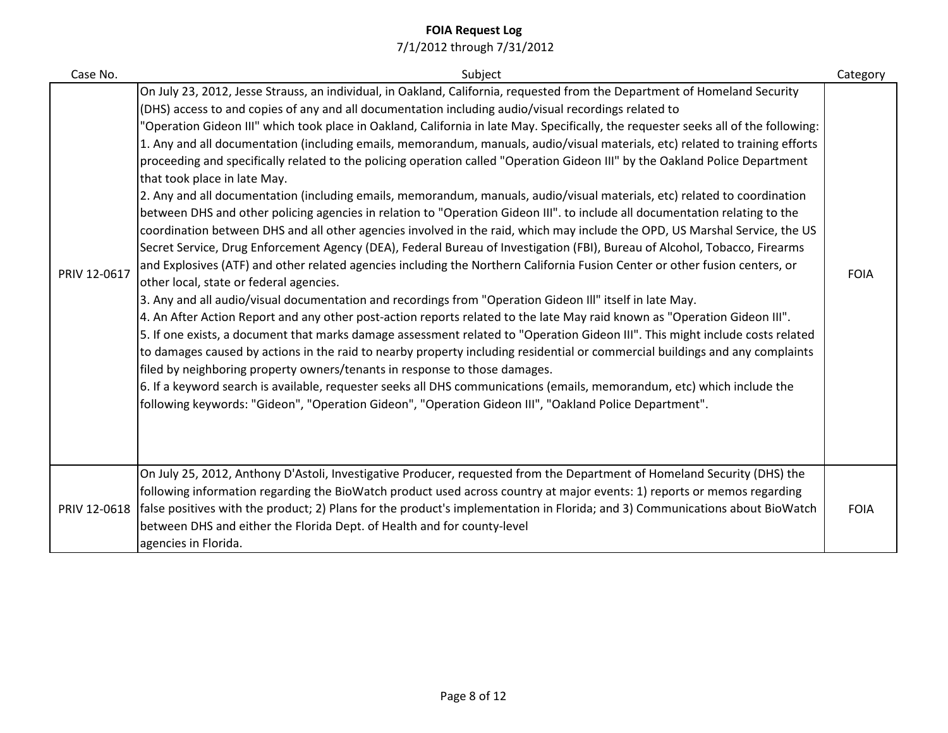| Case No.     | Subject                                                                                                                                                                                                                                                                                                                                                                                                                                                                                                                                                                                                                                                                                                                                                                                                                                                                                                                                                                                                                                                                                                                                                                                                                                                                                                                                                                                                                                                                                                                                                                                                                                                                                                                                                                                                                                                                                                                                                                                                                                                                                                                                                                                                    | Category    |
|--------------|------------------------------------------------------------------------------------------------------------------------------------------------------------------------------------------------------------------------------------------------------------------------------------------------------------------------------------------------------------------------------------------------------------------------------------------------------------------------------------------------------------------------------------------------------------------------------------------------------------------------------------------------------------------------------------------------------------------------------------------------------------------------------------------------------------------------------------------------------------------------------------------------------------------------------------------------------------------------------------------------------------------------------------------------------------------------------------------------------------------------------------------------------------------------------------------------------------------------------------------------------------------------------------------------------------------------------------------------------------------------------------------------------------------------------------------------------------------------------------------------------------------------------------------------------------------------------------------------------------------------------------------------------------------------------------------------------------------------------------------------------------------------------------------------------------------------------------------------------------------------------------------------------------------------------------------------------------------------------------------------------------------------------------------------------------------------------------------------------------------------------------------------------------------------------------------------------------|-------------|
| PRIV 12-0617 | On July 23, 2012, Jesse Strauss, an individual, in Oakland, California, requested from the Department of Homeland Security<br>(DHS) access to and copies of any and all documentation including audio/visual recordings related to<br>"Operation Gideon III" which took place in Oakland, California in late May. Specifically, the requester seeks all of the following:<br>1. Any and all documentation (including emails, memorandum, manuals, audio/visual materials, etc) related to training efforts<br>proceeding and specifically related to the policing operation called "Operation Gideon III" by the Oakland Police Department<br>that took place in late May.<br>2. Any and all documentation (including emails, memorandum, manuals, audio/visual materials, etc) related to coordination<br>between DHS and other policing agencies in relation to "Operation Gideon III". to include all documentation relating to the<br>coordination between DHS and all other agencies involved in the raid, which may include the OPD, US Marshal Service, the US<br>Secret Service, Drug Enforcement Agency (DEA), Federal Bureau of Investigation (FBI), Bureau of Alcohol, Tobacco, Firearms<br>and Explosives (ATF) and other related agencies including the Northern California Fusion Center or other fusion centers, or<br>other local, state or federal agencies.<br>3. Any and all audio/visual documentation and recordings from "Operation Gideon III" itself in late May.<br>4. An After Action Report and any other post-action reports related to the late May raid known as "Operation Gideon III".<br>5. If one exists, a document that marks damage assessment related to "Operation Gideon III". This might include costs related<br>to damages caused by actions in the raid to nearby property including residential or commercial buildings and any complaints<br>filed by neighboring property owners/tenants in response to those damages.<br>6. If a keyword search is available, requester seeks all DHS communications (emails, memorandum, etc) which include the<br>following keywords: "Gideon", "Operation Gideon", "Operation Gideon III", "Oakland Police Department". | <b>FOIA</b> |
| PRIV 12-0618 | On July 25, 2012, Anthony D'Astoli, Investigative Producer, requested from the Department of Homeland Security (DHS) the<br>following information regarding the BioWatch product used across country at major events: 1) reports or memos regarding<br>false positives with the product; 2) Plans for the product's implementation in Florida; and 3) Communications about BioWatch<br>between DHS and either the Florida Dept. of Health and for county-level<br>agencies in Florida.                                                                                                                                                                                                                                                                                                                                                                                                                                                                                                                                                                                                                                                                                                                                                                                                                                                                                                                                                                                                                                                                                                                                                                                                                                                                                                                                                                                                                                                                                                                                                                                                                                                                                                                     | <b>FOIA</b> |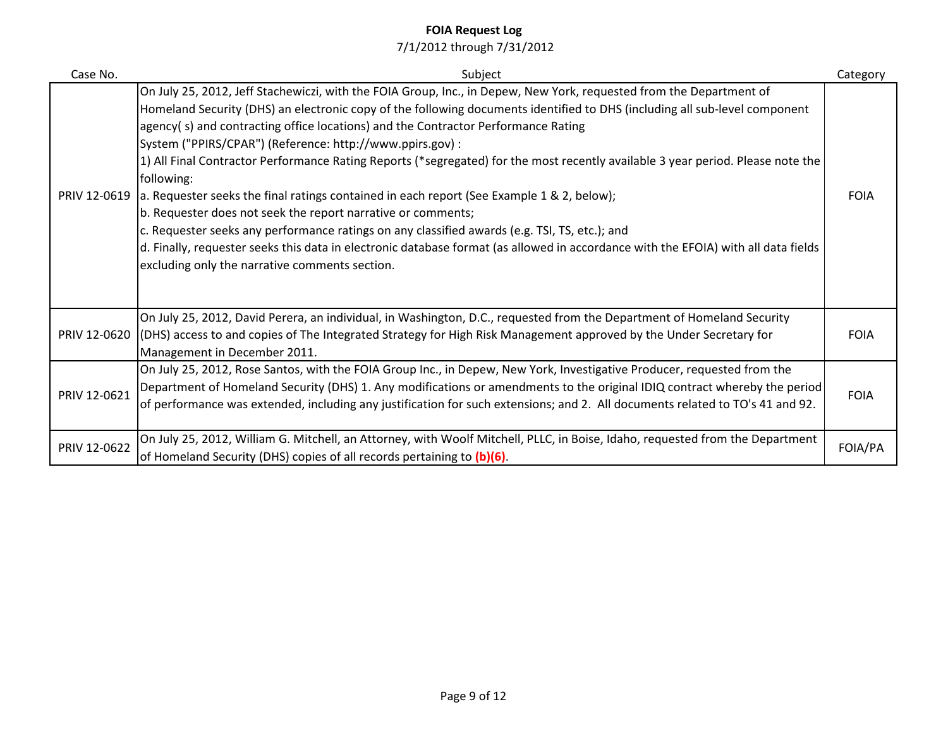| Case No.     | Subject                                                                                                                                                                                                                                                                                                                                                                                                                                                                                                                                                                                                                                                                                                                                                                                                                                                                                                                                                                                                    | Category    |
|--------------|------------------------------------------------------------------------------------------------------------------------------------------------------------------------------------------------------------------------------------------------------------------------------------------------------------------------------------------------------------------------------------------------------------------------------------------------------------------------------------------------------------------------------------------------------------------------------------------------------------------------------------------------------------------------------------------------------------------------------------------------------------------------------------------------------------------------------------------------------------------------------------------------------------------------------------------------------------------------------------------------------------|-------------|
| PRIV 12-0619 | On July 25, 2012, Jeff Stachewiczi, with the FOIA Group, Inc., in Depew, New York, requested from the Department of<br>Homeland Security (DHS) an electronic copy of the following documents identified to DHS (including all sub-level component<br>agency(s) and contracting office locations) and the Contractor Performance Rating<br>System ("PPIRS/CPAR") (Reference: http://www.ppirs.gov) :<br>1) All Final Contractor Performance Rating Reports (*segregated) for the most recently available 3 year period. Please note the<br>following:<br>a. Requester seeks the final ratings contained in each report (See Example 1 & 2, below);<br>b. Requester does not seek the report narrative or comments;<br>c. Requester seeks any performance ratings on any classified awards (e.g. TSI, TS, etc.); and<br>d. Finally, requester seeks this data in electronic database format (as allowed in accordance with the EFOIA) with all data fields<br>excluding only the narrative comments section. | <b>FOIA</b> |
|              | On July 25, 2012, David Perera, an individual, in Washington, D.C., requested from the Department of Homeland Security<br>PRIV 12-0620 (DHS) access to and copies of The Integrated Strategy for High Risk Management approved by the Under Secretary for<br>Management in December 2011.                                                                                                                                                                                                                                                                                                                                                                                                                                                                                                                                                                                                                                                                                                                  | <b>FOIA</b> |
| PRIV 12-0621 | On July 25, 2012, Rose Santos, with the FOIA Group Inc., in Depew, New York, Investigative Producer, requested from the<br>Department of Homeland Security (DHS) 1. Any modifications or amendments to the original IDIQ contract whereby the period<br>of performance was extended, including any justification for such extensions; and 2. All documents related to TO's 41 and 92.                                                                                                                                                                                                                                                                                                                                                                                                                                                                                                                                                                                                                      | <b>FOIA</b> |
| PRIV 12-0622 | On July 25, 2012, William G. Mitchell, an Attorney, with Woolf Mitchell, PLLC, in Boise, Idaho, requested from the Department<br>of Homeland Security (DHS) copies of all records pertaining to (b)(6).                                                                                                                                                                                                                                                                                                                                                                                                                                                                                                                                                                                                                                                                                                                                                                                                    | FOIA/PA     |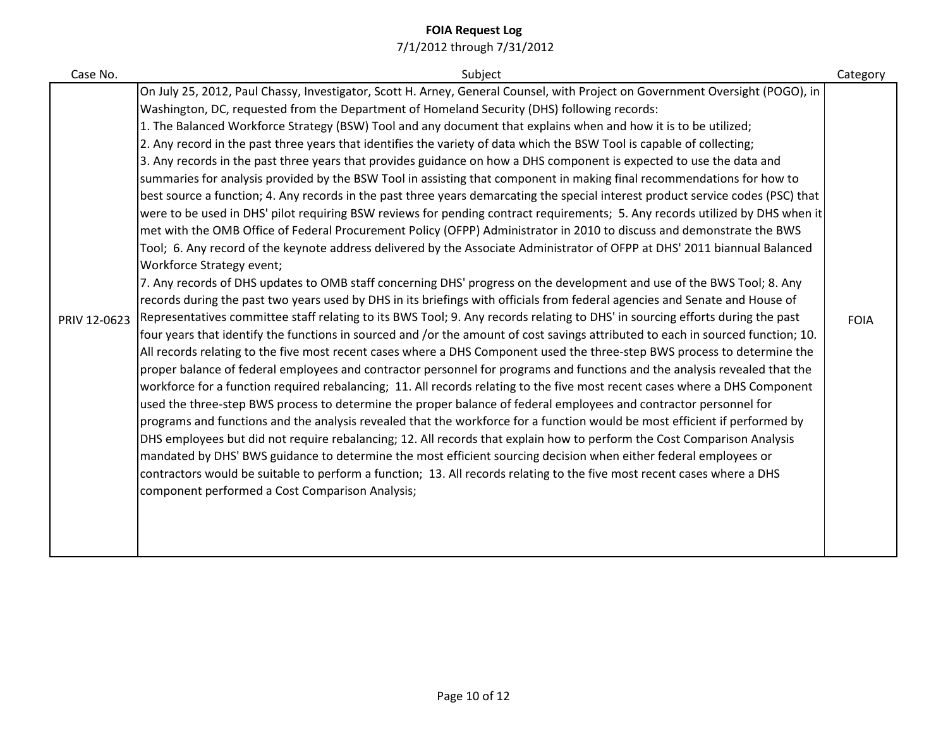| Case No.     | Subject                                                                                                                          | Category    |
|--------------|----------------------------------------------------------------------------------------------------------------------------------|-------------|
|              | On July 25, 2012, Paul Chassy, Investigator, Scott H. Arney, General Counsel, with Project on Government Oversight (POGO), in    |             |
|              | Washington, DC, requested from the Department of Homeland Security (DHS) following records:                                      |             |
|              | 1. The Balanced Workforce Strategy (BSW) Tool and any document that explains when and how it is to be utilized;                  |             |
|              | 2. Any record in the past three years that identifies the variety of data which the BSW Tool is capable of collecting;           |             |
|              | 3. Any records in the past three years that provides guidance on how a DHS component is expected to use the data and             |             |
|              | summaries for analysis provided by the BSW Tool in assisting that component in making final recommendations for how to           |             |
|              | best source a function; 4. Any records in the past three years demarcating the special interest product service codes (PSC) that |             |
|              | were to be used in DHS' pilot requiring BSW reviews for pending contract requirements; 5. Any records utilized by DHS when it    |             |
|              | met with the OMB Office of Federal Procurement Policy (OFPP) Administrator in 2010 to discuss and demonstrate the BWS            |             |
|              | Tool; 6. Any record of the keynote address delivered by the Associate Administrator of OFPP at DHS' 2011 biannual Balanced       |             |
|              | Workforce Strategy event;                                                                                                        |             |
|              | 7. Any records of DHS updates to OMB staff concerning DHS' progress on the development and use of the BWS Tool; 8. Any           |             |
|              | records during the past two years used by DHS in its briefings with officials from federal agencies and Senate and House of      |             |
| PRIV 12-0623 | Representatives committee staff relating to its BWS Tool; 9. Any records relating to DHS' in sourcing efforts during the past    | <b>FOIA</b> |
|              | four years that identify the functions in sourced and /or the amount of cost savings attributed to each in sourced function; 10. |             |
|              | All records relating to the five most recent cases where a DHS Component used the three-step BWS process to determine the        |             |
|              | proper balance of federal employees and contractor personnel for programs and functions and the analysis revealed that the       |             |
|              | workforce for a function required rebalancing; 11. All records relating to the five most recent cases where a DHS Component      |             |
|              | used the three-step BWS process to determine the proper balance of federal employees and contractor personnel for                |             |
|              | programs and functions and the analysis revealed that the workforce for a function would be most efficient if performed by       |             |
|              | DHS employees but did not require rebalancing; 12. All records that explain how to perform the Cost Comparison Analysis          |             |
|              | mandated by DHS' BWS guidance to determine the most efficient sourcing decision when either federal employees or                 |             |
|              | contractors would be suitable to perform a function; 13. All records relating to the five most recent cases where a DHS          |             |
|              | component performed a Cost Comparison Analysis;                                                                                  |             |
|              |                                                                                                                                  |             |
|              |                                                                                                                                  |             |
|              |                                                                                                                                  |             |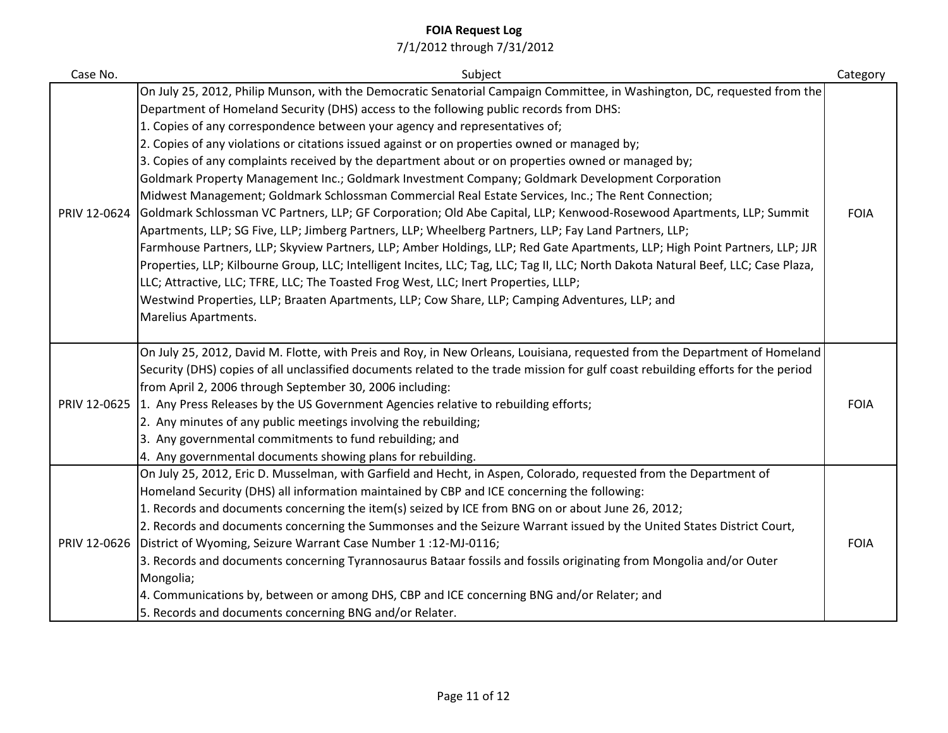| Case No.     | Subject                                                                                                                             | Category    |
|--------------|-------------------------------------------------------------------------------------------------------------------------------------|-------------|
|              | On July 25, 2012, Philip Munson, with the Democratic Senatorial Campaign Committee, in Washington, DC, requested from the           |             |
|              | Department of Homeland Security (DHS) access to the following public records from DHS:                                              |             |
|              | 1. Copies of any correspondence between your agency and representatives of;                                                         |             |
|              | 2. Copies of any violations or citations issued against or on properties owned or managed by;                                       |             |
|              | 3. Copies of any complaints received by the department about or on properties owned or managed by;                                  |             |
|              | Goldmark Property Management Inc.; Goldmark Investment Company; Goldmark Development Corporation                                    |             |
|              | Midwest Management; Goldmark Schlossman Commercial Real Estate Services, Inc.; The Rent Connection;                                 |             |
| PRIV 12-0624 | Goldmark Schlossman VC Partners, LLP; GF Corporation; Old Abe Capital, LLP; Kenwood-Rosewood Apartments, LLP; Summit                | <b>FOIA</b> |
|              | Apartments, LLP; SG Five, LLP; Jimberg Partners, LLP; Wheelberg Partners, LLP; Fay Land Partners, LLP;                              |             |
|              | Farmhouse Partners, LLP; Skyview Partners, LLP; Amber Holdings, LLP; Red Gate Apartments, LLP; High Point Partners, LLP; JJR        |             |
|              | Properties, LLP; Kilbourne Group, LLC; Intelligent Incites, LLC; Tag, LLC; Tag II, LLC; North Dakota Natural Beef, LLC; Case Plaza, |             |
|              | LLC; Attractive, LLC; TFRE, LLC; The Toasted Frog West, LLC; Inert Properties, LLLP;                                                |             |
|              | Westwind Properties, LLP; Braaten Apartments, LLP; Cow Share, LLP; Camping Adventures, LLP; and                                     |             |
|              | Marelius Apartments.                                                                                                                |             |
|              |                                                                                                                                     |             |
|              | On July 25, 2012, David M. Flotte, with Preis and Roy, in New Orleans, Louisiana, requested from the Department of Homeland         |             |
|              | Security (DHS) copies of all unclassified documents related to the trade mission for gulf coast rebuilding efforts for the period   |             |
|              | from April 2, 2006 through September 30, 2006 including:                                                                            |             |
| PRIV 12-0625 | 1. Any Press Releases by the US Government Agencies relative to rebuilding efforts;                                                 | <b>FOIA</b> |
|              | 2. Any minutes of any public meetings involving the rebuilding;                                                                     |             |
|              | 3. Any governmental commitments to fund rebuilding; and                                                                             |             |
|              | 4. Any governmental documents showing plans for rebuilding.                                                                         |             |
|              | On July 25, 2012, Eric D. Musselman, with Garfield and Hecht, in Aspen, Colorado, requested from the Department of                  |             |
|              | Homeland Security (DHS) all information maintained by CBP and ICE concerning the following:                                         |             |
|              | 1. Records and documents concerning the item(s) seized by ICE from BNG on or about June 26, 2012;                                   |             |
|              | 2. Records and documents concerning the Summonses and the Seizure Warrant issued by the United States District Court,               |             |
| PRIV 12-0626 | District of Wyoming, Seizure Warrant Case Number 1:12-MJ-0116;                                                                      | <b>FOIA</b> |
|              | 3. Records and documents concerning Tyrannosaurus Bataar fossils and fossils originating from Mongolia and/or Outer                 |             |
|              | Mongolia;                                                                                                                           |             |
|              | 4. Communications by, between or among DHS, CBP and ICE concerning BNG and/or Relater; and                                          |             |
|              | 5. Records and documents concerning BNG and/or Relater.                                                                             |             |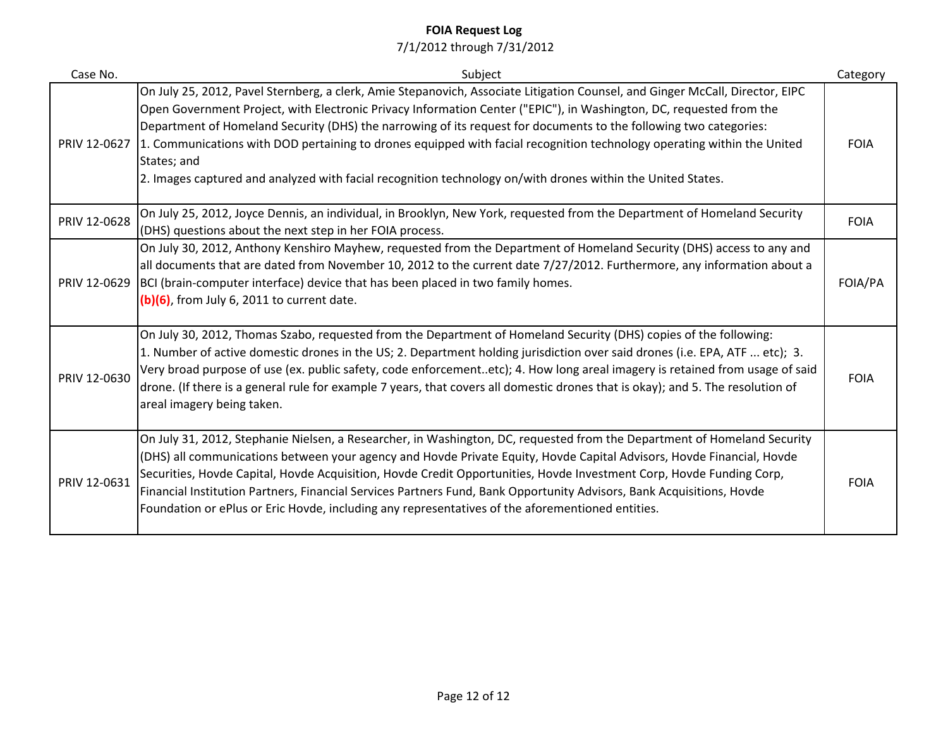| Case No.     | Subject                                                                                                                                                                                                                                                                                                                                                                                                                                                                                                                                                                                                                                         | Category    |
|--------------|-------------------------------------------------------------------------------------------------------------------------------------------------------------------------------------------------------------------------------------------------------------------------------------------------------------------------------------------------------------------------------------------------------------------------------------------------------------------------------------------------------------------------------------------------------------------------------------------------------------------------------------------------|-------------|
|              | On July 25, 2012, Pavel Sternberg, a clerk, Amie Stepanovich, Associate Litigation Counsel, and Ginger McCall, Director, EIPC<br>Open Government Project, with Electronic Privacy Information Center ("EPIC"), in Washington, DC, requested from the<br>Department of Homeland Security (DHS) the narrowing of its request for documents to the following two categories:<br>PRIV 12-0627 1. Communications with DOD pertaining to drones equipped with facial recognition technology operating within the United<br>States; and<br>2. Images captured and analyzed with facial recognition technology on/with drones within the United States. | <b>FOIA</b> |
| PRIV 12-0628 | On July 25, 2012, Joyce Dennis, an individual, in Brooklyn, New York, requested from the Department of Homeland Security<br>(DHS) questions about the next step in her FOIA process.                                                                                                                                                                                                                                                                                                                                                                                                                                                            | <b>FOIA</b> |
| PRIV 12-0629 | On July 30, 2012, Anthony Kenshiro Mayhew, requested from the Department of Homeland Security (DHS) access to any and<br>all documents that are dated from November 10, 2012 to the current date 7/27/2012. Furthermore, any information about a<br>BCI (brain-computer interface) device that has been placed in two family homes.<br>$(b)(6)$ , from July 6, 2011 to current date.                                                                                                                                                                                                                                                            | FOIA/PA     |
| PRIV 12-0630 | On July 30, 2012, Thomas Szabo, requested from the Department of Homeland Security (DHS) copies of the following:<br>1. Number of active domestic drones in the US; 2. Department holding jurisdiction over said drones (i.e. EPA, ATF  etc); 3.<br>Very broad purpose of use (ex. public safety, code enforcementetc); 4. How long areal imagery is retained from usage of said<br>drone. (If there is a general rule for example 7 years, that covers all domestic drones that is okay); and 5. The resolution of<br>areal imagery being taken.                                                                                               | <b>FOIA</b> |
| PRIV 12-0631 | On July 31, 2012, Stephanie Nielsen, a Researcher, in Washington, DC, requested from the Department of Homeland Security<br>(DHS) all communications between your agency and Hovde Private Equity, Hovde Capital Advisors, Hovde Financial, Hovde<br>Securities, Hovde Capital, Hovde Acquisition, Hovde Credit Opportunities, Hovde Investment Corp, Hovde Funding Corp,<br>Financial Institution Partners, Financial Services Partners Fund, Bank Opportunity Advisors, Bank Acquisitions, Hovde<br>Foundation or ePlus or Eric Hovde, including any representatives of the aforementioned entities.                                          | <b>FOIA</b> |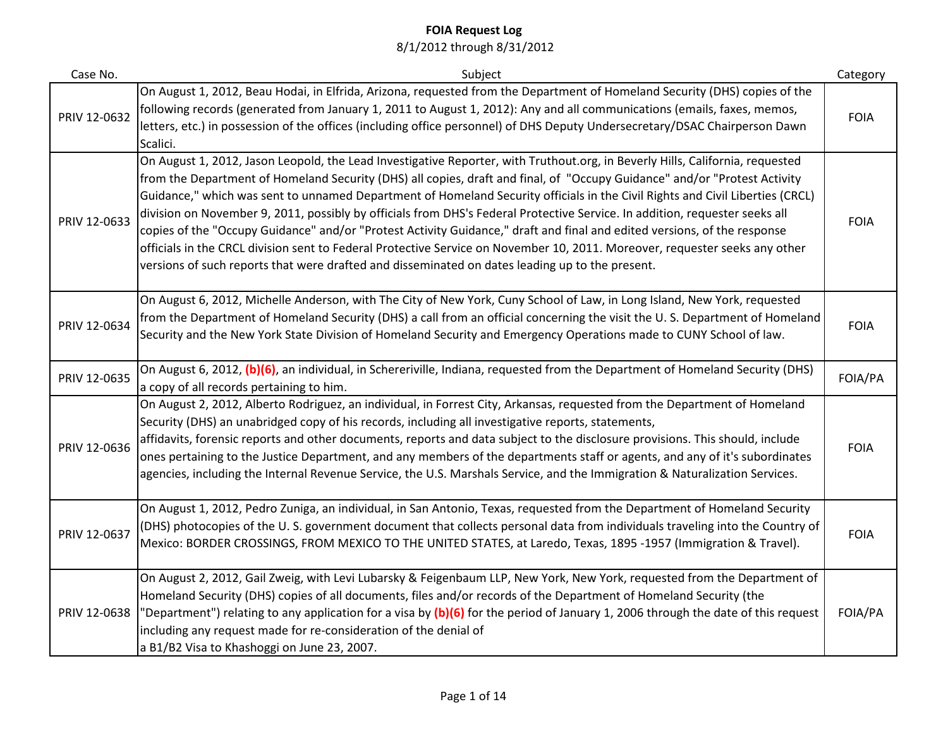| Case No.     | Subject                                                                                                                                                                                                                                                                                                                                                                                                                                                                                                                                                                                                                                                                                                                                                                                                                                                                                  | Category    |
|--------------|------------------------------------------------------------------------------------------------------------------------------------------------------------------------------------------------------------------------------------------------------------------------------------------------------------------------------------------------------------------------------------------------------------------------------------------------------------------------------------------------------------------------------------------------------------------------------------------------------------------------------------------------------------------------------------------------------------------------------------------------------------------------------------------------------------------------------------------------------------------------------------------|-------------|
| PRIV 12-0632 | On August 1, 2012, Beau Hodai, in Elfrida, Arizona, requested from the Department of Homeland Security (DHS) copies of the<br>following records (generated from January 1, 2011 to August 1, 2012): Any and all communications (emails, faxes, memos,<br>letters, etc.) in possession of the offices (including office personnel) of DHS Deputy Undersecretary/DSAC Chairperson Dawn<br>Scalici.                                                                                                                                                                                                                                                                                                                                                                                                                                                                                         | <b>FOIA</b> |
| PRIV 12-0633 | On August 1, 2012, Jason Leopold, the Lead Investigative Reporter, with Truthout.org, in Beverly Hills, California, requested<br>from the Department of Homeland Security (DHS) all copies, draft and final, of "Occupy Guidance" and/or "Protest Activity<br>Guidance," which was sent to unnamed Department of Homeland Security officials in the Civil Rights and Civil Liberties (CRCL)<br>division on November 9, 2011, possibly by officials from DHS's Federal Protective Service. In addition, requester seeks all<br>copies of the "Occupy Guidance" and/or "Protest Activity Guidance," draft and final and edited versions, of the response<br>officials in the CRCL division sent to Federal Protective Service on November 10, 2011. Moreover, requester seeks any other<br>versions of such reports that were drafted and disseminated on dates leading up to the present. | <b>FOIA</b> |
| PRIV 12-0634 | On August 6, 2012, Michelle Anderson, with The City of New York, Cuny School of Law, in Long Island, New York, requested<br>from the Department of Homeland Security (DHS) a call from an official concerning the visit the U.S. Department of Homeland<br>Security and the New York State Division of Homeland Security and Emergency Operations made to CUNY School of law.                                                                                                                                                                                                                                                                                                                                                                                                                                                                                                            | <b>FOIA</b> |
| PRIV 12-0635 | On August 6, 2012, (b)(6), an individual, in Schereriville, Indiana, requested from the Department of Homeland Security (DHS)<br>a copy of all records pertaining to him.                                                                                                                                                                                                                                                                                                                                                                                                                                                                                                                                                                                                                                                                                                                | FOIA/PA     |
| PRIV 12-0636 | On August 2, 2012, Alberto Rodriguez, an individual, in Forrest City, Arkansas, requested from the Department of Homeland<br>Security (DHS) an unabridged copy of his records, including all investigative reports, statements,<br>affidavits, forensic reports and other documents, reports and data subject to the disclosure provisions. This should, include<br>ones pertaining to the Justice Department, and any members of the departments staff or agents, and any of it's subordinates<br>agencies, including the Internal Revenue Service, the U.S. Marshals Service, and the Immigration & Naturalization Services.                                                                                                                                                                                                                                                           | <b>FOIA</b> |
| PRIV 12-0637 | On August 1, 2012, Pedro Zuniga, an individual, in San Antonio, Texas, requested from the Department of Homeland Security<br>(DHS) photocopies of the U.S. government document that collects personal data from individuals traveling into the Country of<br>Mexico: BORDER CROSSINGS, FROM MEXICO TO THE UNITED STATES, at Laredo, Texas, 1895 -1957 (Immigration & Travel).                                                                                                                                                                                                                                                                                                                                                                                                                                                                                                            | <b>FOIA</b> |
| PRIV 12-0638 | On August 2, 2012, Gail Zweig, with Levi Lubarsky & Feigenbaum LLP, New York, New York, requested from the Department of<br>Homeland Security (DHS) copies of all documents, files and/or records of the Department of Homeland Security (the<br>'Department") relating to any application for a visa by (b)(6) for the period of January 1, 2006 through the date of this request<br>including any request made for re-consideration of the denial of<br>a B1/B2 Visa to Khashoggi on June 23, 2007.                                                                                                                                                                                                                                                                                                                                                                                    | FOIA/PA     |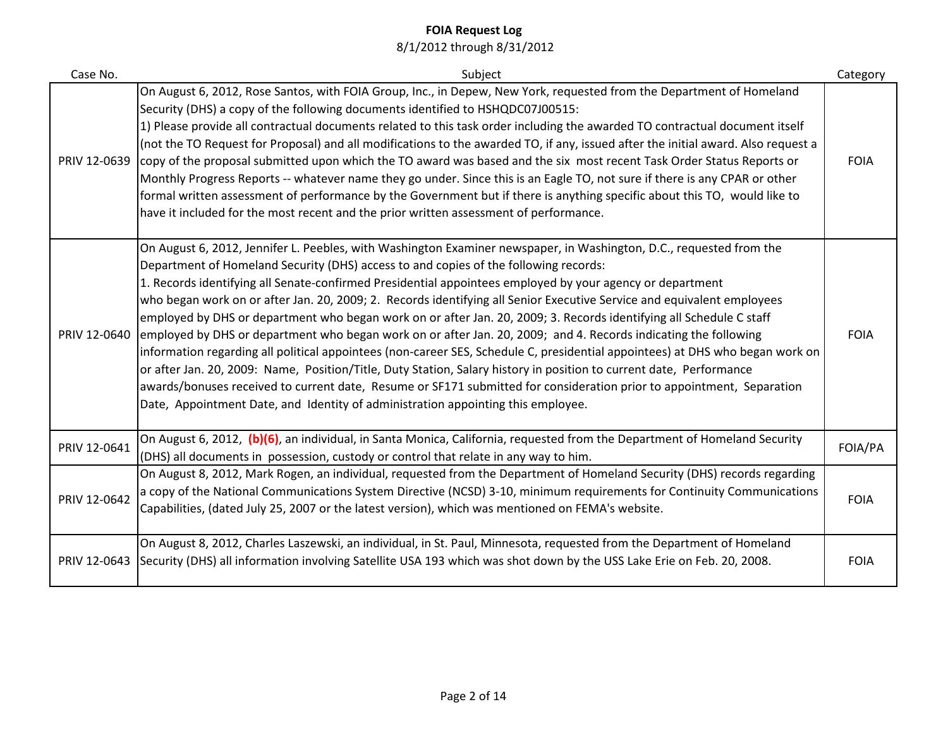| Case No.     | Subject                                                                                                                                                                                                                                                                                                                                                                                                                                                                                                                                                                                                                                                                                                                                                                                                                                                                                                                                                                                                                                                                                                                                                           | Category    |
|--------------|-------------------------------------------------------------------------------------------------------------------------------------------------------------------------------------------------------------------------------------------------------------------------------------------------------------------------------------------------------------------------------------------------------------------------------------------------------------------------------------------------------------------------------------------------------------------------------------------------------------------------------------------------------------------------------------------------------------------------------------------------------------------------------------------------------------------------------------------------------------------------------------------------------------------------------------------------------------------------------------------------------------------------------------------------------------------------------------------------------------------------------------------------------------------|-------------|
| PRIV 12-0639 | On August 6, 2012, Rose Santos, with FOIA Group, Inc., in Depew, New York, requested from the Department of Homeland<br>Security (DHS) a copy of the following documents identified to HSHQDC07J00515:<br>1) Please provide all contractual documents related to this task order including the awarded TO contractual document itself<br>(not the TO Request for Proposal) and all modifications to the awarded TO, if any, issued after the initial award. Also request a<br>copy of the proposal submitted upon which the TO award was based and the six most recent Task Order Status Reports or<br>Monthly Progress Reports -- whatever name they go under. Since this is an Eagle TO, not sure if there is any CPAR or other<br>formal written assessment of performance by the Government but if there is anything specific about this TO, would like to<br>have it included for the most recent and the prior written assessment of performance.                                                                                                                                                                                                           | <b>FOIA</b> |
| PRIV 12-0640 | On August 6, 2012, Jennifer L. Peebles, with Washington Examiner newspaper, in Washington, D.C., requested from the<br>Department of Homeland Security (DHS) access to and copies of the following records:<br>1. Records identifying all Senate-confirmed Presidential appointees employed by your agency or department<br>who began work on or after Jan. 20, 2009; 2. Records identifying all Senior Executive Service and equivalent employees<br>employed by DHS or department who began work on or after Jan. 20, 2009; 3. Records identifying all Schedule C staff<br>employed by DHS or department who began work on or after Jan. 20, 2009; and 4. Records indicating the following<br>information regarding all political appointees (non-career SES, Schedule C, presidential appointees) at DHS who began work on<br>or after Jan. 20, 2009: Name, Position/Title, Duty Station, Salary history in position to current date, Performance<br>awards/bonuses received to current date, Resume or SF171 submitted for consideration prior to appointment, Separation<br>Date, Appointment Date, and Identity of administration appointing this employee. | <b>FOIA</b> |
| PRIV 12-0641 | On August 6, 2012, (b)(6), an individual, in Santa Monica, California, requested from the Department of Homeland Security<br>(DHS) all documents in possession, custody or control that relate in any way to him.                                                                                                                                                                                                                                                                                                                                                                                                                                                                                                                                                                                                                                                                                                                                                                                                                                                                                                                                                 | FOIA/PA     |
| PRIV 12-0642 | On August 8, 2012, Mark Rogen, an individual, requested from the Department of Homeland Security (DHS) records regarding<br>a copy of the National Communications System Directive (NCSD) 3-10, minimum requirements for Continuity Communications<br>Capabilities, (dated July 25, 2007 or the latest version), which was mentioned on FEMA's website.                                                                                                                                                                                                                                                                                                                                                                                                                                                                                                                                                                                                                                                                                                                                                                                                           | <b>FOIA</b> |
|              | On August 8, 2012, Charles Laszewski, an individual, in St. Paul, Minnesota, requested from the Department of Homeland<br>PRIV 12-0643 Security (DHS) all information involving Satellite USA 193 which was shot down by the USS Lake Erie on Feb. 20, 2008.                                                                                                                                                                                                                                                                                                                                                                                                                                                                                                                                                                                                                                                                                                                                                                                                                                                                                                      | <b>FOIA</b> |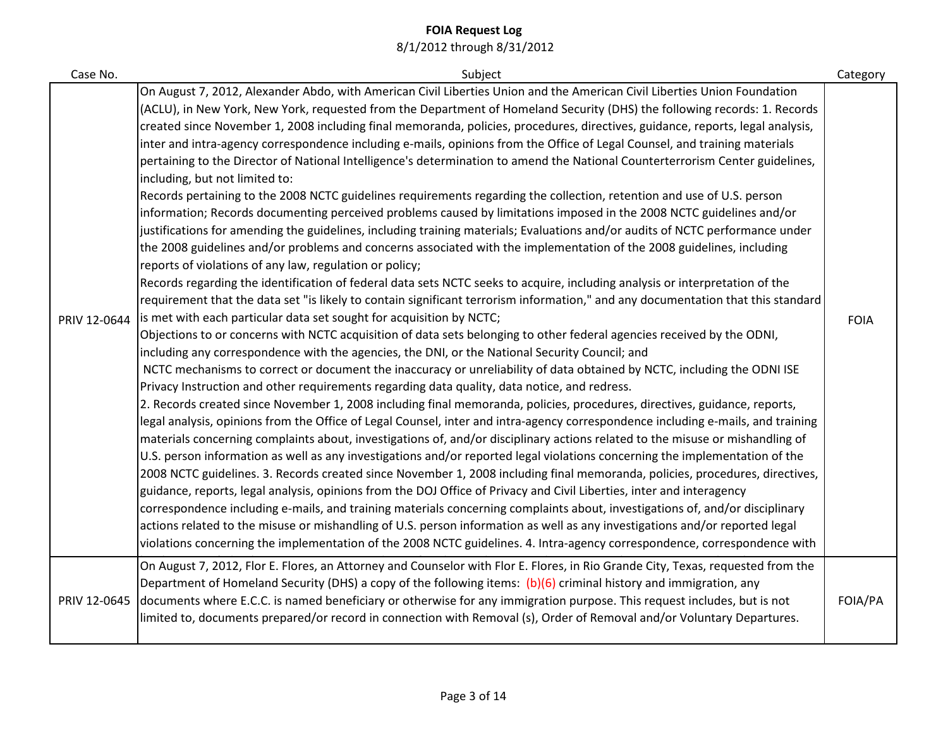| Case No.     | Subject                                                                                                                                                                                                                                                                                                                                                                                                                                                                                                                                                                                                                                                                                                                                                                                                                                                                                                                                                                                                                                                                                                                                                                                                                                                                                                                                                                                                                                                                                                                                                                                                                                                                                                                                                                                                                                                                                                                                                                                                                                                                                                                                                                                                                                                                                                                                                                                                                                                                                                                                                                                                                                                                                                                                                                                                                                                                                                                                                                                                                                                                                                                                                                                                                                                  | Category    |
|--------------|----------------------------------------------------------------------------------------------------------------------------------------------------------------------------------------------------------------------------------------------------------------------------------------------------------------------------------------------------------------------------------------------------------------------------------------------------------------------------------------------------------------------------------------------------------------------------------------------------------------------------------------------------------------------------------------------------------------------------------------------------------------------------------------------------------------------------------------------------------------------------------------------------------------------------------------------------------------------------------------------------------------------------------------------------------------------------------------------------------------------------------------------------------------------------------------------------------------------------------------------------------------------------------------------------------------------------------------------------------------------------------------------------------------------------------------------------------------------------------------------------------------------------------------------------------------------------------------------------------------------------------------------------------------------------------------------------------------------------------------------------------------------------------------------------------------------------------------------------------------------------------------------------------------------------------------------------------------------------------------------------------------------------------------------------------------------------------------------------------------------------------------------------------------------------------------------------------------------------------------------------------------------------------------------------------------------------------------------------------------------------------------------------------------------------------------------------------------------------------------------------------------------------------------------------------------------------------------------------------------------------------------------------------------------------------------------------------------------------------------------------------------------------------------------------------------------------------------------------------------------------------------------------------------------------------------------------------------------------------------------------------------------------------------------------------------------------------------------------------------------------------------------------------------------------------------------------------------------------------------------------------|-------------|
| PRIV 12-0644 | On August 7, 2012, Alexander Abdo, with American Civil Liberties Union and the American Civil Liberties Union Foundation<br>(ACLU), in New York, New York, requested from the Department of Homeland Security (DHS) the following records: 1. Records<br>created since November 1, 2008 including final memoranda, policies, procedures, directives, guidance, reports, legal analysis,<br>inter and intra-agency correspondence including e-mails, opinions from the Office of Legal Counsel, and training materials<br>pertaining to the Director of National Intelligence's determination to amend the National Counterterrorism Center guidelines,<br>including, but not limited to:<br>Records pertaining to the 2008 NCTC guidelines requirements regarding the collection, retention and use of U.S. person<br>information; Records documenting perceived problems caused by limitations imposed in the 2008 NCTC guidelines and/or<br>justifications for amending the guidelines, including training materials; Evaluations and/or audits of NCTC performance under<br>the 2008 guidelines and/or problems and concerns associated with the implementation of the 2008 guidelines, including<br>reports of violations of any law, regulation or policy;<br>Records regarding the identification of federal data sets NCTC seeks to acquire, including analysis or interpretation of the<br>requirement that the data set "is likely to contain significant terrorism information," and any documentation that this standard<br>is met with each particular data set sought for acquisition by NCTC;<br>Objections to or concerns with NCTC acquisition of data sets belonging to other federal agencies received by the ODNI,<br>including any correspondence with the agencies, the DNI, or the National Security Council; and<br>NCTC mechanisms to correct or document the inaccuracy or unreliability of data obtained by NCTC, including the ODNI ISE<br>Privacy Instruction and other requirements regarding data quality, data notice, and redress.<br>2. Records created since November 1, 2008 including final memoranda, policies, procedures, directives, guidance, reports,<br>legal analysis, opinions from the Office of Legal Counsel, inter and intra-agency correspondence including e-mails, and training<br>materials concerning complaints about, investigations of, and/or disciplinary actions related to the misuse or mishandling of<br>U.S. person information as well as any investigations and/or reported legal violations concerning the implementation of the<br>2008 NCTC guidelines. 3. Records created since November 1, 2008 including final memoranda, policies, procedures, directives,<br>guidance, reports, legal analysis, opinions from the DOJ Office of Privacy and Civil Liberties, inter and interagency<br>correspondence including e-mails, and training materials concerning complaints about, investigations of, and/or disciplinary<br>actions related to the misuse or mishandling of U.S. person information as well as any investigations and/or reported legal<br>violations concerning the implementation of the 2008 NCTC guidelines. 4. Intra-agency correspondence, correspondence with | <b>FOIA</b> |
| PRIV 12-0645 | On August 7, 2012, Flor E. Flores, an Attorney and Counselor with Flor E. Flores, in Rio Grande City, Texas, requested from the<br>Department of Homeland Security (DHS) a copy of the following items: (b)(6) criminal history and immigration, any<br>documents where E.C.C. is named beneficiary or otherwise for any immigration purpose. This request includes, but is not<br>limited to, documents prepared/or record in connection with Removal (s), Order of Removal and/or Voluntary Departures.                                                                                                                                                                                                                                                                                                                                                                                                                                                                                                                                                                                                                                                                                                                                                                                                                                                                                                                                                                                                                                                                                                                                                                                                                                                                                                                                                                                                                                                                                                                                                                                                                                                                                                                                                                                                                                                                                                                                                                                                                                                                                                                                                                                                                                                                                                                                                                                                                                                                                                                                                                                                                                                                                                                                                | FOIA/PA     |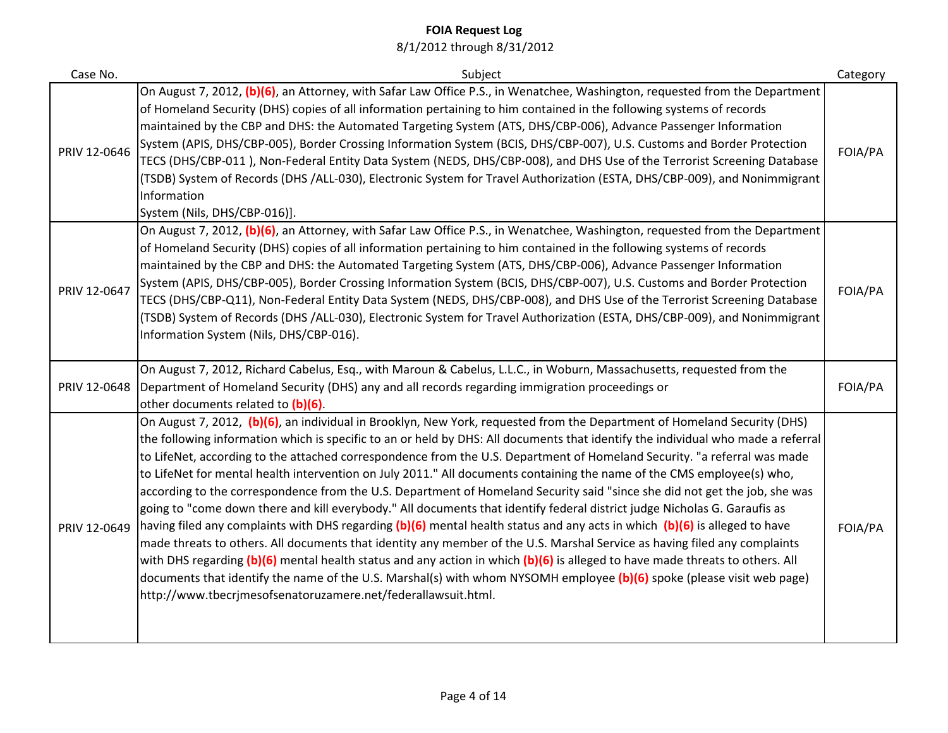| Case No.     | Subject                                                                                                                                                                                                                                                                                                                                                                                                                                                                                                                                                                                                                                                                                                                                                                                                                                                                                                                                                                                                                                                                                                                                                                                                                                                                                                                                                             | Category |
|--------------|---------------------------------------------------------------------------------------------------------------------------------------------------------------------------------------------------------------------------------------------------------------------------------------------------------------------------------------------------------------------------------------------------------------------------------------------------------------------------------------------------------------------------------------------------------------------------------------------------------------------------------------------------------------------------------------------------------------------------------------------------------------------------------------------------------------------------------------------------------------------------------------------------------------------------------------------------------------------------------------------------------------------------------------------------------------------------------------------------------------------------------------------------------------------------------------------------------------------------------------------------------------------------------------------------------------------------------------------------------------------|----------|
| PRIV 12-0646 | On August 7, 2012, (b)(6), an Attorney, with Safar Law Office P.S., in Wenatchee, Washington, requested from the Department<br>of Homeland Security (DHS) copies of all information pertaining to him contained in the following systems of records<br>maintained by the CBP and DHS: the Automated Targeting System (ATS, DHS/CBP-006), Advance Passenger Information<br>System (APIS, DHS/CBP-005), Border Crossing Information System (BCIS, DHS/CBP-007), U.S. Customs and Border Protection<br>TECS (DHS/CBP-011), Non-Federal Entity Data System (NEDS, DHS/CBP-008), and DHS Use of the Terrorist Screening Database<br>(TSDB) System of Records (DHS /ALL-030), Electronic System for Travel Authorization (ESTA, DHS/CBP-009), and Nonimmigrant<br>Information<br>System (Nils, DHS/CBP-016)].                                                                                                                                                                                                                                                                                                                                                                                                                                                                                                                                                             | FOIA/PA  |
| PRIV 12-0647 | On August 7, 2012, (b)(6), an Attorney, with Safar Law Office P.S., in Wenatchee, Washington, requested from the Department<br>of Homeland Security (DHS) copies of all information pertaining to him contained in the following systems of records<br>maintained by the CBP and DHS: the Automated Targeting System (ATS, DHS/CBP-006), Advance Passenger Information<br>System (APIS, DHS/CBP-005), Border Crossing Information System (BCIS, DHS/CBP-007), U.S. Customs and Border Protection<br>TECS (DHS/CBP-Q11), Non-Federal Entity Data System (NEDS, DHS/CBP-008), and DHS Use of the Terrorist Screening Database<br>(TSDB) System of Records (DHS /ALL-030), Electronic System for Travel Authorization (ESTA, DHS/CBP-009), and Nonimmigrant<br>Information System (Nils, DHS/CBP-016).                                                                                                                                                                                                                                                                                                                                                                                                                                                                                                                                                                 | FOIA/PA  |
| PRIV 12-0648 | On August 7, 2012, Richard Cabelus, Esq., with Maroun & Cabelus, L.L.C., in Woburn, Massachusetts, requested from the<br>Department of Homeland Security (DHS) any and all records regarding immigration proceedings or<br>other documents related to (b)(6).                                                                                                                                                                                                                                                                                                                                                                                                                                                                                                                                                                                                                                                                                                                                                                                                                                                                                                                                                                                                                                                                                                       | FOIA/PA  |
| PRIV 12-0649 | On August 7, 2012, (b)(6), an individual in Brooklyn, New York, requested from the Department of Homeland Security (DHS)<br>the following information which is specific to an or held by DHS: All documents that identify the individual who made a referral<br>to LifeNet, according to the attached correspondence from the U.S. Department of Homeland Security. "a referral was made<br>to LifeNet for mental health intervention on July 2011." All documents containing the name of the CMS employee(s) who,<br>according to the correspondence from the U.S. Department of Homeland Security said "since she did not get the job, she was<br>going to "come down there and kill everybody." All documents that identify federal district judge Nicholas G. Garaufis as<br>having filed any complaints with DHS regarding (b)(6) mental health status and any acts in which (b)(6) is alleged to have<br>made threats to others. All documents that identity any member of the U.S. Marshal Service as having filed any complaints<br>with DHS regarding (b)(6) mental health status and any action in which (b)(6) is alleged to have made threats to others. All<br>documents that identify the name of the U.S. Marshal(s) with whom NYSOMH employee (b)(6) spoke (please visit web page)<br>http://www.tbecrjmesofsenatoruzamere.net/federallawsuit.html. | FOIA/PA  |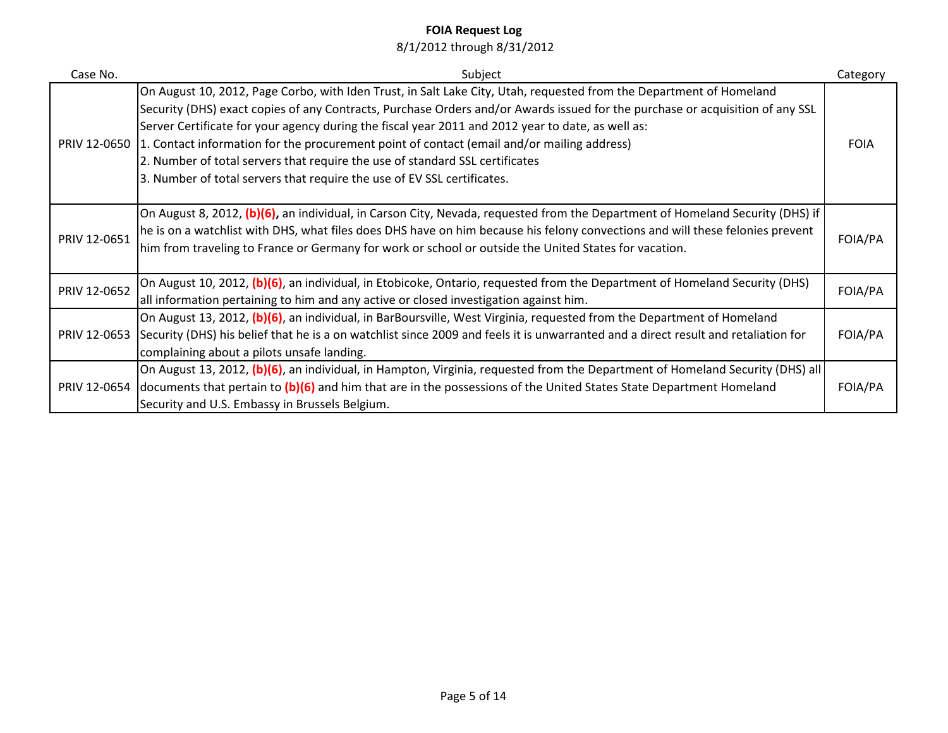| Case No.     | Subject                                                                                                                                                                                                                                                                                                                                                                                                                                                                                                                                                                                                                         | Category    |
|--------------|---------------------------------------------------------------------------------------------------------------------------------------------------------------------------------------------------------------------------------------------------------------------------------------------------------------------------------------------------------------------------------------------------------------------------------------------------------------------------------------------------------------------------------------------------------------------------------------------------------------------------------|-------------|
|              | On August 10, 2012, Page Corbo, with Iden Trust, in Salt Lake City, Utah, requested from the Department of Homeland<br>Security (DHS) exact copies of any Contracts, Purchase Orders and/or Awards issued for the purchase or acquisition of any SSL<br>Server Certificate for your agency during the fiscal year 2011 and 2012 year to date, as well as:<br>PRIV 12-0650 1. Contact information for the procurement point of contact (email and/or mailing address)<br>2. Number of total servers that require the use of standard SSL certificates<br>3. Number of total servers that require the use of EV SSL certificates. | <b>FOIA</b> |
| PRIV 12-0651 | On August 8, 2012, (b)(6), an individual, in Carson City, Nevada, requested from the Department of Homeland Security (DHS) if<br>he is on a watchlist with DHS, what files does DHS have on him because his felony convections and will these felonies prevent<br>him from traveling to France or Germany for work or school or outside the United States for vacation.                                                                                                                                                                                                                                                         | FOIA/PA     |
| PRIV 12-0652 | On August 10, 2012, (b)(6), an individual, in Etobicoke, Ontario, requested from the Department of Homeland Security (DHS)<br>all information pertaining to him and any active or closed investigation against him.                                                                                                                                                                                                                                                                                                                                                                                                             | FOIA/PA     |
|              | On August 13, 2012, (b)(6), an individual, in BarBoursville, West Virginia, requested from the Department of Homeland<br>PRIV 12-0653 Security (DHS) his belief that he is a on watchlist since 2009 and feels it is unwarranted and a direct result and retaliation for<br>complaining about a pilots unsafe landing.                                                                                                                                                                                                                                                                                                          | FOIA/PA     |
|              | On August 13, 2012, (b)(6), an individual, in Hampton, Virginia, requested from the Department of Homeland Security (DHS) all<br>PRIV 12-0654 documents that pertain to $(b)(6)$ and him that are in the possessions of the United States State Department Homeland<br>Security and U.S. Embassy in Brussels Belgium.                                                                                                                                                                                                                                                                                                           | FOIA/PA     |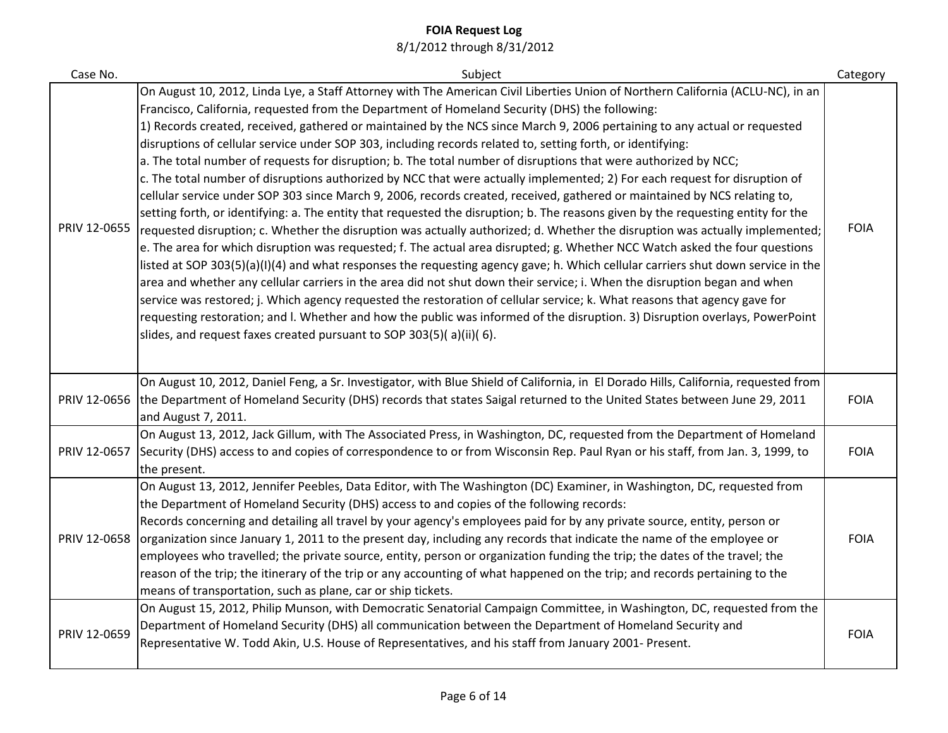| Case No.     | Subject                                                                                                                                                                                                                                                                                                                                                                                                                                                                                                                                                                                                                                                                                                                                                                                                                                                                                                                                                                                                                                                                                                                                                                                                                                                                                                                                                                                                                                                                                                                                                                                                                                                                                                                                                                                                                                                              | Category    |
|--------------|----------------------------------------------------------------------------------------------------------------------------------------------------------------------------------------------------------------------------------------------------------------------------------------------------------------------------------------------------------------------------------------------------------------------------------------------------------------------------------------------------------------------------------------------------------------------------------------------------------------------------------------------------------------------------------------------------------------------------------------------------------------------------------------------------------------------------------------------------------------------------------------------------------------------------------------------------------------------------------------------------------------------------------------------------------------------------------------------------------------------------------------------------------------------------------------------------------------------------------------------------------------------------------------------------------------------------------------------------------------------------------------------------------------------------------------------------------------------------------------------------------------------------------------------------------------------------------------------------------------------------------------------------------------------------------------------------------------------------------------------------------------------------------------------------------------------------------------------------------------------|-------------|
| PRIV 12-0655 | On August 10, 2012, Linda Lye, a Staff Attorney with The American Civil Liberties Union of Northern California (ACLU-NC), in an<br>Francisco, California, requested from the Department of Homeland Security (DHS) the following:<br>1) Records created, received, gathered or maintained by the NCS since March 9, 2006 pertaining to any actual or requested<br>disruptions of cellular service under SOP 303, including records related to, setting forth, or identifying:<br>a. The total number of requests for disruption; b. The total number of disruptions that were authorized by NCC;<br>c. The total number of disruptions authorized by NCC that were actually implemented; 2) For each request for disruption of<br>cellular service under SOP 303 since March 9, 2006, records created, received, gathered or maintained by NCS relating to,<br>setting forth, or identifying: a. The entity that requested the disruption; b. The reasons given by the requesting entity for the<br>requested disruption; c. Whether the disruption was actually authorized; d. Whether the disruption was actually implemented;<br>e. The area for which disruption was requested; f. The actual area disrupted; g. Whether NCC Watch asked the four questions<br>listed at SOP 303(5)(a)(I)(4) and what responses the requesting agency gave; h. Which cellular carriers shut down service in the<br>area and whether any cellular carriers in the area did not shut down their service; i. When the disruption began and when<br>service was restored; j. Which agency requested the restoration of cellular service; k. What reasons that agency gave for<br>requesting restoration; and I. Whether and how the public was informed of the disruption. 3) Disruption overlays, PowerPoint<br>slides, and request faxes created pursuant to SOP 303(5)(a)(ii)(6). | <b>FOIA</b> |
| PRIV 12-0656 | On August 10, 2012, Daniel Feng, a Sr. Investigator, with Blue Shield of California, in El Dorado Hills, California, requested from<br>the Department of Homeland Security (DHS) records that states Saigal returned to the United States between June 29, 2011<br>and August 7, 2011.                                                                                                                                                                                                                                                                                                                                                                                                                                                                                                                                                                                                                                                                                                                                                                                                                                                                                                                                                                                                                                                                                                                                                                                                                                                                                                                                                                                                                                                                                                                                                                               | <b>FOIA</b> |
| PRIV 12-0657 | On August 13, 2012, Jack Gillum, with The Associated Press, in Washington, DC, requested from the Department of Homeland<br>Security (DHS) access to and copies of correspondence to or from Wisconsin Rep. Paul Ryan or his staff, from Jan. 3, 1999, to<br>the present.                                                                                                                                                                                                                                                                                                                                                                                                                                                                                                                                                                                                                                                                                                                                                                                                                                                                                                                                                                                                                                                                                                                                                                                                                                                                                                                                                                                                                                                                                                                                                                                            | <b>FOIA</b> |
| PRIV 12-0658 | On August 13, 2012, Jennifer Peebles, Data Editor, with The Washington (DC) Examiner, in Washington, DC, requested from<br>the Department of Homeland Security (DHS) access to and copies of the following records:<br>Records concerning and detailing all travel by your agency's employees paid for by any private source, entity, person or<br>organization since January 1, 2011 to the present day, including any records that indicate the name of the employee or<br>employees who travelled; the private source, entity, person or organization funding the trip; the dates of the travel; the<br>reason of the trip; the itinerary of the trip or any accounting of what happened on the trip; and records pertaining to the<br>means of transportation, such as plane, car or ship tickets.                                                                                                                                                                                                                                                                                                                                                                                                                                                                                                                                                                                                                                                                                                                                                                                                                                                                                                                                                                                                                                                               | <b>FOIA</b> |
| PRIV 12-0659 | On August 15, 2012, Philip Munson, with Democratic Senatorial Campaign Committee, in Washington, DC, requested from the<br>Department of Homeland Security (DHS) all communication between the Department of Homeland Security and<br>Representative W. Todd Akin, U.S. House of Representatives, and his staff from January 2001- Present.                                                                                                                                                                                                                                                                                                                                                                                                                                                                                                                                                                                                                                                                                                                                                                                                                                                                                                                                                                                                                                                                                                                                                                                                                                                                                                                                                                                                                                                                                                                          | <b>FOIA</b> |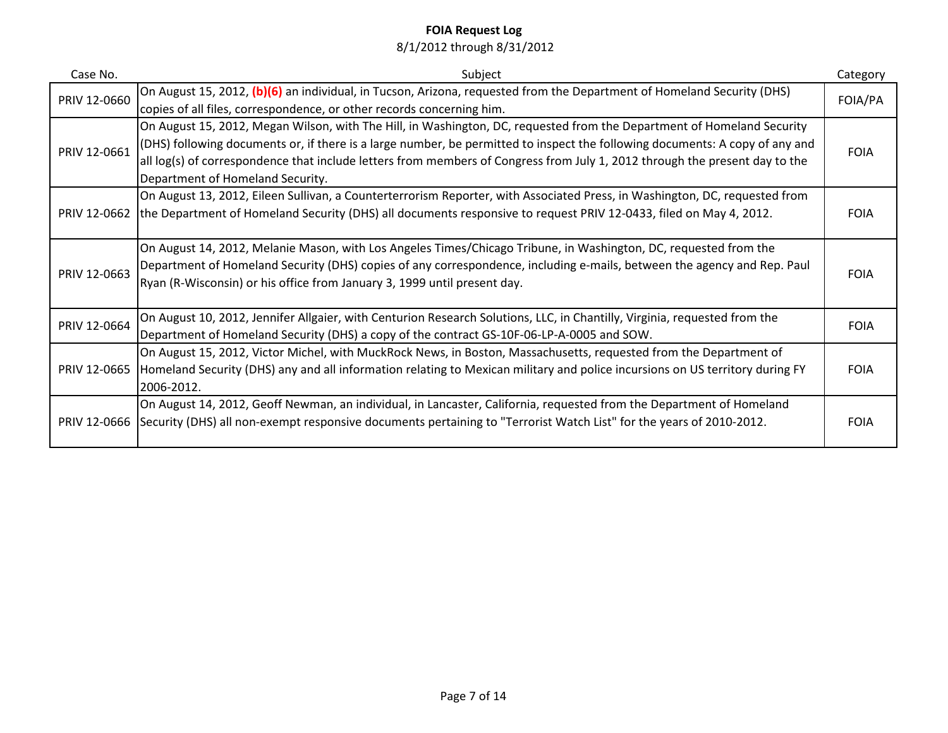| Case No.     | Subject                                                                                                                                                                                                                                                                                                                                                                                                                   | Category    |
|--------------|---------------------------------------------------------------------------------------------------------------------------------------------------------------------------------------------------------------------------------------------------------------------------------------------------------------------------------------------------------------------------------------------------------------------------|-------------|
| PRIV 12-0660 | On August 15, 2012, (b)(6) an individual, in Tucson, Arizona, requested from the Department of Homeland Security (DHS)<br>copies of all files, correspondence, or other records concerning him.                                                                                                                                                                                                                           | FOIA/PA     |
| PRIV 12-0661 | On August 15, 2012, Megan Wilson, with The Hill, in Washington, DC, requested from the Department of Homeland Security<br>(DHS) following documents or, if there is a large number, be permitted to inspect the following documents: A copy of any and<br>all log(s) of correspondence that include letters from members of Congress from July 1, 2012 through the present day to the<br>Department of Homeland Security. | <b>FOIA</b> |
| PRIV 12-0662 | On August 13, 2012, Eileen Sullivan, a Counterterrorism Reporter, with Associated Press, in Washington, DC, requested from<br>the Department of Homeland Security (DHS) all documents responsive to request PRIV 12-0433, filed on May 4, 2012.                                                                                                                                                                           | <b>FOIA</b> |
| PRIV 12-0663 | On August 14, 2012, Melanie Mason, with Los Angeles Times/Chicago Tribune, in Washington, DC, requested from the<br>Department of Homeland Security (DHS) copies of any correspondence, including e-mails, between the agency and Rep. Paul<br>Ryan (R-Wisconsin) or his office from January 3, 1999 until present day.                                                                                                   | <b>FOIA</b> |
| PRIV 12-0664 | On August 10, 2012, Jennifer Allgaier, with Centurion Research Solutions, LLC, in Chantilly, Virginia, requested from the<br>Department of Homeland Security (DHS) a copy of the contract GS-10F-06-LP-A-0005 and SOW.                                                                                                                                                                                                    | <b>FOIA</b> |
|              | On August 15, 2012, Victor Michel, with MuckRock News, in Boston, Massachusetts, requested from the Department of<br>PRIV 12-0665 Homeland Security (DHS) any and all information relating to Mexican military and police incursions on US territory during FY<br>2006-2012.                                                                                                                                              | <b>FOIA</b> |
|              | On August 14, 2012, Geoff Newman, an individual, in Lancaster, California, requested from the Department of Homeland<br>PRIV 12-0666 Security (DHS) all non-exempt responsive documents pertaining to "Terrorist Watch List" for the years of 2010-2012.                                                                                                                                                                  | <b>FOIA</b> |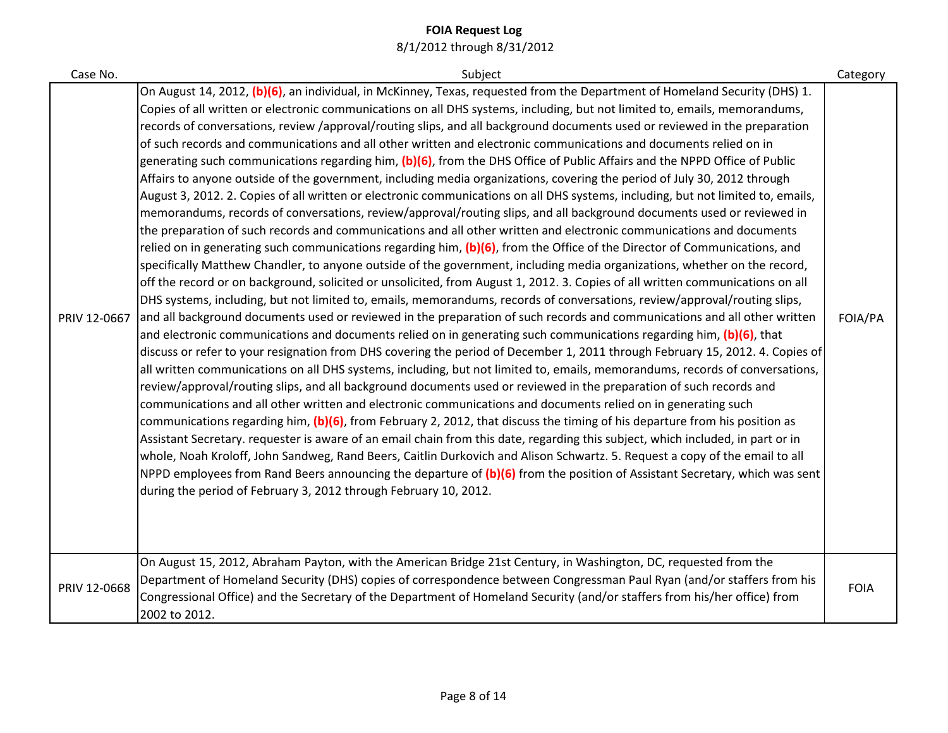| Case No.     | Subject                                                                                                                                                                                                                                                                                                                                                                                                                                                                                                                                                                                                                                                                                                                                                                                                                                                                                                                                                                                                                                                                                                                                                                                                                                                                                                                                                                                                                                                                                                                                                                                                                                                                                                                                                                                                                                                                                                                                                                                                                                                                                                                                                                                                                                                                                                                                                                                                                                                                                                                                                                                                                                                                                                                                                                                                                                                                                                                                                                                                                                              | Category    |
|--------------|------------------------------------------------------------------------------------------------------------------------------------------------------------------------------------------------------------------------------------------------------------------------------------------------------------------------------------------------------------------------------------------------------------------------------------------------------------------------------------------------------------------------------------------------------------------------------------------------------------------------------------------------------------------------------------------------------------------------------------------------------------------------------------------------------------------------------------------------------------------------------------------------------------------------------------------------------------------------------------------------------------------------------------------------------------------------------------------------------------------------------------------------------------------------------------------------------------------------------------------------------------------------------------------------------------------------------------------------------------------------------------------------------------------------------------------------------------------------------------------------------------------------------------------------------------------------------------------------------------------------------------------------------------------------------------------------------------------------------------------------------------------------------------------------------------------------------------------------------------------------------------------------------------------------------------------------------------------------------------------------------------------------------------------------------------------------------------------------------------------------------------------------------------------------------------------------------------------------------------------------------------------------------------------------------------------------------------------------------------------------------------------------------------------------------------------------------------------------------------------------------------------------------------------------------------------------------------------------------------------------------------------------------------------------------------------------------------------------------------------------------------------------------------------------------------------------------------------------------------------------------------------------------------------------------------------------------------------------------------------------------------------------------------------------------|-------------|
| PRIV 12-0667 | On August 14, 2012, (b)(6), an individual, in McKinney, Texas, requested from the Department of Homeland Security (DHS) 1.<br>Copies of all written or electronic communications on all DHS systems, including, but not limited to, emails, memorandums,<br>records of conversations, review /approval/routing slips, and all background documents used or reviewed in the preparation<br>of such records and communications and all other written and electronic communications and documents relied on in<br>generating such communications regarding him, (b)(6), from the DHS Office of Public Affairs and the NPPD Office of Public<br>Affairs to anyone outside of the government, including media organizations, covering the period of July 30, 2012 through<br>August 3, 2012. 2. Copies of all written or electronic communications on all DHS systems, including, but not limited to, emails,<br>memorandums, records of conversations, review/approval/routing slips, and all background documents used or reviewed in<br>the preparation of such records and communications and all other written and electronic communications and documents<br>relied on in generating such communications regarding him, (b)(6), from the Office of the Director of Communications, and<br>specifically Matthew Chandler, to anyone outside of the government, including media organizations, whether on the record,<br>off the record or on background, solicited or unsolicited, from August 1, 2012. 3. Copies of all written communications on all<br>DHS systems, including, but not limited to, emails, memorandums, records of conversations, review/approval/routing slips,<br>and all background documents used or reviewed in the preparation of such records and communications and all other written<br>and electronic communications and documents relied on in generating such communications regarding him, (b)(6), that<br>discuss or refer to your resignation from DHS covering the period of December 1, 2011 through February 15, 2012. 4. Copies of<br>all written communications on all DHS systems, including, but not limited to, emails, memorandums, records of conversations,<br>review/approval/routing slips, and all background documents used or reviewed in the preparation of such records and<br>communications and all other written and electronic communications and documents relied on in generating such<br>communications regarding him, (b)(6), from February 2, 2012, that discuss the timing of his departure from his position as<br>Assistant Secretary. requester is aware of an email chain from this date, regarding this subject, which included, in part or in<br>whole, Noah Kroloff, John Sandweg, Rand Beers, Caitlin Durkovich and Alison Schwartz. 5. Request a copy of the email to all<br>NPPD employees from Rand Beers announcing the departure of $(b)(6)$ from the position of Assistant Secretary, which was sent<br>during the period of February 3, 2012 through February 10, 2012. | FOIA/PA     |
| PRIV 12-0668 | On August 15, 2012, Abraham Payton, with the American Bridge 21st Century, in Washington, DC, requested from the<br>Department of Homeland Security (DHS) copies of correspondence between Congressman Paul Ryan (and/or staffers from his<br>Congressional Office) and the Secretary of the Department of Homeland Security (and/or staffers from his/her office) from<br>2002 to 2012.                                                                                                                                                                                                                                                                                                                                                                                                                                                                                                                                                                                                                                                                                                                                                                                                                                                                                                                                                                                                                                                                                                                                                                                                                                                                                                                                                                                                                                                                                                                                                                                                                                                                                                                                                                                                                                                                                                                                                                                                                                                                                                                                                                                                                                                                                                                                                                                                                                                                                                                                                                                                                                                             | <b>FOIA</b> |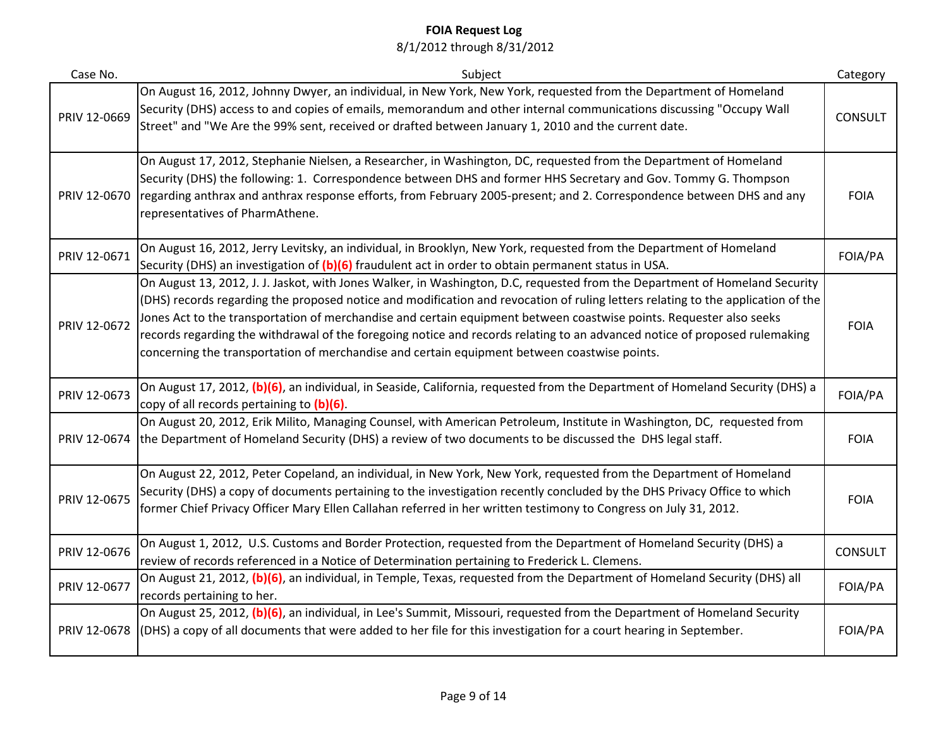| Case No.     | Subject                                                                                                                                                                                                                                                                                                                                                                                                                                                                                                                                                                                                              | Category       |
|--------------|----------------------------------------------------------------------------------------------------------------------------------------------------------------------------------------------------------------------------------------------------------------------------------------------------------------------------------------------------------------------------------------------------------------------------------------------------------------------------------------------------------------------------------------------------------------------------------------------------------------------|----------------|
| PRIV 12-0669 | On August 16, 2012, Johnny Dwyer, an individual, in New York, New York, requested from the Department of Homeland<br>Security (DHS) access to and copies of emails, memorandum and other internal communications discussing "Occupy Wall<br>Street" and "We Are the 99% sent, received or drafted between January 1, 2010 and the current date.                                                                                                                                                                                                                                                                      | <b>CONSULT</b> |
| PRIV 12-0670 | On August 17, 2012, Stephanie Nielsen, a Researcher, in Washington, DC, requested from the Department of Homeland<br>Security (DHS) the following: 1. Correspondence between DHS and former HHS Secretary and Gov. Tommy G. Thompson<br>regarding anthrax and anthrax response efforts, from February 2005-present; and 2. Correspondence between DHS and any<br>representatives of PharmAthene.                                                                                                                                                                                                                     | <b>FOIA</b>    |
| PRIV 12-0671 | On August 16, 2012, Jerry Levitsky, an individual, in Brooklyn, New York, requested from the Department of Homeland<br>Security (DHS) an investigation of (b)(6) fraudulent act in order to obtain permanent status in USA.                                                                                                                                                                                                                                                                                                                                                                                          | FOIA/PA        |
| PRIV 12-0672 | On August 13, 2012, J. J. Jaskot, with Jones Walker, in Washington, D.C, requested from the Department of Homeland Security<br>(DHS) records regarding the proposed notice and modification and revocation of ruling letters relating to the application of the<br>Jones Act to the transportation of merchandise and certain equipment between coastwise points. Requester also seeks<br>records regarding the withdrawal of the foregoing notice and records relating to an advanced notice of proposed rulemaking<br>concerning the transportation of merchandise and certain equipment between coastwise points. | <b>FOIA</b>    |
| PRIV 12-0673 | On August 17, 2012, (b)(6), an individual, in Seaside, California, requested from the Department of Homeland Security (DHS) a<br>copy of all records pertaining to (b)(6).                                                                                                                                                                                                                                                                                                                                                                                                                                           | FOIA/PA        |
| PRIV 12-0674 | On August 20, 2012, Erik Milito, Managing Counsel, with American Petroleum, Institute in Washington, DC, requested from<br>the Department of Homeland Security (DHS) a review of two documents to be discussed the DHS legal staff.                                                                                                                                                                                                                                                                                                                                                                                  | <b>FOIA</b>    |
| PRIV 12-0675 | On August 22, 2012, Peter Copeland, an individual, in New York, New York, requested from the Department of Homeland<br>Security (DHS) a copy of documents pertaining to the investigation recently concluded by the DHS Privacy Office to which<br>former Chief Privacy Officer Mary Ellen Callahan referred in her written testimony to Congress on July 31, 2012.                                                                                                                                                                                                                                                  | <b>FOIA</b>    |
| PRIV 12-0676 | On August 1, 2012, U.S. Customs and Border Protection, requested from the Department of Homeland Security (DHS) a<br>review of records referenced in a Notice of Determination pertaining to Frederick L. Clemens.                                                                                                                                                                                                                                                                                                                                                                                                   | <b>CONSULT</b> |
| PRIV 12-0677 | On August 21, 2012, (b)(6), an individual, in Temple, Texas, requested from the Department of Homeland Security (DHS) all<br>records pertaining to her.                                                                                                                                                                                                                                                                                                                                                                                                                                                              | FOIA/PA        |
| PRIV 12-0678 | On August 25, 2012, (b)(6), an individual, in Lee's Summit, Missouri, requested from the Department of Homeland Security<br>(DHS) a copy of all documents that were added to her file for this investigation for a court hearing in September.                                                                                                                                                                                                                                                                                                                                                                       | FOIA/PA        |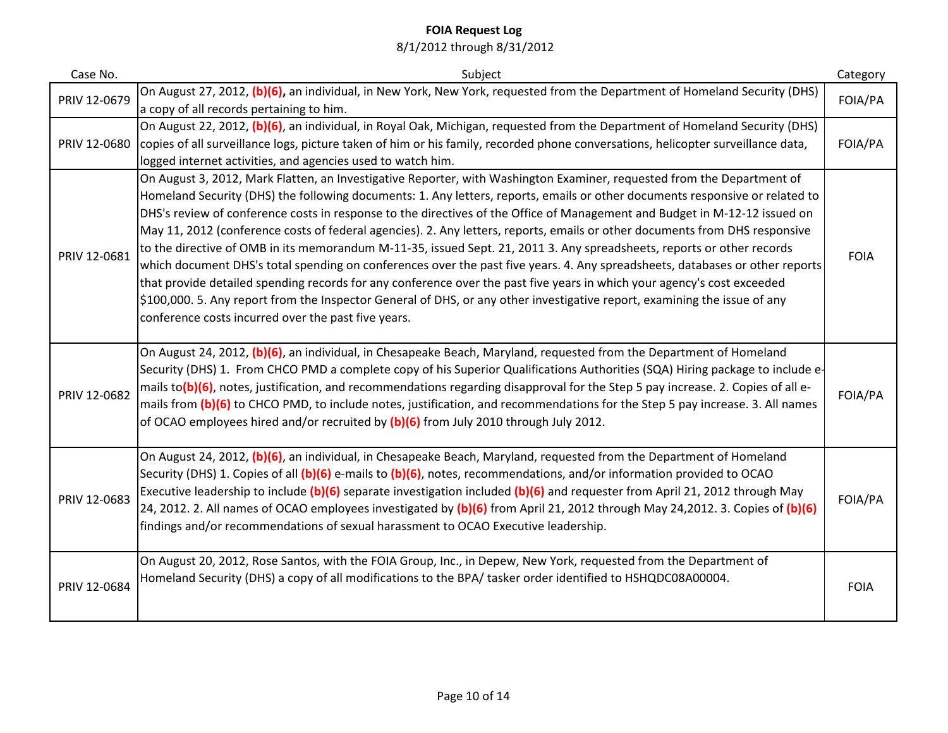| Case No.     | Subject                                                                                                                                                                                                                                                                                                                                                                                                                                                                                                                                                                                                                                                                                                                                                                                                                                                                                                                                                                                                                                                                                      | Category    |
|--------------|----------------------------------------------------------------------------------------------------------------------------------------------------------------------------------------------------------------------------------------------------------------------------------------------------------------------------------------------------------------------------------------------------------------------------------------------------------------------------------------------------------------------------------------------------------------------------------------------------------------------------------------------------------------------------------------------------------------------------------------------------------------------------------------------------------------------------------------------------------------------------------------------------------------------------------------------------------------------------------------------------------------------------------------------------------------------------------------------|-------------|
| PRIV 12-0679 | On August 27, 2012, (b)(6), an individual, in New York, New York, requested from the Department of Homeland Security (DHS)<br>a copy of all records pertaining to him.                                                                                                                                                                                                                                                                                                                                                                                                                                                                                                                                                                                                                                                                                                                                                                                                                                                                                                                       | FOIA/PA     |
| PRIV 12-0680 | On August 22, 2012, (b)(6), an individual, in Royal Oak, Michigan, requested from the Department of Homeland Security (DHS)<br>copies of all surveillance logs, picture taken of him or his family, recorded phone conversations, helicopter surveillance data,<br>logged internet activities, and agencies used to watch him.                                                                                                                                                                                                                                                                                                                                                                                                                                                                                                                                                                                                                                                                                                                                                               | FOIA/PA     |
| PRIV 12-0681 | On August 3, 2012, Mark Flatten, an Investigative Reporter, with Washington Examiner, requested from the Department of<br>Homeland Security (DHS) the following documents: 1. Any letters, reports, emails or other documents responsive or related to<br>DHS's review of conference costs in response to the directives of the Office of Management and Budget in M-12-12 issued on<br>May 11, 2012 (conference costs of federal agencies). 2. Any letters, reports, emails or other documents from DHS responsive<br>to the directive of OMB in its memorandum M-11-35, issued Sept. 21, 2011 3. Any spreadsheets, reports or other records<br>which document DHS's total spending on conferences over the past five years. 4. Any spreadsheets, databases or other reports<br>that provide detailed spending records for any conference over the past five years in which your agency's cost exceeded<br>\$100,000. 5. Any report from the Inspector General of DHS, or any other investigative report, examining the issue of any<br>conference costs incurred over the past five years. | <b>FOIA</b> |
| PRIV 12-0682 | On August 24, 2012, (b)(6), an individual, in Chesapeake Beach, Maryland, requested from the Department of Homeland<br>Security (DHS) 1. From CHCO PMD a complete copy of his Superior Qualifications Authorities (SQA) Hiring package to include e-<br>mails to(b)(6), notes, justification, and recommendations regarding disapproval for the Step 5 pay increase. 2. Copies of all e-<br>mails from (b)(6) to CHCO PMD, to include notes, justification, and recommendations for the Step 5 pay increase. 3. All names<br>of OCAO employees hired and/or recruited by $(b)(6)$ from July 2010 through July 2012.                                                                                                                                                                                                                                                                                                                                                                                                                                                                          | FOIA/PA     |
| PRIV 12-0683 | On August 24, 2012, (b)(6), an individual, in Chesapeake Beach, Maryland, requested from the Department of Homeland<br>Security (DHS) 1. Copies of all (b)(6) e-mails to (b)(6), notes, recommendations, and/or information provided to OCAO<br>Executive leadership to include (b)(6) separate investigation included (b)(6) and requester from April 21, 2012 through May<br>24, 2012. 2. All names of OCAO employees investigated by (b)(6) from April 21, 2012 through May 24,2012. 3. Copies of (b)(6)<br>findings and/or recommendations of sexual harassment to OCAO Executive leadership.                                                                                                                                                                                                                                                                                                                                                                                                                                                                                            | FOIA/PA     |
| PRIV 12-0684 | On August 20, 2012, Rose Santos, with the FOIA Group, Inc., in Depew, New York, requested from the Department of<br>Homeland Security (DHS) a copy of all modifications to the BPA/ tasker order identified to HSHQDC08A00004.                                                                                                                                                                                                                                                                                                                                                                                                                                                                                                                                                                                                                                                                                                                                                                                                                                                               | <b>FOIA</b> |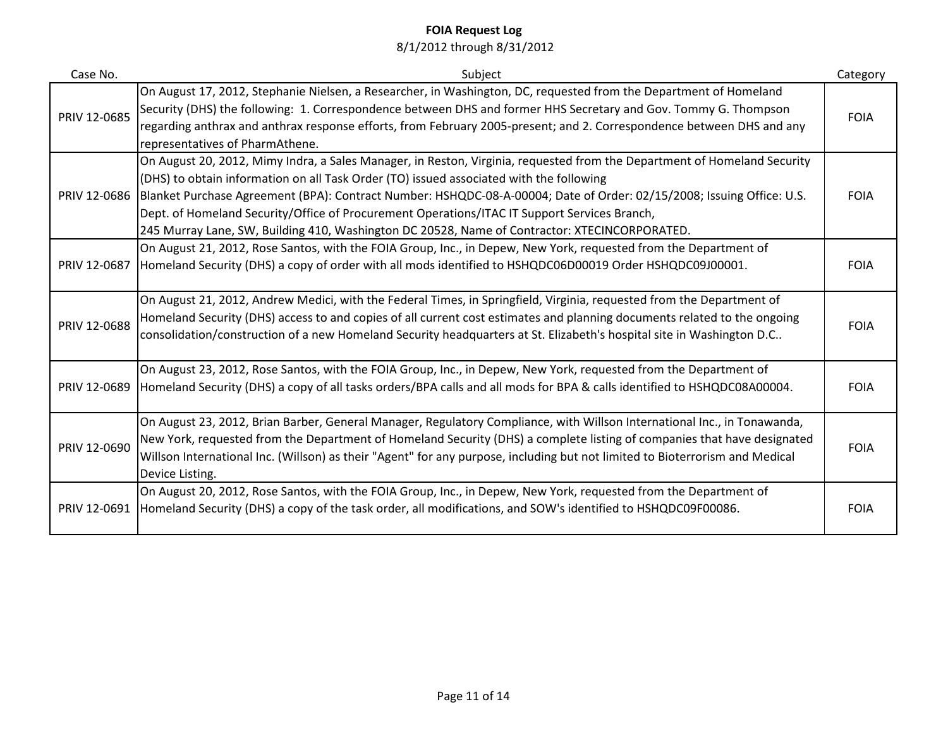| Case No.     | Subject                                                                                                                                                                                                                                                                                                                                                                                                                                                                                                                                       | Category    |
|--------------|-----------------------------------------------------------------------------------------------------------------------------------------------------------------------------------------------------------------------------------------------------------------------------------------------------------------------------------------------------------------------------------------------------------------------------------------------------------------------------------------------------------------------------------------------|-------------|
| PRIV 12-0685 | On August 17, 2012, Stephanie Nielsen, a Researcher, in Washington, DC, requested from the Department of Homeland<br>Security (DHS) the following: 1. Correspondence between DHS and former HHS Secretary and Gov. Tommy G. Thompson<br>regarding anthrax and anthrax response efforts, from February 2005-present; and 2. Correspondence between DHS and any<br>representatives of PharmAthene.                                                                                                                                              | <b>FOIA</b> |
| PRIV 12-0686 | On August 20, 2012, Mimy Indra, a Sales Manager, in Reston, Virginia, requested from the Department of Homeland Security<br>(DHS) to obtain information on all Task Order (TO) issued associated with the following<br>Blanket Purchase Agreement (BPA): Contract Number: HSHQDC-08-A-00004; Date of Order: 02/15/2008; Issuing Office: U.S.<br>Dept. of Homeland Security/Office of Procurement Operations/ITAC IT Support Services Branch,<br>245 Murray Lane, SW, Building 410, Washington DC 20528, Name of Contractor: XTECINCORPORATED. | <b>FOIA</b> |
| PRIV 12-0687 | On August 21, 2012, Rose Santos, with the FOIA Group, Inc., in Depew, New York, requested from the Department of<br>Homeland Security (DHS) a copy of order with all mods identified to HSHQDC06D00019 Order HSHQDC09J00001.                                                                                                                                                                                                                                                                                                                  | <b>FOIA</b> |
| PRIV 12-0688 | On August 21, 2012, Andrew Medici, with the Federal Times, in Springfield, Virginia, requested from the Department of<br>Homeland Security (DHS) access to and copies of all current cost estimates and planning documents related to the ongoing<br>consolidation/construction of a new Homeland Security headquarters at St. Elizabeth's hospital site in Washington D.C                                                                                                                                                                    | <b>FOIA</b> |
| PRIV 12-0689 | On August 23, 2012, Rose Santos, with the FOIA Group, Inc., in Depew, New York, requested from the Department of<br>Homeland Security (DHS) a copy of all tasks orders/BPA calls and all mods for BPA & calls identified to HSHQDC08A00004.                                                                                                                                                                                                                                                                                                   | <b>FOIA</b> |
| PRIV 12-0690 | On August 23, 2012, Brian Barber, General Manager, Regulatory Compliance, with Willson International Inc., in Tonawanda,<br>New York, requested from the Department of Homeland Security (DHS) a complete listing of companies that have designated<br>Willson International Inc. (Willson) as their "Agent" for any purpose, including but not limited to Bioterrorism and Medical<br>Device Listing.                                                                                                                                        | <b>FOIA</b> |
| PRIV 12-0691 | On August 20, 2012, Rose Santos, with the FOIA Group, Inc., in Depew, New York, requested from the Department of<br>Homeland Security (DHS) a copy of the task order, all modifications, and SOW's identified to HSHQDC09F00086.                                                                                                                                                                                                                                                                                                              | <b>FOIA</b> |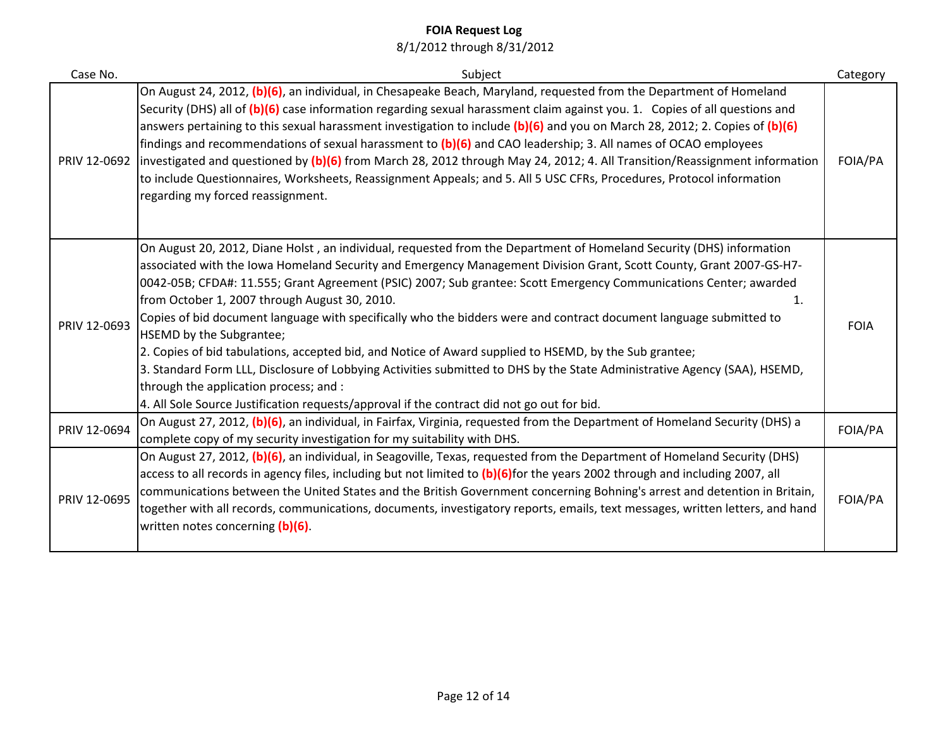| Case No.     | Subject                                                                                                                                                                                                                                                                                                                                                                                                                                                                                                                                                                                                                                                                                                                                                                                                                                                                                                                                                  | Category    |
|--------------|----------------------------------------------------------------------------------------------------------------------------------------------------------------------------------------------------------------------------------------------------------------------------------------------------------------------------------------------------------------------------------------------------------------------------------------------------------------------------------------------------------------------------------------------------------------------------------------------------------------------------------------------------------------------------------------------------------------------------------------------------------------------------------------------------------------------------------------------------------------------------------------------------------------------------------------------------------|-------------|
|              | On August 24, 2012, (b)(6), an individual, in Chesapeake Beach, Maryland, requested from the Department of Homeland<br>Security (DHS) all of (b)(6) case information regarding sexual harassment claim against you. 1. Copies of all questions and<br>answers pertaining to this sexual harassment investigation to include $(b)(6)$ and you on March 28, 2012; 2. Copies of $(b)(6)$<br>findings and recommendations of sexual harassment to (b)(6) and CAO leadership; 3. All names of OCAO employees<br>PRIV 12-0692 investigated and questioned by $(b)(6)$ from March 28, 2012 through May 24, 2012; 4. All Transition/Reassignment information<br>to include Questionnaires, Worksheets, Reassignment Appeals; and 5. All 5 USC CFRs, Procedures, Protocol information<br>regarding my forced reassignment.                                                                                                                                        | FOIA/PA     |
| PRIV 12-0693 | On August 20, 2012, Diane Holst, an individual, requested from the Department of Homeland Security (DHS) information<br>associated with the Iowa Homeland Security and Emergency Management Division Grant, Scott County, Grant 2007-GS-H7-<br>0042-05B; CFDA#: 11.555; Grant Agreement (PSIC) 2007; Sub grantee: Scott Emergency Communications Center; awarded<br>from October 1, 2007 through August 30, 2010.<br>1.<br>Copies of bid document language with specifically who the bidders were and contract document language submitted to<br>HSEMD by the Subgrantee;<br>2. Copies of bid tabulations, accepted bid, and Notice of Award supplied to HSEMD, by the Sub grantee;<br>3. Standard Form LLL, Disclosure of Lobbying Activities submitted to DHS by the State Administrative Agency (SAA), HSEMD,<br>through the application process; and :<br>4. All Sole Source Justification requests/approval if the contract did not go out for bid. | <b>FOIA</b> |
| PRIV 12-0694 | On August 27, 2012, (b)(6), an individual, in Fairfax, Virginia, requested from the Department of Homeland Security (DHS) a<br>complete copy of my security investigation for my suitability with DHS.                                                                                                                                                                                                                                                                                                                                                                                                                                                                                                                                                                                                                                                                                                                                                   | FOIA/PA     |
| PRIV 12-0695 | On August 27, 2012, (b)(6), an individual, in Seagoville, Texas, requested from the Department of Homeland Security (DHS)<br>access to all records in agency files, including but not limited to (b)(6)for the years 2002 through and including 2007, all<br>communications between the United States and the British Government concerning Bohning's arrest and detention in Britain,<br>together with all records, communications, documents, investigatory reports, emails, text messages, written letters, and hand<br>written notes concerning (b)(6).                                                                                                                                                                                                                                                                                                                                                                                              | FOIA/PA     |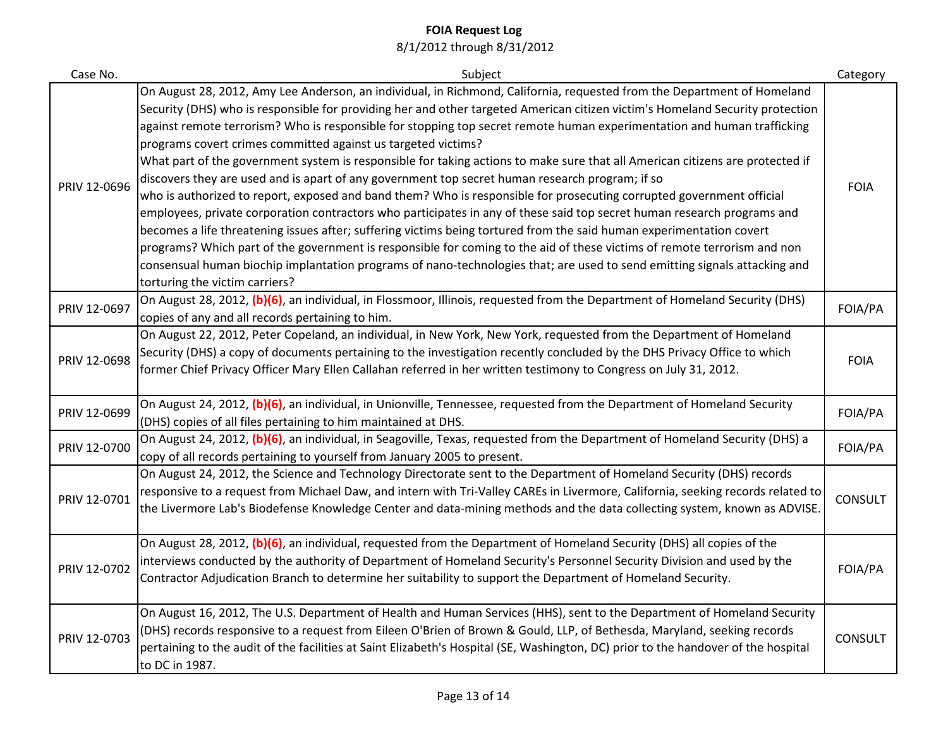| Case No.     | Subject                                                                                                                                                                                                                                                                                                                                                                                                                                                                                                                                                                                                                                                                                                                                                                                                                                                                                                                                                                                                                                                                                                                                                                                                                                                                                                                                                        | Category       |
|--------------|----------------------------------------------------------------------------------------------------------------------------------------------------------------------------------------------------------------------------------------------------------------------------------------------------------------------------------------------------------------------------------------------------------------------------------------------------------------------------------------------------------------------------------------------------------------------------------------------------------------------------------------------------------------------------------------------------------------------------------------------------------------------------------------------------------------------------------------------------------------------------------------------------------------------------------------------------------------------------------------------------------------------------------------------------------------------------------------------------------------------------------------------------------------------------------------------------------------------------------------------------------------------------------------------------------------------------------------------------------------|----------------|
| PRIV 12-0696 | On August 28, 2012, Amy Lee Anderson, an individual, in Richmond, California, requested from the Department of Homeland<br>Security (DHS) who is responsible for providing her and other targeted American citizen victim's Homeland Security protection<br>against remote terrorism? Who is responsible for stopping top secret remote human experimentation and human trafficking<br>programs covert crimes committed against us targeted victims?<br>What part of the government system is responsible for taking actions to make sure that all American citizens are protected if<br>discovers they are used and is apart of any government top secret human research program; if so<br>who is authorized to report, exposed and band them? Who is responsible for prosecuting corrupted government official<br>employees, private corporation contractors who participates in any of these said top secret human research programs and<br>becomes a life threatening issues after; suffering victims being tortured from the said human experimentation covert<br>programs? Which part of the government is responsible for coming to the aid of these victims of remote terrorism and non<br>consensual human biochip implantation programs of nano-technologies that; are used to send emitting signals attacking and<br>torturing the victim carriers? | <b>FOIA</b>    |
| PRIV 12-0697 | On August 28, 2012, (b)(6), an individual, in Flossmoor, Illinois, requested from the Department of Homeland Security (DHS)<br>copies of any and all records pertaining to him.                                                                                                                                                                                                                                                                                                                                                                                                                                                                                                                                                                                                                                                                                                                                                                                                                                                                                                                                                                                                                                                                                                                                                                                | FOIA/PA        |
| PRIV 12-0698 | On August 22, 2012, Peter Copeland, an individual, in New York, New York, requested from the Department of Homeland<br>Security (DHS) a copy of documents pertaining to the investigation recently concluded by the DHS Privacy Office to which<br>former Chief Privacy Officer Mary Ellen Callahan referred in her written testimony to Congress on July 31, 2012.                                                                                                                                                                                                                                                                                                                                                                                                                                                                                                                                                                                                                                                                                                                                                                                                                                                                                                                                                                                            | <b>FOIA</b>    |
| PRIV 12-0699 | On August 24, 2012, (b)(6), an individual, in Unionville, Tennessee, requested from the Department of Homeland Security<br>(DHS) copies of all files pertaining to him maintained at DHS.                                                                                                                                                                                                                                                                                                                                                                                                                                                                                                                                                                                                                                                                                                                                                                                                                                                                                                                                                                                                                                                                                                                                                                      | FOIA/PA        |
| PRIV 12-0700 | On August 24, 2012, (b)(6), an individual, in Seagoville, Texas, requested from the Department of Homeland Security (DHS) a<br>copy of all records pertaining to yourself from January 2005 to present.                                                                                                                                                                                                                                                                                                                                                                                                                                                                                                                                                                                                                                                                                                                                                                                                                                                                                                                                                                                                                                                                                                                                                        | FOIA/PA        |
| PRIV 12-0701 | On August 24, 2012, the Science and Technology Directorate sent to the Department of Homeland Security (DHS) records<br>responsive to a request from Michael Daw, and intern with Tri-Valley CAREs in Livermore, California, seeking records related to<br>the Livermore Lab's Biodefense Knowledge Center and data-mining methods and the data collecting system, known as ADVISE.                                                                                                                                                                                                                                                                                                                                                                                                                                                                                                                                                                                                                                                                                                                                                                                                                                                                                                                                                                            | <b>CONSULT</b> |
| PRIV 12-0702 | On August 28, 2012, (b)(6), an individual, requested from the Department of Homeland Security (DHS) all copies of the<br>interviews conducted by the authority of Department of Homeland Security's Personnel Security Division and used by the<br>Contractor Adjudication Branch to determine her suitability to support the Department of Homeland Security.                                                                                                                                                                                                                                                                                                                                                                                                                                                                                                                                                                                                                                                                                                                                                                                                                                                                                                                                                                                                 | FOIA/PA        |
| PRIV 12-0703 | On August 16, 2012, The U.S. Department of Health and Human Services (HHS), sent to the Department of Homeland Security<br>(DHS) records responsive to a request from Eileen O'Brien of Brown & Gould, LLP, of Bethesda, Maryland, seeking records<br>pertaining to the audit of the facilities at Saint Elizabeth's Hospital (SE, Washington, DC) prior to the handover of the hospital<br>to DC in 1987.                                                                                                                                                                                                                                                                                                                                                                                                                                                                                                                                                                                                                                                                                                                                                                                                                                                                                                                                                     | <b>CONSULT</b> |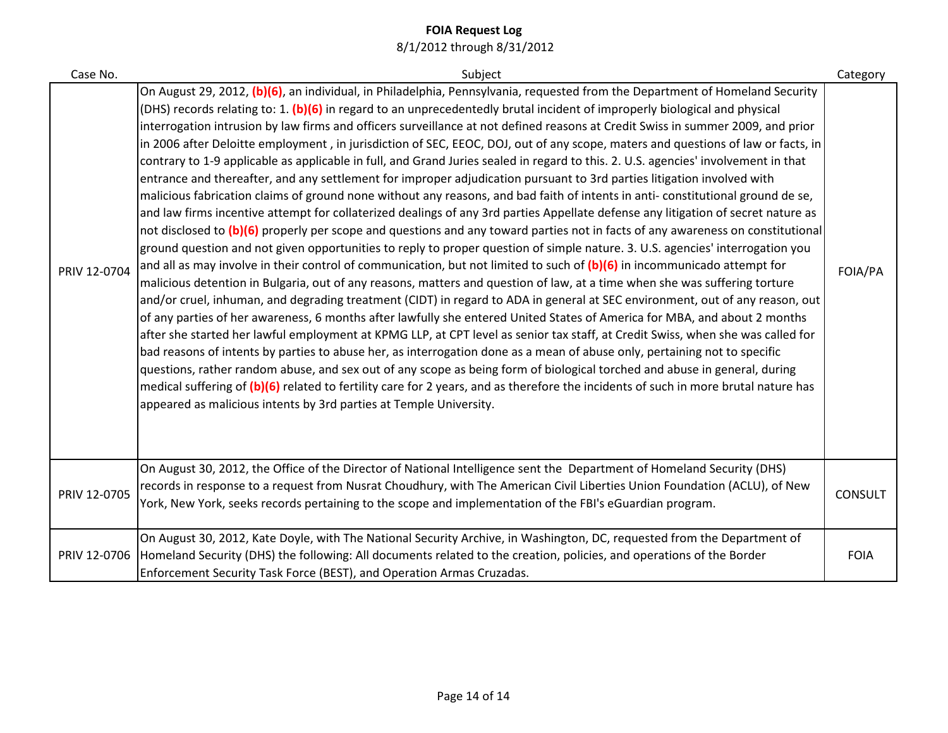| Case No.     | Subject                                                                                                                                                                                                                                                                                                                                                                                                                                                                                                                                                                                                                                                                                                                                                                                                                                                                                                                                                                                                                                                                                                                                                                                                                                                                                                                                                                                                                                                                                                                                                                                                                                                                                                                                                                                                                                                                                                                                                                                                                                                                                                                                                                                                                                                                                                                                                                                                                                                                         | Category       |
|--------------|---------------------------------------------------------------------------------------------------------------------------------------------------------------------------------------------------------------------------------------------------------------------------------------------------------------------------------------------------------------------------------------------------------------------------------------------------------------------------------------------------------------------------------------------------------------------------------------------------------------------------------------------------------------------------------------------------------------------------------------------------------------------------------------------------------------------------------------------------------------------------------------------------------------------------------------------------------------------------------------------------------------------------------------------------------------------------------------------------------------------------------------------------------------------------------------------------------------------------------------------------------------------------------------------------------------------------------------------------------------------------------------------------------------------------------------------------------------------------------------------------------------------------------------------------------------------------------------------------------------------------------------------------------------------------------------------------------------------------------------------------------------------------------------------------------------------------------------------------------------------------------------------------------------------------------------------------------------------------------------------------------------------------------------------------------------------------------------------------------------------------------------------------------------------------------------------------------------------------------------------------------------------------------------------------------------------------------------------------------------------------------------------------------------------------------------------------------------------------------|----------------|
| PRIV 12-0704 | On August 29, 2012, (b)(6), an individual, in Philadelphia, Pennsylvania, requested from the Department of Homeland Security<br>(DHS) records relating to: 1. (b)(6) in regard to an unprecedentedly brutal incident of improperly biological and physical<br>interrogation intrusion by law firms and officers surveillance at not defined reasons at Credit Swiss in summer 2009, and prior<br>in 2006 after Deloitte employment, in jurisdiction of SEC, EEOC, DOJ, out of any scope, maters and questions of law or facts, in<br>contrary to 1-9 applicable as applicable in full, and Grand Juries sealed in regard to this. 2. U.S. agencies' involvement in that<br>entrance and thereafter, and any settlement for improper adjudication pursuant to 3rd parties litigation involved with<br>malicious fabrication claims of ground none without any reasons, and bad faith of intents in anti-constitutional ground de se,<br>and law firms incentive attempt for collaterized dealings of any 3rd parties Appellate defense any litigation of secret nature as<br>not disclosed to (b)(6) properly per scope and questions and any toward parties not in facts of any awareness on constitutional<br>ground question and not given opportunities to reply to proper question of simple nature. 3. U.S. agencies' interrogation you<br>and all as may involve in their control of communication, but not limited to such of $(b)(6)$ in incommunicado attempt for<br>malicious detention in Bulgaria, out of any reasons, matters and question of law, at a time when she was suffering torture<br>and/or cruel, inhuman, and degrading treatment (CIDT) in regard to ADA in general at SEC environment, out of any reason, out<br>of any parties of her awareness, 6 months after lawfully she entered United States of America for MBA, and about 2 months<br>after she started her lawful employment at KPMG LLP, at CPT level as senior tax staff, at Credit Swiss, when she was called for<br>bad reasons of intents by parties to abuse her, as interrogation done as a mean of abuse only, pertaining not to specific<br>questions, rather random abuse, and sex out of any scope as being form of biological torched and abuse in general, during<br>medical suffering of (b)(6) related to fertility care for 2 years, and as therefore the incidents of such in more brutal nature has<br>appeared as malicious intents by 3rd parties at Temple University. | FOIA/PA        |
| PRIV 12-0705 | On August 30, 2012, the Office of the Director of National Intelligence sent the Department of Homeland Security (DHS)<br>records in response to a request from Nusrat Choudhury, with The American Civil Liberties Union Foundation (ACLU), of New<br>York, New York, seeks records pertaining to the scope and implementation of the FBI's eGuardian program.                                                                                                                                                                                                                                                                                                                                                                                                                                                                                                                                                                                                                                                                                                                                                                                                                                                                                                                                                                                                                                                                                                                                                                                                                                                                                                                                                                                                                                                                                                                                                                                                                                                                                                                                                                                                                                                                                                                                                                                                                                                                                                                 | <b>CONSULT</b> |
| PRIV 12-0706 | On August 30, 2012, Kate Doyle, with The National Security Archive, in Washington, DC, requested from the Department of<br>Homeland Security (DHS) the following: All documents related to the creation, policies, and operations of the Border<br>Enforcement Security Task Force (BEST), and Operation Armas Cruzadas.                                                                                                                                                                                                                                                                                                                                                                                                                                                                                                                                                                                                                                                                                                                                                                                                                                                                                                                                                                                                                                                                                                                                                                                                                                                                                                                                                                                                                                                                                                                                                                                                                                                                                                                                                                                                                                                                                                                                                                                                                                                                                                                                                        | <b>FOIA</b>    |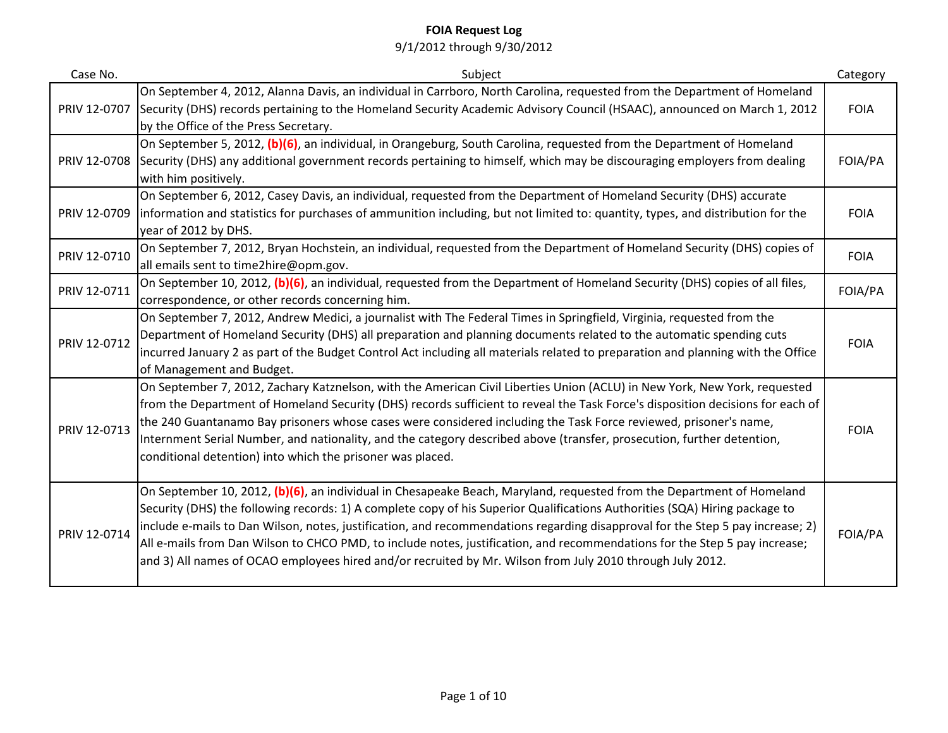| Case No.     | Subject                                                                                                                                                                                                                                                                                                                                                                                                                                                                                                                                                                                                                           | Category    |
|--------------|-----------------------------------------------------------------------------------------------------------------------------------------------------------------------------------------------------------------------------------------------------------------------------------------------------------------------------------------------------------------------------------------------------------------------------------------------------------------------------------------------------------------------------------------------------------------------------------------------------------------------------------|-------------|
| PRIV 12-0707 | On September 4, 2012, Alanna Davis, an individual in Carrboro, North Carolina, requested from the Department of Homeland<br>Security (DHS) records pertaining to the Homeland Security Academic Advisory Council (HSAAC), announced on March 1, 2012<br>by the Office of the Press Secretary.                                                                                                                                                                                                                                                                                                                                     | <b>FOIA</b> |
| PRIV 12-0708 | On September 5, 2012, (b)(6), an individual, in Orangeburg, South Carolina, requested from the Department of Homeland<br>Security (DHS) any additional government records pertaining to himself, which may be discouraging employers from dealing<br>with him positively.                                                                                                                                                                                                                                                                                                                                                         | FOIA/PA     |
| PRIV 12-0709 | On September 6, 2012, Casey Davis, an individual, requested from the Department of Homeland Security (DHS) accurate<br>information and statistics for purchases of ammunition including, but not limited to: quantity, types, and distribution for the<br>year of 2012 by DHS.                                                                                                                                                                                                                                                                                                                                                    | <b>FOIA</b> |
| PRIV 12-0710 | On September 7, 2012, Bryan Hochstein, an individual, requested from the Department of Homeland Security (DHS) copies of<br>all emails sent to time2hire@opm.gov.                                                                                                                                                                                                                                                                                                                                                                                                                                                                 | <b>FOIA</b> |
| PRIV 12-0711 | On September 10, 2012, (b)(6), an individual, requested from the Department of Homeland Security (DHS) copies of all files,<br>correspondence, or other records concerning him.                                                                                                                                                                                                                                                                                                                                                                                                                                                   | FOIA/PA     |
| PRIV 12-0712 | On September 7, 2012, Andrew Medici, a journalist with The Federal Times in Springfield, Virginia, requested from the<br>Department of Homeland Security (DHS) all preparation and planning documents related to the automatic spending cuts<br>incurred January 2 as part of the Budget Control Act including all materials related to preparation and planning with the Office<br>of Management and Budget.                                                                                                                                                                                                                     | <b>FOIA</b> |
| PRIV 12-0713 | On September 7, 2012, Zachary Katznelson, with the American Civil Liberties Union (ACLU) in New York, New York, requested<br>from the Department of Homeland Security (DHS) records sufficient to reveal the Task Force's disposition decisions for each of<br>the 240 Guantanamo Bay prisoners whose cases were considered including the Task Force reviewed, prisoner's name,<br>Internment Serial Number, and nationality, and the category described above (transfer, prosecution, further detention,<br>conditional detention) into which the prisoner was placed.                                                           | <b>FOIA</b> |
| PRIV 12-0714 | On September 10, 2012, (b)(6), an individual in Chesapeake Beach, Maryland, requested from the Department of Homeland<br>Security (DHS) the following records: 1) A complete copy of his Superior Qualifications Authorities (SQA) Hiring package to<br>include e-mails to Dan Wilson, notes, justification, and recommendations regarding disapproval for the Step 5 pay increase; 2)<br>All e-mails from Dan Wilson to CHCO PMD, to include notes, justification, and recommendations for the Step 5 pay increase;<br>and 3) All names of OCAO employees hired and/or recruited by Mr. Wilson from July 2010 through July 2012. | FOIA/PA     |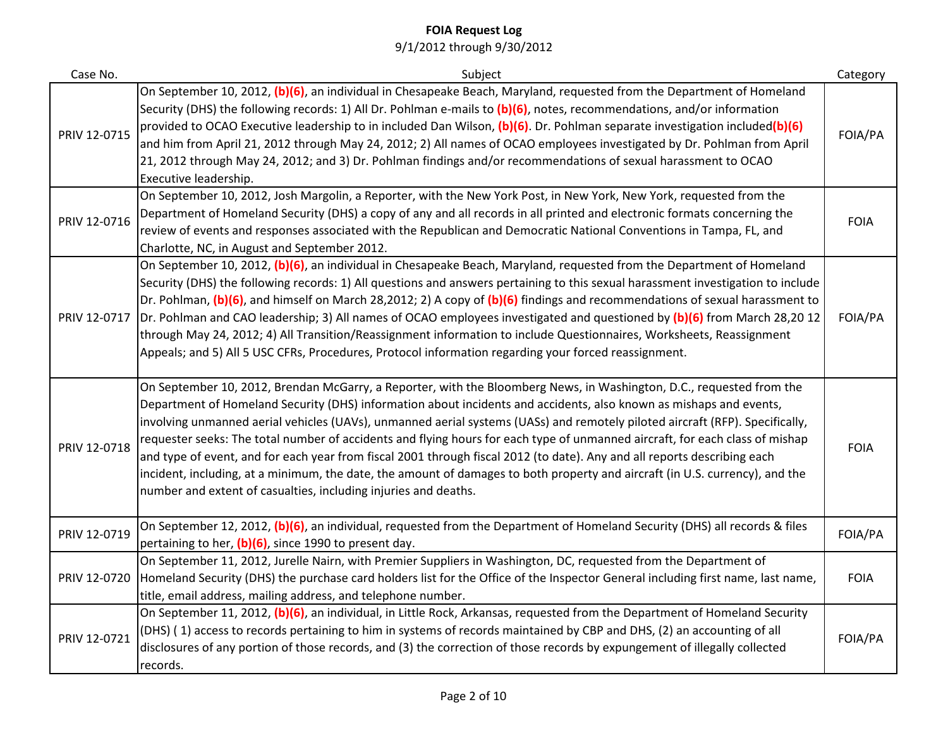| Case No.     | Subject                                                                                                                                                                                                                                                                                                                                                                                                                                                                                                                                                                                                                                                                                                                                                                                                                                   | Category    |
|--------------|-------------------------------------------------------------------------------------------------------------------------------------------------------------------------------------------------------------------------------------------------------------------------------------------------------------------------------------------------------------------------------------------------------------------------------------------------------------------------------------------------------------------------------------------------------------------------------------------------------------------------------------------------------------------------------------------------------------------------------------------------------------------------------------------------------------------------------------------|-------------|
| PRIV 12-0715 | On September 10, 2012, (b)(6), an individual in Chesapeake Beach, Maryland, requested from the Department of Homeland<br>Security (DHS) the following records: 1) All Dr. Pohlman e-mails to (b)(6), notes, recommendations, and/or information<br>provided to OCAO Executive leadership to in included Dan Wilson, (b)(6). Dr. Pohlman separate investigation included(b)(6)<br>and him from April 21, 2012 through May 24, 2012; 2) All names of OCAO employees investigated by Dr. Pohlman from April<br>21, 2012 through May 24, 2012; and 3) Dr. Pohlman findings and/or recommendations of sexual harassment to OCAO<br>Executive leadership.                                                                                                                                                                                       | FOIA/PA     |
| PRIV 12-0716 | On September 10, 2012, Josh Margolin, a Reporter, with the New York Post, in New York, New York, requested from the<br>Department of Homeland Security (DHS) a copy of any and all records in all printed and electronic formats concerning the<br>review of events and responses associated with the Republican and Democratic National Conventions in Tampa, FL, and<br>Charlotte, NC, in August and September 2012.                                                                                                                                                                                                                                                                                                                                                                                                                    | <b>FOIA</b> |
| PRIV 12-0717 | On September 10, 2012, (b)(6), an individual in Chesapeake Beach, Maryland, requested from the Department of Homeland<br>Security (DHS) the following records: 1) All questions and answers pertaining to this sexual harassment investigation to include<br>Dr. Pohlman, (b)(6), and himself on March 28,2012; 2) A copy of (b)(6) findings and recommendations of sexual harassment to<br>Dr. Pohlman and CAO leadership; 3) All names of OCAO employees investigated and questioned by (b)(6) from March 28,20 12<br>through May 24, 2012; 4) All Transition/Reassignment information to include Questionnaires, Worksheets, Reassignment<br>Appeals; and 5) All 5 USC CFRs, Procedures, Protocol information regarding your forced reassignment.                                                                                      | FOIA/PA     |
| PRIV 12-0718 | On September 10, 2012, Brendan McGarry, a Reporter, with the Bloomberg News, in Washington, D.C., requested from the<br>Department of Homeland Security (DHS) information about incidents and accidents, also known as mishaps and events,<br>involving unmanned aerial vehicles (UAVs), unmanned aerial systems (UASs) and remotely piloted aircraft (RFP). Specifically,<br>requester seeks: The total number of accidents and flying hours for each type of unmanned aircraft, for each class of mishap<br>and type of event, and for each year from fiscal 2001 through fiscal 2012 (to date). Any and all reports describing each<br>incident, including, at a minimum, the date, the amount of damages to both property and aircraft (in U.S. currency), and the<br>number and extent of casualties, including injuries and deaths. | <b>FOIA</b> |
| PRIV 12-0719 | On September 12, 2012, (b)(6), an individual, requested from the Department of Homeland Security (DHS) all records & files<br>pertaining to her, (b)(6), since 1990 to present day.                                                                                                                                                                                                                                                                                                                                                                                                                                                                                                                                                                                                                                                       | FOIA/PA     |
| PRIV 12-0720 | On September 11, 2012, Jurelle Nairn, with Premier Suppliers in Washington, DC, requested from the Department of<br>Homeland Security (DHS) the purchase card holders list for the Office of the Inspector General including first name, last name,<br>title, email address, mailing address, and telephone number.                                                                                                                                                                                                                                                                                                                                                                                                                                                                                                                       | <b>FOIA</b> |
| PRIV 12-0721 | On September 11, 2012, (b)(6), an individual, in Little Rock, Arkansas, requested from the Department of Homeland Security<br>(DHS) (1) access to records pertaining to him in systems of records maintained by CBP and DHS, (2) an accounting of all<br>disclosures of any portion of those records, and (3) the correction of those records by expungement of illegally collected<br>records.                                                                                                                                                                                                                                                                                                                                                                                                                                           | FOIA/PA     |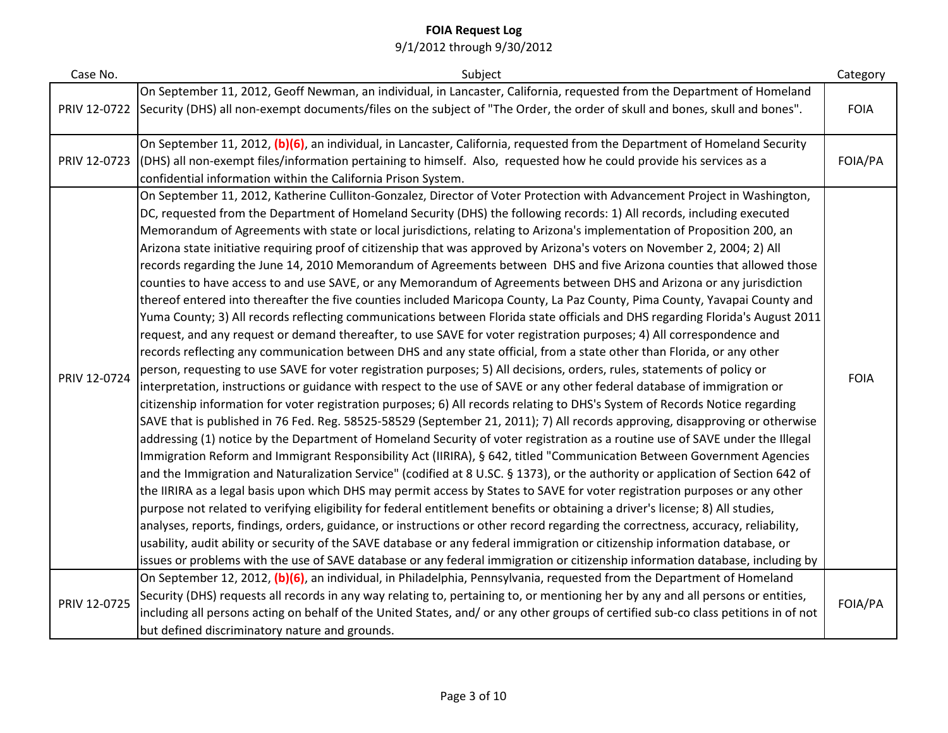| Case No.     | Subject                                                                                                                                                                                                                                                                                                                                                                                                                                                                                                                                                                                                                                                                                                                                                                                                                                                                                                                                                                                                                                                                                                                                                                                                                                                                                                                                                                                                                                                                                                                                                                                                                                                                                                                                                                                                                                                                                                                                                                                                                                                                                                                                                                                                                                                                                                                                                                                                                                                                                                                                                                                                                                                                                                                                                                                                                                                                   | Category    |
|--------------|---------------------------------------------------------------------------------------------------------------------------------------------------------------------------------------------------------------------------------------------------------------------------------------------------------------------------------------------------------------------------------------------------------------------------------------------------------------------------------------------------------------------------------------------------------------------------------------------------------------------------------------------------------------------------------------------------------------------------------------------------------------------------------------------------------------------------------------------------------------------------------------------------------------------------------------------------------------------------------------------------------------------------------------------------------------------------------------------------------------------------------------------------------------------------------------------------------------------------------------------------------------------------------------------------------------------------------------------------------------------------------------------------------------------------------------------------------------------------------------------------------------------------------------------------------------------------------------------------------------------------------------------------------------------------------------------------------------------------------------------------------------------------------------------------------------------------------------------------------------------------------------------------------------------------------------------------------------------------------------------------------------------------------------------------------------------------------------------------------------------------------------------------------------------------------------------------------------------------------------------------------------------------------------------------------------------------------------------------------------------------------------------------------------------------------------------------------------------------------------------------------------------------------------------------------------------------------------------------------------------------------------------------------------------------------------------------------------------------------------------------------------------------------------------------------------------------------------------------------------------------|-------------|
| PRIV 12-0722 | On September 11, 2012, Geoff Newman, an individual, in Lancaster, California, requested from the Department of Homeland<br>Security (DHS) all non-exempt documents/files on the subject of "The Order, the order of skull and bones, skull and bones".                                                                                                                                                                                                                                                                                                                                                                                                                                                                                                                                                                                                                                                                                                                                                                                                                                                                                                                                                                                                                                                                                                                                                                                                                                                                                                                                                                                                                                                                                                                                                                                                                                                                                                                                                                                                                                                                                                                                                                                                                                                                                                                                                                                                                                                                                                                                                                                                                                                                                                                                                                                                                    | <b>FOIA</b> |
| PRIV 12-0723 | On September 11, 2012, (b)(6), an individual, in Lancaster, California, requested from the Department of Homeland Security<br>(DHS) all non-exempt files/information pertaining to himself. Also, requested how he could provide his services as a<br>confidential information within the California Prison System.                                                                                                                                                                                                                                                                                                                                                                                                                                                                                                                                                                                                                                                                                                                                                                                                                                                                                                                                                                                                                                                                                                                                                                                                                                                                                                                                                                                                                                                                                                                                                                                                                                                                                                                                                                                                                                                                                                                                                                                                                                                                                                                                                                                                                                                                                                                                                                                                                                                                                                                                                       | FOIA/PA     |
| PRIV 12-0724 | On September 11, 2012, Katherine Culliton-Gonzalez, Director of Voter Protection with Advancement Project in Washington,<br>DC, requested from the Department of Homeland Security (DHS) the following records: 1) All records, including executed<br>Memorandum of Agreements with state or local jurisdictions, relating to Arizona's implementation of Proposition 200, an<br>Arizona state initiative requiring proof of citizenship that was approved by Arizona's voters on November 2, 2004; 2) All<br>records regarding the June 14, 2010 Memorandum of Agreements between DHS and five Arizona counties that allowed those<br>counties to have access to and use SAVE, or any Memorandum of Agreements between DHS and Arizona or any jurisdiction<br>thereof entered into thereafter the five counties included Maricopa County, La Paz County, Pima County, Yavapai County and<br>Yuma County; 3) All records reflecting communications between Florida state officials and DHS regarding Florida's August 2011<br>request, and any request or demand thereafter, to use SAVE for voter registration purposes; 4) All correspondence and<br>records reflecting any communication between DHS and any state official, from a state other than Florida, or any other<br>person, requesting to use SAVE for voter registration purposes; 5) All decisions, orders, rules, statements of policy or<br>interpretation, instructions or guidance with respect to the use of SAVE or any other federal database of immigration or<br>citizenship information for voter registration purposes; 6) All records relating to DHS's System of Records Notice regarding<br>SAVE that is published in 76 Fed. Reg. 58525-58529 (September 21, 2011); 7) All records approving, disapproving or otherwise<br>addressing (1) notice by the Department of Homeland Security of voter registration as a routine use of SAVE under the Illegal<br>Immigration Reform and Immigrant Responsibility Act (IIRIRA), § 642, titled "Communication Between Government Agencies<br>and the Immigration and Naturalization Service" (codified at 8 U.SC. § 1373), or the authority or application of Section 642 of<br>the IIRIRA as a legal basis upon which DHS may permit access by States to SAVE for voter registration purposes or any other<br>purpose not related to verifying eligibility for federal entitlement benefits or obtaining a driver's license; 8) All studies,<br>analyses, reports, findings, orders, guidance, or instructions or other record regarding the correctness, accuracy, reliability,<br>usability, audit ability or security of the SAVE database or any federal immigration or citizenship information database, or<br>issues or problems with the use of SAVE database or any federal immigration or citizenship information database, including by | <b>FOIA</b> |
| PRIV 12-0725 | On September 12, 2012, (b)(6), an individual, in Philadelphia, Pennsylvania, requested from the Department of Homeland<br>Security (DHS) requests all records in any way relating to, pertaining to, or mentioning her by any and all persons or entities,<br>including all persons acting on behalf of the United States, and/or any other groups of certified sub-co class petitions in of not<br>but defined discriminatory nature and grounds.                                                                                                                                                                                                                                                                                                                                                                                                                                                                                                                                                                                                                                                                                                                                                                                                                                                                                                                                                                                                                                                                                                                                                                                                                                                                                                                                                                                                                                                                                                                                                                                                                                                                                                                                                                                                                                                                                                                                                                                                                                                                                                                                                                                                                                                                                                                                                                                                                        | FOIA/PA     |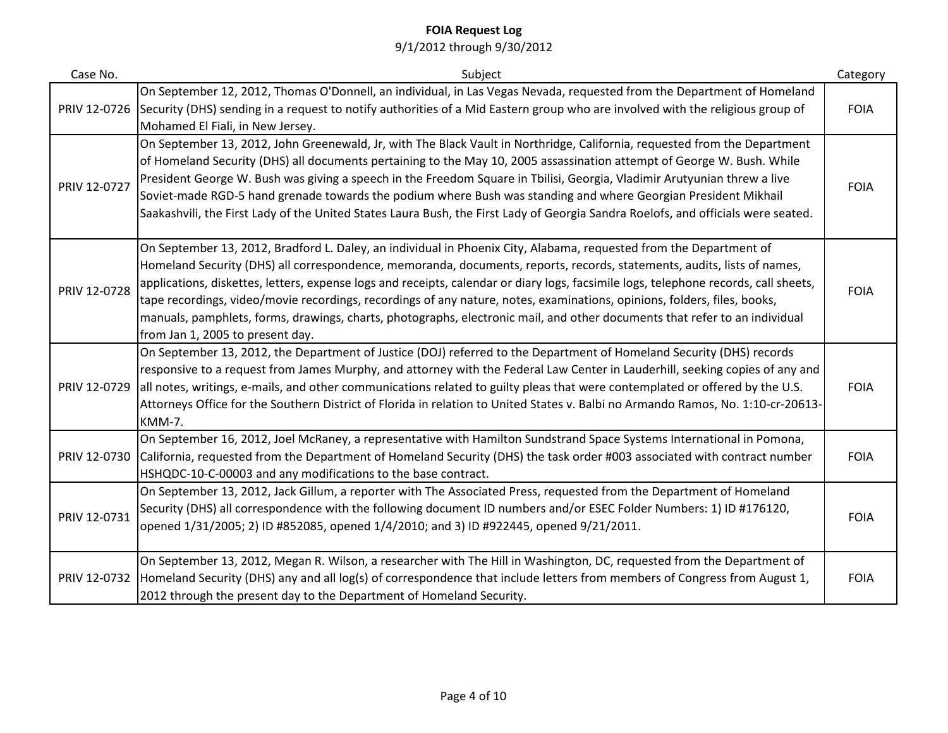| Case No.     | Subject                                                                                                                                                                                                                                                                                                                                                                                                                                                                                                                                                                                                                                                                             | Category    |
|--------------|-------------------------------------------------------------------------------------------------------------------------------------------------------------------------------------------------------------------------------------------------------------------------------------------------------------------------------------------------------------------------------------------------------------------------------------------------------------------------------------------------------------------------------------------------------------------------------------------------------------------------------------------------------------------------------------|-------------|
| PRIV 12-0726 | On September 12, 2012, Thomas O'Donnell, an individual, in Las Vegas Nevada, requested from the Department of Homeland<br>Security (DHS) sending in a request to notify authorities of a Mid Eastern group who are involved with the religious group of<br>Mohamed El Fiali, in New Jersey.                                                                                                                                                                                                                                                                                                                                                                                         | <b>FOIA</b> |
| PRIV 12-0727 | On September 13, 2012, John Greenewald, Jr, with The Black Vault in Northridge, California, requested from the Department<br>of Homeland Security (DHS) all documents pertaining to the May 10, 2005 assassination attempt of George W. Bush. While<br>President George W. Bush was giving a speech in the Freedom Square in Tbilisi, Georgia, Vladimir Arutyunian threw a live<br>Soviet-made RGD-5 hand grenade towards the podium where Bush was standing and where Georgian President Mikhail<br>Saakashvili, the First Lady of the United States Laura Bush, the First Lady of Georgia Sandra Roelofs, and officials were seated.                                              | <b>FOIA</b> |
| PRIV 12-0728 | On September 13, 2012, Bradford L. Daley, an individual in Phoenix City, Alabama, requested from the Department of<br>Homeland Security (DHS) all correspondence, memoranda, documents, reports, records, statements, audits, lists of names,<br>applications, diskettes, letters, expense logs and receipts, calendar or diary logs, facsimile logs, telephone records, call sheets,<br>tape recordings, video/movie recordings, recordings of any nature, notes, examinations, opinions, folders, files, books,<br>manuals, pamphlets, forms, drawings, charts, photographs, electronic mail, and other documents that refer to an individual<br>from Jan 1, 2005 to present day. | <b>FOIA</b> |
| PRIV 12-0729 | On September 13, 2012, the Department of Justice (DOJ) referred to the Department of Homeland Security (DHS) records<br>responsive to a request from James Murphy, and attorney with the Federal Law Center in Lauderhill, seeking copies of any and<br>all notes, writings, e-mails, and other communications related to guilty pleas that were contemplated or offered by the U.S.<br>Attorneys Office for the Southern District of Florida in relation to United States v. Balbi no Armando Ramos, No. 1:10-cr-20613-<br><b>KMM-7.</b>                                                                                                                                           | <b>FOIA</b> |
| PRIV 12-0730 | On September 16, 2012, Joel McRaney, a representative with Hamilton Sundstrand Space Systems International in Pomona,<br>California, requested from the Department of Homeland Security (DHS) the task order #003 associated with contract number<br>HSHQDC-10-C-00003 and any modifications to the base contract.                                                                                                                                                                                                                                                                                                                                                                  | <b>FOIA</b> |
| PRIV 12-0731 | On September 13, 2012, Jack Gillum, a reporter with The Associated Press, requested from the Department of Homeland<br>Security (DHS) all correspondence with the following document ID numbers and/or ESEC Folder Numbers: 1) ID #176120,<br>opened 1/31/2005; 2) ID #852085, opened 1/4/2010; and 3) ID #922445, opened 9/21/2011.                                                                                                                                                                                                                                                                                                                                                | <b>FOIA</b> |
| PRIV 12-0732 | On September 13, 2012, Megan R. Wilson, a researcher with The Hill in Washington, DC, requested from the Department of<br>Homeland Security (DHS) any and all log(s) of correspondence that include letters from members of Congress from August 1,<br>2012 through the present day to the Department of Homeland Security.                                                                                                                                                                                                                                                                                                                                                         | <b>FOIA</b> |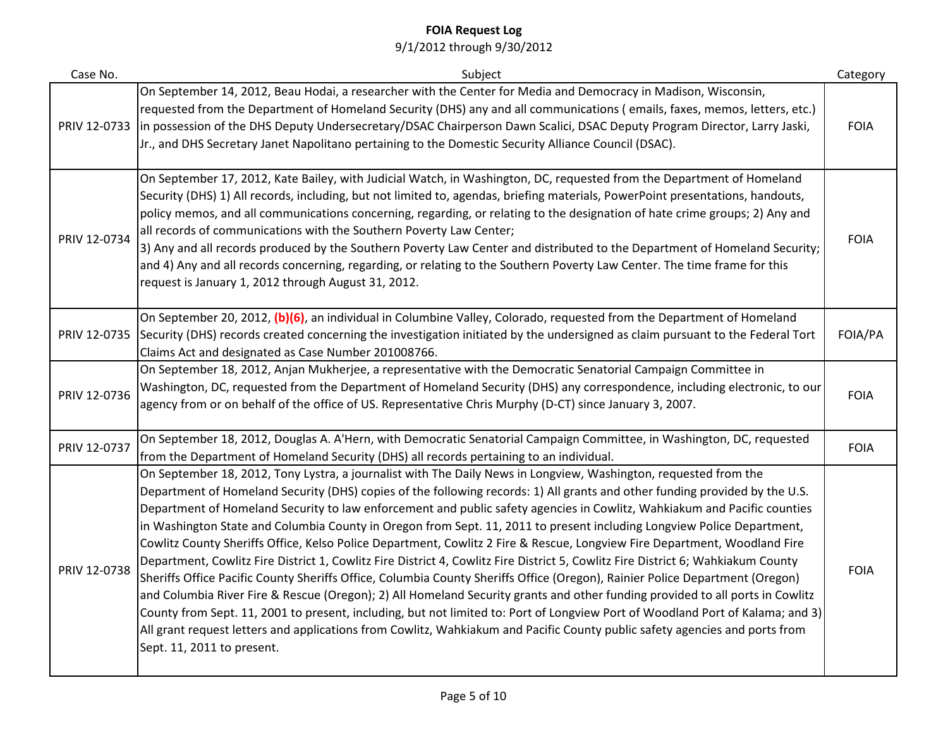| Case No.     | Subject                                                                                                                                                                                                                                                                                                                                                                                                                                                                                                                                                                                                                                                                                                                                                                                                                                                                                                                                                                                                                                                                                                                                                                                                                                                                                                                                | Category    |
|--------------|----------------------------------------------------------------------------------------------------------------------------------------------------------------------------------------------------------------------------------------------------------------------------------------------------------------------------------------------------------------------------------------------------------------------------------------------------------------------------------------------------------------------------------------------------------------------------------------------------------------------------------------------------------------------------------------------------------------------------------------------------------------------------------------------------------------------------------------------------------------------------------------------------------------------------------------------------------------------------------------------------------------------------------------------------------------------------------------------------------------------------------------------------------------------------------------------------------------------------------------------------------------------------------------------------------------------------------------|-------------|
| PRIV 12-0733 | On September 14, 2012, Beau Hodai, a researcher with the Center for Media and Democracy in Madison, Wisconsin,<br>requested from the Department of Homeland Security (DHS) any and all communications (emails, faxes, memos, letters, etc.)<br>in possession of the DHS Deputy Undersecretary/DSAC Chairperson Dawn Scalici, DSAC Deputy Program Director, Larry Jaski,<br>Jr., and DHS Secretary Janet Napolitano pertaining to the Domestic Security Alliance Council (DSAC).                                                                                                                                                                                                                                                                                                                                                                                                                                                                                                                                                                                                                                                                                                                                                                                                                                                        | <b>FOIA</b> |
| PRIV 12-0734 | On September 17, 2012, Kate Bailey, with Judicial Watch, in Washington, DC, requested from the Department of Homeland<br>Security (DHS) 1) All records, including, but not limited to, agendas, briefing materials, PowerPoint presentations, handouts,<br>policy memos, and all communications concerning, regarding, or relating to the designation of hate crime groups; 2) Any and<br>all records of communications with the Southern Poverty Law Center;<br>3) Any and all records produced by the Southern Poverty Law Center and distributed to the Department of Homeland Security;<br>and 4) Any and all records concerning, regarding, or relating to the Southern Poverty Law Center. The time frame for this<br>request is January 1, 2012 through August 31, 2012.                                                                                                                                                                                                                                                                                                                                                                                                                                                                                                                                                        | <b>FOIA</b> |
| PRIV 12-0735 | On September 20, 2012, (b)(6), an individual in Columbine Valley, Colorado, requested from the Department of Homeland<br>Security (DHS) records created concerning the investigation initiated by the undersigned as claim pursuant to the Federal Tort<br>Claims Act and designated as Case Number 201008766.                                                                                                                                                                                                                                                                                                                                                                                                                                                                                                                                                                                                                                                                                                                                                                                                                                                                                                                                                                                                                         | FOIA/PA     |
| PRIV 12-0736 | On September 18, 2012, Anjan Mukherjee, a representative with the Democratic Senatorial Campaign Committee in<br>Washington, DC, requested from the Department of Homeland Security (DHS) any correspondence, including electronic, to our<br>agency from or on behalf of the office of US. Representative Chris Murphy (D-CT) since January 3, 2007.                                                                                                                                                                                                                                                                                                                                                                                                                                                                                                                                                                                                                                                                                                                                                                                                                                                                                                                                                                                  | <b>FOIA</b> |
| PRIV 12-0737 | On September 18, 2012, Douglas A. A'Hern, with Democratic Senatorial Campaign Committee, in Washington, DC, requested<br>from the Department of Homeland Security (DHS) all records pertaining to an individual.                                                                                                                                                                                                                                                                                                                                                                                                                                                                                                                                                                                                                                                                                                                                                                                                                                                                                                                                                                                                                                                                                                                       | <b>FOIA</b> |
| PRIV 12-0738 | On September 18, 2012, Tony Lystra, a journalist with The Daily News in Longview, Washington, requested from the<br>Department of Homeland Security (DHS) copies of the following records: 1) All grants and other funding provided by the U.S.<br>Department of Homeland Security to law enforcement and public safety agencies in Cowlitz, Wahkiakum and Pacific counties<br>in Washington State and Columbia County in Oregon from Sept. 11, 2011 to present including Longview Police Department,<br>Cowlitz County Sheriffs Office, Kelso Police Department, Cowlitz 2 Fire & Rescue, Longview Fire Department, Woodland Fire<br>Department, Cowlitz Fire District 1, Cowlitz Fire District 4, Cowlitz Fire District 5, Cowlitz Fire District 6; Wahkiakum County<br>Sheriffs Office Pacific County Sheriffs Office, Columbia County Sheriffs Office (Oregon), Rainier Police Department (Oregon)<br>and Columbia River Fire & Rescue (Oregon); 2) All Homeland Security grants and other funding provided to all ports in Cowlitz<br>County from Sept. 11, 2001 to present, including, but not limited to: Port of Longview Port of Woodland Port of Kalama; and 3)<br>All grant request letters and applications from Cowlitz, Wahkiakum and Pacific County public safety agencies and ports from<br>Sept. 11, 2011 to present. | <b>FOIA</b> |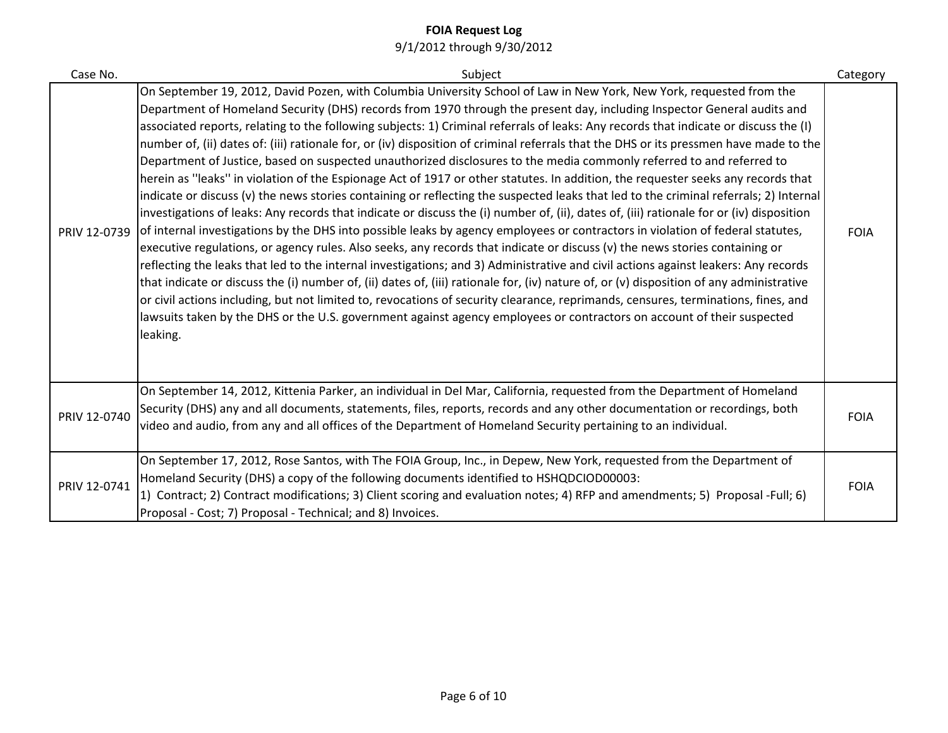| Case No.     | Subject                                                                                                                                                                                                                                                                                                                                                                                                                                                                                                                                                                                                                                                                                                                                                                                                                                                                                                                                                                                                                                                                                                                                                                                                                                                                                                                                                                                                                                                                                                                                                                                                                                                                                                                                                                                                                                                                                                          | Category    |
|--------------|------------------------------------------------------------------------------------------------------------------------------------------------------------------------------------------------------------------------------------------------------------------------------------------------------------------------------------------------------------------------------------------------------------------------------------------------------------------------------------------------------------------------------------------------------------------------------------------------------------------------------------------------------------------------------------------------------------------------------------------------------------------------------------------------------------------------------------------------------------------------------------------------------------------------------------------------------------------------------------------------------------------------------------------------------------------------------------------------------------------------------------------------------------------------------------------------------------------------------------------------------------------------------------------------------------------------------------------------------------------------------------------------------------------------------------------------------------------------------------------------------------------------------------------------------------------------------------------------------------------------------------------------------------------------------------------------------------------------------------------------------------------------------------------------------------------------------------------------------------------------------------------------------------------|-------------|
| PRIV 12-0739 | On September 19, 2012, David Pozen, with Columbia University School of Law in New York, New York, requested from the<br>Department of Homeland Security (DHS) records from 1970 through the present day, including Inspector General audits and<br>associated reports, relating to the following subjects: 1) Criminal referrals of leaks: Any records that indicate or discuss the (I)<br>number of, (ii) dates of: (iii) rationale for, or (iv) disposition of criminal referrals that the DHS or its pressmen have made to the<br>Department of Justice, based on suspected unauthorized disclosures to the media commonly referred to and referred to<br>herein as "leaks" in violation of the Espionage Act of 1917 or other statutes. In addition, the requester seeks any records that<br>indicate or discuss (v) the news stories containing or reflecting the suspected leaks that led to the criminal referrals; 2) Internal<br>investigations of leaks: Any records that indicate or discuss the (i) number of, (ii), dates of, (iii) rationale for or (iv) disposition<br>of internal investigations by the DHS into possible leaks by agency employees or contractors in violation of federal statutes,<br>executive regulations, or agency rules. Also seeks, any records that indicate or discuss (v) the news stories containing or<br>reflecting the leaks that led to the internal investigations; and 3) Administrative and civil actions against leakers: Any records<br>that indicate or discuss the (i) number of, (ii) dates of, (iii) rationale for, (iv) nature of, or (v) disposition of any administrative<br>or civil actions including, but not limited to, revocations of security clearance, reprimands, censures, terminations, fines, and<br>lawsuits taken by the DHS or the U.S. government against agency employees or contractors on account of their suspected<br>leaking. | <b>FOIA</b> |
| PRIV 12-0740 | On September 14, 2012, Kittenia Parker, an individual in Del Mar, California, requested from the Department of Homeland<br>Security (DHS) any and all documents, statements, files, reports, records and any other documentation or recordings, both<br>video and audio, from any and all offices of the Department of Homeland Security pertaining to an individual.                                                                                                                                                                                                                                                                                                                                                                                                                                                                                                                                                                                                                                                                                                                                                                                                                                                                                                                                                                                                                                                                                                                                                                                                                                                                                                                                                                                                                                                                                                                                            | <b>FOIA</b> |
| PRIV 12-0741 | On September 17, 2012, Rose Santos, with The FOIA Group, Inc., in Depew, New York, requested from the Department of<br>Homeland Security (DHS) a copy of the following documents identified to HSHQDCIOD00003:<br>1) Contract; 2) Contract modifications; 3) Client scoring and evaluation notes; 4) RFP and amendments; 5) Proposal -Full; 6)<br>Proposal - Cost; 7) Proposal - Technical; and 8) Invoices.                                                                                                                                                                                                                                                                                                                                                                                                                                                                                                                                                                                                                                                                                                                                                                                                                                                                                                                                                                                                                                                                                                                                                                                                                                                                                                                                                                                                                                                                                                     | <b>FOIA</b> |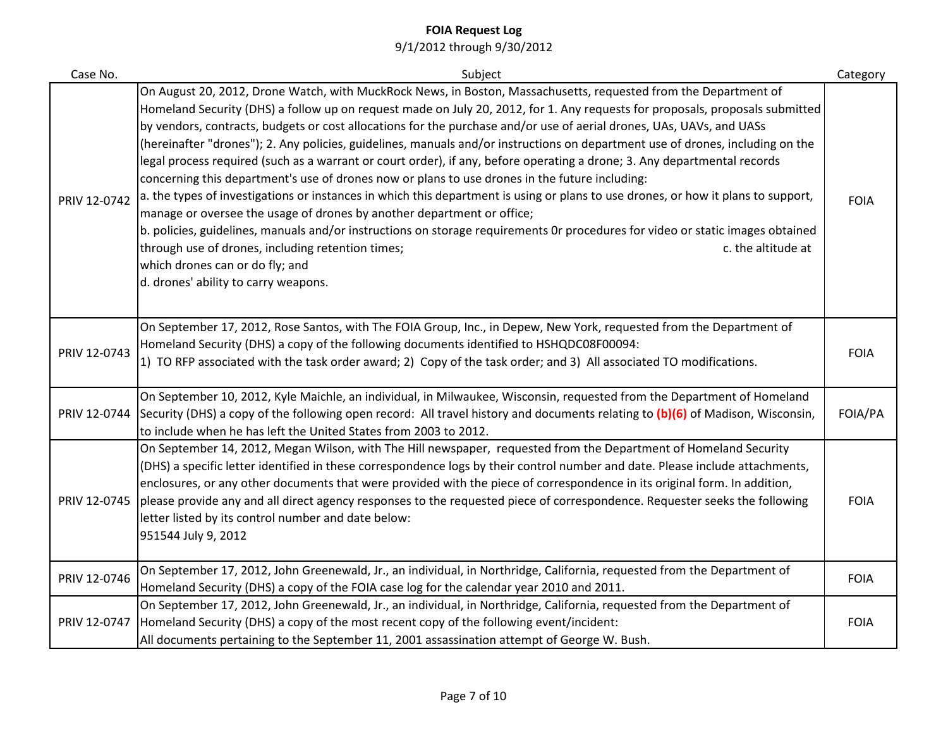| Case No.     | Subject                                                                                                                                                                                                                                                                                                                                                                                                                                                                                                                                                                                                                                                                                                                                                                                                                                                                                                                                                                                                                                                                                                                                                                                                                                        | Category    |
|--------------|------------------------------------------------------------------------------------------------------------------------------------------------------------------------------------------------------------------------------------------------------------------------------------------------------------------------------------------------------------------------------------------------------------------------------------------------------------------------------------------------------------------------------------------------------------------------------------------------------------------------------------------------------------------------------------------------------------------------------------------------------------------------------------------------------------------------------------------------------------------------------------------------------------------------------------------------------------------------------------------------------------------------------------------------------------------------------------------------------------------------------------------------------------------------------------------------------------------------------------------------|-------------|
| PRIV 12-0742 | On August 20, 2012, Drone Watch, with MuckRock News, in Boston, Massachusetts, requested from the Department of<br>Homeland Security (DHS) a follow up on request made on July 20, 2012, for 1. Any requests for proposals, proposals submitted<br>by vendors, contracts, budgets or cost allocations for the purchase and/or use of aerial drones, UAs, UAVs, and UASs<br>(hereinafter "drones"); 2. Any policies, guidelines, manuals and/or instructions on department use of drones, including on the<br>legal process required (such as a warrant or court order), if any, before operating a drone; 3. Any departmental records<br>concerning this department's use of drones now or plans to use drones in the future including:<br>a. the types of investigations or instances in which this department is using or plans to use drones, or how it plans to support,<br>manage or oversee the usage of drones by another department or office;<br>b. policies, guidelines, manuals and/or instructions on storage requirements Or procedures for video or static images obtained<br>through use of drones, including retention times;<br>c. the altitude at<br>which drones can or do fly; and<br>d. drones' ability to carry weapons. | <b>FOIA</b> |
| PRIV 12-0743 | On September 17, 2012, Rose Santos, with The FOIA Group, Inc., in Depew, New York, requested from the Department of<br>Homeland Security (DHS) a copy of the following documents identified to HSHQDC08F00094:<br>1) TO RFP associated with the task order award; 2) Copy of the task order; and 3) All associated TO modifications.                                                                                                                                                                                                                                                                                                                                                                                                                                                                                                                                                                                                                                                                                                                                                                                                                                                                                                           | <b>FOIA</b> |
| PRIV 12-0744 | On September 10, 2012, Kyle Maichle, an individual, in Milwaukee, Wisconsin, requested from the Department of Homeland<br>Security (DHS) a copy of the following open record: All travel history and documents relating to (b)(6) of Madison, Wisconsin,<br>to include when he has left the United States from 2003 to 2012.                                                                                                                                                                                                                                                                                                                                                                                                                                                                                                                                                                                                                                                                                                                                                                                                                                                                                                                   | FOIA/PA     |
| PRIV 12-0745 | On September 14, 2012, Megan Wilson, with The Hill newspaper, requested from the Department of Homeland Security<br>(DHS) a specific letter identified in these correspondence logs by their control number and date. Please include attachments,<br>enclosures, or any other documents that were provided with the piece of correspondence in its original form. In addition,<br>please provide any and all direct agency responses to the requested piece of correspondence. Requester seeks the following<br>letter listed by its control number and date below:<br>951544 July 9, 2012                                                                                                                                                                                                                                                                                                                                                                                                                                                                                                                                                                                                                                                     | <b>FOIA</b> |
| PRIV 12-0746 | On September 17, 2012, John Greenewald, Jr., an individual, in Northridge, California, requested from the Department of<br>Homeland Security (DHS) a copy of the FOIA case log for the calendar year 2010 and 2011.                                                                                                                                                                                                                                                                                                                                                                                                                                                                                                                                                                                                                                                                                                                                                                                                                                                                                                                                                                                                                            | <b>FOIA</b> |
| PRIV 12-0747 | On September 17, 2012, John Greenewald, Jr., an individual, in Northridge, California, requested from the Department of<br>Homeland Security (DHS) a copy of the most recent copy of the following event/incident:<br>All documents pertaining to the September 11, 2001 assassination attempt of George W. Bush.                                                                                                                                                                                                                                                                                                                                                                                                                                                                                                                                                                                                                                                                                                                                                                                                                                                                                                                              | <b>FOIA</b> |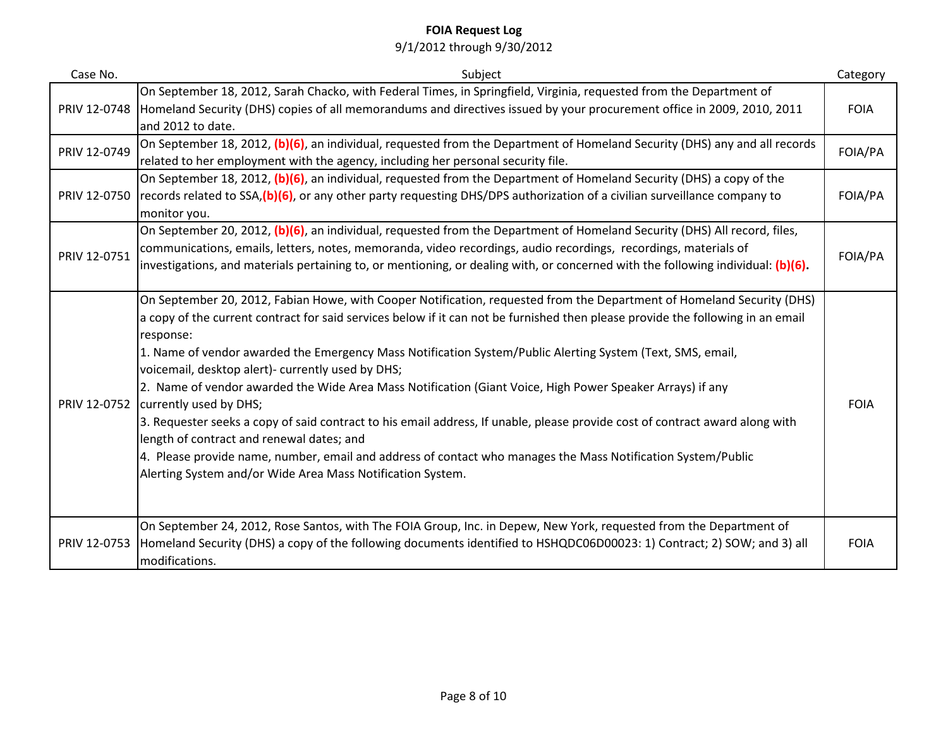| Case No.     | Subject                                                                                                                             | Category    |
|--------------|-------------------------------------------------------------------------------------------------------------------------------------|-------------|
|              | On September 18, 2012, Sarah Chacko, with Federal Times, in Springfield, Virginia, requested from the Department of                 |             |
|              | PRIV 12-0748 Homeland Security (DHS) copies of all memorandums and directives issued by your procurement office in 2009, 2010, 2011 | <b>FOIA</b> |
|              | and 2012 to date.                                                                                                                   |             |
| PRIV 12-0749 | On September 18, 2012, (b)(6), an individual, requested from the Department of Homeland Security (DHS) any and all records          | FOIA/PA     |
|              | related to her employment with the agency, including her personal security file.                                                    |             |
|              | On September 18, 2012, (b)(6), an individual, requested from the Department of Homeland Security (DHS) a copy of the                |             |
| PRIV 12-0750 | records related to SSA, (b)(6), or any other party requesting DHS/DPS authorization of a civilian surveillance company to           | FOIA/PA     |
|              | monitor you.                                                                                                                        |             |
|              | On September 20, 2012, (b)(6), an individual, requested from the Department of Homeland Security (DHS) All record, files,           | FOIA/PA     |
| PRIV 12-0751 | communications, emails, letters, notes, memoranda, video recordings, audio recordings, recordings, materials of                     |             |
|              | investigations, and materials pertaining to, or mentioning, or dealing with, or concerned with the following individual: (b)(6).    |             |
|              |                                                                                                                                     |             |
|              | On September 20, 2012, Fabian Howe, with Cooper Notification, requested from the Department of Homeland Security (DHS)              |             |
|              | a copy of the current contract for said services below if it can not be furnished then please provide the following in an email     |             |
| PRIV 12-0752 | response:                                                                                                                           |             |
|              | 1. Name of vendor awarded the Emergency Mass Notification System/Public Alerting System (Text, SMS, email,                          |             |
|              | voicemail, desktop alert)- currently used by DHS;                                                                                   | <b>FOIA</b> |
|              | 2. Name of vendor awarded the Wide Area Mass Notification (Giant Voice, High Power Speaker Arrays) if any<br>currently used by DHS; |             |
|              | 3. Requester seeks a copy of said contract to his email address, If unable, please provide cost of contract award along with        |             |
|              | length of contract and renewal dates; and                                                                                           |             |
|              | 4. Please provide name, number, email and address of contact who manages the Mass Notification System/Public                        |             |
|              | Alerting System and/or Wide Area Mass Notification System.                                                                          |             |
|              |                                                                                                                                     |             |
|              |                                                                                                                                     |             |
| PRIV 12-0753 | On September 24, 2012, Rose Santos, with The FOIA Group, Inc. in Depew, New York, requested from the Department of                  |             |
|              | Homeland Security (DHS) a copy of the following documents identified to HSHQDC06D00023: 1) Contract; 2) SOW; and 3) all             | <b>FOIA</b> |
|              | modifications.                                                                                                                      |             |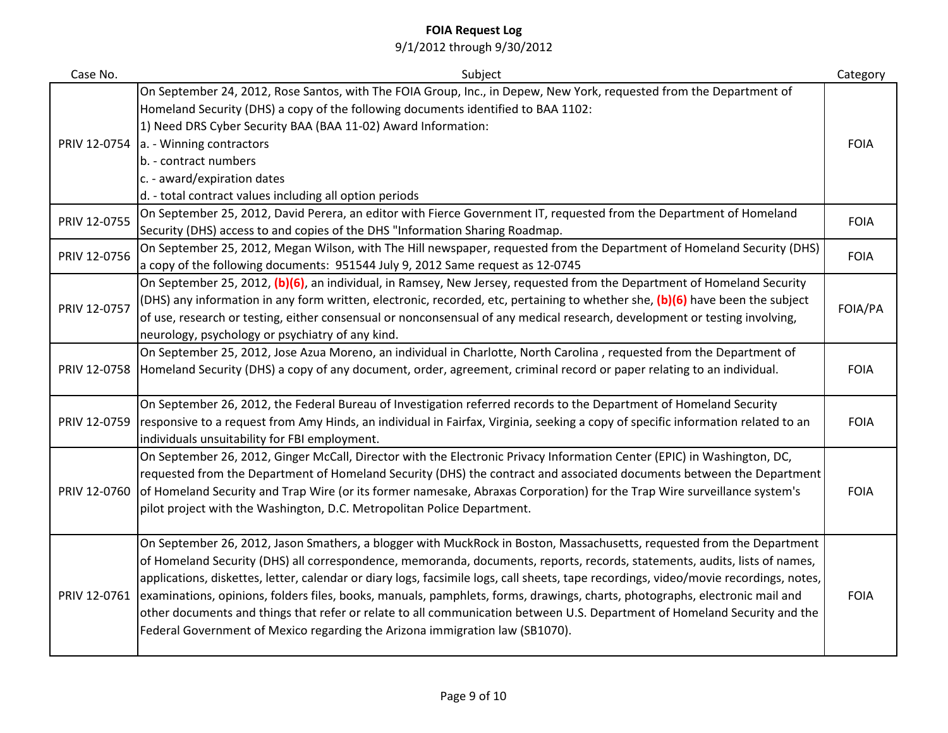| Case No.     | Subject                                                                                                                                                                                                                                                                                                                                                                                                                                                                                                                                                                                                                                                                                                                                   | Category    |
|--------------|-------------------------------------------------------------------------------------------------------------------------------------------------------------------------------------------------------------------------------------------------------------------------------------------------------------------------------------------------------------------------------------------------------------------------------------------------------------------------------------------------------------------------------------------------------------------------------------------------------------------------------------------------------------------------------------------------------------------------------------------|-------------|
| PRIV 12-0754 | On September 24, 2012, Rose Santos, with The FOIA Group, Inc., in Depew, New York, requested from the Department of<br>Homeland Security (DHS) a copy of the following documents identified to BAA 1102:<br>1) Need DRS Cyber Security BAA (BAA 11-02) Award Information:<br>a. - Winning contractors                                                                                                                                                                                                                                                                                                                                                                                                                                     | <b>FOIA</b> |
|              | b. - contract numbers<br>c. - award/expiration dates<br>d. - total contract values including all option periods                                                                                                                                                                                                                                                                                                                                                                                                                                                                                                                                                                                                                           |             |
| PRIV 12-0755 | On September 25, 2012, David Perera, an editor with Fierce Government IT, requested from the Department of Homeland<br>Security (DHS) access to and copies of the DHS "Information Sharing Roadmap.                                                                                                                                                                                                                                                                                                                                                                                                                                                                                                                                       | <b>FOIA</b> |
| PRIV 12-0756 | On September 25, 2012, Megan Wilson, with The Hill newspaper, requested from the Department of Homeland Security (DHS)<br>a copy of the following documents: 951544 July 9, 2012 Same request as 12-0745                                                                                                                                                                                                                                                                                                                                                                                                                                                                                                                                  | <b>FOIA</b> |
| PRIV 12-0757 | On September 25, 2012, (b)(6), an individual, in Ramsey, New Jersey, requested from the Department of Homeland Security<br>(DHS) any information in any form written, electronic, recorded, etc, pertaining to whether she, (b)(6) have been the subject<br>of use, research or testing, either consensual or nonconsensual of any medical research, development or testing involving,<br>neurology, psychology or psychiatry of any kind.                                                                                                                                                                                                                                                                                                | FOIA/PA     |
| PRIV 12-0758 | On September 25, 2012, Jose Azua Moreno, an individual in Charlotte, North Carolina, requested from the Department of<br>Homeland Security (DHS) a copy of any document, order, agreement, criminal record or paper relating to an individual.                                                                                                                                                                                                                                                                                                                                                                                                                                                                                            | <b>FOIA</b> |
| PRIV 12-0759 | On September 26, 2012, the Federal Bureau of Investigation referred records to the Department of Homeland Security<br>responsive to a request from Amy Hinds, an individual in Fairfax, Virginia, seeking a copy of specific information related to an<br>individuals unsuitability for FBI employment.                                                                                                                                                                                                                                                                                                                                                                                                                                   | <b>FOIA</b> |
| PRIV 12-0760 | On September 26, 2012, Ginger McCall, Director with the Electronic Privacy Information Center (EPIC) in Washington, DC,<br>requested from the Department of Homeland Security (DHS) the contract and associated documents between the Department<br>of Homeland Security and Trap Wire (or its former namesake, Abraxas Corporation) for the Trap Wire surveillance system's<br>pilot project with the Washington, D.C. Metropolitan Police Department.                                                                                                                                                                                                                                                                                   | <b>FOIA</b> |
| PRIV 12-0761 | On September 26, 2012, Jason Smathers, a blogger with MuckRock in Boston, Massachusetts, requested from the Department<br>of Homeland Security (DHS) all correspondence, memoranda, documents, reports, records, statements, audits, lists of names,<br>applications, diskettes, letter, calendar or diary logs, facsimile logs, call sheets, tape recordings, video/movie recordings, notes,<br>examinations, opinions, folders files, books, manuals, pamphlets, forms, drawings, charts, photographs, electronic mail and<br>other documents and things that refer or relate to all communication between U.S. Department of Homeland Security and the<br>Federal Government of Mexico regarding the Arizona immigration law (SB1070). | <b>FOIA</b> |